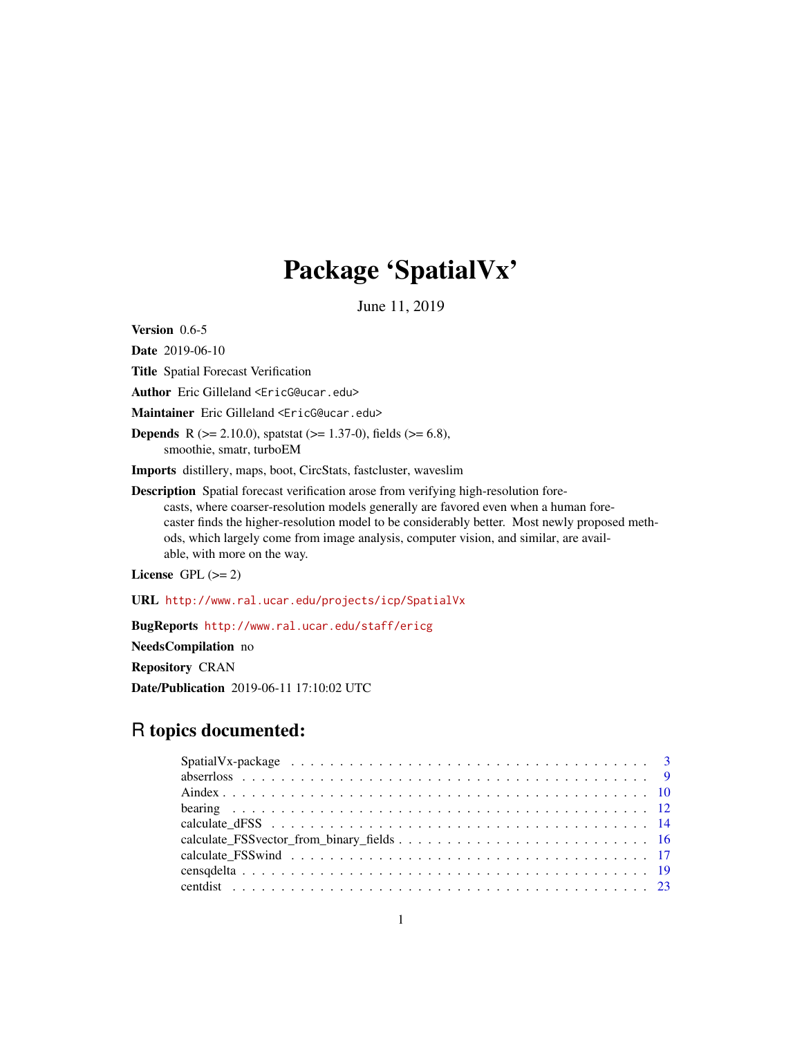# Package 'SpatialVx'

June 11, 2019

<span id="page-0-0"></span>Version 0.6-5

Date 2019-06-10

Title Spatial Forecast Verification

Author Eric Gilleland <EricG@ucar.edu>

Maintainer Eric Gilleland <EricG@ucar.edu>

**Depends** R ( $>= 2.10.0$ ), spatstat ( $>= 1.37-0$ ), fields ( $>= 6.8$ ), smoothie, smatr, turboEM

Imports distillery, maps, boot, CircStats, fastcluster, waveslim

Description Spatial forecast verification arose from verifying high-resolution forecasts, where coarser-resolution models generally are favored even when a human forecaster finds the higher-resolution model to be considerably better. Most newly proposed methods, which largely come from image analysis, computer vision, and similar, are available, with more on the way.

License GPL  $(>= 2)$ 

URL <http://www.ral.ucar.edu/projects/icp/SpatialVx>

BugReports <http://www.ral.ucar.edu/staff/ericg>

NeedsCompilation no

Repository CRAN

Date/Publication 2019-06-11 17:10:02 UTC

# R topics documented: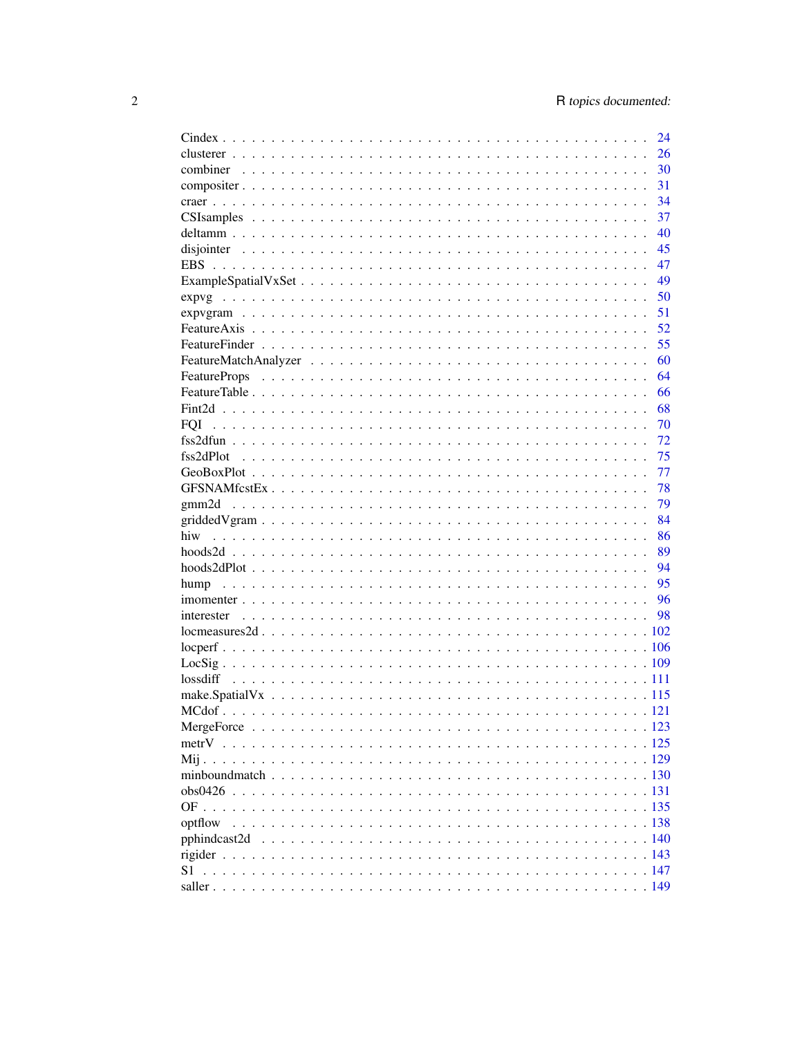|            | 24 |
|------------|----|
|            | 26 |
|            | 30 |
|            | 31 |
|            | 34 |
|            | 37 |
|            | 40 |
|            | 45 |
| <b>EBS</b> | 47 |
|            | 49 |
|            | 50 |
|            | 51 |
|            | 52 |
|            | 55 |
|            | 60 |
|            | 64 |
|            | 66 |
|            | 68 |
| <b>FOI</b> | 70 |
|            | 72 |
|            | 75 |
|            | 77 |
|            | 78 |
|            | 79 |
|            |    |
|            | 84 |
|            | 86 |
|            | 89 |
|            | 94 |
|            | 95 |
|            |    |
|            |    |
|            |    |
|            |    |
|            |    |
|            |    |
|            |    |
|            |    |
|            |    |
|            |    |
|            |    |
|            |    |
|            |    |
|            |    |
| optflow    |    |
|            |    |
|            |    |
| S1         |    |
|            |    |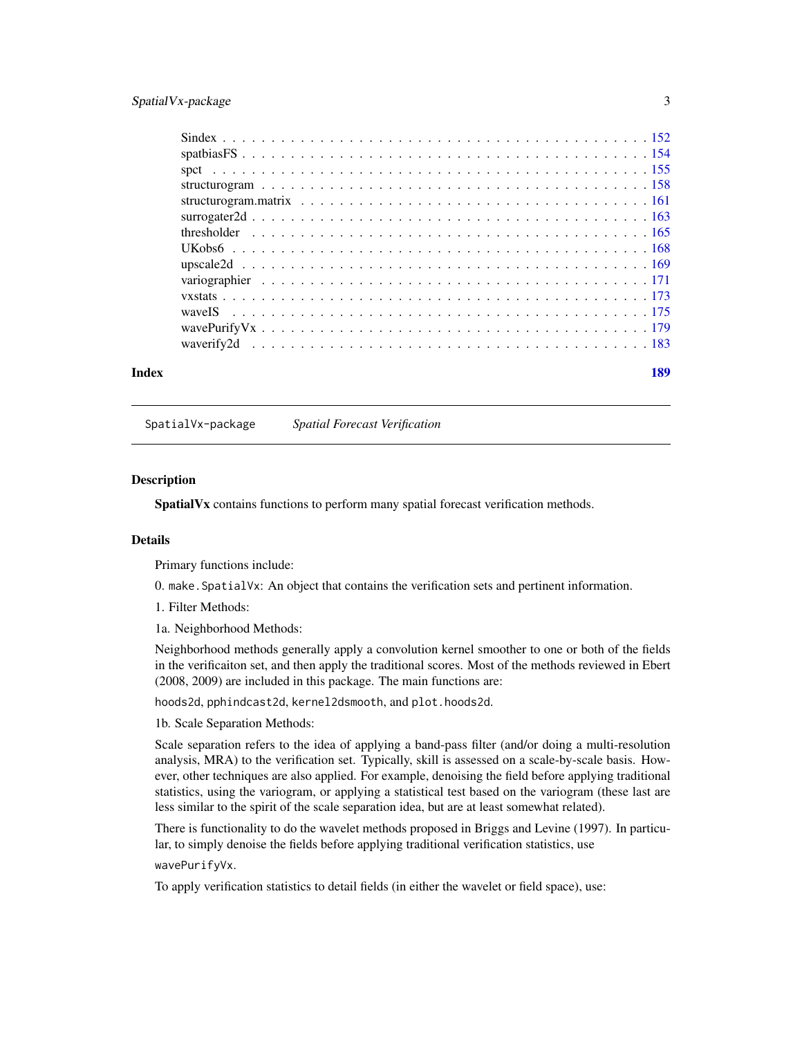# <span id="page-2-0"></span>SpatialVx-package 3

| Index | 189 |
|-------|-----|

SpatialVx-package *Spatial Forecast Verification*

#### **Description**

SpatialVx contains functions to perform many spatial forecast verification methods.

# Details

Primary functions include:

0. make.SpatialVx: An object that contains the verification sets and pertinent information.

1. Filter Methods:

1a. Neighborhood Methods:

Neighborhood methods generally apply a convolution kernel smoother to one or both of the fields in the verificaiton set, and then apply the traditional scores. Most of the methods reviewed in Ebert (2008, 2009) are included in this package. The main functions are:

hoods2d, pphindcast2d, kernel2dsmooth, and plot.hoods2d.

1b. Scale Separation Methods:

Scale separation refers to the idea of applying a band-pass filter (and/or doing a multi-resolution analysis, MRA) to the verification set. Typically, skill is assessed on a scale-by-scale basis. However, other techniques are also applied. For example, denoising the field before applying traditional statistics, using the variogram, or applying a statistical test based on the variogram (these last are less similar to the spirit of the scale separation idea, but are at least somewhat related).

There is functionality to do the wavelet methods proposed in Briggs and Levine (1997). In particular, to simply denoise the fields before applying traditional verification statistics, use

wavePurifyVx.

To apply verification statistics to detail fields (in either the wavelet or field space), use: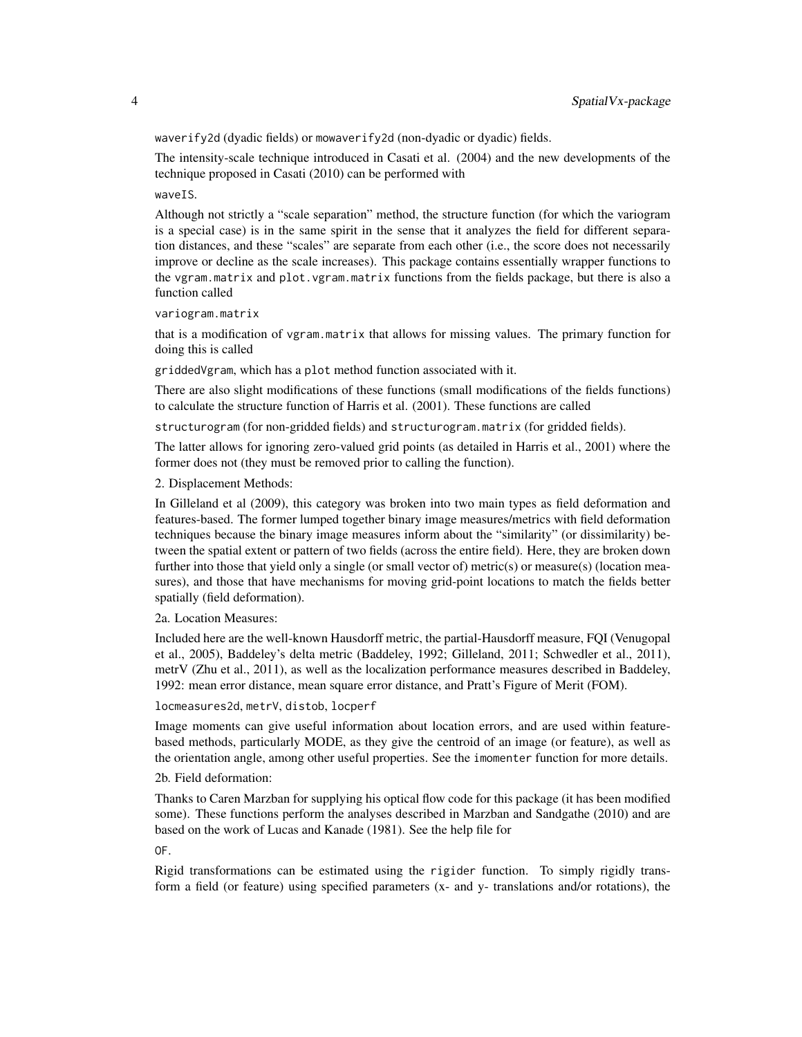waverify2d (dyadic fields) or mowaverify2d (non-dyadic or dyadic) fields.

The intensity-scale technique introduced in Casati et al. (2004) and the new developments of the technique proposed in Casati (2010) can be performed with

waveIS.

Although not strictly a "scale separation" method, the structure function (for which the variogram is a special case) is in the same spirit in the sense that it analyzes the field for different separation distances, and these "scales" are separate from each other (i.e., the score does not necessarily improve or decline as the scale increases). This package contains essentially wrapper functions to the vgram.matrix and plot.vgram.matrix functions from the fields package, but there is also a function called

```
variogram.matrix
```
that is a modification of vgram.matrix that allows for missing values. The primary function for doing this is called

griddedVgram, which has a plot method function associated with it.

There are also slight modifications of these functions (small modifications of the fields functions) to calculate the structure function of Harris et al. (2001). These functions are called

structurogram (for non-gridded fields) and structurogram.matrix (for gridded fields).

The latter allows for ignoring zero-valued grid points (as detailed in Harris et al., 2001) where the former does not (they must be removed prior to calling the function).

2. Displacement Methods:

In Gilleland et al (2009), this category was broken into two main types as field deformation and features-based. The former lumped together binary image measures/metrics with field deformation techniques because the binary image measures inform about the "similarity" (or dissimilarity) between the spatial extent or pattern of two fields (across the entire field). Here, they are broken down further into those that yield only a single (or small vector of) metric(s) or measure(s) (location measures), and those that have mechanisms for moving grid-point locations to match the fields better spatially (field deformation).

2a. Location Measures:

Included here are the well-known Hausdorff metric, the partial-Hausdorff measure, FQI (Venugopal et al., 2005), Baddeley's delta metric (Baddeley, 1992; Gilleland, 2011; Schwedler et al., 2011), metrV (Zhu et al., 2011), as well as the localization performance measures described in Baddeley, 1992: mean error distance, mean square error distance, and Pratt's Figure of Merit (FOM).

locmeasures2d, metrV, distob, locperf

Image moments can give useful information about location errors, and are used within featurebased methods, particularly MODE, as they give the centroid of an image (or feature), as well as the orientation angle, among other useful properties. See the imomenter function for more details.

2b. Field deformation:

Thanks to Caren Marzban for supplying his optical flow code for this package (it has been modified some). These functions perform the analyses described in Marzban and Sandgathe (2010) and are based on the work of Lucas and Kanade (1981). See the help file for

OF.

Rigid transformations can be estimated using the rigider function. To simply rigidly transform a field (or feature) using specified parameters (x- and y- translations and/or rotations), the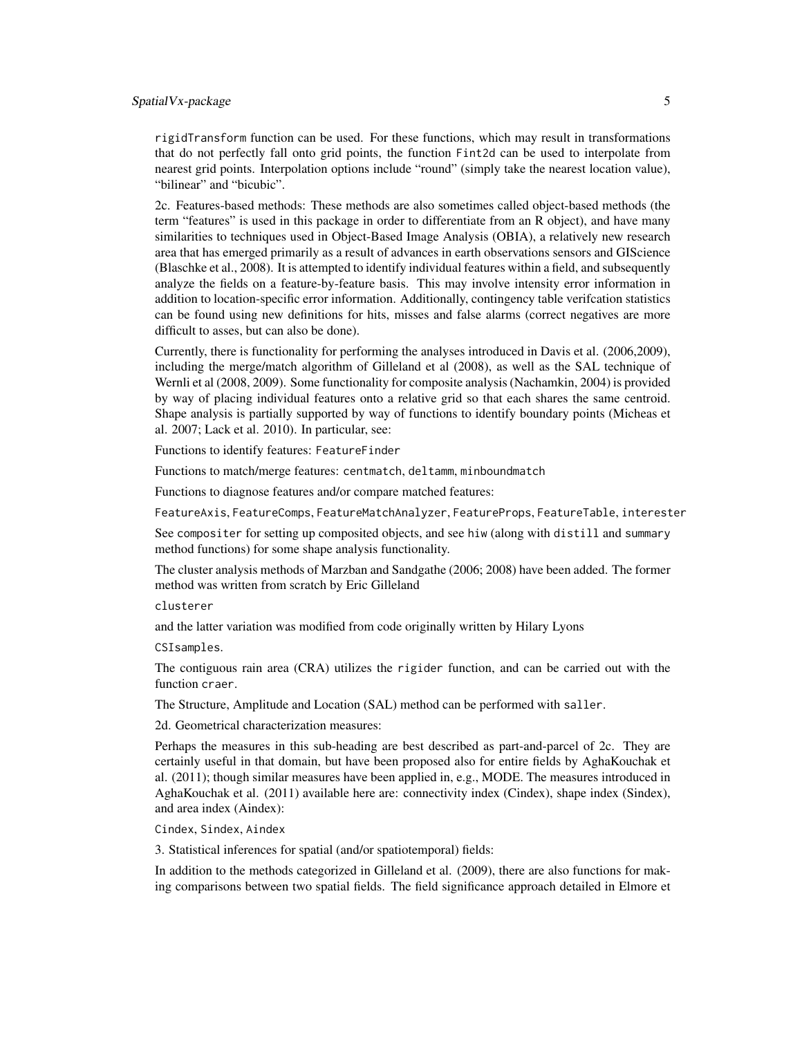# SpatialVx-package 5

rigidTransform function can be used. For these functions, which may result in transformations that do not perfectly fall onto grid points, the function Fint2d can be used to interpolate from nearest grid points. Interpolation options include "round" (simply take the nearest location value), "bilinear" and "bicubic".

2c. Features-based methods: These methods are also sometimes called object-based methods (the term "features" is used in this package in order to differentiate from an R object), and have many similarities to techniques used in Object-Based Image Analysis (OBIA), a relatively new research area that has emerged primarily as a result of advances in earth observations sensors and GIScience (Blaschke et al., 2008). It is attempted to identify individual features within a field, and subsequently analyze the fields on a feature-by-feature basis. This may involve intensity error information in addition to location-specific error information. Additionally, contingency table verifcation statistics can be found using new definitions for hits, misses and false alarms (correct negatives are more difficult to asses, but can also be done).

Currently, there is functionality for performing the analyses introduced in Davis et al. (2006,2009), including the merge/match algorithm of Gilleland et al (2008), as well as the SAL technique of Wernli et al (2008, 2009). Some functionality for composite analysis (Nachamkin, 2004) is provided by way of placing individual features onto a relative grid so that each shares the same centroid. Shape analysis is partially supported by way of functions to identify boundary points (Micheas et al. 2007; Lack et al. 2010). In particular, see:

Functions to identify features: FeatureFinder

Functions to match/merge features: centmatch, deltamm, minboundmatch

Functions to diagnose features and/or compare matched features:

FeatureAxis, FeatureComps, FeatureMatchAnalyzer, FeatureProps, FeatureTable, interester

See compositer for setting up composited objects, and see hiw (along with distill and summary method functions) for some shape analysis functionality.

The cluster analysis methods of Marzban and Sandgathe (2006; 2008) have been added. The former method was written from scratch by Eric Gilleland

clusterer

and the latter variation was modified from code originally written by Hilary Lyons

CSIsamples.

The contiguous rain area (CRA) utilizes the rigider function, and can be carried out with the function craer.

The Structure, Amplitude and Location (SAL) method can be performed with saller.

2d. Geometrical characterization measures:

Perhaps the measures in this sub-heading are best described as part-and-parcel of 2c. They are certainly useful in that domain, but have been proposed also for entire fields by AghaKouchak et al. (2011); though similar measures have been applied in, e.g., MODE. The measures introduced in AghaKouchak et al. (2011) available here are: connectivity index (Cindex), shape index (Sindex), and area index (Aindex):

Cindex, Sindex, Aindex

3. Statistical inferences for spatial (and/or spatiotemporal) fields:

In addition to the methods categorized in Gilleland et al. (2009), there are also functions for making comparisons between two spatial fields. The field significance approach detailed in Elmore et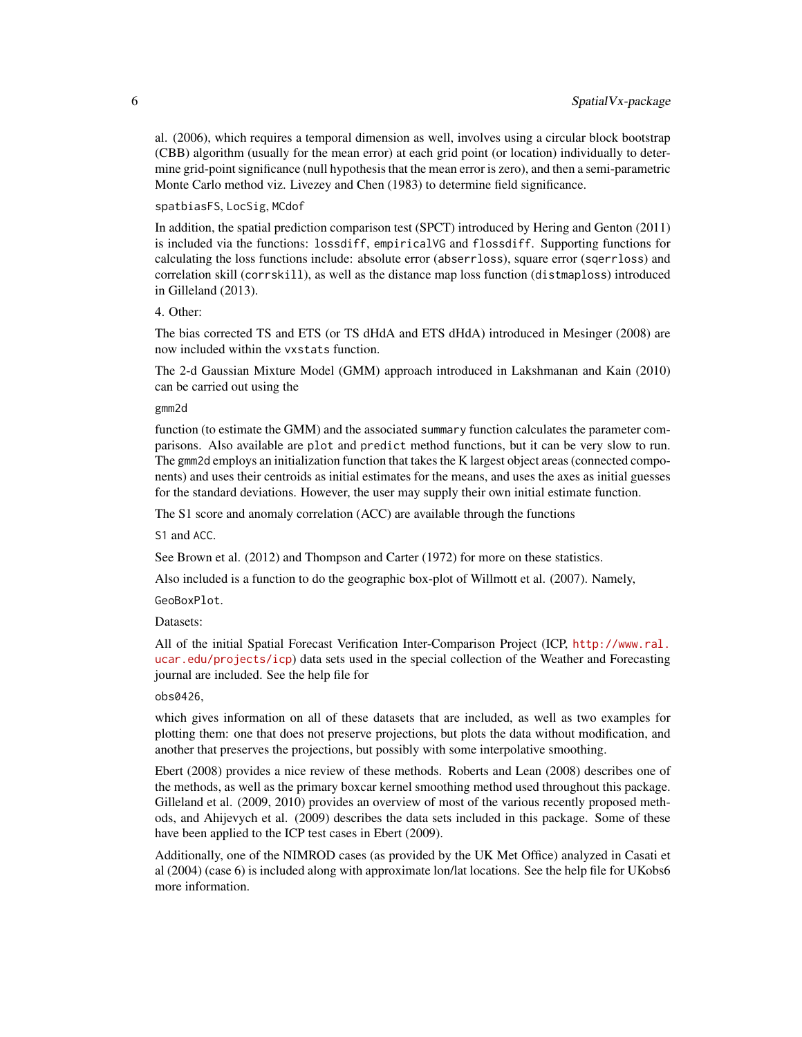al. (2006), which requires a temporal dimension as well, involves using a circular block bootstrap (CBB) algorithm (usually for the mean error) at each grid point (or location) individually to determine grid-point significance (null hypothesis that the mean error is zero), and then a semi-parametric Monte Carlo method viz. Livezey and Chen (1983) to determine field significance.

spatbiasFS, LocSig, MCdof

In addition, the spatial prediction comparison test (SPCT) introduced by Hering and Genton (2011) is included via the functions: lossdiff, empiricalVG and flossdiff. Supporting functions for calculating the loss functions include: absolute error (abserrloss), square error (sqerrloss) and correlation skill (corrskill), as well as the distance map loss function (distmaploss) introduced in Gilleland (2013).

# 4. Other:

The bias corrected TS and ETS (or TS dHdA and ETS dHdA) introduced in Mesinger (2008) are now included within the vxstats function.

The 2-d Gaussian Mixture Model (GMM) approach introduced in Lakshmanan and Kain (2010) can be carried out using the

# gmm2d

function (to estimate the GMM) and the associated summary function calculates the parameter comparisons. Also available are plot and predict method functions, but it can be very slow to run. The gmm2d employs an initialization function that takes the K largest object areas (connected components) and uses their centroids as initial estimates for the means, and uses the axes as initial guesses for the standard deviations. However, the user may supply their own initial estimate function.

The S1 score and anomaly correlation (ACC) are available through the functions

S1 and ACC.

See Brown et al. (2012) and Thompson and Carter (1972) for more on these statistics.

Also included is a function to do the geographic box-plot of Willmott et al. (2007). Namely,

GeoBoxPlot.

#### Datasets:

All of the initial Spatial Forecast Verification Inter-Comparison Project (ICP, [http://www.ral.](http://www.ral.ucar.edu/projects/icp) [ucar.edu/projects/icp](http://www.ral.ucar.edu/projects/icp)) data sets used in the special collection of the Weather and Forecasting journal are included. See the help file for

# obs0426,

which gives information on all of these datasets that are included, as well as two examples for plotting them: one that does not preserve projections, but plots the data without modification, and another that preserves the projections, but possibly with some interpolative smoothing.

Ebert (2008) provides a nice review of these methods. Roberts and Lean (2008) describes one of the methods, as well as the primary boxcar kernel smoothing method used throughout this package. Gilleland et al. (2009, 2010) provides an overview of most of the various recently proposed methods, and Ahijevych et al. (2009) describes the data sets included in this package. Some of these have been applied to the ICP test cases in Ebert (2009).

Additionally, one of the NIMROD cases (as provided by the UK Met Office) analyzed in Casati et al (2004) (case 6) is included along with approximate lon/lat locations. See the help file for UKobs6 more information.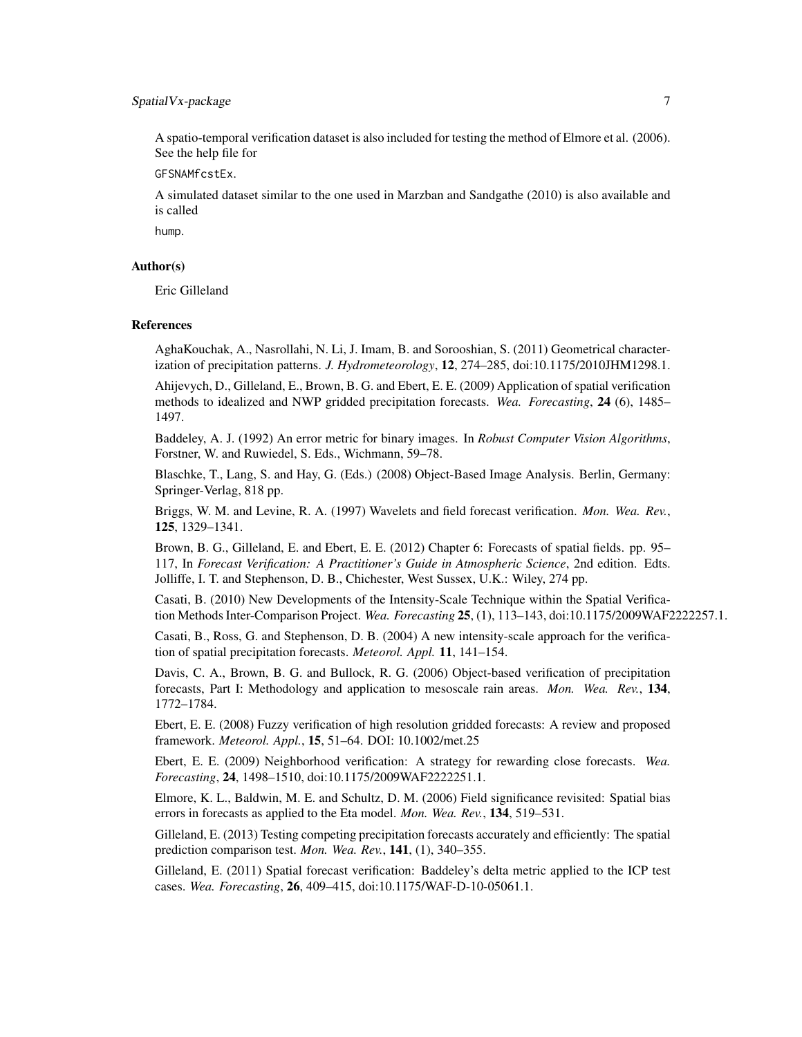# SpatialVx-package 7

A spatio-temporal verification dataset is also included for testing the method of Elmore et al. (2006). See the help file for

GFSNAMfcstEx.

A simulated dataset similar to the one used in Marzban and Sandgathe (2010) is also available and is called

hump.

# Author(s)

Eric Gilleland

#### References

AghaKouchak, A., Nasrollahi, N. Li, J. Imam, B. and Sorooshian, S. (2011) Geometrical characterization of precipitation patterns. *J. Hydrometeorology*, 12, 274–285, doi:10.1175/2010JHM1298.1.

Ahijevych, D., Gilleland, E., Brown, B. G. and Ebert, E. E. (2009) Application of spatial verification methods to idealized and NWP gridded precipitation forecasts. *Wea. Forecasting*, 24 (6), 1485– 1497.

Baddeley, A. J. (1992) An error metric for binary images. In *Robust Computer Vision Algorithms*, Forstner, W. and Ruwiedel, S. Eds., Wichmann, 59–78.

Blaschke, T., Lang, S. and Hay, G. (Eds.) (2008) Object-Based Image Analysis. Berlin, Germany: Springer-Verlag, 818 pp.

Briggs, W. M. and Levine, R. A. (1997) Wavelets and field forecast verification. *Mon. Wea. Rev.*, 125, 1329–1341.

Brown, B. G., Gilleland, E. and Ebert, E. E. (2012) Chapter 6: Forecasts of spatial fields. pp. 95– 117, In *Forecast Verification: A Practitioner's Guide in Atmospheric Science*, 2nd edition. Edts. Jolliffe, I. T. and Stephenson, D. B., Chichester, West Sussex, U.K.: Wiley, 274 pp.

Casati, B. (2010) New Developments of the Intensity-Scale Technique within the Spatial Verification Methods Inter-Comparison Project. *Wea. Forecasting* 25, (1), 113–143, doi:10.1175/2009WAF2222257.1.

Casati, B., Ross, G. and Stephenson, D. B. (2004) A new intensity-scale approach for the verification of spatial precipitation forecasts. *Meteorol. Appl.* 11, 141–154.

Davis, C. A., Brown, B. G. and Bullock, R. G. (2006) Object-based verification of precipitation forecasts, Part I: Methodology and application to mesoscale rain areas. *Mon. Wea. Rev.*, 134, 1772–1784.

Ebert, E. E. (2008) Fuzzy verification of high resolution gridded forecasts: A review and proposed framework. *Meteorol. Appl.*, 15, 51–64. DOI: 10.1002/met.25

Ebert, E. E. (2009) Neighborhood verification: A strategy for rewarding close forecasts. *Wea. Forecasting*, 24, 1498–1510, doi:10.1175/2009WAF2222251.1.

Elmore, K. L., Baldwin, M. E. and Schultz, D. M. (2006) Field significance revisited: Spatial bias errors in forecasts as applied to the Eta model. *Mon. Wea. Rev.*, 134, 519–531.

Gilleland, E. (2013) Testing competing precipitation forecasts accurately and efficiently: The spatial prediction comparison test. *Mon. Wea. Rev.*, 141, (1), 340–355.

Gilleland, E. (2011) Spatial forecast verification: Baddeley's delta metric applied to the ICP test cases. *Wea. Forecasting*, 26, 409–415, doi:10.1175/WAF-D-10-05061.1.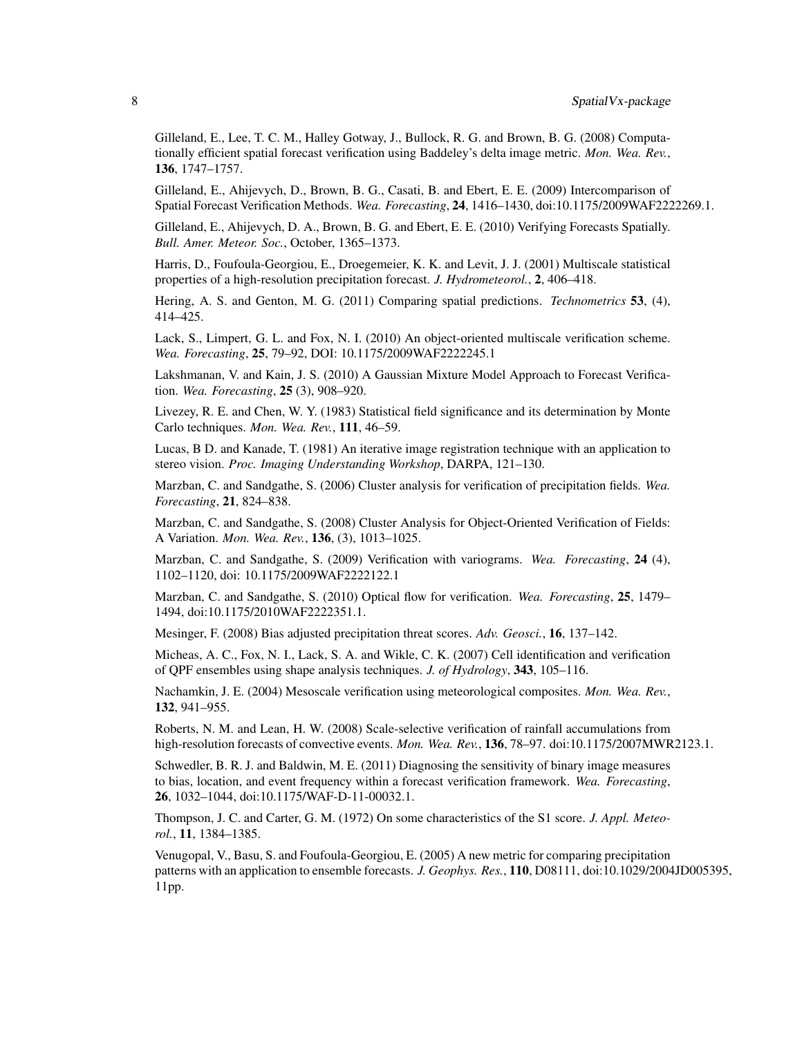Gilleland, E., Lee, T. C. M., Halley Gotway, J., Bullock, R. G. and Brown, B. G. (2008) Computationally efficient spatial forecast verification using Baddeley's delta image metric. *Mon. Wea. Rev.*, 136, 1747–1757.

Gilleland, E., Ahijevych, D., Brown, B. G., Casati, B. and Ebert, E. E. (2009) Intercomparison of Spatial Forecast Verification Methods. *Wea. Forecasting*, 24, 1416–1430, doi:10.1175/2009WAF2222269.1.

Gilleland, E., Ahijevych, D. A., Brown, B. G. and Ebert, E. E. (2010) Verifying Forecasts Spatially. *Bull. Amer. Meteor. Soc.*, October, 1365–1373.

Harris, D., Foufoula-Georgiou, E., Droegemeier, K. K. and Levit, J. J. (2001) Multiscale statistical properties of a high-resolution precipitation forecast. *J. Hydrometeorol.*, 2, 406–418.

Hering, A. S. and Genton, M. G. (2011) Comparing spatial predictions. *Technometrics* 53, (4), 414–425.

Lack, S., Limpert, G. L. and Fox, N. I. (2010) An object-oriented multiscale verification scheme. *Wea. Forecasting*, 25, 79–92, DOI: 10.1175/2009WAF2222245.1

Lakshmanan, V. and Kain, J. S. (2010) A Gaussian Mixture Model Approach to Forecast Verification. *Wea. Forecasting*, 25 (3), 908–920.

Livezey, R. E. and Chen, W. Y. (1983) Statistical field significance and its determination by Monte Carlo techniques. *Mon. Wea. Rev.*, 111, 46–59.

Lucas, B D. and Kanade, T. (1981) An iterative image registration technique with an application to stereo vision. *Proc. Imaging Understanding Workshop*, DARPA, 121–130.

Marzban, C. and Sandgathe, S. (2006) Cluster analysis for verification of precipitation fields. *Wea. Forecasting*, 21, 824–838.

Marzban, C. and Sandgathe, S. (2008) Cluster Analysis for Object-Oriented Verification of Fields: A Variation. *Mon. Wea. Rev.*, 136, (3), 1013–1025.

Marzban, C. and Sandgathe, S. (2009) Verification with variograms. *Wea. Forecasting*, 24 (4), 1102–1120, doi: 10.1175/2009WAF2222122.1

Marzban, C. and Sandgathe, S. (2010) Optical flow for verification. *Wea. Forecasting*, 25, 1479– 1494, doi:10.1175/2010WAF2222351.1.

Mesinger, F. (2008) Bias adjusted precipitation threat scores. *Adv. Geosci.*, 16, 137–142.

Micheas, A. C., Fox, N. I., Lack, S. A. and Wikle, C. K. (2007) Cell identification and verification of QPF ensembles using shape analysis techniques. *J. of Hydrology*, 343, 105–116.

Nachamkin, J. E. (2004) Mesoscale verification using meteorological composites. *Mon. Wea. Rev.*, 132, 941–955.

Roberts, N. M. and Lean, H. W. (2008) Scale-selective verification of rainfall accumulations from high-resolution forecasts of convective events. *Mon. Wea. Rev.*, 136, 78–97. doi:10.1175/2007MWR2123.1.

Schwedler, B. R. J. and Baldwin, M. E. (2011) Diagnosing the sensitivity of binary image measures to bias, location, and event frequency within a forecast verification framework. *Wea. Forecasting*, 26, 1032–1044, doi:10.1175/WAF-D-11-00032.1.

Thompson, J. C. and Carter, G. M. (1972) On some characteristics of the S1 score. *J. Appl. Meteorol.*, 11, 1384–1385.

Venugopal, V., Basu, S. and Foufoula-Georgiou, E. (2005) A new metric for comparing precipitation patterns with an application to ensemble forecasts. *J. Geophys. Res.*, 110, D08111, doi:10.1029/2004JD005395, 11pp.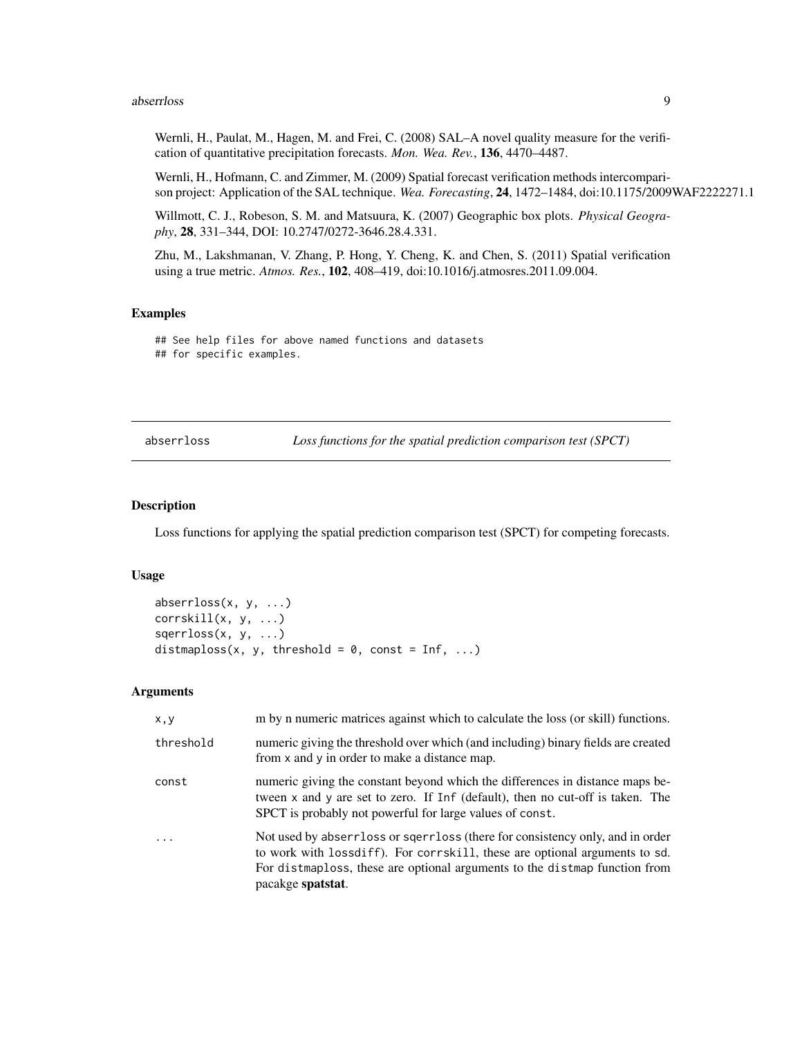#### <span id="page-8-0"></span>abserrloss 9

Wernli, H., Paulat, M., Hagen, M. and Frei, C. (2008) SAL–A novel quality measure for the verification of quantitative precipitation forecasts. *Mon. Wea. Rev.*, 136, 4470–4487.

Wernli, H., Hofmann, C. and Zimmer, M. (2009) Spatial forecast verification methods intercomparison project: Application of the SAL technique. *Wea. Forecasting*, 24, 1472–1484, doi:10.1175/2009WAF2222271.1

Willmott, C. J., Robeson, S. M. and Matsuura, K. (2007) Geographic box plots. *Physical Geography*, 28, 331–344, DOI: 10.2747/0272-3646.28.4.331.

Zhu, M., Lakshmanan, V. Zhang, P. Hong, Y. Cheng, K. and Chen, S. (2011) Spatial verification using a true metric. *Atmos. Res.*, 102, 408–419, doi:10.1016/j.atmosres.2011.09.004.

# Examples

## See help files for above named functions and datasets ## for specific examples.

abserrloss *Loss functions for the spatial prediction comparison test (SPCT)*

# Description

Loss functions for applying the spatial prediction comparison test (SPCT) for competing forecasts.

#### Usage

```
abserrloss(x, y, ...)
corrskill(x, y, ...)
sqerrloss(x, y, ...)
distmaploss(x, y, threshold = 0, const = Inf, ...)
```
# Arguments

| x, y                    | m by n numeric matrices against which to calculate the loss (or skill) functions.                                                                                                                                                                               |  |  |  |
|-------------------------|-----------------------------------------------------------------------------------------------------------------------------------------------------------------------------------------------------------------------------------------------------------------|--|--|--|
| threshold               | numeric giving the threshold over which (and including) binary fields are created<br>from x and y in order to make a distance map.                                                                                                                              |  |  |  |
| const                   | numeric giving the constant beyond which the differences in distance maps be-<br>tween x and y are set to zero. If Inf (default), then no cut-off is taken. The<br>SPCT is probably not powerful for large values of const.                                     |  |  |  |
| $\cdot$ $\cdot$ $\cdot$ | Not used by abserviors or sqerviors (there for consistency only, and in order<br>to work with loss diff). For corrskill, these are optional arguments to sd.<br>For distmaploss, these are optional arguments to the distmap function from<br>pacakge spatstat. |  |  |  |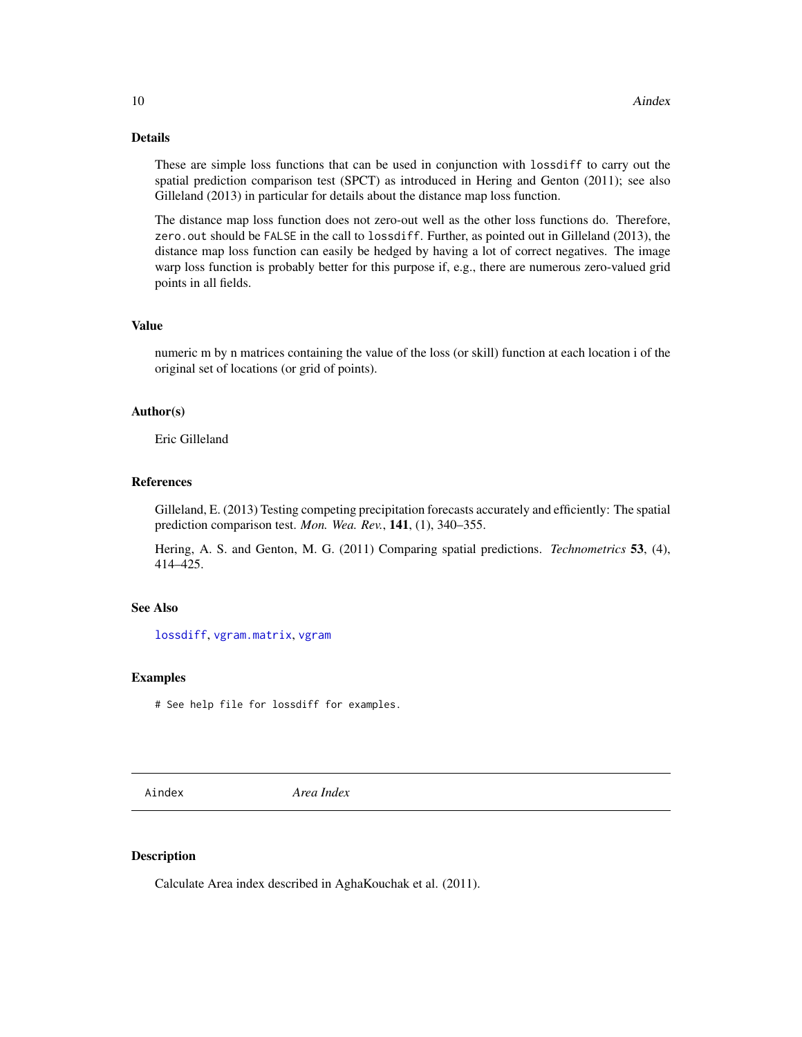# <span id="page-9-0"></span>Details

These are simple loss functions that can be used in conjunction with lossdiff to carry out the spatial prediction comparison test (SPCT) as introduced in Hering and Genton (2011); see also Gilleland (2013) in particular for details about the distance map loss function.

The distance map loss function does not zero-out well as the other loss functions do. Therefore, zero.out should be FALSE in the call to lossdiff. Further, as pointed out in Gilleland (2013), the distance map loss function can easily be hedged by having a lot of correct negatives. The image warp loss function is probably better for this purpose if, e.g., there are numerous zero-valued grid points in all fields.

# Value

numeric m by n matrices containing the value of the loss (or skill) function at each location i of the original set of locations (or grid of points).

#### Author(s)

Eric Gilleland

# References

Gilleland, E. (2013) Testing competing precipitation forecasts accurately and efficiently: The spatial prediction comparison test. *Mon. Wea. Rev.*, 141, (1), 340–355.

Hering, A. S. and Genton, M. G. (2011) Comparing spatial predictions. *Technometrics* 53, (4), 414–425.

#### See Also

[lossdiff](#page-110-1), [vgram.matrix](#page-0-0), [vgram](#page-0-0)

#### Examples

# See help file for lossdiff for examples.

<span id="page-9-1"></span>Aindex *Area Index*

#### Description

Calculate Area index described in AghaKouchak et al. (2011).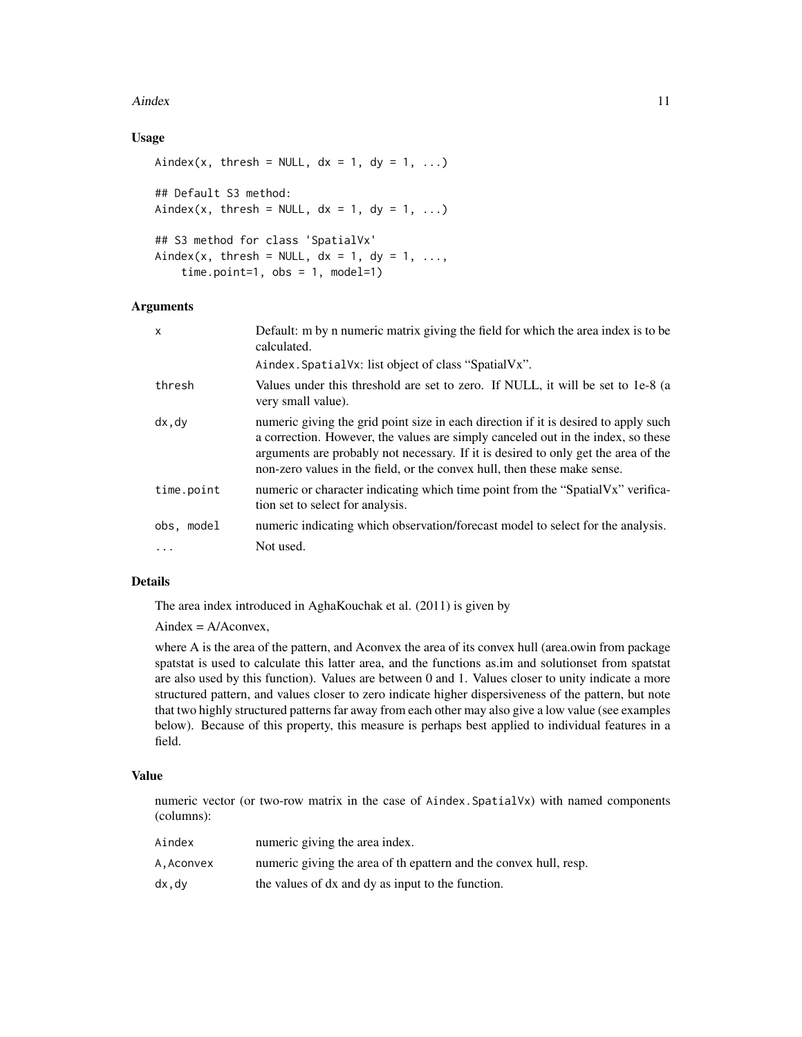#### Aindex 11

# Usage

```
Aindex(x, thresh = NULL, dx = 1, dy = 1, ...)
## Default S3 method:
Aindex(x, thresh = NULL, dx = 1, dy = 1, ...)
## S3 method for class 'SpatialVx'
Aindex(x, thresh = NULL, dx = 1, dy = 1, ...,
   time.point=1, obs = 1, model=1)
```
#### Arguments

| $\mathsf{x}$ | Default: m by n numeric matrix giving the field for which the area index is to be<br>calculated.                                                                                                                                                                                                                                          |
|--------------|-------------------------------------------------------------------------------------------------------------------------------------------------------------------------------------------------------------------------------------------------------------------------------------------------------------------------------------------|
|              | Aindex. Spatial Vx: list object of class "Spatial Vx".                                                                                                                                                                                                                                                                                    |
| thresh       | Values under this threshold are set to zero. If NULL, it will be set to 1e-8 (a<br>very small value).                                                                                                                                                                                                                                     |
| dx, dy       | numeric giving the grid point size in each direction if it is desired to apply such<br>a correction. However, the values are simply canceled out in the index, so these<br>arguments are probably not necessary. If it is desired to only get the area of the<br>non-zero values in the field, or the convex hull, then these make sense. |
| time.point   | numeric or character indicating which time point from the "SpatialVx" verifica-<br>tion set to select for analysis.                                                                                                                                                                                                                       |
| obs, model   | numeric indicating which observation/forecast model to select for the analysis.                                                                                                                                                                                                                                                           |
| .            | Not used.                                                                                                                                                                                                                                                                                                                                 |

#### Details

The area index introduced in AghaKouchak et al. (2011) is given by

 $Aindex = A/Aconvex$ ,

where A is the area of the pattern, and Aconvex the area of its convex hull (area.owin from package spatstat is used to calculate this latter area, and the functions as.im and solutionset from spatstat are also used by this function). Values are between 0 and 1. Values closer to unity indicate a more structured pattern, and values closer to zero indicate higher dispersiveness of the pattern, but note that two highly structured patterns far away from each other may also give a low value (see examples below). Because of this property, this measure is perhaps best applied to individual features in a field.

# Value

numeric vector (or two-row matrix in the case of Aindex.SpatialVx) with named components (columns):

| Aindex    | numeric giving the area index.                                    |
|-----------|-------------------------------------------------------------------|
| A.Aconvex | numeric giving the area of the pattern and the convex hull, resp. |
| dx.dv     | the values of dx and dy as input to the function.                 |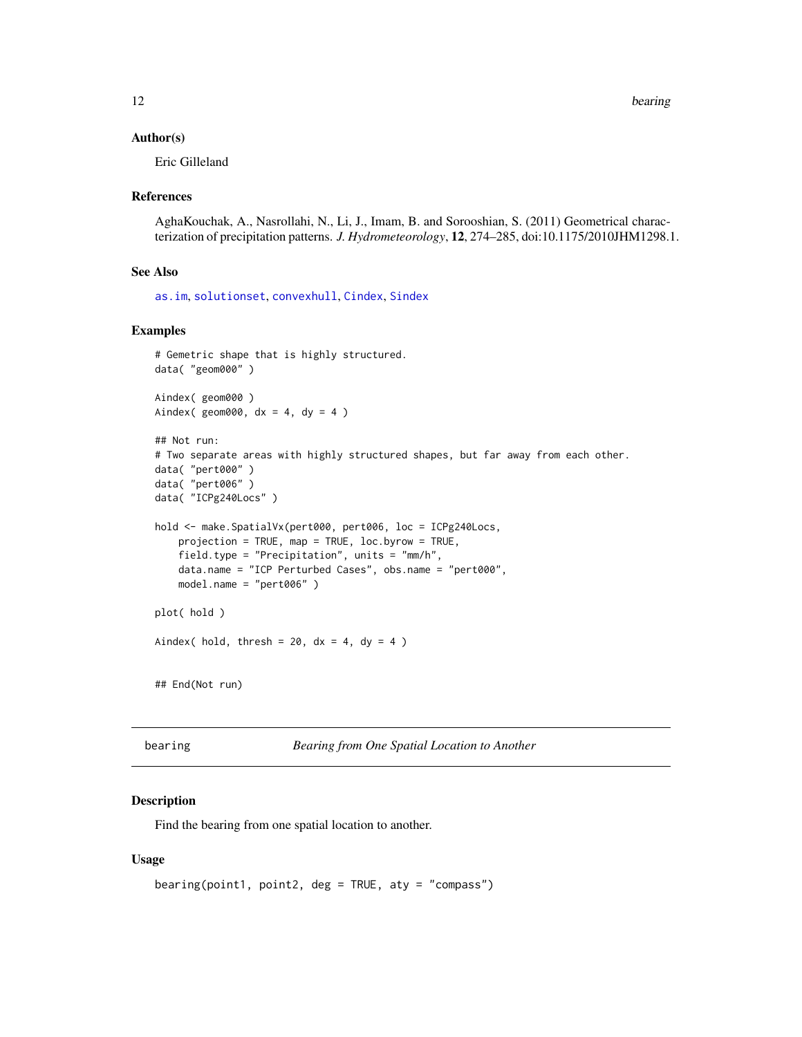#### <span id="page-11-0"></span>Author(s)

Eric Gilleland

#### References

AghaKouchak, A., Nasrollahi, N., Li, J., Imam, B. and Sorooshian, S. (2011) Geometrical characterization of precipitation patterns. *J. Hydrometeorology*, 12, 274–285, doi:10.1175/2010JHM1298.1.

#### See Also

[as.im](#page-0-0), [solutionset](#page-0-0), [convexhull](#page-0-0), [Cindex](#page-23-1), [Sindex](#page-151-1)

#### Examples

```
# Gemetric shape that is highly structured.
data( "geom000" )
Aindex( geom000 )
Aindex( geom000, dx = 4, dy = 4)
## Not run:
# Two separate areas with highly structured shapes, but far away from each other.
data( "pert000" )
data( "pert006" )
data( "ICPg240Locs" )
hold <- make.SpatialVx(pert000, pert006, loc = ICPg240Locs,
    projection = TRUE, map = TRUE, loc.byrow = TRUE,
    field.type = "Precipitation", units = "mm/h",
    data.name = "ICP Perturbed Cases", obs.name = "pert000",
   model.name = "pert006" )
plot( hold )
Aindex( hold, thresh = 20, dx = 4, dy = 4)
## End(Not run)
```
bearing *Bearing from One Spatial Location to Another*

#### Description

Find the bearing from one spatial location to another.

#### Usage

```
bearing(point1, point2, deg = TRUE, aty = "compass")
```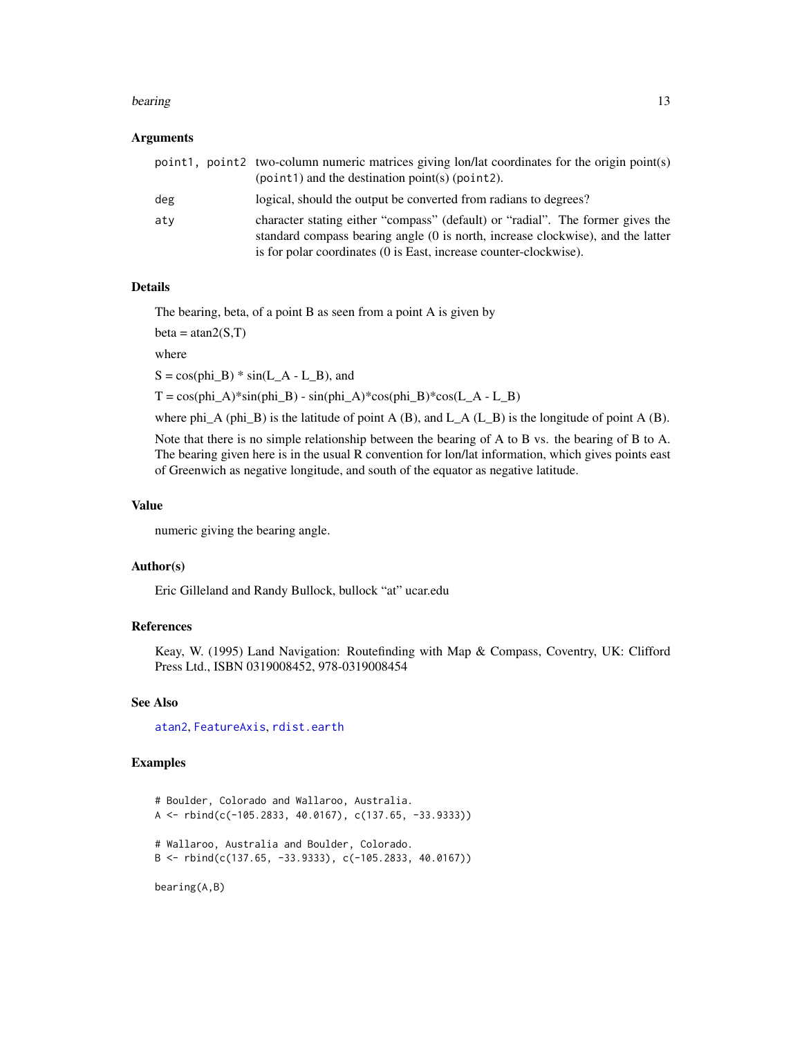#### bearing the contract of the contract of the contract of the contract of the contract of the contract of the contract of the contract of the contract of the contract of the contract of the contract of the contract of the co

#### Arguments

|     | point1, point2 two-column numeric matrices giving lon/lat coordinates for the origin point(s)<br>$\phi$ (point 1) and the destination point (s) (point 2).                                                                             |
|-----|----------------------------------------------------------------------------------------------------------------------------------------------------------------------------------------------------------------------------------------|
| deg | logical, should the output be converted from radians to degrees?                                                                                                                                                                       |
| atv | character stating either "compass" (default) or "radial". The former gives the<br>standard compass bearing angle (0 is north, increase clockwise), and the latter<br>is for polar coordinates (0 is East, increase counter-clockwise). |

# Details

The bearing, beta, of a point B as seen from a point A is given by

 $beta = \tan 2(S,T)$ 

where

 $S = \cos(\text{phi}_B) * \sin(L_A - L_B)$ , and

 $T = \cos(\pi h i_A) * \sin(\pi h i_B) - \sin(\pi h i_A) * \cos(\pi h i_B) * \cos(L_A - L_B)$ 

where phi\_A (phi\_B) is the latitude of point A (B), and  $L_A (L_B)$  is the longitude of point A (B).

Note that there is no simple relationship between the bearing of A to B vs. the bearing of B to A. The bearing given here is in the usual R convention for lon/lat information, which gives points east of Greenwich as negative longitude, and south of the equator as negative latitude.

# Value

numeric giving the bearing angle.

#### Author(s)

Eric Gilleland and Randy Bullock, bullock "at" ucar.edu

# References

Keay, W. (1995) Land Navigation: Routefinding with Map & Compass, Coventry, UK: Clifford Press Ltd., ISBN 0319008452, 978-0319008454

#### See Also

[atan2](#page-0-0), [FeatureAxis](#page-51-1), [rdist.earth](#page-0-0)

# Examples

```
# Boulder, Colorado and Wallaroo, Australia.
A \leftarrow rbind(c(-105.2833, 40.0167), c(137.65, -33.9333))
# Wallaroo, Australia and Boulder, Colorado.
B \leftarrow \text{rbind}(c(137.65, -33.9333), c(-105.2833, 40.0167))
```
bearing(A,B)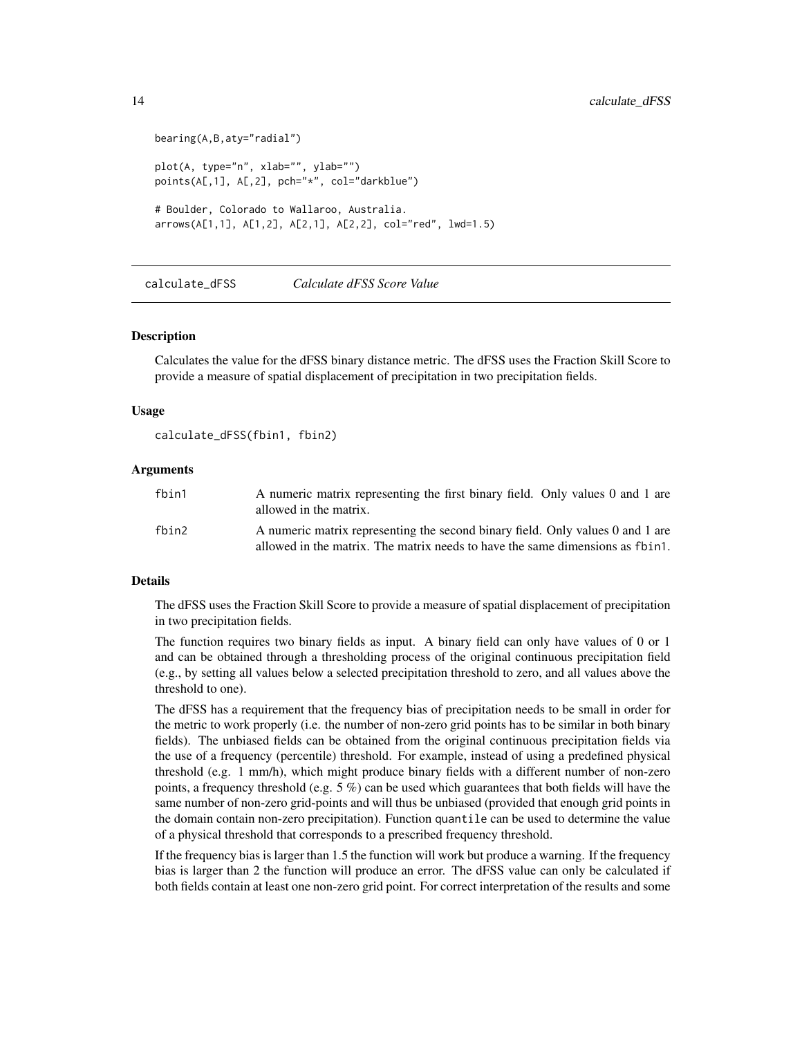```
bearing(A,B,aty="radial")
plot(A, type="n", xlab="", ylab="")
points(A[,1], A[,2], pch="*", col="darkblue")
# Boulder, Colorado to Wallaroo, Australia.
arrows(A[1,1], A[1,2], A[2,1], A[2,2], col="red", lwd=1.5)
```
calculate\_dFSS *Calculate dFSS Score Value*

#### Description

Calculates the value for the dFSS binary distance metric. The dFSS uses the Fraction Skill Score to provide a measure of spatial displacement of precipitation in two precipitation fields.

#### Usage

```
calculate_dFSS(fbin1, fbin2)
```
#### Arguments

| fbin1 | A numeric matrix representing the first binary field. Only values 0 and 1 are<br>allowed in the matrix.                                                          |
|-------|------------------------------------------------------------------------------------------------------------------------------------------------------------------|
| fbin2 | A numeric matrix representing the second binary field. Only values 0 and 1 are<br>allowed in the matrix. The matrix needs to have the same dimensions as f bin1. |

# Details

The dFSS uses the Fraction Skill Score to provide a measure of spatial displacement of precipitation in two precipitation fields.

The function requires two binary fields as input. A binary field can only have values of 0 or 1 and can be obtained through a thresholding process of the original continuous precipitation field (e.g., by setting all values below a selected precipitation threshold to zero, and all values above the threshold to one).

The dFSS has a requirement that the frequency bias of precipitation needs to be small in order for the metric to work properly (i.e. the number of non-zero grid points has to be similar in both binary fields). The unbiased fields can be obtained from the original continuous precipitation fields via the use of a frequency (percentile) threshold. For example, instead of using a predefined physical threshold (e.g. 1 mm/h), which might produce binary fields with a different number of non-zero points, a frequency threshold (e.g.  $5\%$ ) can be used which guarantees that both fields will have the same number of non-zero grid-points and will thus be unbiased (provided that enough grid points in the domain contain non-zero precipitation). Function quantile can be used to determine the value of a physical threshold that corresponds to a prescribed frequency threshold.

If the frequency bias is larger than 1.5 the function will work but produce a warning. If the frequency bias is larger than 2 the function will produce an error. The dFSS value can only be calculated if both fields contain at least one non-zero grid point. For correct interpretation of the results and some

<span id="page-13-0"></span>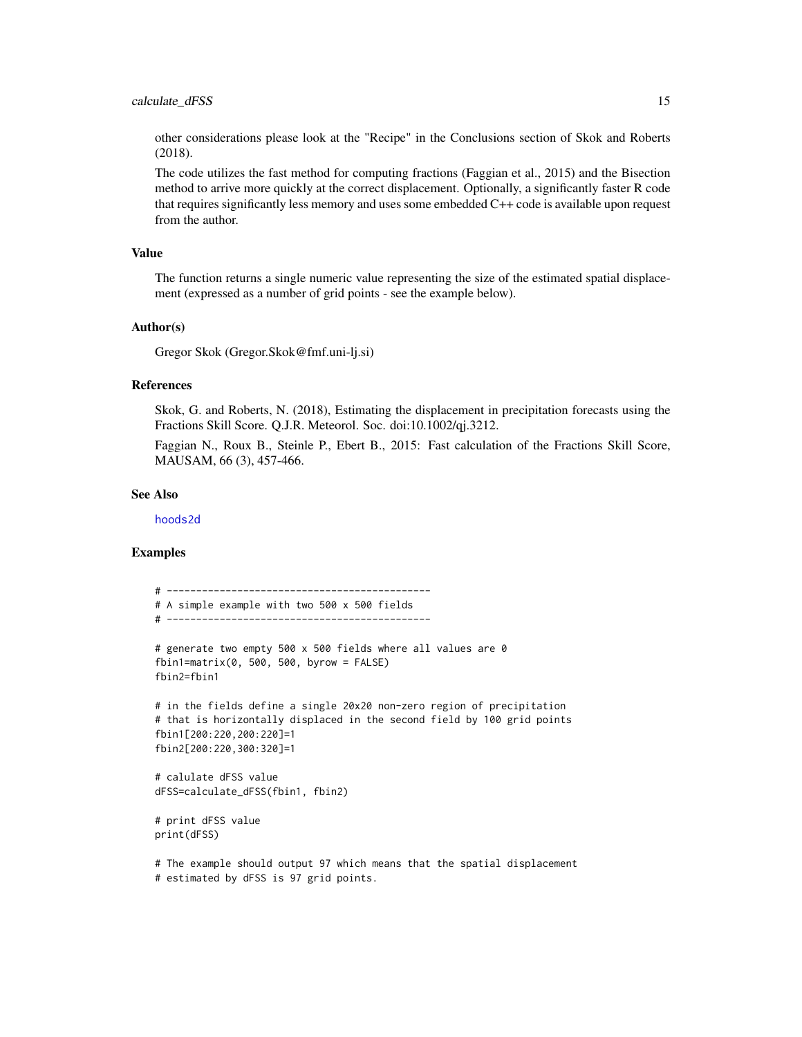other considerations please look at the "Recipe" in the Conclusions section of Skok and Roberts (2018).

The code utilizes the fast method for computing fractions (Faggian et al., 2015) and the Bisection method to arrive more quickly at the correct displacement. Optionally, a significantly faster R code that requires significantly less memory and uses some embedded C++ code is available upon request from the author.

# Value

The function returns a single numeric value representing the size of the estimated spatial displacement (expressed as a number of grid points - see the example below).

#### Author(s)

Gregor Skok (Gregor.Skok@fmf.uni-lj.si)

#### References

Skok, G. and Roberts, N. (2018), Estimating the displacement in precipitation forecasts using the Fractions Skill Score. Q.J.R. Meteorol. Soc. doi:10.1002/qj.3212.

Faggian N., Roux B., Steinle P., Ebert B., 2015: Fast calculation of the Fractions Skill Score, MAUSAM, 66 (3), 457-466.

#### See Also

[hoods2d](#page-88-1)

#### Examples

```
# ---------------------------------------------
# A simple example with two 500 x 500 fields
# ---------------------------------------------
# generate two empty 500 x 500 fields where all values are 0
fbin1=matrix(0, 500, 500, byrow = FALSE)
fbin2=fbin1
# in the fields define a single 20x20 non-zero region of precipitation
# that is horizontally displaced in the second field by 100 grid points
fbin1[200:220,200:220]=1
fbin2[200:220,300:320]=1
# calulate dFSS value
dFSS=calculate_dFSS(fbin1, fbin2)
# print dFSS value
print(dFSS)
# The example should output 97 which means that the spatial displacement
# estimated by dFSS is 97 grid points.
```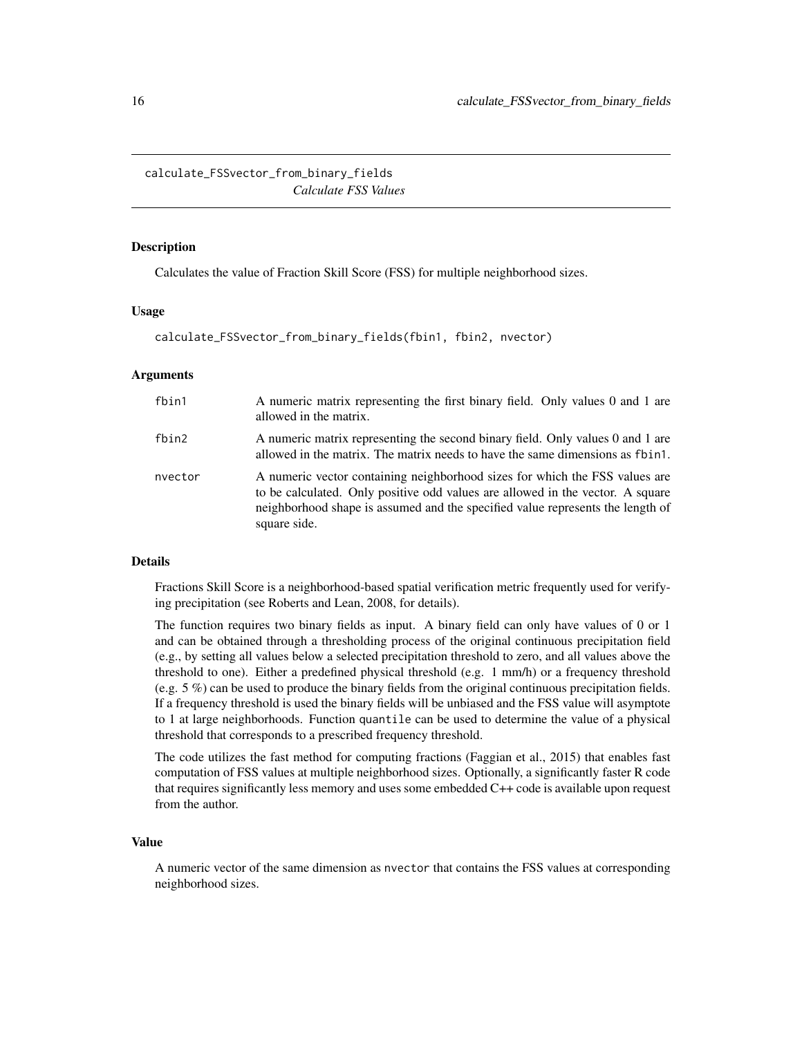<span id="page-15-0"></span>calculate\_FSSvector\_from\_binary\_fields *Calculate FSS Values*

#### Description

Calculates the value of Fraction Skill Score (FSS) for multiple neighborhood sizes.

#### Usage

calculate\_FSSvector\_from\_binary\_fields(fbin1, fbin2, nvector)

#### Arguments

| fbin1   | A numeric matrix representing the first binary field. Only values 0 and 1 are<br>allowed in the matrix.                                                                                                                                                         |
|---------|-----------------------------------------------------------------------------------------------------------------------------------------------------------------------------------------------------------------------------------------------------------------|
| fbin2   | A numeric matrix representing the second binary field. Only values 0 and 1 are<br>allowed in the matrix. The matrix needs to have the same dimensions as f bin 1.                                                                                               |
| nvector | A numeric vector containing neighborhood sizes for which the FSS values are<br>to be calculated. Only positive odd values are allowed in the vector. A square<br>neighborhood shape is assumed and the specified value represents the length of<br>square side. |

#### Details

Fractions Skill Score is a neighborhood-based spatial verification metric frequently used for verifying precipitation (see Roberts and Lean, 2008, for details).

The function requires two binary fields as input. A binary field can only have values of 0 or 1 and can be obtained through a thresholding process of the original continuous precipitation field (e.g., by setting all values below a selected precipitation threshold to zero, and all values above the threshold to one). Either a predefined physical threshold (e.g. 1 mm/h) or a frequency threshold (e.g. 5 %) can be used to produce the binary fields from the original continuous precipitation fields. If a frequency threshold is used the binary fields will be unbiased and the FSS value will asymptote to 1 at large neighborhoods. Function quantile can be used to determine the value of a physical threshold that corresponds to a prescribed frequency threshold.

The code utilizes the fast method for computing fractions (Faggian et al., 2015) that enables fast computation of FSS values at multiple neighborhood sizes. Optionally, a significantly faster R code that requires significantly less memory and uses some embedded C++ code is available upon request from the author.

# Value

A numeric vector of the same dimension as nvector that contains the FSS values at corresponding neighborhood sizes.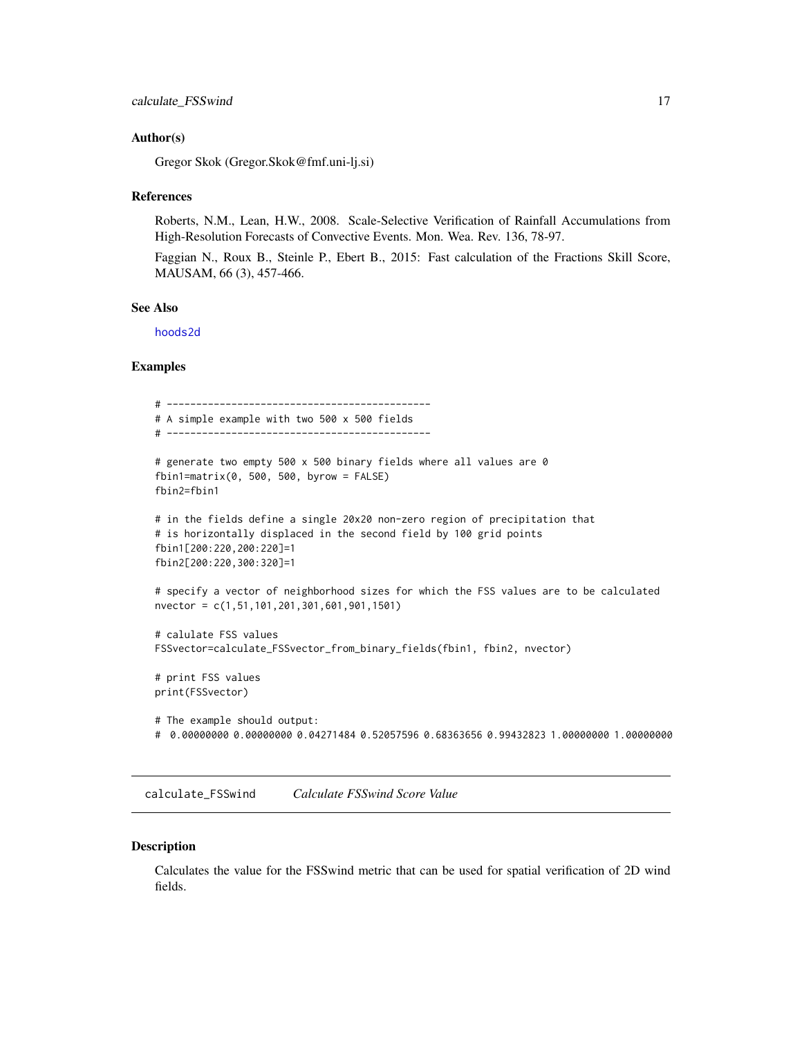#### <span id="page-16-0"></span>Author(s)

Gregor Skok (Gregor.Skok@fmf.uni-lj.si)

#### References

Roberts, N.M., Lean, H.W., 2008. Scale-Selective Verification of Rainfall Accumulations from High-Resolution Forecasts of Convective Events. Mon. Wea. Rev. 136, 78-97.

Faggian N., Roux B., Steinle P., Ebert B., 2015: Fast calculation of the Fractions Skill Score, MAUSAM, 66 (3), 457-466.

#### See Also

[hoods2d](#page-88-1)

# Examples

```
# ---------------------------------------------
# A simple example with two 500 x 500 fields
# ---------------------------------------------
# generate two empty 500 x 500 binary fields where all values are 0
fbin1=matrix(0, 500, 500, byrow = FALSE)
fbin2=fbin1
# in the fields define a single 20x20 non-zero region of precipitation that
# is horizontally displaced in the second field by 100 grid points
fbin1[200:220,200:220]=1
fbin2[200:220,300:320]=1
# specify a vector of neighborhood sizes for which the FSS values are to be calculated
nvector = c(1,51,101,201,301,601,901,1501)
# calulate FSS values
FSSvector=calculate_FSSvector_from_binary_fields(fbin1, fbin2, nvector)
# print FSS values
print(FSSvector)
# The example should output:
# 0.00000000 0.00000000 0.04271484 0.52057596 0.68363656 0.99432823 1.00000000 1.00000000
```
calculate\_FSSwind *Calculate FSSwind Score Value*

#### Description

Calculates the value for the FSSwind metric that can be used for spatial verification of 2D wind fields.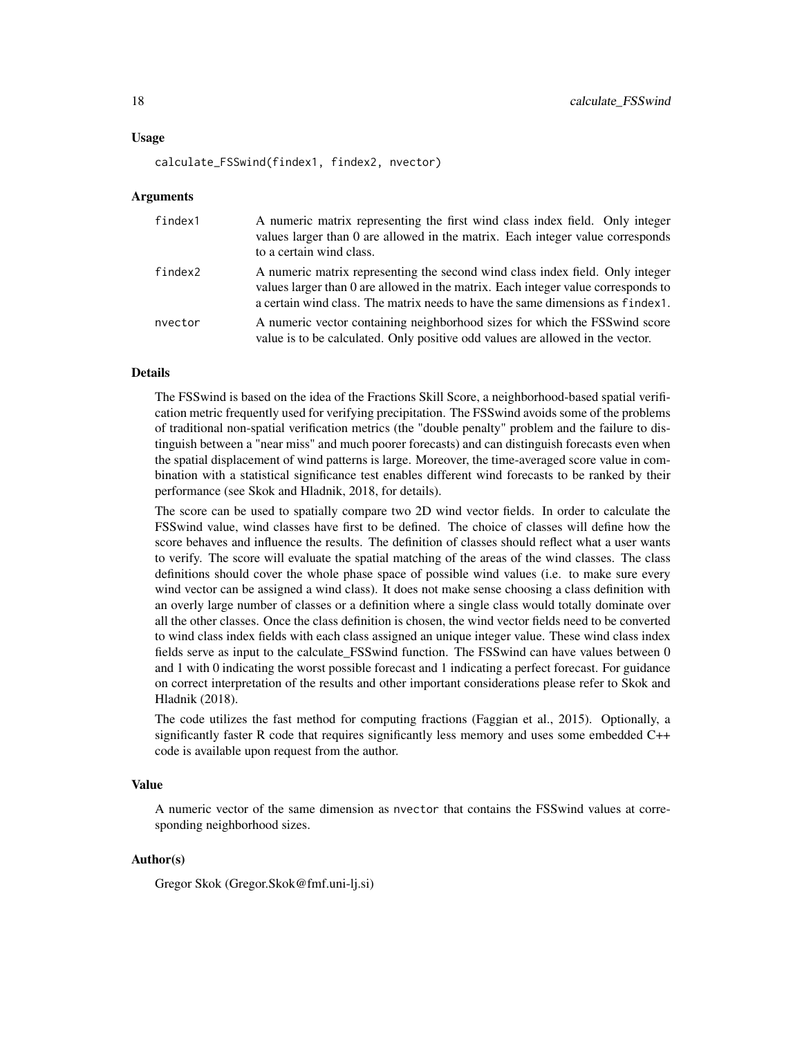#### Usage

calculate\_FSSwind(findex1, findex2, nvector)

#### Arguments

| findex1 | A numeric matrix representing the first wind class index field. Only integer<br>values larger than 0 are allowed in the matrix. Each integer value corresponds<br>to a certain wind class.                                                           |
|---------|------------------------------------------------------------------------------------------------------------------------------------------------------------------------------------------------------------------------------------------------------|
| findex2 | A numeric matrix representing the second wind class index field. Only integer<br>values larger than 0 are allowed in the matrix. Each integer value corresponds to<br>a certain wind class. The matrix needs to have the same dimensions as findex1. |
| nvector | A numeric vector containing neighborhood sizes for which the FSS wind score<br>value is to be calculated. Only positive odd values are allowed in the vector.                                                                                        |

#### Details

The FSSwind is based on the idea of the Fractions Skill Score, a neighborhood-based spatial verification metric frequently used for verifying precipitation. The FSSwind avoids some of the problems of traditional non-spatial verification metrics (the "double penalty" problem and the failure to distinguish between a "near miss" and much poorer forecasts) and can distinguish forecasts even when the spatial displacement of wind patterns is large. Moreover, the time-averaged score value in combination with a statistical significance test enables different wind forecasts to be ranked by their performance (see Skok and Hladnik, 2018, for details).

The score can be used to spatially compare two 2D wind vector fields. In order to calculate the FSSwind value, wind classes have first to be defined. The choice of classes will define how the score behaves and influence the results. The definition of classes should reflect what a user wants to verify. The score will evaluate the spatial matching of the areas of the wind classes. The class definitions should cover the whole phase space of possible wind values (i.e. to make sure every wind vector can be assigned a wind class). It does not make sense choosing a class definition with an overly large number of classes or a definition where a single class would totally dominate over all the other classes. Once the class definition is chosen, the wind vector fields need to be converted to wind class index fields with each class assigned an unique integer value. These wind class index fields serve as input to the calculate\_FSSwind function. The FSSwind can have values between 0 and 1 with 0 indicating the worst possible forecast and 1 indicating a perfect forecast. For guidance on correct interpretation of the results and other important considerations please refer to Skok and Hladnik (2018).

The code utilizes the fast method for computing fractions (Faggian et al., 2015). Optionally, a significantly faster R code that requires significantly less memory and uses some embedded C++ code is available upon request from the author.

# Value

A numeric vector of the same dimension as nvector that contains the FSSwind values at corresponding neighborhood sizes.

#### Author(s)

Gregor Skok (Gregor.Skok@fmf.uni-lj.si)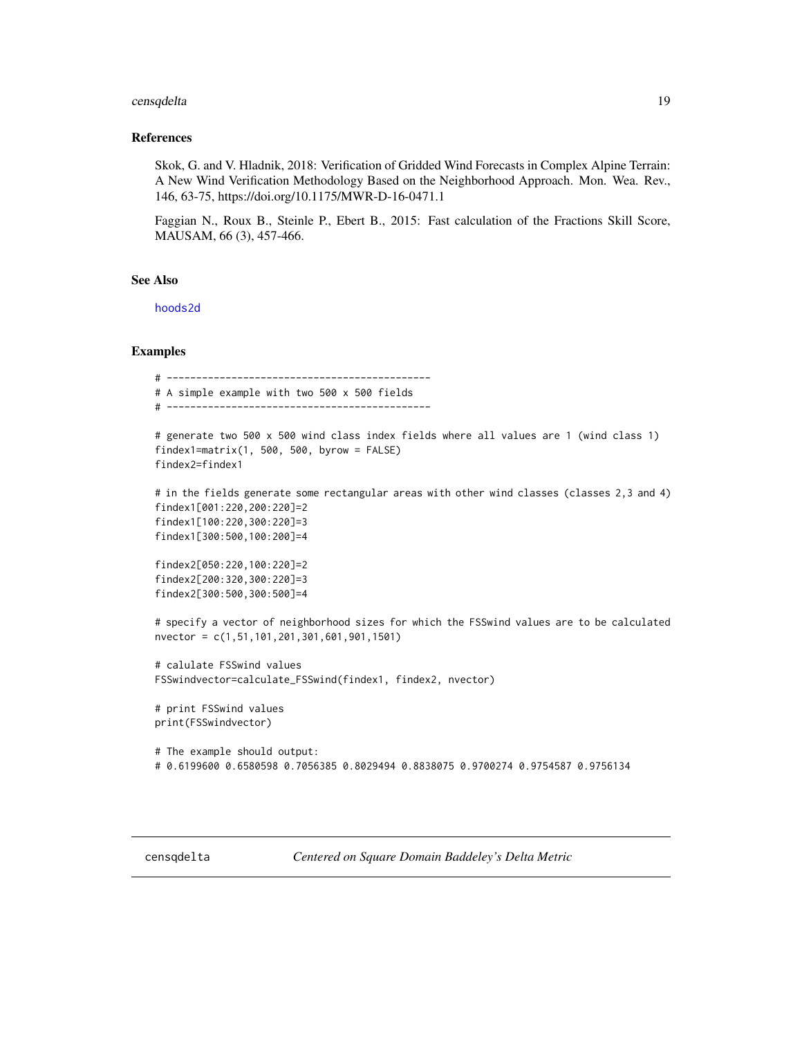# <span id="page-18-0"></span>censqdelta 19

#### References

Skok, G. and V. Hladnik, 2018: Verification of Gridded Wind Forecasts in Complex Alpine Terrain: A New Wind Verification Methodology Based on the Neighborhood Approach. Mon. Wea. Rev., 146, 63-75, https://doi.org/10.1175/MWR-D-16-0471.1

Faggian N., Roux B., Steinle P., Ebert B., 2015: Fast calculation of the Fractions Skill Score, MAUSAM, 66 (3), 457-466.

### See Also

[hoods2d](#page-88-1)

#### Examples

```
# ---------------------------------------------
# A simple example with two 500 x 500 fields
# ---------------------------------------------
```

```
# generate two 500 x 500 wind class index fields where all values are 1 (wind class 1)
findex1=matrix(1, 500, 500, byrow = FALSE)
findex2=findex1
```

```
# in the fields generate some rectangular areas with other wind classes (classes 2,3 and 4)
findex1[001:220,200:220]=2
findex1[100:220,300:220]=3
findex1[300:500,100:200]=4
```

```
findex2[050:220,100:220]=2
findex2[200:320,300:220]=3
findex2[300:500,300:500]=4
```

```
# specify a vector of neighborhood sizes for which the FSSwind values are to be calculated
nvector = c(1,51,101,201,301,601,901,1501)
```

```
# calulate FSSwind values
FSSwindvector=calculate_FSSwind(findex1, findex2, nvector)
```

```
# print FSSwind values
print(FSSwindvector)
```

```
# The example should output:
# 0.6199600 0.6580598 0.7056385 0.8029494 0.8838075 0.9700274 0.9754587 0.9756134
```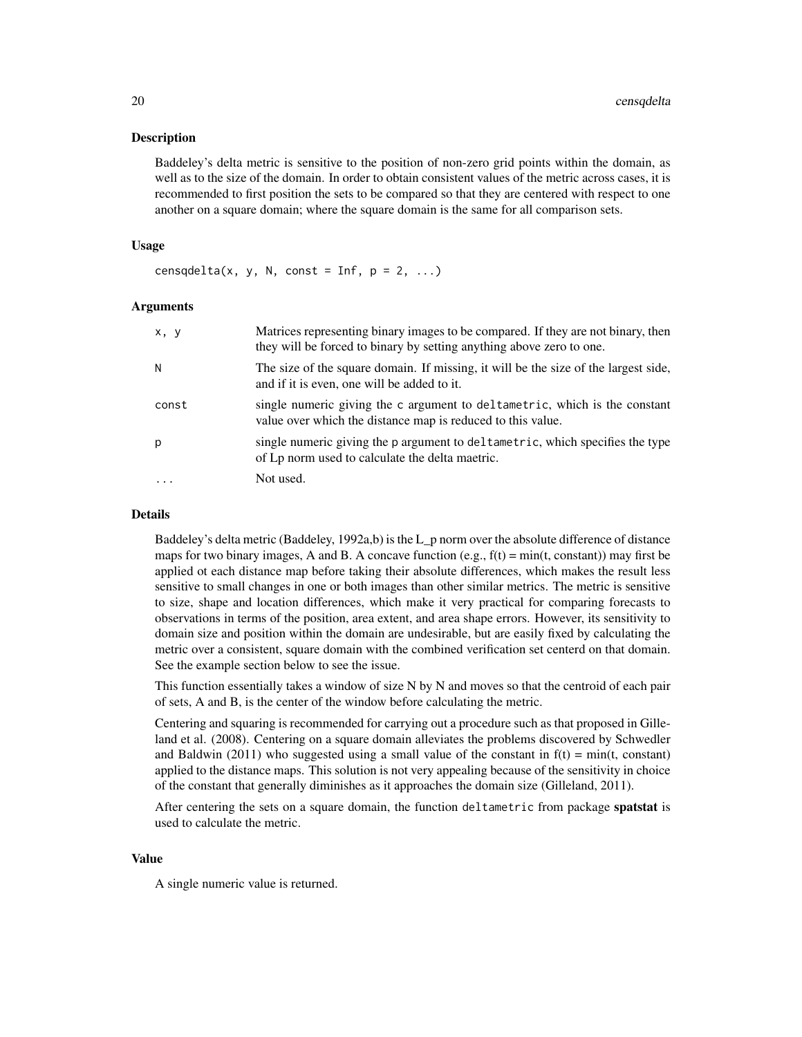#### Description

Baddeley's delta metric is sensitive to the position of non-zero grid points within the domain, as well as to the size of the domain. In order to obtain consistent values of the metric across cases, it is recommended to first position the sets to be compared so that they are centered with respect to one another on a square domain; where the square domain is the same for all comparison sets.

#### Usage

censqdelta(x, y, N, const = Inf,  $p = 2, ...$ )

#### Arguments

| x, y  | Matrices representing binary images to be compared. If they are not binary, then<br>they will be forced to binary by setting anything above zero to one. |
|-------|----------------------------------------------------------------------------------------------------------------------------------------------------------|
| N     | The size of the square domain. If missing, it will be the size of the largest side,<br>and if it is even, one will be added to it.                       |
| const | single numeric giving the c argument to deltametric, which is the constant<br>value over which the distance map is reduced to this value.                |
| р     | single numeric giving the p argument to deltametric, which specifies the type<br>of Lp norm used to calculate the delta maetric.                         |
|       | Not used.                                                                                                                                                |

#### Details

Baddeley's delta metric (Baddeley, 1992a,b) is the L\_p norm over the absolute difference of distance maps for two binary images, A and B. A concave function (e.g.,  $f(t) = min(t, constant)$ ) may first be applied ot each distance map before taking their absolute differences, which makes the result less sensitive to small changes in one or both images than other similar metrics. The metric is sensitive to size, shape and location differences, which make it very practical for comparing forecasts to observations in terms of the position, area extent, and area shape errors. However, its sensitivity to domain size and position within the domain are undesirable, but are easily fixed by calculating the metric over a consistent, square domain with the combined verification set centerd on that domain. See the example section below to see the issue.

This function essentially takes a window of size N by N and moves so that the centroid of each pair of sets, A and B, is the center of the window before calculating the metric.

Centering and squaring is recommended for carrying out a procedure such as that proposed in Gilleland et al. (2008). Centering on a square domain alleviates the problems discovered by Schwedler and Baldwin (2011) who suggested using a small value of the constant in  $f(t) = min(t, constant)$ applied to the distance maps. This solution is not very appealing because of the sensitivity in choice of the constant that generally diminishes as it approaches the domain size (Gilleland, 2011).

After centering the sets on a square domain, the function deltametric from package spatstat is used to calculate the metric.

# Value

A single numeric value is returned.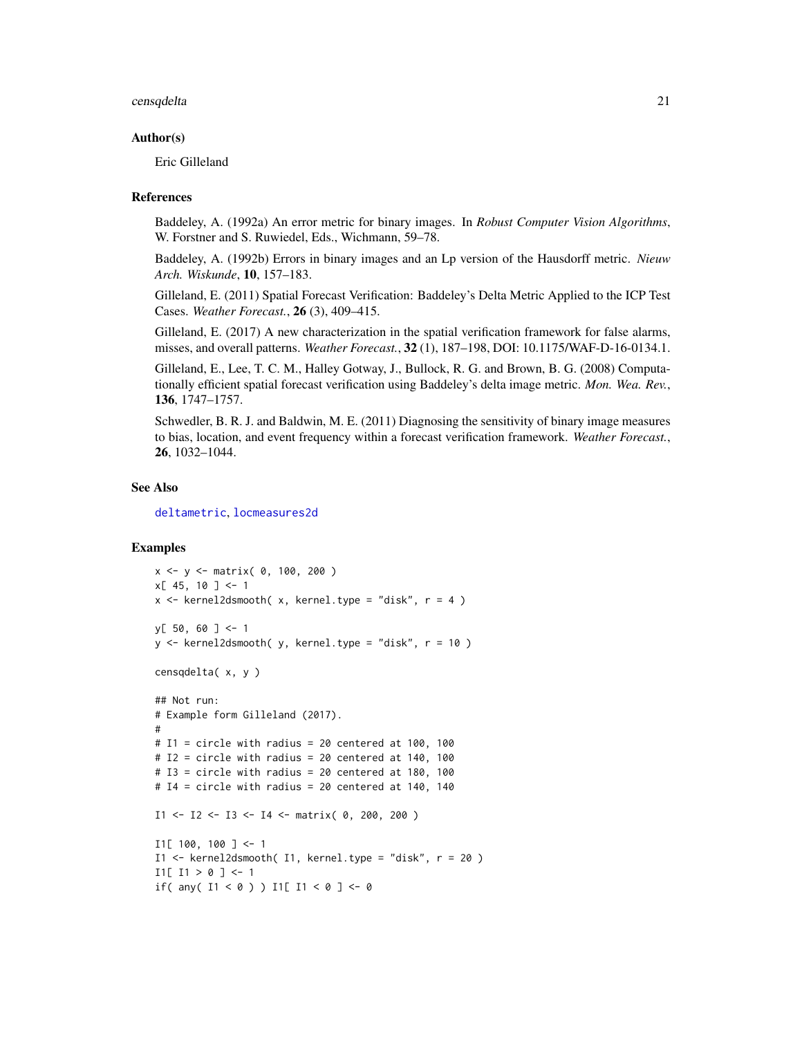#### censqdelta 21

#### Author(s)

Eric Gilleland

#### References

Baddeley, A. (1992a) An error metric for binary images. In *Robust Computer Vision Algorithms*, W. Forstner and S. Ruwiedel, Eds., Wichmann, 59–78.

Baddeley, A. (1992b) Errors in binary images and an Lp version of the Hausdorff metric. *Nieuw Arch. Wiskunde*, 10, 157–183.

Gilleland, E. (2011) Spatial Forecast Verification: Baddeley's Delta Metric Applied to the ICP Test Cases. *Weather Forecast.*, 26 (3), 409–415.

Gilleland, E. (2017) A new characterization in the spatial verification framework for false alarms, misses, and overall patterns. *Weather Forecast.*, 32 (1), 187–198, DOI: 10.1175/WAF-D-16-0134.1.

Gilleland, E., Lee, T. C. M., Halley Gotway, J., Bullock, R. G. and Brown, B. G. (2008) Computationally efficient spatial forecast verification using Baddeley's delta image metric. *Mon. Wea. Rev.*, 136, 1747–1757.

Schwedler, B. R. J. and Baldwin, M. E. (2011) Diagnosing the sensitivity of binary image measures to bias, location, and event frequency within a forecast verification framework. *Weather Forecast.*, 26, 1032–1044.

#### See Also

[deltametric](#page-0-0), [locmeasures2d](#page-101-1)

# Examples

```
x <- y <- matrix( 0, 100, 200 )
x[ 45, 10 ] < -1x \le kernel2dsmooth(x, kernel.type = "disk", r = 4)
y[ 50, 60 ] <- 1
y <- kernel2dsmooth( y, kernel.type = "disk", r = 10 )
censqdelta( x, y )
## Not run:
# Example form Gilleland (2017).
#
# I1 = circle with radius = 20 centered at 100, 100
# I2 = circle with radius = 20 centered at 140, 100
# I3 = circle with radius = 20 centered at 180, 100
# I4 = circle with radius = 20 centered at 140, 140
I1 \leftarrow I2 \leftarrow I3 \leftarrow I4 \leftarrow matrix(0, 200, 200)I1[ 100, 100 ] <- 1
I1 <- kernel2dsmooth( I1, kernel.type = "disk", r = 20 )
I1[ I1 > 0 ] \leftarrow 1if( any( 11 < 0 ) ) 11[ 11 < 0 ] <- 0
```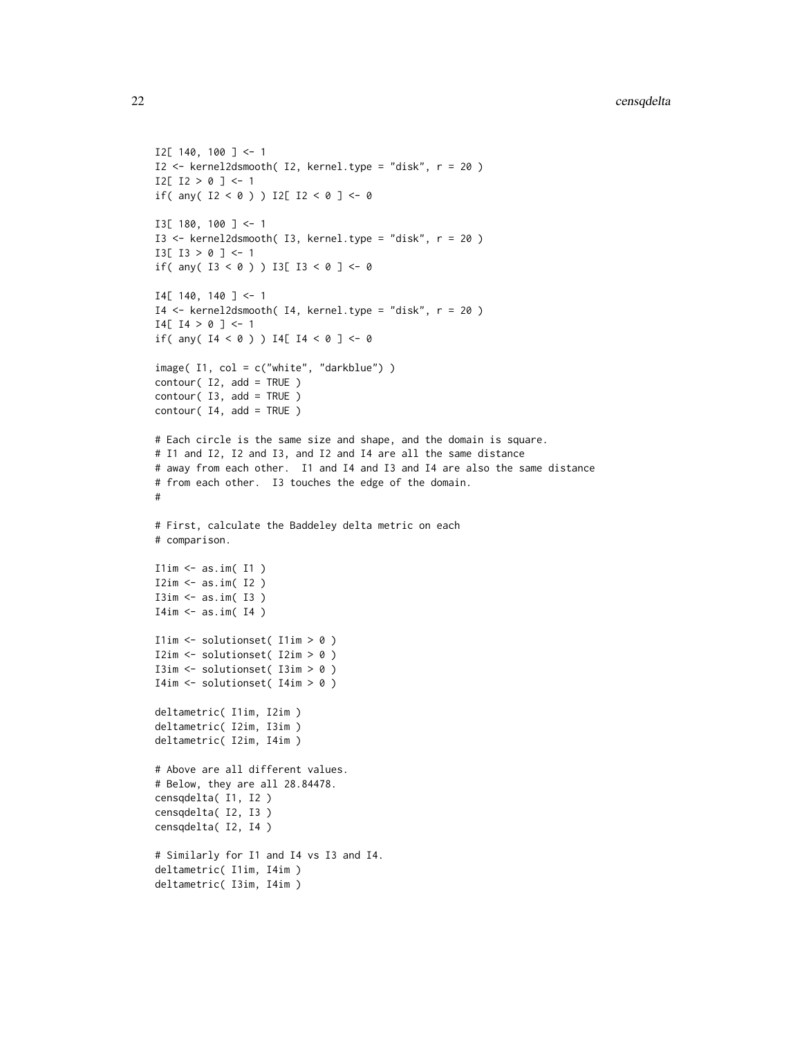```
I2[ 140, 100 ] <- 1
I2 <- kernel2dsmooth( I2, kernel.type = "disk", r = 20 )
I2[ I2 > 0 ] <- 1
if( any( 12 < 0 ) ) 12[ 12 < 0 ] <- 0
I3[ 180, 100 ] <- 1
I3 <- kernel2dsmooth( I3, kernel.type = "disk", r = 20 )
I3[ I3 > 0 ] <- 1
if( any( 13 < 0 ) ) 13[ 13 < 0 ] < -0I4[ 140, 140 ] \leftarrow 1I4 <- kernel2dsmooth( I4, kernel.type = "disk", r = 20 )
I4[ I4 > 0 ] \leftarrow 1if( any( 14 < 0 ) ) 14[ 14 < 0 ] <- 0
image( I1, col = c("white", "darkblue") )
contour( I2, add = TRUE )
contour( I3, add = TRUE )
contour( I4, add = TRUE )# Each circle is the same size and shape, and the domain is square.
# I1 and I2, I2 and I3, and I2 and I4 are all the same distance
# away from each other. I1 and I4 and I3 and I4 are also the same distance
# from each other. I3 touches the edge of the domain.
#
# First, calculate the Baddeley delta metric on each
# comparison.
I1im \leq as.im(I1)
I2im \leq as.im( I2 )
I3im <- as.im( I3 )
I4im \leftarrow as.in( I4 )I1im <- solutionset( I1im > 0 )
I2im <- solutionset( I2im > 0 )
I3im <- solutionset( I3im > 0 )
I4im <- solutionset( I4im > 0 )
deltametric( I1im, I2im )
deltametric( I2im, I3im )
deltametric( I2im, I4im )
# Above are all different values.
# Below, they are all 28.84478.
censqdelta( I1, I2 )
censqdelta( I2, I3 )
censqdelta( I2, I4 )
# Similarly for I1 and I4 vs I3 and I4.
deltametric( I1im, I4im )
deltametric( I3im, I4im )
```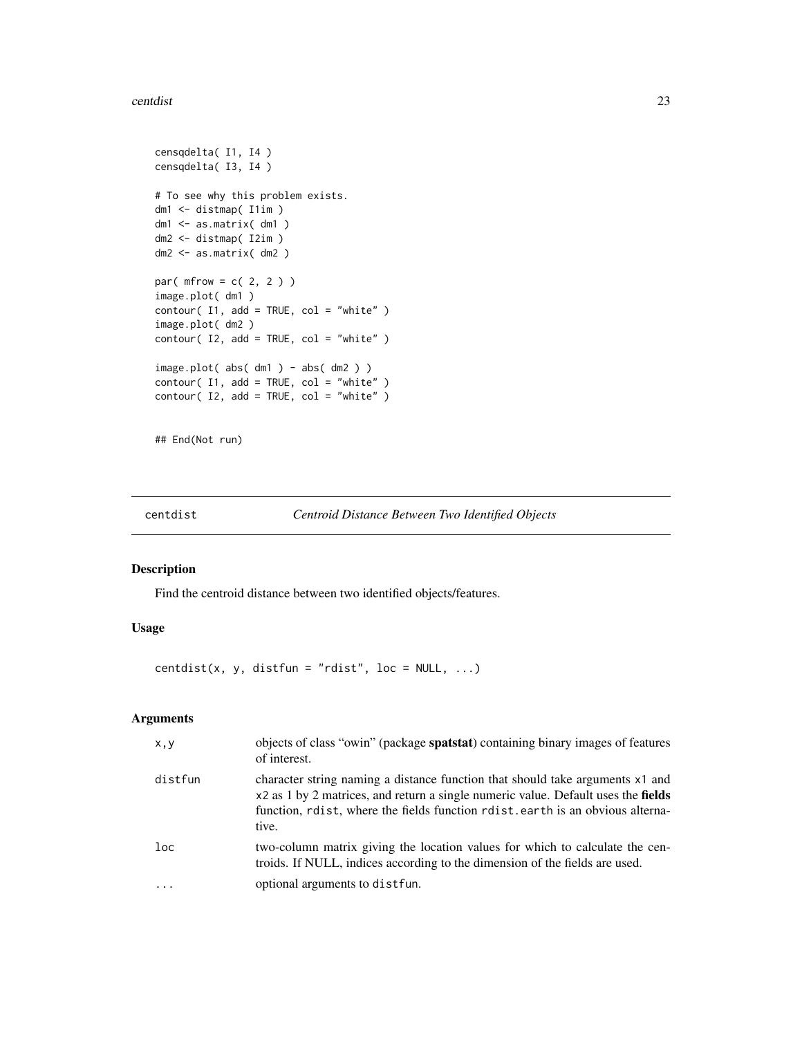#### <span id="page-22-0"></span>centdist 23

```
censqdelta( I1, I4 )
censqdelta( I3, I4 )
# To see why this problem exists.
dm1 <- distmap( I1im )
dm1 <- as.matrix( dm1 )
dm2 <- distmap( I2im )
dm2 <- as.matrix( dm2 )
par(mfrow = c(2, 2))
image.plot( dm1 )
contour( I1, add = TRUE, col = "white" )
image.plot( dm2 )
contour( I2, add = TRUE, col = "white" )
image.plot( abs( dm1 ) - abs( dm2 ) )
contour( I1, add = TRUE, col = "white" )
contour( I2, add = TRUE, col = "white" )
```
## End(Not run)

centdist *Centroid Distance Between Two Identified Objects*

| Centroid Distance Between Two Identified Objects |  |  |  |  |  |  |  |
|--------------------------------------------------|--|--|--|--|--|--|--|
|--------------------------------------------------|--|--|--|--|--|--|--|

# Description

Find the centroid distance between two identified objects/features.

## Usage

centdist(x, y, distfun = "rdist", loc =  $NULL, ...)$ 

#### Arguments

| x, y    | objects of class "owin" (package spatstat) containing binary images of features<br>of interest.                                                                                                                                                               |
|---------|---------------------------------------------------------------------------------------------------------------------------------------------------------------------------------------------------------------------------------------------------------------|
| distfun | character string naming a distance function that should take arguments x1 and<br>x2 as 1 by 2 matrices, and return a single numeric value. Default uses the fields<br>function, rdist, where the fields function rdist, earth is an obvious alterna-<br>tive. |
| $1$ oc  | two-column matrix giving the location values for which to calculate the cen-<br>troids. If NULL, indices according to the dimension of the fields are used.                                                                                                   |
|         | optional arguments to distfun.                                                                                                                                                                                                                                |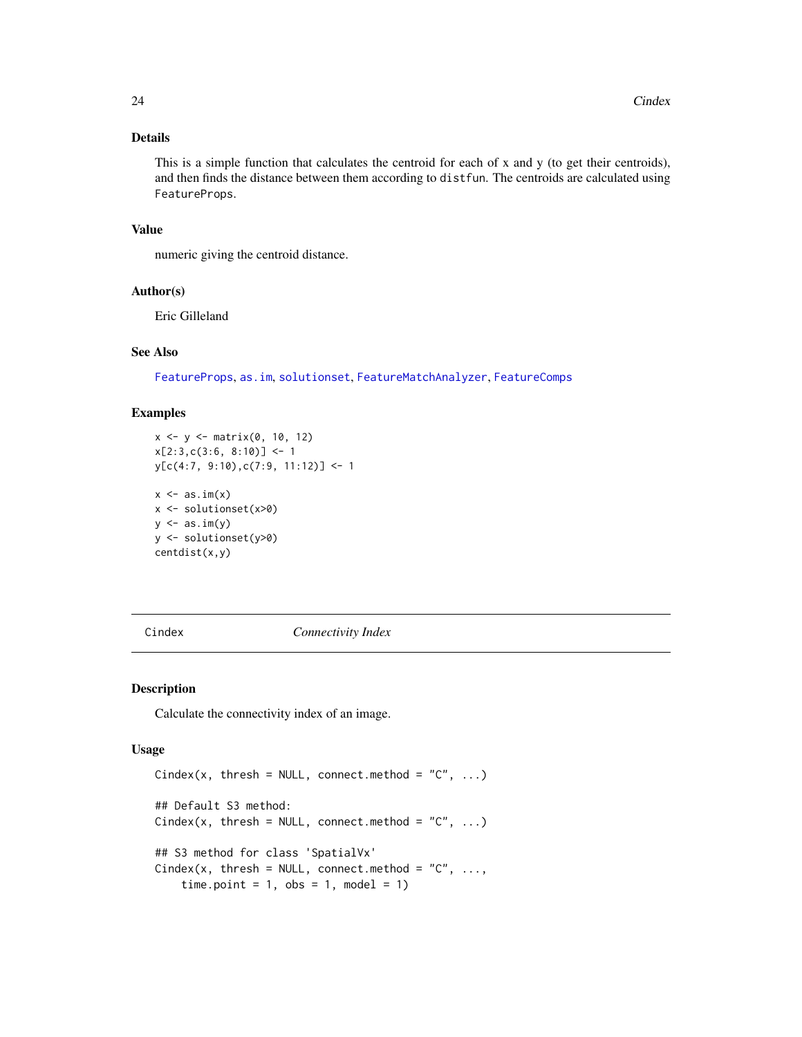# <span id="page-23-0"></span>Details

This is a simple function that calculates the centroid for each of x and y (to get their centroids), and then finds the distance between them according to distfun. The centroids are calculated using FeatureProps.

# Value

numeric giving the centroid distance.

#### Author(s)

Eric Gilleland

# See Also

[FeatureProps](#page-63-1), [as.im](#page-0-0), [solutionset](#page-0-0), [FeatureMatchAnalyzer](#page-59-1), [FeatureComps](#page-59-2)

#### Examples

```
x <- y <- matrix(0, 10, 12)
x[2:3,c(3:6, 8:10)] \leftarrow 1y[c(4:7, 9:10),c(7:9, 11:12)] <- 1
x \leftarrow as.in(x)x <- solutionset(x>0)
y \leftarrow as.in(y)y <- solutionset(y>0)
centdist(x,y)
```
<span id="page-23-1"></span>Cindex *Connectivity Index*

#### Description

Calculate the connectivity index of an image.

#### Usage

```
Cindex(x, thresh = NULL, connect.method = "C", ...)
## Default S3 method:
Cindex(x, thresh = NULL, connect.method = "C", ...)
## S3 method for class 'SpatialVx'
Cindex(x, thresh = NULL, connect.method = "C", \ldots,time.point = 1, obs = 1, model = 1)
```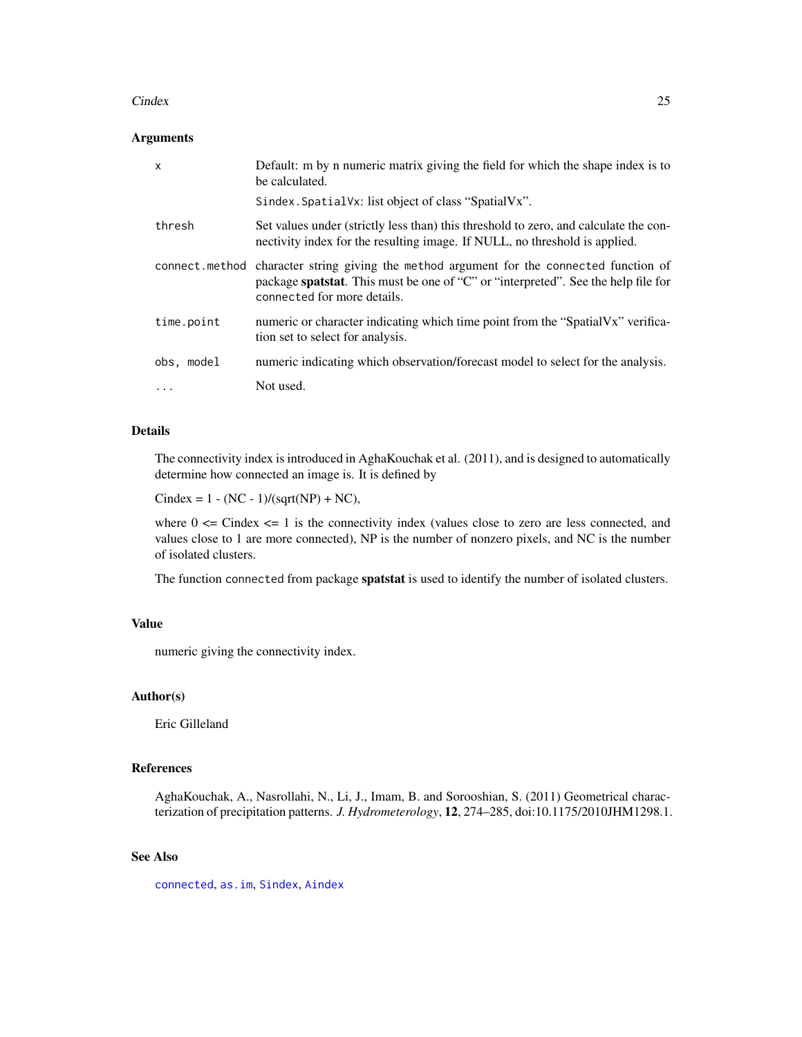#### Cindex 25

#### Arguments

| $\mathsf{x}$ | Default: m by n numeric matrix giving the field for which the shape index is to<br>be calculated.                                                                                                            |
|--------------|--------------------------------------------------------------------------------------------------------------------------------------------------------------------------------------------------------------|
|              | Sindex. SpatialVx: list object of class "SpatialVx".                                                                                                                                                         |
| thresh       | Set values under (strictly less than) this threshold to zero, and calculate the con-<br>nectivity index for the resulting image. If NULL, no threshold is applied.                                           |
|              | connect method character string giving the method argument for the connected function of<br>package spatstat. This must be one of "C" or "interpreted". See the help file for<br>connected for more details. |
| time.point   | numeric or character indicating which time point from the "SpatialVx" verifica-<br>tion set to select for analysis.                                                                                          |
| obs, model   | numeric indicating which observation/forecast model to select for the analysis.                                                                                                                              |
| $\cdots$     | Not used.                                                                                                                                                                                                    |

# Details

The connectivity index is introduced in AghaKouchak et al. (2011), and is designed to automatically determine how connected an image is. It is defined by

Cindex =  $1 - (NC - 1)/(sqrt(NP) + NC)$ ,

where  $0 \le$  Cindex  $\le$  1 is the connectivity index (values close to zero are less connected, and values close to 1 are more connected), NP is the number of nonzero pixels, and NC is the number of isolated clusters.

The function connected from package **spatstat** is used to identify the number of isolated clusters.

# Value

numeric giving the connectivity index.

#### Author(s)

Eric Gilleland

# References

AghaKouchak, A., Nasrollahi, N., Li, J., Imam, B. and Sorooshian, S. (2011) Geometrical characterization of precipitation patterns. *J. Hydrometerology*, 12, 274–285, doi:10.1175/2010JHM1298.1.

# See Also

[connected](#page-0-0), [as.im](#page-0-0), [Sindex](#page-151-1), [Aindex](#page-9-1)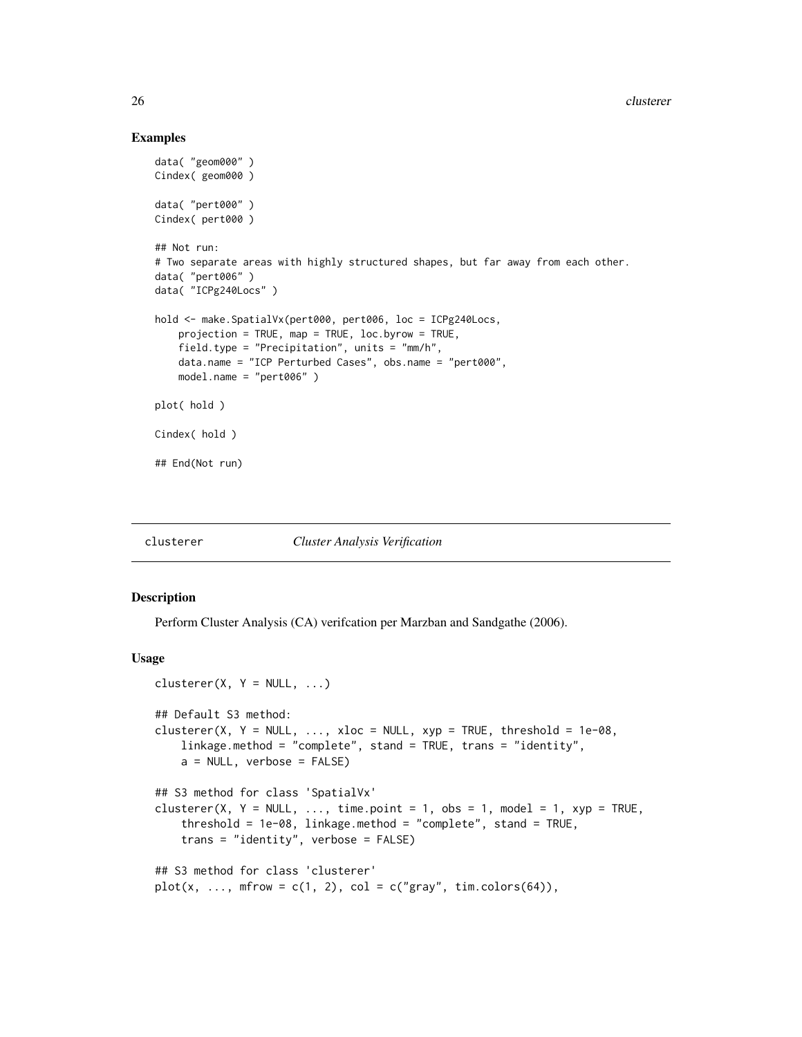#### Examples

```
data( "geom000" )
Cindex( geom000 )
data( "pert000" )
Cindex( pert000 )
## Not run:
# Two separate areas with highly structured shapes, but far away from each other.
data( "pert006" )
data( "ICPg240Locs" )
hold <- make.SpatialVx(pert000, pert006, loc = ICPg240Locs,
    projection = TRUE, map = TRUE, loc.byrow = TRUE,
    field.type = "Precipitation", units = "mm/h",
   data.name = "ICP Perturbed Cases", obs.name = "pert000",
   model.name = "pert006" )
plot( hold )
Cindex( hold )
## End(Not run)
```
#### clusterer *Cluster Analysis Verification*

#### Description

Perform Cluster Analysis (CA) verifcation per Marzban and Sandgathe (2006).

#### Usage

```
clusterer(X, Y = NULL, ...)## Default S3 method:
clusterer(X, Y = NULL, ..., xloc = NULL, xyp = TRUE, threshold = 1e-08,
    linkage.method = "complete", stand = TRUE, trans = "identity",
    a = NULL, verbose = FALSE)
## S3 method for class 'SpatialVx'
clusterer(X, Y = NULL, ..., time.point = 1, obs = 1, model = 1, xyp = TRUE,
    threshold = 1e-08, linkage.method = "complete", stand = TRUE,
    trans = "identity", verbose = FALSE)
## S3 method for class 'clusterer'
plot(x, ..., mfrow = c(1, 2), col = c("gray", tim. colors(64)),
```
<span id="page-25-0"></span>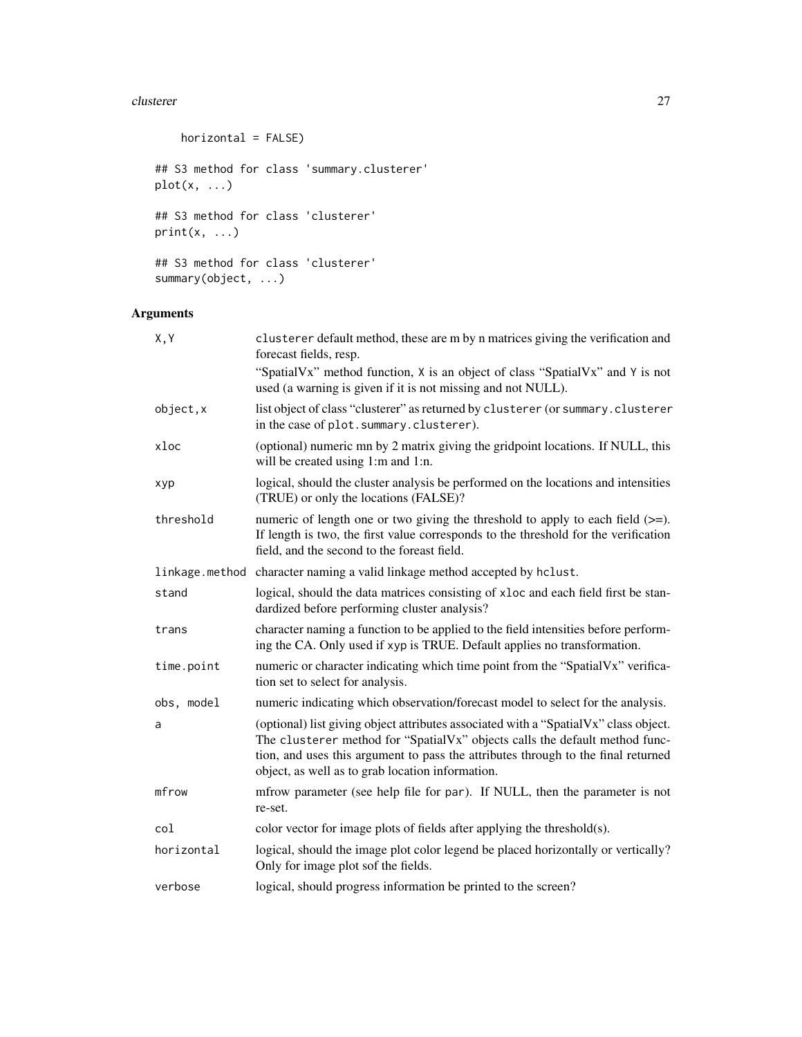#### clusterer 27

```
horizontal = FALSE)
## S3 method for class 'summary.clusterer'
plot(x, ...)
## S3 method for class 'clusterer'
print(x, \ldots)## S3 method for class 'clusterer'
```

```
summary(object, ...)
```
# Arguments

| X, Y       | clusterer default method, these are m by n matrices giving the verification and<br>forecast fields, resp.                                                                                                                                                                                                    |
|------------|--------------------------------------------------------------------------------------------------------------------------------------------------------------------------------------------------------------------------------------------------------------------------------------------------------------|
|            | "SpatialVx" method function, X is an object of class "SpatialVx" and Y is not<br>used (a warning is given if it is not missing and not NULL).                                                                                                                                                                |
| object, x  | list object of class "clusterer" as returned by clusterer (or summary.clusterer<br>in the case of plot. summary. clusterer).                                                                                                                                                                                 |
| xloc       | (optional) numeric mn by 2 matrix giving the gridpoint locations. If NULL, this<br>will be created using 1:m and 1:n.                                                                                                                                                                                        |
| xyp        | logical, should the cluster analysis be performed on the locations and intensities<br>(TRUE) or only the locations (FALSE)?                                                                                                                                                                                  |
| threshold  | numeric of length one or two giving the threshold to apply to each field $(>=)$ .<br>If length is two, the first value corresponds to the threshold for the verification<br>field, and the second to the foreast field.                                                                                      |
|            | linkage.method character naming a valid linkage method accepted by hclust.                                                                                                                                                                                                                                   |
| stand      | logical, should the data matrices consisting of xloc and each field first be stan-<br>dardized before performing cluster analysis?                                                                                                                                                                           |
| trans      | character naming a function to be applied to the field intensities before perform-<br>ing the CA. Only used if xyp is TRUE. Default applies no transformation.                                                                                                                                               |
| time.point | numeric or character indicating which time point from the "SpatialVx" verifica-<br>tion set to select for analysis.                                                                                                                                                                                          |
| obs, model | numeric indicating which observation/forecast model to select for the analysis.                                                                                                                                                                                                                              |
| a          | (optional) list giving object attributes associated with a "SpatialVx" class object.<br>The clusterer method for "SpatialVx" objects calls the default method func-<br>tion, and uses this argument to pass the attributes through to the final returned<br>object, as well as to grab location information. |
| mfrow      | mfrow parameter (see help file for par). If NULL, then the parameter is not<br>re-set.                                                                                                                                                                                                                       |
| col        | color vector for image plots of fields after applying the threshold(s).                                                                                                                                                                                                                                      |
| horizontal | logical, should the image plot color legend be placed horizontally or vertically?<br>Only for image plot sof the fields.                                                                                                                                                                                     |
| verbose    | logical, should progress information be printed to the screen?                                                                                                                                                                                                                                               |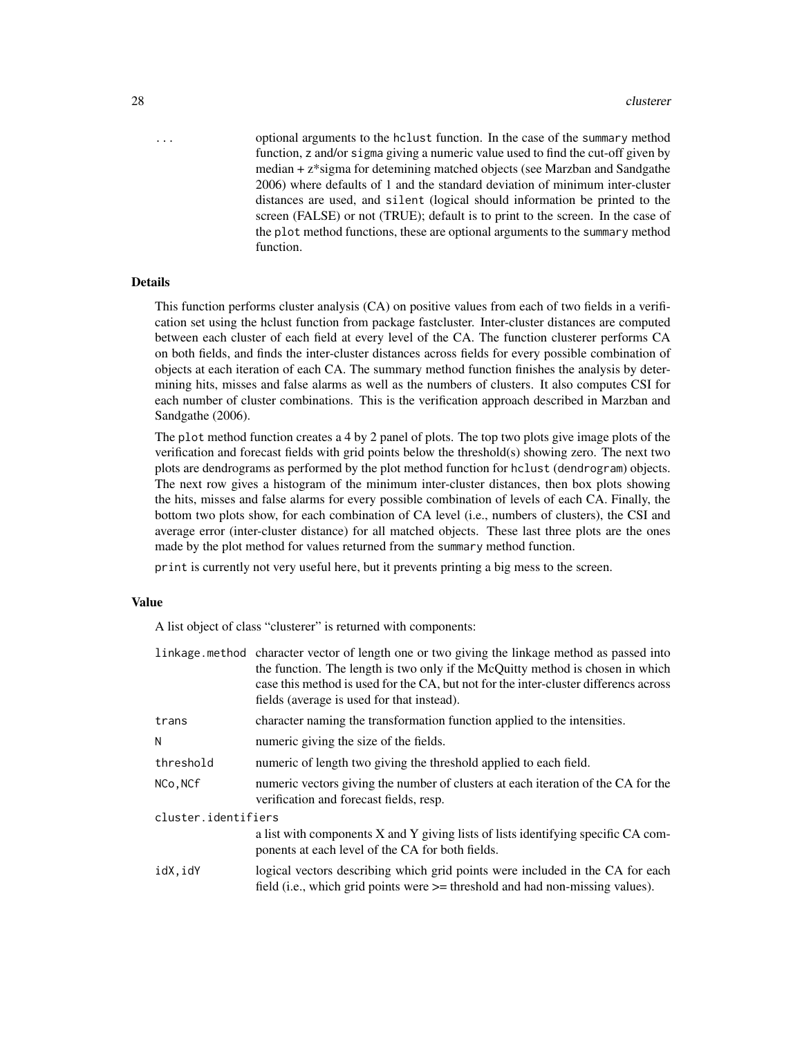... optional arguments to the hclust function. In the case of the summary method function, z and/or sigma giving a numeric value used to find the cut-off given by median + z\*sigma for detemining matched objects (see Marzban and Sandgathe 2006) where defaults of 1 and the standard deviation of minimum inter-cluster distances are used, and silent (logical should information be printed to the screen (FALSE) or not (TRUE); default is to print to the screen. In the case of the plot method functions, these are optional arguments to the summary method function.

# Details

This function performs cluster analysis (CA) on positive values from each of two fields in a verification set using the hclust function from package fastcluster. Inter-cluster distances are computed between each cluster of each field at every level of the CA. The function clusterer performs CA on both fields, and finds the inter-cluster distances across fields for every possible combination of objects at each iteration of each CA. The summary method function finishes the analysis by determining hits, misses and false alarms as well as the numbers of clusters. It also computes CSI for each number of cluster combinations. This is the verification approach described in Marzban and Sandgathe (2006).

The plot method function creates a 4 by 2 panel of plots. The top two plots give image plots of the verification and forecast fields with grid points below the threshold(s) showing zero. The next two plots are dendrograms as performed by the plot method function for hclust (dendrogram) objects. The next row gives a histogram of the minimum inter-cluster distances, then box plots showing the hits, misses and false alarms for every possible combination of levels of each CA. Finally, the bottom two plots show, for each combination of CA level (i.e., numbers of clusters), the CSI and average error (inter-cluster distance) for all matched objects. These last three plots are the ones made by the plot method for values returned from the summary method function.

print is currently not very useful here, but it prevents printing a big mess to the screen.

#### Value

A list object of class "clusterer" is returned with components:

|                     | linkage method character vector of length one or two giving the linkage method as passed into<br>the function. The length is two only if the McQuitty method is chosen in which<br>case this method is used for the CA, but not for the inter-cluster differencs across<br>fields (average is used for that instead). |
|---------------------|-----------------------------------------------------------------------------------------------------------------------------------------------------------------------------------------------------------------------------------------------------------------------------------------------------------------------|
| trans               | character naming the transformation function applied to the intensities.                                                                                                                                                                                                                                              |
| N                   | numeric giving the size of the fields.                                                                                                                                                                                                                                                                                |
| threshold           | numeric of length two giving the threshold applied to each field.                                                                                                                                                                                                                                                     |
| NCo, NCf            | numeric vectors giving the number of clusters at each iteration of the CA for the<br>verification and forecast fields, resp.                                                                                                                                                                                          |
| cluster.identifiers |                                                                                                                                                                                                                                                                                                                       |
|                     | a list with components X and Y giving lists of lists identifying specific CA com-<br>ponents at each level of the CA for both fields.                                                                                                                                                                                 |
| idX,idY             | logical vectors describing which grid points were included in the CA for each<br>field (i.e., which grid points were $\geq$ threshold and had non-missing values).                                                                                                                                                    |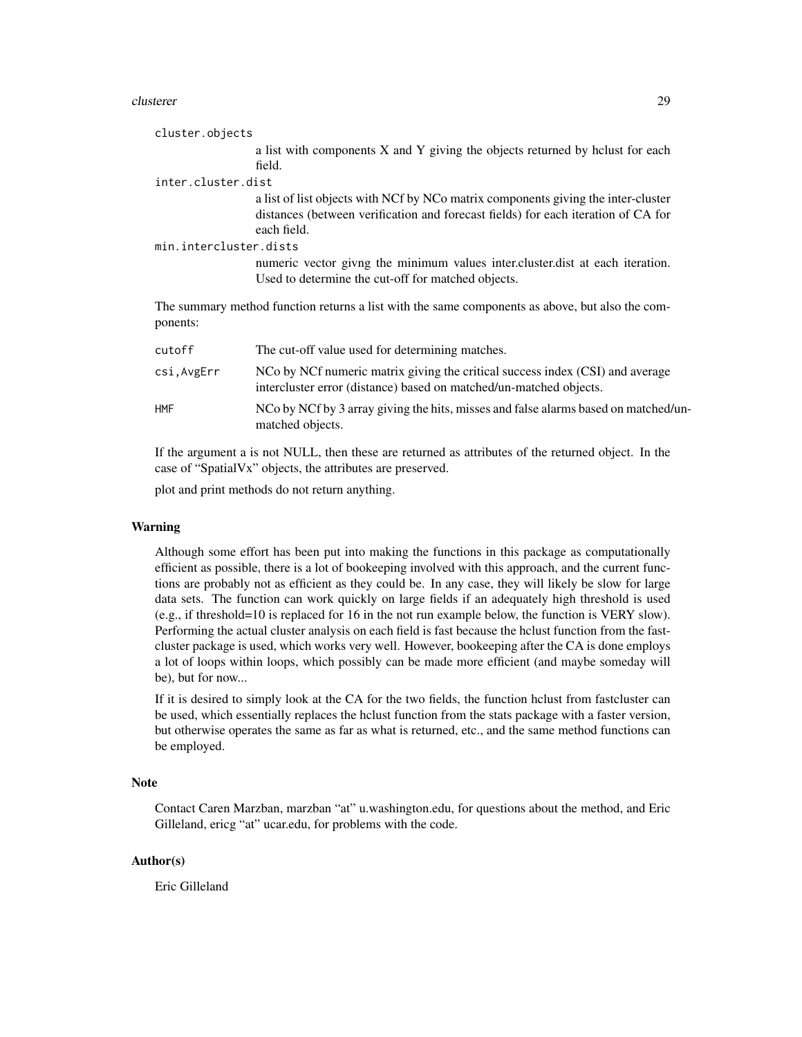#### clusterer 29

| cluster.objects                                                                                             |                                                                                                                                                                                       |
|-------------------------------------------------------------------------------------------------------------|---------------------------------------------------------------------------------------------------------------------------------------------------------------------------------------|
|                                                                                                             | a list with components X and Y giving the objects returned by holust for each                                                                                                         |
|                                                                                                             | field.                                                                                                                                                                                |
| inter.cluster.dist                                                                                          |                                                                                                                                                                                       |
|                                                                                                             | a list of list objects with NCf by NCo matrix components giving the inter-cluster<br>distances (between verification and forecast fields) for each iteration of CA for<br>each field. |
| min.intercluster.dists                                                                                      |                                                                                                                                                                                       |
|                                                                                                             | numeric vector givng the minimum values inter. cluster. dist at each iteration.<br>Used to determine the cut-off for matched objects.                                                 |
| The summary method function returns a list with the same components as above, but also the com-<br>ponents: |                                                                                                                                                                                       |
| cutoff                                                                                                      | The cut-off value used for determining matches.                                                                                                                                       |
| csi, AvgErr                                                                                                 | NCo by NCf numeric matrix giving the critical success index (CSI) and average<br>intercluster error (distance) based on matched/un-matched objects.                                   |

HMF NCo by NCf by 3 array giving the hits, misses and false alarms based on matched/unmatched objects.

If the argument a is not NULL, then these are returned as attributes of the returned object. In the case of "SpatialVx" objects, the attributes are preserved.

plot and print methods do not return anything.

#### Warning

Although some effort has been put into making the functions in this package as computationally efficient as possible, there is a lot of bookeeping involved with this approach, and the current functions are probably not as efficient as they could be. In any case, they will likely be slow for large data sets. The function can work quickly on large fields if an adequately high threshold is used (e.g., if threshold=10 is replaced for 16 in the not run example below, the function is VERY slow). Performing the actual cluster analysis on each field is fast because the hclust function from the fastcluster package is used, which works very well. However, bookeeping after the CA is done employs a lot of loops within loops, which possibly can be made more efficient (and maybe someday will be), but for now...

If it is desired to simply look at the CA for the two fields, the function hclust from fastcluster can be used, which essentially replaces the hclust function from the stats package with a faster version, but otherwise operates the same as far as what is returned, etc., and the same method functions can be employed.

#### Note

Contact Caren Marzban, marzban "at" u.washington.edu, for questions about the method, and Eric Gilleland, ericg "at" ucar.edu, for problems with the code.

# Author(s)

Eric Gilleland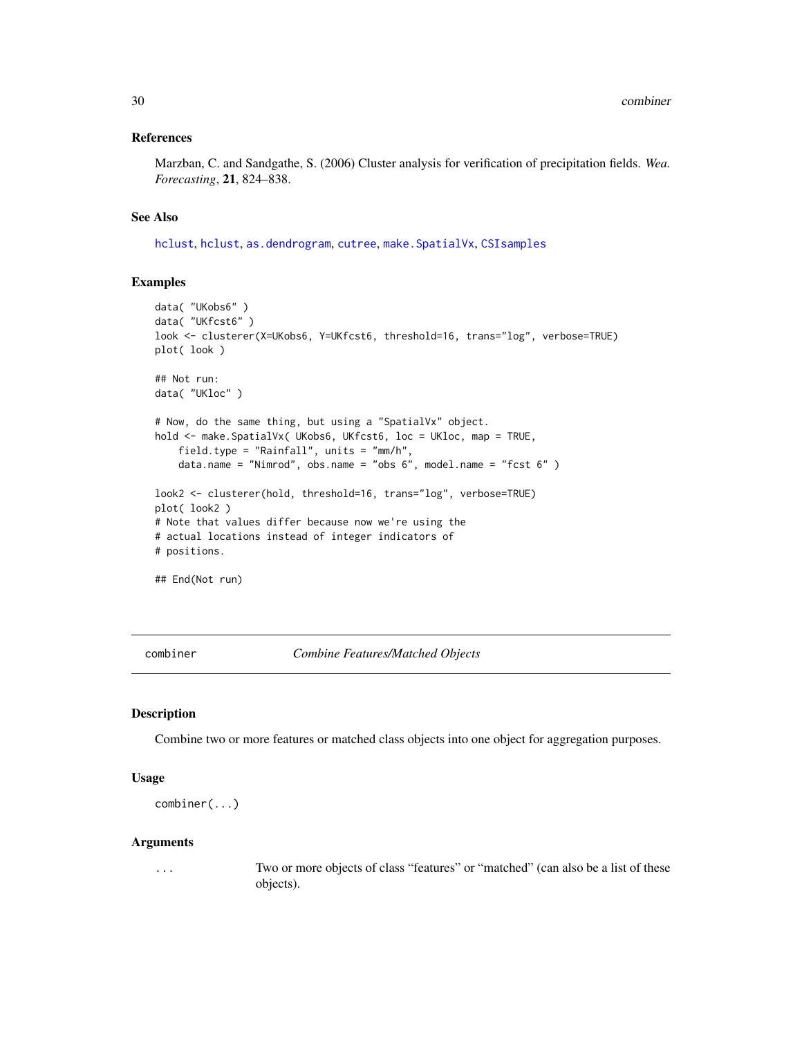#### <span id="page-29-0"></span>References

Marzban, C. and Sandgathe, S. (2006) Cluster analysis for verification of precipitation fields. *Wea. Forecasting*, 21, 824–838.

#### See Also

[hclust](#page-0-0), [hclust](#page-0-0), [as.dendrogram](#page-0-0), [cutree](#page-0-0), [make.SpatialVx](#page-114-1), [CSIsamples](#page-36-1)

#### Examples

```
data( "UKobs6" )
data( "UKfcst6" )
look <- clusterer(X=UKobs6, Y=UKfcst6, threshold=16, trans="log", verbose=TRUE)
plot( look )
## Not run:
data( "UKloc" )
# Now, do the same thing, but using a "SpatialVx" object.
hold <- make.SpatialVx( UKobs6, UKfcst6, loc = UKloc, map = TRUE,
    field.type = "Rainfall", units = "mm/h",
    data.name = "Nimrod", obs.name = "obs 6", model.name = "fcst 6" )
look2 <- clusterer(hold, threshold=16, trans="log", verbose=TRUE)
plot( look2 )
# Note that values differ because now we're using the
# actual locations instead of integer indicators of
# positions.
```
## End(Not run)

combiner *Combine Features/Matched Objects*

# Description

Combine two or more features or matched class objects into one object for aggregation purposes.

#### Usage

```
combiner(...)
```
#### Arguments

... Two or more objects of class "features" or "matched" (can also be a list of these objects).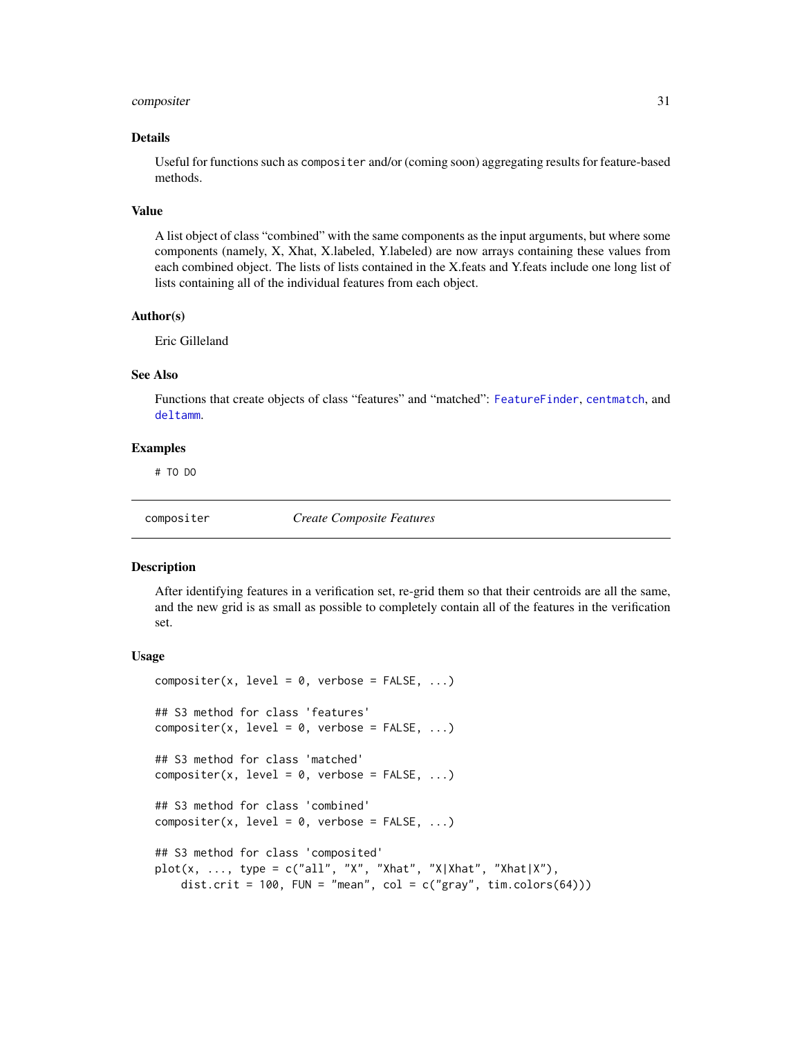# <span id="page-30-0"></span>compositer 31

#### Details

Useful for functions such as compositer and/or (coming soon) aggregating results for feature-based methods.

#### Value

A list object of class "combined" with the same components as the input arguments, but where some components (namely, X, Xhat, X.labeled, Y.labeled) are now arrays containing these values from each combined object. The lists of lists contained in the X.feats and Y.feats include one long list of lists containing all of the individual features from each object.

#### Author(s)

Eric Gilleland

# See Also

Functions that create objects of class "features" and "matched": [FeatureFinder](#page-54-1), [centmatch](#page-39-1), and [deltamm](#page-39-2).

#### Examples

# TO DO

compositer *Create Composite Features*

#### Description

After identifying features in a verification set, re-grid them so that their centroids are all the same, and the new grid is as small as possible to completely contain all of the features in the verification set.

#### Usage

```
composition(x, level = 0, verbose = FALSE, ...)## S3 method for class 'features'
compositer(x, level = 0, verbose = FALSE, ...)
## S3 method for class 'matched'
composition(x, level = 0, verbose = FALSE, ...)## S3 method for class 'combined'
composition(x, level = 0, verbose = FALSE, ...)## S3 method for class 'composited'
plot(x, ..., type = c("all", "X", "Xhat", "X|Xhat", "Xhat", "Xhat],dist.crit = 100, FUN = "mean", col = c("gray", tim. colors(64)))
```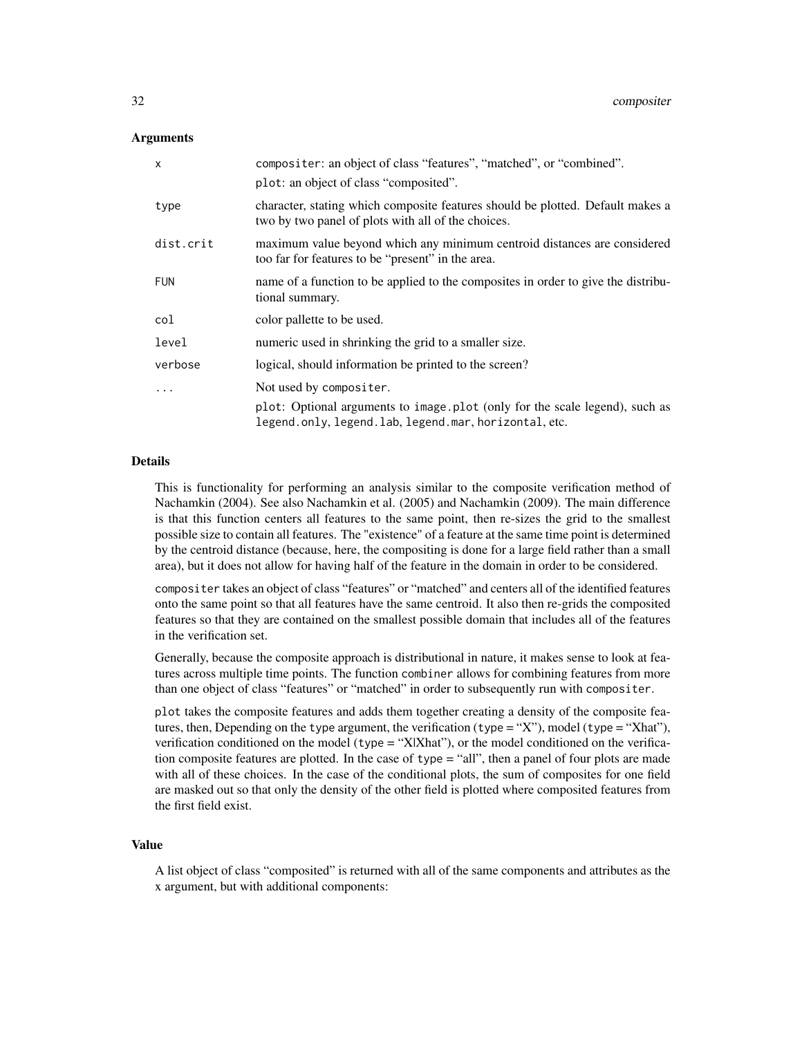#### Arguments

| $\mathsf{x}$ | compositer: an object of class "features", "matched", or "combined".                                                                 |
|--------------|--------------------------------------------------------------------------------------------------------------------------------------|
|              | plot: an object of class "composited".                                                                                               |
| type         | character, stating which composite features should be plotted. Default makes a<br>two by two panel of plots with all of the choices. |
| dist.crit    | maximum value beyond which any minimum centroid distances are considered<br>too far for features to be "present" in the area.        |
| <b>FUN</b>   | name of a function to be applied to the composites in order to give the distribu-<br>tional summary.                                 |
| col          | color pallette to be used.                                                                                                           |
| level        | numeric used in shrinking the grid to a smaller size.                                                                                |
| verbose      | logical, should information be printed to the screen?                                                                                |
|              | Not used by compositer.                                                                                                              |
|              | plot: Optional arguments to image plot (only for the scale legend), such as<br>legend.only, legend.lab, legend.mar, horizontal, etc. |

# Details

This is functionality for performing an analysis similar to the composite verification method of Nachamkin (2004). See also Nachamkin et al. (2005) and Nachamkin (2009). The main difference is that this function centers all features to the same point, then re-sizes the grid to the smallest possible size to contain all features. The "existence" of a feature at the same time point is determined by the centroid distance (because, here, the compositing is done for a large field rather than a small area), but it does not allow for having half of the feature in the domain in order to be considered.

compositer takes an object of class "features" or "matched" and centers all of the identified features onto the same point so that all features have the same centroid. It also then re-grids the composited features so that they are contained on the smallest possible domain that includes all of the features in the verification set.

Generally, because the composite approach is distributional in nature, it makes sense to look at features across multiple time points. The function combiner allows for combining features from more than one object of class "features" or "matched" in order to subsequently run with compositer.

plot takes the composite features and adds them together creating a density of the composite features, then, Depending on the type argument, the verification (type = "X"), model (type = "Xhat"), verification conditioned on the model ( $type = "X|Xhat"$ ), or the model conditioned on the verification composite features are plotted. In the case of  $type = "all",$  then a panel of four plots are made with all of these choices. In the case of the conditional plots, the sum of composites for one field are masked out so that only the density of the other field is plotted where composited features from the first field exist.

#### Value

A list object of class "composited" is returned with all of the same components and attributes as the x argument, but with additional components: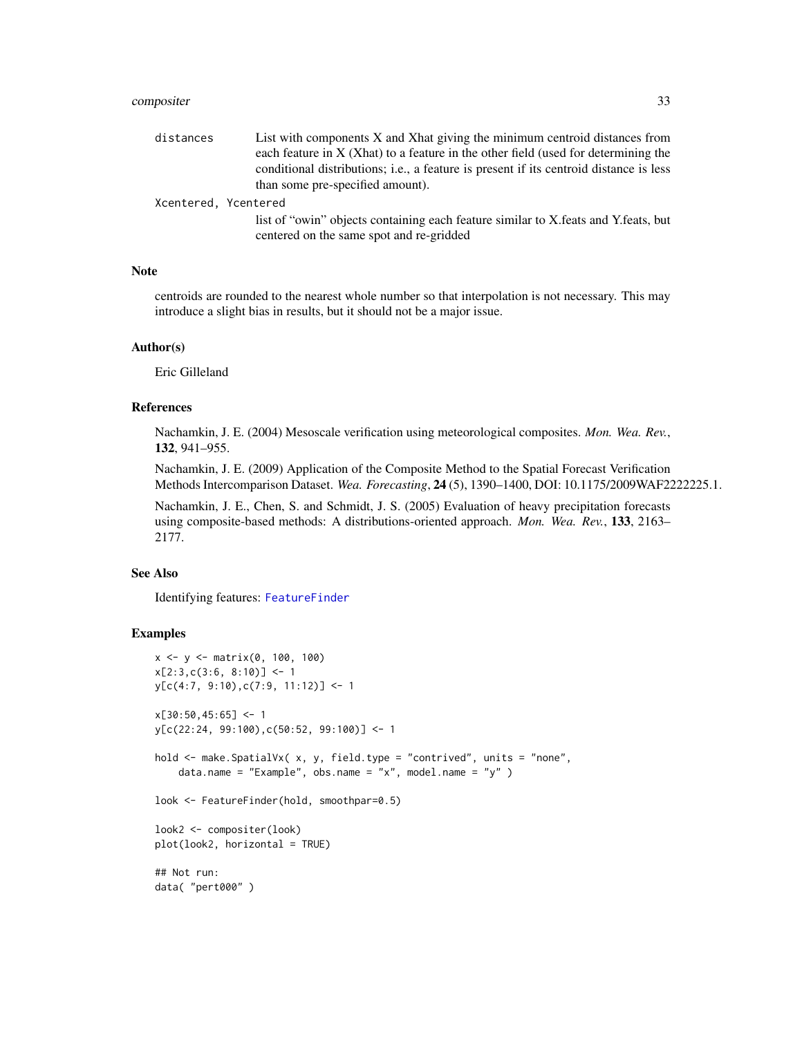# compositer 33

| distances            | List with components X and Xhat giving the minimum centroid distances from             |
|----------------------|----------------------------------------------------------------------------------------|
|                      | each feature in $X$ (Xhat) to a feature in the other field (used for determining the   |
|                      | conditional distributions; i.e., a feature is present if its centroid distance is less |
|                      | than some pre-specified amount).                                                       |
| Xcentered, Ycentered |                                                                                        |
|                      | list of "owin" objects containing each feature similar to X feats and Y feats, but     |
|                      | centered on the same spot and re-gridded                                               |

#### Note

centroids are rounded to the nearest whole number so that interpolation is not necessary. This may introduce a slight bias in results, but it should not be a major issue.

# Author(s)

Eric Gilleland

#### References

Nachamkin, J. E. (2004) Mesoscale verification using meteorological composites. *Mon. Wea. Rev.*, 132, 941–955.

Nachamkin, J. E. (2009) Application of the Composite Method to the Spatial Forecast Verification Methods Intercomparison Dataset. *Wea. Forecasting*, 24 (5), 1390–1400, DOI: 10.1175/2009WAF2222225.1.

Nachamkin, J. E., Chen, S. and Schmidt, J. S. (2005) Evaluation of heavy precipitation forecasts using composite-based methods: A distributions-oriented approach. *Mon. Wea. Rev.*, 133, 2163– 2177.

#### See Also

Identifying features: [FeatureFinder](#page-54-1)

#### Examples

```
x \le -y \le - matrix(0, 100, 100)
x[2:3,c(3:6, 8:10)] \leftarrow 1y[c(4:7, 9:10),c(7:9, 11:12)] <- 1
x[30:50, 45:65] <- 1
y[c(22:24, 99:100),c(50:52, 99:100)] <- 1
hold <- make.SpatialVx( x, y, field.type = "contrived", units = "none",
    data.name = "Example", obs.name = "x", model.name = "y" )
look <- FeatureFinder(hold, smoothpar=0.5)
look2 <- compositer(look)
plot(look2, horizontal = TRUE)
## Not run:
data( "pert000" )
```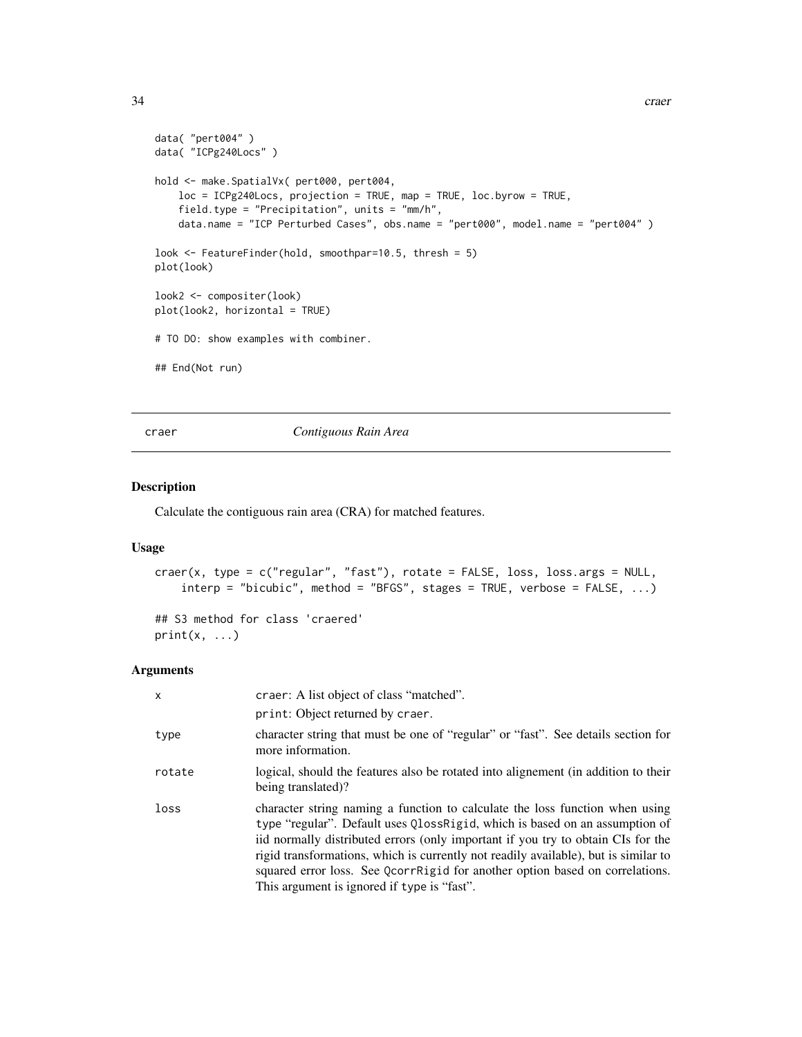```
data( "pert004" )
data( "ICPg240Locs" )
hold <- make.SpatialVx( pert000, pert004,
   loc = ICPg240Locs, projection = TRUE, map = TRUE, loc.byrow = TRUE,
    field.type = "Precipitation", units = "mm/h",
   data.name = "ICP Perturbed Cases", obs.name = "pert000", model.name = "pert004" )
look <- FeatureFinder(hold, smoothpar=10.5, thresh = 5)
plot(look)
look2 <- compositer(look)
plot(look2, horizontal = TRUE)
# TO DO: show examples with combiner.
## End(Not run)
```
craer *Contiguous Rain Area*

#### Description

Calculate the contiguous rain area (CRA) for matched features.

# Usage

```
craer(x, type = c("regular", "fast"), rotate = FALSE, loss, loss.args = NULL,
   interp = "bicubic", method = "BFGS", stages = TRUE, verbose = FALSE, ...)
```
## S3 method for class 'craered'  $print(x, \ldots)$ 

#### Arguments

| X      | craer: A list object of class "matched".                                                                                                                                                                                                                                                                                                                                                                                                                              |
|--------|-----------------------------------------------------------------------------------------------------------------------------------------------------------------------------------------------------------------------------------------------------------------------------------------------------------------------------------------------------------------------------------------------------------------------------------------------------------------------|
|        | print: Object returned by craer.                                                                                                                                                                                                                                                                                                                                                                                                                                      |
| type   | character string that must be one of "regular" or "fast". See details section for<br>more information.                                                                                                                                                                                                                                                                                                                                                                |
| rotate | logical, should the features also be rotated into alignement (in addition to their<br>being translated)?                                                                                                                                                                                                                                                                                                                                                              |
| loss   | character string naming a function to calculate the loss function when using<br>type "regular". Default uses QlossRigid, which is based on an assumption of<br>iid normally distributed errors (only important if you try to obtain CIs for the<br>rigid transformations, which is currently not readily available), but is similar to<br>squared error loss. See QcorrRigid for another option based on correlations.<br>This argument is ignored if type is "fast". |

<span id="page-33-0"></span>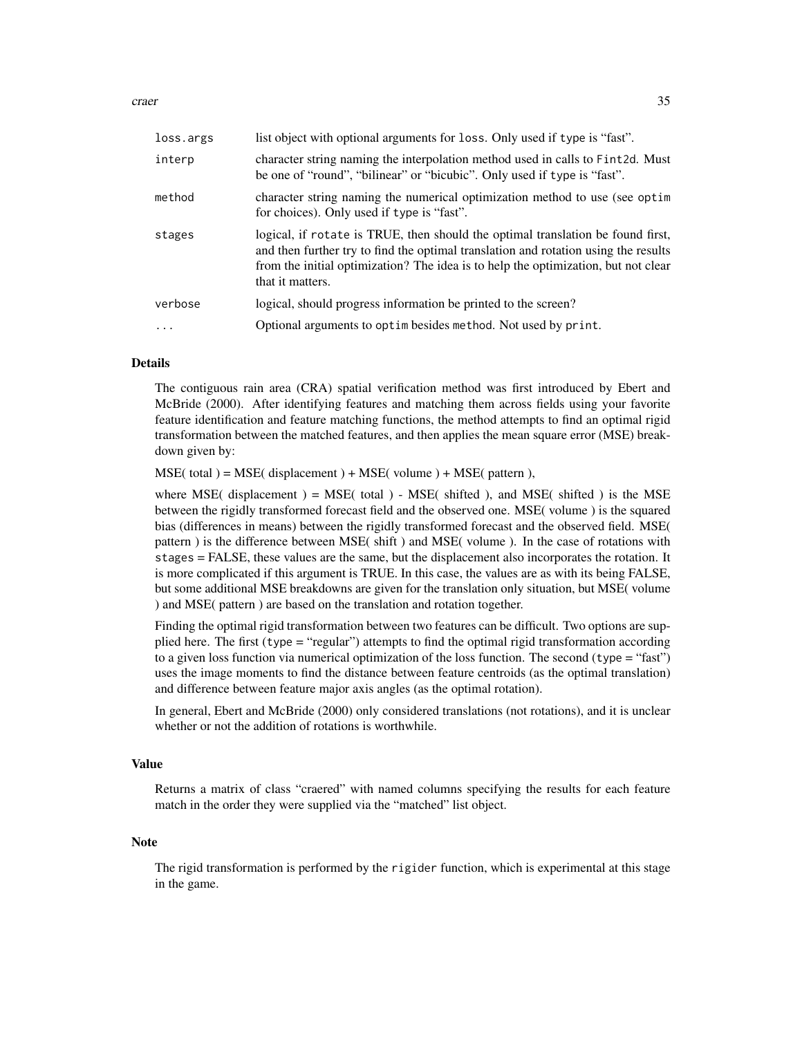craer 35

| loss.args | list object with optional arguments for loss. Only used if type is "fast".                                                                                                                                                                                                       |
|-----------|----------------------------------------------------------------------------------------------------------------------------------------------------------------------------------------------------------------------------------------------------------------------------------|
| interp    | character string naming the interpolation method used in calls to Fint 2d. Must<br>be one of "round", "bilinear" or "bicubic". Only used if type is "fast".                                                                                                                      |
| method    | character string naming the numerical optimization method to use (see optim<br>for choices). Only used if type is "fast".                                                                                                                                                        |
| stages    | logical, if rotate is TRUE, then should the optimal translation be found first,<br>and then further try to find the optimal translation and rotation using the results<br>from the initial optimization? The idea is to help the optimization, but not clear<br>that it matters. |
| verbose   | logical, should progress information be printed to the screen?                                                                                                                                                                                                                   |
| $\ddots$  | Optional arguments to optimilesides method. Not used by print.                                                                                                                                                                                                                   |

#### Details

The contiguous rain area (CRA) spatial verification method was first introduced by Ebert and McBride (2000). After identifying features and matching them across fields using your favorite feature identification and feature matching functions, the method attempts to find an optimal rigid transformation between the matched features, and then applies the mean square error (MSE) breakdown given by:

 $MSE($  total  $) = MSE($  displacement  $) + MSE($  volume  $) + MSE($  pattern  $)$ ,

where MSE( displacement  $) = MSE$  (total ) - MSE( shifted ), and MSE( shifted ) is the MSE between the rigidly transformed forecast field and the observed one. MSE( volume ) is the squared bias (differences in means) between the rigidly transformed forecast and the observed field. MSE( pattern ) is the difference between MSE( shift ) and MSE( volume ). In the case of rotations with stages = FALSE, these values are the same, but the displacement also incorporates the rotation. It is more complicated if this argument is TRUE. In this case, the values are as with its being FALSE, but some additional MSE breakdowns are given for the translation only situation, but MSE( volume ) and MSE( pattern ) are based on the translation and rotation together.

Finding the optimal rigid transformation between two features can be difficult. Two options are supplied here. The first (type = "regular") attempts to find the optimal rigid transformation according to a given loss function via numerical optimization of the loss function. The second (type = "fast") uses the image moments to find the distance between feature centroids (as the optimal translation) and difference between feature major axis angles (as the optimal rotation).

In general, Ebert and McBride (2000) only considered translations (not rotations), and it is unclear whether or not the addition of rotations is worthwhile.

#### Value

Returns a matrix of class "craered" with named columns specifying the results for each feature match in the order they were supplied via the "matched" list object.

#### **Note**

The rigid transformation is performed by the rigider function, which is experimental at this stage in the game.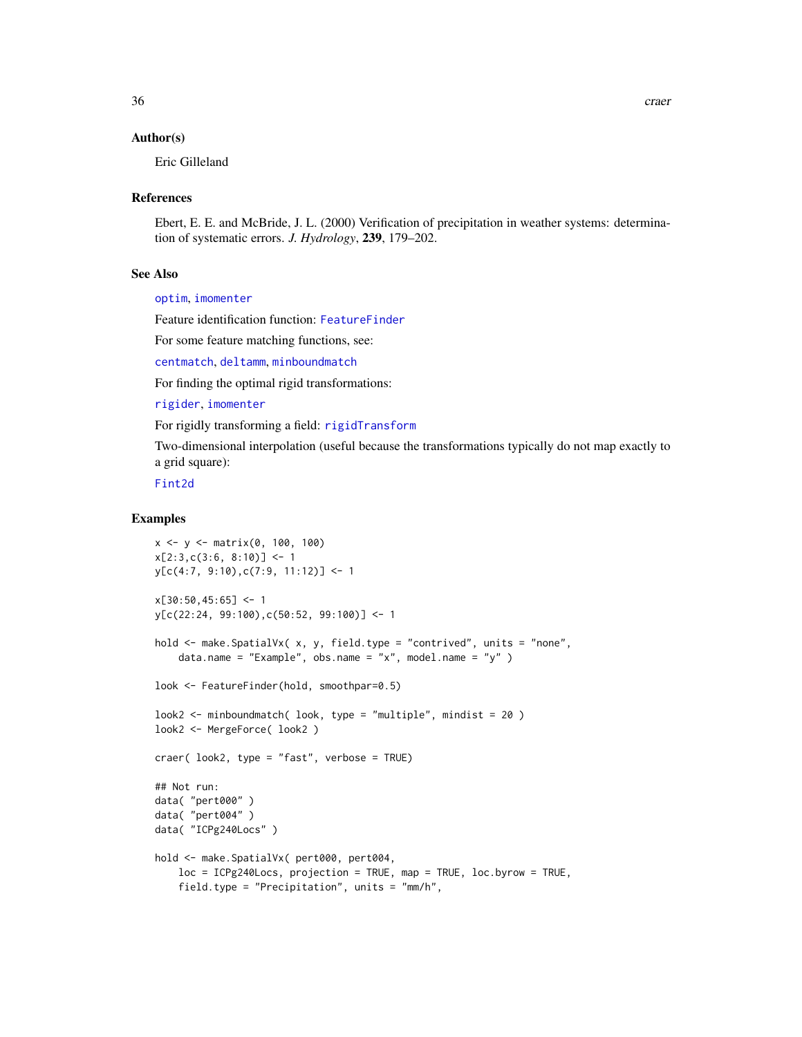#### Author(s)

Eric Gilleland

#### References

Ebert, E. E. and McBride, J. L. (2000) Verification of precipitation in weather systems: determination of systematic errors. *J. Hydrology*, 239, 179–202.

# See Also

[optim](#page-0-0), [imomenter](#page-95-1)

Feature identification function: [FeatureFinder](#page-54-1)

For some feature matching functions, see:

[centmatch](#page-39-1), [deltamm](#page-39-2), [minboundmatch](#page-129-1)

For finding the optimal rigid transformations:

[rigider](#page-142-1), [imomenter](#page-95-1)

For rigidly transforming a field: [rigidTransform](#page-142-2)

Two-dimensional interpolation (useful because the transformations typically do not map exactly to a grid square):

[Fint2d](#page-67-1)

# Examples

```
x \le -y \le - matrix(0, 100, 100)
x[2:3,c(3:6, 8:10)] \leftarrow 1y[c(4:7, 9:10),c(7:9, 11:12)] <- 1
x[30:50, 45:65] <- 1
y[c(22:24, 99:100),c(50:52, 99:100)] <- 1
hold <- make.SpatialVx( x, y, field.type = "contrived", units = "none",
    data.name = "Example", obs.name = "x", model.name = "y" )
look <- FeatureFinder(hold, smoothpar=0.5)
look2 \leq minboundmatch( look, type = "multiple", mindist = 20)look2 <- MergeForce( look2 )
craer( look2, type = "fast", verbose = TRUE)
## Not run:
data( "pert000" )
data( "pert004" )
data( "ICPg240Locs" )
hold <- make.SpatialVx( pert000, pert004,
   loc = ICPg240Locs, projection = TRUE, map = TRUE, loc.byrow = TRUE,
    field.type = "Precipitation", units = "mm/h",
```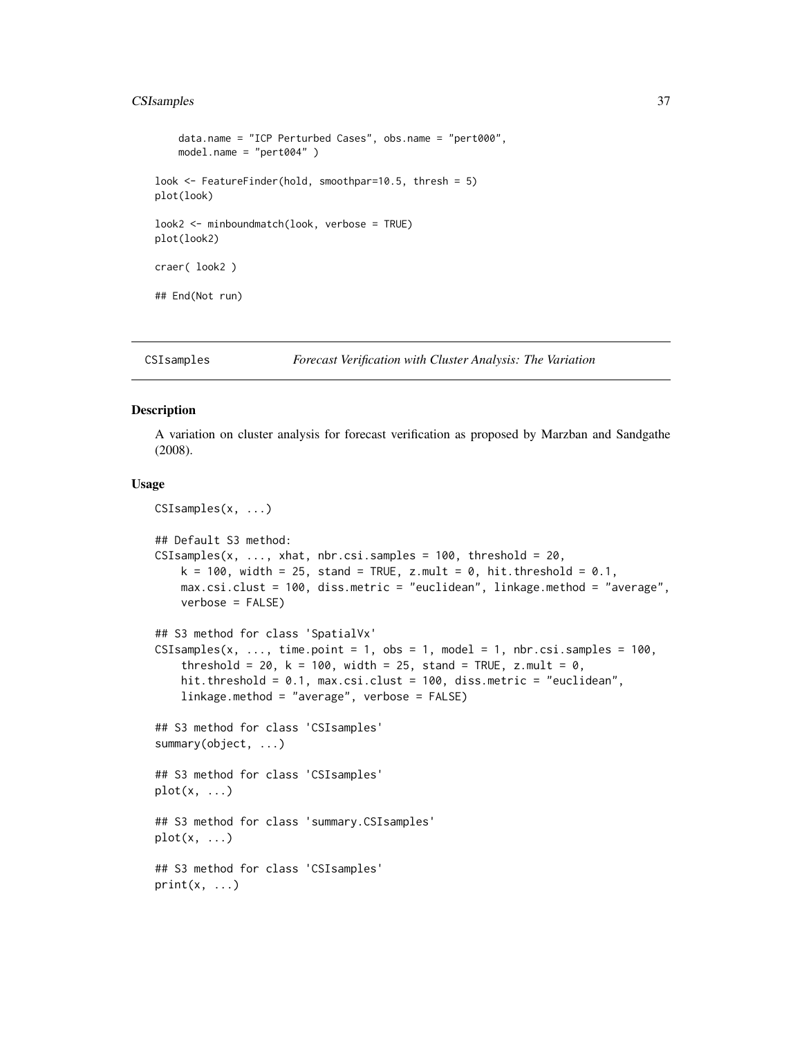# CSIsamples 37

```
data.name = "ICP Perturbed Cases", obs.name = "pert000",
   model.name = "pert004" )
look <- FeatureFinder(hold, smoothpar=10.5, thresh = 5)
plot(look)
look2 <- minboundmatch(look, verbose = TRUE)
plot(look2)
craer( look2 )
## End(Not run)
```
CSIsamples *Forecast Verification with Cluster Analysis: The Variation*

# Description

A variation on cluster analysis for forecast verification as proposed by Marzban and Sandgathe (2008).

#### Usage

```
CSIsamples(x, ...)
## Default S3 method:
CSIsamples(x, ..., xhat, nbr.csi.samples = 100, threshold = 20,
    k = 100, width = 25, stand = TRUE, z.mult = 0, hit.threshold = 0.1,
    max.csi.clust = 100, diss.metric = "euclidean", linkage.method = "average",
    verbose = FALSE)
## S3 method for class 'SpatialVx'
CSIsamples(x, ..., time.point = 1, obs = 1, model = 1, nbr.csi.samples = 100,
    threshold = 20, k = 100, width = 25, stand = TRUE, z.mult = 0,
    hit.threshold = 0.1, max.csi.clust = 100, diss.metric = "euclidean",
    linkage.method = "average", verbose = FALSE)
## S3 method for class 'CSIsamples'
summary(object, ...)
## S3 method for class 'CSIsamples'
plot(x, \ldots)## S3 method for class 'summary.CSIsamples'
plot(x, \ldots)## S3 method for class 'CSIsamples'
print(x, \ldots)
```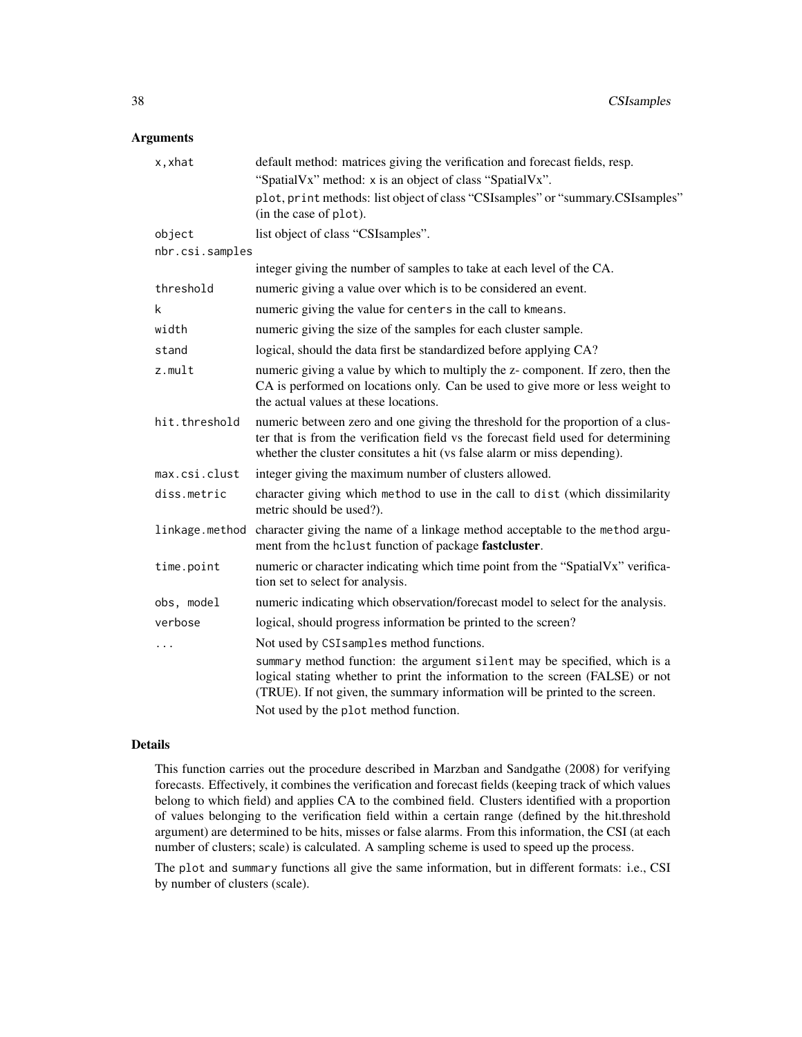# Arguments

| x,xhat          | default method: matrices giving the verification and forecast fields, resp.<br>"SpatialVx" method: x is an object of class "SpatialVx".                                                                                                           |
|-----------------|---------------------------------------------------------------------------------------------------------------------------------------------------------------------------------------------------------------------------------------------------|
|                 | plot, print methods: list object of class "CSIsamples" or "summary.CSIsamples"<br>(in the case of plot).                                                                                                                                          |
| object          | list object of class "CSIsamples".                                                                                                                                                                                                                |
| nbr.csi.samples |                                                                                                                                                                                                                                                   |
|                 | integer giving the number of samples to take at each level of the CA.                                                                                                                                                                             |
| threshold       | numeric giving a value over which is to be considered an event.                                                                                                                                                                                   |
| k               | numeric giving the value for centers in the call to kmeans.                                                                                                                                                                                       |
| width           | numeric giving the size of the samples for each cluster sample.                                                                                                                                                                                   |
| stand           | logical, should the data first be standardized before applying CA?                                                                                                                                                                                |
| $z$ .mult       | numeric giving a value by which to multiply the z- component. If zero, then the<br>CA is performed on locations only. Can be used to give more or less weight to<br>the actual values at these locations.                                         |
| hit.threshold   | numeric between zero and one giving the threshold for the proportion of a clus-<br>ter that is from the verification field vs the forecast field used for determining<br>whether the cluster consitutes a hit (vs false alarm or miss depending). |
| max.csi.clust   | integer giving the maximum number of clusters allowed.                                                                                                                                                                                            |
| diss.metric     | character giving which method to use in the call to dist (which dissimilarity<br>metric should be used?).                                                                                                                                         |
| linkage.method  | character giving the name of a linkage method acceptable to the method argu-<br>ment from the hclust function of package fastcluster.                                                                                                             |
| time.point      | numeric or character indicating which time point from the "SpatialVx" verifica-<br>tion set to select for analysis.                                                                                                                               |
| obs, model      | numeric indicating which observation/forecast model to select for the analysis.                                                                                                                                                                   |
| verbose         | logical, should progress information be printed to the screen?                                                                                                                                                                                    |
| $\cdots$        | Not used by CSI samples method functions.                                                                                                                                                                                                         |
|                 | summary method function: the argument silent may be specified, which is a<br>logical stating whether to print the information to the screen (FALSE) or not<br>(TRUE). If not given, the summary information will be printed to the screen.        |
|                 | Not used by the plot method function.                                                                                                                                                                                                             |

# Details

This function carries out the procedure described in Marzban and Sandgathe (2008) for verifying forecasts. Effectively, it combines the verification and forecast fields (keeping track of which values belong to which field) and applies CA to the combined field. Clusters identified with a proportion of values belonging to the verification field within a certain range (defined by the hit.threshold argument) are determined to be hits, misses or false alarms. From this information, the CSI (at each number of clusters; scale) is calculated. A sampling scheme is used to speed up the process.

The plot and summary functions all give the same information, but in different formats: i.e., CSI by number of clusters (scale).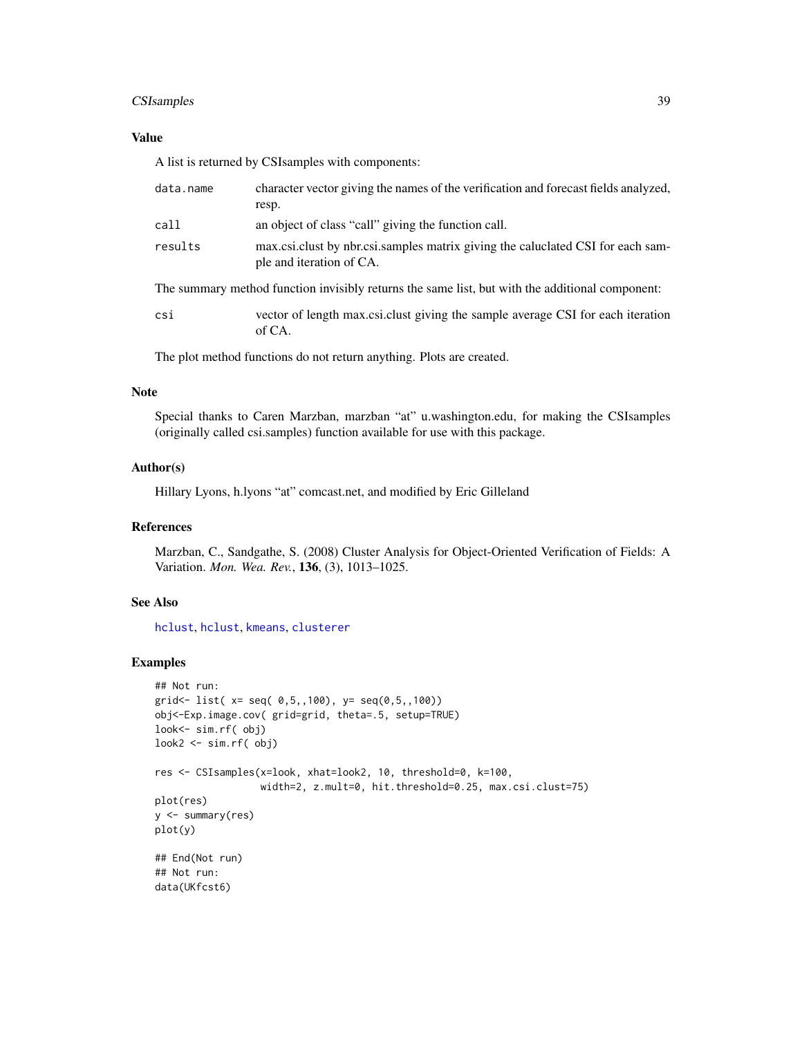# CSIsamples 39

# Value

A list is returned by CSIsamples with components:

| data.name                                                                                       | character vector giving the names of the verification and forecast fields analyzed,<br>resp.                |  |
|-------------------------------------------------------------------------------------------------|-------------------------------------------------------------------------------------------------------------|--|
| call                                                                                            | an object of class "call" giving the function call.                                                         |  |
| results                                                                                         | max.csi.clust by nbr.csi.samples matrix giving the caluclated CSI for each sam-<br>ple and iteration of CA. |  |
| The summary method function invisibly returns the same list, but with the additional component: |                                                                                                             |  |
| csi                                                                                             | vector of length max csi. clust giving the sample average CSI for each iteration<br>of CA.                  |  |

The plot method functions do not return anything. Plots are created.

# Note

Special thanks to Caren Marzban, marzban "at" u.washington.edu, for making the CSIsamples (originally called csi.samples) function available for use with this package.

# Author(s)

Hillary Lyons, h.lyons "at" comcast.net, and modified by Eric Gilleland

# References

Marzban, C., Sandgathe, S. (2008) Cluster Analysis for Object-Oriented Verification of Fields: A Variation. *Mon. Wea. Rev.*, 136, (3), 1013–1025.

# See Also

[hclust](#page-0-0), [hclust](#page-0-0), [kmeans](#page-0-0), [clusterer](#page-25-0)

## Examples

```
## Not run:
grid<- list( x= seq( 0,5,,100), y= seq(0,5,,100))
obj<-Exp.image.cov( grid=grid, theta=.5, setup=TRUE)
look<- sim.rf( obj)
look2 <- sim.rf( obj)
res <- CSIsamples(x=look, xhat=look2, 10, threshold=0, k=100,
                  width=2, z.mult=0, hit.threshold=0.25, max.csi.clust=75)
plot(res)
y <- summary(res)
plot(y)
## End(Not run)
## Not run:
data(UKfcst6)
```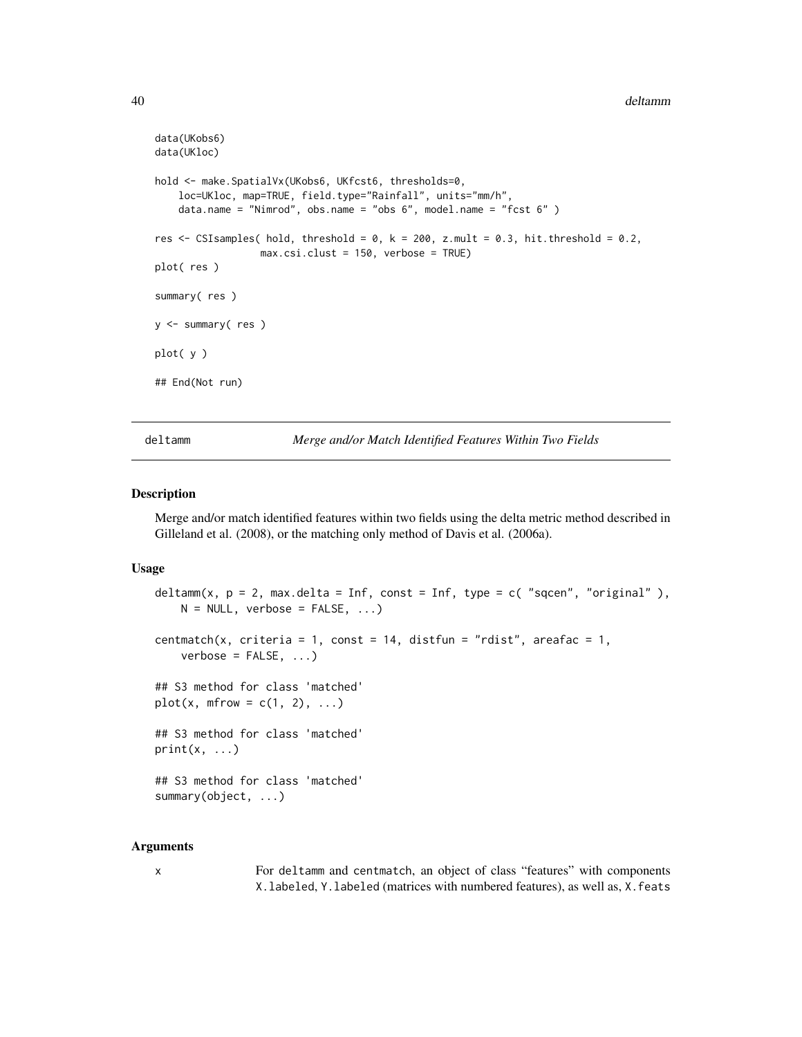```
data(UKobs6)
data(UKloc)
hold <- make.SpatialVx(UKobs6, UKfcst6, thresholds=0,
   loc=UKloc, map=TRUE, field.type="Rainfall", units="mm/h",
   data.name = "Nimrod", obs.name = "obs 6", model.name = "fcst 6" )
res \leq CSIsamples( hold, threshold = 0, k = 200, z.mult = 0.3, hit.threshold = 0.2,
                  max.csi.clust = 150, verbose = TRUE)
plot( res )
summary( res )
y <- summary( res )
plot( y )
## End(Not run)
```
<span id="page-39-0"></span>deltamm *Merge and/or Match Identified Features Within Two Fields*

#### <span id="page-39-1"></span>Description

Merge and/or match identified features within two fields using the delta metric method described in Gilleland et al. (2008), or the matching only method of Davis et al. (2006a).

#### Usage

```
deltamm(x, p = 2, max.delta = Inf, const = Inf, type = c( "sqcen", "original"),
    N = NULL, verbose = FALSE, ...)
centmatch(x, criteria = 1, const = 14, distfun = "rdist", areafac = 1,
    verbose = FALSE, ...)## S3 method for class 'matched'
plot(x, mfrow = c(1, 2), ...)## S3 method for class 'matched'
print(x, \ldots)## S3 method for class 'matched'
summary(object, ...)
```
#### Arguments

x For deltamm and centmatch, an object of class "features" with components X.labeled, Y.labeled (matrices with numbered features), as well as, X.feats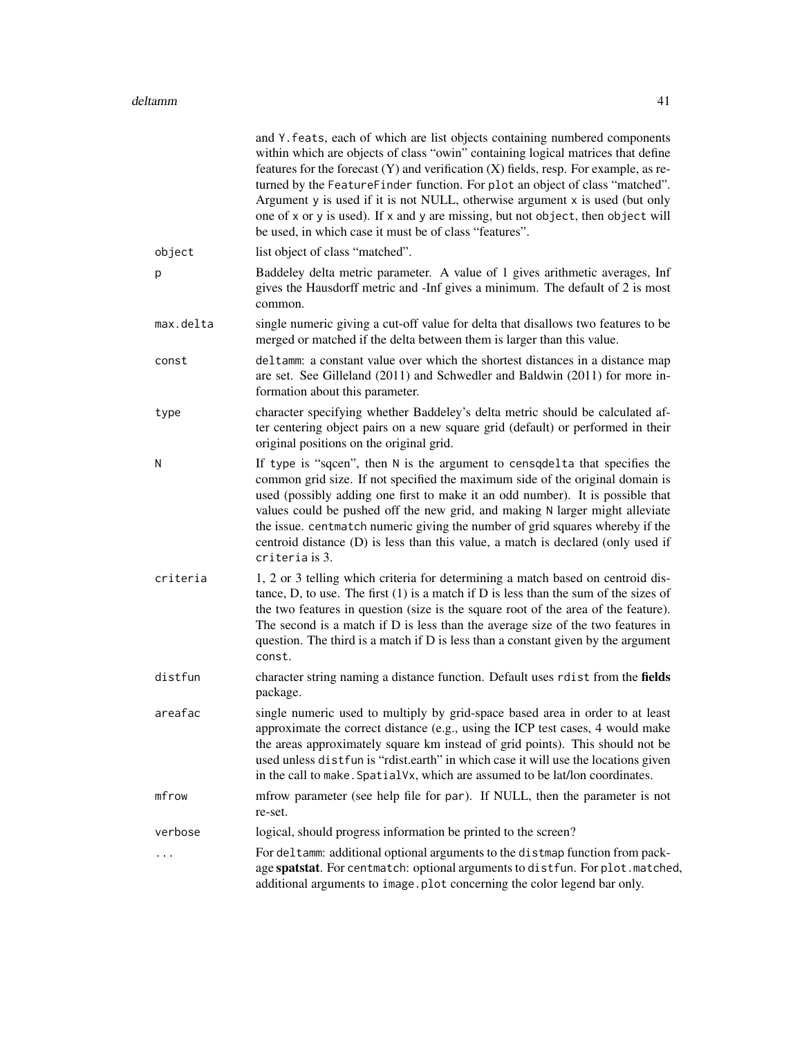|           | and Y. feats, each of which are list objects containing numbered components<br>within which are objects of class "owin" containing logical matrices that define<br>features for the forecast $(Y)$ and verification $(X)$ fields, resp. For example, as re-<br>turned by the FeatureFinder function. For plot an object of class "matched".<br>Argument y is used if it is not NULL, otherwise argument x is used (but only<br>one of x or y is used). If x and y are missing, but not object, then object will<br>be used, in which case it must be of class "features". |
|-----------|---------------------------------------------------------------------------------------------------------------------------------------------------------------------------------------------------------------------------------------------------------------------------------------------------------------------------------------------------------------------------------------------------------------------------------------------------------------------------------------------------------------------------------------------------------------------------|
| object    | list object of class "matched".                                                                                                                                                                                                                                                                                                                                                                                                                                                                                                                                           |
| p         | Baddeley delta metric parameter. A value of 1 gives arithmetic averages, Inf<br>gives the Hausdorff metric and -Inf gives a minimum. The default of 2 is most<br>common.                                                                                                                                                                                                                                                                                                                                                                                                  |
| max.delta | single numeric giving a cut-off value for delta that disallows two features to be<br>merged or matched if the delta between them is larger than this value.                                                                                                                                                                                                                                                                                                                                                                                                               |
| const     | deltamm: a constant value over which the shortest distances in a distance map<br>are set. See Gilleland (2011) and Schwedler and Baldwin (2011) for more in-<br>formation about this parameter.                                                                                                                                                                                                                                                                                                                                                                           |
| type      | character specifying whether Baddeley's delta metric should be calculated af-<br>ter centering object pairs on a new square grid (default) or performed in their<br>original positions on the original grid.                                                                                                                                                                                                                                                                                                                                                              |
| N         | If type is "sqcen", then N is the argument to censquelta that specifies the<br>common grid size. If not specified the maximum side of the original domain is<br>used (possibly adding one first to make it an odd number). It is possible that<br>values could be pushed off the new grid, and making N larger might alleviate<br>the issue. centmatch numeric giving the number of grid squares whereby if the<br>centroid distance (D) is less than this value, a match is declared (only used if<br>criteria is 3.                                                     |
| criteria  | 1, 2 or 3 telling which criteria for determining a match based on centroid dis-<br>tance, D, to use. The first $(1)$ is a match if D is less than the sum of the sizes of<br>the two features in question (size is the square root of the area of the feature).<br>The second is a match if D is less than the average size of the two features in<br>question. The third is a match if D is less than a constant given by the argument<br>const.                                                                                                                         |
| distfun   | character string naming a distance function. Default uses rdist from the fields<br>package.                                                                                                                                                                                                                                                                                                                                                                                                                                                                               |
| areafac   | single numeric used to multiply by grid-space based area in order to at least<br>approximate the correct distance (e.g., using the ICP test cases, 4 would make<br>the areas approximately square km instead of grid points). This should not be<br>used unless distfun is "rdist.earth" in which case it will use the locations given<br>in the call to make. Spatial Vx, which are assumed to be lat/lon coordinates.                                                                                                                                                   |
| mfrow     | mfrow parameter (see help file for par). If NULL, then the parameter is not<br>re-set.                                                                                                                                                                                                                                                                                                                                                                                                                                                                                    |
| verbose   | logical, should progress information be printed to the screen?                                                                                                                                                                                                                                                                                                                                                                                                                                                                                                            |
|           | For deltamm: additional optional arguments to the distmap function from pack-<br>age spatstat. For centmatch: optional arguments to distfun. For plot.matched,<br>additional arguments to image.plot concerning the color legend bar only.                                                                                                                                                                                                                                                                                                                                |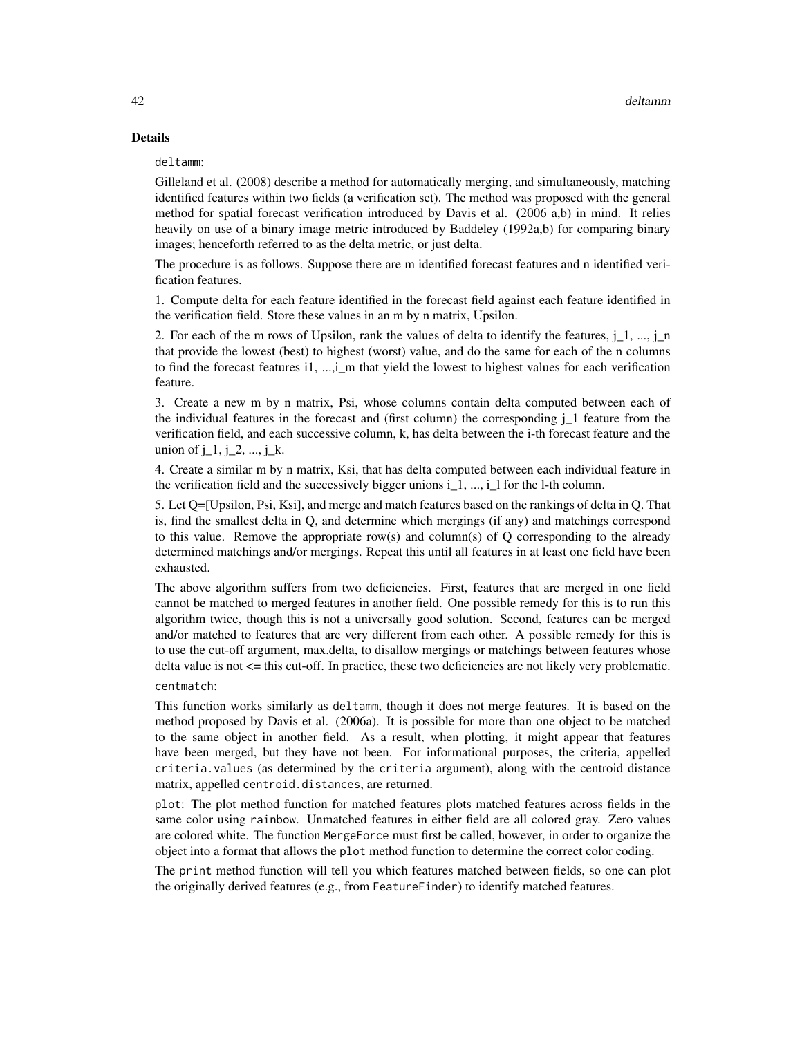# Details

#### deltamm:

Gilleland et al. (2008) describe a method for automatically merging, and simultaneously, matching identified features within two fields (a verification set). The method was proposed with the general method for spatial forecast verification introduced by Davis et al. (2006 a,b) in mind. It relies heavily on use of a binary image metric introduced by Baddeley (1992a,b) for comparing binary images; henceforth referred to as the delta metric, or just delta.

The procedure is as follows. Suppose there are m identified forecast features and n identified verification features.

1. Compute delta for each feature identified in the forecast field against each feature identified in the verification field. Store these values in an m by n matrix, Upsilon.

2. For each of the m rows of Upsilon, rank the values of delta to identify the features,  $i$  1, ...,  $i$  n that provide the lowest (best) to highest (worst) value, and do the same for each of the n columns to find the forecast features i1, ...,i\_m that yield the lowest to highest values for each verification feature.

3. Create a new m by n matrix, Psi, whose columns contain delta computed between each of the individual features in the forecast and (first column) the corresponding  $\mathbf{j}$  1 feature from the verification field, and each successive column, k, has delta between the i-th forecast feature and the union of  $j_1, j_2, ..., j_k$ .

4. Create a similar m by n matrix, Ksi, that has delta computed between each individual feature in the verification field and the successively bigger unions  $i_1, ..., i_l$  1 for the l-th column.

5. Let Q=[Upsilon, Psi, Ksi], and merge and match features based on the rankings of delta in Q. That is, find the smallest delta in Q, and determine which mergings (if any) and matchings correspond to this value. Remove the appropriate row(s) and column(s) of Q corresponding to the already determined matchings and/or mergings. Repeat this until all features in at least one field have been exhausted.

The above algorithm suffers from two deficiencies. First, features that are merged in one field cannot be matched to merged features in another field. One possible remedy for this is to run this algorithm twice, though this is not a universally good solution. Second, features can be merged and/or matched to features that are very different from each other. A possible remedy for this is to use the cut-off argument, max.delta, to disallow mergings or matchings between features whose delta value is not <= this cut-off. In practice, these two deficiencies are not likely very problematic.

#### centmatch:

This function works similarly as deltamm, though it does not merge features. It is based on the method proposed by Davis et al. (2006a). It is possible for more than one object to be matched to the same object in another field. As a result, when plotting, it might appear that features have been merged, but they have not been. For informational purposes, the criteria, appelled criteria.values (as determined by the criteria argument), along with the centroid distance matrix, appelled centroid.distances, are returned.

plot: The plot method function for matched features plots matched features across fields in the same color using rainbow. Unmatched features in either field are all colored gray. Zero values are colored white. The function MergeForce must first be called, however, in order to organize the object into a format that allows the plot method function to determine the correct color coding.

The print method function will tell you which features matched between fields, so one can plot the originally derived features (e.g., from FeatureFinder) to identify matched features.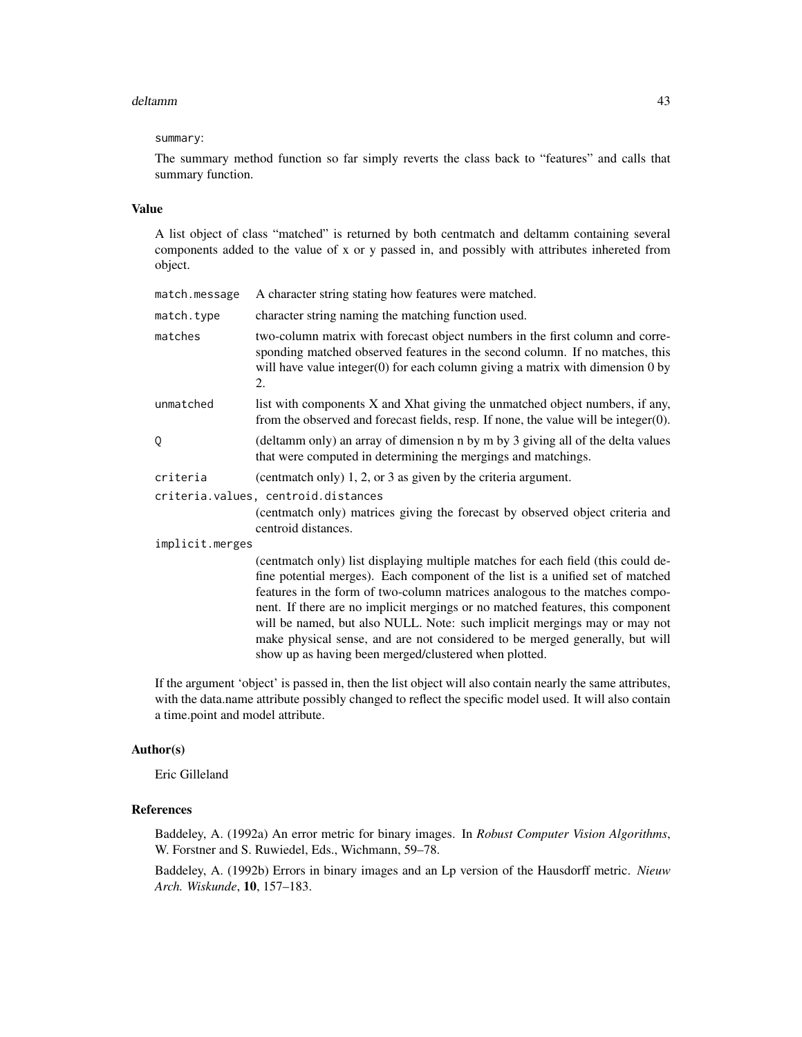#### deltamm 43

#### summary:

The summary method function so far simply reverts the class back to "features" and calls that summary function.

#### Value

A list object of class "matched" is returned by both centmatch and deltamm containing several components added to the value of x or y passed in, and possibly with attributes inhereted from object.

| match.message   | A character string stating how features were matched.                                                                                                                                                                                                                                                                                                                                                                                                                                                                                                     |  |
|-----------------|-----------------------------------------------------------------------------------------------------------------------------------------------------------------------------------------------------------------------------------------------------------------------------------------------------------------------------------------------------------------------------------------------------------------------------------------------------------------------------------------------------------------------------------------------------------|--|
| match.type      | character string naming the matching function used.                                                                                                                                                                                                                                                                                                                                                                                                                                                                                                       |  |
| matches         | two-column matrix with forecast object numbers in the first column and corre-<br>sponding matched observed features in the second column. If no matches, this<br>will have value integer(0) for each column giving a matrix with dimension $0$ by<br>2.                                                                                                                                                                                                                                                                                                   |  |
| unmatched       | list with components X and Xhat giving the unmatched object numbers, if any,<br>from the observed and forecast fields, resp. If none, the value will be integer $(0)$ .                                                                                                                                                                                                                                                                                                                                                                                   |  |
| Q               | (deltamm only) an array of dimension n by m by 3 giving all of the delta values<br>that were computed in determining the mergings and matchings.                                                                                                                                                                                                                                                                                                                                                                                                          |  |
| criteria        | (centration only) 1, 2, or 3 as given by the criteria argument.                                                                                                                                                                                                                                                                                                                                                                                                                                                                                           |  |
|                 | criteria.values, centroid.distances                                                                                                                                                                                                                                                                                                                                                                                                                                                                                                                       |  |
|                 | (centmatch only) matrices giving the forecast by observed object criteria and<br>centroid distances.                                                                                                                                                                                                                                                                                                                                                                                                                                                      |  |
| implicit.merges |                                                                                                                                                                                                                                                                                                                                                                                                                                                                                                                                                           |  |
|                 | (centmatch only) list displaying multiple matches for each field (this could de-<br>fine potential merges). Each component of the list is a unified set of matched<br>features in the form of two-column matrices analogous to the matches compo-<br>nent. If there are no implicit mergings or no matched features, this component<br>will be named, but also NULL. Note: such implicit mergings may or may not<br>make physical sense, and are not considered to be merged generally, but will<br>show up as having been merged/clustered when plotted. |  |

If the argument 'object' is passed in, then the list object will also contain nearly the same attributes, with the data.name attribute possibly changed to reflect the specific model used. It will also contain a time.point and model attribute.

#### Author(s)

Eric Gilleland

# References

Baddeley, A. (1992a) An error metric for binary images. In *Robust Computer Vision Algorithms*, W. Forstner and S. Ruwiedel, Eds., Wichmann, 59–78.

Baddeley, A. (1992b) Errors in binary images and an Lp version of the Hausdorff metric. *Nieuw Arch. Wiskunde*, 10, 157–183.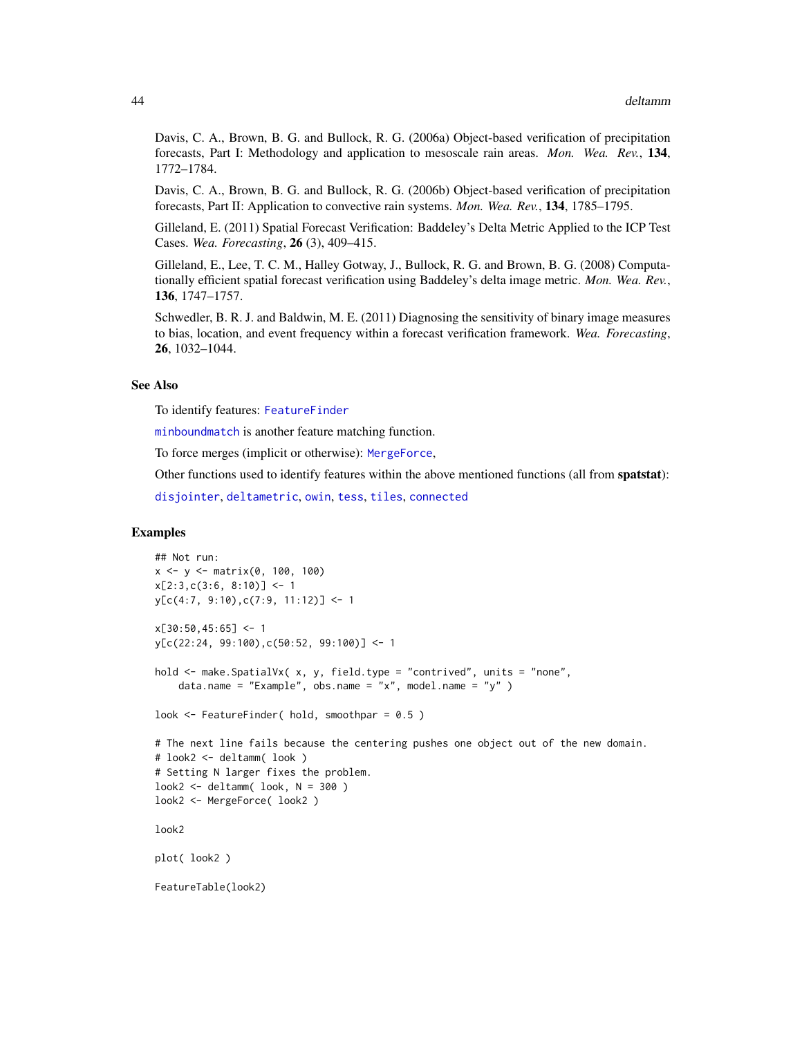Davis, C. A., Brown, B. G. and Bullock, R. G. (2006a) Object-based verification of precipitation forecasts, Part I: Methodology and application to mesoscale rain areas. *Mon. Wea. Rev.*, 134, 1772–1784.

Davis, C. A., Brown, B. G. and Bullock, R. G. (2006b) Object-based verification of precipitation forecasts, Part II: Application to convective rain systems. *Mon. Wea. Rev.*, 134, 1785–1795.

Gilleland, E. (2011) Spatial Forecast Verification: Baddeley's Delta Metric Applied to the ICP Test Cases. *Wea. Forecasting*, 26 (3), 409–415.

Gilleland, E., Lee, T. C. M., Halley Gotway, J., Bullock, R. G. and Brown, B. G. (2008) Computationally efficient spatial forecast verification using Baddeley's delta image metric. *Mon. Wea. Rev.*, 136, 1747–1757.

Schwedler, B. R. J. and Baldwin, M. E. (2011) Diagnosing the sensitivity of binary image measures to bias, location, and event frequency within a forecast verification framework. *Wea. Forecasting*, 26, 1032–1044.

# See Also

To identify features: [FeatureFinder](#page-54-0)

[minboundmatch](#page-129-0) is another feature matching function.

To force merges (implicit or otherwise): [MergeForce](#page-122-0),

Other functions used to identify features within the above mentioned functions (all from spatstat):

[disjointer](#page-44-0), [deltametric](#page-0-0), [owin](#page-0-0), [tess](#page-0-0), [tiles](#page-0-0), [connected](#page-0-0)

#### Examples

```
## Not run:
x <- y <- matrix(0, 100, 100)
x[2:3,c(3:6, 8:10)] \leftarrow 1y[c(4:7, 9:10),c(7:9, 11:12)] <- 1
x[30:50, 45:65] <- 1
y[c(22:24, 99:100),c(50:52, 99:100)] <- 1
hold <- make.SpatialVx( x, y, field.type = "contrived", units = "none",
    data.name = "Example", obs.name = "x", model.name = "y" )
look \leq FeatureFinder( hold, smoothpar = 0.5)
# The next line fails because the centering pushes one object out of the new domain.
# look2 <- deltamm( look )
# Setting N larger fixes the problem.
look2 < - deltamm( look, N = 300 )
look2 <- MergeForce( look2 )
look2
plot( look2 )
FeatureTable(look2)
```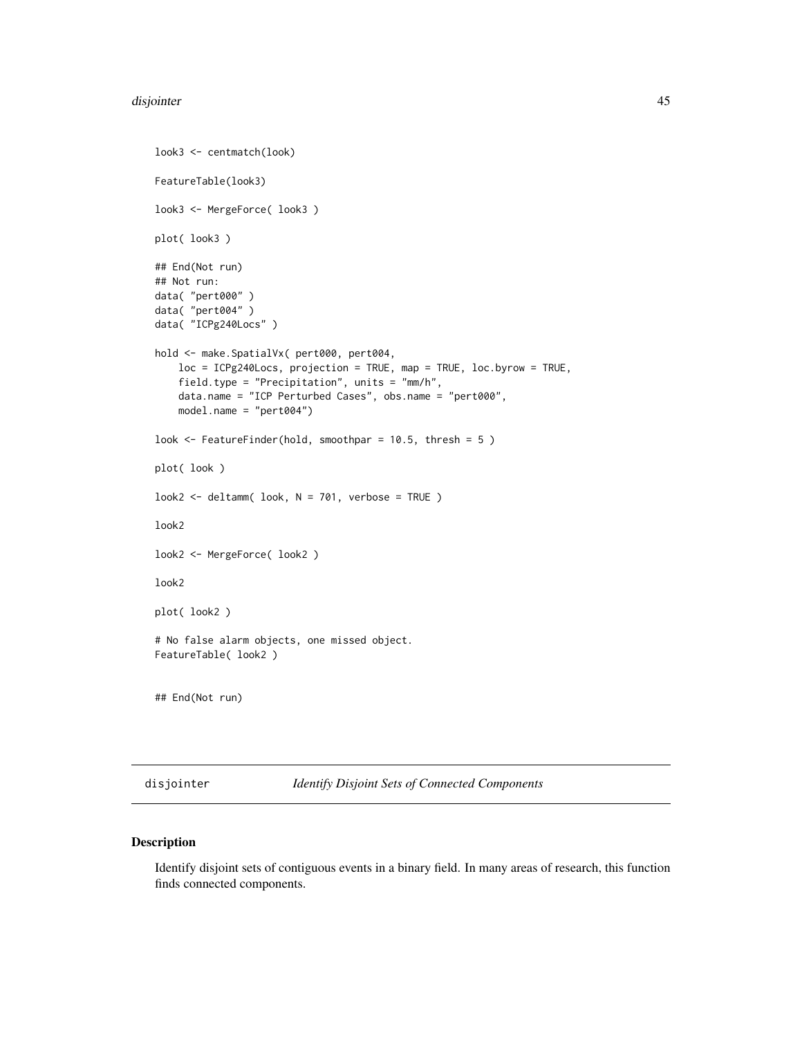```
look3 <- centmatch(look)
FeatureTable(look3)
look3 <- MergeForce( look3 )
plot( look3 )
## End(Not run)
## Not run:
data( "pert000" )
data( "pert004" )
data( "ICPg240Locs" )
hold <- make.SpatialVx( pert000, pert004,
    loc = ICPg240Locs, projection = TRUE, map = TRUE, loc.byrow = TRUE,
    field.type = "Precipitation", units = "mm/h",
   data.name = "ICP Perturbed Cases", obs.name = "pert000",
   model.name = "pert004")
look <- FeatureFinder(hold, smoothpar = 10.5, thresh = 5 )
plot( look )
look2 <- deltamm( look, N = 701, verbose = TRUE )
look2
look2 <- MergeForce( look2 )
look2
plot( look2 )
# No false alarm objects, one missed object.
FeatureTable( look2 )
## End(Not run)
```
<span id="page-44-0"></span>disjointer *Identify Disjoint Sets of Connected Components*

# Description

Identify disjoint sets of contiguous events in a binary field. In many areas of research, this function finds connected components.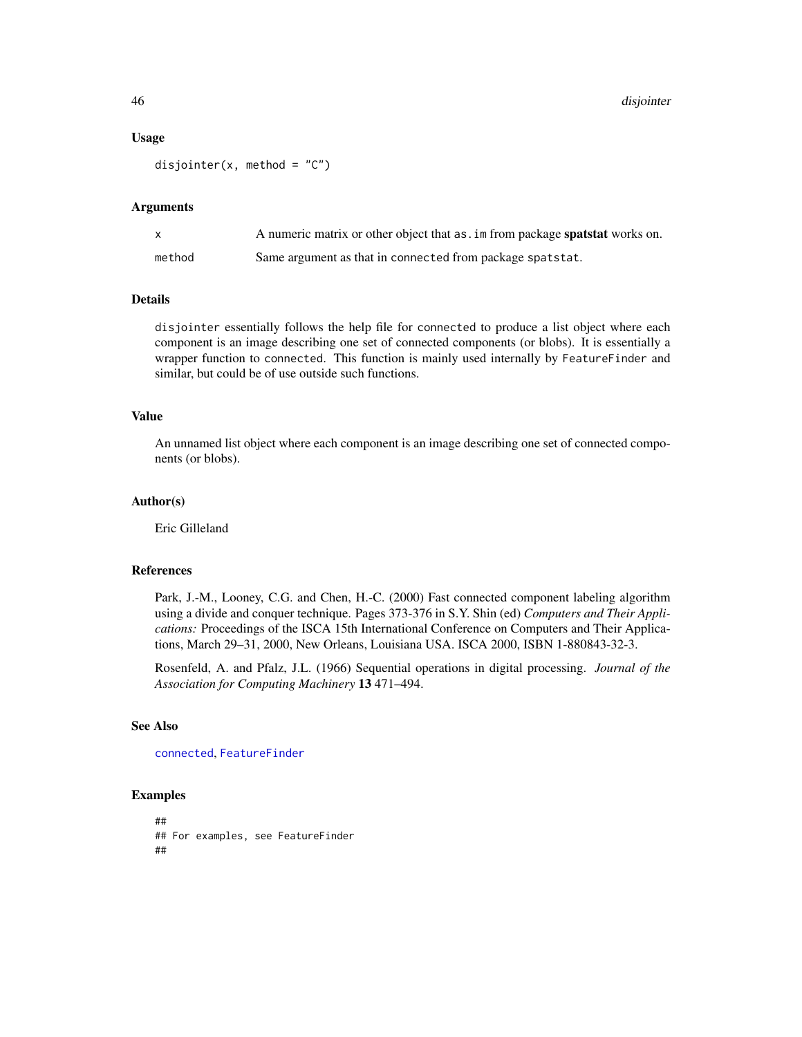46 disjointer

#### Usage

disjointer(x, method =  $C''$ )

#### Arguments

| X      | A numeric matrix or other object that as . im from package spatstat works on. |
|--------|-------------------------------------------------------------------------------|
| method | Same argument as that in connected from package spatstat.                     |

### Details

disjointer essentially follows the help file for connected to produce a list object where each component is an image describing one set of connected components (or blobs). It is essentially a wrapper function to connected. This function is mainly used internally by FeatureFinder and similar, but could be of use outside such functions.

#### Value

An unnamed list object where each component is an image describing one set of connected components (or blobs).

#### Author(s)

Eric Gilleland

#### References

Park, J.-M., Looney, C.G. and Chen, H.-C. (2000) Fast connected component labeling algorithm using a divide and conquer technique. Pages 373-376 in S.Y. Shin (ed) *Computers and Their Applications:* Proceedings of the ISCA 15th International Conference on Computers and Their Applications, March 29–31, 2000, New Orleans, Louisiana USA. ISCA 2000, ISBN 1-880843-32-3.

Rosenfeld, A. and Pfalz, J.L. (1966) Sequential operations in digital processing. *Journal of the Association for Computing Machinery* 13 471–494.

# See Also

[connected](#page-0-0), [FeatureFinder](#page-54-0)

#### Examples

## ## For examples, see FeatureFinder ##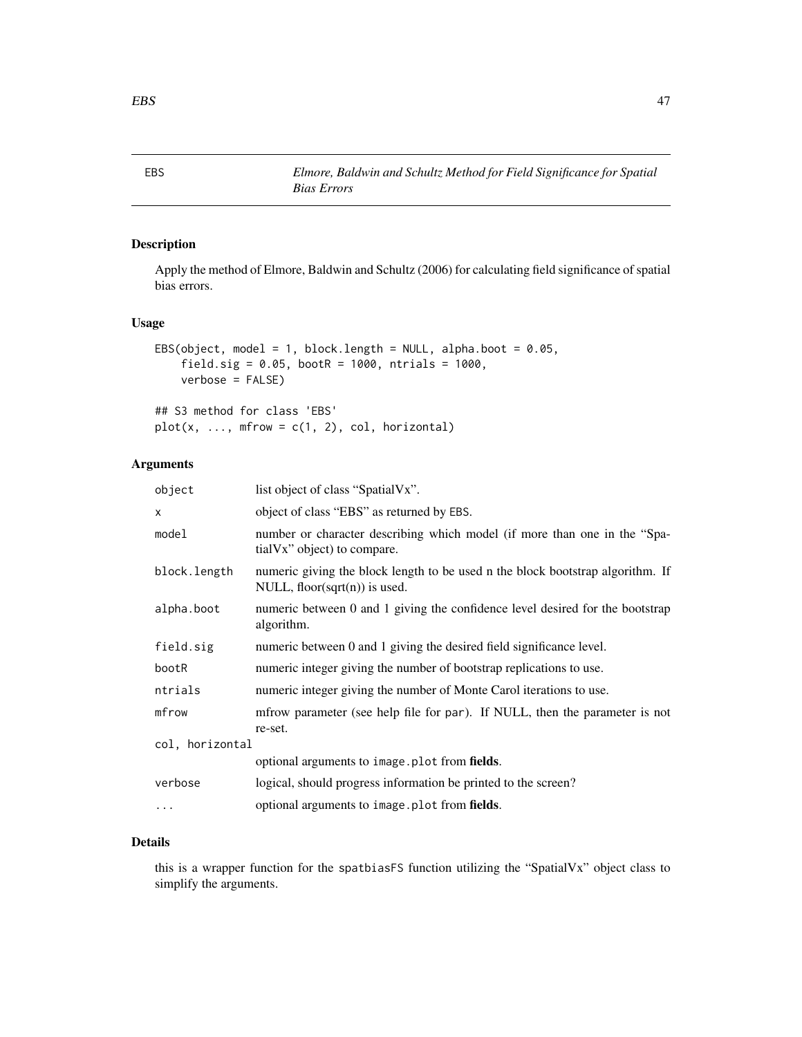# Description

Apply the method of Elmore, Baldwin and Schultz (2006) for calculating field significance of spatial bias errors.

# Usage

```
EBS(object, model = 1, block.length = NULL, alpha.boot = 0.05,
    field.sig = 0.05, bootR = 1000, ntrials = 1000,
    verbose = FALSE)
## S3 method for class 'EBS'
plot(x, ..., mfrow = c(1, 2), col, horizontal)
```
*Bias Errors*

# Arguments

| object          | list object of class "SpatialVx".                                                                               |  |
|-----------------|-----------------------------------------------------------------------------------------------------------------|--|
| x               | object of class "EBS" as returned by EBS.                                                                       |  |
| model           | number or character describing which model (if more than one in the "Spa-<br>tial Vx" object) to compare.       |  |
| block.length    | numeric giving the block length to be used n the block bootstrap algorithm. If<br>NULL, floor(sqrt(n)) is used. |  |
| alpha.boot      | numeric between 0 and 1 giving the confidence level desired for the bootstrap<br>algorithm.                     |  |
| field.sig       | numeric between 0 and 1 giving the desired field significance level.                                            |  |
| bootR           | numeric integer giving the number of bootstrap replications to use.                                             |  |
| ntrials         | numeric integer giving the number of Monte Carol iterations to use.                                             |  |
| mfrow           | mfrow parameter (see help file for par). If NULL, then the parameter is not<br>re-set.                          |  |
| col, horizontal |                                                                                                                 |  |
|                 | optional arguments to image.plot from fields.                                                                   |  |
| verbose         | logical, should progress information be printed to the screen?                                                  |  |
| $\ddots$        | optional arguments to image. plot from fields.                                                                  |  |

# Details

this is a wrapper function for the spatbiasFS function utilizing the "SpatialVx" object class to simplify the arguments.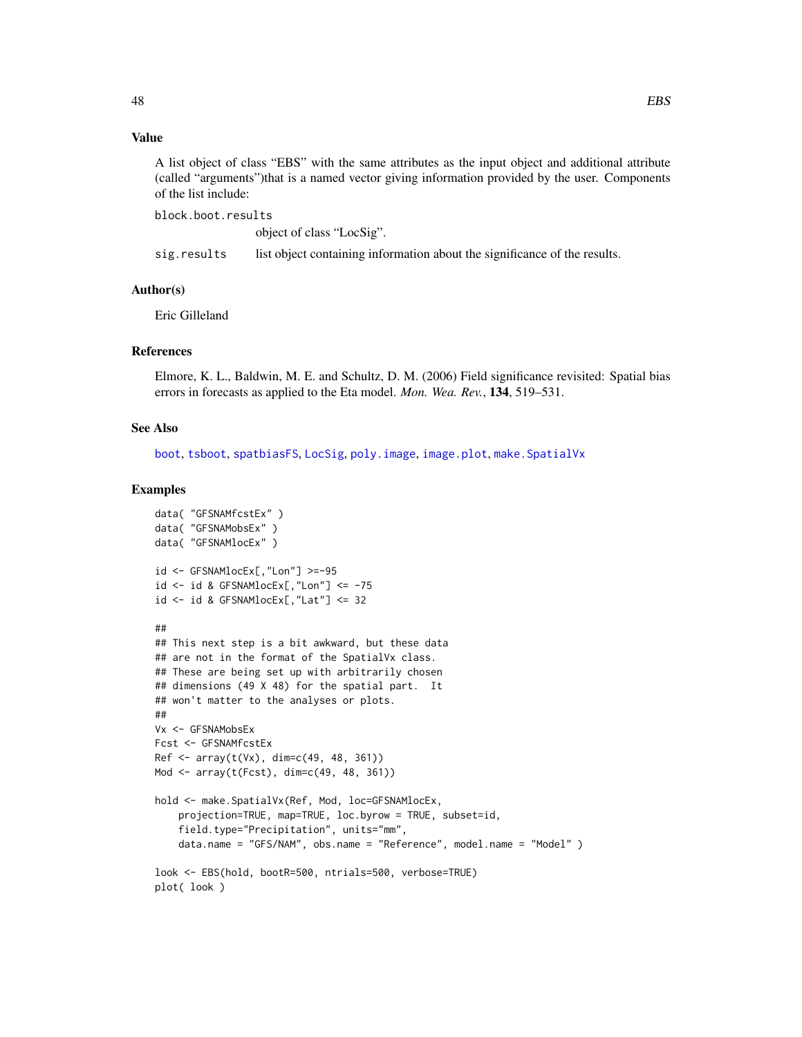# Value

A list object of class "EBS" with the same attributes as the input object and additional attribute (called "arguments")that is a named vector giving information provided by the user. Components of the list include:

block.boot.results

object of class "LocSig".

sig.results list object containing information about the significance of the results.

# Author(s)

Eric Gilleland

#### References

Elmore, K. L., Baldwin, M. E. and Schultz, D. M. (2006) Field significance revisited: Spatial bias errors in forecasts as applied to the Eta model. *Mon. Wea. Rev.*, 134, 519–531.

#### See Also

[boot](#page-0-0), [tsboot](#page-0-0), [spatbiasFS](#page-153-0), [LocSig](#page-108-0), [poly.image](#page-0-0), [image.plot](#page-0-0), [make.SpatialVx](#page-114-0)

#### Examples

```
data( "GFSNAMfcstEx" )
data( "GFSNAMobsEx" )
data( "GFSNAMlocEx" )
id <- GFSNAMlocEx[,"Lon"] >=-95
id <- id & GFSNAMlocEx[,"Lon"] <= -75
id <- id & GFSNAMlocEx[,"Lat"] <= 32
##
## This next step is a bit awkward, but these data
## are not in the format of the SpatialVx class.
## These are being set up with arbitrarily chosen
## dimensions (49 X 48) for the spatial part. It
## won't matter to the analyses or plots.
##
Vx <- GFSNAMobsEx
Fcst <- GFSNAMfcstEx
Ref <- array(t(Vx), dim=c(49, 48, 361))
Mod <- array(t(Fcst), dim=c(49, 48, 361))
hold <- make.SpatialVx(Ref, Mod, loc=GFSNAMlocEx,
    projection=TRUE, map=TRUE, loc.byrow = TRUE, subset=id,
    field.type="Precipitation", units="mm",
    data.name = "GFS/NAM", obs.name = "Reference", model.name = "Model" )
look <- EBS(hold, bootR=500, ntrials=500, verbose=TRUE)
plot( look )
```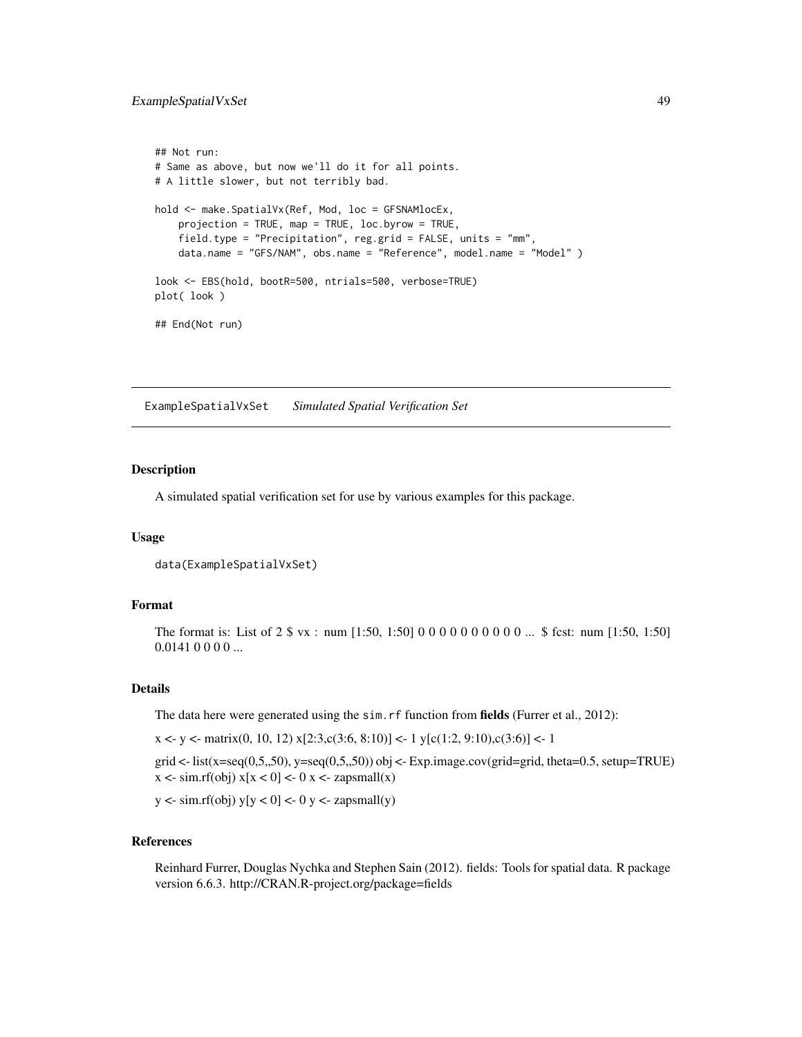# ExampleSpatialVxSet 49

```
## Not run:
# Same as above, but now we'll do it for all points.
# A little slower, but not terribly bad.
hold <- make.SpatialVx(Ref, Mod, loc = GFSNAMlocEx,
   projection = TRUE, map = TRUE, loc.byrow = TRUE,
   field.type = "Precipitation", reg.grid = FALSE, units = "mm",
   data.name = "GFS/NAM", obs.name = "Reference", model.name = "Model" )
look <- EBS(hold, bootR=500, ntrials=500, verbose=TRUE)
plot( look )
## End(Not run)
```
ExampleSpatialVxSet *Simulated Spatial Verification Set*

#### Description

A simulated spatial verification set for use by various examples for this package.

#### Usage

```
data(ExampleSpatialVxSet)
```
# Format

The format is: List of 2 \$ vx : num [1:50, 1:50] 0 0 0 0 0 0 0 0 0 0 ... \$ fcst: num [1:50, 1:50]  $0.01410000...$ 

#### Details

The data here were generated using the sim. rf function from **fields** (Furrer et al., 2012):

 $x \leq y \leq \text{matrix}(0, 10, 12)$   $x[2:3, c(3:6, 8:10)] \leq 1$   $y[c(1:2, 9:10), c(3:6)] \leq 1$ 

grid  $\lt$ - list(x=seq(0,5,,50), y=seq(0,5,,50)) obj  $\lt$ - Exp.image.cov(grid=grid, theta=0.5, setup=TRUE)  $x \leq -\sin(r(\theta)) x[x < 0] < -\cos(r\theta) x \leq -\cos(r\theta) x$ 

 $y \le \text{sim.rf}(\text{obj})$  y[y  $\lt 0$ ]  $\lt -0$  y  $\lt -z$  zapsmall(y)

# References

Reinhard Furrer, Douglas Nychka and Stephen Sain (2012). fields: Tools for spatial data. R package version 6.6.3. http://CRAN.R-project.org/package=fields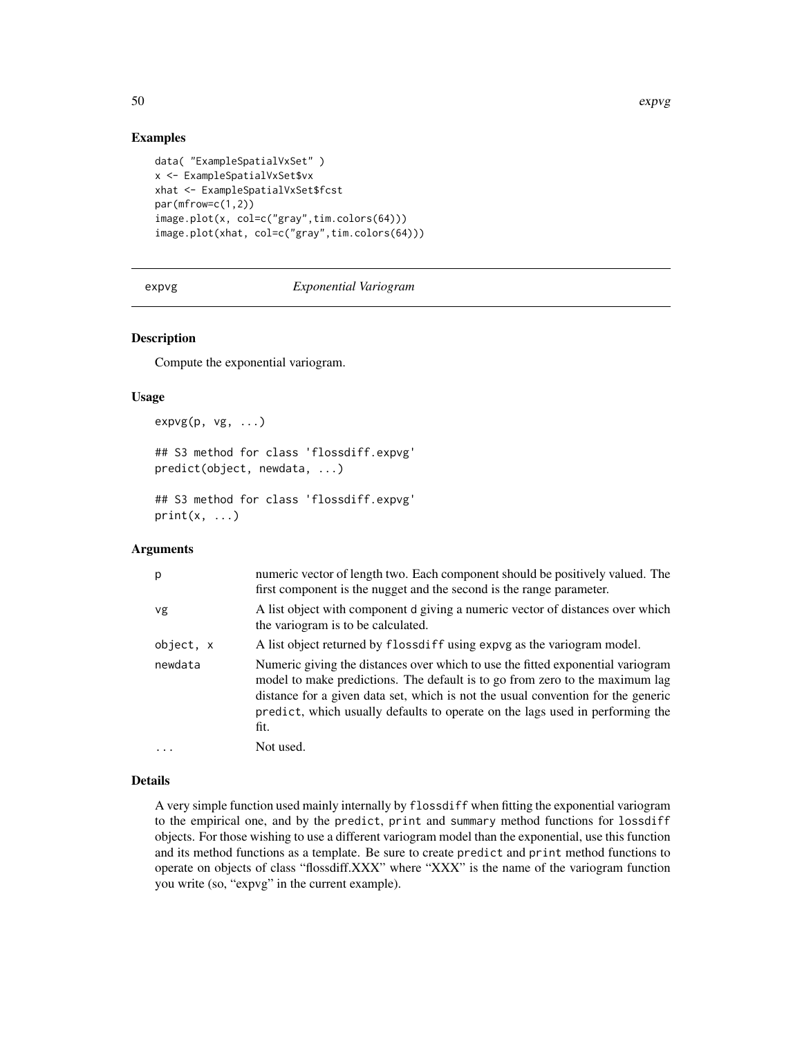# Examples

```
data( "ExampleSpatialVxSet" )
x <- ExampleSpatialVxSet$vx
xhat <- ExampleSpatialVxSet$fcst
par(mfrow=c(1,2))
image.plot(x, col=c("gray",tim.colors(64)))
image.plot(xhat, col=c("gray",tim.colors(64)))
```
expvg *Exponential Variogram*

# Description

Compute the exponential variogram.

#### Usage

 $expvg(p, vg, \ldots)$ ## S3 method for class 'flossdiff.expvg' predict(object, newdata, ...)

```
## S3 method for class 'flossdiff.expvg'
print(x, \ldots)
```
#### Arguments

| р         | numeric vector of length two. Each component should be positively valued. The<br>first component is the nugget and the second is the range parameter.                                                                                                                                                                                        |
|-----------|----------------------------------------------------------------------------------------------------------------------------------------------------------------------------------------------------------------------------------------------------------------------------------------------------------------------------------------------|
| vg        | A list object with component d giving a numeric vector of distances over which<br>the variogram is to be calculated.                                                                                                                                                                                                                         |
| object, x | A list object returned by flossdiff using expvg as the variogram model.                                                                                                                                                                                                                                                                      |
| newdata   | Numeric giving the distances over which to use the fitted exponential variogram<br>model to make predictions. The default is to go from zero to the maximum lag<br>distance for a given data set, which is not the usual convention for the generic<br>predict, which usually defaults to operate on the lags used in performing the<br>fit. |
| $\ddotsc$ | Not used.                                                                                                                                                                                                                                                                                                                                    |

#### Details

A very simple function used mainly internally by flossdiff when fitting the exponential variogram to the empirical one, and by the predict, print and summary method functions for lossdiff objects. For those wishing to use a different variogram model than the exponential, use this function and its method functions as a template. Be sure to create predict and print method functions to operate on objects of class "flossdiff.XXX" where "XXX" is the name of the variogram function you write (so, "expvg" in the current example).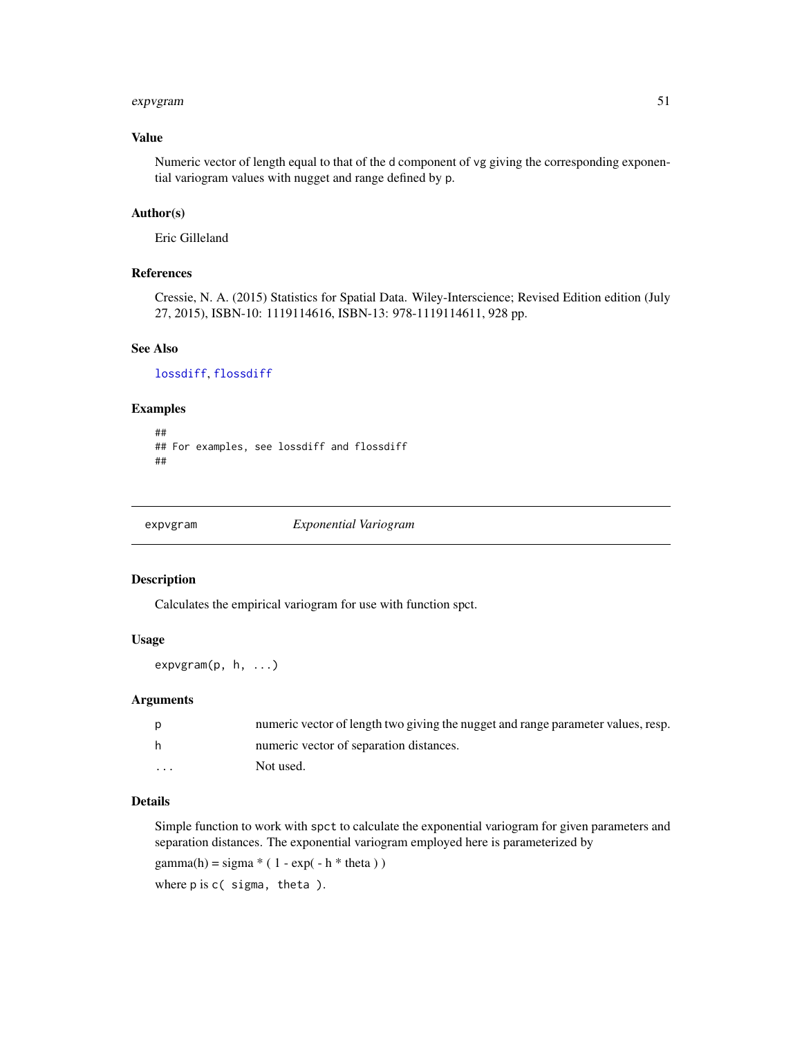#### expvgram 51

# Value

Numeric vector of length equal to that of the d component of vg giving the corresponding exponential variogram values with nugget and range defined by p.

# Author(s)

Eric Gilleland

# References

Cressie, N. A. (2015) Statistics for Spatial Data. Wiley-Interscience; Revised Edition edition (July 27, 2015), ISBN-10: 1119114616, ISBN-13: 978-1119114611, 928 pp.

#### See Also

[lossdiff](#page-110-0), [flossdiff](#page-110-1)

# Examples

```
##
## For examples, see lossdiff and flossdiff
##
```
expvgram *Exponential Variogram*

#### Description

Calculates the empirical variogram for use with function spct.

# Usage

expvgram(p, h, ...)

#### Arguments

| D        | numeric vector of length two giving the nugget and range parameter values, resp. |
|----------|----------------------------------------------------------------------------------|
| h        | numeric vector of separation distances.                                          |
| $\cdots$ | Not used.                                                                        |

#### Details

Simple function to work with spct to calculate the exponential variogram for given parameters and separation distances. The exponential variogram employed here is parameterized by

gamma(h) = sigma  $*(1 - \exp(-h * \theta))$ 

where p is c( sigma, theta ).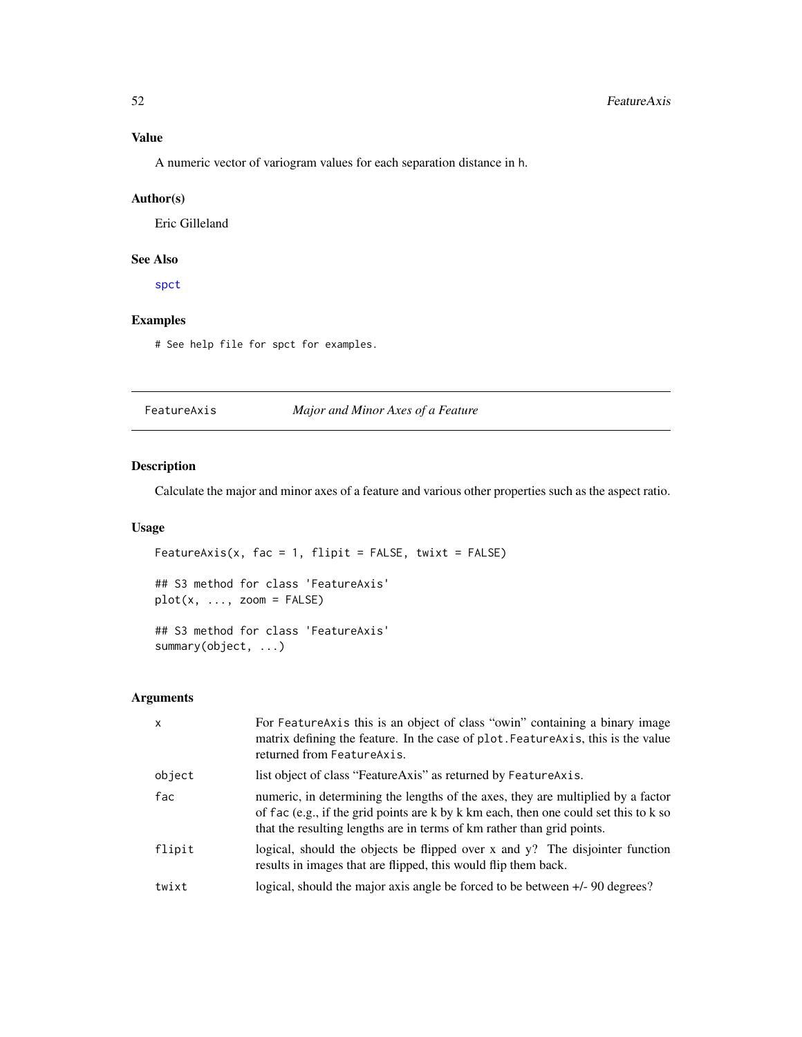# Value

A numeric vector of variogram values for each separation distance in h.

# Author(s)

Eric Gilleland

# See Also

[spct](#page-154-0)

# Examples

# See help file for spct for examples.

<span id="page-51-0"></span>FeatureAxis *Major and Minor Axes of a Feature*

# Description

Calculate the major and minor axes of a feature and various other properties such as the aspect ratio.

# Usage

```
FeatureAxis(x, fac = 1, flipit = FALSE, twixt = FALSE)
## S3 method for class 'FeatureAxis'
plot(x, ..., zoom = FALSE)## S3 method for class 'FeatureAxis'
summary(object, ...)
```
# Arguments

| $\mathsf{x}$ | For FeatureAxis this is an object of class "owin" containing a binary image<br>matrix defining the feature. In the case of plot. Feature Axis, this is the value<br>returned from FeatureAxis.                                                     |
|--------------|----------------------------------------------------------------------------------------------------------------------------------------------------------------------------------------------------------------------------------------------------|
| object       | list object of class "FeatureAxis" as returned by FeatureAxis.                                                                                                                                                                                     |
| fac          | numeric, in determining the lengths of the axes, they are multiplied by a factor<br>of fac (e.g., if the grid points are k by k km each, then one could set this to k so<br>that the resulting lengths are in terms of km rather than grid points. |
| flipit       | logical, should the objects be flipped over x and y? The disjointer function<br>results in images that are flipped, this would flip them back.                                                                                                     |
| twixt        | logical, should the major axis angle be forced to be between $+/-90$ degrees?                                                                                                                                                                      |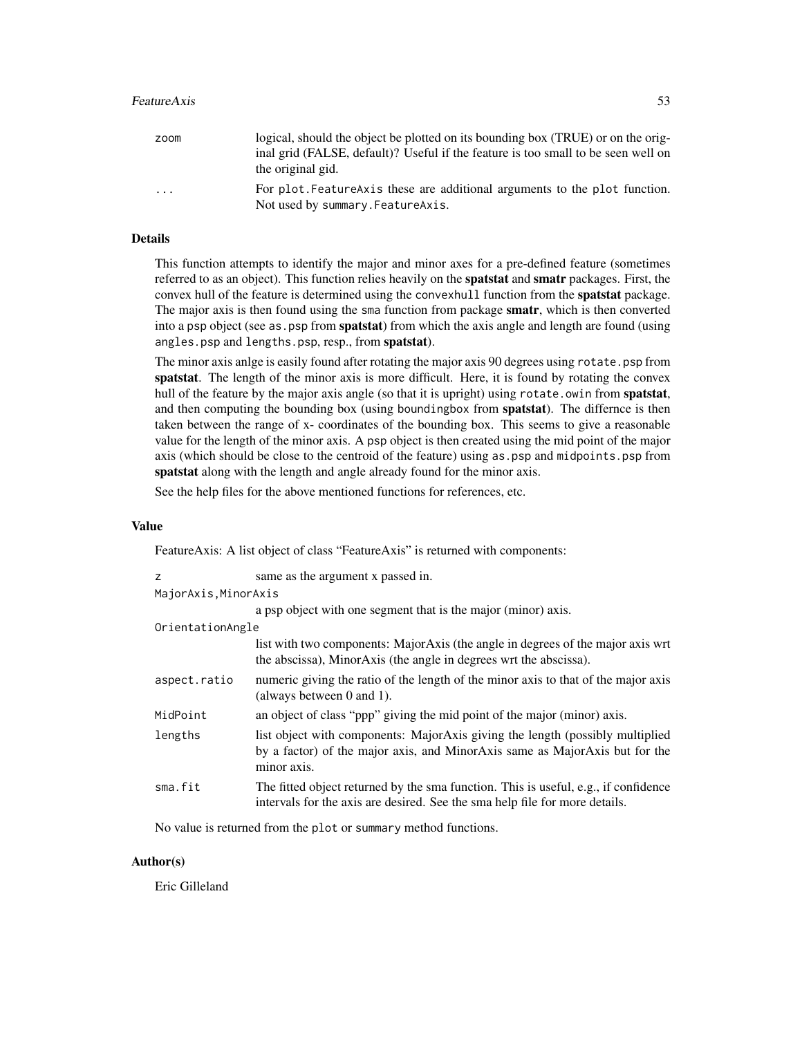#### FeatureAxis 53

| zoom                    | logical, should the object be plotted on its bounding box (TRUE) or on the orig-<br>inal grid (FALSE, default)? Useful if the feature is too small to be seen well on<br>the original gid. |
|-------------------------|--------------------------------------------------------------------------------------------------------------------------------------------------------------------------------------------|
| $\cdot$ $\cdot$ $\cdot$ | For plot. Feature Axis these are additional arguments to the plot function.<br>Not used by summary. Feature Axis.                                                                          |

# Details

This function attempts to identify the major and minor axes for a pre-defined feature (sometimes referred to as an object). This function relies heavily on the spatstat and smatr packages. First, the convex hull of the feature is determined using the convexhull function from the **spatstat** package. The major axis is then found using the sma function from package **smatr**, which is then converted into a psp object (see as.psp from **spatstat**) from which the axis angle and length are found (using angles.psp and lengths.psp, resp., from spatstat).

The minor axis anlge is easily found after rotating the major axis 90 degrees using rotate. psp from spatstat. The length of the minor axis is more difficult. Here, it is found by rotating the convex hull of the feature by the major axis angle (so that it is upright) using rotate.owin from spatstat, and then computing the bounding box (using boundingbox from **spatstat**). The differnce is then taken between the range of x- coordinates of the bounding box. This seems to give a reasonable value for the length of the minor axis. A psp object is then created using the mid point of the major axis (which should be close to the centroid of the feature) using as.psp and midpoints.psp from spatstat along with the length and angle already found for the minor axis.

See the help files for the above mentioned functions for references, etc.

#### Value

FeatureAxis: A list object of class "FeatureAxis" is returned with components:

| z                    | same as the argument x passed in.                                                                                                                                           |
|----------------------|-----------------------------------------------------------------------------------------------------------------------------------------------------------------------------|
| MajorAxis, MinorAxis |                                                                                                                                                                             |
|                      | a psp object with one segment that is the major (minor) axis.                                                                                                               |
| OrientationAngle     |                                                                                                                                                                             |
|                      | list with two components: MajorAxis (the angle in degrees of the major axis wrt<br>the abscissa), MinorAxis (the angle in degrees wrt the abscissa).                        |
| aspect.ratio         | numeric giving the ratio of the length of the minor axis to that of the major axis<br>(always between $0$ and $1$ ).                                                        |
| MidPoint             | an object of class "ppp" giving the mid point of the major (minor) axis.                                                                                                    |
| lengths              | list object with components: MajorAxis giving the length (possibly multiplied<br>by a factor) of the major axis, and MinorAxis same as MajorAxis but for the<br>minor axis. |
| sma.fit              | The fitted object returned by the sma function. This is useful, e.g., if confidence<br>intervals for the axis are desired. See the sma help file for more details.          |

No value is returned from the plot or summary method functions.

# Author(s)

Eric Gilleland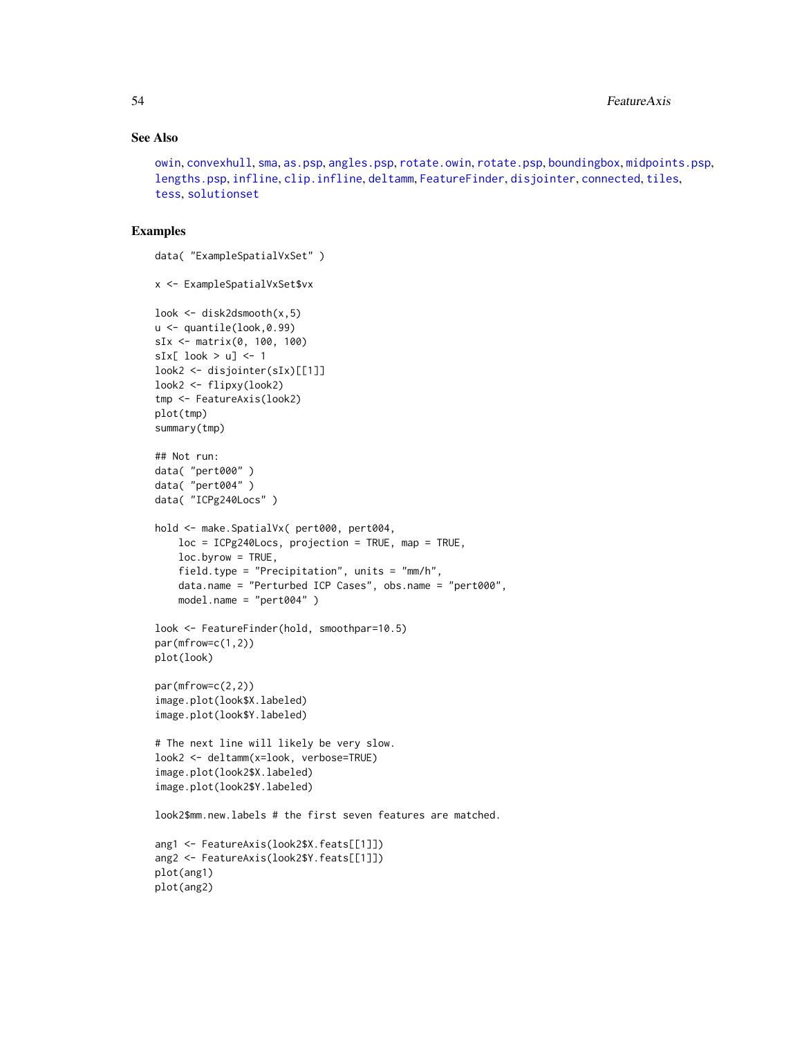# See Also

```
owin, convexhull, sma, as.psp, angles.psp, rotate.owin, rotate.psp, boundingbox, midpoints.psp,
lengths.psp, infline, clip.infline, deltamm, FeatureFinder, disjointer, connected, tiles,
tess, solutionset
```
#### Examples

```
data( "ExampleSpatialVxSet" )
x <- ExampleSpatialVxSet$vx
look <- disk2dsmooth(x,5)
u <- quantile(look,0.99)
sIx <- matrix(0, 100, 100)
sIx[ look > u] <- 1
look2 <- disjointer(sIx)[[1]]
look2 <- flipxy(look2)
tmp <- FeatureAxis(look2)
plot(tmp)
summary(tmp)
## Not run:
data( "pert000" )
data( "pert004" )
data( "ICPg240Locs" )
hold <- make.SpatialVx( pert000, pert004,
   loc = ICPg240Loss, projection = TRUE, map = TRUE,
    loc.byrow = TRUE,
    field.type = "Precipitation", units = "mm/h",
    data.name = "Perturbed ICP Cases", obs.name = "pert000",
   model.name = "pert004" )
look <- FeatureFinder(hold, smoothpar=10.5)
par(mfrow=c(1,2))
plot(look)
par(mfrow=c(2,2))
image.plot(look$X.labeled)
image.plot(look$Y.labeled)
# The next line will likely be very slow.
look2 <- deltamm(x=look, verbose=TRUE)
image.plot(look2$X.labeled)
image.plot(look2$Y.labeled)
look2$mm.new.labels # the first seven features are matched.
ang1 <- FeatureAxis(look2$X.feats[[1]])
ang2 <- FeatureAxis(look2$Y.feats[[1]])
plot(ang1)
plot(ang2)
```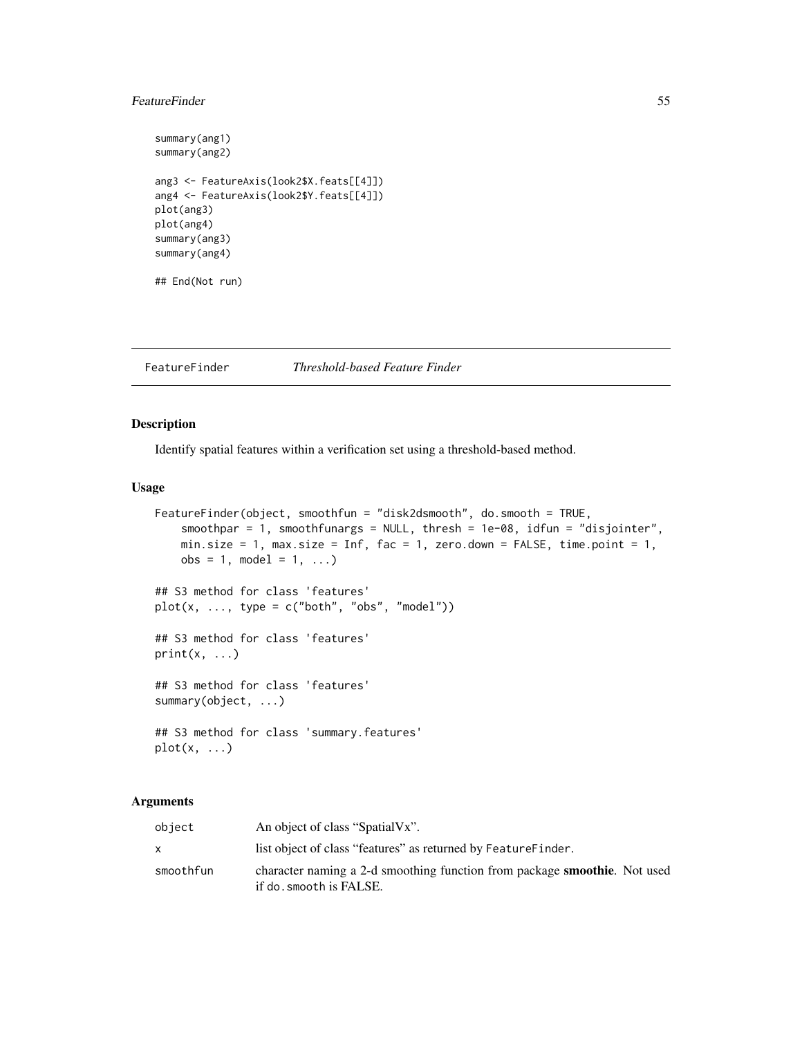# FeatureFinder 55

```
summary(ang1)
summary(ang2)
ang3 <- FeatureAxis(look2$X.feats[[4]])
ang4 <- FeatureAxis(look2$Y.feats[[4]])
plot(ang3)
plot(ang4)
summary(ang3)
summary(ang4)
## End(Not run)
```
# <span id="page-54-0"></span>FeatureFinder *Threshold-based Feature Finder*

# Description

Identify spatial features within a verification set using a threshold-based method.

#### Usage

```
FeatureFinder(object, smoothfun = "disk2dsmooth", do.smooth = TRUE,
    smoothpar = 1, smoothfunargs = NULL, thresh = 1e-08, idfun = "disjointer",
   min.size = 1, max.size = Inf, fac = 1, zero.down = FALSE, time.point = 1,
    obs = 1, model = 1, ...)
## S3 method for class 'features'
plot(x, ..., type = c("both", "obs", "model"))## S3 method for class 'features'
print(x, \ldots)## S3 method for class 'features'
summary(object, ...)
## S3 method for class 'summary.features'
plot(x, ...)
```
# **Arguments**

| object    | An object of class "SpatialVx".                                                                             |
|-----------|-------------------------------------------------------------------------------------------------------------|
|           | list object of class "features" as returned by Feature Finder.                                              |
| smoothfun | character naming a 2-d smoothing function from package <b>smoothie</b> . Not used<br>if do.smooth is FALSE. |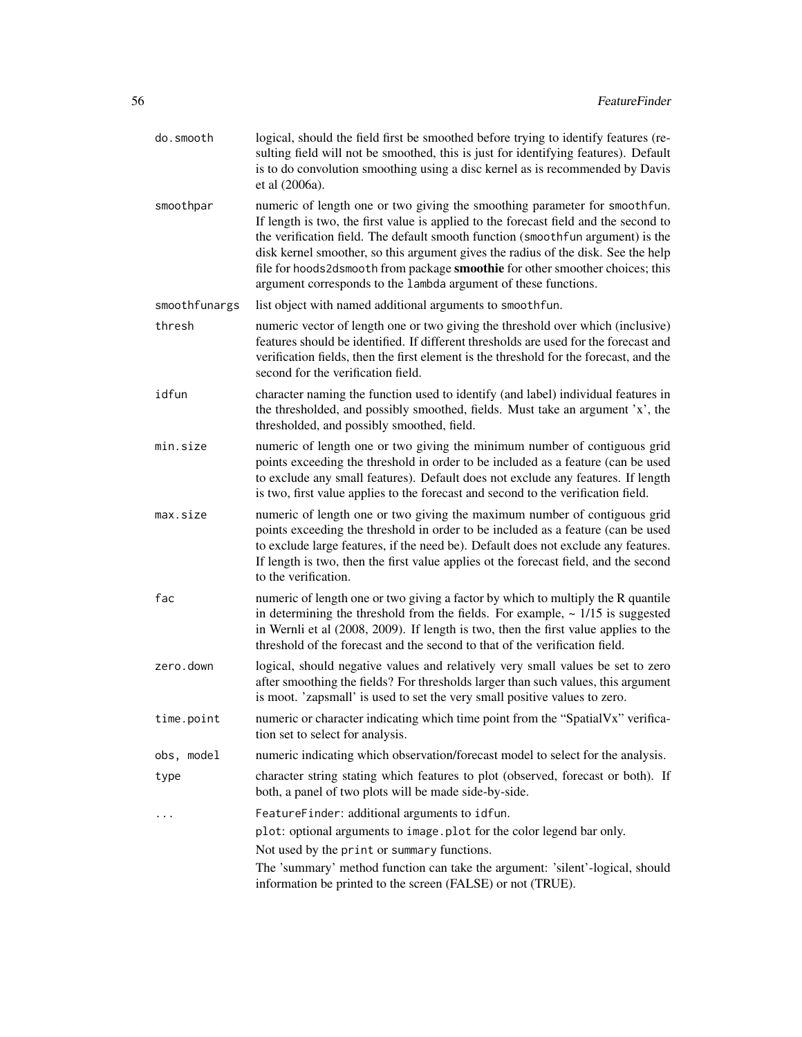- do.smooth logical, should the field first be smoothed before trying to identify features (resulting field will not be smoothed, this is just for identifying features). Default is to do convolution smoothing using a disc kernel as is recommended by Davis et al (2006a).
- smoothpar numeric of length one or two giving the smoothing parameter for smoothfun. If length is two, the first value is applied to the forecast field and the second to the verification field. The default smooth function (smoothfun argument) is the disk kernel smoother, so this argument gives the radius of the disk. See the help file for hoods2dsmooth from package **smoothie** for other smoother choices; this argument corresponds to the lambda argument of these functions.

smoothfunargs list object with named additional arguments to smoothfun.

- thresh numeric vector of length one or two giving the threshold over which (inclusive) features should be identified. If different thresholds are used for the forecast and verification fields, then the first element is the threshold for the forecast, and the second for the verification field.
- idfun character naming the function used to identify (and label) individual features in the thresholded, and possibly smoothed, fields. Must take an argument 'x', the thresholded, and possibly smoothed, field.
- min.size numeric of length one or two giving the minimum number of contiguous grid points exceeding the threshold in order to be included as a feature (can be used to exclude any small features). Default does not exclude any features. If length is two, first value applies to the forecast and second to the verification field.
- max.size numeric of length one or two giving the maximum number of contiguous grid points exceeding the threshold in order to be included as a feature (can be used to exclude large features, if the need be). Default does not exclude any features. If length is two, then the first value applies ot the forecast field, and the second to the verification.
- fac numeric of length one or two giving a factor by which to multiply the R quantile in determining the threshold from the fields. For example,  $\sim 1/15$  is suggested in Wernli et al (2008, 2009). If length is two, then the first value applies to the threshold of the forecast and the second to that of the verification field.
- zero.down logical, should negative values and relatively very small values be set to zero after smoothing the fields? For thresholds larger than such values, this argument is moot. 'zapsmall' is used to set the very small positive values to zero.
- time.point numeric or character indicating which time point from the "SpatialVx" verification set to select for analysis.
- obs, model numeric indicating which observation/forecast model to select for the analysis.
- type character string stating which features to plot (observed, forecast or both). If both, a panel of two plots will be made side-by-side.
- ... FeatureFinder: additional arguments to idfun.

plot: optional arguments to image.plot for the color legend bar only.

Not used by the print or summary functions.

The 'summary' method function can take the argument: 'silent'-logical, should information be printed to the screen (FALSE) or not (TRUE).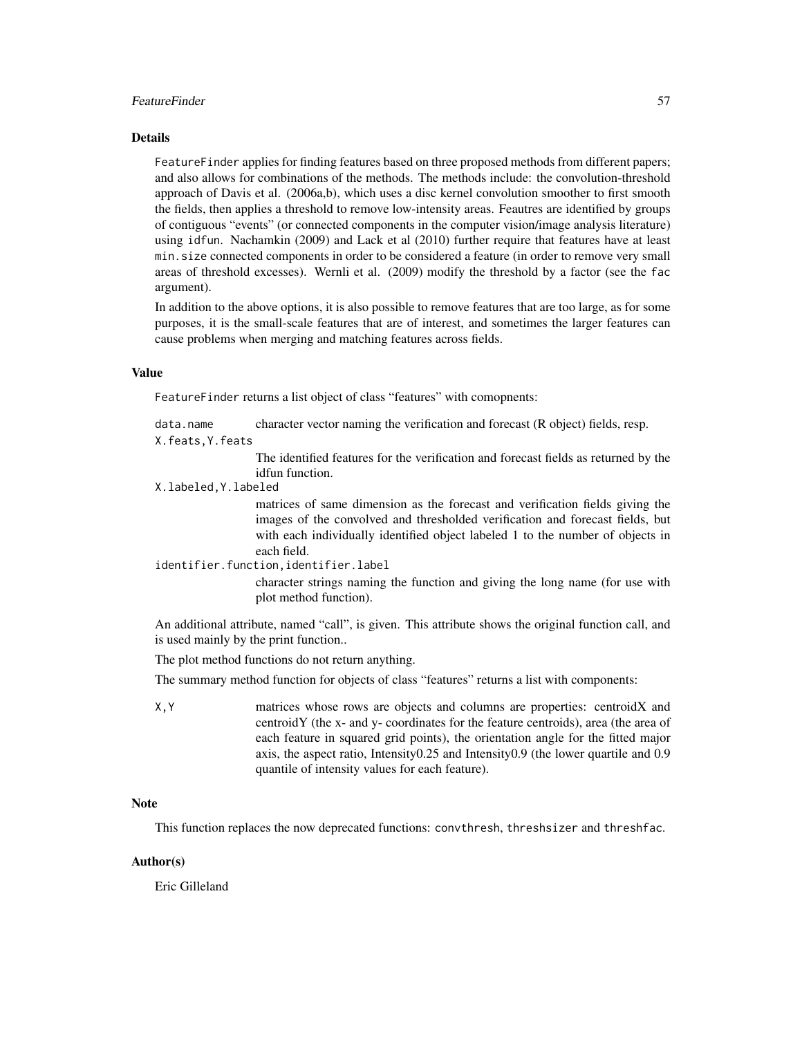# FeatureFinder 57

#### Details

FeatureFinder applies for finding features based on three proposed methods from different papers; and also allows for combinations of the methods. The methods include: the convolution-threshold approach of Davis et al. (2006a,b), which uses a disc kernel convolution smoother to first smooth the fields, then applies a threshold to remove low-intensity areas. Feautres are identified by groups of contiguous "events" (or connected components in the computer vision/image analysis literature) using idfun. Nachamkin (2009) and Lack et al (2010) further require that features have at least min.size connected components in order to be considered a feature (in order to remove very small areas of threshold excesses). Wernli et al. (2009) modify the threshold by a factor (see the fac argument).

In addition to the above options, it is also possible to remove features that are too large, as for some purposes, it is the small-scale features that are of interest, and sometimes the larger features can cause problems when merging and matching features across fields.

#### Value

FeatureFinder returns a list object of class "features" with comopnents:

data.name character vector naming the verification and forecast (R object) fields, resp.

X.feats,Y.feats

The identified features for the verification and forecast fields as returned by the idfun function.

#### X.labeled,Y.labeled

matrices of same dimension as the forecast and verification fields giving the images of the convolved and thresholded verification and forecast fields, but with each individually identified object labeled 1 to the number of objects in each field.

# identifier.function,identifier.label

character strings naming the function and giving the long name (for use with plot method function).

An additional attribute, named "call", is given. This attribute shows the original function call, and is used mainly by the print function..

The plot method functions do not return anything.

The summary method function for objects of class "features" returns a list with components:

X,Y matrices whose rows are objects and columns are properties: centroidX and centroidY (the x- and y- coordinates for the feature centroids), area (the area of each feature in squared grid points), the orientation angle for the fitted major axis, the aspect ratio, Intensity0.25 and Intensity0.9 (the lower quartile and 0.9 quantile of intensity values for each feature).

#### **Note**

This function replaces the now deprecated functions: convthresh, threshsizer and threshfac.

# Author(s)

Eric Gilleland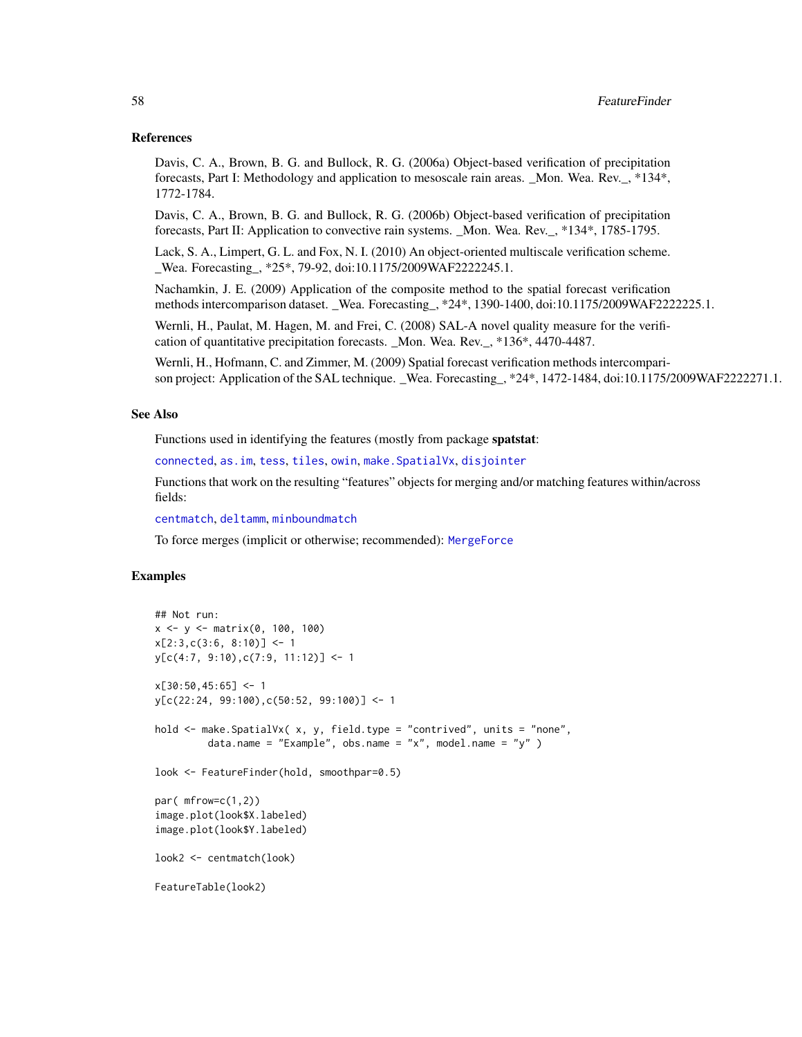#### References

Davis, C. A., Brown, B. G. and Bullock, R. G. (2006a) Object-based verification of precipitation forecasts, Part I: Methodology and application to mesoscale rain areas. \_Mon. Wea. Rev.\_, \*134\*, 1772-1784.

Davis, C. A., Brown, B. G. and Bullock, R. G. (2006b) Object-based verification of precipitation forecasts, Part II: Application to convective rain systems. \_Mon. Wea. Rev.\_, \*134\*, 1785-1795.

Lack, S. A., Limpert, G. L. and Fox, N. I. (2010) An object-oriented multiscale verification scheme. Wea. Forecasting, \*25\*, 79-92, doi:10.1175/2009WAF2222245.1.

Nachamkin, J. E. (2009) Application of the composite method to the spatial forecast verification methods intercomparison dataset. \_Wea. Forecasting\_, \*24\*, 1390-1400, doi:10.1175/2009WAF2222225.1.

Wernli, H., Paulat, M. Hagen, M. and Frei, C. (2008) SAL-A novel quality measure for the verification of quantitative precipitation forecasts. \_Mon. Wea. Rev.\_, \*136\*, 4470-4487.

Wernli, H., Hofmann, C. and Zimmer, M. (2009) Spatial forecast verification methods intercomparison project: Application of the SAL technique. \_Wea. Forecasting\_, \*24\*, 1472-1484, doi:10.1175/2009WAF2222271.1.

#### See Also

Functions used in identifying the features (mostly from package spatstat:

[connected](#page-0-0), [as.im](#page-0-0), [tess](#page-0-0), [tiles](#page-0-0), [owin](#page-0-0), [make.SpatialVx](#page-114-0), [disjointer](#page-44-0)

Functions that work on the resulting "features" objects for merging and/or matching features within/across fields:

[centmatch](#page-39-1), [deltamm](#page-39-0), [minboundmatch](#page-129-0)

To force merges (implicit or otherwise; recommended): [MergeForce](#page-122-0)

## Examples

```
## Not run:
x \le -y \le - matrix(0, 100, 100)
x[2:3,c(3:6, 8:10)] \leftarrow 1y[c(4:7, 9:10), c(7:9, 11:12)] <- 1
x[30:50, 45:65] <- 1
y[c(22:24, 99:100),c(50:52, 99:100)] <- 1
hold <- make.SpatialVx( x, y, field.type = "contrived", units = "none",
         data.name = "Example", obs.name = "x", model.name = "y" )
look <- FeatureFinder(hold, smoothpar=0.5)
par( mfrow=c(1,2))
image.plot(look$X.labeled)
image.plot(look$Y.labeled)
look2 <- centmatch(look)
FeatureTable(look2)
```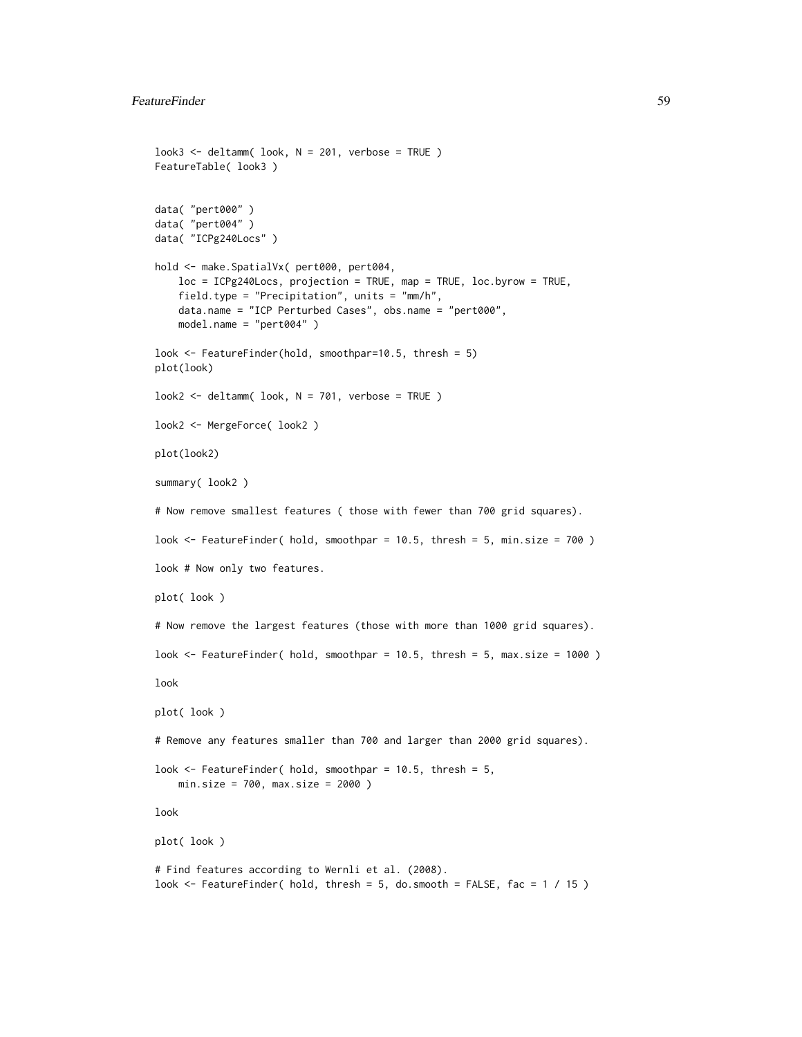```
look3 < - deltamm( look, N = 201, verbose = TRUE )
FeatureTable( look3 )
data( "pert000" )
data( "pert004" )
data( "ICPg240Locs" )
hold <- make.SpatialVx( pert000, pert004,
    loc = ICPg240Locs, projection = TRUE, map = TRUE, loc.byrow = TRUE,
    field.type = "Precipitation", units = "mm/h",
    data.name = "ICP Perturbed Cases", obs.name = "pert000",
   model.name = "pert004" )
look <- FeatureFinder(hold, smoothpar=10.5, thresh = 5)
plot(look)
look2 < - deltamm( look, N = 701, verbose = TRUE )
look2 <- MergeForce( look2 )
plot(look2)
summary( look2 )
# Now remove smallest features ( those with fewer than 700 grid squares).
look <- FeatureFinder( hold, smoothpar = 10.5, thresh = 5, min.size = 700 )
look # Now only two features.
plot( look )
# Now remove the largest features (those with more than 1000 grid squares).
look \le FeatureFinder( hold, smoothpar = 10.5, thresh = 5, max.size = 1000)
look
plot( look )
# Remove any features smaller than 700 and larger than 2000 grid squares).
look <- FeatureFinder( hold, smoothpar = 10.5, thresh = 5,
    min.size = 700, max.size = 2000 )
look
plot( look )
# Find features according to Wernli et al. (2008).
look \le FeatureFinder( hold, thresh = 5, do.smooth = FALSE, fac = 1 / 15)
```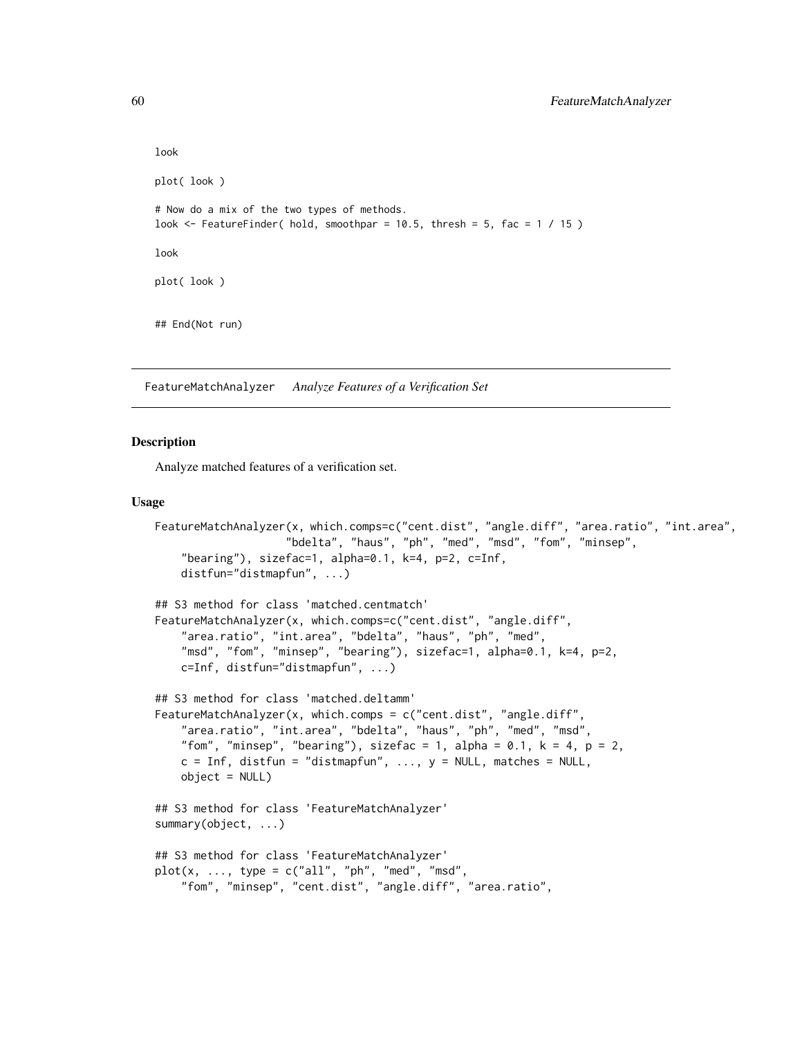```
look
plot( look )
# Now do a mix of the two types of methods.
look \le FeatureFinder( hold, smoothpar = 10.5, thresh = 5, fac = 1 / 15)
look
plot( look )
## End(Not run)
```
FeatureMatchAnalyzer *Analyze Features of a Verification Set*

#### Description

Analyze matched features of a verification set.

#### Usage

```
FeatureMatchAnalyzer(x, which.comps=c("cent.dist", "angle.diff", "area.ratio", "int.area",
                    "bdelta", "haus", "ph", "med", "msd", "fom", "minsep",
    "bearing"), sizefac=1, alpha=0.1, k=4, p=2, c=Inf,
    distfun="distmapfun", ...)
## S3 method for class 'matched.centmatch'
FeatureMatchAnalyzer(x, which.comps=c("cent.dist", "angle.diff",
    "area.ratio", "int.area", "bdelta", "haus", "ph", "med",
    "msd", "fom", "minsep", "bearing"), sizefac=1, alpha=0.1, k=4, p=2,
   c=Inf, distfun="distmapfun", ...)
## S3 method for class 'matched.deltamm'
FeatureMatchAnalyzer(x, which.comps = c("cent.dist", "angle.diff",
    "area.ratio", "int.area", "bdelta", "haus", "ph", "med", "msd",
    "fom", "minsep", "bearing"), sizefac = 1, alpha = 0.1, k = 4, p = 2,
   c = Inf, distfun = "distmapfun", ..., y = NULL, matches = NULL,
   object = NULL)## S3 method for class 'FeatureMatchAnalyzer'
summary(object, ...)
## S3 method for class 'FeatureMatchAnalyzer'
plot(x, ..., type = c("all", "ph", "med", "msd","fom", "minsep", "cent.dist", "angle.diff", "area.ratio",
```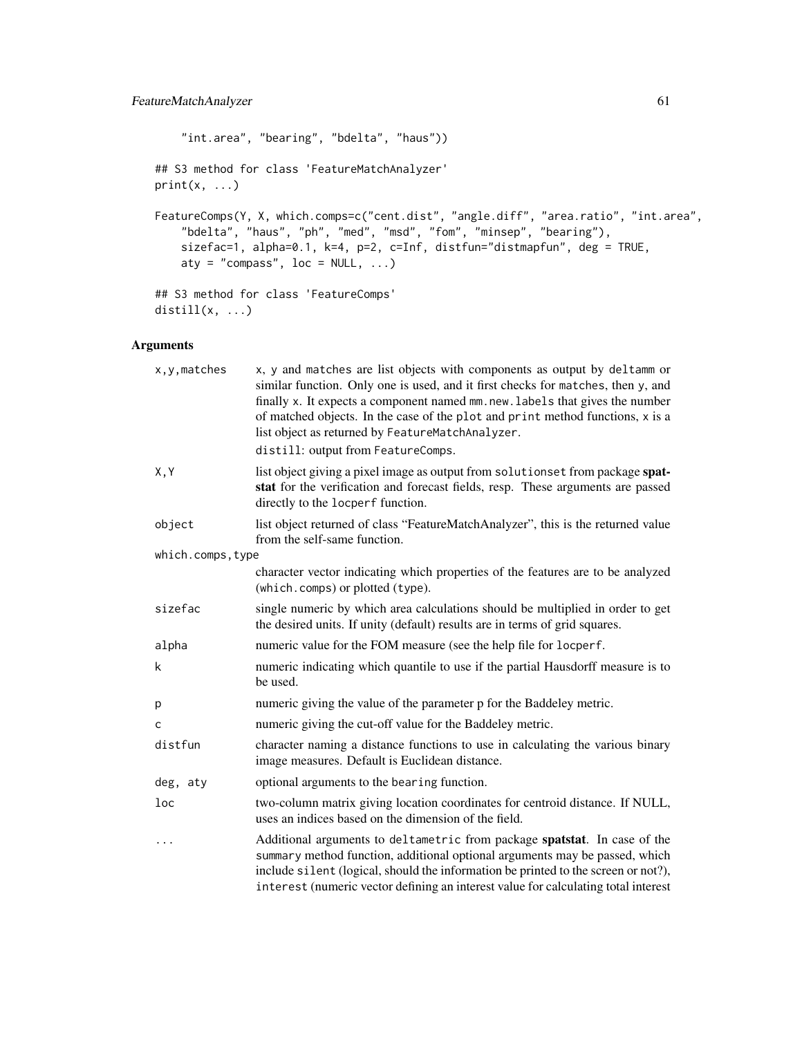"int.area", "bearing", "bdelta", "haus")) ## S3 method for class 'FeatureMatchAnalyzer'  $print(x, \ldots)$ FeatureComps(Y, X, which.comps=c("cent.dist", "angle.diff", "area.ratio", "int.area", "bdelta", "haus", "ph", "med", "msd", "fom", "minsep", "bearing"), sizefac=1, alpha=0.1, k=4, p=2, c=Inf, distfun="distmapfun", deg = TRUE, aty = "compass",  $loc = NULL, ...$ ) ## S3 method for class 'FeatureComps' distill $(x, \ldots)$ 

# Arguments

| x, y, matches     | x, y and matches are list objects with components as output by deltamm or<br>similar function. Only one is used, and it first checks for matches, then y, and<br>finally x. It expects a component named mm.new.labels that gives the number<br>of matched objects. In the case of the plot and print method functions, x is a<br>list object as returned by FeatureMatchAnalyzer. |  |
|-------------------|------------------------------------------------------------------------------------------------------------------------------------------------------------------------------------------------------------------------------------------------------------------------------------------------------------------------------------------------------------------------------------|--|
|                   | distill: output from FeatureComps.                                                                                                                                                                                                                                                                                                                                                 |  |
| X, Y              | list object giving a pixel image as output from solutionset from package spat-<br>stat for the verification and forecast fields, resp. These arguments are passed<br>directly to the locperf function.                                                                                                                                                                             |  |
| object            | list object returned of class "FeatureMatchAnalyzer", this is the returned value<br>from the self-same function.                                                                                                                                                                                                                                                                   |  |
| which.comps, type |                                                                                                                                                                                                                                                                                                                                                                                    |  |
|                   | character vector indicating which properties of the features are to be analyzed<br>(which.comps) or plotted (type).                                                                                                                                                                                                                                                                |  |
| sizefac           | single numeric by which area calculations should be multiplied in order to get<br>the desired units. If unity (default) results are in terms of grid squares.                                                                                                                                                                                                                      |  |
| alpha             | numeric value for the FOM measure (see the help file for locperf.                                                                                                                                                                                                                                                                                                                  |  |
| k                 | numeric indicating which quantile to use if the partial Hausdorff measure is to<br>be used.                                                                                                                                                                                                                                                                                        |  |
| р                 | numeric giving the value of the parameter p for the Baddeley metric.                                                                                                                                                                                                                                                                                                               |  |
| C                 | numeric giving the cut-off value for the Baddeley metric.                                                                                                                                                                                                                                                                                                                          |  |
| distfun           | character naming a distance functions to use in calculating the various binary<br>image measures. Default is Euclidean distance.                                                                                                                                                                                                                                                   |  |
| deg, aty          | optional arguments to the bearing function.                                                                                                                                                                                                                                                                                                                                        |  |
| loc               | two-column matrix giving location coordinates for centroid distance. If NULL,<br>uses an indices based on the dimension of the field.                                                                                                                                                                                                                                              |  |
| .                 | Additional arguments to deltametric from package spatstat. In case of the<br>summary method function, additional optional arguments may be passed, which<br>include silent (logical, should the information be printed to the screen or not?),<br>interest (numeric vector defining an interest value for calculating total interest                                               |  |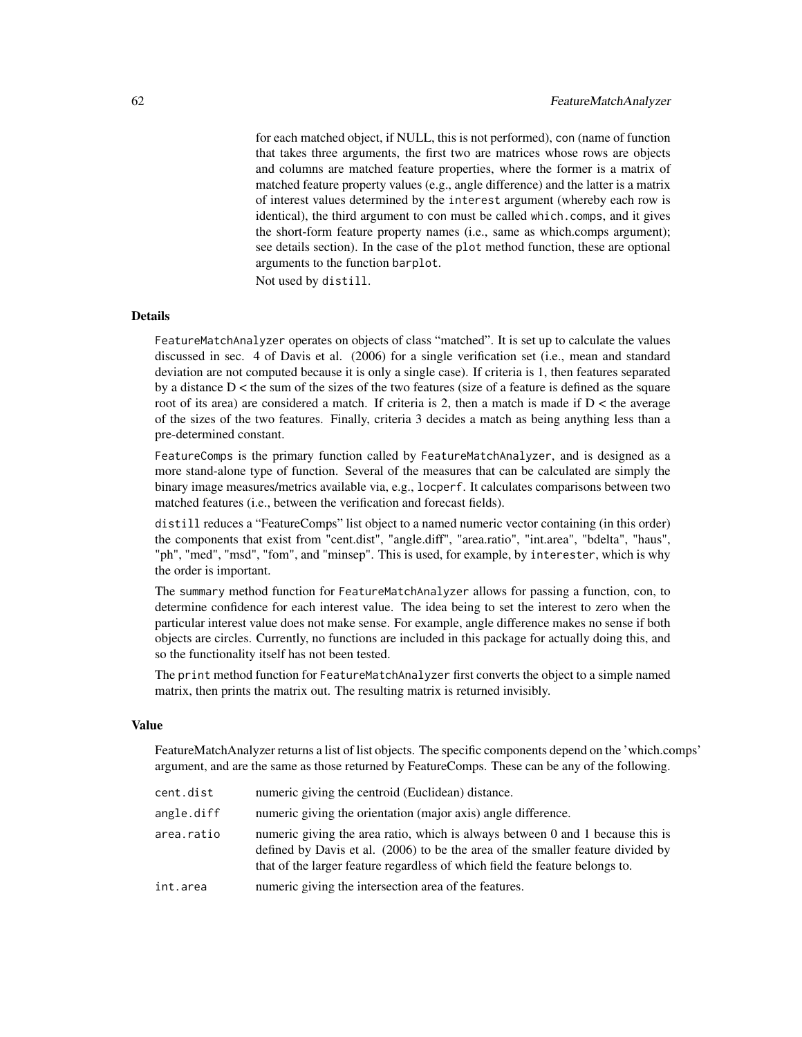for each matched object, if NULL, this is not performed), con (name of function that takes three arguments, the first two are matrices whose rows are objects and columns are matched feature properties, where the former is a matrix of matched feature property values (e.g., angle difference) and the latter is a matrix of interest values determined by the interest argument (whereby each row is identical), the third argument to con must be called which.comps, and it gives the short-form feature property names (i.e., same as which.comps argument); see details section). In the case of the plot method function, these are optional arguments to the function barplot.

Not used by distill.

# **Details**

FeatureMatchAnalyzer operates on objects of class "matched". It is set up to calculate the values discussed in sec. 4 of Davis et al. (2006) for a single verification set (i.e., mean and standard deviation are not computed because it is only a single case). If criteria is 1, then features separated by a distance D < the sum of the sizes of the two features (size of a feature is defined as the square root of its area) are considered a match. If criteria is 2, then a match is made if  $D <$  the average of the sizes of the two features. Finally, criteria 3 decides a match as being anything less than a pre-determined constant.

FeatureComps is the primary function called by FeatureMatchAnalyzer, and is designed as a more stand-alone type of function. Several of the measures that can be calculated are simply the binary image measures/metrics available via, e.g., locperf. It calculates comparisons between two matched features (i.e., between the verification and forecast fields).

distill reduces a "FeatureComps" list object to a named numeric vector containing (in this order) the components that exist from "cent.dist", "angle.diff", "area.ratio", "int.area", "bdelta", "haus", "ph", "med", "msd", "fom", and "minsep". This is used, for example, by interester, which is why the order is important.

The summary method function for FeatureMatchAnalyzer allows for passing a function, con, to determine confidence for each interest value. The idea being to set the interest to zero when the particular interest value does not make sense. For example, angle difference makes no sense if both objects are circles. Currently, no functions are included in this package for actually doing this, and so the functionality itself has not been tested.

The print method function for FeatureMatchAnalyzer first converts the object to a simple named matrix, then prints the matrix out. The resulting matrix is returned invisibly.

#### Value

FeatureMatchAnalyzer returns a list of list objects. The specific components depend on the 'which.comps' argument, and are the same as those returned by FeatureComps. These can be any of the following.

| cent.dist  | numeric giving the centroid (Euclidean) distance.                                                                                                                                                                                                 |  |
|------------|---------------------------------------------------------------------------------------------------------------------------------------------------------------------------------------------------------------------------------------------------|--|
| angle.diff | numeric giving the orientation (major axis) angle difference.                                                                                                                                                                                     |  |
| area.ratio | numeric giving the area ratio, which is always between 0 and 1 because this is<br>defined by Davis et al. (2006) to be the area of the smaller feature divided by<br>that of the larger feature regardless of which field the feature belongs to. |  |
| int.area   | numeric giving the intersection area of the features.                                                                                                                                                                                             |  |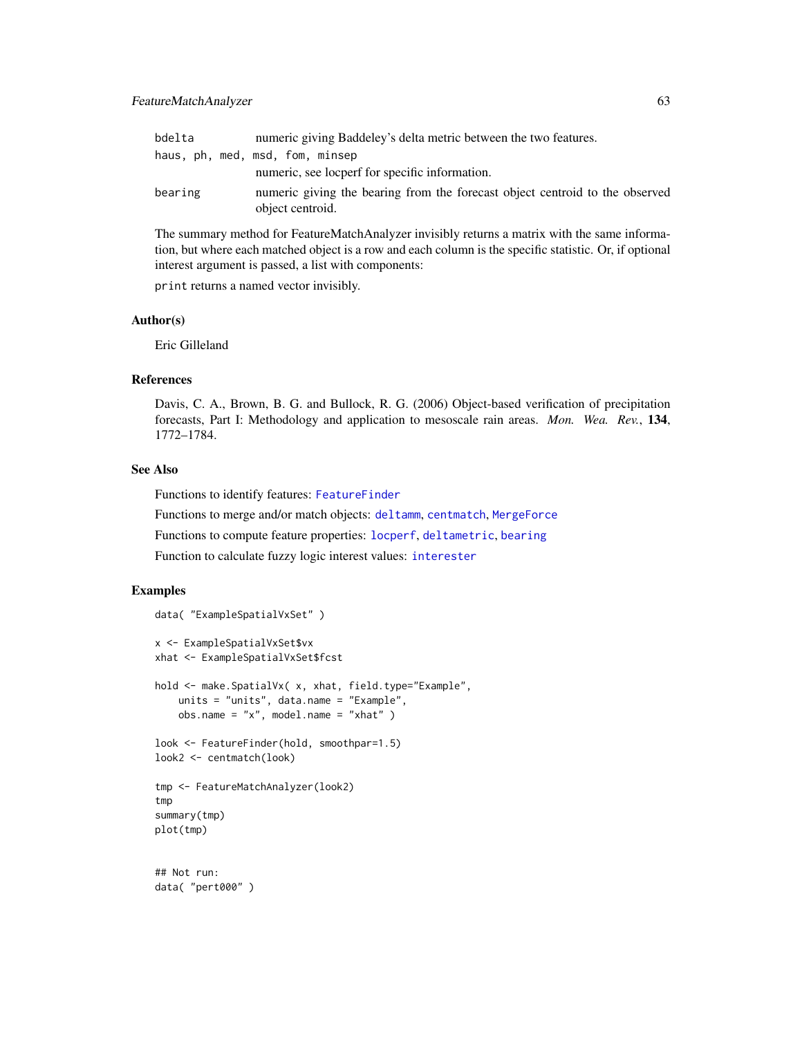| bdelta  | numeric giving Baddeley's delta metric between the two features.                                 |  |  |
|---------|--------------------------------------------------------------------------------------------------|--|--|
|         | haus, ph, med, msd, fom, minsep                                                                  |  |  |
|         | numeric, see locperf for specific information.                                                   |  |  |
| bearing | numeric giving the bearing from the forecast object centroid to the observed<br>object centroid. |  |  |

The summary method for FeatureMatchAnalyzer invisibly returns a matrix with the same information, but where each matched object is a row and each column is the specific statistic. Or, if optional interest argument is passed, a list with components:

print returns a named vector invisibly.

#### Author(s)

Eric Gilleland

#### References

Davis, C. A., Brown, B. G. and Bullock, R. G. (2006) Object-based verification of precipitation forecasts, Part I: Methodology and application to mesoscale rain areas. *Mon. Wea. Rev.*, 134, 1772–1784.

#### See Also

Functions to identify features: [FeatureFinder](#page-54-0)

Functions to merge and/or match objects: [deltamm](#page-39-0), [centmatch](#page-39-1), [MergeForce](#page-122-0)

Functions to compute feature properties: [locperf](#page-105-0), [deltametric](#page-0-0), [bearing](#page-11-0)

Function to calculate fuzzy logic interest values: [interester](#page-97-0)

#### Examples

```
data( "ExampleSpatialVxSet" )
x <- ExampleSpatialVxSet$vx
xhat <- ExampleSpatialVxSet$fcst
hold <- make.SpatialVx( x, xhat, field.type="Example",
   units = "units", data.name = "Example",
   obs.name = "x", model.name = "xhat" )
look <- FeatureFinder(hold, smoothpar=1.5)
look2 <- centmatch(look)
tmp <- FeatureMatchAnalyzer(look2)
tmp
summary(tmp)
plot(tmp)
## Not run:
data( "pert000" )
```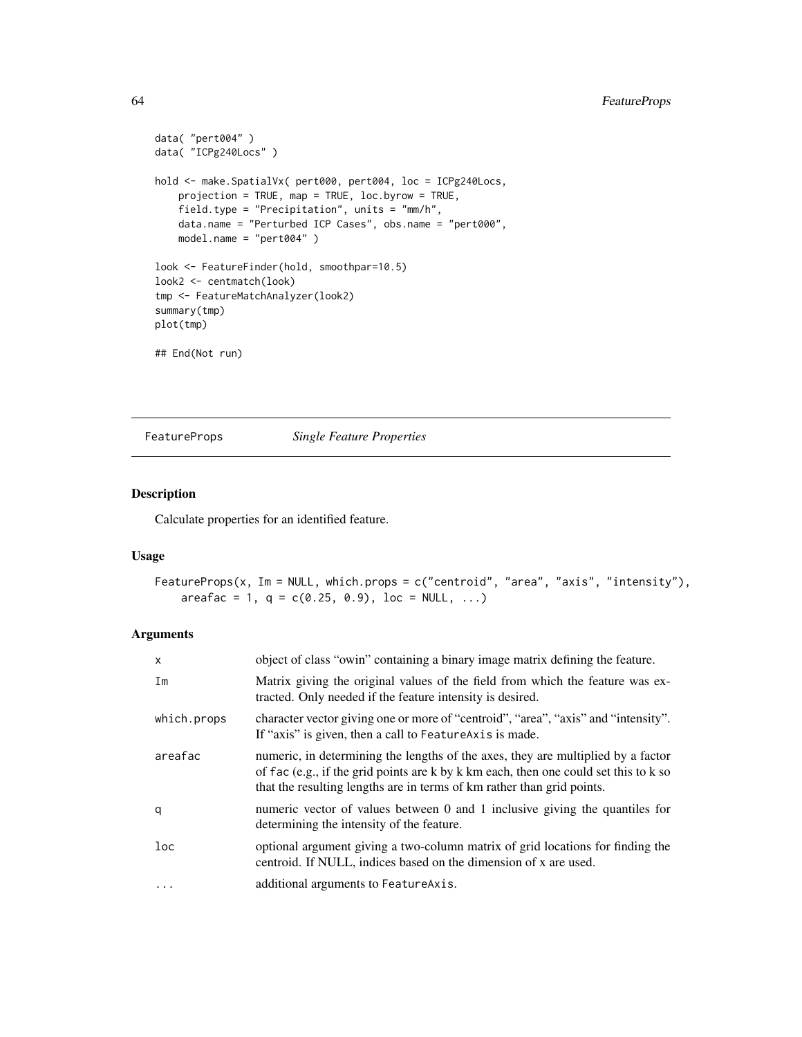```
data( "pert004" )
data( "ICPg240Locs" )
hold <- make.SpatialVx( pert000, pert004, loc = ICPg240Locs,
   projection = TRUE, map = TRUE, loc.byrow = TRUE,
    field.type = "Precipitation", units = "mm/h",
   data.name = "Perturbed ICP Cases", obs.name = "pert000",
   model.name = "pert004" )
look <- FeatureFinder(hold, smoothpar=10.5)
look2 <- centmatch(look)
tmp <- FeatureMatchAnalyzer(look2)
summary(tmp)
plot(tmp)
## End(Not run)
```
FeatureProps *Single Feature Properties*

#### Description

Calculate properties for an identified feature.

#### Usage

```
FeatureProps(x, Im = NULL, which.props = c("centroid", "area", "axis", "intensity"),
    area fac = 1, q = c(0.25, 0.9), loc = NULL, ...)
```
# Arguments

| $\mathsf{x}$ | object of class "owin" containing a binary image matrix defining the feature.                                                                                                                                                                      |  |  |
|--------------|----------------------------------------------------------------------------------------------------------------------------------------------------------------------------------------------------------------------------------------------------|--|--|
| Im           | Matrix giving the original values of the field from which the feature was ex-<br>tracted. Only needed if the feature intensity is desired.                                                                                                         |  |  |
| which.props  | character vector giving one or more of "centroid", "area", "axis" and "intensity".<br>If "axis" is given, then a call to Feature Axis is made.                                                                                                     |  |  |
| areafac      | numeric, in determining the lengths of the axes, they are multiplied by a factor<br>of fac (e.g., if the grid points are k by k km each, then one could set this to k so<br>that the resulting lengths are in terms of km rather than grid points. |  |  |
| q            | numeric vector of values between 0 and 1 inclusive giving the quantiles for<br>determining the intensity of the feature.                                                                                                                           |  |  |
| loc          | optional argument giving a two-column matrix of grid locations for finding the<br>centroid. If NULL, indices based on the dimension of x are used.                                                                                                 |  |  |
| $\cdots$     | additional arguments to Feature Axis.                                                                                                                                                                                                              |  |  |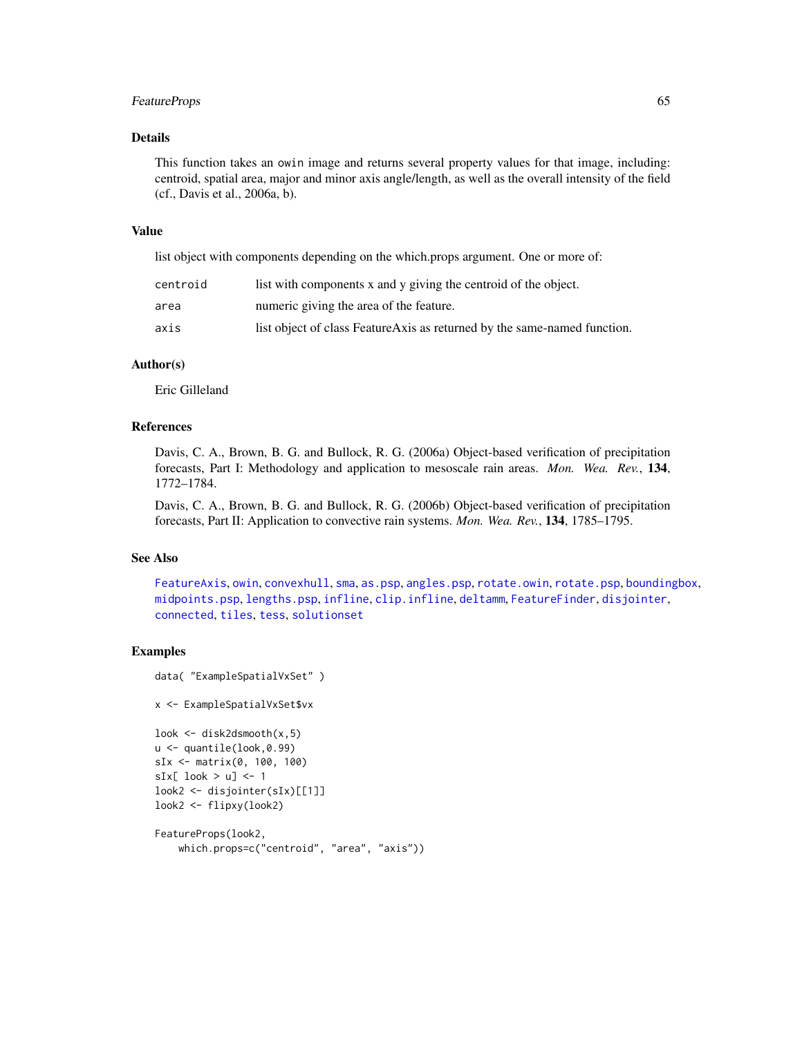#### FeatureProps 65

# Details

This function takes an owin image and returns several property values for that image, including: centroid, spatial area, major and minor axis angle/length, as well as the overall intensity of the field (cf., Davis et al., 2006a, b).

# Value

list object with components depending on the which.props argument. One or more of:

| list with components x and y giving the centroid of the object.<br>centroid |                                                                          |  |  |
|-----------------------------------------------------------------------------|--------------------------------------------------------------------------|--|--|
| area                                                                        | numeric giving the area of the feature.                                  |  |  |
| axis                                                                        | list object of class FeatureAxis as returned by the same-named function. |  |  |

# Author(s)

Eric Gilleland

# References

Davis, C. A., Brown, B. G. and Bullock, R. G. (2006a) Object-based verification of precipitation forecasts, Part I: Methodology and application to mesoscale rain areas. *Mon. Wea. Rev.*, 134, 1772–1784.

Davis, C. A., Brown, B. G. and Bullock, R. G. (2006b) Object-based verification of precipitation forecasts, Part II: Application to convective rain systems. *Mon. Wea. Rev.*, 134, 1785–1795.

#### See Also

```
FeatureAxisowinconvexhullsmaas.pspangles.psprotate.owinrotate.pspboundingbox,
midpoints.psp, lengths.psp, infline, clip.infline, deltamm, FeatureFinder, disjointer,
connected, tiles, tess, solutionset
```
#### Examples

```
data( "ExampleSpatialVxSet" )
```
x <- ExampleSpatialVxSet\$vx

```
look <- disk2dsmooth(x,5)
u <- quantile(look,0.99)
sIx <- matrix(0, 100, 100)
sIx[ look > u] <- 1
look2 <- disjointer(sIx)[[1]]
look2 <- flipxy(look2)
```

```
FeatureProps(look2,
    which.props=c("centroid", "area", "axis"))
```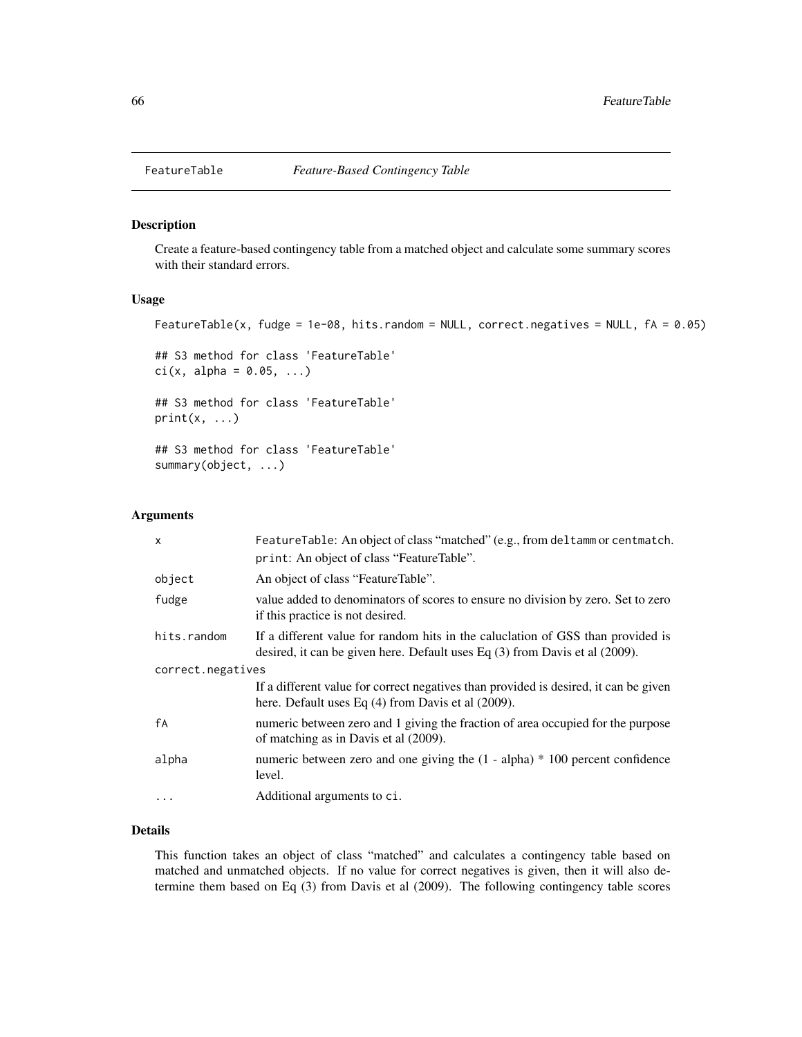#### Description

Create a feature-based contingency table from a matched object and calculate some summary scores with their standard errors.

#### Usage

```
FeatureTable(x, fudge = 1e-08, hits.random = NULL, correct.negatives = NULL, fA = 0.05)
```

```
## S3 method for class 'FeatureTable'
ci(x, alpha = 0.05, ...)
```
## S3 method for class 'FeatureTable'  $print(x, \ldots)$ 

## S3 method for class 'FeatureTable' summary(object, ...)

#### Arguments

| $\boldsymbol{\mathsf{x}}$ | FeatureTable: An object of class "matched" (e.g., from deltamm or centmatch.                                                                                        |  |  |  |
|---------------------------|---------------------------------------------------------------------------------------------------------------------------------------------------------------------|--|--|--|
|                           | print: An object of class "FeatureTable".                                                                                                                           |  |  |  |
| object                    | An object of class "Feature Table".                                                                                                                                 |  |  |  |
| fudge                     | value added to denominators of scores to ensure no division by zero. Set to zero<br>if this practice is not desired.                                                |  |  |  |
| hits.random               | If a different value for random hits in the caluctation of GSS than provided is<br>desired, it can be given here. Default uses Eq $(3)$ from Davis et al $(2009)$ . |  |  |  |
| correct.negatives         |                                                                                                                                                                     |  |  |  |
|                           | If a different value for correct negatives than provided is desired, it can be given<br>here. Default uses Eq $(4)$ from Davis et al $(2009)$ .                     |  |  |  |
| fA                        | numeric between zero and 1 giving the fraction of area occupied for the purpose<br>of matching as in Davis et al (2009).                                            |  |  |  |
| alpha                     | numeric between zero and one giving the $(1 - alpha) * 100$ percent confidence<br>level.                                                                            |  |  |  |
|                           | Additional arguments to ci.                                                                                                                                         |  |  |  |

# Details

This function takes an object of class "matched" and calculates a contingency table based on matched and unmatched objects. If no value for correct negatives is given, then it will also determine them based on Eq (3) from Davis et al (2009). The following contingency table scores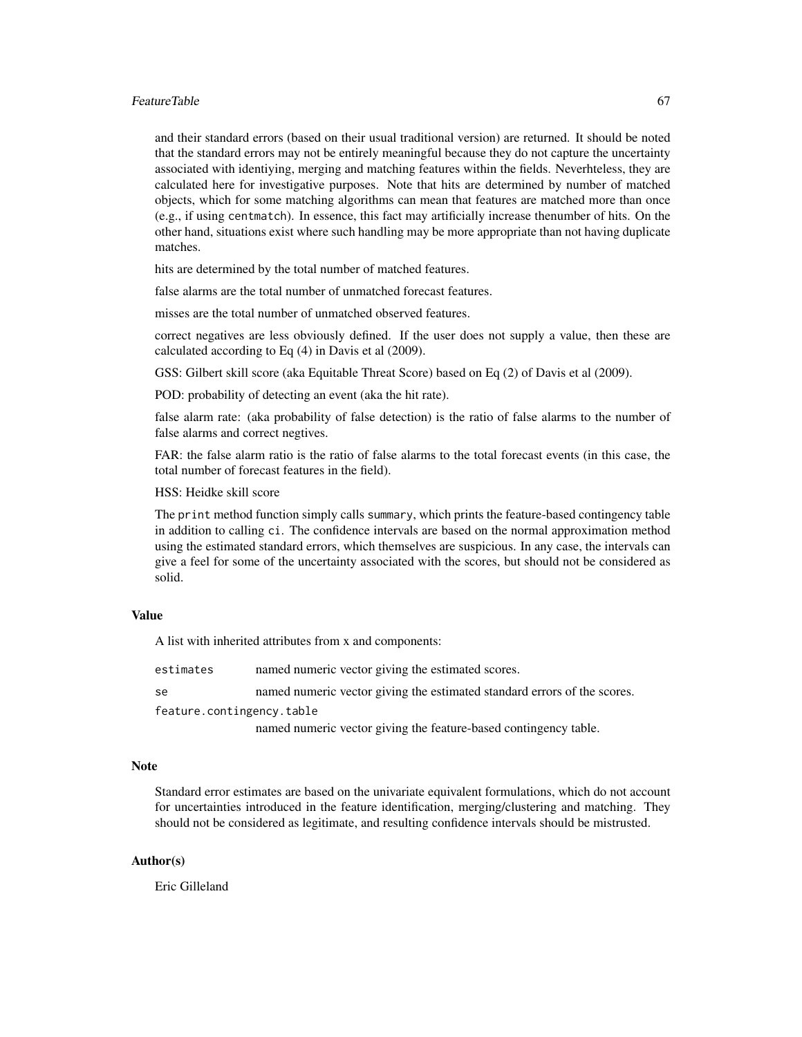#### FeatureTable 67

and their standard errors (based on their usual traditional version) are returned. It should be noted that the standard errors may not be entirely meaningful because they do not capture the uncertainty associated with identiying, merging and matching features within the fields. Neverhteless, they are calculated here for investigative purposes. Note that hits are determined by number of matched objects, which for some matching algorithms can mean that features are matched more than once (e.g., if using centmatch). In essence, this fact may artificially increase thenumber of hits. On the other hand, situations exist where such handling may be more appropriate than not having duplicate matches.

hits are determined by the total number of matched features.

false alarms are the total number of unmatched forecast features.

misses are the total number of unmatched observed features.

correct negatives are less obviously defined. If the user does not supply a value, then these are calculated according to Eq (4) in Davis et al (2009).

GSS: Gilbert skill score (aka Equitable Threat Score) based on Eq (2) of Davis et al (2009).

POD: probability of detecting an event (aka the hit rate).

false alarm rate: (aka probability of false detection) is the ratio of false alarms to the number of false alarms and correct negtives.

FAR: the false alarm ratio is the ratio of false alarms to the total forecast events (in this case, the total number of forecast features in the field).

HSS: Heidke skill score

The print method function simply calls summary, which prints the feature-based contingency table in addition to calling ci. The confidence intervals are based on the normal approximation method using the estimated standard errors, which themselves are suspicious. In any case, the intervals can give a feel for some of the uncertainty associated with the scores, but should not be considered as solid.

# Value

A list with inherited attributes from x and components:

estimates named numeric vector giving the estimated scores.

se named numeric vector giving the estimated standard errors of the scores.

feature.contingency.table

named numeric vector giving the feature-based contingency table.

#### **Note**

Standard error estimates are based on the univariate equivalent formulations, which do not account for uncertainties introduced in the feature identification, merging/clustering and matching. They should not be considered as legitimate, and resulting confidence intervals should be mistrusted.

# Author(s)

Eric Gilleland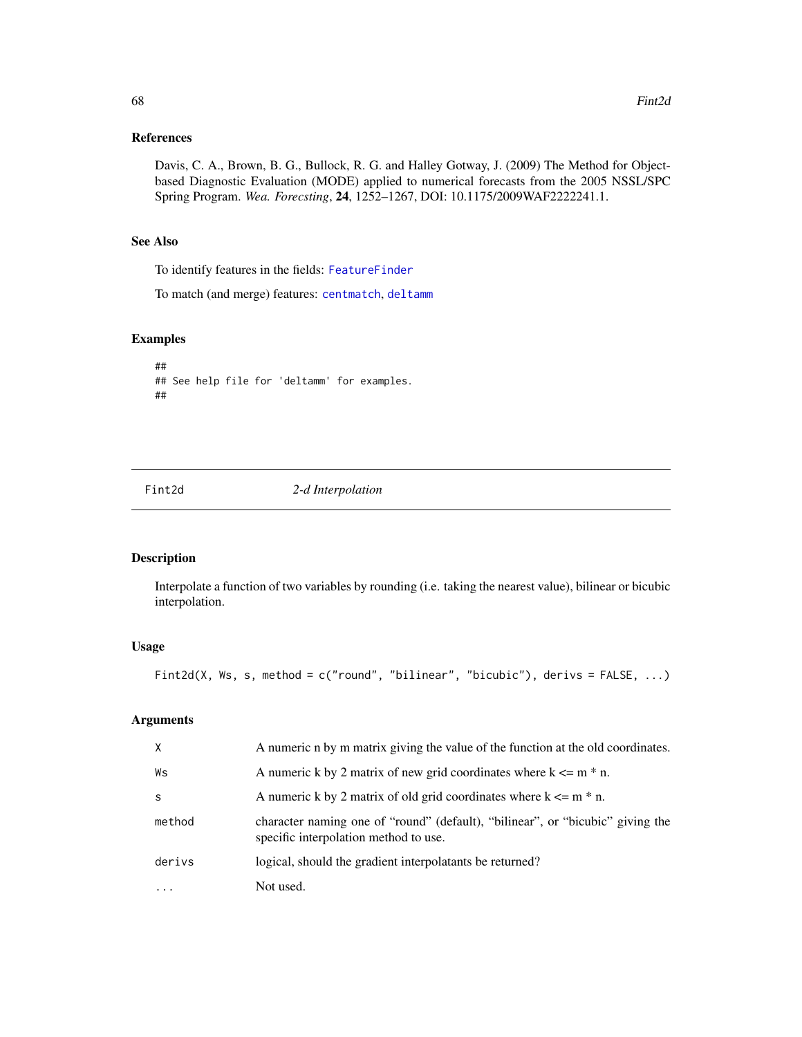# References

Davis, C. A., Brown, B. G., Bullock, R. G. and Halley Gotway, J. (2009) The Method for Objectbased Diagnostic Evaluation (MODE) applied to numerical forecasts from the 2005 NSSL/SPC Spring Program. *Wea. Forecsting*, 24, 1252–1267, DOI: 10.1175/2009WAF2222241.1.

#### See Also

To identify features in the fields: [FeatureFinder](#page-54-0)

To match (and merge) features: [centmatch](#page-39-1), [deltamm](#page-39-0)

# Examples

```
##
## See help file for 'deltamm' for examples.
##
```
Fint2d *2-d Interpolation*

#### Description

Interpolate a function of two variables by rounding (i.e. taking the nearest value), bilinear or bicubic interpolation.

# Usage

Fint2d(X, Ws, s, method = c("round", "bilinear", "bicubic"), derivs = FALSE, ...)

# Arguments

| X            | A numeric n by m matrix giving the value of the function at the old coordinates.                                        |  |  |
|--------------|-------------------------------------------------------------------------------------------------------------------------|--|--|
| Ws           | A numeric k by 2 matrix of new grid coordinates where $k \le m * n$ .                                                   |  |  |
| <sub>S</sub> | A numeric k by 2 matrix of old grid coordinates where $k \le m * n$ .                                                   |  |  |
| method       | character naming one of "round" (default), "bilinear", or "bicubic" giving the<br>specific interpolation method to use. |  |  |
| derivs       | logical, should the gradient interpolatants be returned?                                                                |  |  |
| $\cdots$     | Not used.                                                                                                               |  |  |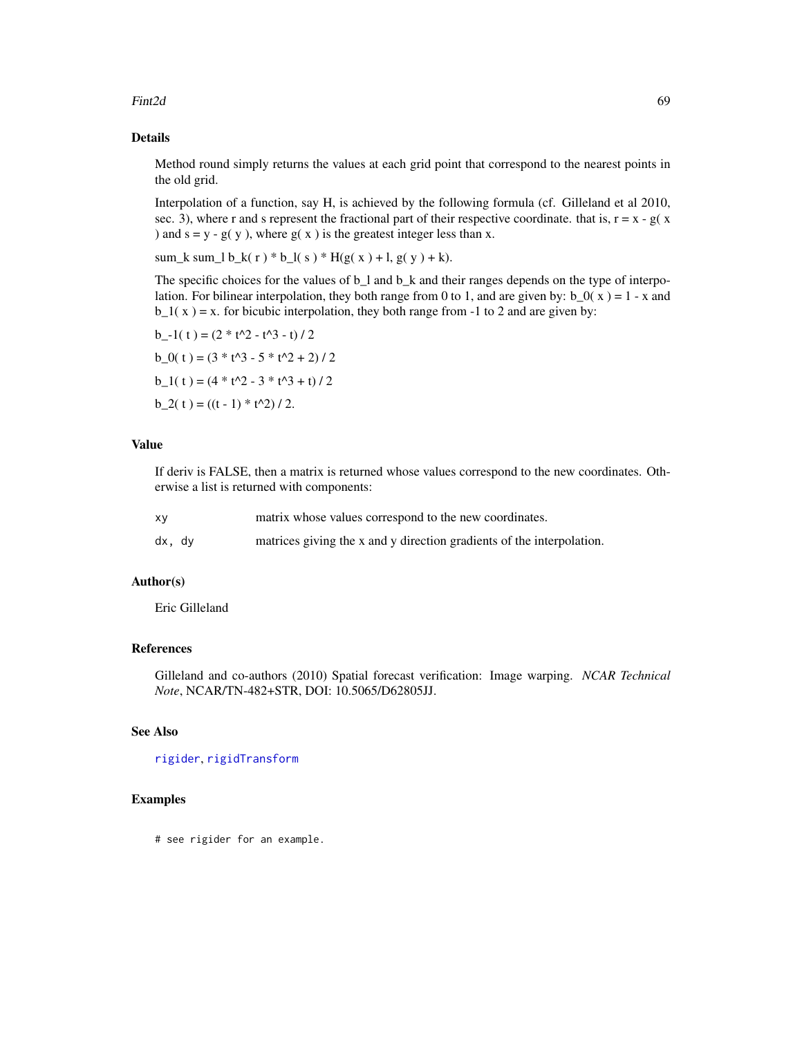#### Fint2d 69

# Details

Method round simply returns the values at each grid point that correspond to the nearest points in the old grid.

Interpolation of a function, say H, is achieved by the following formula (cf. Gilleland et al 2010, sec. 3), where r and s represent the fractional part of their respective coordinate. that is,  $r = x - g(x)$ ) and  $s = y - g(y)$ , where  $g(x)$  is the greatest integer less than x.

sum\_k sum\_l b\_k(r) \* b\_l(s) \* H(g(x) + l, g(y) + k).

The specific choices for the values of b\_l and b\_k and their ranges depends on the type of interpolation. For bilinear interpolation, they both range from 0 to 1, and are given by:  $b_0(x) = 1 - x$  and  $b_1(x) = x$ . for bicubic interpolation, they both range from -1 to 2 and are given by:

b -1( t ) =  $(2 * t<sup>2</sup> - t<sup>3</sup> - t) / 2$  $b_0(t) = (3 * t^3 - 5 * t^2 + 2) / 2$  $b_1(t) = (4 * t^2 - 3 * t^3 + t) / 2$  $b_2(t) = ((t - 1) * t^2)/2.$ 

# Value

If deriv is FALSE, then a matrix is returned whose values correspond to the new coordinates. Otherwise a list is returned with components:

| XV     |  | matrix whose values correspond to the new coordinates.                |  |  |
|--------|--|-----------------------------------------------------------------------|--|--|
| dx, dy |  | matrices giving the x and y direction gradients of the interpolation. |  |  |

#### Author(s)

Eric Gilleland

# References

Gilleland and co-authors (2010) Spatial forecast verification: Image warping. *NCAR Technical Note*, NCAR/TN-482+STR, DOI: 10.5065/D62805JJ.

# See Also

# [rigider](#page-142-0), [rigidTransform](#page-142-1)

# Examples

# see rigider for an example.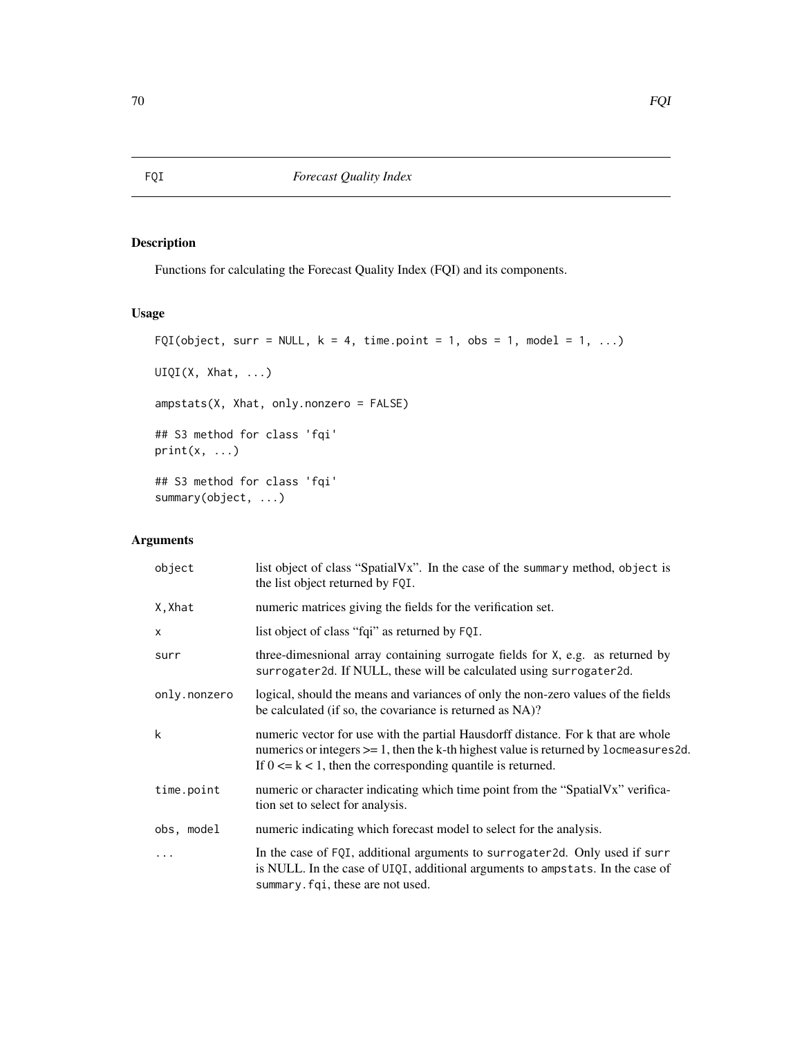# Description

Functions for calculating the Forecast Quality Index (FQI) and its components.

# Usage

```
FQI(object, surr = NULL, k = 4, time.point = 1, obs = 1, model = 1, ...)
UIQI(X, Xhat, ...)
ampstats(X, Xhat, only.nonzero = FALSE)
## S3 method for class 'fqi'
print(x, \ldots)## S3 method for class 'fqi'
summary(object, ...)
```
# Arguments

| object       | list object of class "SpatialVx". In the case of the summary method, object is<br>the list object returned by FQI.                                                                                                                                   |  |  |  |
|--------------|------------------------------------------------------------------------------------------------------------------------------------------------------------------------------------------------------------------------------------------------------|--|--|--|
| X, Xhat      | numeric matrices giving the fields for the verification set.                                                                                                                                                                                         |  |  |  |
| X            | list object of class "fqi" as returned by FQI.                                                                                                                                                                                                       |  |  |  |
| surr         | three-dimesnional array containing surrogate fields for X, e.g. as returned by<br>surrogater2d. If NULL, these will be calculated using surrogater2d.                                                                                                |  |  |  |
| only.nonzero | logical, should the means and variances of only the non-zero values of the fields<br>be calculated (if so, the covariance is returned as NA)?                                                                                                        |  |  |  |
| k            | numeric vector for use with the partial Hausdorff distance. For k that are whole<br>numerics or integers $\ge$ = 1, then the k-th highest value is returned by 1 ocmeasures 2d.<br>If $0 \le k \le 1$ , then the corresponding quantile is returned. |  |  |  |
| time.point   | numeric or character indicating which time point from the "SpatialVx" verifica-<br>tion set to select for analysis.                                                                                                                                  |  |  |  |
| obs, model   | numeric indicating which forecast model to select for the analysis.                                                                                                                                                                                  |  |  |  |
| $\cdots$     | In the case of FQI, additional arguments to surrogater2d. Only used if surr<br>is NULL. In the case of UIQI, additional arguments to ampstats. In the case of<br>summary. fqi, these are not used.                                                   |  |  |  |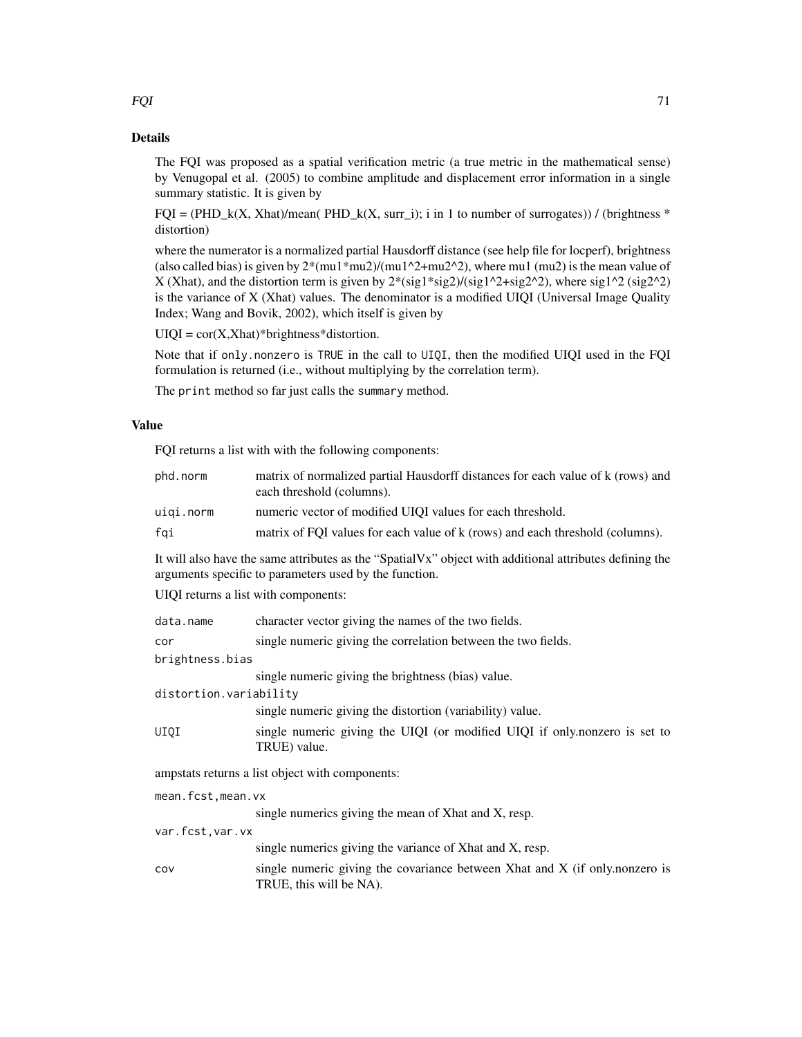The FQI was proposed as a spatial verification metric (a true metric in the mathematical sense) by Venugopal et al. (2005) to combine amplitude and displacement error information in a single summary statistic. It is given by

 $FQI = (PHD_k(X, Xhat)/mean(PHD_k(X, surr_i)); i in 1 to number of surrogates)) / (brightness *$ distortion)

where the numerator is a normalized partial Hausdorff distance (see help file for locperf), brightness (also called bias) is given by  $2*(mu1*mu2)/(mu1^2+mu2^2)$ , where mu1 (mu2) is the mean value of X (Xhat), and the distortion term is given by  $2*(sig1*sig2)/(sig1^2+sig2^2)$ , where  $sig1^2$  (sig2^2) is the variance of X (Xhat) values. The denominator is a modified UIQI (Universal Image Quality Index; Wang and Bovik, 2002), which itself is given by

 $UIQI = cor(X,Xhat)*brightness*distortion.$ 

Note that if only.nonzero is TRUE in the call to UIQI, then the modified UIQI used in the FQI formulation is returned (i.e., without multiplying by the correlation term).

The print method so far just calls the summary method.

# Value

FQI returns a list with with the following components:

| phd.norm                                                                                                                                                          | matrix of normalized partial Hausdorff distances for each value of k (rows) and<br>each threshold (columns). |  |  |  |
|-------------------------------------------------------------------------------------------------------------------------------------------------------------------|--------------------------------------------------------------------------------------------------------------|--|--|--|
| uiqi.norm                                                                                                                                                         | numeric vector of modified UIQI values for each threshold.                                                   |  |  |  |
| fqi                                                                                                                                                               | matrix of FQI values for each value of k (rows) and each threshold (columns).                                |  |  |  |
| It will also have the same attributes as the "SpatialVx" object with additional attributes defining the<br>arguments specific to parameters used by the function. |                                                                                                              |  |  |  |
| UIQI returns a list with components:                                                                                                                              |                                                                                                              |  |  |  |
| data.name                                                                                                                                                         | character vector giving the names of the two fields.                                                         |  |  |  |
| cor                                                                                                                                                               | single numeric giving the correlation between the two fields.                                                |  |  |  |
| brightness.bias                                                                                                                                                   |                                                                                                              |  |  |  |
|                                                                                                                                                                   | single numeric giving the brightness (bias) value.                                                           |  |  |  |
| distortion.variability                                                                                                                                            |                                                                                                              |  |  |  |
|                                                                                                                                                                   | single numeric giving the distortion (variability) value.                                                    |  |  |  |
| UIQI                                                                                                                                                              | single numeric giving the UIQI (or modified UIQI if only nonzero is set to<br>TRUE) value.                   |  |  |  |
| ampstats returns a list object with components:                                                                                                                   |                                                                                                              |  |  |  |
| mean.fcst, mean.vx                                                                                                                                                |                                                                                                              |  |  |  |
|                                                                                                                                                                   | single numerics giving the mean of Xhat and X, resp.                                                         |  |  |  |
| var.fcst, var.vx                                                                                                                                                  |                                                                                                              |  |  |  |
|                                                                                                                                                                   | single numerics giving the variance of Xhat and X, resp.                                                     |  |  |  |
| COV                                                                                                                                                               | single numeric giving the covariance between Xhat and X (if only nonzero is<br>TRUE, this will be NA).       |  |  |  |

 $FQI$  71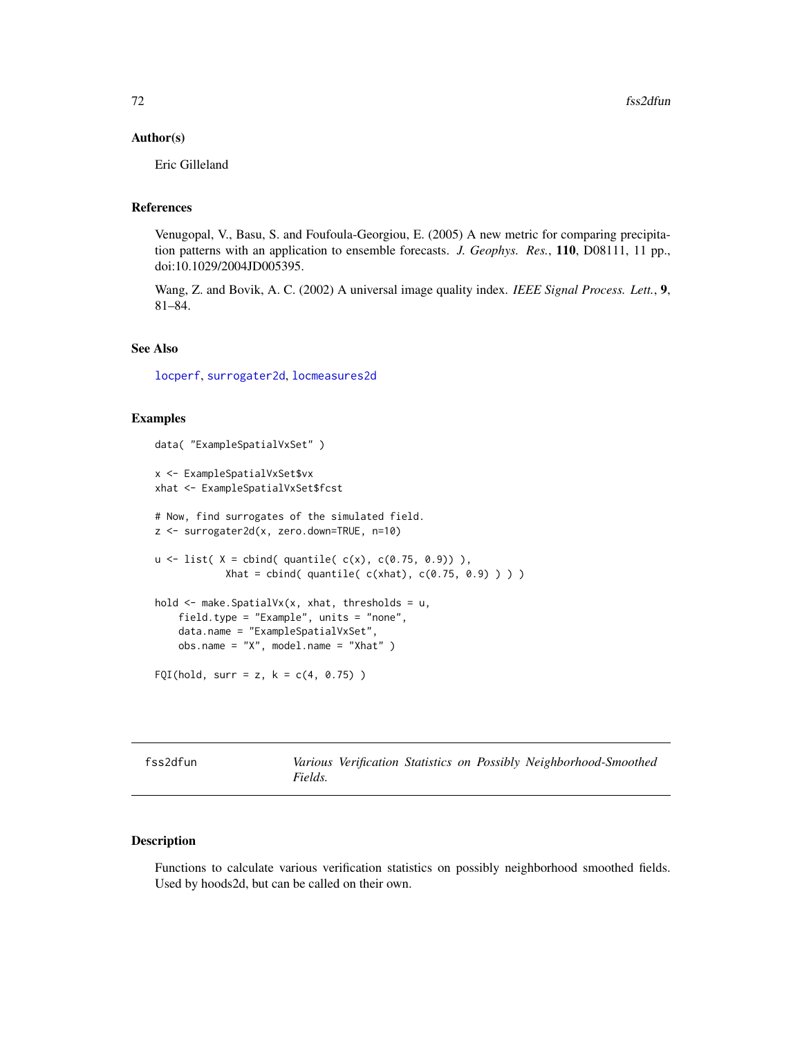#### Author(s)

Eric Gilleland

# References

Venugopal, V., Basu, S. and Foufoula-Georgiou, E. (2005) A new metric for comparing precipitation patterns with an application to ensemble forecasts. *J. Geophys. Res.*, 110, D08111, 11 pp., doi:10.1029/2004JD005395.

Wang, Z. and Bovik, A. C. (2002) A universal image quality index. *IEEE Signal Process. Lett.*, 9, 81–84.

#### See Also

[locperf](#page-105-0), [surrogater2d](#page-162-0), [locmeasures2d](#page-101-0)

#### Examples

```
data( "ExampleSpatialVxSet" )
x <- ExampleSpatialVxSet$vx
xhat <- ExampleSpatialVxSet$fcst
# Now, find surrogates of the simulated field.
z <- surrogater2d(x, zero.down=TRUE, n=10)
u \le - list( X = cbind( quantile( c(x), c(0.75, 0.9)),
            Xhat = \text{cbind}( \text{quantile}( \text{c(xhat}), \text{c(0.75, 0.9)} ) )hold <- make.SpatialVx(x, xhat, thresholds = u,
    field.type = "Example", units = "none",
    data.name = "ExampleSpatialVxSet",
    obs.name = "X", model.name = "Xhat")FQI(hold, surr = z, k = c(4, 0.75))
```

| fss2dfun |  |  |
|----------|--|--|
|          |  |  |

Various Verification Statistics on Possibly Neighborhood-Smoothed *Fields.*

# Description

Functions to calculate various verification statistics on possibly neighborhood smoothed fields. Used by hoods2d, but can be called on their own.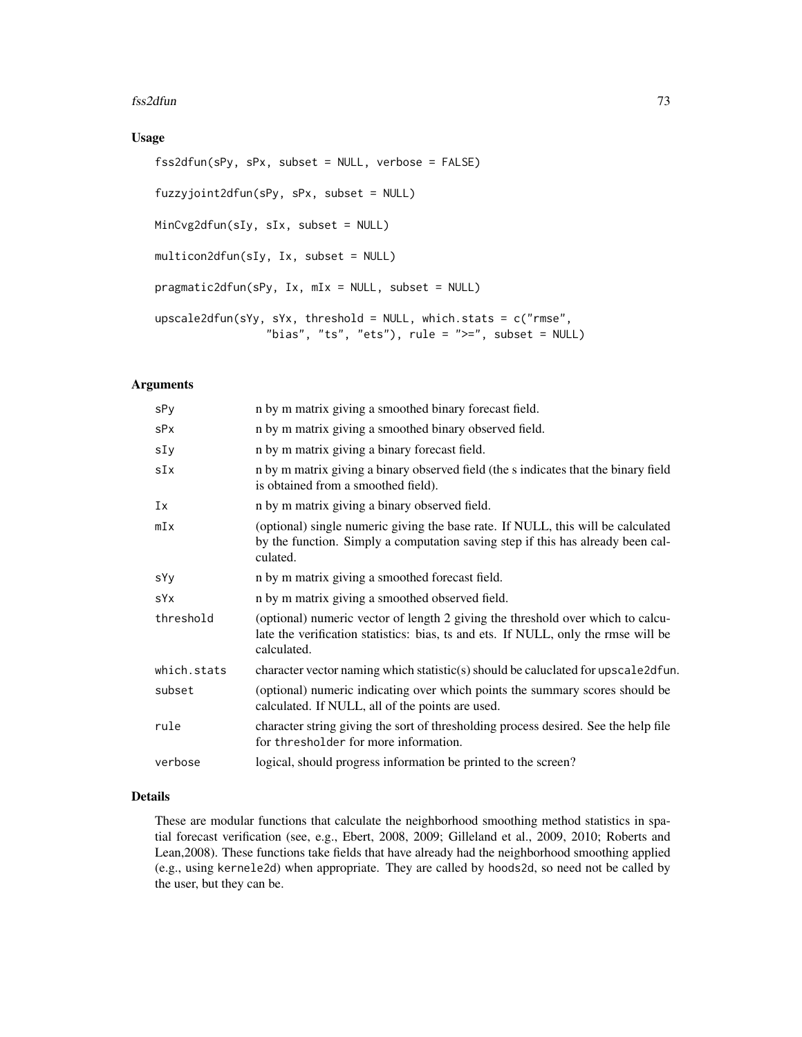#### fss2dfun 73

# Usage

```
fss2dfun(sPy, sPx, subset = NULL, verbose = FALSE)
fuzzyjoint2dfun(sPy, sPx, subset = NULL)
MinCvg2dfun(sIy, sIx, subset = NULL)
multicon2dfun(sIy, Ix, subset = NULL)
pragmatic2dfun(sPy, Ix, mIx = NULL, subset = NULL)
upscale2dfun(sYy, sYx, threshold = NULL, which.stats = c("rmse",
                 "bias", "ts", "ets"), rule = ">=", subset = NULL)
```
# Arguments

| sPy         | n by m matrix giving a smoothed binary forecast field.                                                                                                                               |
|-------------|--------------------------------------------------------------------------------------------------------------------------------------------------------------------------------------|
| sPx         | n by m matrix giving a smoothed binary observed field.                                                                                                                               |
| sIy         | n by m matrix giving a binary forecast field.                                                                                                                                        |
| sIx         | n by m matrix giving a binary observed field (the s indicates that the binary field<br>is obtained from a smoothed field).                                                           |
| Ix          | n by m matrix giving a binary observed field.                                                                                                                                        |
| mIx         | (optional) single numeric giving the base rate. If NULL, this will be calculated<br>by the function. Simply a computation saving step if this has already been cal-<br>culated.      |
| sYy         | n by m matrix giving a smoothed forecast field.                                                                                                                                      |
| sYx         | n by m matrix giving a smoothed observed field.                                                                                                                                      |
| threshold   | (optional) numeric vector of length 2 giving the threshold over which to calcu-<br>late the verification statistics: bias, ts and ets. If NULL, only the rmse will be<br>calculated. |
| which.stats | character vector naming which statistic(s) should be caluclated for upscale2dfun.                                                                                                    |
| subset      | (optional) numeric indicating over which points the summary scores should be<br>calculated. If NULL, all of the points are used.                                                     |
| rule        | character string giving the sort of thresholding process desired. See the help file<br>for thresholder for more information.                                                         |
| verbose     | logical, should progress information be printed to the screen?                                                                                                                       |

## Details

These are modular functions that calculate the neighborhood smoothing method statistics in spatial forecast verification (see, e.g., Ebert, 2008, 2009; Gilleland et al., 2009, 2010; Roberts and Lean,2008). These functions take fields that have already had the neighborhood smoothing applied (e.g., using kernele2d) when appropriate. They are called by hoods2d, so need not be called by the user, but they can be.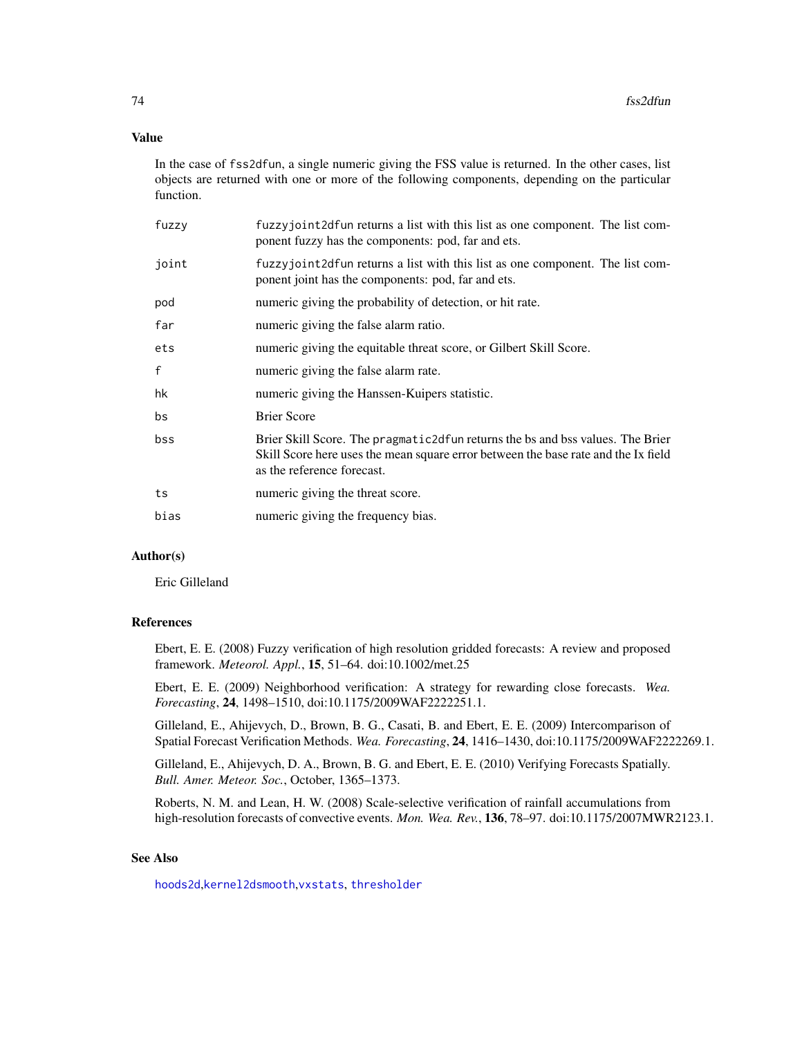# Value

In the case of fss2dfun, a single numeric giving the FSS value is returned. In the other cases, list objects are returned with one or more of the following components, depending on the particular function.

| fuzzy | fuzzyjoint 2d fun returns a list with this list as one component. The list com-<br>ponent fuzzy has the components: pod, far and ets.                                                                |
|-------|------------------------------------------------------------------------------------------------------------------------------------------------------------------------------------------------------|
| joint | fuzzyjoint2dfun returns a list with this list as one component. The list com-<br>ponent joint has the components: pod, far and ets.                                                                  |
| pod   | numeric giving the probability of detection, or hit rate.                                                                                                                                            |
| far   | numeric giving the false alarm ratio.                                                                                                                                                                |
| ets   | numeric giving the equitable threat score, or Gilbert Skill Score.                                                                                                                                   |
| f     | numeric giving the false alarm rate.                                                                                                                                                                 |
| hk    | numeric giving the Hanssen-Kuipers statistic.                                                                                                                                                        |
| bs    | <b>Brier Score</b>                                                                                                                                                                                   |
| bss   | Brier Skill Score. The pragmatic 2d fun returns the bs and bss values. The Brier<br>Skill Score here uses the mean square error between the base rate and the Ix field<br>as the reference forecast. |
| ts    | numeric giving the threat score.                                                                                                                                                                     |
| bias  | numeric giving the frequency bias.                                                                                                                                                                   |
|       |                                                                                                                                                                                                      |

# Author(s)

Eric Gilleland

#### References

Ebert, E. E. (2008) Fuzzy verification of high resolution gridded forecasts: A review and proposed framework. *Meteorol. Appl.*, 15, 51–64. doi:10.1002/met.25

Ebert, E. E. (2009) Neighborhood verification: A strategy for rewarding close forecasts. *Wea. Forecasting*, 24, 1498–1510, doi:10.1175/2009WAF2222251.1.

Gilleland, E., Ahijevych, D., Brown, B. G., Casati, B. and Ebert, E. E. (2009) Intercomparison of Spatial Forecast Verification Methods. *Wea. Forecasting*, 24, 1416–1430, doi:10.1175/2009WAF2222269.1.

Gilleland, E., Ahijevych, D. A., Brown, B. G. and Ebert, E. E. (2010) Verifying Forecasts Spatially. *Bull. Amer. Meteor. Soc.*, October, 1365–1373.

Roberts, N. M. and Lean, H. W. (2008) Scale-selective verification of rainfall accumulations from high-resolution forecasts of convective events. *Mon. Wea. Rev.*, 136, 78–97. doi:10.1175/2007MWR2123.1.

# See Also

[hoods2d](#page-88-0),[kernel2dsmooth](#page-0-0),[vxstats](#page-172-0), [thresholder](#page-164-0)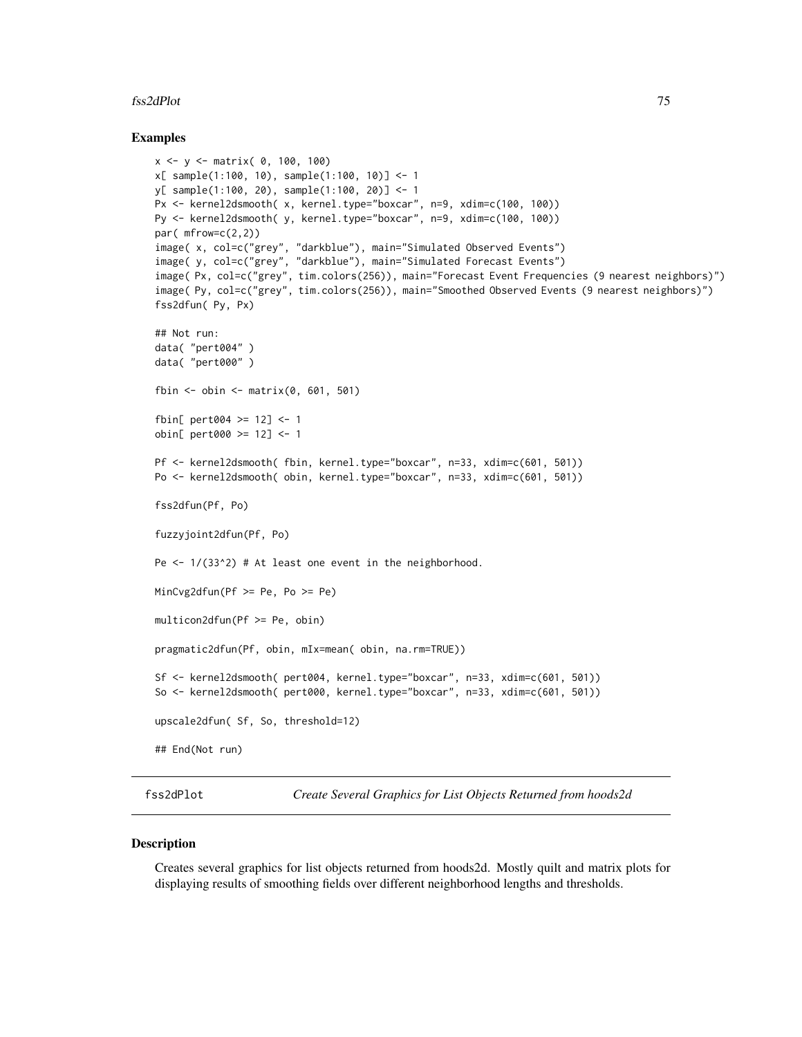#### fss2dPlot 75

## Examples

```
x <- y <- matrix( 0, 100, 100)
x[ sample(1:100, 10), sample(1:100, 10)] <- 1
y[ sample(1:100, 20), sample(1:100, 20)] <- 1
Px <- kernel2dsmooth( x, kernel.type="boxcar", n=9, xdim=c(100, 100))
Py <- kernel2dsmooth( y, kernel.type="boxcar", n=9, xdim=c(100, 100))
par( mfrow=c(2,2))
image( x, col=c("grey", "darkblue"), main="Simulated Observed Events")
image( y, col=c("grey", "darkblue"), main="Simulated Forecast Events")
image( Px, col=c("grey", tim.colors(256)), main="Forecast Event Frequencies (9 nearest neighbors)")
image(Py, col=c("grey", tim.colors(256)), main="Smoothed Observed Events (9 nearest neighbors)")
fss2dfun( Py, Px)
## Not run:
data( "pert004" )
data( "pert000" )
fbin <- obin <- matrix(0, 601, 501)
fbin[ pert004 >= 12] <- 1
obin[ pert000 >= 12] <- 1
Pf <- kernel2dsmooth( fbin, kernel.type="boxcar", n=33, xdim=c(601, 501))
Po <- kernel2dsmooth( obin, kernel.type="boxcar", n=33, xdim=c(601, 501))
fss2dfun(Pf, Po)
fuzzyjoint2dfun(Pf, Po)
Pe \leq 1/(33^2) # At least one event in the neighborhood.
MinCvg2dfun(Pf >= Pe, Po >= Pe)
multicon2dfun(Pf >= Pe, obin)
pragmatic2dfun(Pf, obin, mIx=mean( obin, na.rm=TRUE))
Sf <- kernel2dsmooth( pert004, kernel.type="boxcar", n=33, xdim=c(601, 501))
So <- kernel2dsmooth( pert000, kernel.type="boxcar", n=33, xdim=c(601, 501))
upscale2dfun( Sf, So, threshold=12)
## End(Not run)
```
fss2dPlot *Create Several Graphics for List Objects Returned from hoods2d*

## Description

Creates several graphics for list objects returned from hoods2d. Mostly quilt and matrix plots for displaying results of smoothing fields over different neighborhood lengths and thresholds.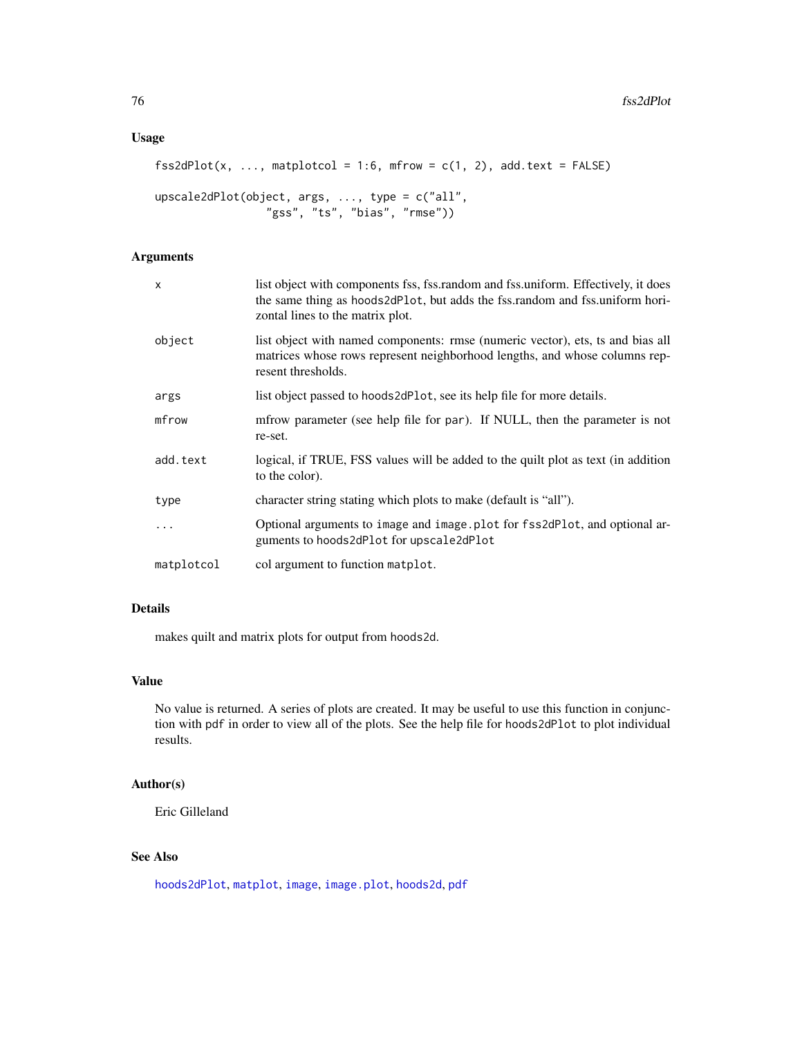# Usage

```
fss2dPlot(x, ..., matploted = 1:6, mfrow = c(1, 2), add.text = FALSE)
```

```
upscale2dPlot(object, args, ..., type = c("all",
                 "gss", "ts", "bias", "rmse"))
```
# Arguments

| X          | list object with components fss, fss.random and fss.uniform. Effectively, it does<br>the same thing as hoods2dP1ot, but adds the fss.random and fss.uniform hori-<br>zontal lines to the matrix plot. |
|------------|-------------------------------------------------------------------------------------------------------------------------------------------------------------------------------------------------------|
| object     | list object with named components: rmse (numeric vector), ets, ts and bias all<br>matrices whose rows represent neighborhood lengths, and whose columns rep-<br>resent thresholds.                    |
| args       | list object passed to hoods2dPlot, see its help file for more details.                                                                                                                                |
| mfrow      | mfrow parameter (see help file for par). If NULL, then the parameter is not<br>re-set.                                                                                                                |
| add.text   | logical, if TRUE, FSS values will be added to the quilt plot as text (in addition<br>to the color).                                                                                                   |
| type       | character string stating which plots to make (default is "all").                                                                                                                                      |
|            | Optional arguments to image and image plot for fss2dPlot, and optional ar-<br>guments to hoods2dPlot for upscale2dPlot                                                                                |
| matplotcol | col argument to function matplot.                                                                                                                                                                     |

# Details

makes quilt and matrix plots for output from hoods2d.

#### Value

No value is returned. A series of plots are created. It may be useful to use this function in conjunction with pdf in order to view all of the plots. See the help file for hoods2dPlot to plot individual results.

# Author(s)

Eric Gilleland

# See Also

[hoods2dPlot](#page-93-0), [matplot](#page-0-0), [image](#page-0-0), [image.plot](#page-0-0), [hoods2d](#page-88-0), [pdf](#page-0-0)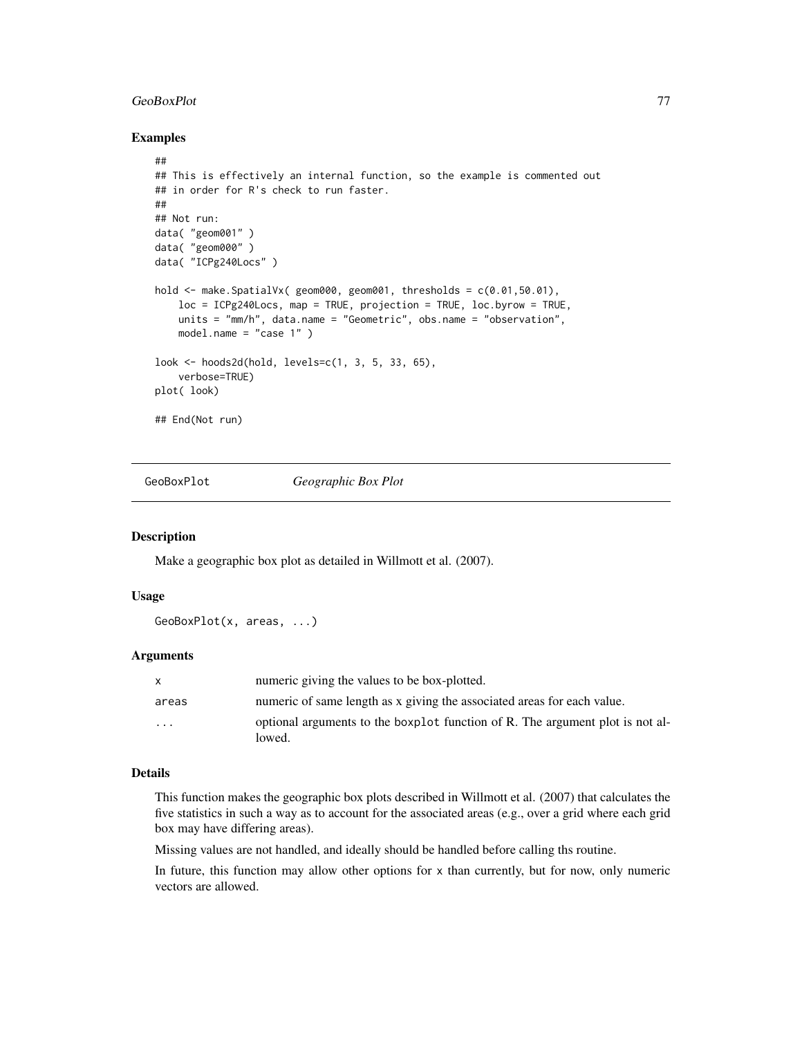#### GeoBoxPlot 77

## Examples

```
##
## This is effectively an internal function, so the example is commented out
## in order for R's check to run faster.
##
## Not run:
data( "geom001" )
data( "geom000" )
data( "ICPg240Locs" )
hold <- make.SpatialVx( geom000, geom001, thresholds = c(0.01,50.01),
    loc = ICPg240Locs, map = TRUE, projection = TRUE, loc.byrow = TRUE,
   units = "mm/h", data.name = "Geometric", obs.name = "observation",
   model.name = "case 1" )
look <- hoods2d(hold, levels=c(1, 3, 5, 33, 65),
   verbose=TRUE)
plot( look)
## End(Not run)
```
GeoBoxPlot *Geographic Box Plot*

## Description

Make a geographic box plot as detailed in Willmott et al. (2007).

## Usage

```
GeoBoxPlot(x, areas, ...)
```
## Arguments

|          | numeric giving the values to be box-plotted.                                            |
|----------|-----------------------------------------------------------------------------------------|
| areas    | numeric of same length as x giving the associated areas for each value.                 |
| $\cdots$ | optional arguments to the boxplot function of R. The argument plot is not al-<br>lowed. |

# Details

This function makes the geographic box plots described in Willmott et al. (2007) that calculates the five statistics in such a way as to account for the associated areas (e.g., over a grid where each grid box may have differing areas).

Missing values are not handled, and ideally should be handled before calling ths routine.

In future, this function may allow other options for x than currently, but for now, only numeric vectors are allowed.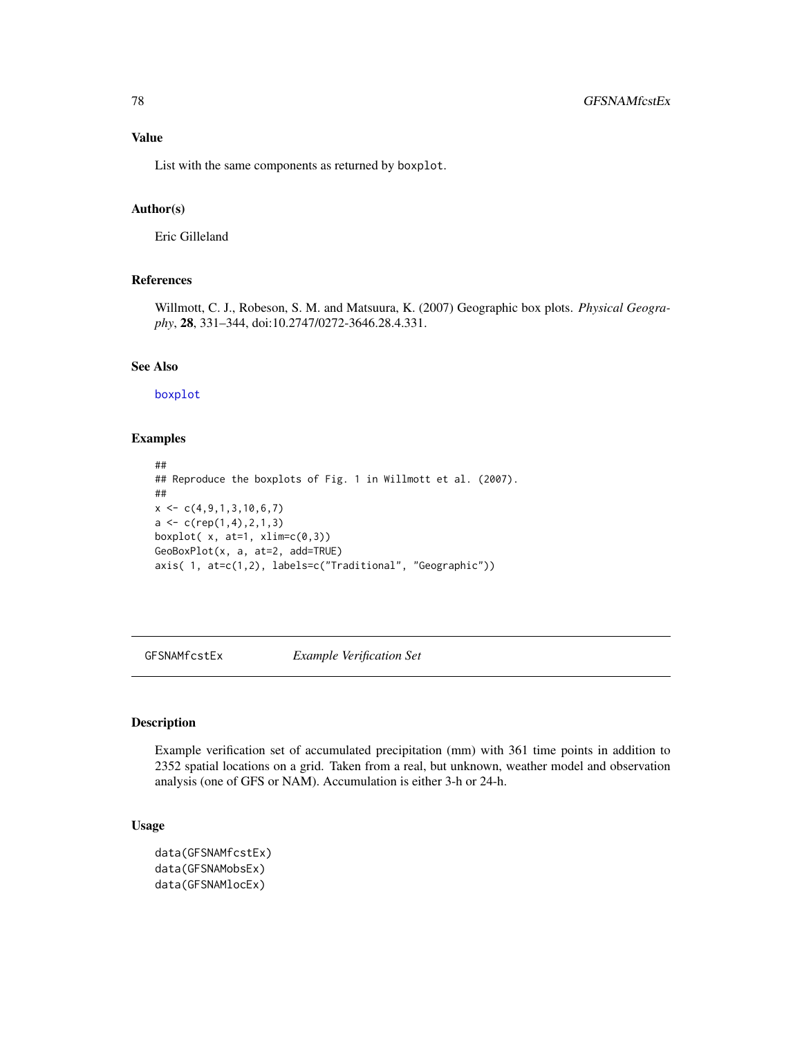# Value

List with the same components as returned by boxplot.

# Author(s)

Eric Gilleland

## References

Willmott, C. J., Robeson, S. M. and Matsuura, K. (2007) Geographic box plots. *Physical Geography*, 28, 331–344, doi:10.2747/0272-3646.28.4.331.

## See Also

#### [boxplot](#page-0-0)

# Examples

```
##
## Reproduce the boxplots of Fig. 1 in Willmott et al. (2007).
##
x \leftarrow c(4, 9, 1, 3, 10, 6, 7)a \leftarrow c(rep(1,4),2,1,3)boxplot(x, at=1, xlim=c(0,3))
GeoBoxPlot(x, a, at=2, add=TRUE)
axis( 1, at=c(1,2), labels=c("Traditional", "Geographic"))
```
GFSNAMfcstEx *Example Verification Set*

# Description

Example verification set of accumulated precipitation (mm) with 361 time points in addition to 2352 spatial locations on a grid. Taken from a real, but unknown, weather model and observation analysis (one of GFS or NAM). Accumulation is either 3-h or 24-h.

## Usage

```
data(GFSNAMfcstEx)
data(GFSNAMobsEx)
data(GFSNAMlocEx)
```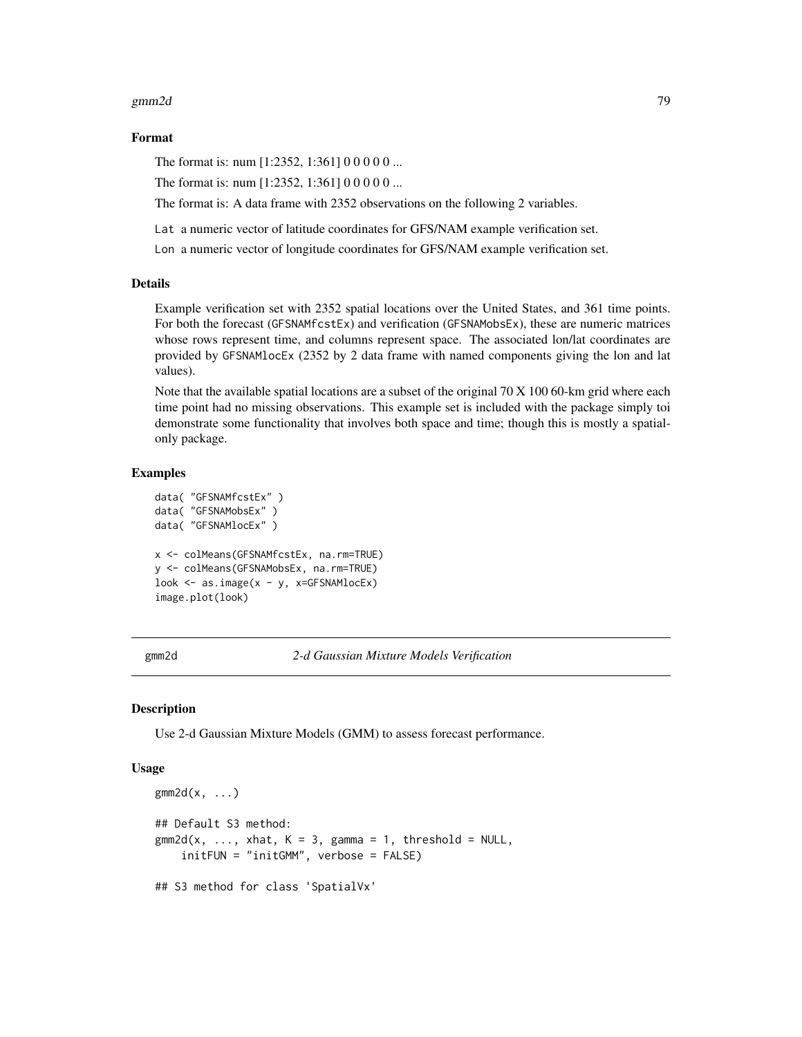#### gmm2d 79

## Format

The format is: num [1:2352, 1:361] 0 0 0 0 0 ...

The format is: num [1:2352, 1:361] 0 0 0 0 0 ...

The format is: A data frame with 2352 observations on the following 2 variables.

Lat a numeric vector of latitude coordinates for GFS/NAM example verification set.

Lon a numeric vector of longitude coordinates for GFS/NAM example verification set.

## Details

Example verification set with 2352 spatial locations over the United States, and 361 time points. For both the forecast (GFSNAMfcstEx) and verification (GFSNAMobsEx), these are numeric matrices whose rows represent time, and columns represent space. The associated lon/lat coordinates are provided by GFSNAMlocEx (2352 by 2 data frame with named components giving the lon and lat values).

Note that the available spatial locations are a subset of the original 70 X 100 60-km grid where each time point had no missing observations. This example set is included with the package simply toi demonstrate some functionality that involves both space and time; though this is mostly a spatialonly package.

## Examples

```
data( "GFSNAMfcstEx" )
data( "GFSNAMobsEx" )
data( "GFSNAMlocEx" )
x <- colMeans(GFSNAMfcstEx, na.rm=TRUE)
y <- colMeans(GFSNAMobsEx, na.rm=TRUE)
look <- as.image(x - y, x=GFSNAMlocEx)
image.plot(look)
```
gmm2d *2-d Gaussian Mixture Models Verification*

### Description

Use 2-d Gaussian Mixture Models (GMM) to assess forecast performance.

#### Usage

```
gmm2d(x, \ldots)## Default S3 method:
gmm2d(x, \ldots, xhat, K = 3, gamma = 1, threshold = NULL,initFUN = "initGMM", verbose = FALSE)
## S3 method for class 'SpatialVx'
```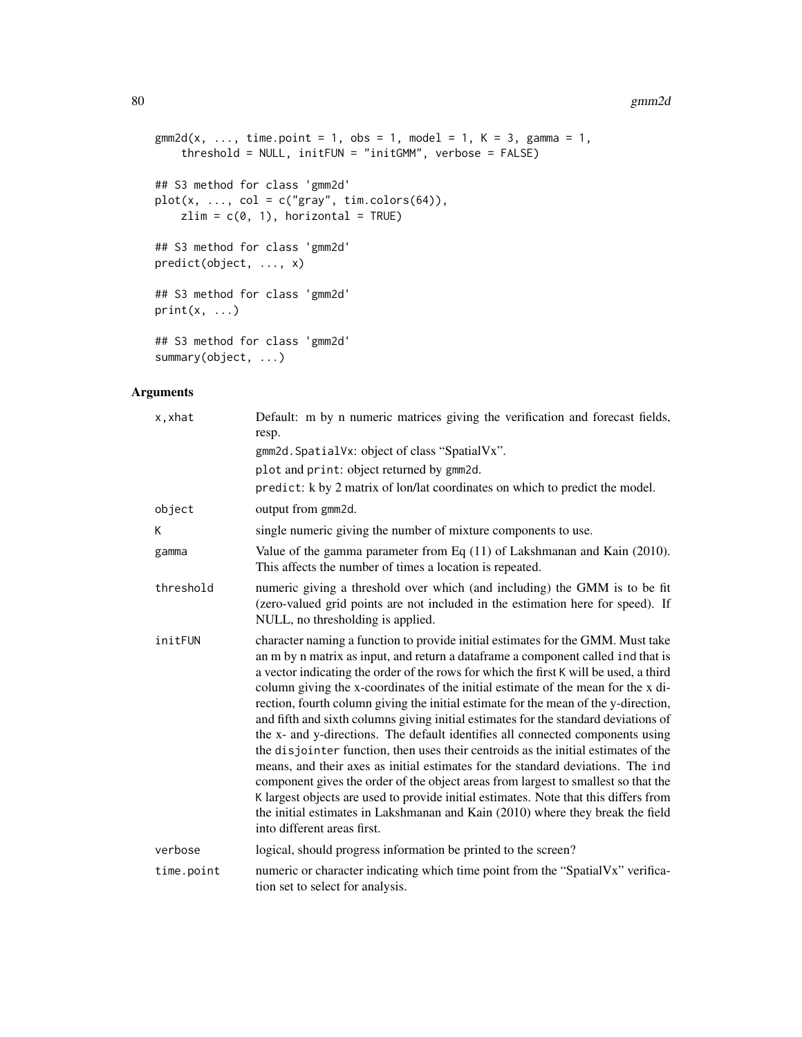#### 80 gmm2d

```
\text{gmm2d}(x, \ldots, \text{ time.point} = 1, \text{ obs} = 1, \text{ model} = 1, K = 3, \text{ gamma} = 1,threshold = NULL, initFUN = "initGMM", verbose = FALSE)
## S3 method for class 'gmm2d'
plot(x, ..., col = c("gray", tim. colors(64)),zlim = c(0, 1), horizontal = TRUE)
## S3 method for class 'gmm2d'
predict(object, ..., x)
## S3 method for class 'gmm2d'
print(x, \ldots)## S3 method for class 'gmm2d'
summary(object, ...)
```
# Arguments

| x, xhat    | Default: m by n numeric matrices giving the verification and forecast fields,<br>resp.                                                                                                                                                                                                                                                                                                                                                                                                                                                                                                                                                                                                                                                                                                                                                                                                                                                                                                                                                                                                    |
|------------|-------------------------------------------------------------------------------------------------------------------------------------------------------------------------------------------------------------------------------------------------------------------------------------------------------------------------------------------------------------------------------------------------------------------------------------------------------------------------------------------------------------------------------------------------------------------------------------------------------------------------------------------------------------------------------------------------------------------------------------------------------------------------------------------------------------------------------------------------------------------------------------------------------------------------------------------------------------------------------------------------------------------------------------------------------------------------------------------|
|            | gmm2d. SpatialVx: object of class "SpatialVx".                                                                                                                                                                                                                                                                                                                                                                                                                                                                                                                                                                                                                                                                                                                                                                                                                                                                                                                                                                                                                                            |
|            | plot and print: object returned by gmm2d.                                                                                                                                                                                                                                                                                                                                                                                                                                                                                                                                                                                                                                                                                                                                                                                                                                                                                                                                                                                                                                                 |
|            | predict: k by 2 matrix of lon/lat coordinates on which to predict the model.                                                                                                                                                                                                                                                                                                                                                                                                                                                                                                                                                                                                                                                                                                                                                                                                                                                                                                                                                                                                              |
| object     | output from gmm2d.                                                                                                                                                                                                                                                                                                                                                                                                                                                                                                                                                                                                                                                                                                                                                                                                                                                                                                                                                                                                                                                                        |
| К          | single numeric giving the number of mixture components to use.                                                                                                                                                                                                                                                                                                                                                                                                                                                                                                                                                                                                                                                                                                                                                                                                                                                                                                                                                                                                                            |
| gamma      | Value of the gamma parameter from Eq (11) of Lakshmanan and Kain (2010).<br>This affects the number of times a location is repeated.                                                                                                                                                                                                                                                                                                                                                                                                                                                                                                                                                                                                                                                                                                                                                                                                                                                                                                                                                      |
| threshold  | numeric giving a threshold over which (and including) the GMM is to be fit<br>(zero-valued grid points are not included in the estimation here for speed). If<br>NULL, no thresholding is applied.                                                                                                                                                                                                                                                                                                                                                                                                                                                                                                                                                                                                                                                                                                                                                                                                                                                                                        |
| initFUN    | character naming a function to provide initial estimates for the GMM. Must take<br>an m by n matrix as input, and return a dataframe a component called ind that is<br>a vector indicating the order of the rows for which the first K will be used, a third<br>column giving the x-coordinates of the initial estimate of the mean for the x di-<br>rection, fourth column giving the initial estimate for the mean of the y-direction,<br>and fifth and sixth columns giving initial estimates for the standard deviations of<br>the x- and y-directions. The default identifies all connected components using<br>the disjointer function, then uses their centroids as the initial estimates of the<br>means, and their axes as initial estimates for the standard deviations. The ind<br>component gives the order of the object areas from largest to smallest so that the<br>K largest objects are used to provide initial estimates. Note that this differs from<br>the initial estimates in Lakshmanan and Kain (2010) where they break the field<br>into different areas first. |
| verbose    | logical, should progress information be printed to the screen?                                                                                                                                                                                                                                                                                                                                                                                                                                                                                                                                                                                                                                                                                                                                                                                                                                                                                                                                                                                                                            |
| time.point | numeric or character indicating which time point from the "SpatialVx" verifica-<br>tion set to select for analysis.                                                                                                                                                                                                                                                                                                                                                                                                                                                                                                                                                                                                                                                                                                                                                                                                                                                                                                                                                                       |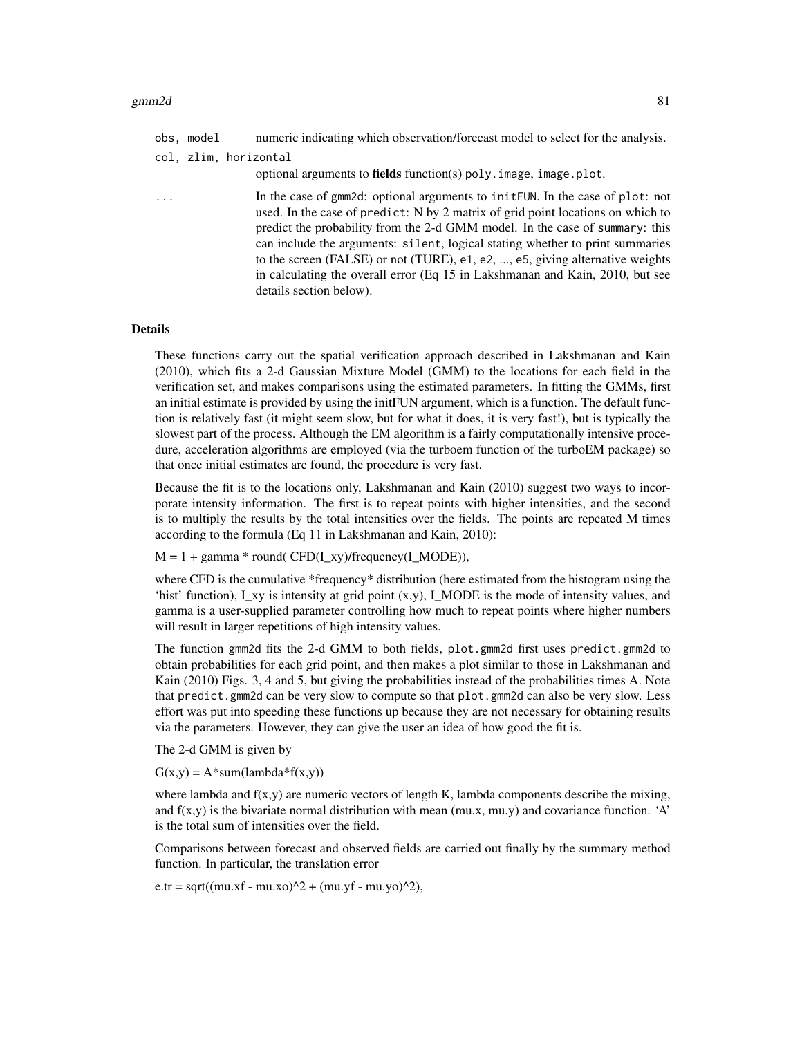|   | obs, model | numeric indicating which observation/forecast model to select for the analysis.                                                                                                                                                                                                                                                                                                                                                                                                                                                 |
|---|------------|---------------------------------------------------------------------------------------------------------------------------------------------------------------------------------------------------------------------------------------------------------------------------------------------------------------------------------------------------------------------------------------------------------------------------------------------------------------------------------------------------------------------------------|
|   |            | col, zlim, horizontal<br>optional arguments to fields function(s) poly. image, image.plot.                                                                                                                                                                                                                                                                                                                                                                                                                                      |
| . |            | In the case of gmm2d: optional arguments to inite UN. In the case of plot: not<br>used. In the case of predict: N by 2 matrix of grid point locations on which to<br>predict the probability from the 2-d GMM model. In the case of summary: this<br>can include the arguments: silent, logical stating whether to print summaries<br>to the screen (FALSE) or not (TURE), e1, e2, , e5, giving alternative weights<br>in calculating the overall error (Eq 15 in Lakshmanan and Kain, 2010, but see<br>details section below). |

#### Details

These functions carry out the spatial verification approach described in Lakshmanan and Kain (2010), which fits a 2-d Gaussian Mixture Model (GMM) to the locations for each field in the verification set, and makes comparisons using the estimated parameters. In fitting the GMMs, first an initial estimate is provided by using the initFUN argument, which is a function. The default function is relatively fast (it might seem slow, but for what it does, it is very fast!), but is typically the slowest part of the process. Although the EM algorithm is a fairly computationally intensive procedure, acceleration algorithms are employed (via the turboem function of the turboEM package) so that once initial estimates are found, the procedure is very fast.

Because the fit is to the locations only, Lakshmanan and Kain (2010) suggest two ways to incorporate intensity information. The first is to repeat points with higher intensities, and the second is to multiply the results by the total intensities over the fields. The points are repeated M times according to the formula (Eq 11 in Lakshmanan and Kain, 2010):

 $M = 1 + \text{gamma} * \text{round}(\text{CFD}(I_x, x)/\text{frequency}(I_x, \text{MODE}))$ ,

where CFD is the cumulative \*frequency\* distribution (here estimated from the histogram using the 'hist' function),  $I_x$ y is intensity at grid point  $(x,y)$ ,  $I_x$ MODE is the mode of intensity values, and gamma is a user-supplied parameter controlling how much to repeat points where higher numbers will result in larger repetitions of high intensity values.

The function gmm2d fits the 2-d GMM to both fields, plot.gmm2d first uses predict.gmm2d to obtain probabilities for each grid point, and then makes a plot similar to those in Lakshmanan and Kain (2010) Figs. 3, 4 and 5, but giving the probabilities instead of the probabilities times A. Note that predict.gmm2d can be very slow to compute so that plot.gmm2d can also be very slow. Less effort was put into speeding these functions up because they are not necessary for obtaining results via the parameters. However, they can give the user an idea of how good the fit is.

The 2-d GMM is given by

 $G(x,y) = A^*sum(lambda*f(x,y))$ 

where lambda and  $f(x,y)$  are numeric vectors of length K, lambda components describe the mixing, and  $f(x,y)$  is the bivariate normal distribution with mean (mu.x, mu.y) and covariance function. 'A' is the total sum of intensities over the field.

Comparisons between forecast and observed fields are carried out finally by the summary method function. In particular, the translation error

 $e.tr = sqrt((mu.xf - mu.xo)^2 + (mu.yf - mu.yo)^2),$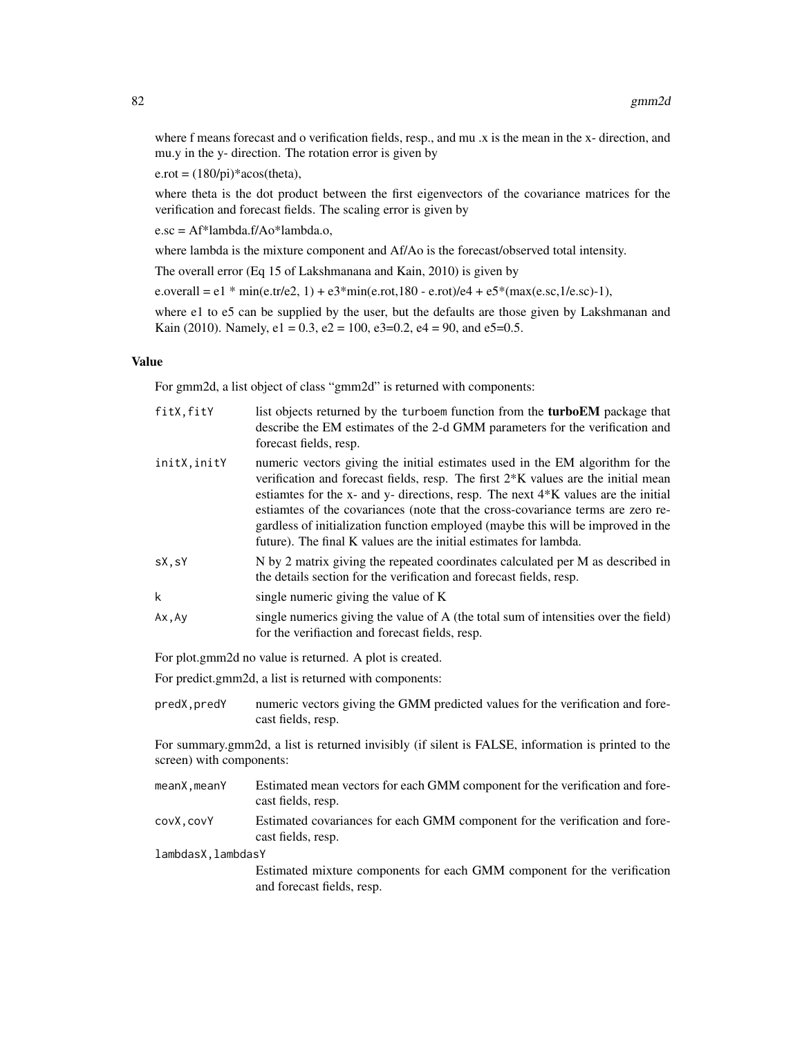where f means forecast and o verification fields, resp., and mu .x is the mean in the x- direction, and mu.y in the y- direction. The rotation error is given by

 $e. \text{rot} = (180/\text{pi})^* \text{acos}(\text{theta}),$ 

where theta is the dot product between the first eigenvectors of the covariance matrices for the verification and forecast fields. The scaling error is given by

e.sc = Af\*lambda.f/Ao\*lambda.o,

where lambda is the mixture component and Af/Ao is the forecast/observed total intensity.

The overall error (Eq 15 of Lakshmanana and Kain, 2010) is given by

e.overall = e1 \* min(e.tr/e2, 1) + e3\*min(e.rot,180 - e.rot)/e4 + e5\*(max(e.sc,1/e.sc)-1),

where e1 to e5 can be supplied by the user, but the defaults are those given by Lakshmanan and Kain (2010). Namely,  $e1 = 0.3$ ,  $e2 = 100$ ,  $e3 = 0.2$ ,  $e4 = 90$ , and  $e5 = 0.5$ .

#### Value

For gmm2d, a list object of class "gmm2d" is returned with components:

| fitX, fitY   | list objects returned by the turboem function from the <b>turboEM</b> package that<br>describe the EM estimates of the 2-d GMM parameters for the verification and<br>forecast fields, resp.                                                                                                                                                                                                                                                                                                                       |
|--------------|--------------------------------------------------------------------------------------------------------------------------------------------------------------------------------------------------------------------------------------------------------------------------------------------------------------------------------------------------------------------------------------------------------------------------------------------------------------------------------------------------------------------|
| initX, initY | numeric vectors giving the initial estimates used in the EM algorithm for the<br>verification and forecast fields, resp. The first 2 <sup>*</sup> K values are the initial mean<br>estiantes for the x- and y- directions, resp. The next $4*K$ values are the initial<br>estiantes of the covariances (note that the cross-covariance terms are zero re-<br>gardless of initialization function employed (maybe this will be improved in the<br>future). The final K values are the initial estimates for lambda. |
| sX, sY       | N by 2 matrix giving the repeated coordinates calculated per M as described in<br>the details section for the verification and forecast fields, resp.                                                                                                                                                                                                                                                                                                                                                              |
| k            | single numeric giving the value of K                                                                                                                                                                                                                                                                                                                                                                                                                                                                               |
| Ax, Ay       | single numerics giving the value of A (the total sum of intensities over the field)<br>for the verifiaction and forecast fields, resp.                                                                                                                                                                                                                                                                                                                                                                             |

For plot.gmm2d no value is returned. A plot is created.

For predict.gmm2d, a list is returned with components:

predX,predY numeric vectors giving the GMM predicted values for the verification and forecast fields, resp.

For summary.gmm2d, a list is returned invisibly (if silent is FALSE, information is printed to the screen) with components:

- meanX, meanY Estimated mean vectors for each GMM component for the verification and forecast fields, resp.
- covX,covY Estimated covariances for each GMM component for the verification and forecast fields, resp.

lambdasX,lambdasY

Estimated mixture components for each GMM component for the verification and forecast fields, resp.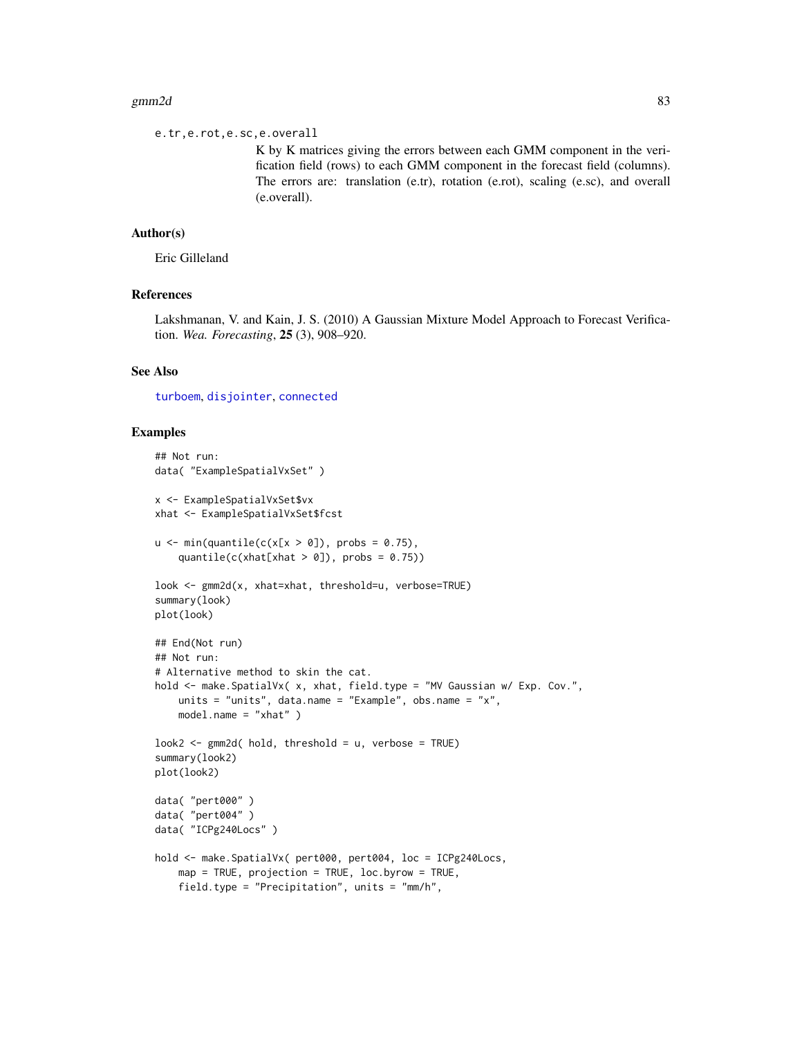#### $gmm2d$  83

e.tr,e.rot,e.sc,e.overall

K by K matrices giving the errors between each GMM component in the verification field (rows) to each GMM component in the forecast field (columns). The errors are: translation (e.tr), rotation (e.rot), scaling (e.sc), and overall (e.overall).

## Author(s)

Eric Gilleland

# References

Lakshmanan, V. and Kain, J. S. (2010) A Gaussian Mixture Model Approach to Forecast Verification. *Wea. Forecasting*, 25 (3), 908–920.

# See Also

[turboem](#page-0-0), [disjointer](#page-44-0), [connected](#page-0-0)

#### Examples

```
## Not run:
data( "ExampleSpatialVxSet" )
x <- ExampleSpatialVxSet$vx
xhat <- ExampleSpatialVxSet$fcst
u \le - \min(\text{quantile}(c(x[x > 0]), \text{ probs} = 0.75),quantile(c(xhat[xhat > 0]), probs = 0.75))
look <- gmm2d(x, xhat=xhat, threshold=u, verbose=TRUE)
summary(look)
plot(look)
## End(Not run)
## Not run:
# Alternative method to skin the cat.
hold <- make. SpatialVx( x, xhat, field. type = "MV Gaussian w/ Exp. Cov.",
    units = "units", data.name = "Example", obs.name = "x",
    model.name = "xhat" )
look2 < - gmm2d( hold, threshold = u, verbose = TRUE)
summary(look2)
plot(look2)
data( "pert000" )
data( "pert004" )
data( "ICPg240Locs" )
hold <- make.SpatialVx( pert000, pert004, loc = ICPg240Locs,
    map = TRUE, projection = TRUE, loc.byrow = TRUE,
    field.type = "Precipitation", units = "mm/h",
```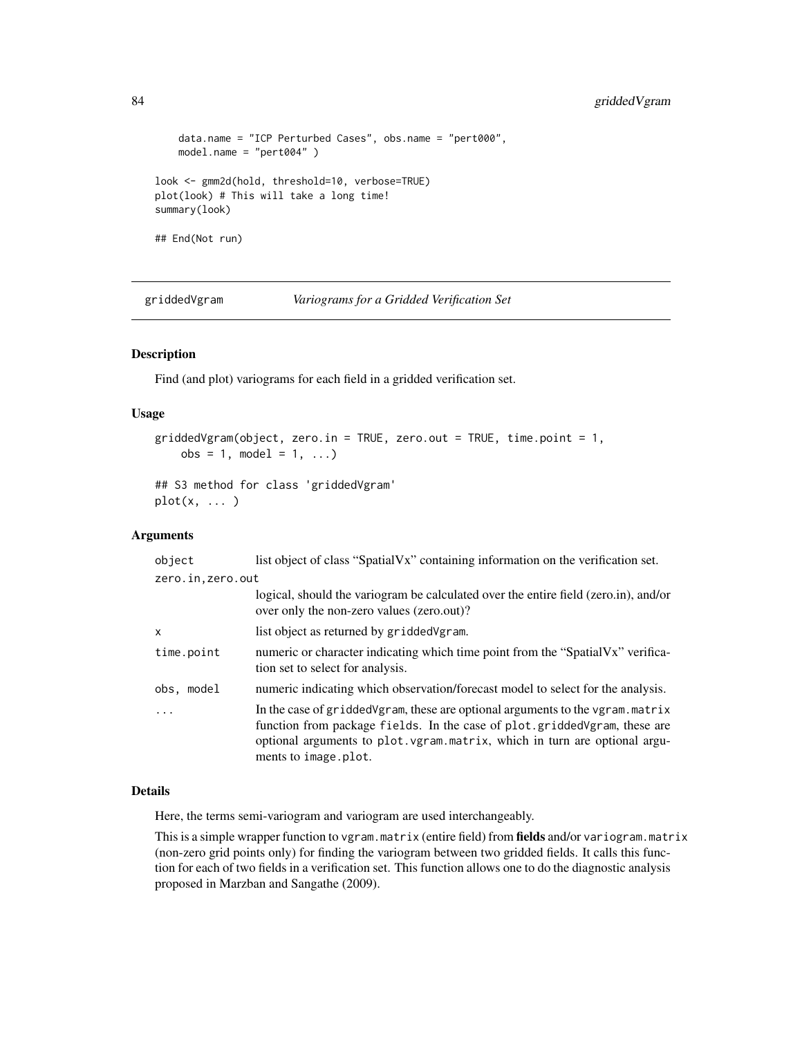```
data.name = "ICP Perturbed Cases", obs.name = "pert000",
   model.name = "pert004" )
look <- gmm2d(hold, threshold=10, verbose=TRUE)
plot(look) # This will take a long time!
summary(look)
## End(Not run)
```
griddedVgram *Variograms for a Gridded Verification Set*

# Description

Find (and plot) variograms for each field in a gridded verification set.

## Usage

```
griddedVgram(object, zero.in = TRUE, zero.out = TRUE, time.point = 1,
   obs = 1, model = 1, ...)
```

```
## S3 method for class 'griddedVgram'
plot(x, \ldots)
```
## Arguments

| object            | list object of class "SpatialVx" containing information on the verification set.                                                                                                                                                                                     |
|-------------------|----------------------------------------------------------------------------------------------------------------------------------------------------------------------------------------------------------------------------------------------------------------------|
| zero.in, zero.out |                                                                                                                                                                                                                                                                      |
|                   | logical, should the variogram be calculated over the entire field (zero.in), and/or<br>over only the non-zero values (zero.out)?                                                                                                                                     |
| $\mathsf{x}$      | list object as returned by gridded Vgram.                                                                                                                                                                                                                            |
| time.point        | numeric or character indicating which time point from the "SpatialVx" verifica-<br>tion set to select for analysis.                                                                                                                                                  |
| obs, model        | numeric indicating which observation/forecast model to select for the analysis.                                                                                                                                                                                      |
|                   | In the case of gridded Vgram, these are optional arguments to the vgram. matrix<br>function from package fields. In the case of plot gridded Vgram, these are<br>optional arguments to plot. vgram. matrix, which in turn are optional argu-<br>ments to image.plot. |

#### Details

Here, the terms semi-variogram and variogram are used interchangeably.

This is a simple wrapper function to vgram.matrix (entire field) from **fields** and/or variogram.matrix (non-zero grid points only) for finding the variogram between two gridded fields. It calls this function for each of two fields in a verification set. This function allows one to do the diagnostic analysis proposed in Marzban and Sangathe (2009).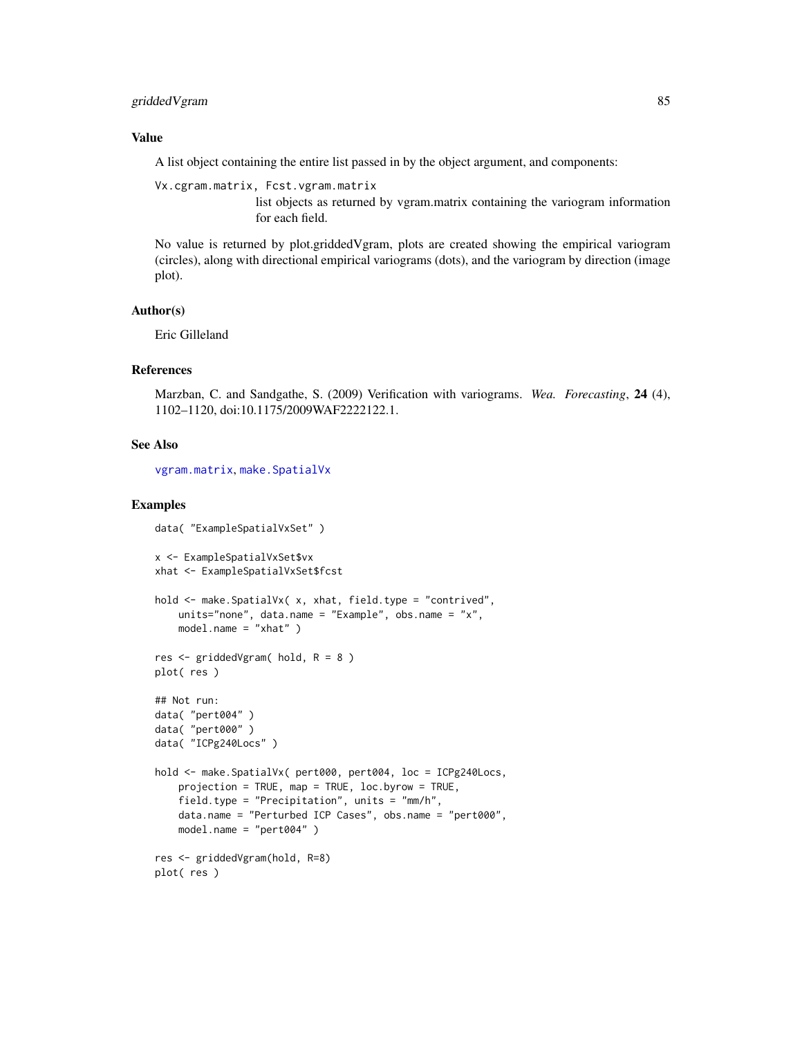# gridded Vgram 85

## Value

A list object containing the entire list passed in by the object argument, and components:

Vx.cgram.matrix, Fcst.vgram.matrix

list objects as returned by vgram.matrix containing the variogram information for each field.

No value is returned by plot.griddedVgram, plots are created showing the empirical variogram (circles), along with directional empirical variograms (dots), and the variogram by direction (image plot).

## Author(s)

Eric Gilleland

#### References

Marzban, C. and Sandgathe, S. (2009) Verification with variograms. *Wea. Forecasting*, 24 (4), 1102–1120, doi:10.1175/2009WAF2222122.1.

#### See Also

[vgram.matrix](#page-0-0), [make.SpatialVx](#page-114-0)

## Examples

```
data( "ExampleSpatialVxSet" )
x <- ExampleSpatialVxSet$vx
xhat <- ExampleSpatialVxSet$fcst
hold <- make.SpatialVx( x, xhat, field.type = "contrived",
   units="none", data.name = "Example", obs.name = "x",
   model.name = "xhat" )
res \leq griddedVgram( hold, R = 8 )
plot( res )
## Not run:
data( "pert004" )
data( "pert000" )
data( "ICPg240Locs" )
hold <- make.SpatialVx( pert000, pert004, loc = ICPg240Locs,
    projection = TRUE, map = TRUE, loc.byrow = TRUE,
    field.type = "Precipitation", units = "mm/h",
    data.name = "Perturbed ICP Cases", obs.name = "pert000",
    model.name = "pert004" )
res <- griddedVgram(hold, R=8)
plot( res )
```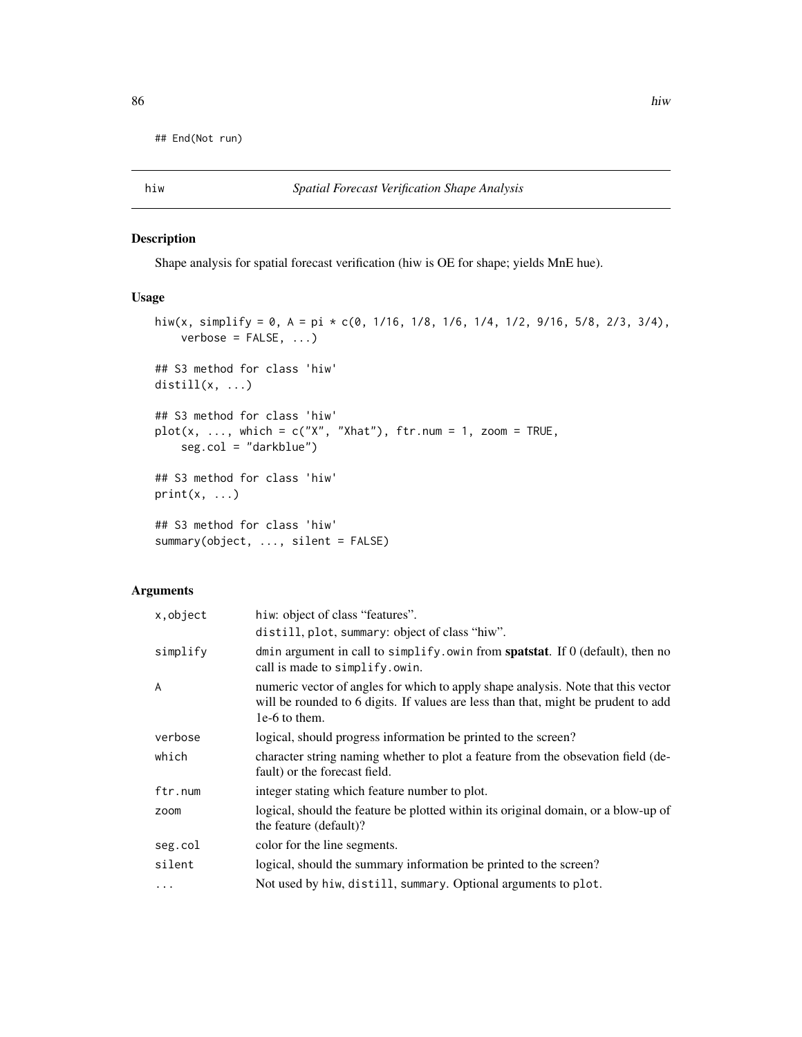## End(Not run)

# Description

Shape analysis for spatial forecast verification (hiw is OE for shape; yields MnE hue).

#### Usage

```
hiw(x, simplify = 0, A = pi \star c(0, 1/16, 1/8, 1/6, 1/4, 1/2, 9/16, 5/8, 2/3, 3/4),
    verbose = FALSE, ...)## S3 method for class 'hiw'
distill(x, ...)
## S3 method for class 'hiw'
plot(x, ..., which = c("X", "Xhat"), frr.num = 1, zoom = TRUE,seg.col = "darkblue")
## S3 method for class 'hiw'
print(x, \ldots)## S3 method for class 'hiw'
summary(object, ..., silent = FALSE)
```
# Arguments

| x, object | hiw: object of class "features".                                                                                                                                                         |
|-----------|------------------------------------------------------------------------------------------------------------------------------------------------------------------------------------------|
|           | distill, plot, summary: object of class "hiw".                                                                                                                                           |
| simplify  | dmin argument in call to simplify. owin from spatstat. If $0$ (default), then no<br>call is made to simplify.owin.                                                                       |
| A         | numeric vector of angles for which to apply shape analysis. Note that this vector<br>will be rounded to 6 digits. If values are less than that, might be prudent to add<br>1e-6 to them. |
| verbose   | logical, should progress information be printed to the screen?                                                                                                                           |
| which     | character string naming whether to plot a feature from the obsevation field (de-<br>fault) or the forecast field.                                                                        |
| ftr.num   | integer stating which feature number to plot.                                                                                                                                            |
| zoom      | logical, should the feature be plotted within its original domain, or a blow-up of<br>the feature (default)?                                                                             |
| seg.col   | color for the line segments.                                                                                                                                                             |
| silent    | logical, should the summary information be printed to the screen?                                                                                                                        |
| $\cdots$  | Not used by hiw, distill, summary. Optional arguments to plot.                                                                                                                           |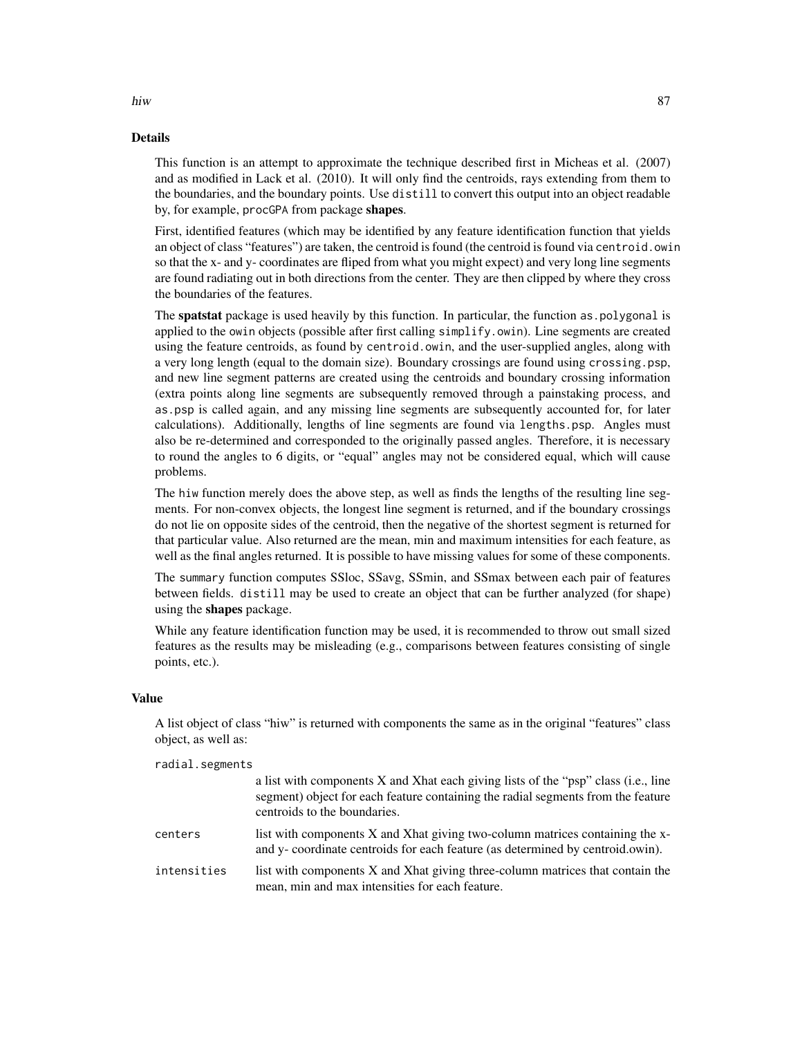## Details

This function is an attempt to approximate the technique described first in Micheas et al. (2007) and as modified in Lack et al. (2010). It will only find the centroids, rays extending from them to the boundaries, and the boundary points. Use distill to convert this output into an object readable by, for example, procGPA from package shapes.

First, identified features (which may be identified by any feature identification function that yields an object of class "features") are taken, the centroid is found (the centroid is found via centroid.owin so that the x- and y- coordinates are fliped from what you might expect) and very long line segments are found radiating out in both directions from the center. They are then clipped by where they cross the boundaries of the features.

The spatstat package is used heavily by this function. In particular, the function as.polygonal is applied to the owin objects (possible after first calling simplify.owin). Line segments are created using the feature centroids, as found by centroid.owin, and the user-supplied angles, along with a very long length (equal to the domain size). Boundary crossings are found using crossing.psp, and new line segment patterns are created using the centroids and boundary crossing information (extra points along line segments are subsequently removed through a painstaking process, and as.psp is called again, and any missing line segments are subsequently accounted for, for later calculations). Additionally, lengths of line segments are found via lengths.psp. Angles must also be re-determined and corresponded to the originally passed angles. Therefore, it is necessary to round the angles to 6 digits, or "equal" angles may not be considered equal, which will cause problems.

The hiw function merely does the above step, as well as finds the lengths of the resulting line segments. For non-convex objects, the longest line segment is returned, and if the boundary crossings do not lie on opposite sides of the centroid, then the negative of the shortest segment is returned for that particular value. Also returned are the mean, min and maximum intensities for each feature, as well as the final angles returned. It is possible to have missing values for some of these components.

The summary function computes SSloc, SSavg, SSmin, and SSmax between each pair of features between fields. distill may be used to create an object that can be further analyzed (for shape) using the **shapes** package.

While any feature identification function may be used, it is recommended to throw out small sized features as the results may be misleading (e.g., comparisons between features consisting of single points, etc.).

# Value

A list object of class "hiw" is returned with components the same as in the original "features" class object, as well as:

radial.segments

|             | a list with components X and Xhat each giving lists of the "psp" class (i.e., line<br>segment) object for each feature containing the radial segments from the feature<br>centroids to the boundaries. |
|-------------|--------------------------------------------------------------------------------------------------------------------------------------------------------------------------------------------------------|
| centers     | list with components X and Xhat giving two-column matrices containing the x-<br>and y- coordinate centroids for each feature (as determined by centroid.owin).                                         |
| intensities | list with components X and Xhat giving three-column matrices that contain the<br>mean, min and max intensities for each feature.                                                                       |

hiw 87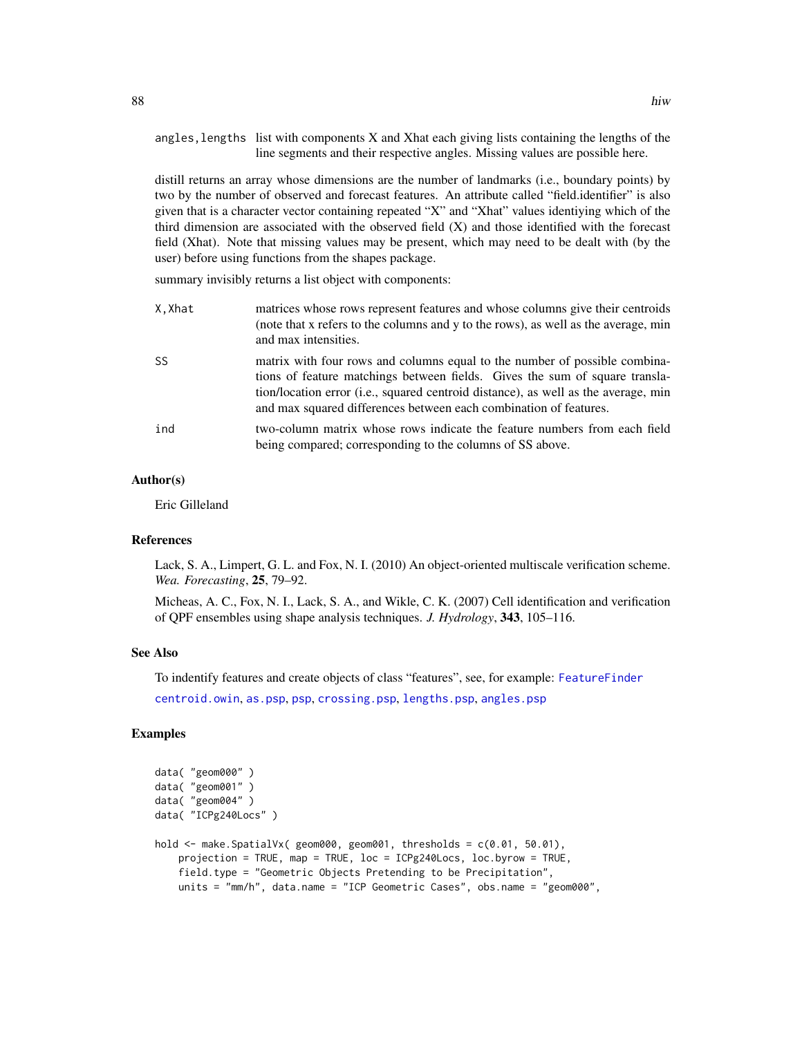angles, lengths list with components  $X$  and Xhat each giving lists containing the lengths of the line segments and their respective angles. Missing values are possible here.

distill returns an array whose dimensions are the number of landmarks (i.e., boundary points) by two by the number of observed and forecast features. An attribute called "field.identifier" is also given that is a character vector containing repeated "X" and "Xhat" values identiying which of the third dimension are associated with the observed field (X) and those identified with the forecast field (Xhat). Note that missing values may be present, which may need to be dealt with (by the user) before using functions from the shapes package.

summary invisibly returns a list object with components:

| X.Xhat | matrices whose rows represent features and whose columns give their centroids<br>(note that x refers to the columns and y to the rows), as well as the average, min<br>and max intensities.                                                                                                                          |
|--------|----------------------------------------------------------------------------------------------------------------------------------------------------------------------------------------------------------------------------------------------------------------------------------------------------------------------|
| SS     | matrix with four rows and columns equal to the number of possible combina-<br>tions of feature matchings between fields. Gives the sum of square transla-<br>tion/location error (i.e., squared centroid distance), as well as the average, min<br>and max squared differences between each combination of features. |
| ind    | two-column matrix whose rows indicate the feature numbers from each field<br>being compared; corresponding to the columns of SS above.                                                                                                                                                                               |

## Author(s)

Eric Gilleland

## References

Lack, S. A., Limpert, G. L. and Fox, N. I. (2010) An object-oriented multiscale verification scheme. *Wea. Forecasting*, 25, 79–92.

Micheas, A. C., Fox, N. I., Lack, S. A., and Wikle, C. K. (2007) Cell identification and verification of QPF ensembles using shape analysis techniques. *J. Hydrology*, 343, 105–116.

#### See Also

To indentify features and create objects of class "features", see, for example: [FeatureFinder](#page-54-0) [centroid.owin](#page-0-0), [as.psp](#page-0-0), [psp](#page-0-0), [crossing.psp](#page-0-0), [lengths.psp](#page-0-0), [angles.psp](#page-0-0)

## Examples

```
data( "geom000" )
data( "geom001" )
data( "geom004" )
data( "ICPg240Locs" )
hold <- make.SpatialVx( geom000, geom001, thresholds = c(0.01, 50.01),
   projection = TRUE, map = TRUE, loc = ICPg240Locs, loc.byrow = TRUE,
    field.type = "Geometric Objects Pretending to be Precipitation",
   units = "mm/h", data.name = "ICP Geometric Cases", obs.name = "geom000",
```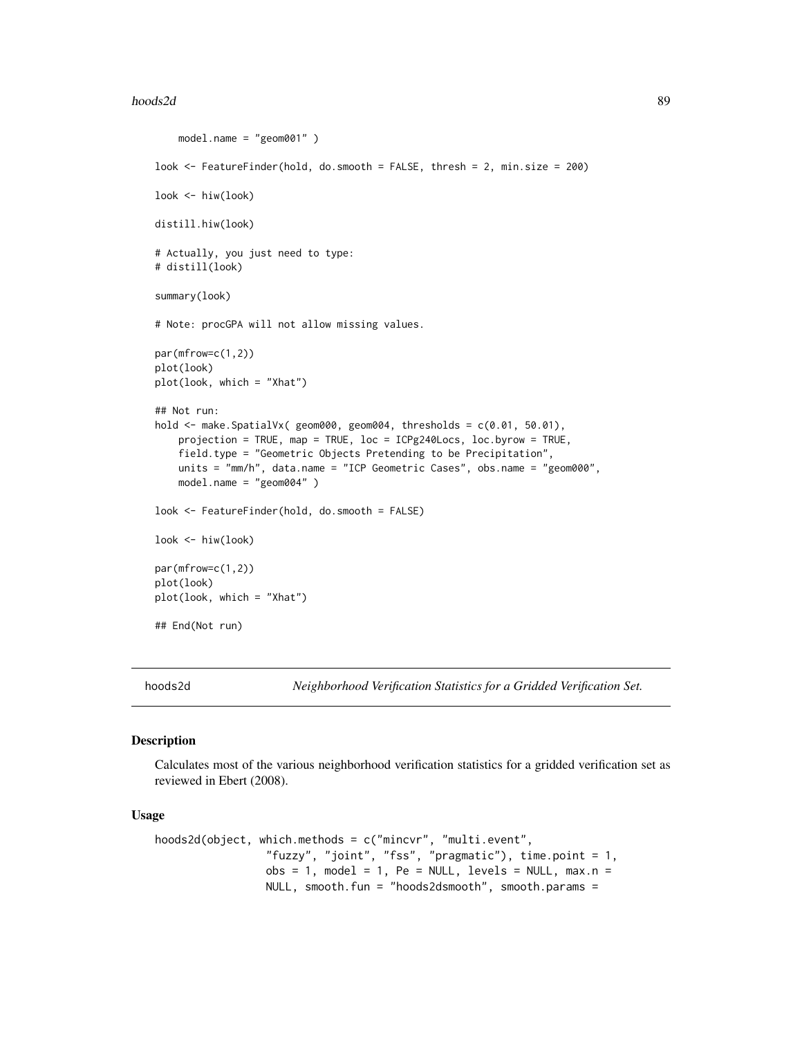#### hoods2d 89

```
model.name = "geom001" )
look <- FeatureFinder(hold, do.smooth = FALSE, thresh = 2, min.size = 200)
look <- hiw(look)
distill.hiw(look)
# Actually, you just need to type:
# distill(look)
summary(look)
# Note: procGPA will not allow missing values.
par(mfrow=c(1,2))
plot(look)
plot(look, which = "Xhat")
## Not run:
hold <- make.SpatialVx( geom000, geom004, thresholds = c(0.01, 50.01),
    projection = TRUE, map = TRUE, loc = ICPg240Locs, loc.byrow = TRUE,
    field.type = "Geometric Objects Pretending to be Precipitation",
    units = "mm/h", data.name = "ICP Geometric Cases", obs.name = "geom000",
    model.name = "geom004" )
look <- FeatureFinder(hold, do.smooth = FALSE)
look <- hiw(look)
par(mfrow=c(1,2))
plot(look)
plot(look, which = "Xhat")
## End(Not run)
```
hoods2d *Neighborhood Verification Statistics for a Gridded Verification Set.*

#### <span id="page-88-1"></span>Description

Calculates most of the various neighborhood verification statistics for a gridded verification set as reviewed in Ebert (2008).

#### Usage

```
hoods2d(object, which.methods = c("mincvr", "multi.event",
                 "fuzzy", "joint", "fss", "pragmatic"), time.point = 1,
                obs = 1, model = 1, Pe = NULL, levels = NULL, max.n =
                NULL, smooth.fun = "hoods2dsmooth", smooth.params =
```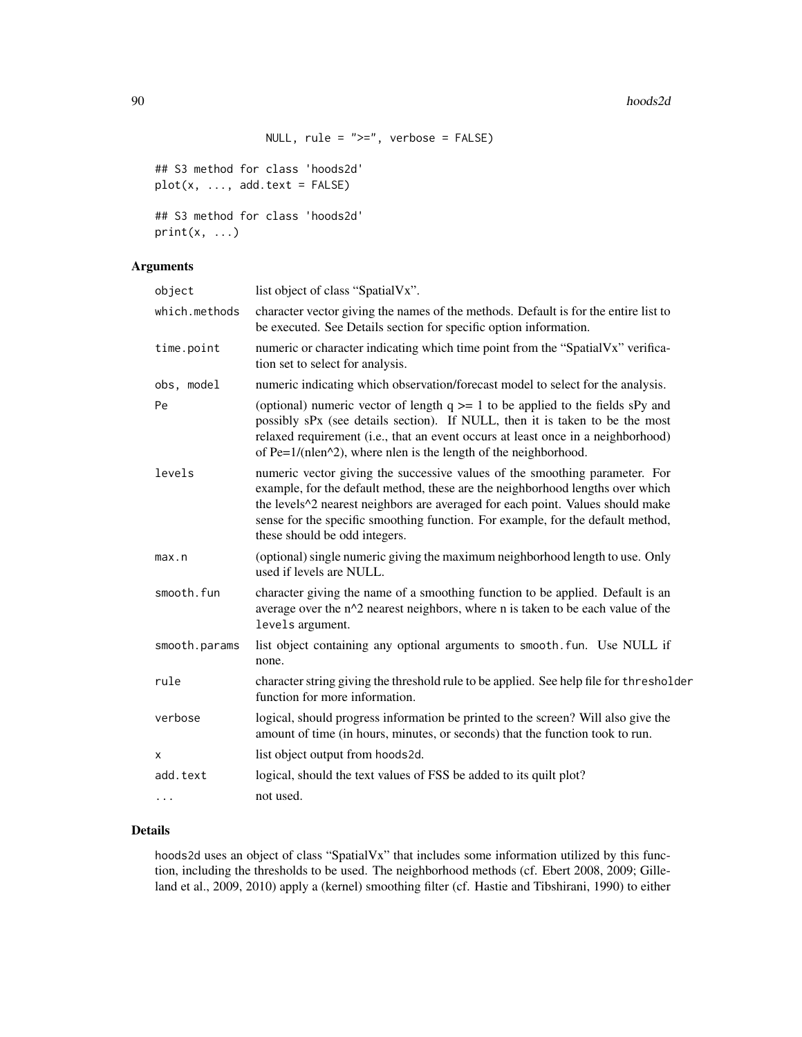```
NULL, rule = ">=", verbose = FALSE)
```

```
## S3 method for class 'hoods2d'
plot(x, ..., add.text = FALSE)
```

```
## S3 method for class 'hoods2d'
print(x, \ldots)
```
# Arguments

| object        | list object of class "SpatialVx".                                                                                                                                                                                                                                                                                                                                   |
|---------------|---------------------------------------------------------------------------------------------------------------------------------------------------------------------------------------------------------------------------------------------------------------------------------------------------------------------------------------------------------------------|
| which.methods | character vector giving the names of the methods. Default is for the entire list to<br>be executed. See Details section for specific option information.                                                                                                                                                                                                            |
| time.point    | numeric or character indicating which time point from the "SpatialVx" verifica-<br>tion set to select for analysis.                                                                                                                                                                                                                                                 |
| obs, model    | numeric indicating which observation/forecast model to select for the analysis.                                                                                                                                                                                                                                                                                     |
| Pe            | (optional) numeric vector of length $q \geq 1$ to be applied to the fields sPy and<br>possibly sPx (see details section). If NULL, then it is taken to be the most<br>relaxed requirement (i.e., that an event occurs at least once in a neighborhood)<br>of Pe= $1/(nlen^2)$ , where nlen is the length of the neighborhood.                                       |
| levels        | numeric vector giving the successive values of the smoothing parameter. For<br>example, for the default method, these are the neighborhood lengths over which<br>the levels^2 nearest neighbors are averaged for each point. Values should make<br>sense for the specific smoothing function. For example, for the default method,<br>these should be odd integers. |
| max.n         | (optional) single numeric giving the maximum neighborhood length to use. Only<br>used if levels are NULL.                                                                                                                                                                                                                                                           |
| smooth.fun    | character giving the name of a smoothing function to be applied. Default is an<br>average over the n^2 nearest neighbors, where n is taken to be each value of the<br>levels argument.                                                                                                                                                                              |
| smooth.params | list object containing any optional arguments to smooth. fun. Use NULL if<br>none.                                                                                                                                                                                                                                                                                  |
| rule          | character string giving the threshold rule to be applied. See help file for thresholder<br>function for more information.                                                                                                                                                                                                                                           |
| verbose       | logical, should progress information be printed to the screen? Will also give the<br>amount of time (in hours, minutes, or seconds) that the function took to run.                                                                                                                                                                                                  |
| Χ             | list object output from hoods2d.                                                                                                                                                                                                                                                                                                                                    |
| add.text      | logical, should the text values of FSS be added to its quilt plot?                                                                                                                                                                                                                                                                                                  |
| $\ldots$      | not used.                                                                                                                                                                                                                                                                                                                                                           |
|               |                                                                                                                                                                                                                                                                                                                                                                     |

# Details

hoods2d uses an object of class "SpatialVx" that includes some information utilized by this function, including the thresholds to be used. The neighborhood methods (cf. Ebert 2008, 2009; Gilleland et al., 2009, 2010) apply a (kernel) smoothing filter (cf. Hastie and Tibshirani, 1990) to either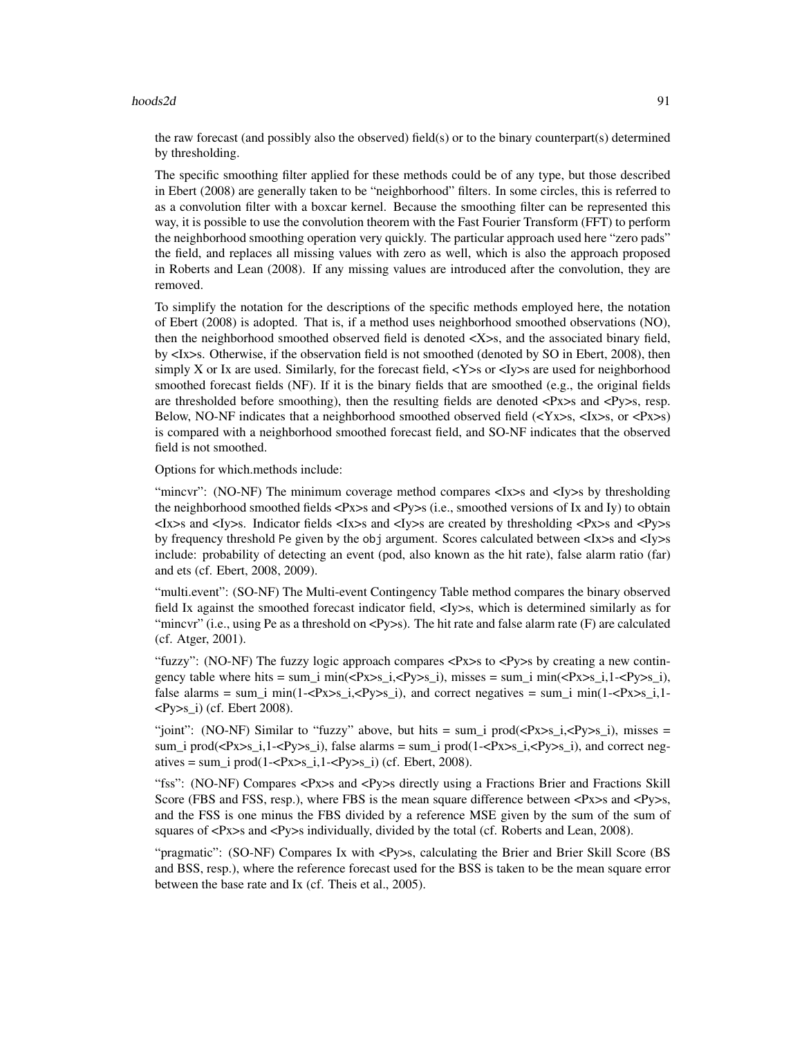#### $h$ oods $2d$  91

the raw forecast (and possibly also the observed) field(s) or to the binary counterpart(s) determined by thresholding.

The specific smoothing filter applied for these methods could be of any type, but those described in Ebert (2008) are generally taken to be "neighborhood" filters. In some circles, this is referred to as a convolution filter with a boxcar kernel. Because the smoothing filter can be represented this way, it is possible to use the convolution theorem with the Fast Fourier Transform (FFT) to perform the neighborhood smoothing operation very quickly. The particular approach used here "zero pads" the field, and replaces all missing values with zero as well, which is also the approach proposed in Roberts and Lean (2008). If any missing values are introduced after the convolution, they are removed.

To simplify the notation for the descriptions of the specific methods employed here, the notation of Ebert (2008) is adopted. That is, if a method uses neighborhood smoothed observations (NO), then the neighborhood smoothed observed field is denoted <X>s, and the associated binary field, by <Ix>s. Otherwise, if the observation field is not smoothed (denoted by SO in Ebert, 2008), then simply X or Ix are used. Similarly, for the forecast field,  $\langle$ Y $\rangle$ s or  $\langle$ I $\rangle$ s are used for neighborhood smoothed forecast fields (NF). If it is the binary fields that are smoothed (e.g., the original fields are thresholded before smoothing), then the resulting fields are denoted  $\langle Px\rangle$ s and  $\langle Py\rangle$ s, resp. Below, NO-NF indicates that a neighborhood smoothed observed field  $(\langle Yx \rangle s, \langle Ix \rangle s, \text{ or } \langle Px \rangle s)$ is compared with a neighborhood smoothed forecast field, and SO-NF indicates that the observed field is not smoothed.

Options for which.methods include:

"mincvr": (NO-NF) The minimum coverage method compares <Ix>s and <Iy>s by thresholding the neighborhood smoothed fields <Px>s and <Py>s (i.e., smoothed versions of Ix and Iy) to obtain <Ix>s and <Iy>s. Indicator fields <Ix>s and <Iy>s are created by thresholding <Px>s and <Py>s by frequency threshold Pe given by the obj argument. Scores calculated between <Ix>s and <Iy>s include: probability of detecting an event (pod, also known as the hit rate), false alarm ratio (far) and ets (cf. Ebert, 2008, 2009).

"multi.event": (SO-NF) The Multi-event Contingency Table method compares the binary observed field Ix against the smoothed forecast indicator field, <Iy>s, which is determined similarly as for "mincvr" (i.e., using Pe as a threshold on  $\langle Py \rangle$ s). The hit rate and false alarm rate (F) are calculated (cf. Atger, 2001).

"fuzzy": (NO-NF) The fuzzy logic approach compares <Px>s to <Py>s by creating a new contingency table where hits = sum\_i min(<Px>s\_i,<Py>s\_i), misses = sum\_i min(<Px>s\_i,1-<Py>s\_i), false alarms = sum\_i min(1-<Px>s\_i,<Py>s\_i), and correct negatives = sum\_i min(1-<Px>s\_i,1- $\langle \text{Py}\rangle$ s\_i) (cf. Ebert 2008).

"joint": (NO-NF) Similar to "fuzzy" above, but hits = sum\_i prod( $\langle Px\rangle s_i, \langle Py\rangle s_i$ ), misses = sum\_i prod( $\langle Px \rangle$ s\_i,1- $\langle Py \rangle$ s\_i), false alarms = sum\_i prod(1- $\langle Px \rangle$ s\_i, $\langle Py \rangle$ s\_i), and correct negatives = sum\_i prod(1-<Px $>$ s\_i,1-<Py $>$ s\_i) (cf. Ebert, 2008).

"fss": (NO-NF) Compares <Px>s and <Py>s directly using a Fractions Brier and Fractions Skill Score (FBS and FSS, resp.), where FBS is the mean square difference between <Px>s and <Py>s, and the FSS is one minus the FBS divided by a reference MSE given by the sum of the sum of squares of  $\langle Px\rangle$  and  $\langle Py\rangle$  individually, divided by the total (cf. Roberts and Lean, 2008).

"pragmatic": (SO-NF) Compares Ix with <Py>s, calculating the Brier and Brier Skill Score (BS and BSS, resp.), where the reference forecast used for the BSS is taken to be the mean square error between the base rate and Ix (cf. Theis et al., 2005).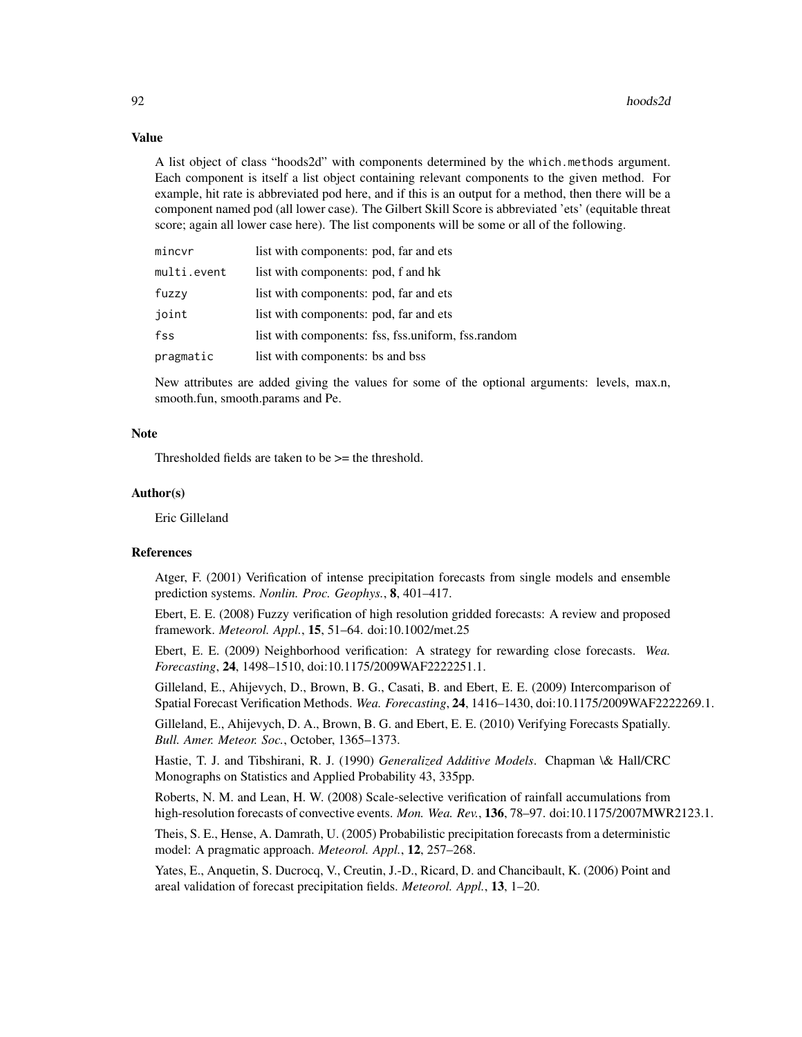## Value

A list object of class "hoods2d" with components determined by the which.methods argument. Each component is itself a list object containing relevant components to the given method. For example, hit rate is abbreviated pod here, and if this is an output for a method, then there will be a component named pod (all lower case). The Gilbert Skill Score is abbreviated 'ets' (equitable threat score; again all lower case here). The list components will be some or all of the following.

| mincvr      | list with components: pod, far and ets             |
|-------------|----------------------------------------------------|
| multi.event | list with components: pod, f and hk                |
| fuzzy       | list with components: pod, far and ets             |
| joint       | list with components: pod, far and ets             |
| fss         | list with components: fss, fss.uniform, fss.random |
| pragmatic   | list with components: bs and bss                   |

New attributes are added giving the values for some of the optional arguments: levels, max.n, smooth.fun, smooth.params and Pe.

## Note

Thresholded fields are taken to be >= the threshold.

#### Author(s)

Eric Gilleland

## References

Atger, F. (2001) Verification of intense precipitation forecasts from single models and ensemble prediction systems. *Nonlin. Proc. Geophys.*, 8, 401–417.

Ebert, E. E. (2008) Fuzzy verification of high resolution gridded forecasts: A review and proposed framework. *Meteorol. Appl.*, 15, 51–64. doi:10.1002/met.25

Ebert, E. E. (2009) Neighborhood verification: A strategy for rewarding close forecasts. *Wea. Forecasting*, 24, 1498–1510, doi:10.1175/2009WAF2222251.1.

Gilleland, E., Ahijevych, D., Brown, B. G., Casati, B. and Ebert, E. E. (2009) Intercomparison of Spatial Forecast Verification Methods. *Wea. Forecasting*, 24, 1416–1430, doi:10.1175/2009WAF2222269.1.

Gilleland, E., Ahijevych, D. A., Brown, B. G. and Ebert, E. E. (2010) Verifying Forecasts Spatially. *Bull. Amer. Meteor. Soc.*, October, 1365–1373.

Hastie, T. J. and Tibshirani, R. J. (1990) *Generalized Additive Models*. Chapman \& Hall/CRC Monographs on Statistics and Applied Probability 43, 335pp.

Roberts, N. M. and Lean, H. W. (2008) Scale-selective verification of rainfall accumulations from high-resolution forecasts of convective events. *Mon. Wea. Rev.*, 136, 78–97. doi:10.1175/2007MWR2123.1.

Theis, S. E., Hense, A. Damrath, U. (2005) Probabilistic precipitation forecasts from a deterministic model: A pragmatic approach. *Meteorol. Appl.*, 12, 257–268.

Yates, E., Anquetin, S. Ducrocq, V., Creutin, J.-D., Ricard, D. and Chancibault, K. (2006) Point and areal validation of forecast precipitation fields. *Meteorol. Appl.*, 13, 1–20.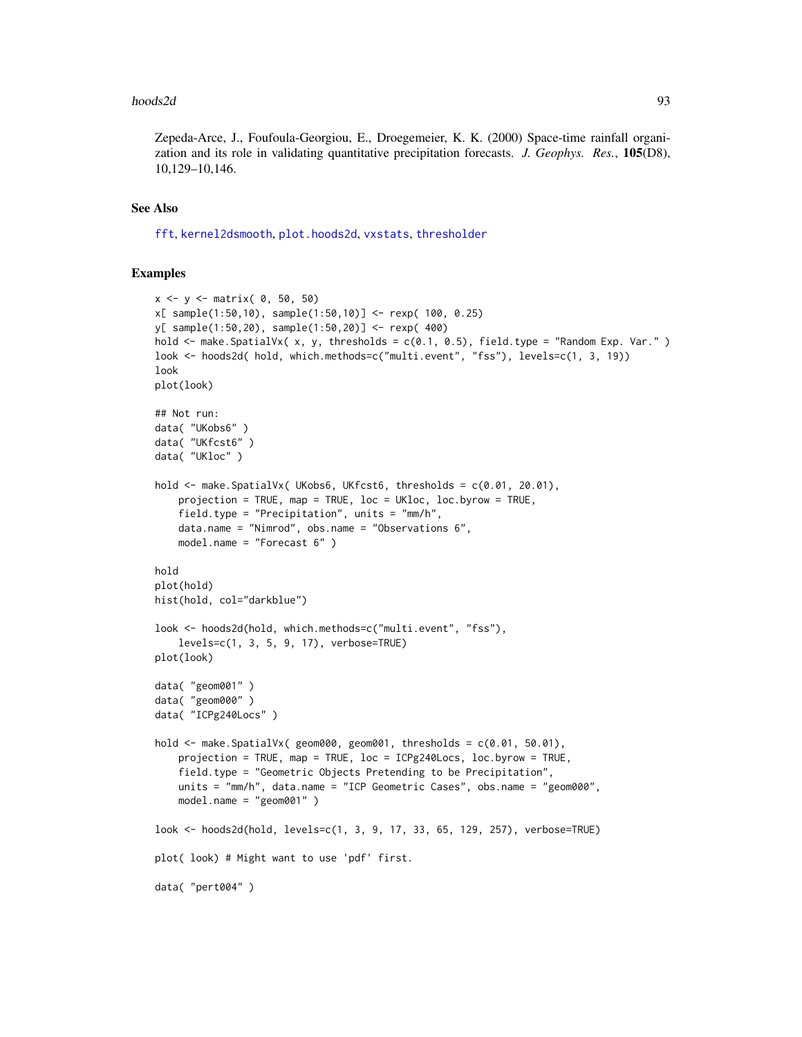#### $h$ oods $2d$  93

Zepeda-Arce, J., Foufoula-Georgiou, E., Droegemeier, K. K. (2000) Space-time rainfall organization and its role in validating quantitative precipitation forecasts. *J. Geophys. Res.*, 105(D8), 10,129–10,146.

# See Also

[fft](#page-0-0), [kernel2dsmooth](#page-0-0), [plot.hoods2d](#page-88-1), [vxstats](#page-172-0), [thresholder](#page-164-0)

## Examples

```
x \le -y \le - matrix( 0, 50, 50)
x[ sample(1:50,10), sample(1:50,10)] <- rexp( 100, 0.25)
y[ sample(1:50,20), sample(1:50,20)] <- rexp( 400)
hold <- make.SpatialVx( x, y, thresholds = c(0.1, 0.5), field.type = "Random Exp. Var." )
look <- hoods2d( hold, which.methods=c("multi.event", "fss"), levels=c(1, 3, 19))
look
plot(look)
## Not run:
data( "UKobs6" )
data( "UKfcst6" )
data( "UKloc" )
hold <- make.SpatialVx( UKobs6, UKfcst6, thresholds = c(0.01, 20.01),
    projection = TRUE, map = TRUE, loc = UKloc, loc.byrow = TRUE,
    field.type = "Precipitation", units = "mm/h",
    data.name = "Nimrod", obs.name = "Observations 6",
   model.name = "Forecast 6" )
hold
plot(hold)
hist(hold, col="darkblue")
look <- hoods2d(hold, which.methods=c("multi.event", "fss"),
    levels=c(1, 3, 5, 9, 17), verbose=TRUE)
plot(look)
data( "geom001" )
data( "geom000" )
data( "ICPg240Locs" )
hold \leq make. SpatialVx( geom000, geom001, thresholds = c(0.01, 50.01),
    projection = TRUE, map = TRUE, loc = ICPg240Locs, loc.byrow = TRUE,
    field.type = "Geometric Objects Pretending to be Precipitation",
    units = "mm/h", data.name = "ICP Geometric Cases", obs.name = "geom000",
    model.name = "geom001" )
look <- hoods2d(hold, levels=c(1, 3, 9, 17, 33, 65, 129, 257), verbose=TRUE)
plot( look) # Might want to use 'pdf' first.
data( "pert004" )
```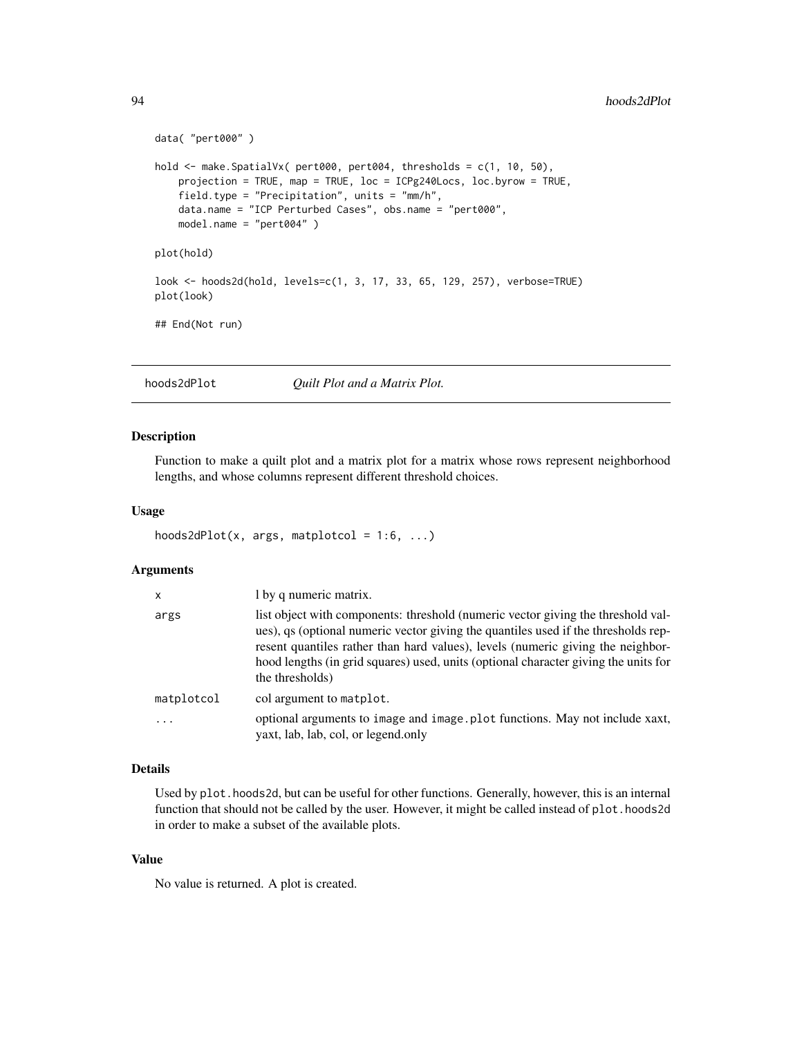```
data( "pert000" )
hold <- make.SpatialVx( pert000, pert004, thresholds = c(1, 10, 50),
   projection = TRUE, map = TRUE, loc = ICPg240Locs, loc.byrow = TRUE,
    field.type = "Precipitation", units = "mm/h",
   data.name = "ICP Perturbed Cases", obs.name = "pert000",
   model.name = "pert004" )
plot(hold)
look <- hoods2d(hold, levels=c(1, 3, 17, 33, 65, 129, 257), verbose=TRUE)
plot(look)
## End(Not run)
```
<span id="page-93-0"></span>hoods2dPlot *Quilt Plot and a Matrix Plot.*

#### Description

Function to make a quilt plot and a matrix plot for a matrix whose rows represent neighborhood lengths, and whose columns represent different threshold choices.

#### Usage

```
hoods2dPlot(x, args, matplotcol = 1:6, ...)
```
## Arguments

| $\mathsf{x}$            | 1 by q numeric matrix.                                                                                                                                                                                                                                                                                                                                              |
|-------------------------|---------------------------------------------------------------------------------------------------------------------------------------------------------------------------------------------------------------------------------------------------------------------------------------------------------------------------------------------------------------------|
| args                    | list object with components: threshold (numeric vector giving the threshold val-<br>ues), qs (optional numeric vector giving the quantiles used if the thresholds rep-<br>resent quantiles rather than hard values), levels (numeric giving the neighbor-<br>hood lengths (in grid squares) used, units (optional character giving the units for<br>the thresholds) |
| matplotcol              | col argument to matplot.                                                                                                                                                                                                                                                                                                                                            |
| $\cdot$ $\cdot$ $\cdot$ | optional arguments to image and image plot functions. May not include xaxt,<br>yaxt, lab, lab, col, or legend.only                                                                                                                                                                                                                                                  |

#### Details

Used by plot.hoods2d, but can be useful for other functions. Generally, however, this is an internal function that should not be called by the user. However, it might be called instead of plot.hoods2d in order to make a subset of the available plots.

## Value

No value is returned. A plot is created.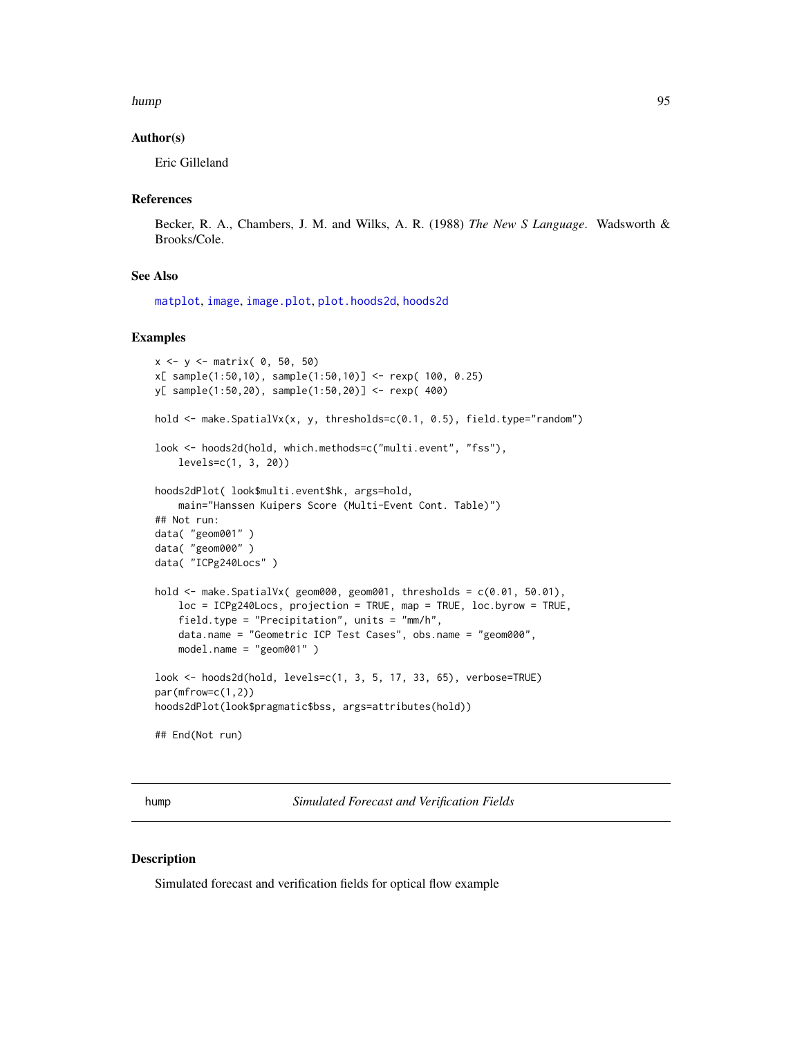#### hump 95 and 2012 12:00 the contract of the contract of the contract of the contract of the contract of the contract of the contract of the contract of the contract of the contract of the contract of the contract of the con

## Author(s)

Eric Gilleland

## References

Becker, R. A., Chambers, J. M. and Wilks, A. R. (1988) *The New S Language*. Wadsworth & Brooks/Cole.

#### See Also

[matplot](#page-0-0), [image](#page-0-0), [image.plot](#page-0-0), [plot.hoods2d](#page-88-1), [hoods2d](#page-88-0)

#### Examples

```
x \le -y \le - matrix( 0, 50, 50)
x[ sample(1:50,10), sample(1:50,10)] <- rexp( 100, 0.25)
y[ sample(1:50,20), sample(1:50,20)] <- rexp( 400)
hold <- make.SpatialVx(x, y, thresholds=c(0.1, 0.5), field.type="random")
look <- hoods2d(hold, which.methods=c("multi.event", "fss"),
    levels=c(1, 3, 20))
hoods2dPlot( look$multi.event$hk, args=hold,
    main="Hanssen Kuipers Score (Multi-Event Cont. Table)")
## Not run:
data( "geom001" )
data( "geom000" )
data( "ICPg240Locs" )
hold <- make.SpatialVx( geom000, geom001, thresholds = c(0.01, 50.01),
    loc = ICPg240Locs, projection = TRUE, map = TRUE, loc.byrow = TRUE,
    field.type = "Precipitation", units = "mm/h",
    data.name = "Geometric ICP Test Cases", obs.name = "geom000",
    model.name = "geom001" )
look <- hoods2d(hold, levels=c(1, 3, 5, 17, 33, 65), verbose=TRUE)
par(mfrow=c(1,2))
hoods2dPlot(look$pragmatic$bss, args=attributes(hold))
## End(Not run)
```
hump *Simulated Forecast and Verification Fields*

#### Description

Simulated forecast and verification fields for optical flow example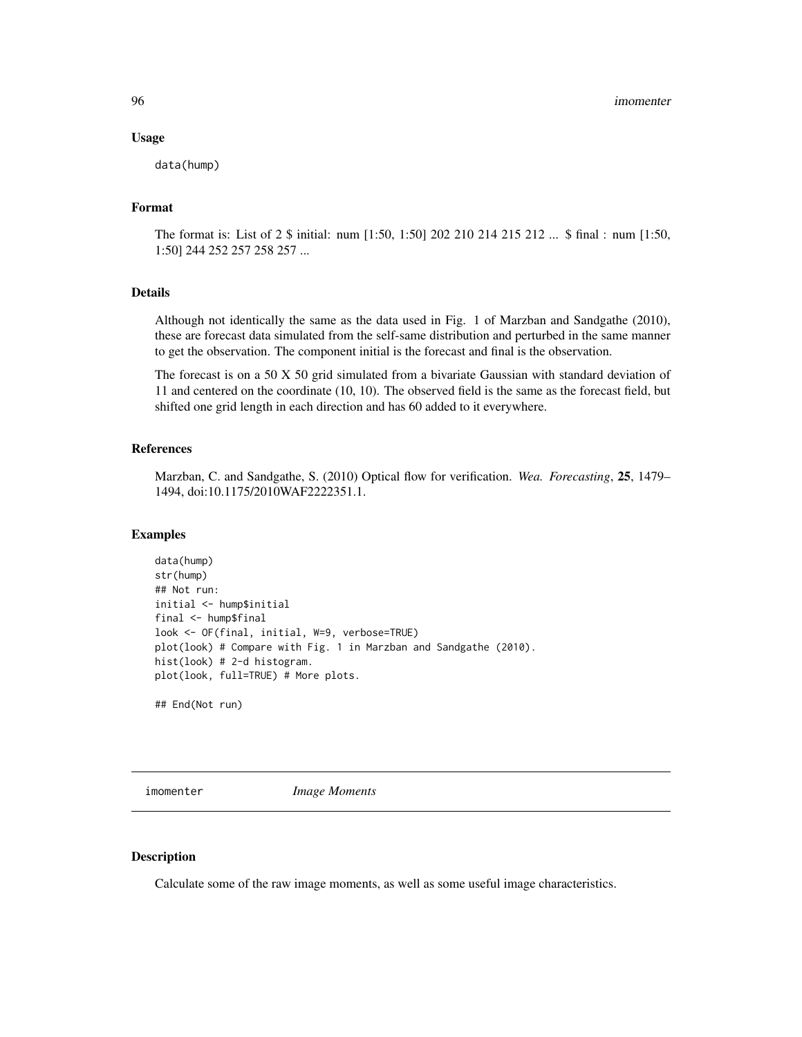#### Usage

data(hump)

## Format

The format is: List of 2 \$ initial: num [1:50, 1:50] 202 210 214 215 212 ... \$ final : num [1:50, 1:50] 244 252 257 258 257 ...

#### Details

Although not identically the same as the data used in Fig. 1 of Marzban and Sandgathe (2010), these are forecast data simulated from the self-same distribution and perturbed in the same manner to get the observation. The component initial is the forecast and final is the observation.

The forecast is on a 50 X 50 grid simulated from a bivariate Gaussian with standard deviation of 11 and centered on the coordinate (10, 10). The observed field is the same as the forecast field, but shifted one grid length in each direction and has 60 added to it everywhere.

#### References

Marzban, C. and Sandgathe, S. (2010) Optical flow for verification. *Wea. Forecasting*, 25, 1479– 1494, doi:10.1175/2010WAF2222351.1.

## Examples

```
data(hump)
str(hump)
## Not run:
initial <- hump$initial
final <- hump$final
look <- OF(final, initial, W=9, verbose=TRUE)
plot(look) # Compare with Fig. 1 in Marzban and Sandgathe (2010).
hist(look) # 2-d histogram.
plot(look, full=TRUE) # More plots.
```
## End(Not run)

imomenter *Image Moments*

# Description

Calculate some of the raw image moments, as well as some useful image characteristics.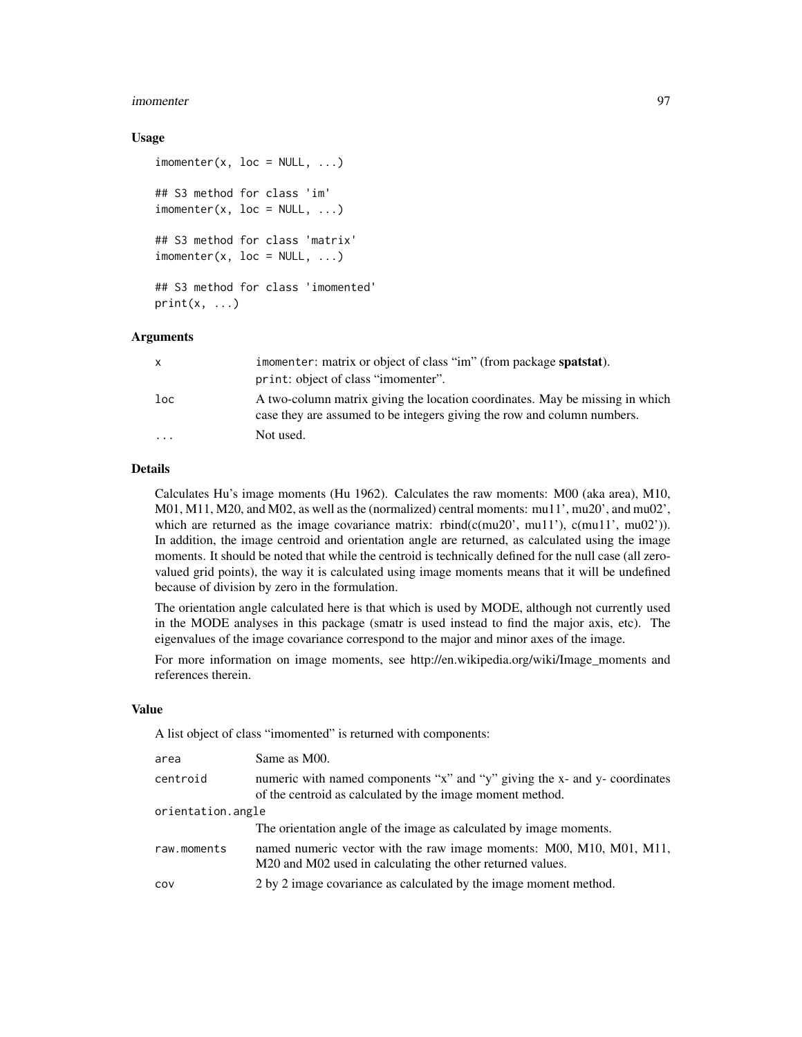#### imomenter 97

### Usage

```
\mathsf{imometer}(x, \text{loc} = \mathsf{NULL}, \ldots)## S3 method for class 'im'
\mathsf{imometer}(x, \text{loc} = \mathsf{NULL}, \ldots)## S3 method for class 'matrix'
\mathsf{imometer}(x, \text{loc} = \mathsf{NULL}, \ldots)## S3 method for class 'imomented'
print(x, \ldots)
```
## Arguments

| X        | imomenter: matrix or object of class "im" (from package spatstat).                                                                                      |
|----------|---------------------------------------------------------------------------------------------------------------------------------------------------------|
|          | print: object of class "imomenter".                                                                                                                     |
| loc      | A two-column matrix giving the location coordinates. May be missing in which<br>case they are assumed to be integers giving the row and column numbers. |
| $\cdots$ | Not used.                                                                                                                                               |

# Details

Calculates Hu's image moments (Hu 1962). Calculates the raw moments: M00 (aka area), M10, M01, M11, M20, and M02, as well as the (normalized) central moments: mu11', mu20', and mu02', which are returned as the image covariance matrix: rbind( $c$ (mu20', mu11'),  $c$ (mu11', mu02')). In addition, the image centroid and orientation angle are returned, as calculated using the image moments. It should be noted that while the centroid is technically defined for the null case (all zerovalued grid points), the way it is calculated using image moments means that it will be undefined because of division by zero in the formulation.

The orientation angle calculated here is that which is used by MODE, although not currently used in the MODE analyses in this package (smatr is used instead to find the major axis, etc). The eigenvalues of the image covariance correspond to the major and minor axes of the image.

For more information on image moments, see http://en.wikipedia.org/wiki/Image\_moments and references therein.

#### Value

A list object of class "imomented" is returned with components:

| area              | Same as M00.                                                                                                                            |
|-------------------|-----------------------------------------------------------------------------------------------------------------------------------------|
| centroid          | numeric with named components "x" and "y" giving the x- and y- coordinates<br>of the centroid as calculated by the image moment method. |
| orientation.angle |                                                                                                                                         |
|                   | The orientation angle of the image as calculated by image moments.                                                                      |
| raw.moments       | named numeric vector with the raw image moments: M00, M10, M01, M11,<br>M20 and M02 used in calculating the other returned values.      |
| COV               | 2 by 2 image covariance as calculated by the image moment method.                                                                       |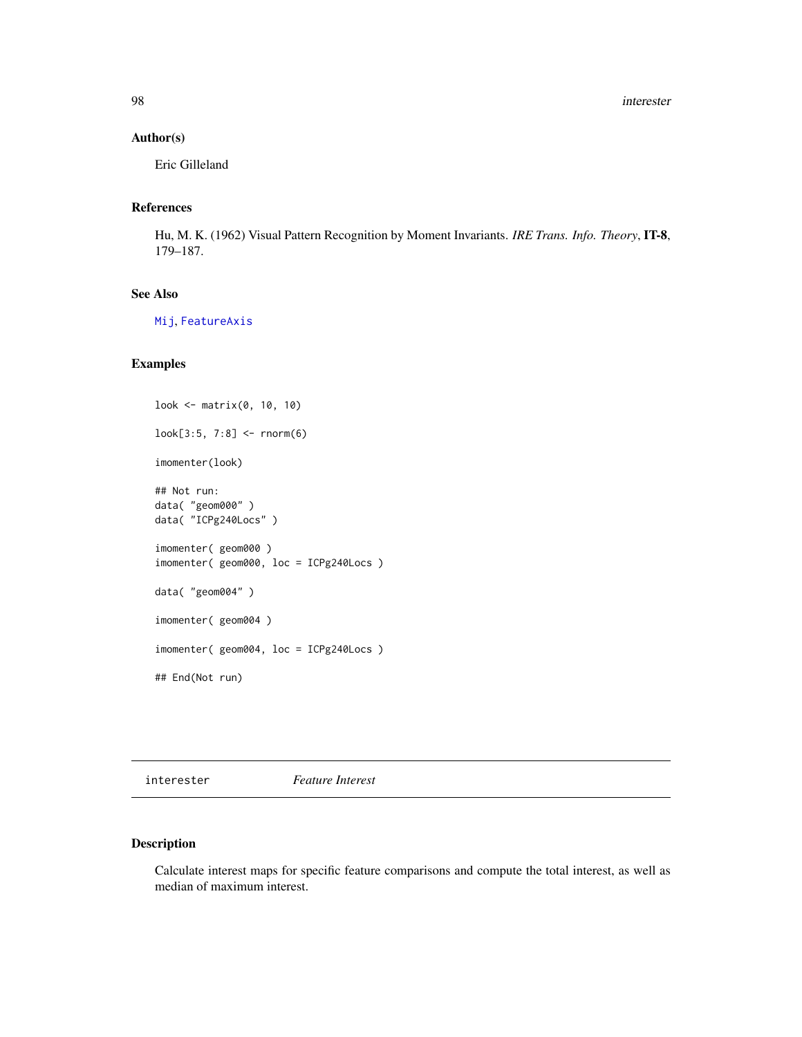98 interester and the state of the state of the state of the state of the state of the state of the state of the state of the state of the state of the state of the state of the state of the state of the state of the state

# Author(s)

Eric Gilleland

# References

Hu, M. K. (1962) Visual Pattern Recognition by Moment Invariants. *IRE Trans. Info. Theory*, IT-8, 179–187.

# See Also

[Mij](#page-128-0), [FeatureAxis](#page-51-0)

# Examples

```
look <- matrix(0, 10, 10)
look[3:5, 7:8] <- rnorm(6)
imomenter(look)
## Not run:
data( "geom000" )
data( "ICPg240Locs" )
imomenter( geom000 )
imomenter( geom000, loc = ICPg240Locs )
data( "geom004" )
imomenter( geom004 )
imomenter( geom004, loc = ICPg240Locs )
## End(Not run)
```
interester *Feature Interest*

## Description

Calculate interest maps for specific feature comparisons and compute the total interest, as well as median of maximum interest.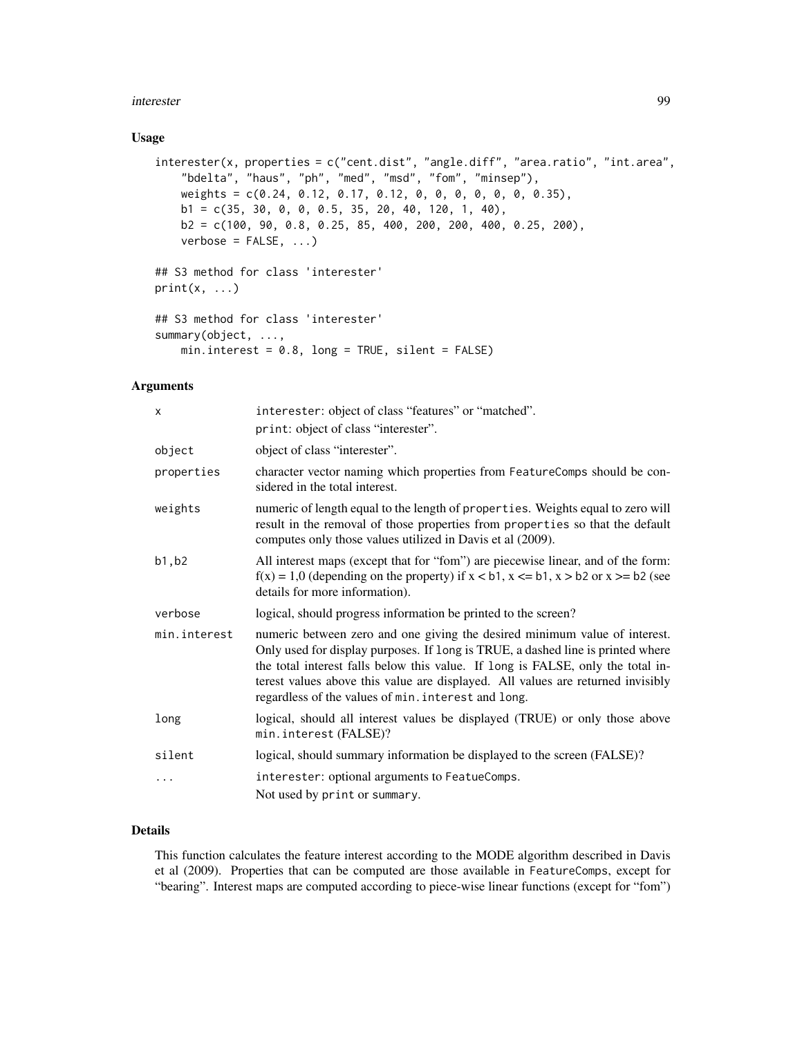#### interester 99

### Usage

```
interester(x, properties = c("cent.dist", "angle.diff", "area.ratio", "int.area",
    "bdelta", "haus", "ph", "med", "msd", "fom", "minsep"),
    weights = c(0.24, 0.12, 0.17, 0.12, 0, 0, 0, 0, 0, 0, 0.35),
    b1 = c(35, 30, 0, 0, 0.5, 35, 20, 40, 120, 1, 40),
    b2 = c(100, 90, 0.8, 0.25, 85, 400, 200, 200, 400, 0.25, 200),
    verbose = FALSE, ...)## S3 method for class 'interester'
print(x, \ldots)## S3 method for class 'interester'
summary(object, ...,
   min.interest = 0.8, long = TRUE, silent = FALSE)
```
## Arguments

| X            | interester: object of class "features" or "matched".                                                                                                                                                                                                                                                                                                                                       |
|--------------|--------------------------------------------------------------------------------------------------------------------------------------------------------------------------------------------------------------------------------------------------------------------------------------------------------------------------------------------------------------------------------------------|
|              | print: object of class "interester".                                                                                                                                                                                                                                                                                                                                                       |
| object       | object of class "interester".                                                                                                                                                                                                                                                                                                                                                              |
| properties   | character vector naming which properties from FeatureComps should be con-<br>sidered in the total interest.                                                                                                                                                                                                                                                                                |
| weights      | numeric of length equal to the length of properties. Weights equal to zero will<br>result in the removal of those properties from properties so that the default<br>computes only those values utilized in Davis et al (2009).                                                                                                                                                             |
| b1, b2       | All interest maps (except that for "fom") are piecewise linear, and of the form:<br>$f(x) = 1.0$ (depending on the property) if $x < b1$ , $x < b1$ , $x > b2$ or $x > b2$ (see<br>details for more information).                                                                                                                                                                          |
| verbose      | logical, should progress information be printed to the screen?                                                                                                                                                                                                                                                                                                                             |
| min.interest | numeric between zero and one giving the desired minimum value of interest.<br>Only used for display purposes. If long is TRUE, a dashed line is printed where<br>the total interest falls below this value. If long is FALSE, only the total in-<br>terest values above this value are displayed. All values are returned invisibly<br>regardless of the values of min. interest and long. |
| long         | logical, should all interest values be displayed (TRUE) or only those above<br>min.interest (FALSE)?                                                                                                                                                                                                                                                                                       |
| silent       | logical, should summary information be displayed to the screen (FALSE)?                                                                                                                                                                                                                                                                                                                    |
|              | interester: optional arguments to FeatueComps.                                                                                                                                                                                                                                                                                                                                             |
|              | Not used by print or summary.                                                                                                                                                                                                                                                                                                                                                              |
|              |                                                                                                                                                                                                                                                                                                                                                                                            |

# Details

This function calculates the feature interest according to the MODE algorithm described in Davis et al (2009). Properties that can be computed are those available in FeatureComps, except for "bearing". Interest maps are computed according to piece-wise linear functions (except for "fom")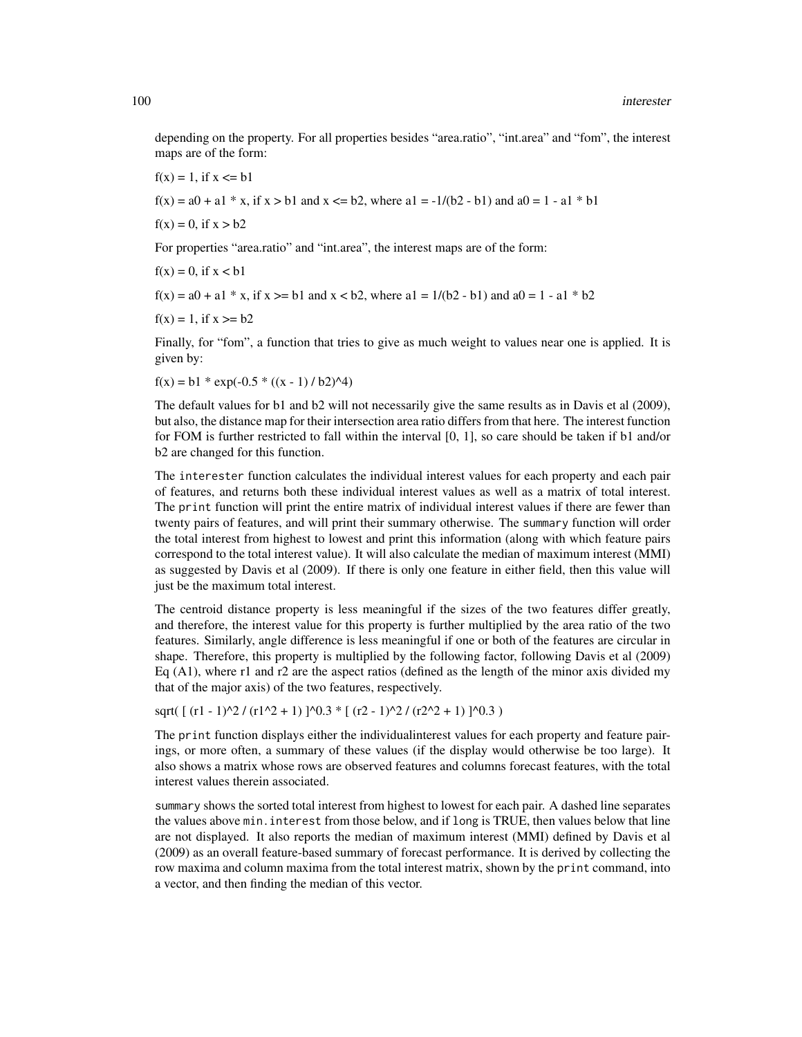depending on the property. For all properties besides "area.ratio", "int.area" and "fom", the interest maps are of the form:

 $f(x) = 1$ , if  $x \leq b1$ 

 $f(x) = a0 + a1 \cdot x$ , if  $x > b1$  and  $x \le b2$ , where  $a1 = -1/(b2 - b1)$  and  $a0 = 1 - a1 \cdot b1$ 

 $f(x) = 0$ , if  $x > b2$ 

For properties "area.ratio" and "int.area", the interest maps are of the form:

 $f(x) = 0$ , if  $x < b1$ 

 $f(x) = a0 + a1 \cdot x$ , if  $x \ge b1$  and  $x < b2$ , where  $a1 = 1/(b2 - b1)$  and  $a0 = 1 - a1 \cdot b2$ 

 $f(x) = 1$ , if  $x > = b2$ 

Finally, for "fom", a function that tries to give as much weight to values near one is applied. It is given by:

 $f(x) = b1 * exp(-0.5 * ((x - 1) / b2)^{4})$ 

The default values for b1 and b2 will not necessarily give the same results as in Davis et al (2009), but also, the distance map for their intersection area ratio differs from that here. The interest function for FOM is further restricted to fall within the interval [0, 1], so care should be taken if b1 and/or b2 are changed for this function.

The interester function calculates the individual interest values for each property and each pair of features, and returns both these individual interest values as well as a matrix of total interest. The print function will print the entire matrix of individual interest values if there are fewer than twenty pairs of features, and will print their summary otherwise. The summary function will order the total interest from highest to lowest and print this information (along with which feature pairs correspond to the total interest value). It will also calculate the median of maximum interest (MMI) as suggested by Davis et al (2009). If there is only one feature in either field, then this value will just be the maximum total interest.

The centroid distance property is less meaningful if the sizes of the two features differ greatly, and therefore, the interest value for this property is further multiplied by the area ratio of the two features. Similarly, angle difference is less meaningful if one or both of the features are circular in shape. Therefore, this property is multiplied by the following factor, following Davis et al (2009) Eq  $(A1)$ , where r1 and r2 are the aspect ratios (defined as the length of the minor axis divided my that of the major axis) of the two features, respectively.

sqrt(  $[(r1 - 1)^{2} / (r1^{2} + 1) ]^{0.3}$  \*  $[(r2 - 1)^{2} / (r2^{2} + 1) ]^{0.3}$  )

The print function displays either the individualinterest values for each property and feature pairings, or more often, a summary of these values (if the display would otherwise be too large). It also shows a matrix whose rows are observed features and columns forecast features, with the total interest values therein associated.

summary shows the sorted total interest from highest to lowest for each pair. A dashed line separates the values above min.interest from those below, and if long is TRUE, then values below that line are not displayed. It also reports the median of maximum interest (MMI) defined by Davis et al (2009) as an overall feature-based summary of forecast performance. It is derived by collecting the row maxima and column maxima from the total interest matrix, shown by the print command, into a vector, and then finding the median of this vector.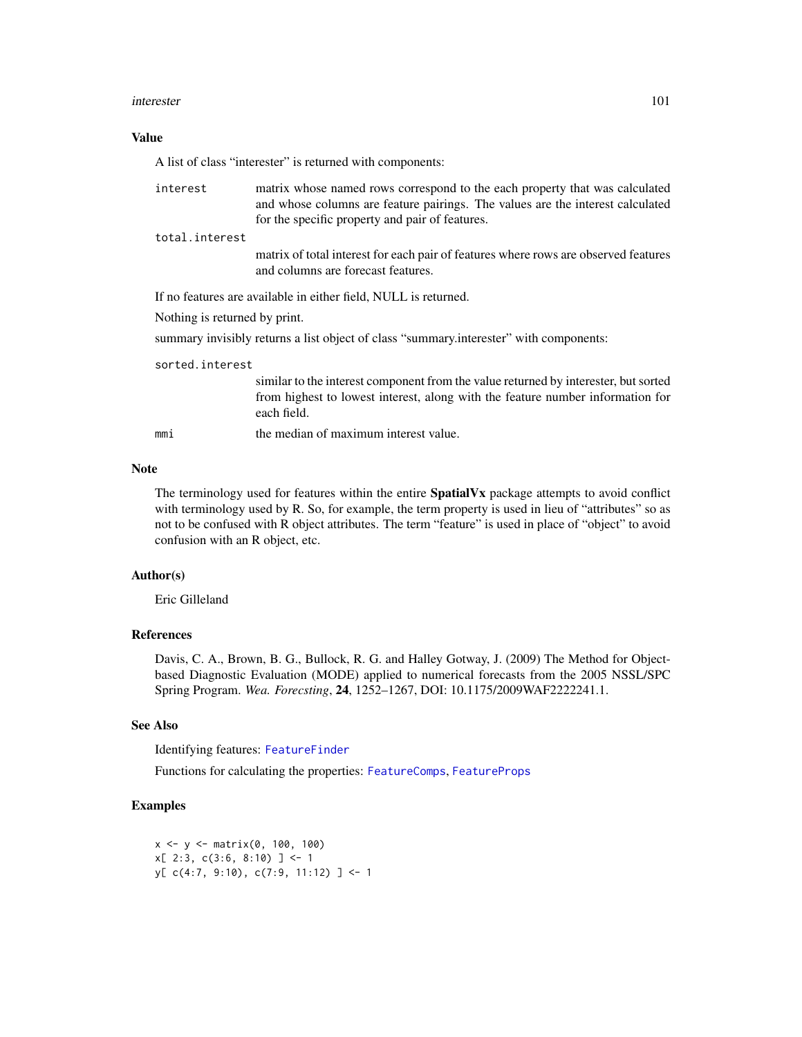#### interester 101

## Value

A list of class "interester" is returned with components:

| interest                      | matrix whose named rows correspond to the each property that was calculated<br>and whose columns are feature pairings. The values are the interest calculated                        |
|-------------------------------|--------------------------------------------------------------------------------------------------------------------------------------------------------------------------------------|
|                               | for the specific property and pair of features.                                                                                                                                      |
| total.interest                |                                                                                                                                                                                      |
|                               | matrix of total interest for each pair of features where rows are observed features<br>and columns are forecast features.                                                            |
|                               | If no features are available in either field, NULL is returned.                                                                                                                      |
| Nothing is returned by print. |                                                                                                                                                                                      |
|                               | summary invisibly returns a list object of class "summary interester" with components:                                                                                               |
| sorted.interest               |                                                                                                                                                                                      |
|                               | similar to the interest component from the value returned by interester, but sorted<br>from highest to lowest interest, along with the feature number information for<br>each field. |
| mmi                           | the median of maximum interest value.                                                                                                                                                |

# Note

The terminology used for features within the entire **SpatialVx** package attempts to avoid conflict with terminology used by R. So, for example, the term property is used in lieu of "attributes" so as not to be confused with R object attributes. The term "feature" is used in place of "object" to avoid confusion with an R object, etc.

# Author(s)

Eric Gilleland

# References

Davis, C. A., Brown, B. G., Bullock, R. G. and Halley Gotway, J. (2009) The Method for Objectbased Diagnostic Evaluation (MODE) applied to numerical forecasts from the 2005 NSSL/SPC Spring Program. *Wea. Forecsting*, 24, 1252–1267, DOI: 10.1175/2009WAF2222241.1.

## See Also

Identifying features: [FeatureFinder](#page-54-0)

Functions for calculating the properties: [FeatureComps](#page-59-0), [FeatureProps](#page-63-0)

# Examples

```
x \le -y \le - matrix(0, 100, 100)
x[ 2:3, c(3:6, 8:10) ] <- 1
y[ c(4:7, 9:10), c(7:9, 11:12) ] \leftarrow 1
```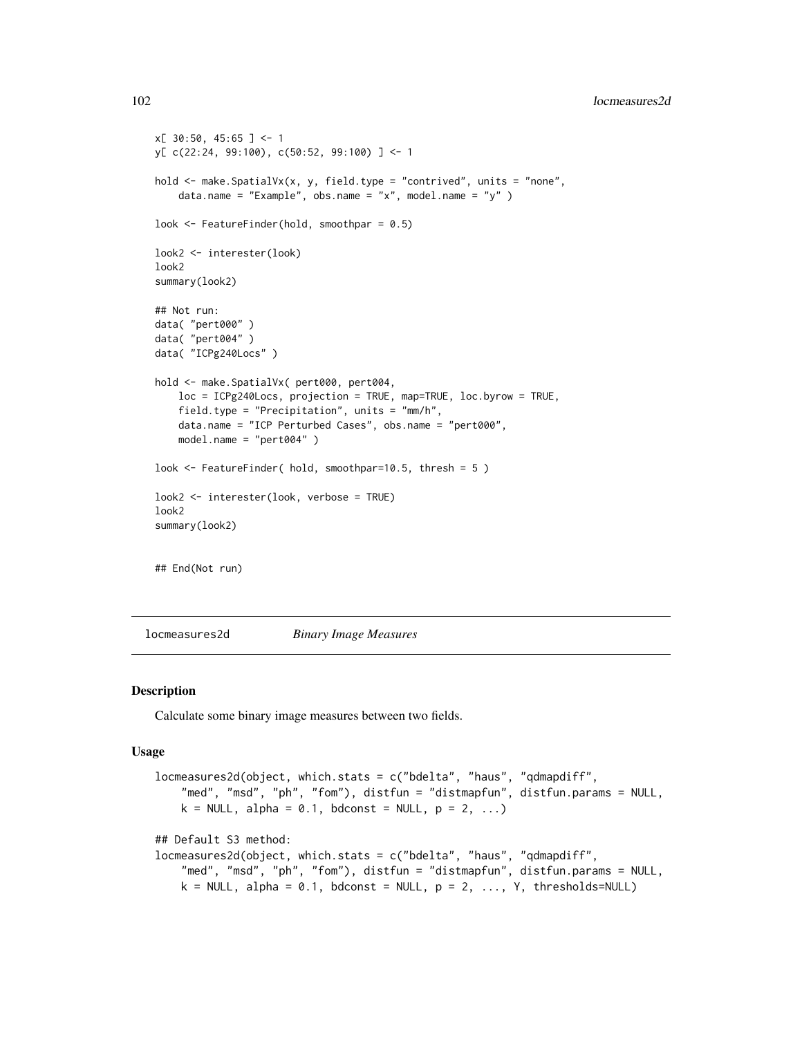102 locmeasures2d

```
x[ 30:50, 45:65 ] < -1y[ c(22:24, 99:100), c(50:52, 99:100) ] <- 1
hold \leq make. SpatialVx(x, y, field. type = "contrived", units = "none",
    data.name = "Example", obs.name = "x", model.name = "y" )
look <- FeatureFinder(hold, smoothpar = 0.5)
look2 <- interester(look)
look2
summary(look2)
## Not run:
data( "pert000" )
data( "pert004" )
data( "ICPg240Locs" )
hold <- make.SpatialVx( pert000, pert004,
    loc = ICPg240Locs, projection = TRUE, map=TRUE, loc.byrow = TRUE,
    field.type = "Precipitation", units = "mm/h",
    data.name = "ICP Perturbed Cases", obs.name = "pert000",
    model.name = "pert004" )
look <- FeatureFinder( hold, smoothpar=10.5, thresh = 5 )
look2 <- interester(look, verbose = TRUE)
look2
summary(look2)
## End(Not run)
```
<span id="page-101-0"></span>locmeasures2d *Binary Image Measures*

## Description

Calculate some binary image measures between two fields.

## Usage

```
locmeasures2d(object, which.stats = c("bdelta", "haus", "qdmapdiff",
    "med", "msd", "ph", "fom"), distfun = "distmapfun", distfun.params = NULL,
   k = NULL, alpha = 0.1, bdconst = NULL, p = 2, ...## Default S3 method:
locmeasures2d(object, which.stats = c("bdelta", "haus", "qdmapdiff",
    "med", "msd", "ph", "fom"), distfun = "distmapfun", distfun.params = NULL,
   k = NULL, alpha = 0.1, bdconst = NULL, p = 2, ..., Y, thresholds=NULL)
```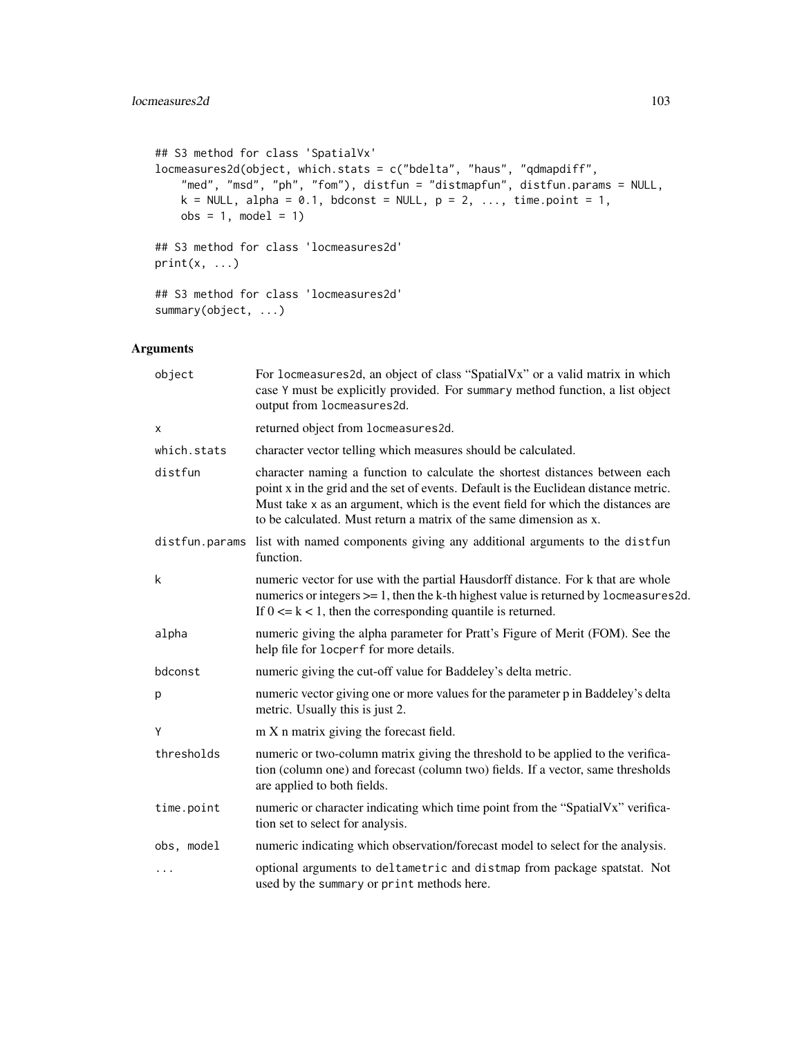```
## S3 method for class 'SpatialVx'
locmeasures2d(object, which.stats = c("bdelta", "haus", "qdmapdiff",
    "med", "msd", "ph", "fom"), distfun = "distmapfun", distfun.params = NULL,
   k = NULL, alpha = 0.1, bdconst = NULL, p = 2, ..., time.point = 1,
   obs = 1, model = 1)
## S3 method for class 'locmeasures2d'
print(x, \ldots)## S3 method for class 'locmeasures2d'
summary(object, ...)
```
# Arguments

| object         | For locmeasures2d, an object of class "SpatialVx" or a valid matrix in which<br>case Y must be explicitly provided. For summary method function, a list object<br>output from locmeasures2d.                                                                                                                                   |
|----------------|--------------------------------------------------------------------------------------------------------------------------------------------------------------------------------------------------------------------------------------------------------------------------------------------------------------------------------|
| X              | returned object from locmeasures2d.                                                                                                                                                                                                                                                                                            |
| which.stats    | character vector telling which measures should be calculated.                                                                                                                                                                                                                                                                  |
| distfun        | character naming a function to calculate the shortest distances between each<br>point x in the grid and the set of events. Default is the Euclidean distance metric.<br>Must take x as an argument, which is the event field for which the distances are<br>to be calculated. Must return a matrix of the same dimension as x. |
| distfun.params | list with named components giving any additional arguments to the distfun<br>function.                                                                                                                                                                                                                                         |
| k              | numeric vector for use with the partial Hausdorff distance. For k that are whole<br>numerics or integers $>= 1$ , then the k-th highest value is returned by locmeasures 2d.<br>If $0 \le k \le 1$ , then the corresponding quantile is returned.                                                                              |
| alpha          | numeric giving the alpha parameter for Pratt's Figure of Merit (FOM). See the<br>help file for locperf for more details.                                                                                                                                                                                                       |
| bdconst        | numeric giving the cut-off value for Baddeley's delta metric.                                                                                                                                                                                                                                                                  |
| p              | numeric vector giving one or more values for the parameter p in Baddeley's delta<br>metric. Usually this is just 2.                                                                                                                                                                                                            |
| Y              | m X n matrix giving the forecast field.                                                                                                                                                                                                                                                                                        |
| thresholds     | numeric or two-column matrix giving the threshold to be applied to the verifica-<br>tion (column one) and forecast (column two) fields. If a vector, same thresholds<br>are applied to both fields.                                                                                                                            |
| time.point     | numeric or character indicating which time point from the "SpatialVx" verifica-<br>tion set to select for analysis.                                                                                                                                                                                                            |
| obs, model     | numeric indicating which observation/forecast model to select for the analysis.                                                                                                                                                                                                                                                |
|                | optional arguments to deltametric and distmap from package spatstat. Not<br>used by the summary or print methods here.                                                                                                                                                                                                         |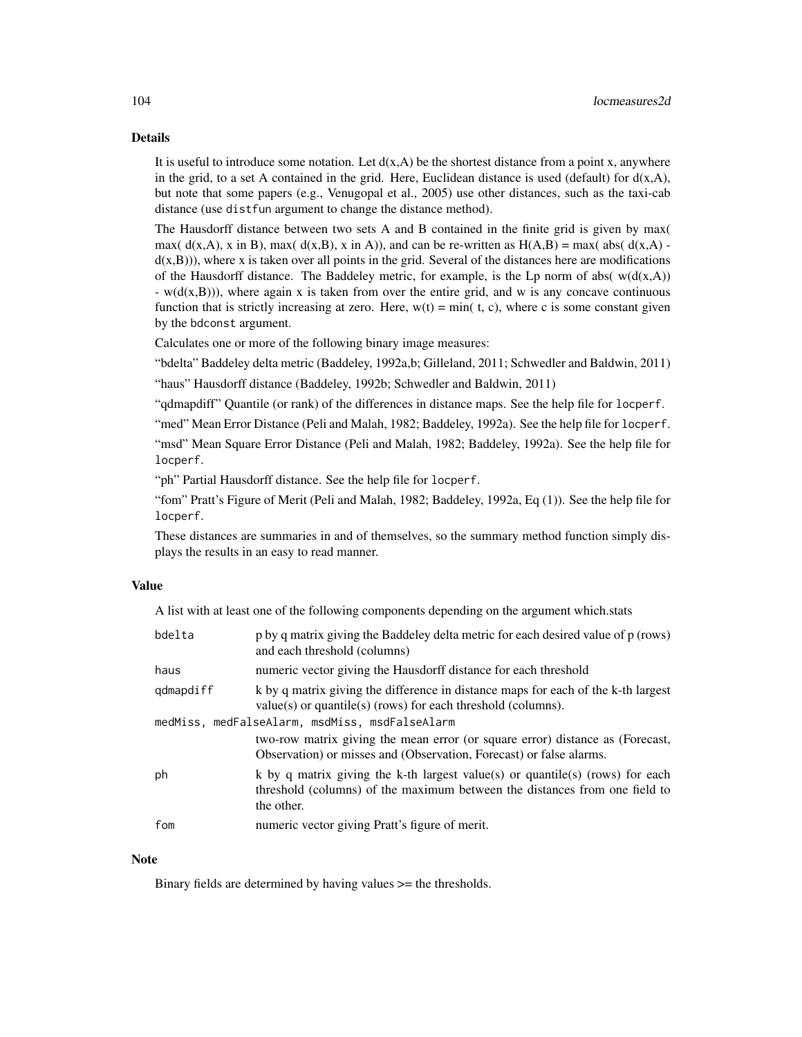# Details

It is useful to introduce some notation. Let  $d(x, A)$  be the shortest distance from a point x, anywhere in the grid, to a set A contained in the grid. Here, Euclidean distance is used (default) for  $d(x,A)$ , but note that some papers (e.g., Venugopal et al., 2005) use other distances, such as the taxi-cab distance (use distfun argument to change the distance method).

The Hausdorff distance between two sets A and B contained in the finite grid is given by max( max(  $d(x,A)$ , x in B), max(  $d(x,B)$ , x in A)), and can be re-written as  $H(A,B) = max($  abs(  $d(x,A)$   $d(x,B)$ ), where x is taken over all points in the grid. Several of the distances here are modifications of the Hausdorff distance. The Baddeley metric, for example, is the Lp norm of abs( $w(d(x,A))$ )  $-$  w( $d(x, B)$ )), where again x is taken from over the entire grid, and w is any concave continuous function that is strictly increasing at zero. Here,  $w(t) = min(t, c)$ , where c is some constant given by the bdconst argument.

Calculates one or more of the following binary image measures:

"bdelta" Baddeley delta metric (Baddeley, 1992a,b; Gilleland, 2011; Schwedler and Baldwin, 2011) "haus" Hausdorff distance (Baddeley, 1992b; Schwedler and Baldwin, 2011)

"qdmapdiff" Quantile (or rank) of the differences in distance maps. See the help file for locperf.

"med" Mean Error Distance (Peli and Malah, 1982; Baddeley, 1992a). See the help file for locperf.

"msd" Mean Square Error Distance (Peli and Malah, 1982; Baddeley, 1992a). See the help file for locperf.

"ph" Partial Hausdorff distance. See the help file for locperf.

"fom" Pratt's Figure of Merit (Peli and Malah, 1982; Baddeley, 1992a, Eq (1)). See the help file for locperf.

These distances are summaries in and of themselves, so the summary method function simply displays the results in an easy to read manner.

#### Value

A list with at least one of the following components depending on the argument which.stats

| bdelta    | p by q matrix giving the Baddeley delta metric for each desired value of p (rows)<br>and each threshold (columns)                                                         |
|-----------|---------------------------------------------------------------------------------------------------------------------------------------------------------------------------|
| haus      | numeric vector giving the Hausdorff distance for each threshold                                                                                                           |
| qdmapdiff | k by q matrix giving the difference in distance maps for each of the k-th largest<br>$value(s)$ or quantile(s) (rows) for each threshold (columns).                       |
|           | medMiss, medFalseAlarm, msdMiss, msdFalseAlarm                                                                                                                            |
|           | two-row matrix giving the mean error (or square error) distance as (Forecast,<br>Observation) or misses and (Observation, Forecast) or false alarms.                      |
| ph        | k by q matrix giving the k-th largest value(s) or quantile(s) (rows) for each<br>threshold (columns) of the maximum between the distances from one field to<br>the other. |
| fom       | numeric vector giving Pratt's figure of merit.                                                                                                                            |

#### **Note**

Binary fields are determined by having values >= the thresholds.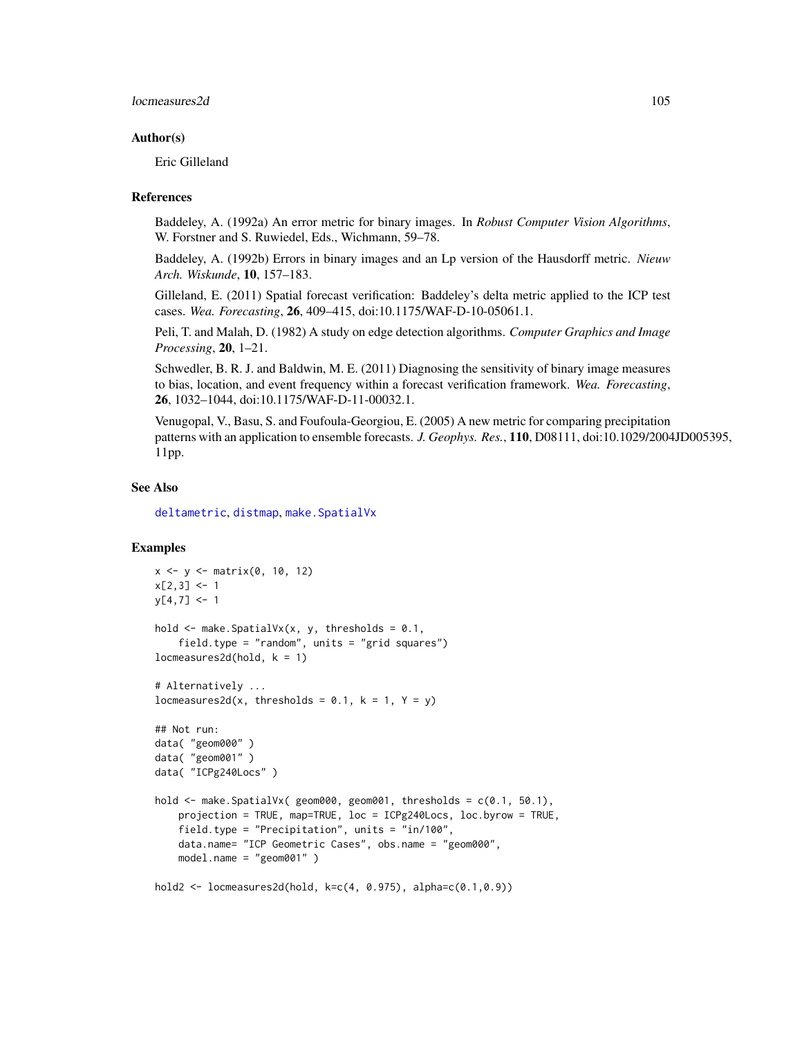## locmeasures2d 105

#### Author(s)

Eric Gilleland

#### References

Baddeley, A. (1992a) An error metric for binary images. In *Robust Computer Vision Algorithms*, W. Forstner and S. Ruwiedel, Eds., Wichmann, 59–78.

Baddeley, A. (1992b) Errors in binary images and an Lp version of the Hausdorff metric. *Nieuw Arch. Wiskunde*, 10, 157–183.

Gilleland, E. (2011) Spatial forecast verification: Baddeley's delta metric applied to the ICP test cases. *Wea. Forecasting*, 26, 409–415, doi:10.1175/WAF-D-10-05061.1.

Peli, T. and Malah, D. (1982) A study on edge detection algorithms. *Computer Graphics and Image Processing*, 20, 1–21.

Schwedler, B. R. J. and Baldwin, M. E. (2011) Diagnosing the sensitivity of binary image measures to bias, location, and event frequency within a forecast verification framework. *Wea. Forecasting*, 26, 1032–1044, doi:10.1175/WAF-D-11-00032.1.

Venugopal, V., Basu, S. and Foufoula-Georgiou, E. (2005) A new metric for comparing precipitation patterns with an application to ensemble forecasts. *J. Geophys. Res.*, 110, D08111, doi:10.1029/2004JD005395, 11pp.

## See Also

[deltametric](#page-0-0), [distmap](#page-0-0), make. SpatialVx

## Examples

```
x <- y <- matrix(0, 10, 12)
x[2,3] < -1y[4,7] < -1hold \leq make. SpatialVx(x, y, thresholds = 0.1,
    field.type = "random", units = "grid squares")
locmeasures2d(hold, k = 1)# Alternatively ...
locmeasures2d(x, thresholds = 0.1, k = 1, Y = y)
## Not run:
data( "geom000" )
data( "geom001" )
data( "ICPg240Locs" )
hold \leq make. SpatialVx( geom000, geom001, thresholds = c(0.1, 50.1),
    projection = TRUE, map=TRUE, loc = ICPg240Locs, loc.byrow = TRUE,
    field.type = "Precipitation", units = "in/100",
    data.name= "ICP Geometric Cases", obs.name = "geom000",
    model.name = "geom001" )
hold2 <- locmeasures2d(hold, k=c(4, 0.975), alpha=c(0.1,0.9))
```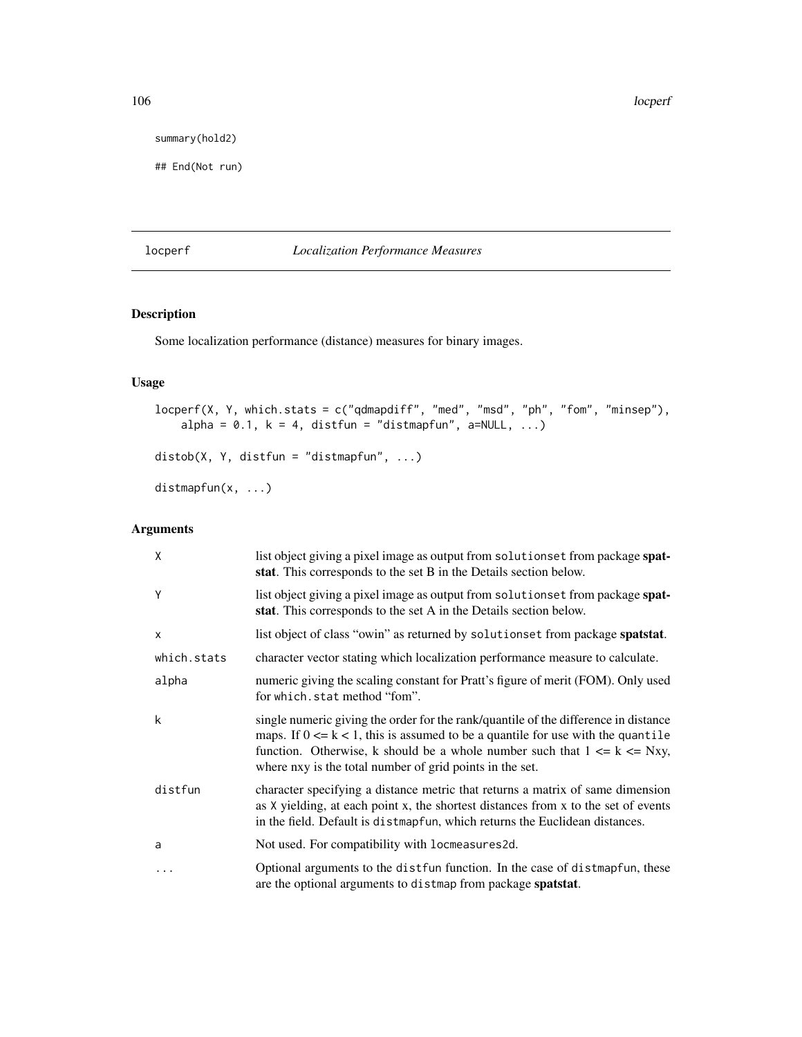106 locperf

summary(hold2)

## End(Not run)

# locperf *Localization Performance Measures*

# Description

Some localization performance (distance) measures for binary images.

# Usage

```
locperf(X, Y, which.stats = c("qdmapdiff", "med", "msd", "ph", "fom", "minsep"),
   alpha = 0.1, k = 4, distfun = "distmapfun", a=NULL, ...)
distob(X, Y, distfun = "distmapfun", ...)
distmapfun(x, ...)
```
# Arguments

| X            | list object giving a pixel image as output from solutionset from package spat-<br>stat. This corresponds to the set B in the Details section below.                                                                                                                                                                     |
|--------------|-------------------------------------------------------------------------------------------------------------------------------------------------------------------------------------------------------------------------------------------------------------------------------------------------------------------------|
| Y            | list object giving a pixel image as output from solutionset from package spat-<br>stat. This corresponds to the set A in the Details section below.                                                                                                                                                                     |
| $\mathsf{x}$ | list object of class "owin" as returned by solutionset from package spatstat.                                                                                                                                                                                                                                           |
| which.stats  | character vector stating which localization performance measure to calculate.                                                                                                                                                                                                                                           |
| alpha        | numeric giving the scaling constant for Pratt's figure of merit (FOM). Only used<br>for which.stat method "fom".                                                                                                                                                                                                        |
| k            | single numeric giving the order for the rank/quantile of the difference in distance<br>maps. If $0 \le k < 1$ , this is assumed to be a quantile for use with the quantile<br>function. Otherwise, k should be a whole number such that $1 \le k \le Nxy$ ,<br>where nxy is the total number of grid points in the set. |
| distfun      | character specifying a distance metric that returns a matrix of same dimension<br>as X yielding, at each point x, the shortest distances from x to the set of events<br>in the field. Default is distmapfun, which returns the Euclidean distances.                                                                     |
| a            | Not used. For compatibility with locmeasures2d.                                                                                                                                                                                                                                                                         |
| $\cdots$     | Optional arguments to the distfun function. In the case of distmapfun, these<br>are the optional arguments to distmap from package spatstat.                                                                                                                                                                            |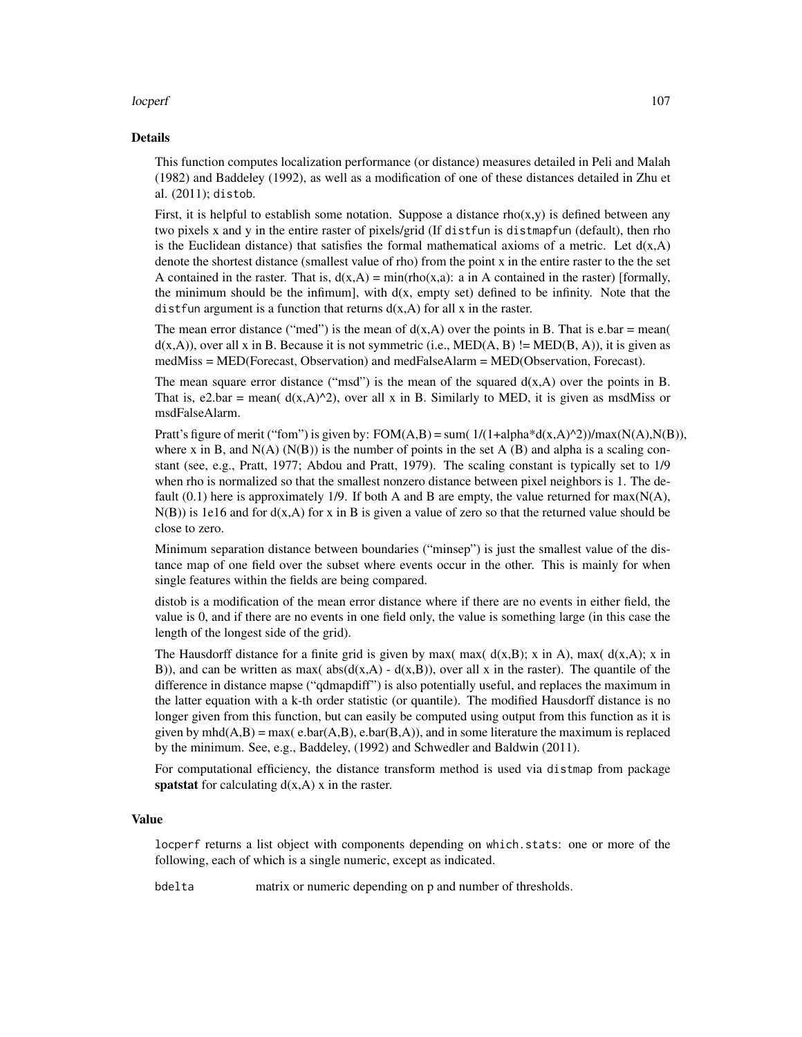## locperf and the contract of the contract of the contract of the contract of the contract of the contract of the contract of the contract of the contract of the contract of the contract of the contract of the contract of th

#### Details

This function computes localization performance (or distance) measures detailed in Peli and Malah (1982) and Baddeley (1992), as well as a modification of one of these distances detailed in Zhu et al. (2011); distob.

First, it is helpful to establish some notation. Suppose a distance  $rho(x,y)$  is defined between any two pixels x and y in the entire raster of pixels/grid (If distfun is distmapfun (default), then rho is the Euclidean distance) that satisfies the formal mathematical axioms of a metric. Let  $d(x, A)$ denote the shortest distance (smallest value of rho) from the point x in the entire raster to the the set A contained in the raster. That is,  $d(x,A) = min(rho(x,a))$ : a in A contained in the raster) [formally, the minimum should be the infimum], with  $d(x, \text{empty set})$  defined to be infinity. Note that the dist fun argument is a function that returns  $d(x, A)$  for all x in the raster.

The mean error distance ("med") is the mean of  $d(x,A)$  over the points in B. That is e.bar = mean(  $d(x,A)$ , over all x in B. Because it is not symmetric (i.e., MED(A, B) != MED(B, A)), it is given as medMiss = MED(Forecast, Observation) and medFalseAlarm = MED(Observation, Forecast).

The mean square error distance ("msd") is the mean of the squared  $d(x, A)$  over the points in B. That is, e2.bar = mean( $d(x, A)^2$ ), over all x in B. Similarly to MED, it is given as msdMiss or msdFalseAlarm.

Pratt's figure of merit ("fom") is given by:  $FOM(A,B) = \text{sum}(1/(1+\text{alpha}^*\text{d}(x,A)^2))/\text{max}(N(A),N(B)),$ where x in B, and  $N(A)$  ( $N(B)$ ) is the number of points in the set A (B) and alpha is a scaling constant (see, e.g., Pratt, 1977; Abdou and Pratt, 1979). The scaling constant is typically set to 1/9 when rho is normalized so that the smallest nonzero distance between pixel neighbors is 1. The default (0.1) here is approximately 1/9. If both A and B are empty, the value returned for  $max(N(A))$ ,  $N(B)$ ) is 1e16 and for  $d(x, A)$  for x in B is given a value of zero so that the returned value should be close to zero.

Minimum separation distance between boundaries ("minsep") is just the smallest value of the distance map of one field over the subset where events occur in the other. This is mainly for when single features within the fields are being compared.

distob is a modification of the mean error distance where if there are no events in either field, the value is 0, and if there are no events in one field only, the value is something large (in this case the length of the longest side of the grid).

The Hausdorff distance for a finite grid is given by max( max(  $d(x,B)$ ; x in A), max(  $d(x,A)$ ; x in B)), and can be written as max( $abs(d(x,A) - d(x,B))$ , over all x in the raster). The quantile of the difference in distance mapse ("qdmapdiff") is also potentially useful, and replaces the maximum in the latter equation with a k-th order statistic (or quantile). The modified Hausdorff distance is no longer given from this function, but can easily be computed using output from this function as it is given by mhd $(A,B)$  = max(e.bar $(A,B)$ , e.bar $(B,A)$ ), and in some literature the maximum is replaced by the minimum. See, e.g., Baddeley, (1992) and Schwedler and Baldwin (2011).

For computational efficiency, the distance transform method is used via distmap from package spatstat for calculating  $d(x, A)$  x in the raster.

#### Value

locperf returns a list object with components depending on which.stats: one or more of the following, each of which is a single numeric, except as indicated.

bdelta matrix or numeric depending on p and number of thresholds.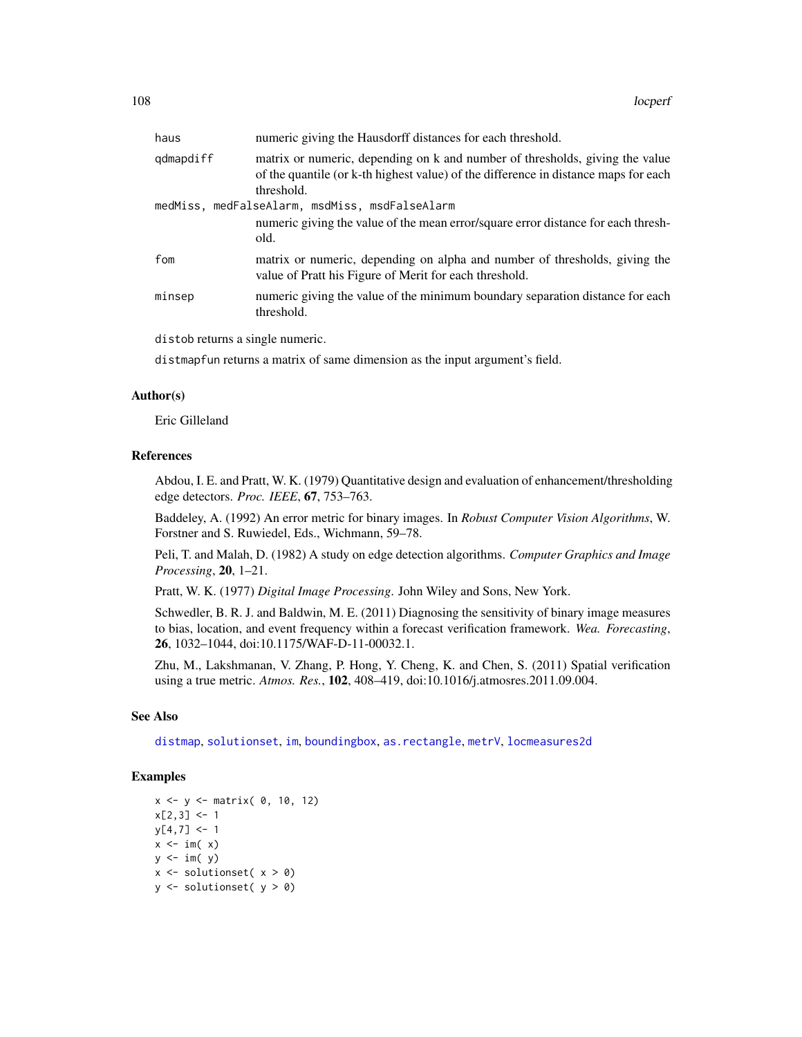| haus      | numeric giving the Hausdorff distances for each threshold.                                                                                                                        |
|-----------|-----------------------------------------------------------------------------------------------------------------------------------------------------------------------------------|
| qdmapdiff | matrix or numeric, depending on k and number of thresholds, giving the value<br>of the quantile (or k-th highest value) of the difference in distance maps for each<br>threshold. |
|           | medMiss, medFalseAlarm, msdMiss, msdFalseAlarm                                                                                                                                    |
|           | numeric giving the value of the mean error/square error distance for each thresh-<br>old.                                                                                         |
| fom       | matrix or numeric, depending on alpha and number of thresholds, giving the<br>value of Pratt his Figure of Merit for each threshold.                                              |
| minsep    | numeric giving the value of the minimum boundary separation distance for each<br>threshold.                                                                                       |
|           |                                                                                                                                                                                   |

distob returns a single numeric.

distmapfun returns a matrix of same dimension as the input argument's field.

# Author(s)

Eric Gilleland

#### References

Abdou, I. E. and Pratt, W. K. (1979) Quantitative design and evaluation of enhancement/thresholding edge detectors. *Proc. IEEE*, 67, 753–763.

Baddeley, A. (1992) An error metric for binary images. In *Robust Computer Vision Algorithms*, W. Forstner and S. Ruwiedel, Eds., Wichmann, 59–78.

Peli, T. and Malah, D. (1982) A study on edge detection algorithms. *Computer Graphics and Image Processing*, 20, 1–21.

Pratt, W. K. (1977) *Digital Image Processing*. John Wiley and Sons, New York.

Schwedler, B. R. J. and Baldwin, M. E. (2011) Diagnosing the sensitivity of binary image measures to bias, location, and event frequency within a forecast verification framework. *Wea. Forecasting*, 26, 1032–1044, doi:10.1175/WAF-D-11-00032.1.

Zhu, M., Lakshmanan, V. Zhang, P. Hong, Y. Cheng, K. and Chen, S. (2011) Spatial verification using a true metric. *Atmos. Res.*, 102, 408–419, doi:10.1016/j.atmosres.2011.09.004.

## See Also

[distmap](#page-0-0), [solutionset](#page-0-0), [im](#page-0-0), [boundingbox](#page-0-0), [as.rectangle](#page-0-0), [metrV](#page-124-0), [locmeasures2d](#page-101-0)

## Examples

```
x \le -y \le - matrix( 0, 10, 12)
x[2,3] < -1y[4,7] < -1x \le -\mathbf{im}(\mathbf{x})y \leftarrow im(y)x \le - solutionset(x > 0)
y \leftarrow solutionset( y > 0)
```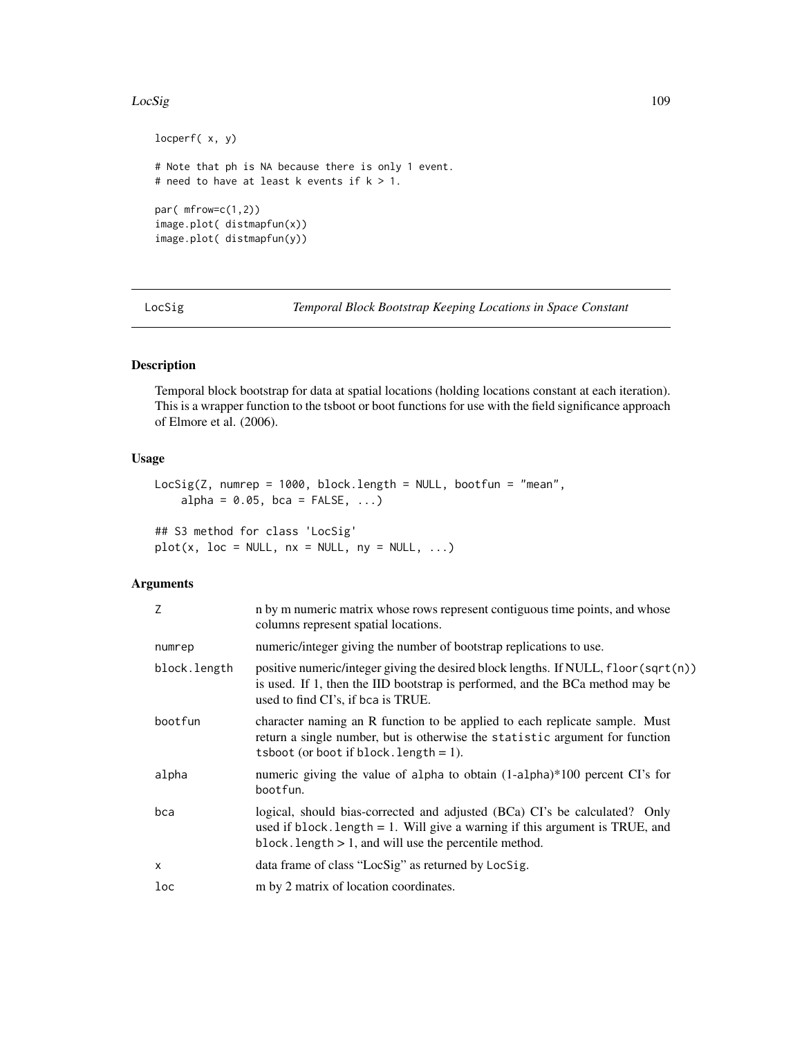## LocSig 2008 and 2009 and 2009 and 2009 and 2009 and 2009 and 2009 and 2009 and 2009 and 2009 and 2009 and 2009

```
locperf( x, y)
# Note that ph is NA because there is only 1 event.
# need to have at least k events if k > 1.
par( mfrow=c(1,2))
image.plot( distmapfun(x))
image.plot( distmapfun(y))
```
<span id="page-108-0"></span>LocSig *Temporal Block Bootstrap Keeping Locations in Space Constant*

# Description

Temporal block bootstrap for data at spatial locations (holding locations constant at each iteration). This is a wrapper function to the tsboot or boot functions for use with the field significance approach of Elmore et al. (2006).

## Usage

```
LocSig(Z, numrep = 1000, block.length = NULL, bootfun = "mean",
    alpha = 0.05, bca = FALSE, ...)
```
## S3 method for class 'LocSig'  $plot(x, loc = NULL, nx = NULL, ny = NULL, ...)$ 

# Arguments

| Z            | n by m numeric matrix whose rows represent contiguous time points, and whose<br>columns represent spatial locations.                                                                                                       |
|--------------|----------------------------------------------------------------------------------------------------------------------------------------------------------------------------------------------------------------------------|
| numrep       | numeric/integer giving the number of bootstrap replications to use.                                                                                                                                                        |
| block.length | positive numeric/integer giving the desired block lengths. If NULL, floor(sqrt(n))<br>is used. If 1, then the IID bootstrap is performed, and the BCa method may be<br>used to find CI's, if bca is TRUE.                  |
| bootfun      | character naming an R function to be applied to each replicate sample. Must<br>return a single number, but is otherwise the statistic argument for function<br>tsboot (or boot if block. length $= 1$ ).                   |
| alpha        | numeric giving the value of alpha to obtain (1-alpha)*100 percent CI's for<br>bootfun.                                                                                                                                     |
| bca          | logical, should bias-corrected and adjusted (BCa) CI's be calculated? Only<br>used if block. length $= 1$ . Will give a warning if this argument is TRUE, and<br>block. length $> 1$ , and will use the percentile method. |
| X            | data frame of class "LocSig" as returned by LocSig.                                                                                                                                                                        |
| loc          | m by 2 matrix of location coordinates.                                                                                                                                                                                     |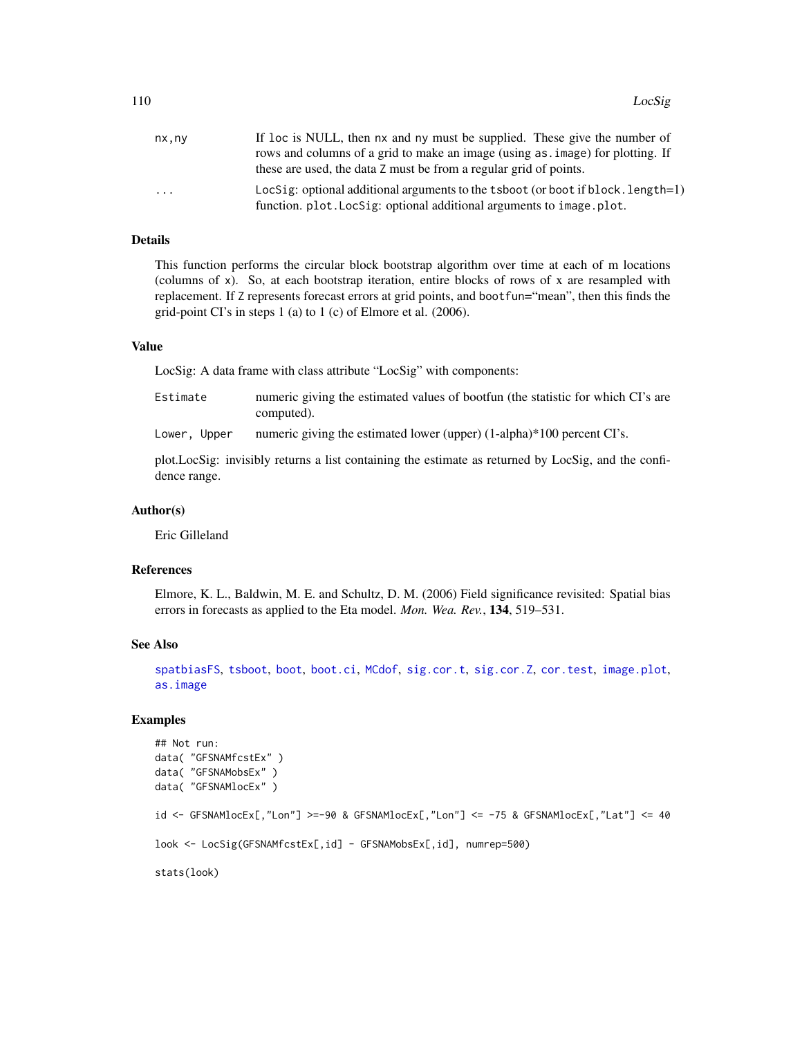110 LocSig

| nx,ny                   | If loc is NULL, then nx and ny must be supplied. These give the number of        |
|-------------------------|----------------------------------------------------------------------------------|
|                         | rows and columns of a grid to make an image (using as, image) for plotting. If   |
|                         | these are used, the data Z must be from a regular grid of points.                |
| $\cdot$ $\cdot$ $\cdot$ | LocSig: optional additional arguments to the tsboot (or boot if block. length=1) |
|                         | function, plot. LocSig: optional additional arguments to image. plot.            |

# Details

This function performs the circular block bootstrap algorithm over time at each of m locations (columns of x). So, at each bootstrap iteration, entire blocks of rows of x are resampled with replacement. If Z represents forecast errors at grid points, and bootfun="mean", then this finds the grid-point CI's in steps 1 (a) to 1 (c) of Elmore et al. (2006).

# Value

LocSig: A data frame with class attribute "LocSig" with components:

| Estimate | numeric giving the estimated values of bootfun (the statistic for which CI's are |
|----------|----------------------------------------------------------------------------------|
|          | computed).                                                                       |

Lower, Upper numeric giving the estimated lower (upper)  $(1-\alpha)$  alpha)\*100 percent CI's.

plot.LocSig: invisibly returns a list containing the estimate as returned by LocSig, and the confidence range.

# Author(s)

Eric Gilleland

## References

Elmore, K. L., Baldwin, M. E. and Schultz, D. M. (2006) Field significance revisited: Spatial bias errors in forecasts as applied to the Eta model. *Mon. Wea. Rev.*, 134, 519–531.

# See Also

[spatbiasFS](#page-153-0), [tsboot](#page-0-0), [boot](#page-0-0), [boot.ci](#page-0-0), [MCdof](#page-120-0), [sig.cor.t](#page-120-1), [sig.cor.Z](#page-120-1), [cor.test](#page-0-0), [image.plot](#page-0-0), [as.image](#page-0-0)

# Examples

```
## Not run:
data( "GFSNAMfcstEx" )
data( "GFSNAMobsEx" )
data( "GFSNAMlocEx" )
id <- GFSNAMlocEx[,"Lon"] >=-90 & GFSNAMlocEx[,"Lon"] <= -75 & GFSNAMlocEx[,"Lat"] <= 40
look <- LocSig(GFSNAMfcstEx[,id] - GFSNAMobsEx[,id], numrep=500)
stats(look)
```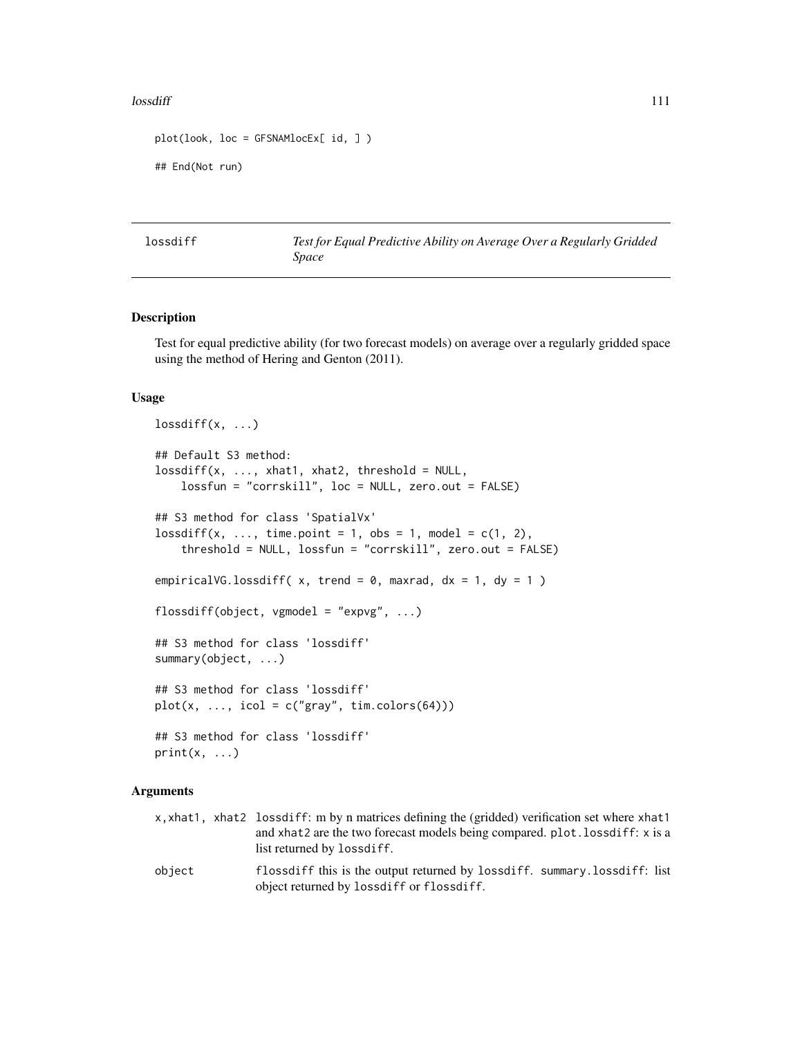## lossdiff the contract of the contract of the contract of the contract of the contract of the contract of the contract of the contract of the contract of the contract of the contract of the contract of the contract of the c

```
plot(look, loc = GFSNAMlocEx[ id, ] )
## End(Not run)
```
lossdiff *Test for Equal Predictive Ability on Average Over a Regularly Gridded Space*

## Description

Test for equal predictive ability (for two forecast models) on average over a regularly gridded space using the method of Hering and Genton (2011).

### Usage

```
lossdiff(x, \ldots)## Default S3 method:
lossdiff(x, ..., xhat1, xhat2, threshold = NULL,lossfun = "corrskill", loc = NULL, zero.out = FALSE)
## S3 method for class 'SpatialVx'
lossdiff(x, ..., time.point = 1, obs = 1, model = c(1, 2),
    threshold = NULL, lossfun = "corrskill", zero.out = FALSE)
empiricalVG.lossdiff(x, trend = 0, maxrad, dx = 1, dy = 1)
flossdiff(object, vgmodel = "expvg", ...)
## S3 method for class 'lossdiff'
summary(object, ...)
## S3 method for class 'lossdiff'
plot(x, ..., icol = c("gray", tim. colors(64)))## S3 method for class 'lossdiff'
print(x, \ldots)
```
## Arguments

x,xhat1, xhat2 lossdiff: m by n matrices defining the (gridded) verification set where xhat1 and xhat2 are the two forecast models being compared. plot.lossdiff: x is a list returned by lossdiff.

object flossdiff this is the output returned by lossdiff. summary.lossdiff: list object returned by lossdiff or flossdiff.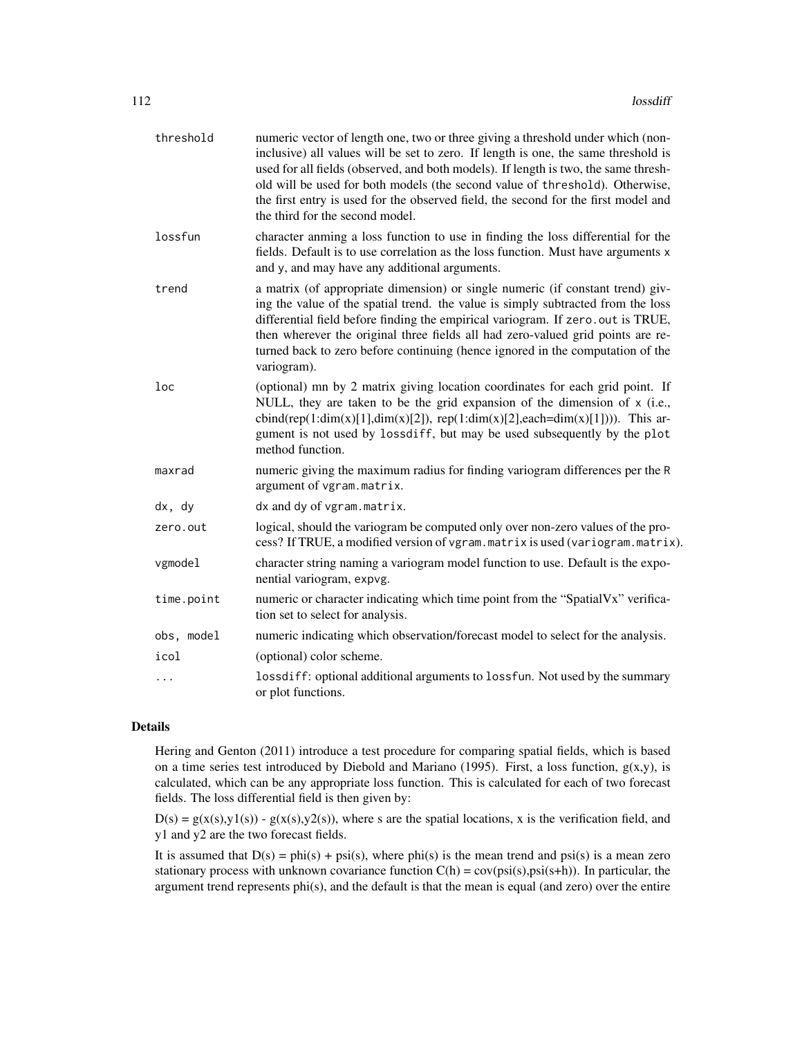| threshold  | numeric vector of length one, two or three giving a threshold under which (non-<br>inclusive) all values will be set to zero. If length is one, the same threshold is<br>used for all fields (observed, and both models). If length is two, the same thresh-<br>old will be used for both models (the second value of threshold). Otherwise,<br>the first entry is used for the observed field, the second for the first model and<br>the third for the second model. |
|------------|-----------------------------------------------------------------------------------------------------------------------------------------------------------------------------------------------------------------------------------------------------------------------------------------------------------------------------------------------------------------------------------------------------------------------------------------------------------------------|
| lossfun    | character anming a loss function to use in finding the loss differential for the<br>fields. Default is to use correlation as the loss function. Must have arguments x<br>and y, and may have any additional arguments.                                                                                                                                                                                                                                                |
| trend      | a matrix (of appropriate dimension) or single numeric (if constant trend) giv-<br>ing the value of the spatial trend. the value is simply subtracted from the loss<br>differential field before finding the empirical variogram. If zero.out is TRUE,<br>then wherever the original three fields all had zero-valued grid points are re-<br>turned back to zero before continuing (hence ignored in the computation of the<br>variogram).                             |
| loc        | (optional) mn by 2 matrix giving location coordinates for each grid point. If<br>NULL, they are taken to be the grid expansion of the dimension of x (i.e.,<br>cbind(rep(1:dim(x)[1],dim(x)[2]), rep(1:dim(x)[2],each=dim(x)[1]))). This ar-<br>gument is not used by lossdiff, but may be used subsequently by the plot<br>method function.                                                                                                                          |
| maxrad     | numeric giving the maximum radius for finding variogram differences per the R<br>argument of vgram.matrix.                                                                                                                                                                                                                                                                                                                                                            |
| dx, dy     | dx and dy of vgram.matrix.                                                                                                                                                                                                                                                                                                                                                                                                                                            |
| zero.out   | logical, should the variogram be computed only over non-zero values of the pro-<br>cess? If TRUE, a modified version of vgram. matrix is used (variogram. matrix).                                                                                                                                                                                                                                                                                                    |
| vgmodel    | character string naming a variogram model function to use. Default is the expo-<br>nential variogram, expvg.                                                                                                                                                                                                                                                                                                                                                          |
| time.point | numeric or character indicating which time point from the "SpatialVx" verifica-<br>tion set to select for analysis.                                                                                                                                                                                                                                                                                                                                                   |
| obs, model | numeric indicating which observation/forecast model to select for the analysis.                                                                                                                                                                                                                                                                                                                                                                                       |
| icol       | (optional) color scheme.                                                                                                                                                                                                                                                                                                                                                                                                                                              |
| $\cdots$   | lossdiff: optional additional arguments to lossfun. Not used by the summary<br>or plot functions.                                                                                                                                                                                                                                                                                                                                                                     |

# Details

Hering and Genton (2011) introduce a test procedure for comparing spatial fields, which is based on a time series test introduced by Diebold and Mariano (1995). First, a loss function,  $g(x,y)$ , is calculated, which can be any appropriate loss function. This is calculated for each of two forecast fields. The loss differential field is then given by:

 $D(s) = g(x(s),y1(s)) - g(x(s),y2(s))$ , where s are the spatial locations, x is the verification field, and y1 and y2 are the two forecast fields.

It is assumed that  $D(s) = phi(s) + psi(s)$ , where phi(s) is the mean trend and psi(s) is a mean zero stationary process with unknown covariance function  $C(h) = cov(\text{psi}(s),\text{psi}(s+h))$ . In particular, the argument trend represents phi(s), and the default is that the mean is equal (and zero) over the entire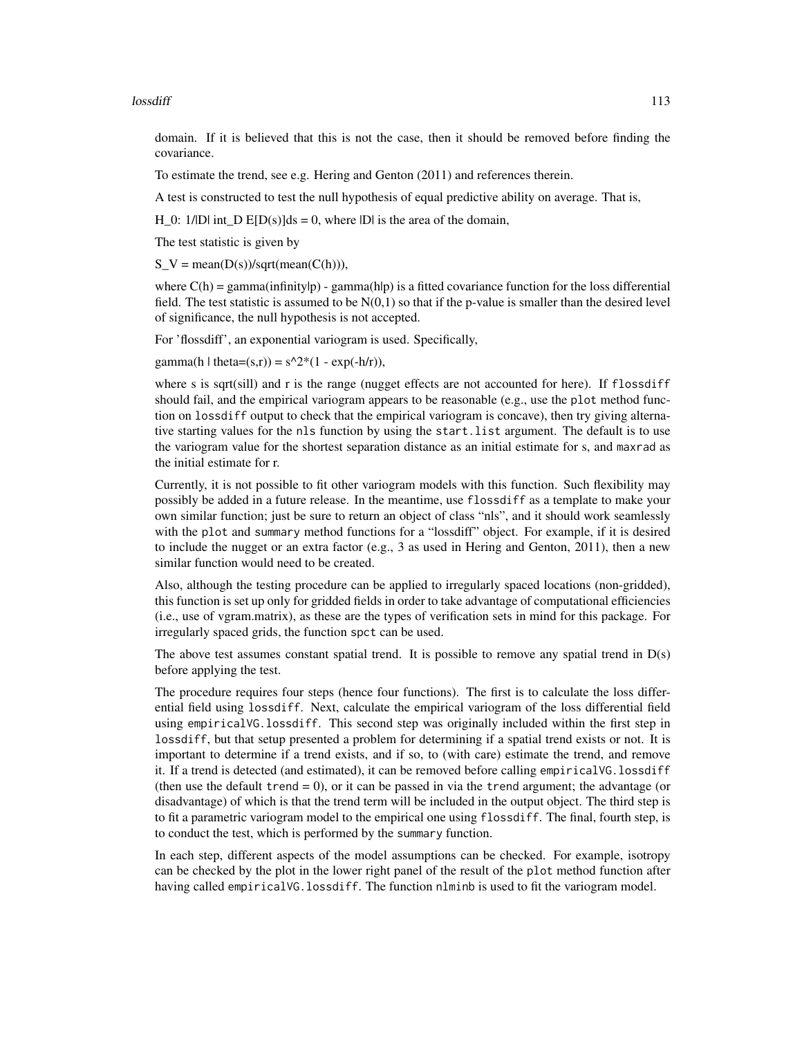## lossdiff and the contract of the contract of the contract of the contract of the contract of the contract of the contract of the contract of the contract of the contract of the contract of the contract of the contract of t

domain. If it is believed that this is not the case, then it should be removed before finding the covariance.

To estimate the trend, see e.g. Hering and Genton (2011) and references therein.

A test is constructed to test the null hypothesis of equal predictive ability on average. That is,

H 0: 1/IDI int D E[D(s)]ds = 0, where IDI is the area of the domain,

The test statistic is given by

 $S_V = \text{mean}(D(s))/\text{sqrt}(\text{mean}(C(h))),$ 

where  $C(h) = \text{gamma}(infinity|p)$  - gamma(h|p) is a fitted covariance function for the loss differential field. The test statistic is assumed to be  $N(0,1)$  so that if the p-value is smaller than the desired level of significance, the null hypothesis is not accepted.

For 'flossdiff', an exponential variogram is used. Specifically,

gamma(h | theta=(s,r)) =  $s^2^*(1 - \exp(-h/r))$ ,

where s is sqrt(sill) and r is the range (nugget effects are not accounted for here). If flossdiff should fail, and the empirical variogram appears to be reasonable (e.g., use the plot method function on lossdiff output to check that the empirical variogram is concave), then try giving alternative starting values for the nls function by using the start.list argument. The default is to use the variogram value for the shortest separation distance as an initial estimate for s, and maxrad as the initial estimate for r.

Currently, it is not possible to fit other variogram models with this function. Such flexibility may possibly be added in a future release. In the meantime, use flossdiff as a template to make your own similar function; just be sure to return an object of class "nls", and it should work seamlessly with the plot and summary method functions for a "lossdiff" object. For example, if it is desired to include the nugget or an extra factor (e.g., 3 as used in Hering and Genton, 2011), then a new similar function would need to be created.

Also, although the testing procedure can be applied to irregularly spaced locations (non-gridded), this function is set up only for gridded fields in order to take advantage of computational efficiencies (i.e., use of vgram.matrix), as these are the types of verification sets in mind for this package. For irregularly spaced grids, the function spct can be used.

The above test assumes constant spatial trend. It is possible to remove any spatial trend in  $D(s)$ before applying the test.

The procedure requires four steps (hence four functions). The first is to calculate the loss differential field using lossdiff. Next, calculate the empirical variogram of the loss differential field using empiricalVG.lossdiff. This second step was originally included within the first step in lossdiff, but that setup presented a problem for determining if a spatial trend exists or not. It is important to determine if a trend exists, and if so, to (with care) estimate the trend, and remove it. If a trend is detected (and estimated), it can be removed before calling empiricalVG.lossdiff (then use the default trend  $= 0$ ), or it can be passed in via the trend argument; the advantage (or disadvantage) of which is that the trend term will be included in the output object. The third step is to fit a parametric variogram model to the empirical one using flossdiff. The final, fourth step, is to conduct the test, which is performed by the summary function.

In each step, different aspects of the model assumptions can be checked. For example, isotropy can be checked by the plot in the lower right panel of the result of the plot method function after having called empiricalVG.lossdiff. The function nlminb is used to fit the variogram model.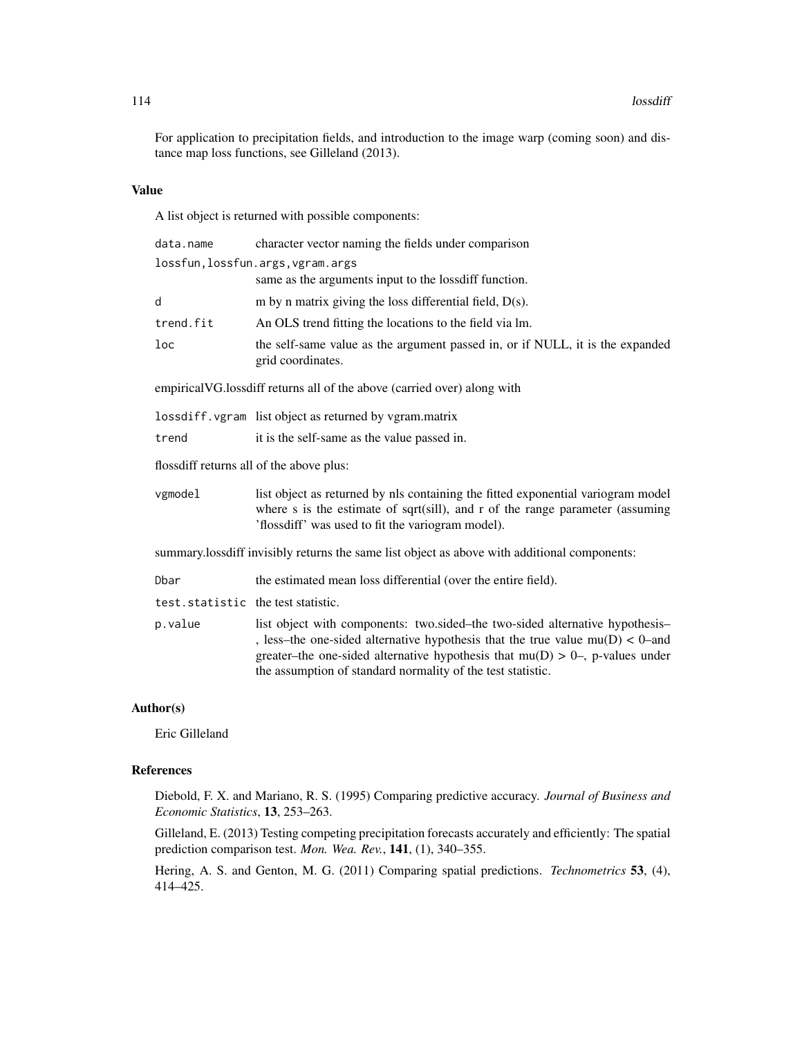For application to precipitation fields, and introduction to the image warp (coming soon) and distance map loss functions, see Gilleland (2013).

## Value

A list object is returned with possible components:

| data.name                                | character vector naming the fields under comparison                                                                                                                                                                                                                                                                |  |
|------------------------------------------|--------------------------------------------------------------------------------------------------------------------------------------------------------------------------------------------------------------------------------------------------------------------------------------------------------------------|--|
|                                          | lossfun, lossfun.args, vgram.args<br>same as the arguments input to the loss diff function.                                                                                                                                                                                                                        |  |
| d                                        | m by n matrix giving the loss differential field, $D(s)$ .                                                                                                                                                                                                                                                         |  |
| trend.fit                                | An OLS trend fitting the locations to the field via lm.                                                                                                                                                                                                                                                            |  |
| loc                                      | the self-same value as the argument passed in, or if NULL, it is the expanded<br>grid coordinates.                                                                                                                                                                                                                 |  |
|                                          | empirical VG. loss diff returns all of the above (carried over) along with                                                                                                                                                                                                                                         |  |
|                                          | lossdiff. vgram list object as returned by vgram.matrix                                                                                                                                                                                                                                                            |  |
| trend                                    | it is the self-same as the value passed in.                                                                                                                                                                                                                                                                        |  |
| flossdiff returns all of the above plus: |                                                                                                                                                                                                                                                                                                                    |  |
| vgmodel                                  | list object as returned by nls containing the fitted exponential variogram model<br>where s is the estimate of sqrt $(sill)$ , and r of the range parameter (assuming<br>'flossdiff' was used to fit the variogram model).                                                                                         |  |
|                                          | summary.lossdiff invisibly returns the same list object as above with additional components:                                                                                                                                                                                                                       |  |
| Dbar                                     | the estimated mean loss differential (over the entire field).                                                                                                                                                                                                                                                      |  |
| test.statistic the test statistic.       |                                                                                                                                                                                                                                                                                                                    |  |
| p.value                                  | list object with components: two.sided-the two-sided alternative hypothesis-<br>, less–the one-sided alternative hypothesis that the true value $mu(D) < 0$ –and<br>greater-the one-sided alternative hypothesis that $mu(D) > 0$ -, p-values under<br>the assumption of standard normality of the test statistic. |  |

# Author(s)

Eric Gilleland

# References

Diebold, F. X. and Mariano, R. S. (1995) Comparing predictive accuracy. *Journal of Business and Economic Statistics*, 13, 253–263.

Gilleland, E. (2013) Testing competing precipitation forecasts accurately and efficiently: The spatial prediction comparison test. *Mon. Wea. Rev.*, 141, (1), 340–355.

Hering, A. S. and Genton, M. G. (2011) Comparing spatial predictions. *Technometrics* 53, (4), 414–425.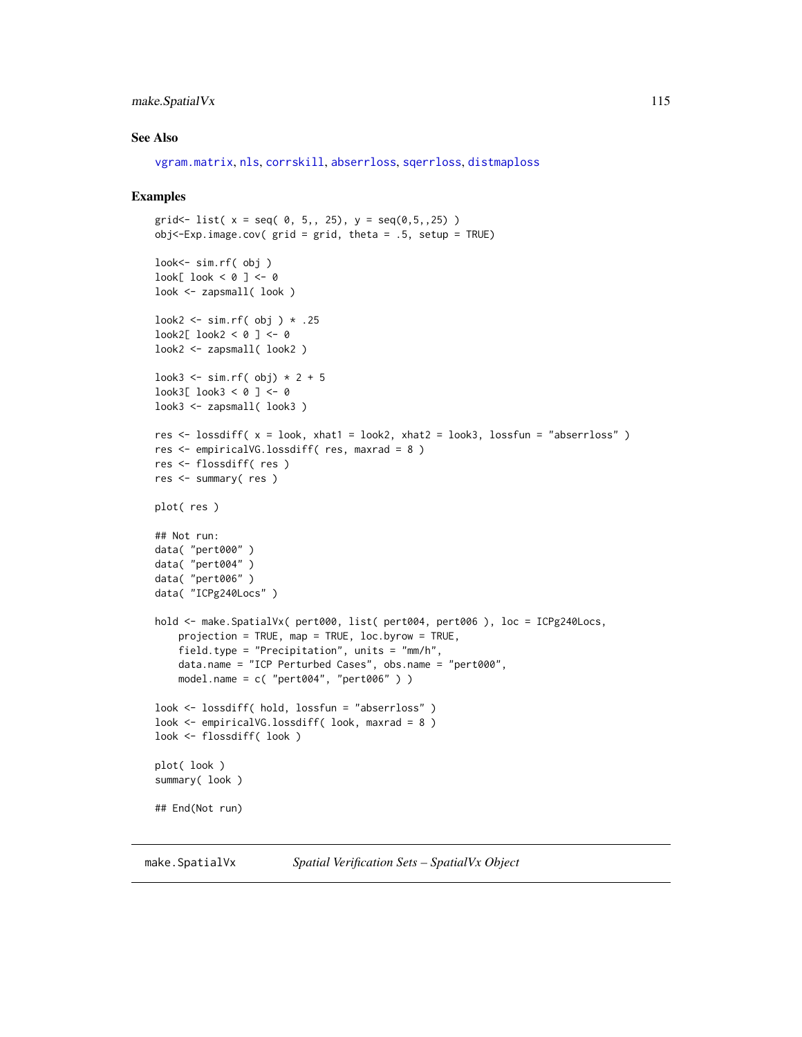# make.SpatialVx 115

## See Also

```
vgram.matrix, nls, corrskill, abserrloss, sqerrloss, distmaploss
```
## Examples

```
grid<-list( x = seq( 0, 5, 25), y = seq(0, 5, 25) )obj < -Exp.inage.cov( grid = grid, theta = .5, setup = TRUE)look<- sim.rf( obj )
look[ look < 0 ] < -0look <- zapsmall( look )
look2 <- sim.rf( obj ) * .25
look2[ look2 < 0 ] <- 0
look2 <- zapsmall( look2 )
look3 <- sim.rf( obj) * 2 + 5
look3[ look3 < 0 ] <- 0
look3 <- zapsmall( look3 )
res \le lossdiff( x = look, xhat1 = look2, xhat2 = look3, lossfun = "abserrloss")
res <- empiricalVG.lossdiff( res, maxrad = 8 )
res <- flossdiff( res )
res <- summary( res )
plot( res )
## Not run:
data( "pert000" )
data( "pert004" )
data( "pert006" )
data( "ICPg240Locs" )
hold <- make.SpatialVx( pert000, list( pert004, pert006 ), loc = ICPg240Locs,
    projection = TRUE, map = TRUE, loc.byrow = TRUE,
    field.type = "Precipitation", units = "mm/h",
   data.name = "ICP Perturbed Cases", obs.name = "pert000",
   model.name = c('pert004", 'pert006'') )look <- lossdiff( hold, lossfun = "abserrloss" )
look <- empiricalVG.lossdiff( look, maxrad = 8 )
look <- flossdiff( look )
plot( look )
summary( look )
## End(Not run)
```
<span id="page-114-0"></span>make.SpatialVx *Spatial Verification Sets – SpatialVx Object*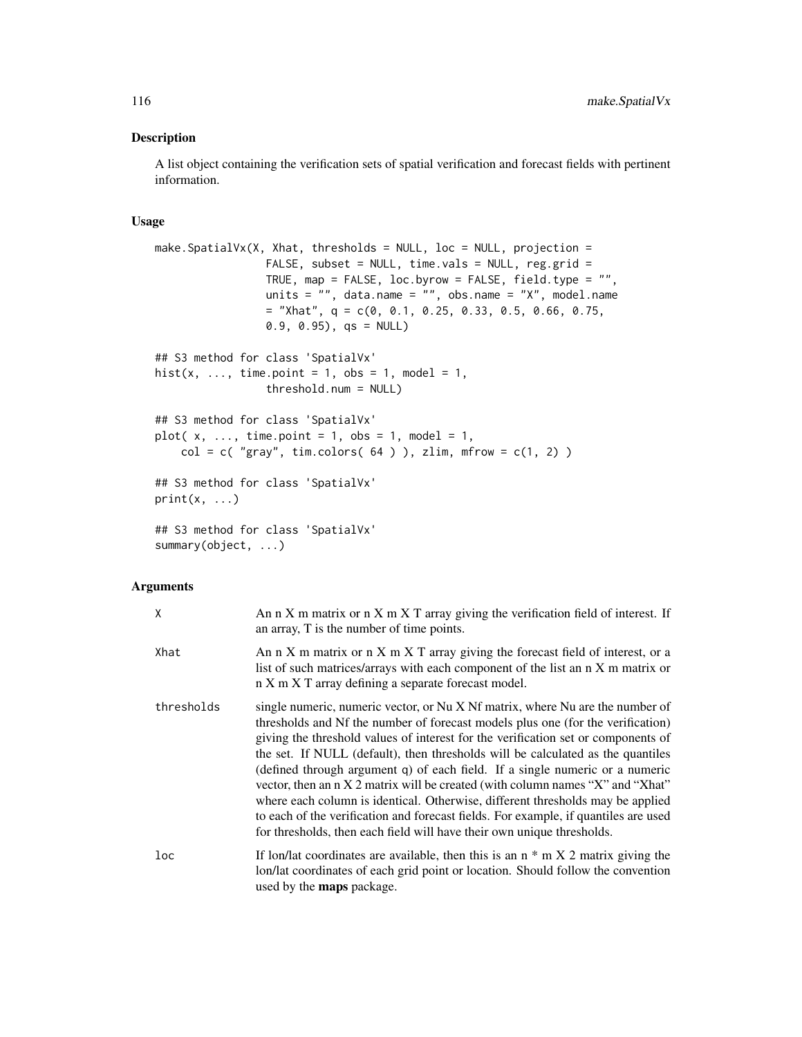## Description

A list object containing the verification sets of spatial verification and forecast fields with pertinent information.

## Usage

```
make. SpatialVx(X, Xhat, thresholds = NULL, loc = NULL, projection =
                 FALSE, subset = NULL, time.vals = NULL, reg.grid =
                 TRUE, map = FALSE, loc.byrow = FALSE, field.type = "",
                 units = ", data.name = ", obs.name = "X", model.name
                 = "Xhat", q = c(0, 0.1, 0.25, 0.33, 0.5, 0.66, 0.75,
                 0.9, 0.95), qs = NULL## S3 method for class 'SpatialVx'
hist(x, ..., time.point = 1, obs = 1, model = 1,
                 threshold.num = NULL)
## S3 method for class 'SpatialVx'
plot(x, \ldots, time.point = 1, obs = 1, model = 1,
    col = c('gray'', tim-colors( 64 ) ), zlim, mfrow = c(1, 2) )## S3 method for class 'SpatialVx'
print(x, \ldots)## S3 method for class 'SpatialVx'
summary(object, ...)
```
# Arguments

| X               | An $n X$ m matrix or $n X$ m $X T$ array giving the verification field of interest. If<br>an array, T is the number of time points.                                                                                                                                                                                                                                                                                                                                                                                                                                                                                                                                                                                                                           |
|-----------------|---------------------------------------------------------------------------------------------------------------------------------------------------------------------------------------------------------------------------------------------------------------------------------------------------------------------------------------------------------------------------------------------------------------------------------------------------------------------------------------------------------------------------------------------------------------------------------------------------------------------------------------------------------------------------------------------------------------------------------------------------------------|
| Xhat            | An $n X$ m matrix or $n X$ m $X T$ array giving the forecast field of interest, or a<br>list of such matrices/arrays with each component of the list an n X m matrix or<br>n X m X T array defining a separate forecast model.                                                                                                                                                                                                                                                                                                                                                                                                                                                                                                                                |
| thresholds      | single numeric, numeric vector, or Nu X Nf matrix, where Nu are the number of<br>thresholds and Nf the number of forecast models plus one (for the verification)<br>giving the threshold values of interest for the verification set or components of<br>the set. If NULL (default), then thresholds will be calculated as the quantiles<br>(defined through argument q) of each field. If a single numeric or a numeric<br>vector, then an n X 2 matrix will be created (with column names "X" and "Xhat"<br>where each column is identical. Otherwise, different thresholds may be applied<br>to each of the verification and forecast fields. For example, if quantiles are used<br>for thresholds, then each field will have their own unique thresholds. |
| 1 <sub>oc</sub> | If lon/lat coordinates are available, then this is an $n * m X 2$ matrix giving the<br>lon/lat coordinates of each grid point or location. Should follow the convention<br>used by the maps package.                                                                                                                                                                                                                                                                                                                                                                                                                                                                                                                                                          |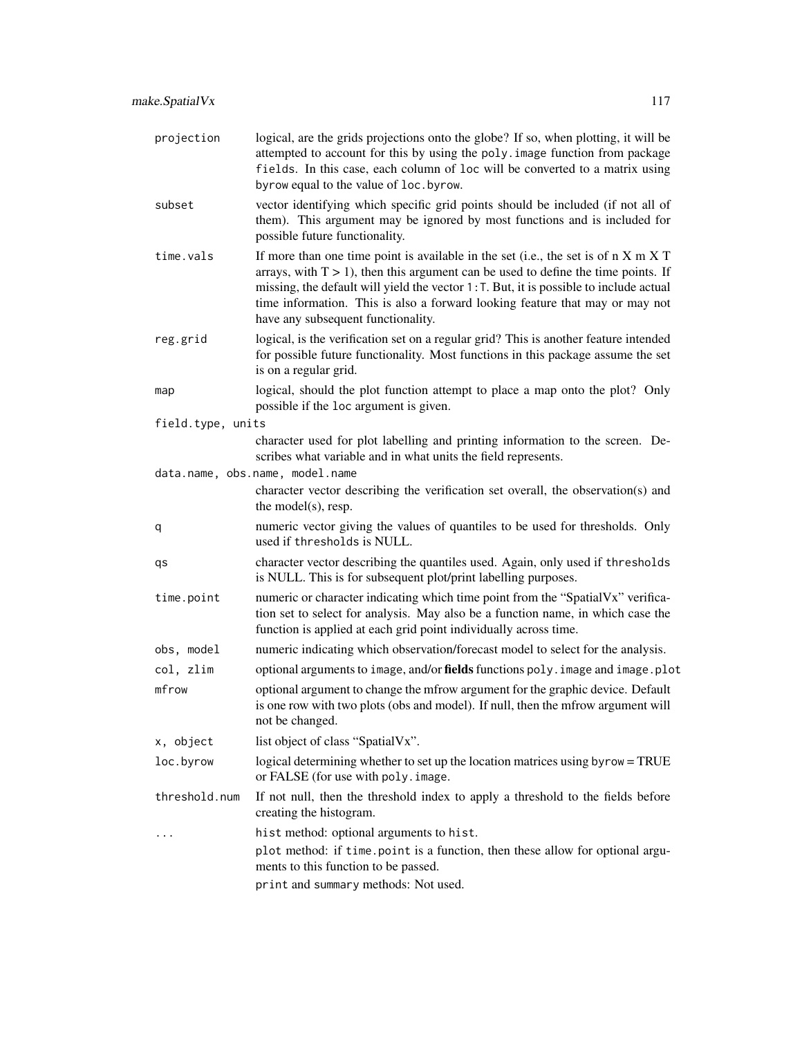| projection        | logical, are the grids projections onto the globe? If so, when plotting, it will be<br>attempted to account for this by using the poly. image function from package<br>fields. In this case, each column of loc will be converted to a matrix using<br>byrow equal to the value of loc.byrow.                                                                                                            |
|-------------------|----------------------------------------------------------------------------------------------------------------------------------------------------------------------------------------------------------------------------------------------------------------------------------------------------------------------------------------------------------------------------------------------------------|
| subset            | vector identifying which specific grid points should be included (if not all of<br>them). This argument may be ignored by most functions and is included for<br>possible future functionality.                                                                                                                                                                                                           |
| time.vals         | If more than one time point is available in the set (i.e., the set is of $n \times m \times T$<br>arrays, with $T > 1$ ), then this argument can be used to define the time points. If<br>missing, the default will yield the vector $1:$ T. But, it is possible to include actual<br>time information. This is also a forward looking feature that may or may not<br>have any subsequent functionality. |
| reg.grid          | logical, is the verification set on a regular grid? This is another feature intended<br>for possible future functionality. Most functions in this package assume the set<br>is on a regular grid.                                                                                                                                                                                                        |
| map               | logical, should the plot function attempt to place a map onto the plot? Only<br>possible if the loc argument is given.                                                                                                                                                                                                                                                                                   |
| field.type, units |                                                                                                                                                                                                                                                                                                                                                                                                          |
|                   | character used for plot labelling and printing information to the screen. De-<br>scribes what variable and in what units the field represents.                                                                                                                                                                                                                                                           |
|                   | data.name, obs.name, model.name                                                                                                                                                                                                                                                                                                                                                                          |
|                   | character vector describing the verification set overall, the observation(s) and<br>the model(s), resp.                                                                                                                                                                                                                                                                                                  |
| q                 | numeric vector giving the values of quantiles to be used for thresholds. Only<br>used if thresholds is NULL.                                                                                                                                                                                                                                                                                             |
| qs                | character vector describing the quantiles used. Again, only used if thresholds<br>is NULL. This is for subsequent plot/print labelling purposes.                                                                                                                                                                                                                                                         |
| time.point        | numeric or character indicating which time point from the "SpatialVx" verifica-<br>tion set to select for analysis. May also be a function name, in which case the<br>function is applied at each grid point individually across time.                                                                                                                                                                   |
| obs, model        | numeric indicating which observation/forecast model to select for the analysis.                                                                                                                                                                                                                                                                                                                          |
| col, zlim         | optional arguments to image, and/or fields functions poly. image and image.plot                                                                                                                                                                                                                                                                                                                          |
| mfrow             | optional argument to change the mfrow argument for the graphic device. Default<br>is one row with two plots (obs and model). If null, then the mfrow argument will<br>not be changed.                                                                                                                                                                                                                    |
| x, object         | list object of class "SpatialVx".                                                                                                                                                                                                                                                                                                                                                                        |
| loc.byrow         | logical determining whether to set up the location matrices using byrow = TRUE<br>or FALSE (for use with poly. image.                                                                                                                                                                                                                                                                                    |
| threshold.num     | If not null, then the threshold index to apply a threshold to the fields before<br>creating the histogram.                                                                                                                                                                                                                                                                                               |
|                   | hist method: optional arguments to hist.                                                                                                                                                                                                                                                                                                                                                                 |
|                   | plot method: if time.point is a function, then these allow for optional argu-<br>ments to this function to be passed.                                                                                                                                                                                                                                                                                    |
|                   | print and summary methods: Not used.                                                                                                                                                                                                                                                                                                                                                                     |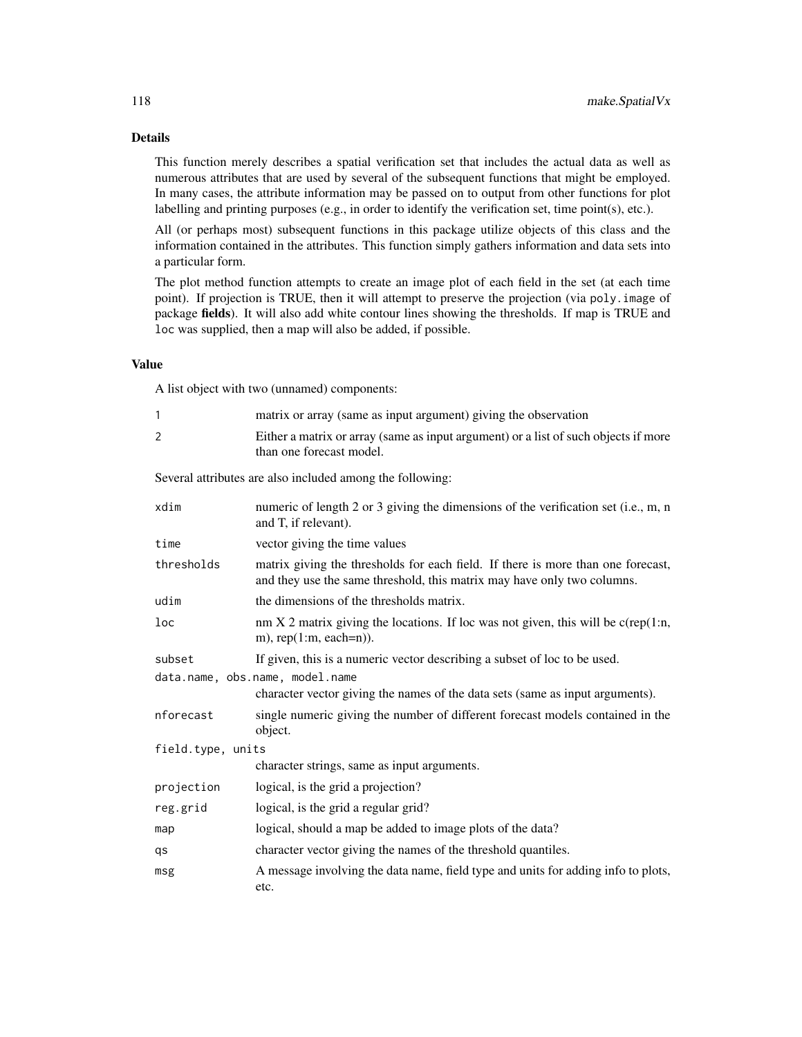# Details

This function merely describes a spatial verification set that includes the actual data as well as numerous attributes that are used by several of the subsequent functions that might be employed. In many cases, the attribute information may be passed on to output from other functions for plot labelling and printing purposes (e.g., in order to identify the verification set, time point(s), etc.).

All (or perhaps most) subsequent functions in this package utilize objects of this class and the information contained in the attributes. This function simply gathers information and data sets into a particular form.

The plot method function attempts to create an image plot of each field in the set (at each time point). If projection is TRUE, then it will attempt to preserve the projection (via poly.image of package fields). It will also add white contour lines showing the thresholds. If map is TRUE and loc was supplied, then a map will also be added, if possible.

# Value

A list object with two (unnamed) components:

| $\mathbf{1}$                    | matrix or array (same as input argument) giving the observation                                                                                             |  |
|---------------------------------|-------------------------------------------------------------------------------------------------------------------------------------------------------------|--|
| $\overline{2}$                  | Either a matrix or array (same as input argument) or a list of such objects if more<br>than one forecast model.                                             |  |
|                                 | Several attributes are also included among the following:                                                                                                   |  |
| xdim                            | numeric of length 2 or 3 giving the dimensions of the verification set (i.e., m, n<br>and T, if relevant).                                                  |  |
| time                            | vector giving the time values                                                                                                                               |  |
| thresholds                      | matrix giving the thresholds for each field. If there is more than one forecast,<br>and they use the same threshold, this matrix may have only two columns. |  |
| udim                            | the dimensions of the thresholds matrix.                                                                                                                    |  |
| loc                             | nm $X$ 2 matrix giving the locations. If loc was not given, this will be $c$ (rep(1:n,<br>m), $rep(1:m, each=n)$ ).                                         |  |
| subset                          | If given, this is a numeric vector describing a subset of loc to be used.                                                                                   |  |
| data.name, obs.name, model.name |                                                                                                                                                             |  |
|                                 | character vector giving the names of the data sets (same as input arguments).                                                                               |  |
| nforecast                       | single numeric giving the number of different forecast models contained in the<br>object.                                                                   |  |
| field.type, units               |                                                                                                                                                             |  |
|                                 | character strings, same as input arguments.                                                                                                                 |  |
| projection                      | logical, is the grid a projection?                                                                                                                          |  |
| reg.grid                        | logical, is the grid a regular grid?                                                                                                                        |  |
| map                             | logical, should a map be added to image plots of the data?                                                                                                  |  |
| qs                              | character vector giving the names of the threshold quantiles.                                                                                               |  |
| msg                             | A message involving the data name, field type and units for adding info to plots,<br>etc.                                                                   |  |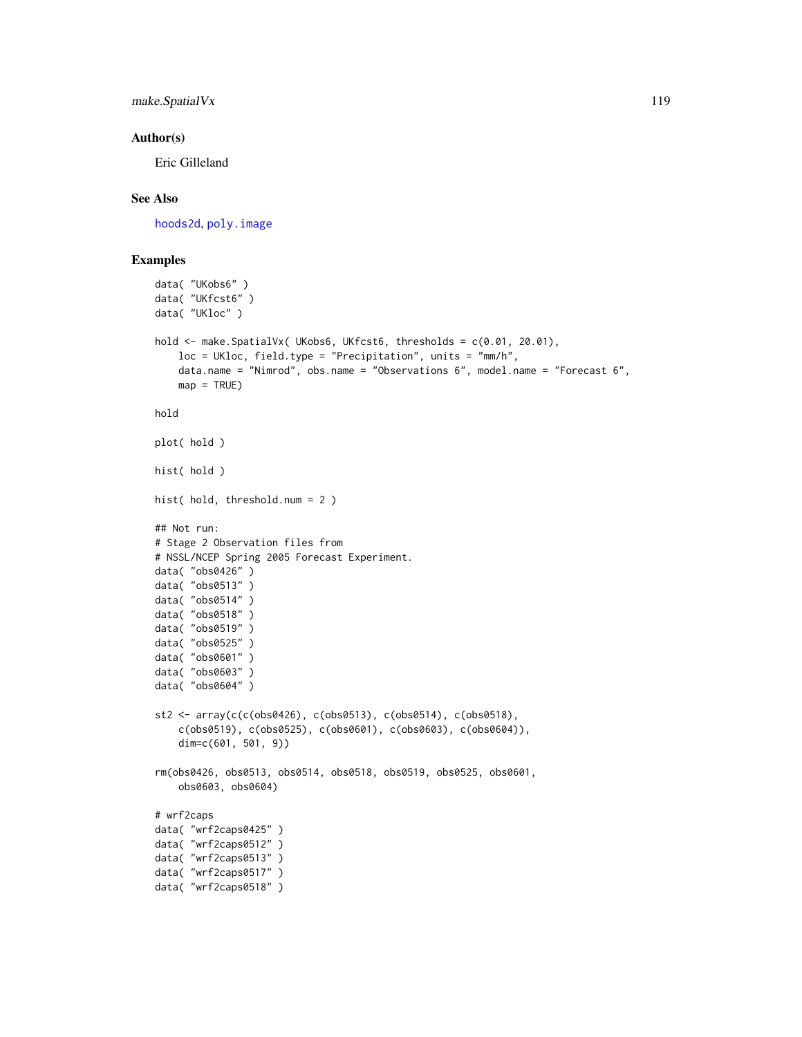make.SpatialVx 119

## Author(s)

Eric Gilleland

# See Also

[hoods2d](#page-88-0), [poly.image](#page-0-0)

# Examples

```
data( "UKobs6" )
data( "UKfcst6" )
data( "UKloc" )
hold \leq make. SpatialVx( UKobs6, UKfcst6, thresholds = c(0.01, 20.01),
    loc = UKloc, field.type = "Precipitation", units = "mm/h",
   data.name = "Nimrod", obs.name = "Observations 6", model.name = "Forecast 6",
   map = TRUE)
hold
plot( hold )
hist( hold )
hist( hold, threshold.num = 2 )
## Not run:
# Stage 2 Observation files from
# NSSL/NCEP Spring 2005 Forecast Experiment.
data( "obs0426" )
data( "obs0513" )
data( "obs0514" )
data( "obs0518" )
data( "obs0519" )
data( "obs0525" )
data( "obs0601" )
data( "obs0603" )
data( "obs0604" )
st2 <- array(c(c(obs0426), c(obs0513), c(obs0514), c(obs0518),c(obs0519), c(obs0525), c(obs0601), c(obs0603), c(obs0604)),
    dim=c(601, 501, 9))
rm(obs0426, obs0513, obs0514, obs0518, obs0519, obs0525, obs0601,
    obs0603, obs0604)
# wrf2caps
data( "wrf2caps0425" )
data( "wrf2caps0512" )
data( "wrf2caps0513" )
data( "wrf2caps0517" )
data( "wrf2caps0518" )
```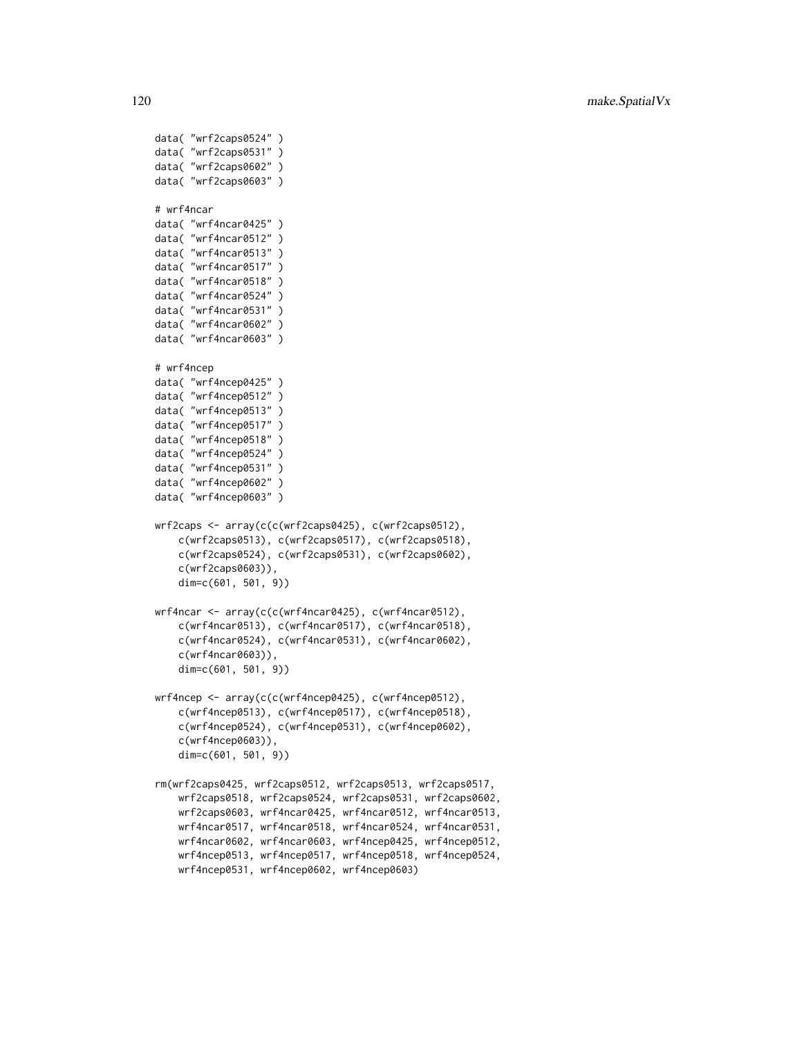```
data( "wrf2caps0524" )
data( "wrf2caps0531" )
data( "wrf2caps0602" )
data( "wrf2caps0603" )
# wrf4ncar
data( "wrf4ncar0425" )
data( "wrf4ncar0512" )
data( "wrf4ncar0513" )
data( "wrf4ncar0517" )
data( "wrf4ncar0518" )
data( "wrf4ncar0524" )
data( "wrf4ncar0531" )
data( "wrf4ncar0602" )
data( "wrf4ncar0603" )
# wrf4ncep
data( "wrf4ncep0425" )
data( "wrf4ncep0512" )
data( "wrf4ncep0513" )
data( "wrf4ncep0517" )
data( "wrf4ncep0518" )
data( "wrf4ncep0524" )
data( "wrf4ncep0531" )
data( "wrf4ncep0602" )
data( "wrf4ncep0603" )
wrf2caps <- array(c(c(wrf2caps0425), c(wrf2caps0512),
    c(wrf2caps0513), c(wrf2caps0517), c(wrf2caps0518),
    c(wrf2caps0524), c(wrf2caps0531), c(wrf2caps0602),
    c(wrf2caps0603)),
    dim=c(601, 501, 9))
wrf4ncar <- array(c(c(wrf4ncar0425), c(wrf4ncar0512),
    c(wrf4ncar0513), c(wrf4ncar0517), c(wrf4ncar0518),
    c(wrf4ncar0524), c(wrf4ncar0531), c(wrf4ncar0602),
    c(wrf4ncar0603)),
    dim=c(601, 501, 9))
wrf4ncep <- array(c(c(wrf4ncep0425), c(wrf4ncep0512),
    c(wrf4ncep0513), c(wrf4ncep0517), c(wrf4ncep0518),
    c(wrf4ncep0524), c(wrf4ncep0531), c(wrf4ncep0602),
    c(wrf4ncep0603)),
    dim=c(601, 501, 9))
rm(wrf2caps0425, wrf2caps0512, wrf2caps0513, wrf2caps0517,
    wrf2caps0518, wrf2caps0524, wrf2caps0531, wrf2caps0602,
    wrf2caps0603, wrf4ncar0425, wrf4ncar0512, wrf4ncar0513,
    wrf4ncar0517, wrf4ncar0518, wrf4ncar0524, wrf4ncar0531,
    wrf4ncar0602, wrf4ncar0603, wrf4ncep0425, wrf4ncep0512,
    wrf4ncep0513, wrf4ncep0517, wrf4ncep0518, wrf4ncep0524,
    wrf4ncep0531, wrf4ncep0602, wrf4ncep0603)
```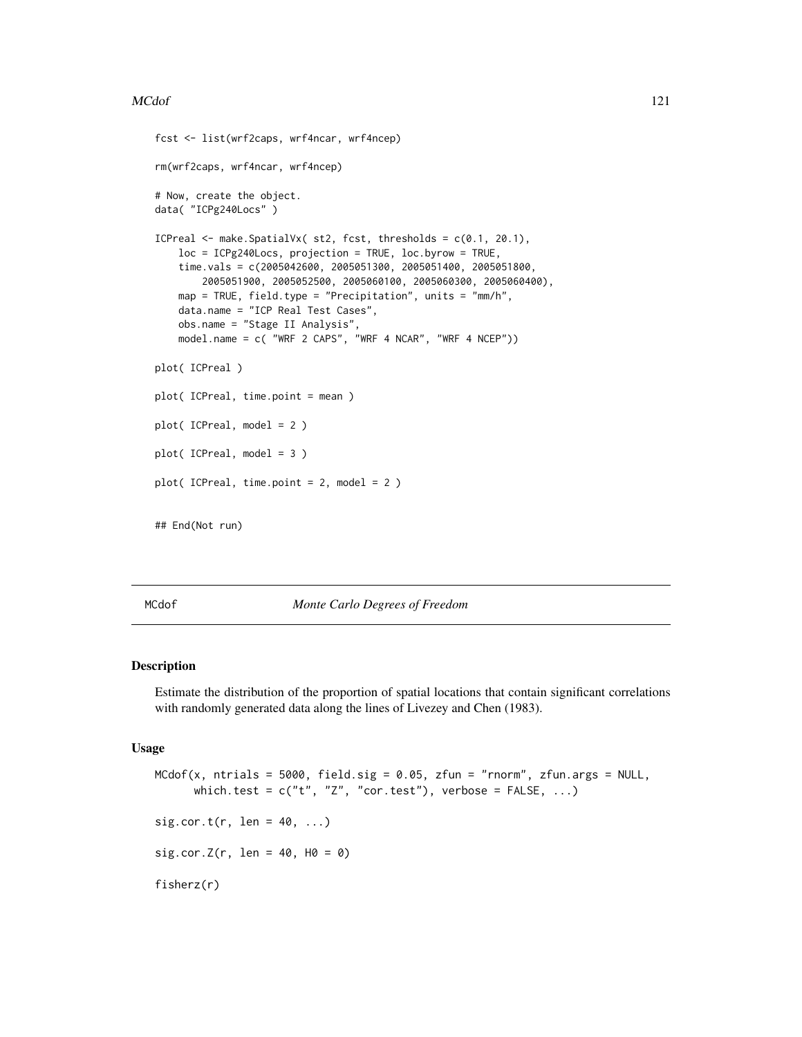## MCdof 221

```
fcst <- list(wrf2caps, wrf4ncar, wrf4ncep)
rm(wrf2caps, wrf4ncar, wrf4ncep)
# Now, create the object.
data( "ICPg240Locs" )
ICPreal \leq make. SpatialVx( st2, fcst, thresholds = c(0.1, 20.1),
   loc = ICPg240Locs, projection = TRUE, loc.byrow = TRUE,
   time.vals = c(2005042600, 2005051300, 2005051400, 2005051800,
        2005051900, 2005052500, 2005060100, 2005060300, 2005060400),
   map = TRUE, field.type = "Precipitation", units = "mm/h",
   data.name = "ICP Real Test Cases",
   obs.name = "Stage II Analysis",
   model.name = c( "WRF 2 CAPS", "WRF 4 NCAR", "WRF 4 NCEP"))
plot( ICPreal )
plot( ICPreal, time.point = mean )
plot( ICPreal, model = 2 )
plot( ICPreal, model = 3 )
plot( ICPreal, time.point = 2, model = 2 )
## End(Not run)
```
<span id="page-120-0"></span>

MCdof *Monte Carlo Degrees of Freedom*

## <span id="page-120-1"></span>Description

Estimate the distribution of the proportion of spatial locations that contain significant correlations with randomly generated data along the lines of Livezey and Chen (1983).

# Usage

```
MCdof(x, ntrials = 5000, field.sig = 0.05, zfun = "rnorm", zfun.args = NULL,
      which.test = c("t", "Z", "cor.test"), verbose = FALSE, ...)
sig.cor.t(r, len = 40, ...)sig.cor.Z(r, len = 40, H0 = 0)fisherz(r)
```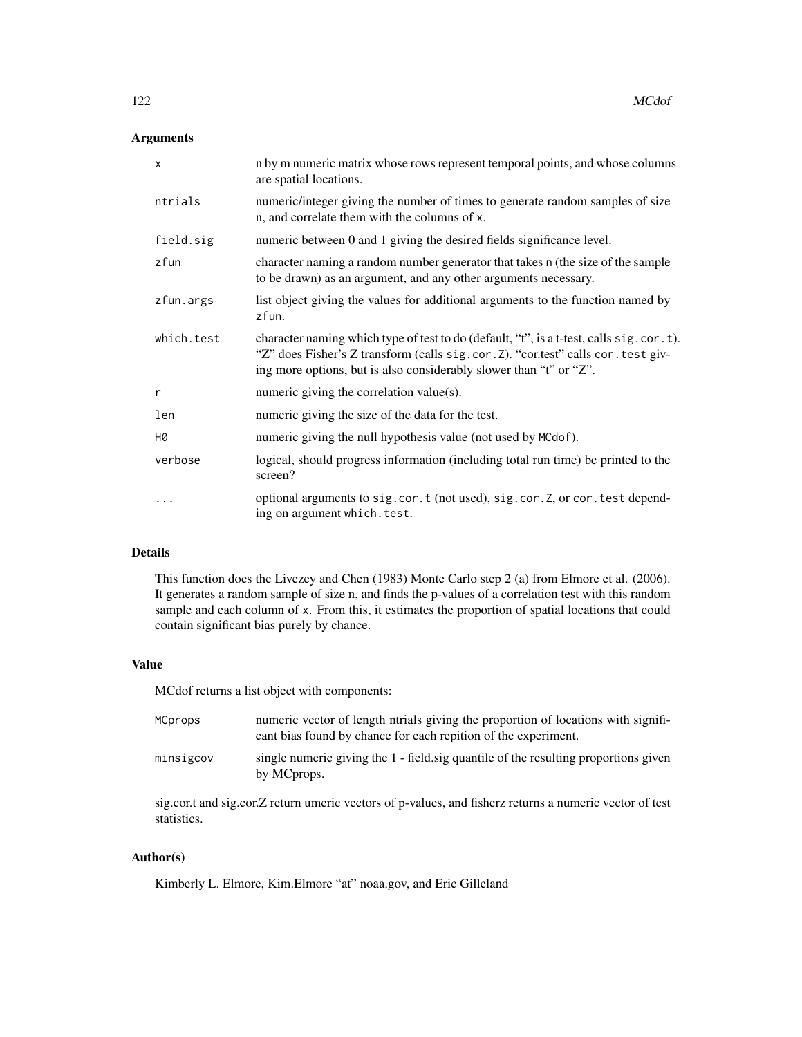# Arguments

| $\mathsf{x}$ | n by m numeric matrix whose rows represent temporal points, and whose columns<br>are spatial locations.                                                                                                                                               |
|--------------|-------------------------------------------------------------------------------------------------------------------------------------------------------------------------------------------------------------------------------------------------------|
| ntrials      | numeric/integer giving the number of times to generate random samples of size<br>n, and correlate them with the columns of x.                                                                                                                         |
| field.sig    | numeric between 0 and 1 giving the desired fields significance level.                                                                                                                                                                                 |
| zfun         | character naming a random number generator that takes n (the size of the sample<br>to be drawn) as an argument, and any other arguments necessary.                                                                                                    |
| zfun.args    | list object giving the values for additional arguments to the function named by<br>zfun.                                                                                                                                                              |
| which.test   | character naming which type of test to do (default, "t", is a t-test, calls sig. cor. t).<br>"Z" does Fisher's Z transform (calls sig. cor. Z). "cor.test" calls cor. test giv-<br>ing more options, but is also considerably slower than "t" or "Z". |
| r            | numeric giving the correlation value(s).                                                                                                                                                                                                              |
| len          | numeric giving the size of the data for the test.                                                                                                                                                                                                     |
| H0           | numeric giving the null hypothesis value (not used by MCdof).                                                                                                                                                                                         |
| verbose      | logical, should progress information (including total run time) be printed to the<br>screen?                                                                                                                                                          |
|              | optional arguments to sig.cor.t (not used), sig.cor.Z, or cor.test depend-<br>ing on argument which. test.                                                                                                                                            |

# Details

This function does the Livezey and Chen (1983) Monte Carlo step 2 (a) from Elmore et al. (2006). It generates a random sample of size n, and finds the p-values of a correlation test with this random sample and each column of x. From this, it estimates the proportion of spatial locations that could contain significant bias purely by chance.

## Value

MCdof returns a list object with components:

| MCprops   | numeric vector of length ntrials giving the proportion of locations with signifi-<br>cant bias found by chance for each repition of the experiment. |
|-----------|-----------------------------------------------------------------------------------------------------------------------------------------------------|
| minsigcov | single numeric giving the 1 - field sig quantile of the resulting proportions given<br>by MCprops.                                                  |

sig.cor.t and sig.cor.Z return umeric vectors of p-values, and fisherz returns a numeric vector of test statistics.

# Author(s)

Kimberly L. Elmore, Kim.Elmore "at" noaa.gov, and Eric Gilleland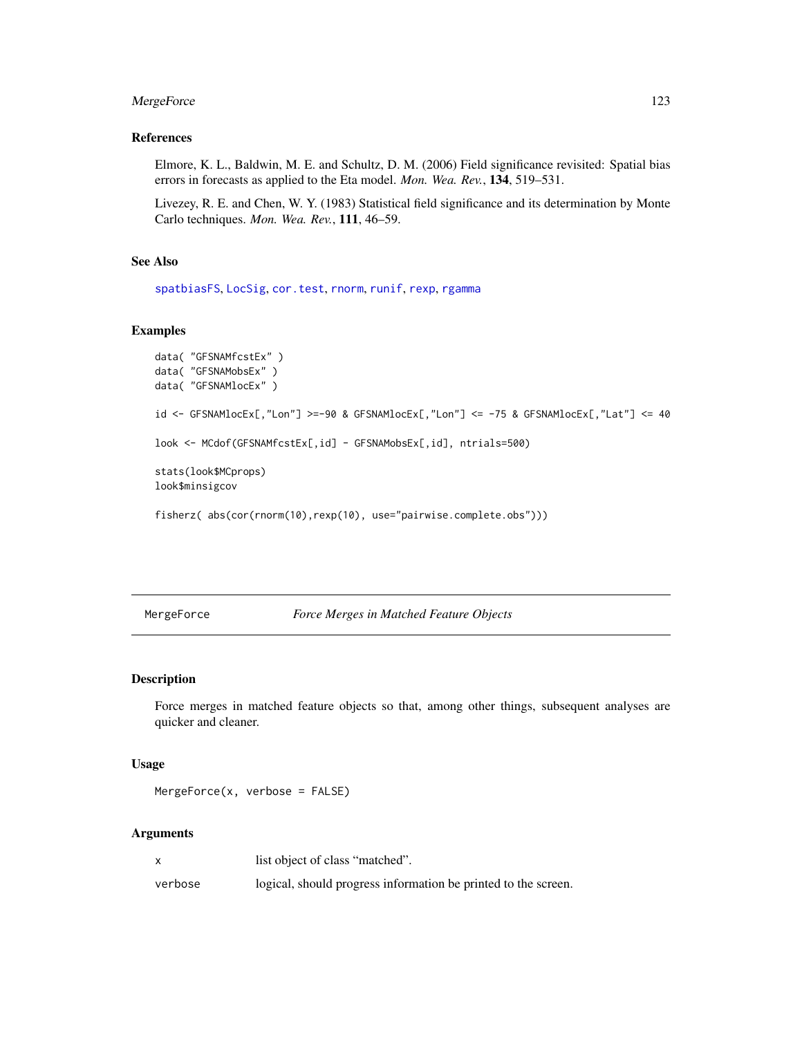# MergeForce 123

# References

Elmore, K. L., Baldwin, M. E. and Schultz, D. M. (2006) Field significance revisited: Spatial bias errors in forecasts as applied to the Eta model. *Mon. Wea. Rev.*, 134, 519–531.

Livezey, R. E. and Chen, W. Y. (1983) Statistical field significance and its determination by Monte Carlo techniques. *Mon. Wea. Rev.*, 111, 46–59.

# See Also

[spatbiasFS](#page-153-0), [LocSig](#page-108-0), [cor.test](#page-0-0), [rnorm](#page-0-0), [runif](#page-0-0), [rexp](#page-0-0), [rgamma](#page-0-0)

## Examples

```
data( "GFSNAMfcstEx" )
data( "GFSNAMobsEx" )
data( "GFSNAMlocEx" )
id <- GFSNAMlocEx[,"Lon"] >=-90 & GFSNAMlocEx[,"Lon"] <= -75 & GFSNAMlocEx[,"Lat"] <= 40
look <- MCdof(GFSNAMfcstEx[,id] - GFSNAMobsEx[,id], ntrials=500)
stats(look$MCprops)
look$minsigcov
fisherz( abs(cor(rnorm(10),rexp(10), use="pairwise.complete.obs")))
```
#### <span id="page-122-0"></span>MergeForce *Force Merges in Matched Feature Objects*

## Description

Force merges in matched feature objects so that, among other things, subsequent analyses are quicker and cleaner.

#### Usage

MergeForce(x, verbose = FALSE)

#### Arguments

|         | list object of class "matched".                                |
|---------|----------------------------------------------------------------|
| verbose | logical, should progress information be printed to the screen. |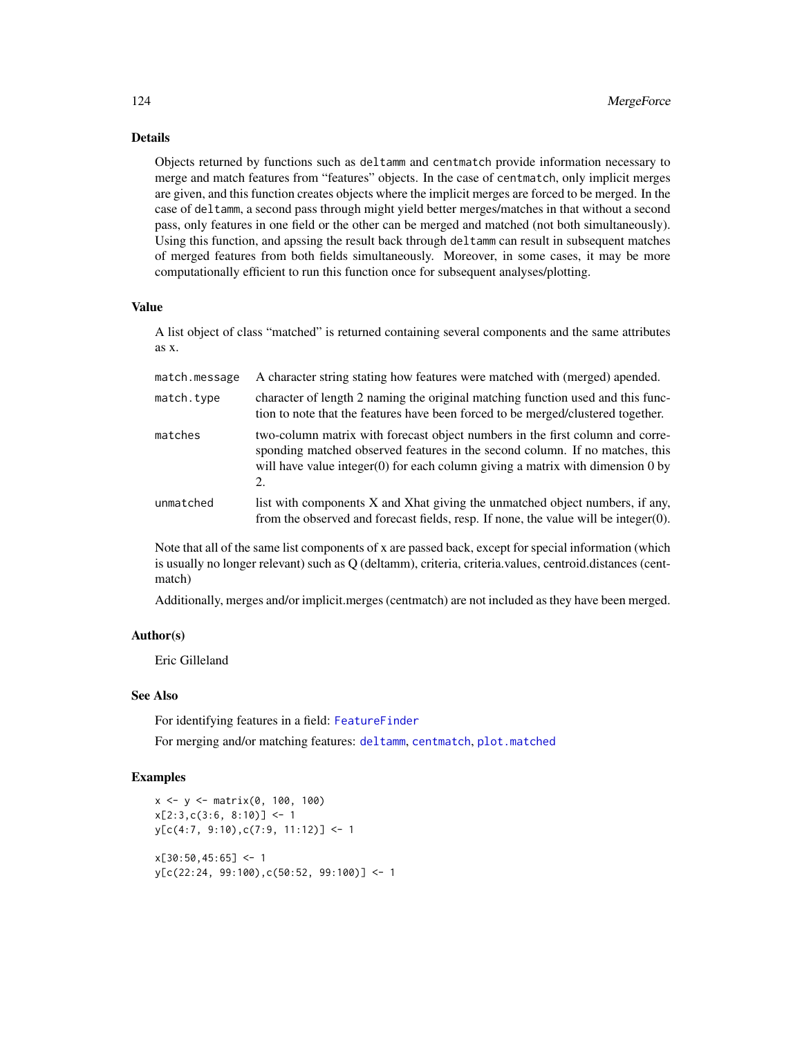# Details

Objects returned by functions such as deltamm and centmatch provide information necessary to merge and match features from "features" objects. In the case of centmatch, only implicit merges are given, and this function creates objects where the implicit merges are forced to be merged. In the case of deltamm, a second pass through might yield better merges/matches in that without a second pass, only features in one field or the other can be merged and matched (not both simultaneously). Using this function, and apssing the result back through deltamm can result in subsequent matches of merged features from both fields simultaneously. Moreover, in some cases, it may be more computationally efficient to run this function once for subsequent analyses/plotting.

## Value

A list object of class "matched" is returned containing several components and the same attributes as x.

| match.message | A character string stating how features were matched with (merged) apended.                                                                                                                                                                             |
|---------------|---------------------------------------------------------------------------------------------------------------------------------------------------------------------------------------------------------------------------------------------------------|
| match.type    | character of length 2 naming the original matching function used and this func-<br>tion to note that the features have been forced to be merged/clustered together.                                                                                     |
| matches       | two-column matrix with forecast object numbers in the first column and corre-<br>sponding matched observed features in the second column. If no matches, this<br>will have value integer(0) for each column giving a matrix with dimension $0$ by<br>2. |
| unmatched     | list with components X and Xhat giving the unmatched object numbers, if any,<br>from the observed and forecast fields, resp. If none, the value will be integer $(0)$ .                                                                                 |

Note that all of the same list components of x are passed back, except for special information (which is usually no longer relevant) such as Q (deltamm), criteria, criteria, values, centroid.distances (centmatch)

Additionally, merges and/or implicit.merges (centmatch) are not included as they have been merged.

## Author(s)

Eric Gilleland

## See Also

For identifying features in a field: [FeatureFinder](#page-54-0)

For merging and/or matching features: [deltamm](#page-39-0), [centmatch](#page-39-1), [plot.matched](#page-39-1)

## Examples

```
x <- y <- matrix(0, 100, 100)
x[2:3,c(3:6, 8:10)] <- 1
y[c(4:7, 9:10),c(7:9, 11:12)] <- 1
x[30:50, 45:65] < -1y[c(22:24, 99:100),c(50:52, 99:100)] <- 1
```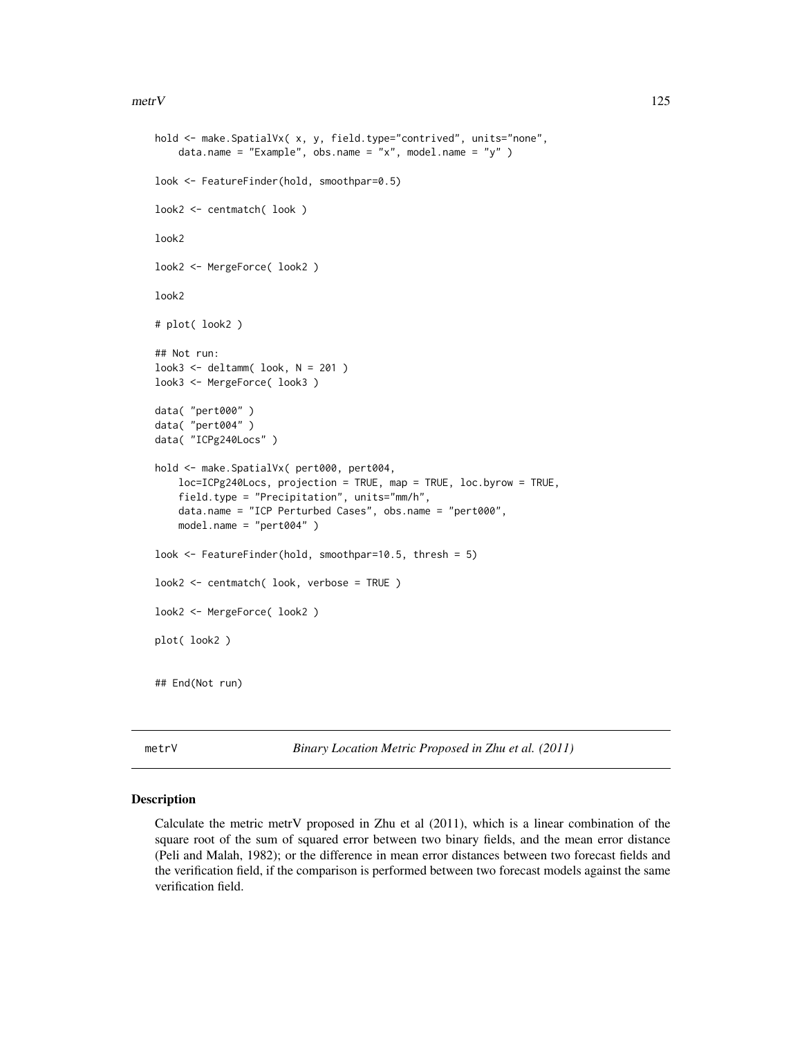#### $m$ etr $V$  125

```
hold <- make.SpatialVx( x, y, field.type="contrived", units="none",
    data.name = "Example", obs.name = "x", model.name = "y" )
look <- FeatureFinder(hold, smoothpar=0.5)
look2 <- centmatch( look )
look2
look2 <- MergeForce( look2 )
look2
# plot( look2 )
## Not run:
look3 <- deltamm( look, N = 201 )
look3 <- MergeForce( look3 )
data( "pert000" )
data( "pert004" )
data( "ICPg240Locs" )
hold <- make.SpatialVx( pert000, pert004,
    loc=ICPg240Locs, projection = TRUE, map = TRUE, loc.byrow = TRUE,
    field.type = "Precipitation", units="mm/h",
    data.name = "ICP Perturbed Cases", obs.name = "pert000",
    model.name = "pert004" )
look <- FeatureFinder(hold, smoothpar=10.5, thresh = 5)
look2 <- centmatch( look, verbose = TRUE )
look2 <- MergeForce( look2 )
plot( look2 )
## End(Not run)
```
metrV *Binary Location Metric Proposed in Zhu et al. (2011)*

## Description

Calculate the metric metrV proposed in Zhu et al (2011), which is a linear combination of the square root of the sum of squared error between two binary fields, and the mean error distance (Peli and Malah, 1982); or the difference in mean error distances between two forecast fields and the verification field, if the comparison is performed between two forecast models against the same verification field.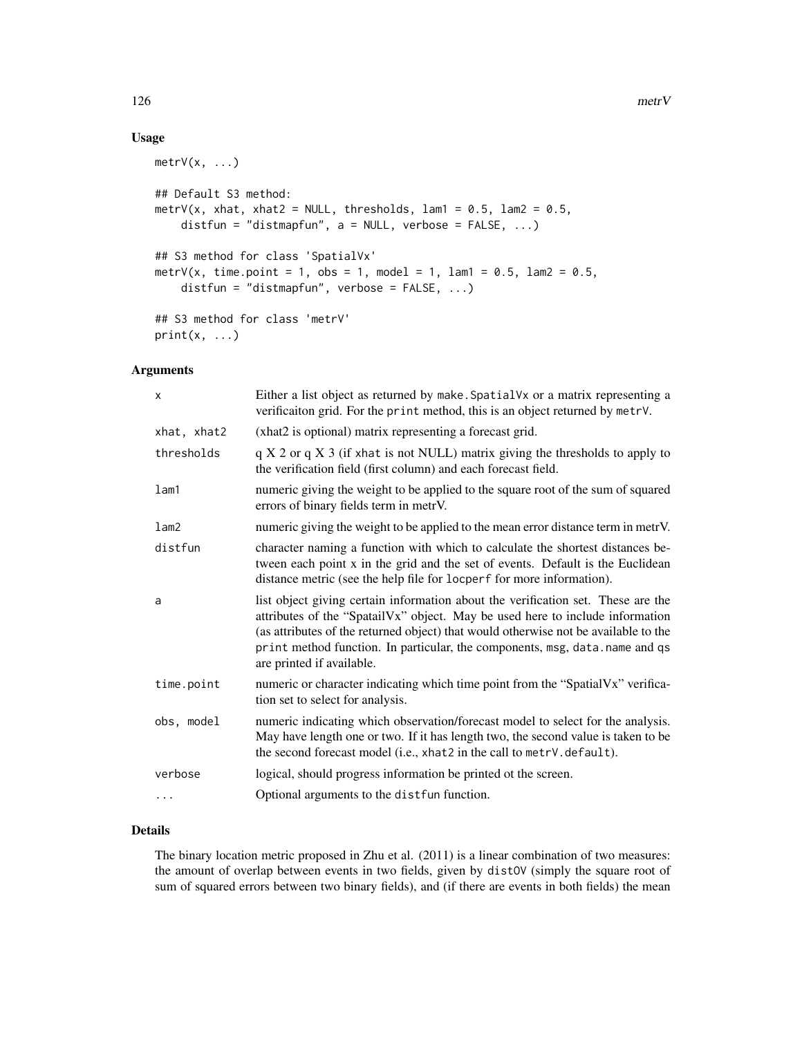# Usage

```
metry(x, \ldots)## Default S3 method:
metrV(x, xhat, xhat2 = NULL, thresholds, lam1 = 0.5, lam2 = 0.5,
    distfun = "distmapfun", a = NULL, verbose = FALSE, ...)
## S3 method for class 'SpatialVx'
metrV(x, time.point = 1, obs = 1, model = 1, lam1 = 0.5, lam2 = 0.5,
    distfun = "distmapfun", verbose = FALSE, ...)
## S3 method for class 'metrV'
print(x, \ldots)
```
## Arguments

| X           | Either a list object as returned by make. Spatial Vx or a matrix representing a<br>verificaiton grid. For the print method, this is an object returned by metrV.                                                                                                                                                                                                     |
|-------------|----------------------------------------------------------------------------------------------------------------------------------------------------------------------------------------------------------------------------------------------------------------------------------------------------------------------------------------------------------------------|
| xhat, xhat2 | (xhat2 is optional) matrix representing a forecast grid.                                                                                                                                                                                                                                                                                                             |
| thresholds  | $q X 2$ or $q X 3$ (if xhat is not NULL) matrix giving the thresholds to apply to<br>the verification field (first column) and each forecast field.                                                                                                                                                                                                                  |
| lam1        | numeric giving the weight to be applied to the square root of the sum of squared<br>errors of binary fields term in metrV.                                                                                                                                                                                                                                           |
| lam2        | numeric giving the weight to be applied to the mean error distance term in metrV.                                                                                                                                                                                                                                                                                    |
| distfun     | character naming a function with which to calculate the shortest distances be-<br>tween each point x in the grid and the set of events. Default is the Euclidean<br>distance metric (see the help file for locperf for more information).                                                                                                                            |
| a           | list object giving certain information about the verification set. These are the<br>attributes of the "SpatailVx" object. May be used here to include information<br>(as attributes of the returned object) that would otherwise not be available to the<br>print method function. In particular, the components, msg, data.name and qs<br>are printed if available. |
| time.point  | numeric or character indicating which time point from the "SpatialVx" verifica-<br>tion set to select for analysis.                                                                                                                                                                                                                                                  |
| obs, model  | numeric indicating which observation/forecast model to select for the analysis.<br>May have length one or two. If it has length two, the second value is taken to be<br>the second forecast model (i.e., xhat2 in the call to metrV.default).                                                                                                                        |
| verbose     | logical, should progress information be printed ot the screen.                                                                                                                                                                                                                                                                                                       |
|             | Optional arguments to the distfun function.                                                                                                                                                                                                                                                                                                                          |
|             |                                                                                                                                                                                                                                                                                                                                                                      |

# Details

The binary location metric proposed in Zhu et al. (2011) is a linear combination of two measures: the amount of overlap between events in two fields, given by distOV (simply the square root of sum of squared errors between two binary fields), and (if there are events in both fields) the mean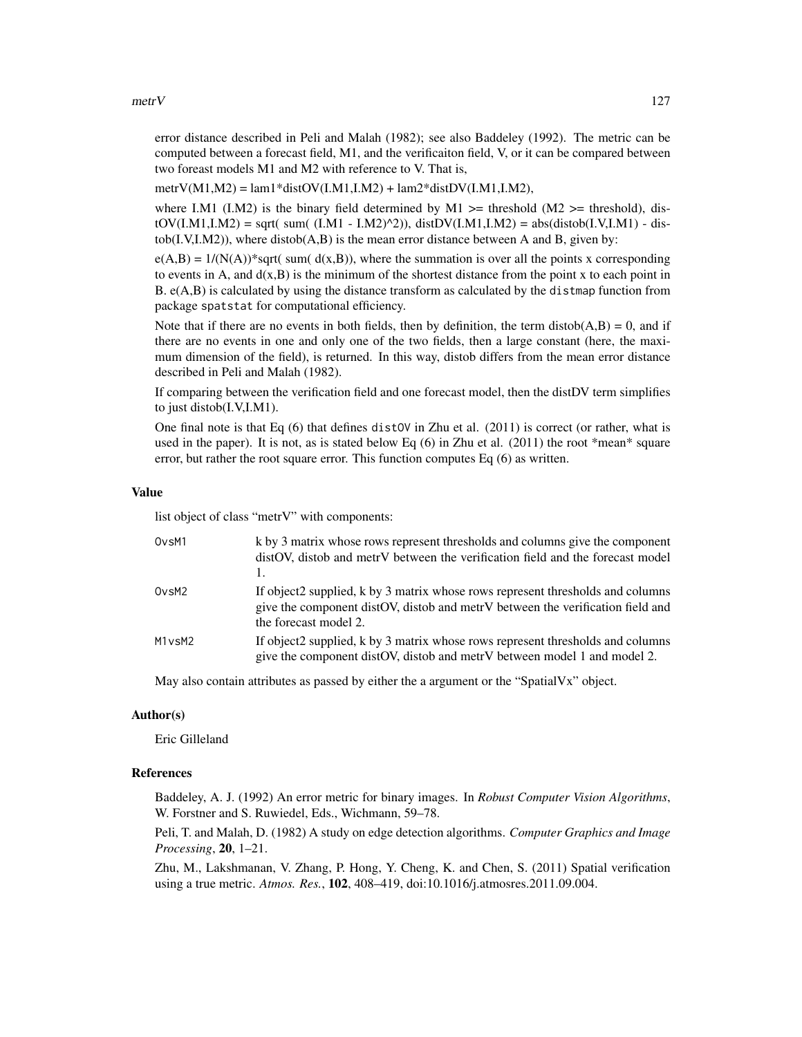#### $\mu$ metr $V$  127

error distance described in Peli and Malah (1982); see also Baddeley (1992). The metric can be computed between a forecast field, M1, and the verificaiton field, V, or it can be compared between two foreast models M1 and M2 with reference to V. That is,

metrV(M1,M2) =  $lam1*distOV(I.M1,I.M2) + lam2*distDV(I.M1,I.M2)$ ,

where I.M1 (I.M2) is the binary field determined by M1  $\geq$  threshold (M2  $\geq$  threshold), dis $tOV(I.M.1,I.M2) = sqrt(\ sum([I.M1 - I.M2)^2)), distDV(I.M.1,I.M2) = abs(distob(I.V,I.M1) - dis \text{tob}(I.V, I.M2)$ , where distob $(A, B)$  is the mean error distance between A and B, given by:

 $e(A,B) = 1/(N(A))$ \*sqrt( sum( d(x,B)), where the summation is over all the points x corresponding to events in A, and  $d(x, B)$  is the minimum of the shortest distance from the point x to each point in B. e(A,B) is calculated by using the distance transform as calculated by the distmap function from package spatstat for computational efficiency.

Note that if there are no events in both fields, then by definition, the term distob( $A$ , $B$ ) = 0, and if there are no events in one and only one of the two fields, then a large constant (here, the maximum dimension of the field), is returned. In this way, distob differs from the mean error distance described in Peli and Malah (1982).

If comparing between the verification field and one forecast model, then the distDV term simplifies to just distob(I.V,I.M1).

One final note is that Eq  $(6)$  that defines distov in Zhu et al.  $(2011)$  is correct (or rather, what is used in the paper). It is not, as is stated below Eq  $(6)$  in Zhu et al.  $(2011)$  the root \*mean\* square error, but rather the root square error. This function computes Eq (6) as written.

#### Value

list object of class "metrV" with components:

| OvsM1              | k by 3 matrix whose rows represent thresholds and columns give the component<br>distOV, distob and metrV between the verification field and the forecast model                            |
|--------------------|-------------------------------------------------------------------------------------------------------------------------------------------------------------------------------------------|
| Ov <sub>S</sub> M2 | If object2 supplied, k by 3 matrix whose rows represent thresholds and columns<br>give the component distored distored and metroleule the verification field and<br>the forecast model 2. |
| M1vsM2             | If object2 supplied, k by 3 matrix whose rows represent thresholds and columns<br>give the component distored distored and metry between model 1 and model 2.                             |

May also contain attributes as passed by either the a argument or the "SpatialVx" object.

## Author(s)

Eric Gilleland

## References

Baddeley, A. J. (1992) An error metric for binary images. In *Robust Computer Vision Algorithms*, W. Forstner and S. Ruwiedel, Eds., Wichmann, 59–78.

Peli, T. and Malah, D. (1982) A study on edge detection algorithms. *Computer Graphics and Image Processing*, 20, 1–21.

Zhu, M., Lakshmanan, V. Zhang, P. Hong, Y. Cheng, K. and Chen, S. (2011) Spatial verification using a true metric. *Atmos. Res.*, 102, 408–419, doi:10.1016/j.atmosres.2011.09.004.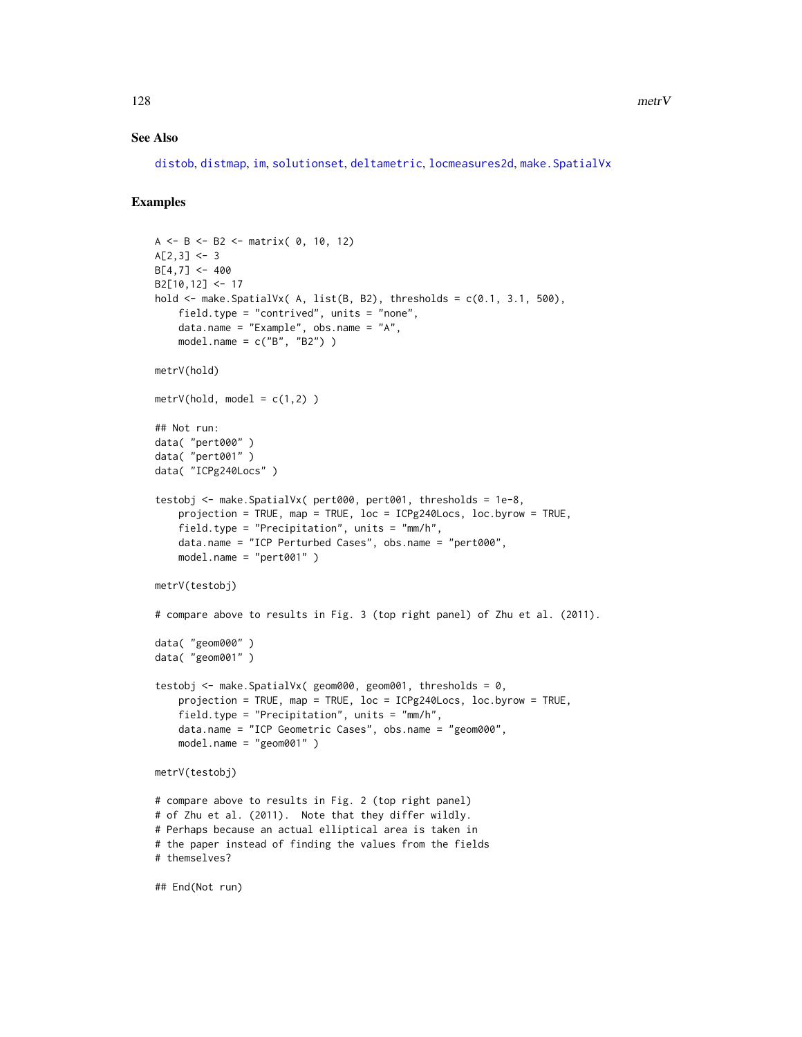## See Also

[distob](#page-105-0), [distmap](#page-0-0), [im](#page-0-0), [solutionset](#page-0-0), [deltametric](#page-0-0), [locmeasures2d](#page-101-0), [make.SpatialVx](#page-114-0)

# Examples

```
A <- B <- B2 <- matrix( 0, 10, 12)
A[2,3] <- 3
B[4, 7] < -400B2[10,12] <- 17
hold \leq make. SpatialVx( A, list(B, B2), thresholds = c(0.1, 3.1, 500),
    field.type = "contrived", units = "none",
    data.name = "Example", obs.name = "A",
    model.name = c("B", "B2"))
metrV(hold)
metricV(hold, model = c(1,2))## Not run:
data( "pert000" )
data( "pert001" )
data( "ICPg240Locs" )
testobj <- make.SpatialVx( pert000, pert001, thresholds = 1e-8,
    projection = TRUE, map = TRUE, loc = ICPg240Locs, loc.byrow = TRUE,
    field.type = "Precipitation", units = "mm/h",
    data.name = "ICP Perturbed Cases", obs.name = "pert000",
    model.name = "pert001" )
metrV(testobj)
# compare above to results in Fig. 3 (top right panel) of Zhu et al. (2011).
data( "geom000" )
data( "geom001" )
testobj <- make.SpatialVx( geom000, geom001, thresholds = 0,
    projection = TRUE, map = TRUE, loc = ICPg240Locs, loc.byrow = TRUE,
    field.type = "Precipitation", units = "mm/h",
    data.name = "ICP Geometric Cases", obs.name = "geom000",
    model.name = "geom001" )
metrV(testobj)
# compare above to results in Fig. 2 (top right panel)
# of Zhu et al. (2011). Note that they differ wildly.
# Perhaps because an actual elliptical area is taken in
# the paper instead of finding the values from the fields
# themselves?
## End(Not run)
```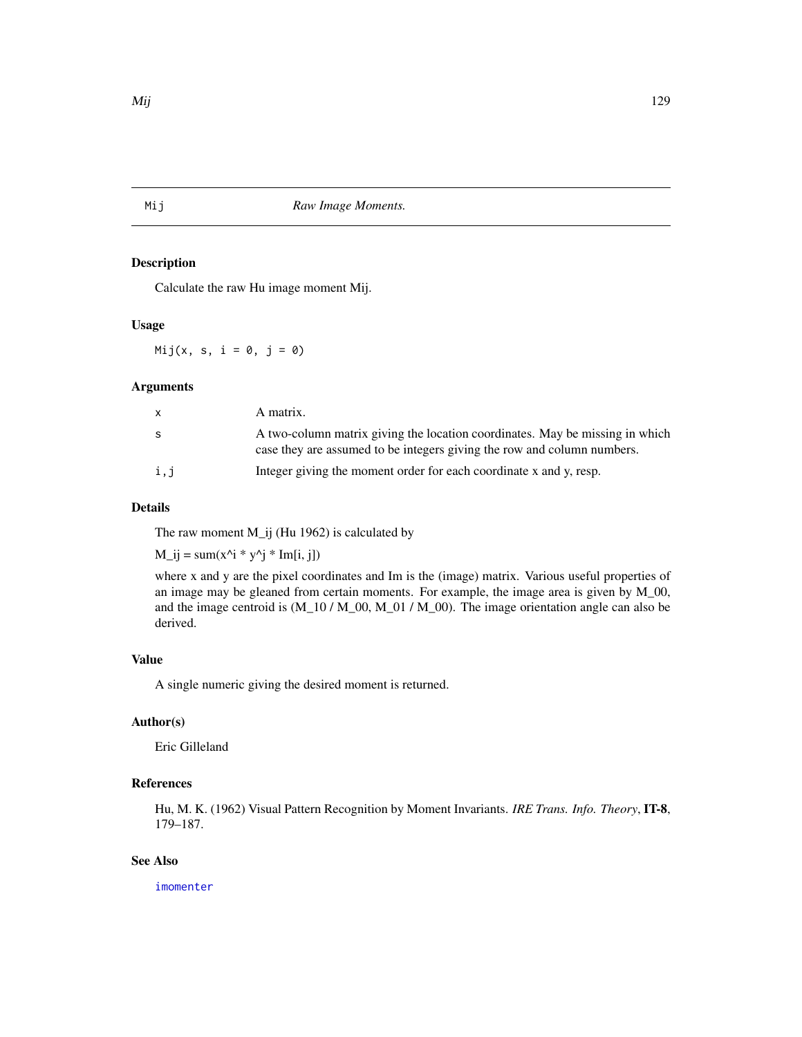Mij *Raw Image Moments.*

## Description

Calculate the raw Hu image moment Mij.

# Usage

 $Mij(x, s, i = 0, j = 0)$ 

## Arguments

| x.  | A matrix.                                                                                                                                               |
|-----|---------------------------------------------------------------------------------------------------------------------------------------------------------|
| S   | A two-column matrix giving the location coordinates. May be missing in which<br>case they are assumed to be integers giving the row and column numbers. |
| i,j | Integer giving the moment order for each coordinate x and y, resp.                                                                                      |

# Details

The raw moment M\_ij (Hu 1962) is calculated by

 $M_{ij} = sum(x^i * y^j * Im[i, j])$ 

where x and y are the pixel coordinates and Im is the (image) matrix. Various useful properties of an image may be gleaned from certain moments. For example, the image area is given by M\_00, and the image centroid is  $(M_10 / M_00, M_01 / M_00)$ . The image orientation angle can also be derived.

#### Value

A single numeric giving the desired moment is returned.

# Author(s)

Eric Gilleland

# References

Hu, M. K. (1962) Visual Pattern Recognition by Moment Invariants. *IRE Trans. Info. Theory*, IT-8, 179–187.

## See Also

[imomenter](#page-95-0)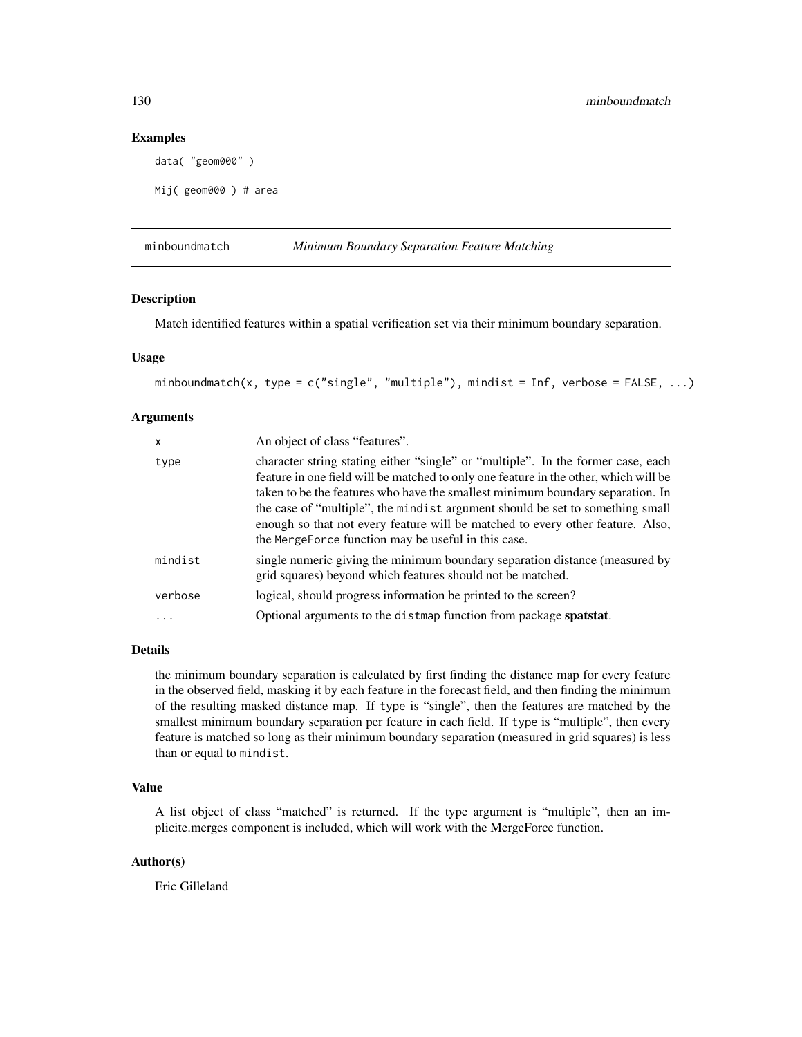## Examples

```
data( "geom000" )
```

```
Mij( geom000 ) # area
```
minboundmatch *Minimum Boundary Separation Feature Matching*

## Description

Match identified features within a spatial verification set via their minimum boundary separation.

## Usage

```
minboundmatch(x, type = c("single", "multiple"), mindist = Inf, verbose = FALSE, \dots)
```
# Arguments

| $\mathsf{x}$ | An object of class "features".                                                                                                                                                                                                                                                                                                                                                                                                                                                       |
|--------------|--------------------------------------------------------------------------------------------------------------------------------------------------------------------------------------------------------------------------------------------------------------------------------------------------------------------------------------------------------------------------------------------------------------------------------------------------------------------------------------|
| type         | character string stating either "single" or "multiple". In the former case, each<br>feature in one field will be matched to only one feature in the other, which will be<br>taken to be the features who have the smallest minimum boundary separation. In<br>the case of "multiple", the mindist argument should be set to something small<br>enough so that not every feature will be matched to every other feature. Also,<br>the MergeForce function may be useful in this case. |
| mindist      | single numeric giving the minimum boundary separation distance (measured by<br>grid squares) beyond which features should not be matched.                                                                                                                                                                                                                                                                                                                                            |
| verbose      | logical, should progress information be printed to the screen?                                                                                                                                                                                                                                                                                                                                                                                                                       |
| $\cdots$     | Optional arguments to the distmap function from package spatstat.                                                                                                                                                                                                                                                                                                                                                                                                                    |

## Details

the minimum boundary separation is calculated by first finding the distance map for every feature in the observed field, masking it by each feature in the forecast field, and then finding the minimum of the resulting masked distance map. If type is "single", then the features are matched by the smallest minimum boundary separation per feature in each field. If type is "multiple", then every feature is matched so long as their minimum boundary separation (measured in grid squares) is less than or equal to mindist.

## Value

A list object of class "matched" is returned. If the type argument is "multiple", then an implicite.merges component is included, which will work with the MergeForce function.

## Author(s)

Eric Gilleland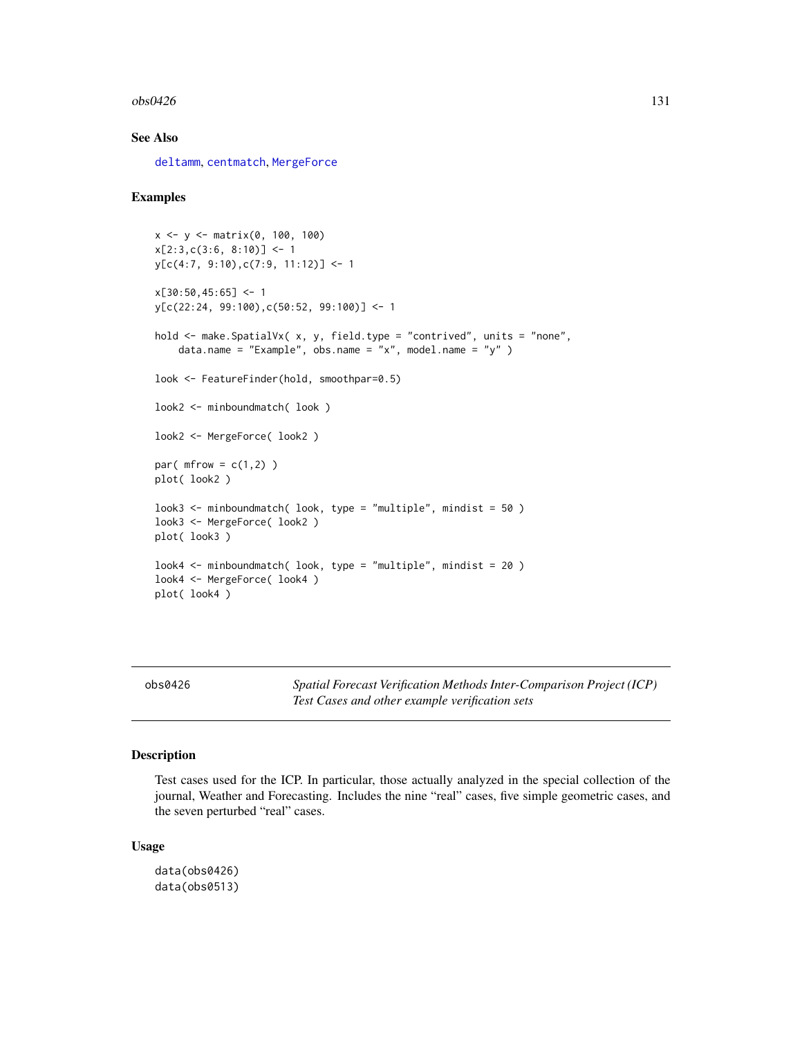## $\cos 0.426$  131

## See Also

[deltamm](#page-39-0), [centmatch](#page-39-1), [MergeForce](#page-122-0)

## Examples

```
x <- y <- matrix(0, 100, 100)
x[2:3,c(3:6, 8:10)] \leftarrow 1y[c(4:7, 9:10),c(7:9, 11:12)] <- 1
x[30:50, 45:65] < -1y[c(22:24, 99:100),c(50:52, 99:100)] <- 1
hold <- make.SpatialVx( x, y, field.type = "contrived", units = "none",
    data.name = "Example", obs.name = "x", model.name = "y" )
look <- FeatureFinder(hold, smoothpar=0.5)
look2 <- minboundmatch( look )
look2 <- MergeForce( look2 )
par(mfrow = c(1,2))
plot( look2 )
look3 <- minboundmatch( look, type = "multiple", mindist = 50 )
look3 <- MergeForce( look2 )
plot( look3 )
look4 \leq minboundmatch( look, type = "multiple", mindist = 20)
look4 <- MergeForce( look4 )
plot( look4 )
```
obs0426 *Spatial Forecast Verification Methods Inter-Comparison Project (ICP) Test Cases and other example verification sets*

# Description

Test cases used for the ICP. In particular, those actually analyzed in the special collection of the journal, Weather and Forecasting. Includes the nine "real" cases, five simple geometric cases, and the seven perturbed "real" cases.

#### Usage

```
data(obs0426)
data(obs0513)
```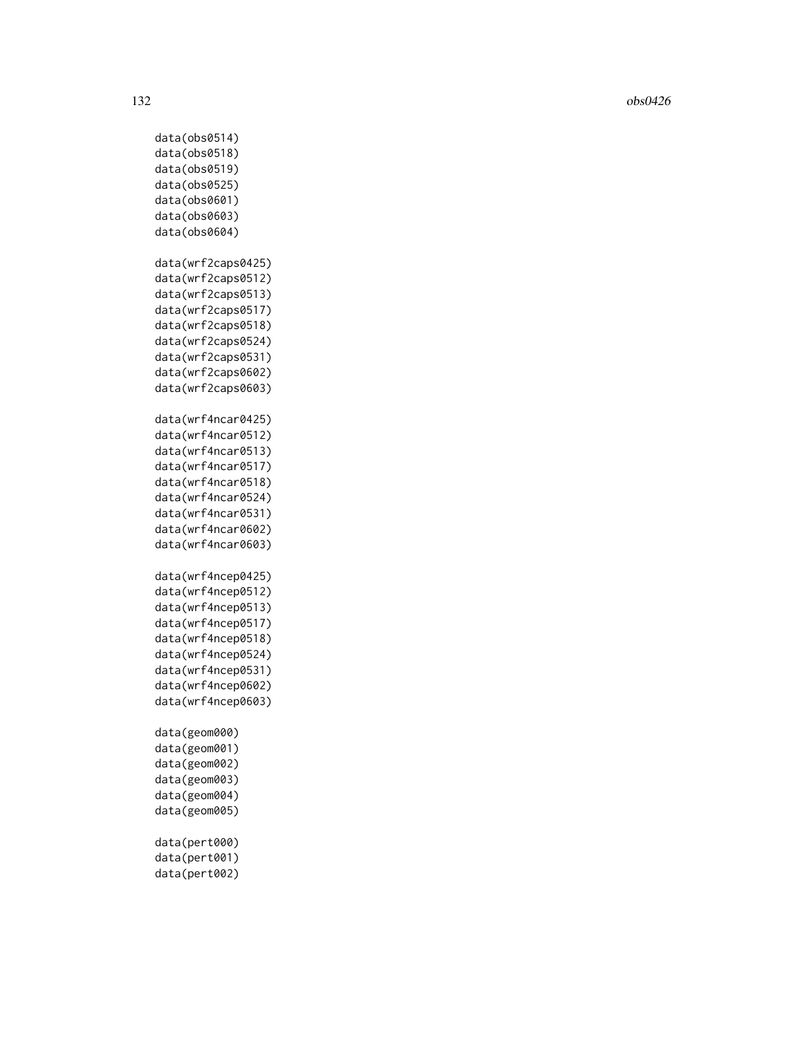132 obs0426

data(obs0514) data(obs0518) data(obs0519) data(obs0525) data(obs0601) data(obs0603) data(obs0604) data(wrf2caps0425) data(wrf2caps0512) data(wrf2caps0513) data(wrf2caps0517) data(wrf2caps0518) data(wrf2caps0524) data(wrf2caps0531) data(wrf2caps0602) data(wrf2caps0603) data(wrf4ncar0425) data(wrf4ncar0512) data(wrf4ncar0513) data(wrf4ncar0517) data(wrf4ncar0518) data(wrf4ncar0524) data(wrf4ncar0531) data(wrf4ncar0602) data(wrf4ncar0603) data(wrf4ncep0425) data(wrf4ncep0512) data(wrf4ncep0513) data(wrf4ncep0517) data(wrf4ncep0518) data(wrf4ncep0524) data(wrf4ncep0531) data(wrf4ncep0602) data(wrf4ncep0603) data(geom000) data(geom001) data(geom002) data(geom003) data(geom004) data(geom005) data(pert000) data(pert001) data(pert002)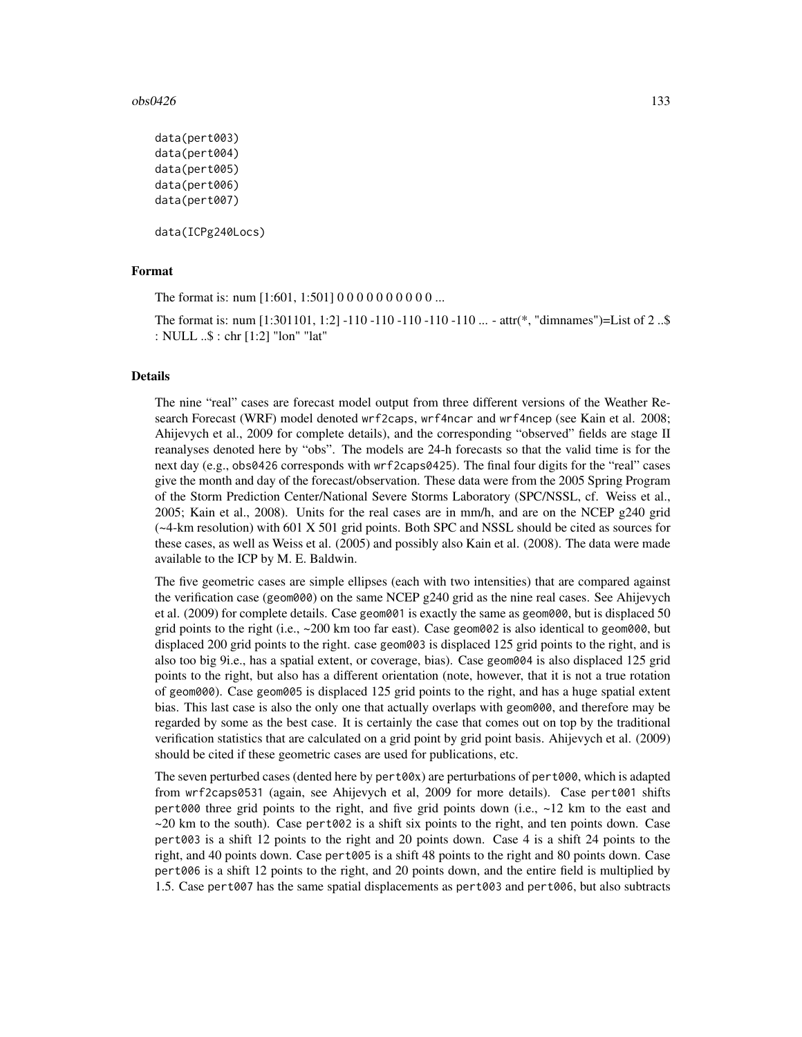## $\cos 0.426$  133

```
data(pert003)
data(pert004)
data(pert005)
data(pert006)
data(pert007)
```
data(ICPg240Locs)

## Format

The format is: num [1:601, 1:501] 0 0 0 0 0 0 0 0 0 0 ...

The format is: num [1:301101, 1:2] -110 -110 -110 -110 -110 ... - attr(\*, "dimnames")=List of 2 ..\$ : NULL ..\$ : chr [1:2] "lon" "lat"

## Details

The nine "real" cases are forecast model output from three different versions of the Weather Research Forecast (WRF) model denoted wrf2caps, wrf4ncar and wrf4ncep (see Kain et al. 2008; Ahijevych et al., 2009 for complete details), and the corresponding "observed" fields are stage II reanalyses denoted here by "obs". The models are 24-h forecasts so that the valid time is for the next day (e.g., obs0426 corresponds with wrf2caps0425). The final four digits for the "real" cases give the month and day of the forecast/observation. These data were from the 2005 Spring Program of the Storm Prediction Center/National Severe Storms Laboratory (SPC/NSSL, cf. Weiss et al., 2005; Kain et al., 2008). Units for the real cases are in mm/h, and are on the NCEP g240 grid (~4-km resolution) with 601 X 501 grid points. Both SPC and NSSL should be cited as sources for these cases, as well as Weiss et al. (2005) and possibly also Kain et al. (2008). The data were made available to the ICP by M. E. Baldwin.

The five geometric cases are simple ellipses (each with two intensities) that are compared against the verification case (geom000) on the same NCEP g240 grid as the nine real cases. See Ahijevych et al. (2009) for complete details. Case geom001 is exactly the same as geom000, but is displaced 50 grid points to the right (i.e.,  $\sim 200$  km too far east). Case geom002 is also identical to geom000, but displaced 200 grid points to the right. case geom003 is displaced 125 grid points to the right, and is also too big 9i.e., has a spatial extent, or coverage, bias). Case geom004 is also displaced 125 grid points to the right, but also has a different orientation (note, however, that it is not a true rotation of geom000). Case geom005 is displaced 125 grid points to the right, and has a huge spatial extent bias. This last case is also the only one that actually overlaps with geom000, and therefore may be regarded by some as the best case. It is certainly the case that comes out on top by the traditional verification statistics that are calculated on a grid point by grid point basis. Ahijevych et al. (2009) should be cited if these geometric cases are used for publications, etc.

The seven perturbed cases (dented here by  $pert00x$ ) are perturbations of  $pert000$ , which is adapted from wrf2caps0531 (again, see Ahijevych et al, 2009 for more details). Case pert001 shifts pert000 three grid points to the right, and five grid points down (i.e.,  $\sim$ 12 km to the east and  $\sim$  20 km to the south). Case pert002 is a shift six points to the right, and ten points down. Case pert003 is a shift 12 points to the right and 20 points down. Case 4 is a shift 24 points to the right, and 40 points down. Case pert005 is a shift 48 points to the right and 80 points down. Case pert006 is a shift 12 points to the right, and 20 points down, and the entire field is multiplied by 1.5. Case pert007 has the same spatial displacements as pert003 and pert006, but also subtracts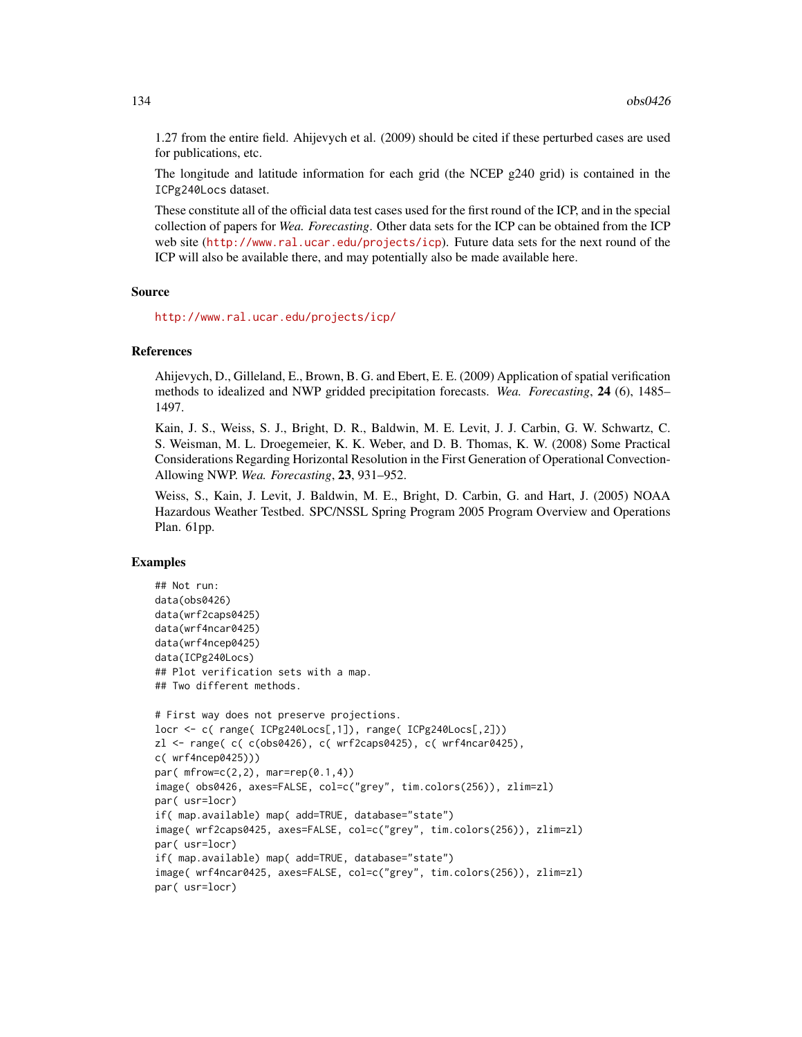1.27 from the entire field. Ahijevych et al. (2009) should be cited if these perturbed cases are used for publications, etc.

The longitude and latitude information for each grid (the NCEP g240 grid) is contained in the ICPg240Locs dataset.

These constitute all of the official data test cases used for the first round of the ICP, and in the special collection of papers for *Wea. Forecasting*. Other data sets for the ICP can be obtained from the ICP web site (<http://www.ral.ucar.edu/projects/icp>). Future data sets for the next round of the ICP will also be available there, and may potentially also be made available here.

#### Source

<http://www.ral.ucar.edu/projects/icp/>

## References

Ahijevych, D., Gilleland, E., Brown, B. G. and Ebert, E. E. (2009) Application of spatial verification methods to idealized and NWP gridded precipitation forecasts. *Wea. Forecasting*, 24 (6), 1485– 1497.

Kain, J. S., Weiss, S. J., Bright, D. R., Baldwin, M. E. Levit, J. J. Carbin, G. W. Schwartz, C. S. Weisman, M. L. Droegemeier, K. K. Weber, and D. B. Thomas, K. W. (2008) Some Practical Considerations Regarding Horizontal Resolution in the First Generation of Operational Convection-Allowing NWP. *Wea. Forecasting*, 23, 931–952.

Weiss, S., Kain, J. Levit, J. Baldwin, M. E., Bright, D. Carbin, G. and Hart, J. (2005) NOAA Hazardous Weather Testbed. SPC/NSSL Spring Program 2005 Program Overview and Operations Plan. 61pp.

## Examples

```
## Not run:
data(obs0426)
data(wrf2caps0425)
data(wrf4ncar0425)
data(wrf4ncep0425)
data(ICPg240Locs)
## Plot verification sets with a map.
## Two different methods.
# First way does not preserve projections.
locr <- c( range( ICPg240Locs[,1]), range( ICPg240Locs[,2]))
zl <- range( c( c(obs0426), c( wrf2caps0425), c( wrf4ncar0425),
c( wrf4ncep0425)))
par( mfrow=c(2,2), marr=rep(0.1,4))image( obs0426, axes=FALSE, col=c("grey", tim.colors(256)), zlim=zl)
par( usr=locr)
if( map.available) map( add=TRUE, database="state")
image( wrf2caps0425, axes=FALSE, col=c("grey", tim.colors(256)), zlim=zl)
par( usr=locr)
if( map.available) map( add=TRUE, database="state")
image( wrf4ncar0425, axes=FALSE, col=c("grey", tim.colors(256)), zlim=zl)
par( usr=locr)
```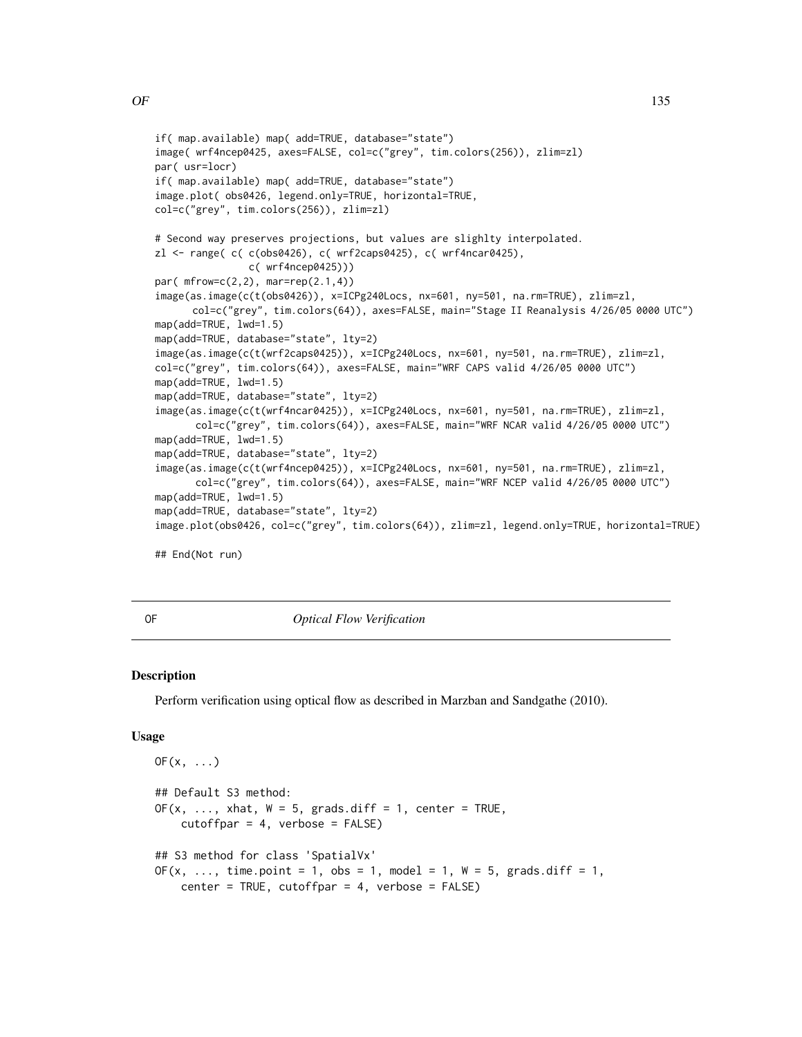```
if( map.available) map( add=TRUE, database="state")
image( wrf4ncep0425, axes=FALSE, col=c("grey", tim.colors(256)), zlim=zl)
par( usr=locr)
if( map.available) map( add=TRUE, database="state")
image.plot( obs0426, legend.only=TRUE, horizontal=TRUE,
col=c("grey", tim.colors(256)), zlim=zl)
# Second way preserves projections, but values are slighlty interpolated.
zl <- range( c( c(obs0426), c( wrf2caps0425), c( wrf4ncar0425),
                c( wrf4ncep0425)))
par( mfrow=c(2,2), mar=rep(2.1,4))
image(as.image(c(t(obs0426)), x=ICPg240Locs, nx=601, ny=501, na.rm=TRUE), zlim=zl,
      col=c("grey", tim.colors(64)), axes=FALSE, main="Stage II Reanalysis 4/26/05 0000 UTC")
map(add=TRUE, lwd=1.5)
map(add=TRUE, database="state", lty=2)
image(as.image(c(t(wrf2caps0425)), x=ICPg240Locs, nx=601, ny=501, na.rm=TRUE), zlim=zl,
col=c("grey", tim.colors(64)), axes=FALSE, main="WRF CAPS valid 4/26/05 0000 UTC")
map(add=TRUE, lwd=1.5)
map(add=TRUE, database="state", lty=2)
image(as.image(c(t(wrf4ncar0425)), x=ICPg240Locs, nx=601, ny=501, na.rm=TRUE), zlim=zl,
      col=c("grey", tim.colors(64)), axes=FALSE, main="WRF NCAR valid 4/26/05 0000 UTC")
map(add=TRUE, lwd=1.5)
map(add=TRUE, database="state", lty=2)
image(as.image(c(t(wrf4ncep0425)), x=ICPg240Locs, nx=601, ny=501, na.rm=TRUE), zlim=zl,
      col=c("grey", tim.colors(64)), axes=FALSE, main="WRF NCEP valid 4/26/05 0000 UTC")
map(add=TRUE, lwd=1.5)
map(add=TRUE, database="state", lty=2)
image.plot(obs0426, col=c("grey", tim.colors(64)), zlim=zl, legend.only=TRUE, horizontal=TRUE)
```
## End(Not run)

<span id="page-134-0"></span>OF *Optical Flow Verification*

## Description

Perform verification using optical flow as described in Marzban and Sandgathe (2010).

#### Usage

```
OF(x, \ldots)## Default S3 method:
OF(x, \ldots, xhat, W = 5, grads.diff = 1, center = TRUE,cutoffpar = 4, verbose = FALSE)
## S3 method for class 'SpatialVx'
OF(x, ..., time.point = 1, obs = 1, model = 1, W = 5, grads.diff = 1,
    center = TRUE, cutoffpar = 4, verbose = FALSE)
```
 $OF$  135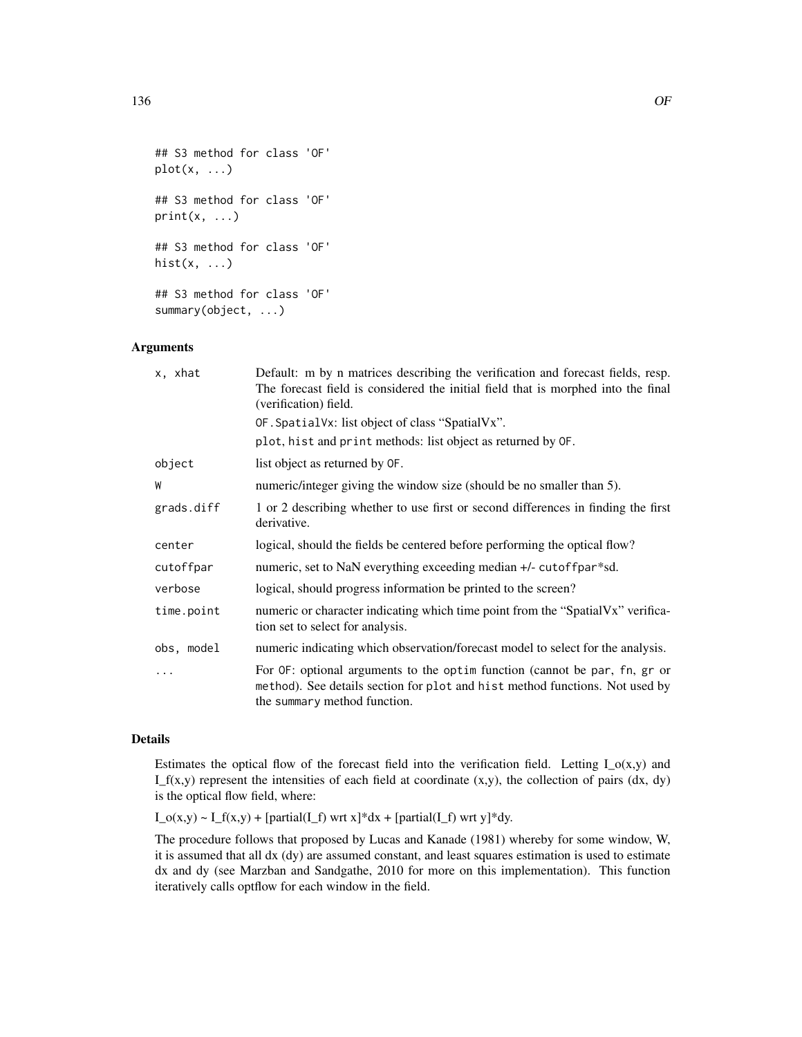```
## S3 method for class 'OF'
plot(x, \ldots)## S3 method for class 'OF'
print(x, \ldots)## S3 method for class 'OF'
hist(x, \ldots)## S3 method for class 'OF'
summary(object, ...)
```
## Arguments

| x, xhat    | Default: m by n matrices describing the verification and forecast fields, resp.<br>The forecast field is considered the initial field that is morphed into the final<br>(verification) field. |
|------------|-----------------------------------------------------------------------------------------------------------------------------------------------------------------------------------------------|
|            | OF. Spatial Vx: list object of class "Spatial Vx".                                                                                                                                            |
|            | plot, hist and print methods: list object as returned by OF.                                                                                                                                  |
| object     | list object as returned by OF.                                                                                                                                                                |
| W          | numeric/integer giving the window size (should be no smaller than 5).                                                                                                                         |
| grads.diff | 1 or 2 describing whether to use first or second differences in finding the first<br>derivative.                                                                                              |
| center     | logical, should the fields be centered before performing the optical flow?                                                                                                                    |
| cutoffpar  | numeric, set to NaN everything exceeding median +/- cutoffpar*sd.                                                                                                                             |
| verbose    | logical, should progress information be printed to the screen?                                                                                                                                |
| time.point | numeric or character indicating which time point from the "SpatialVx" verifica-<br>tion set to select for analysis.                                                                           |
| obs, model | numeric indicating which observation/forecast model to select for the analysis.                                                                                                               |
| .          | For OF: optional arguments to the optim function (cannot be par, fn, gr or<br>method). See details section for plot and hist method functions. Not used by<br>the summary method function.    |

## Details

Estimates the optical flow of the forecast field into the verification field. Letting  $I_o(x,y)$  and  $I_f(x,y)$  represent the intensities of each field at coordinate  $(x,y)$ , the collection of pairs  $(dx, dy)$ is the optical flow field, where:

 $I_o(x,y) \sim I_f(x,y) + [partial(I_f) wrt x]*dx + [partial(I_f) wrt y]*dy.$ 

The procedure follows that proposed by Lucas and Kanade (1981) whereby for some window, W, it is assumed that all dx (dy) are assumed constant, and least squares estimation is used to estimate dx and dy (see Marzban and Sandgathe, 2010 for more on this implementation). This function iteratively calls optflow for each window in the field.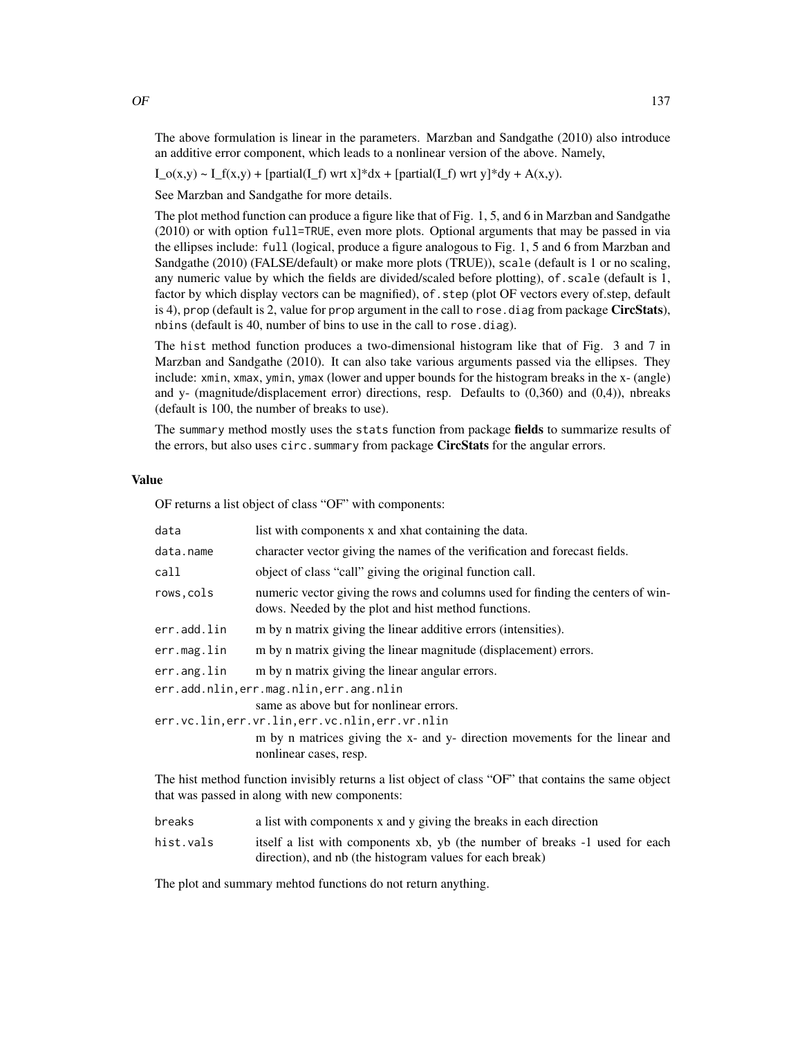The above formulation is linear in the parameters. Marzban and Sandgathe (2010) also introduce an additive error component, which leads to a nonlinear version of the above. Namely,

 $I_o(x,y) \sim I_f(x,y) + [partial(I_f) wrt x]*dx + [partial(I_f) wrt y]*dy + A(x,y).$ 

See Marzban and Sandgathe for more details.

The plot method function can produce a figure like that of Fig. 1, 5, and 6 in Marzban and Sandgathe (2010) or with option full=TRUE, even more plots. Optional arguments that may be passed in via the ellipses include: full (logical, produce a figure analogous to Fig. 1, 5 and 6 from Marzban and Sandgathe (2010) (FALSE/default) or make more plots (TRUE)), scale (default is 1 or no scaling, any numeric value by which the fields are divided/scaled before plotting), of.scale (default is 1, factor by which display vectors can be magnified), of . step (plot OF vectors every of step, default is 4), prop (default is 2, value for prop argument in the call to rose.diag from package CircStats), nbins (default is 40, number of bins to use in the call to rose.diag).

The hist method function produces a two-dimensional histogram like that of Fig. 3 and 7 in Marzban and Sandgathe (2010). It can also take various arguments passed via the ellipses. They include: xmin, xmax, ymin, ymax (lower and upper bounds for the histogram breaks in the x- (angle) and y- (magnitude/displacement error) directions, resp. Defaults to (0,360) and (0,4)), nbreaks (default is 100, the number of breaks to use).

The summary method mostly uses the stats function from package fields to summarize results of the errors, but also uses circ. summary from package **CircStats** for the angular errors.

## Value

OF returns a list object of class "OF" with components:

| data                                             | list with components x and xhat containing the data.                                                                                   |  |
|--------------------------------------------------|----------------------------------------------------------------------------------------------------------------------------------------|--|
| data.name                                        | character vector giving the names of the verification and forecast fields.                                                             |  |
| call                                             | object of class "call" giving the original function call.                                                                              |  |
| rows, cols                                       | numeric vector giving the rows and columns used for finding the centers of win-<br>dows. Needed by the plot and hist method functions. |  |
| err.add.lin                                      | m by n matrix giving the linear additive errors (intensities).                                                                         |  |
| err.mag.lin                                      | m by n matrix giving the linear magnitude (displacement) errors.                                                                       |  |
| err.ang.lin                                      | m by n matrix giving the linear angular errors.                                                                                        |  |
| err.add.nlin, err.mag.nlin, err.ang.nlin         |                                                                                                                                        |  |
|                                                  | same as above but for nonlinear errors.                                                                                                |  |
| err.vc.lin, err.vr.lin, err.vc.nlin, err.vr.nlin |                                                                                                                                        |  |
|                                                  | m by n matrices giving the x- and y- direction movements for the linear and                                                            |  |
|                                                  | nonlinear cases, resp.                                                                                                                 |  |
|                                                  |                                                                                                                                        |  |

The hist method function invisibly returns a list object of class "OF" that contains the same object that was passed in along with new components:

- breaks a list with components x and y giving the breaks in each direction
- hist.vals itself a list with components xb, yb (the number of breaks -1 used for each direction), and nb (the histogram values for each break)

The plot and summary mehtod functions do not return anything.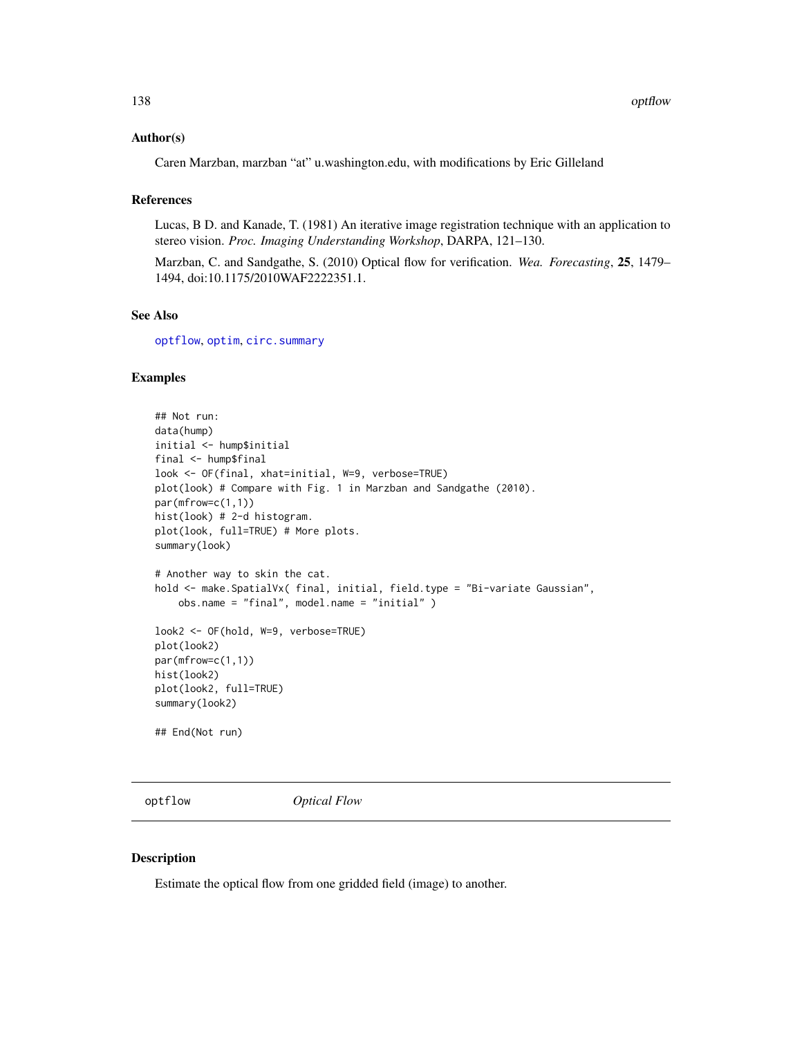## Author(s)

Caren Marzban, marzban "at" u.washington.edu, with modifications by Eric Gilleland

## References

Lucas, B D. and Kanade, T. (1981) An iterative image registration technique with an application to stereo vision. *Proc. Imaging Understanding Workshop*, DARPA, 121–130.

Marzban, C. and Sandgathe, S. (2010) Optical flow for verification. *Wea. Forecasting*, 25, 1479– 1494, doi:10.1175/2010WAF2222351.1.

## See Also

[optflow](#page-137-0), [optim](#page-0-0), [circ.summary](#page-0-0)

# Examples

```
## Not run:
data(hump)
initial <- hump$initial
final <- hump$final
look <- OF(final, xhat=initial, W=9, verbose=TRUE)
plot(look) # Compare with Fig. 1 in Marzban and Sandgathe (2010).
par(mfrow=c(1,1))
hist(look) # 2-d histogram.
plot(look, full=TRUE) # More plots.
summary(look)
# Another way to skin the cat.
hold <- make. SpatialVx( final, initial, field. type = "Bi-variate Gaussian",
    obs.name = "final", model.name = "initial" )
look2 <- OF(hold, W=9, verbose=TRUE)
plot(look2)
par(mfrow=c(1,1))
hist(look2)
plot(look2, full=TRUE)
summary(look2)
## End(Not run)
```
<span id="page-137-0"></span>

optflow *Optical Flow*

## Description

Estimate the optical flow from one gridded field (image) to another.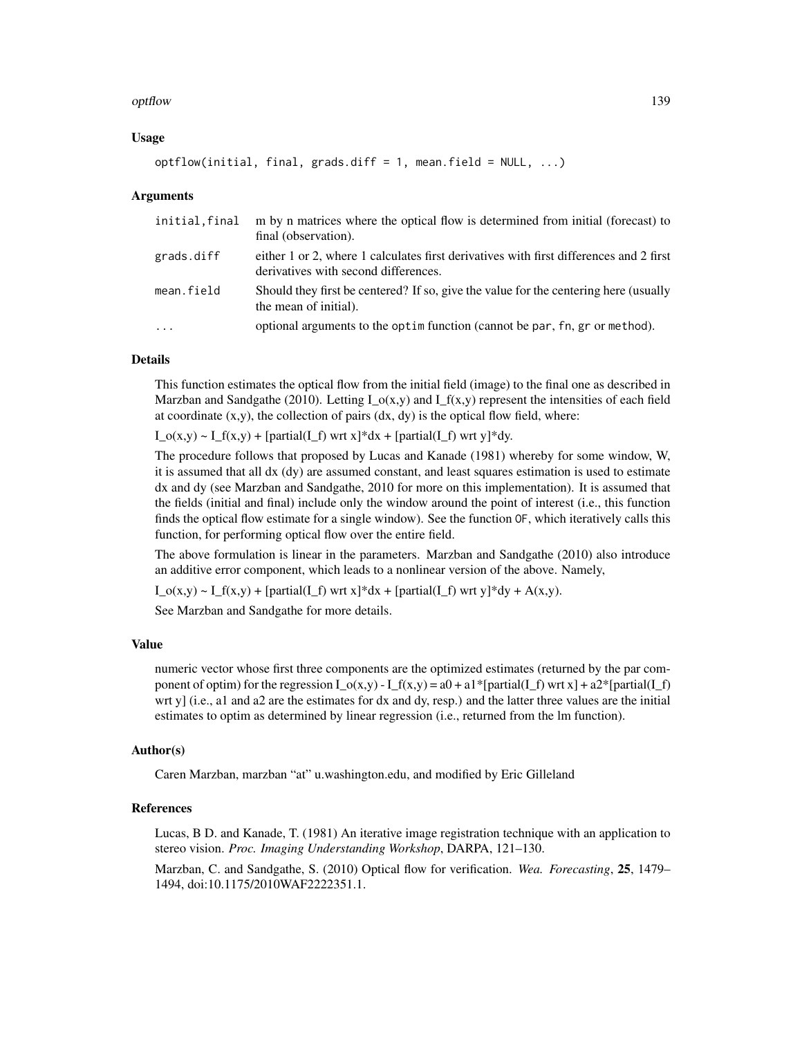## optflow that the contract of the contract of the contract of the contract of the contract of the contract of the contract of the contract of the contract of the contract of the contract of the contract of the contract of t

## Usage

```
optflow(initial, final, grads.diff = 1, mean.field = NULL, ...)
```
## Arguments

| initial.final | m by n matrices where the optical flow is determined from initial (forecast) to<br>final (observation).                        |
|---------------|--------------------------------------------------------------------------------------------------------------------------------|
| grads.diff    | either 1 or 2, where 1 calculates first derivatives with first differences and 2 first<br>derivatives with second differences. |
| mean.field    | Should they first be centered? If so, give the value for the centering here (usually<br>the mean of initial).                  |
| $\cdots$      | optional arguments to the optim function (cannot be par, fn, gr or method).                                                    |

# Details

This function estimates the optical flow from the initial field (image) to the final one as described in Marzban and Sandgathe (2010). Letting I\_o(x,y) and I\_f(x,y) represent the intensities of each field at coordinate  $(x,y)$ , the collection of pairs  $(dx, dy)$  is the optical flow field, where:

 $I_o(x,y) \sim I_f(x,y) + [partial(I_f) wrt x]*dx + [partial(I_f) wrt y]*dy.$ 

The procedure follows that proposed by Lucas and Kanade (1981) whereby for some window, W, it is assumed that all dx (dy) are assumed constant, and least squares estimation is used to estimate dx and dy (see Marzban and Sandgathe, 2010 for more on this implementation). It is assumed that the fields (initial and final) include only the window around the point of interest (i.e., this function finds the optical flow estimate for a single window). See the function OF, which iteratively calls this function, for performing optical flow over the entire field.

The above formulation is linear in the parameters. Marzban and Sandgathe (2010) also introduce an additive error component, which leads to a nonlinear version of the above. Namely,

 $I_o(x,y) \sim I_f(x,y) + [partial(I_f) wrt x]*dx + [partial(I_f) wrt y]*dy + A(x,y).$ 

See Marzban and Sandgathe for more details.

## Value

numeric vector whose first three components are the optimized estimates (returned by the par component of optim) for the regression  $I_o(x,y) - I_f(x,y) = a0 + a1*[partial(I_f) wrt x] + a2*[partial(I_f)$ wrt y] (i.e., a1 and a2 are the estimates for dx and dy, resp.) and the latter three values are the initial estimates to optim as determined by linear regression (i.e., returned from the lm function).

#### Author(s)

Caren Marzban, marzban "at" u.washington.edu, and modified by Eric Gilleland

## References

Lucas, B D. and Kanade, T. (1981) An iterative image registration technique with an application to stereo vision. *Proc. Imaging Understanding Workshop*, DARPA, 121–130.

Marzban, C. and Sandgathe, S. (2010) Optical flow for verification. *Wea. Forecasting*, 25, 1479– 1494, doi:10.1175/2010WAF2222351.1.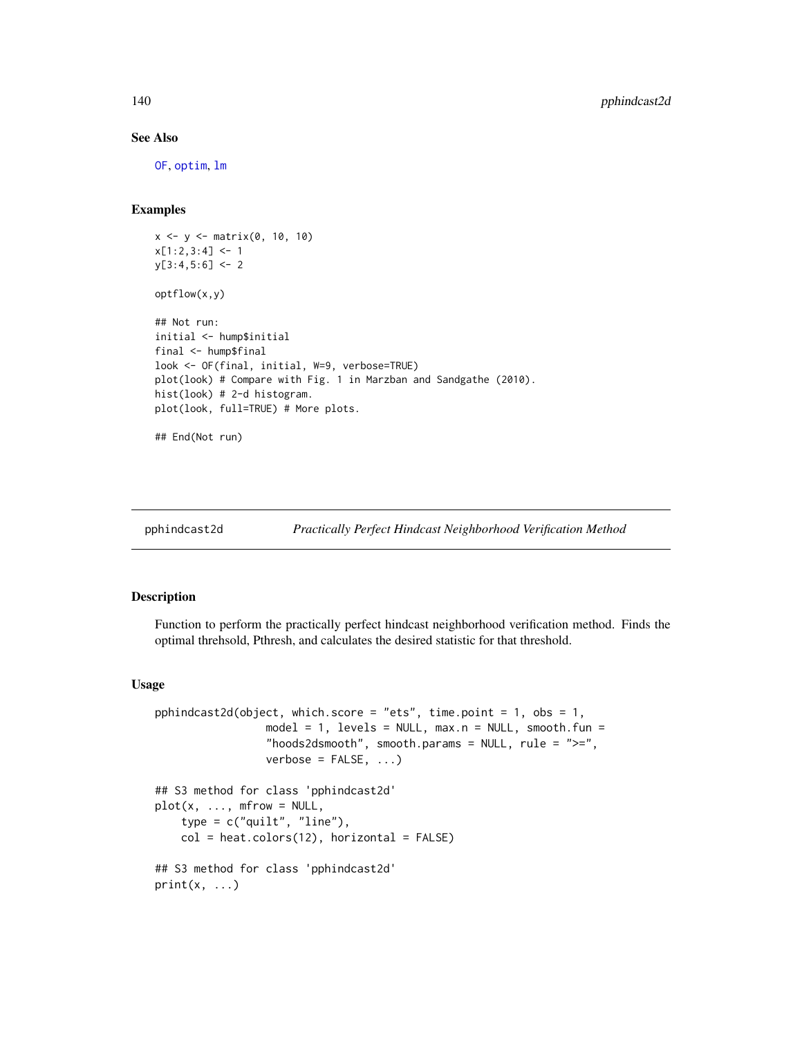# See Also

[OF](#page-134-0), [optim](#page-0-0), [lm](#page-0-0)

## Examples

```
x <- y <- matrix(0, 10, 10)
x[1:2,3:4] <- 1
y[3:4,5:6] <- 2
optflow(x,y)
## Not run:
initial <- hump$initial
final <- hump$final
look <- OF(final, initial, W=9, verbose=TRUE)
plot(look) # Compare with Fig. 1 in Marzban and Sandgathe (2010).
hist(look) # 2-d histogram.
plot(look, full=TRUE) # More plots.
## End(Not run)
```
#### pphindcast2d *Practically Perfect Hindcast Neighborhood Verification Method*

# Description

Function to perform the practically perfect hindcast neighborhood verification method. Finds the optimal threhsold, Pthresh, and calculates the desired statistic for that threshold.

#### Usage

```
pphindcast2d(object, which.score = "ets", time.point = 1, obs = 1,
                 model = 1, levels = NULL, max.n = NULL, smooth.fun =
                 "hoods2dsmooth", smooth.params = NULL, rule = ">=",
                 verbose = FALSE, ...## S3 method for class 'pphindcast2d'
plot(x, ..., mfrow = NULL,
    type = c("quilt", "line"),col = heat.colors(12), horizontal = FALSE)
## S3 method for class 'pphindcast2d'
print(x, \ldots)
```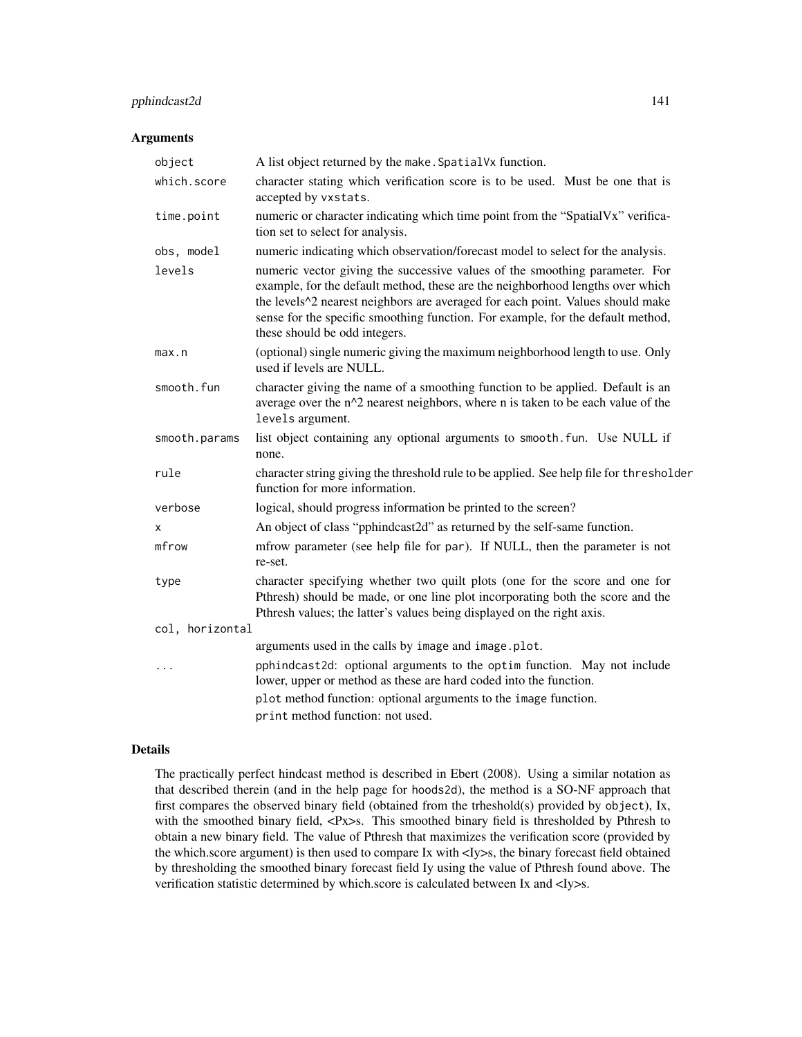# pphindcast2d 141

## Arguments

| object          | A list object returned by the make. Spatial Vx function.                                                                                                                                                                                                                                                                                                            |
|-----------------|---------------------------------------------------------------------------------------------------------------------------------------------------------------------------------------------------------------------------------------------------------------------------------------------------------------------------------------------------------------------|
| which.score     | character stating which verification score is to be used. Must be one that is<br>accepted by vxstats.                                                                                                                                                                                                                                                               |
| time.point      | numeric or character indicating which time point from the "SpatialVx" verifica-<br>tion set to select for analysis.                                                                                                                                                                                                                                                 |
| obs, model      | numeric indicating which observation/forecast model to select for the analysis.                                                                                                                                                                                                                                                                                     |
| levels          | numeric vector giving the successive values of the smoothing parameter. For<br>example, for the default method, these are the neighborhood lengths over which<br>the levels^2 nearest neighbors are averaged for each point. Values should make<br>sense for the specific smoothing function. For example, for the default method,<br>these should be odd integers. |
| max.n           | (optional) single numeric giving the maximum neighborhood length to use. Only<br>used if levels are NULL.                                                                                                                                                                                                                                                           |
| smooth.fun      | character giving the name of a smoothing function to be applied. Default is an<br>average over the n^2 nearest neighbors, where n is taken to be each value of the<br>levels argument.                                                                                                                                                                              |
| smooth.params   | list object containing any optional arguments to smooth. fun. Use NULL if<br>none.                                                                                                                                                                                                                                                                                  |
| rule            | character string giving the threshold rule to be applied. See help file for thresholder<br>function for more information.                                                                                                                                                                                                                                           |
| verbose         | logical, should progress information be printed to the screen?                                                                                                                                                                                                                                                                                                      |
| х               | An object of class "pphindcast2d" as returned by the self-same function.                                                                                                                                                                                                                                                                                            |
| mfrow           | mfrow parameter (see help file for par). If NULL, then the parameter is not<br>re-set.                                                                                                                                                                                                                                                                              |
| type            | character specifying whether two quilt plots (one for the score and one for<br>Pthresh) should be made, or one line plot incorporating both the score and the<br>Pthresh values; the latter's values being displayed on the right axis.                                                                                                                             |
| col, horizontal |                                                                                                                                                                                                                                                                                                                                                                     |
|                 | arguments used in the calls by image and image.plot.                                                                                                                                                                                                                                                                                                                |
| $\cdots$        | pphindcast2d: optional arguments to the optim function. May not include<br>lower, upper or method as these are hard coded into the function.                                                                                                                                                                                                                        |
|                 | plot method function: optional arguments to the image function.                                                                                                                                                                                                                                                                                                     |
|                 | print method function: not used.                                                                                                                                                                                                                                                                                                                                    |

# Details

The practically perfect hindcast method is described in Ebert (2008). Using a similar notation as that described therein (and in the help page for hoods2d), the method is a SO-NF approach that first compares the observed binary field (obtained from the trheshold(s) provided by object), Ix, with the smoothed binary field, <Px>s. This smoothed binary field is thresholded by Pthresh to obtain a new binary field. The value of Pthresh that maximizes the verification score (provided by the which.score argument) is then used to compare Ix with <Iy>s, the binary forecast field obtained by thresholding the smoothed binary forecast field Iy using the value of Pthresh found above. The verification statistic determined by which.score is calculated between Ix and <Iy>s.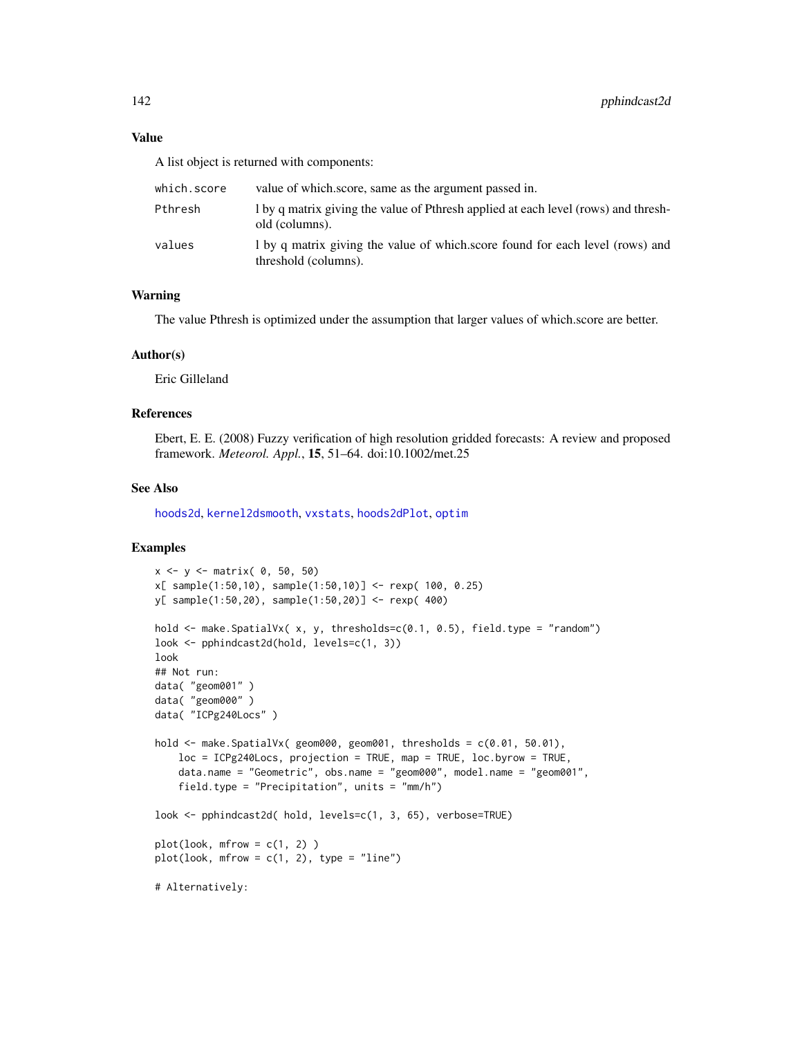## Value

A list object is returned with components:

| which.score | value of which, score, same as the argument passed in.                                                |
|-------------|-------------------------------------------------------------------------------------------------------|
| Pthresh     | 1 by q matrix giving the value of Pthresh applied at each level (rows) and thresh-<br>old (columns).  |
| values      | 1 by q matrix giving the value of which score found for each level (rows) and<br>threshold (columns). |

# Warning

The value Pthresh is optimized under the assumption that larger values of which.score are better.

## Author(s)

Eric Gilleland

## References

Ebert, E. E. (2008) Fuzzy verification of high resolution gridded forecasts: A review and proposed framework. *Meteorol. Appl.*, 15, 51–64. doi:10.1002/met.25

## See Also

[hoods2d](#page-88-0), [kernel2dsmooth](#page-0-0), [vxstats](#page-172-0), [hoods2dPlot](#page-93-0), [optim](#page-0-0)

## Examples

```
x <- y <- matrix( 0, 50, 50)
x[ sample(1:50,10), sample(1:50,10)] <- rexp( 100, 0.25)
y[ sample(1:50,20), sample(1:50,20)] <- rexp( 400)
hold <- make.SpatialVx( x, y, thresholds=c(0.1, 0.5), field.type = "random")
look <- pphindcast2d(hold, levels=c(1, 3))
look
## Not run:
data( "geom001" )
data( "geom000" )
data( "ICPg240Locs" )
hold \leq make. SpatialVx( geom000, geom001, thresholds = c(0.01, 50.01),
    loc = ICPg240Locs, projection = TRUE, map = TRUE, loc.byrow = TRUE,
    data.name = "Geometric", obs.name = "geom000", model.name = "geom001",
    field.type = "Precipitation", units = "mm/h")
look <- pphindcast2d( hold, levels=c(1, 3, 65), verbose=TRUE)
plot(look, mfrom = c(1, 2))plot(look, mfrom = c(1, 2), type = "line")# Alternatively:
```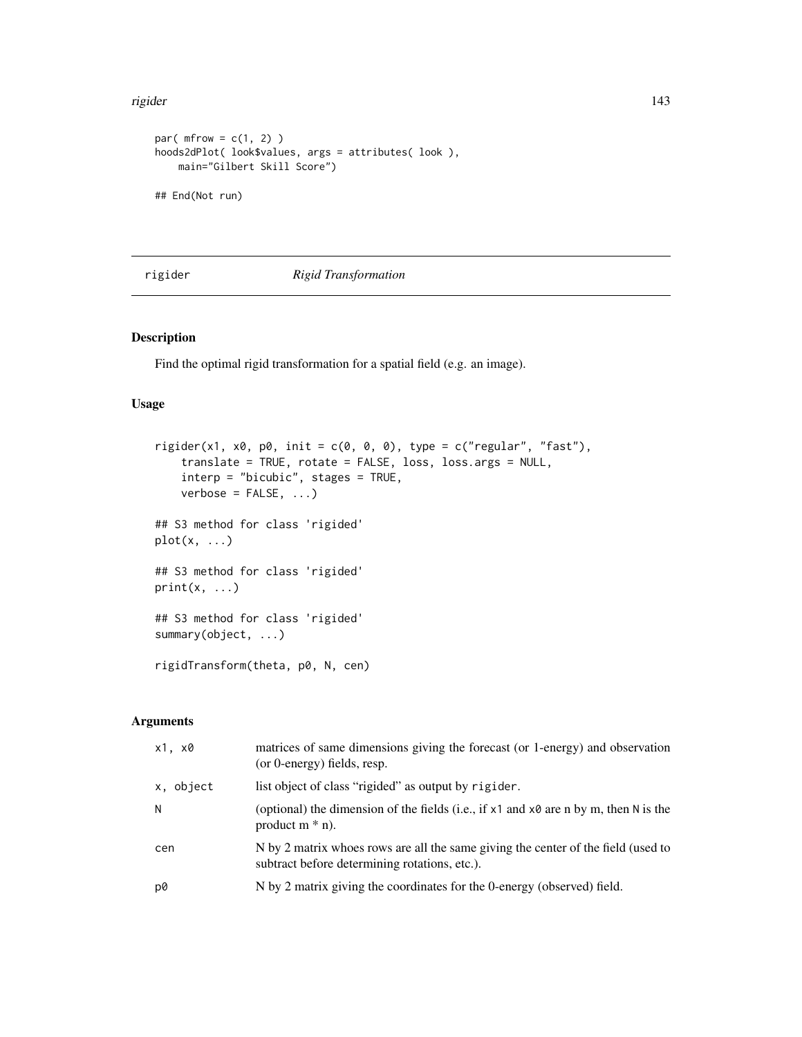#### rigider 143

```
par(mfrow = c(1, 2))
hoods2dPlot( look$values, args = attributes( look ),
   main="Gilbert Skill Score")
## End(Not run)
```
rigider *Rigid Transformation*

# Description

Find the optimal rigid transformation for a spatial field (e.g. an image).

# Usage

```
rigider(x1, x0, p0, init = c(0, 0, 0), type = c("regular", "fast"),translate = TRUE, rotate = FALSE, loss, loss.args = NULL,
    interp = "bicubic", stages = TRUE,
    verbose = FALSE, ...)## S3 method for class 'rigided'
plot(x, \ldots)## S3 method for class 'rigided'
print(x, \ldots)## S3 method for class 'rigided'
summary(object, ...)
rigidTransform(theta, p0, N, cen)
```
# Arguments

| x1, x0    | matrices of same dimensions giving the forecast (or 1-energy) and observation<br>(or 0-energy) fields, resp.                       |
|-----------|------------------------------------------------------------------------------------------------------------------------------------|
| x, object | list object of class "rigided" as output by rigider.                                                                               |
| N         | (optional) the dimension of the fields (i.e., if $x1$ and $x0$ are n by m, then N is the<br>product $m * n$ ).                     |
| cen       | N by 2 matrix whoes rows are all the same giving the center of the field (used to<br>subtract before determining rotations, etc.). |
| p0        | N by 2 matrix giving the coordinates for the 0-energy (observed) field.                                                            |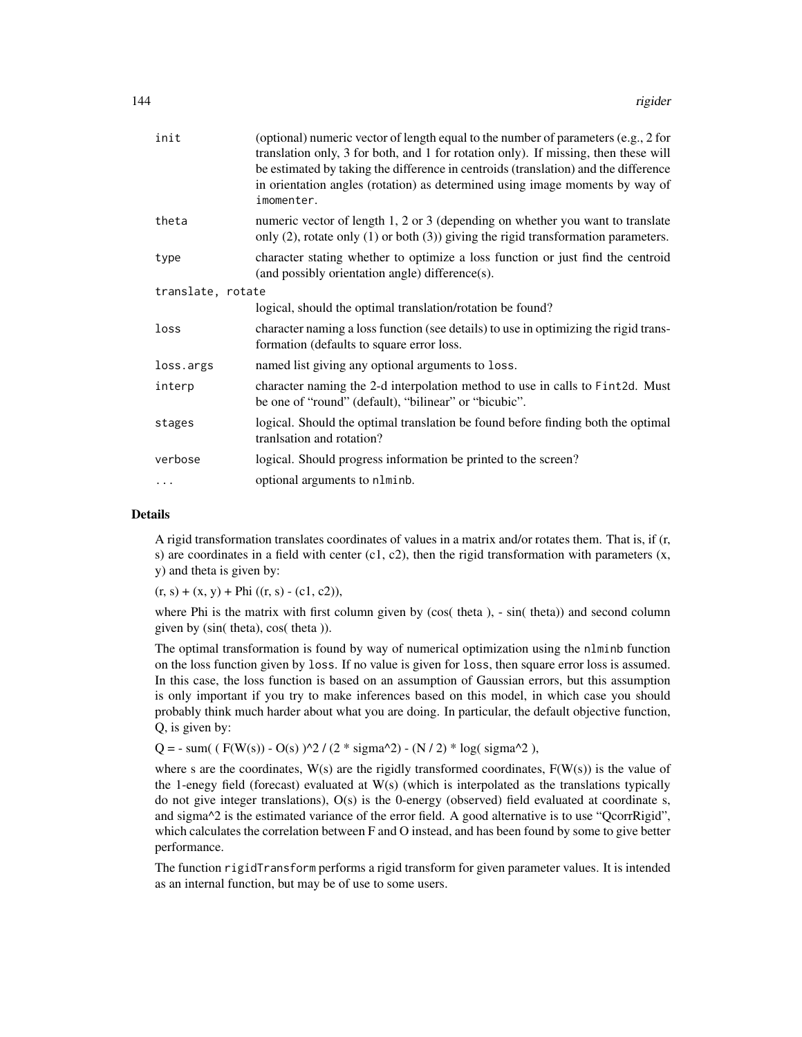| init              | (optional) numeric vector of length equal to the number of parameters (e.g., 2 for<br>translation only, 3 for both, and 1 for rotation only). If missing, then these will<br>be estimated by taking the difference in centroids (translation) and the difference<br>in orientation angles (rotation) as determined using image moments by way of<br>imomenter. |
|-------------------|----------------------------------------------------------------------------------------------------------------------------------------------------------------------------------------------------------------------------------------------------------------------------------------------------------------------------------------------------------------|
| theta             | numeric vector of length 1, 2 or 3 (depending on whether you want to translate<br>only $(2)$ , rotate only $(1)$ or both $(3)$ ) giving the rigid transformation parameters.                                                                                                                                                                                   |
| type              | character stating whether to optimize a loss function or just find the centroid<br>(and possibly orientation angle) difference(s).                                                                                                                                                                                                                             |
| translate, rotate |                                                                                                                                                                                                                                                                                                                                                                |
|                   | logical, should the optimal translation/rotation be found?                                                                                                                                                                                                                                                                                                     |
| loss              | character naming a loss function (see details) to use in optimizing the rigid trans-<br>formation (defaults to square error loss.                                                                                                                                                                                                                              |
| loss.args         | named list giving any optional arguments to loss.                                                                                                                                                                                                                                                                                                              |
| interp            | character naming the 2-d interpolation method to use in calls to Fint2d. Must<br>be one of "round" (default), "bilinear" or "bicubic".                                                                                                                                                                                                                         |
| stages            | logical. Should the optimal translation be found before finding both the optimal<br>tranlsation and rotation?                                                                                                                                                                                                                                                  |
| verbose           | logical. Should progress information be printed to the screen?                                                                                                                                                                                                                                                                                                 |
| .                 | optional arguments to nlminb.                                                                                                                                                                                                                                                                                                                                  |

#### Details

A rigid transformation translates coordinates of values in a matrix and/or rotates them. That is, if (r, s) are coordinates in a field with center  $(c1, c2)$ , then the rigid transformation with parameters  $(x,$ y) and theta is given by:

 $(r, s) + (x, y) + Phi ((r, s) - (c1, c2)),$ 

where Phi is the matrix with first column given by (cos( theta ), - sin( theta)) and second column given by (sin( theta), cos( theta )).

The optimal transformation is found by way of numerical optimization using the nlminb function on the loss function given by loss. If no value is given for loss, then square error loss is assumed. In this case, the loss function is based on an assumption of Gaussian errors, but this assumption is only important if you try to make inferences based on this model, in which case you should probably think much harder about what you are doing. In particular, the default objective function, Q, is given by:

 $Q = -\text{sum}$  (  $F(W(s)) - O(s)$  )^2 / (2 \* sigma^2) - (N / 2) \* log( sigma^2 ),

where s are the coordinates,  $W(s)$  are the rigidly transformed coordinates,  $F(W(s))$  is the value of the 1-enegy field (forecast) evaluated at  $W(s)$  (which is interpolated as the translations typically do not give integer translations),  $O(s)$  is the 0-energy (observed) field evaluated at coordinate s, and sigma^2 is the estimated variance of the error field. A good alternative is to use "QcorrRigid", which calculates the correlation between F and O instead, and has been found by some to give better performance.

The function rigidTransform performs a rigid transform for given parameter values. It is intended as an internal function, but may be of use to some users.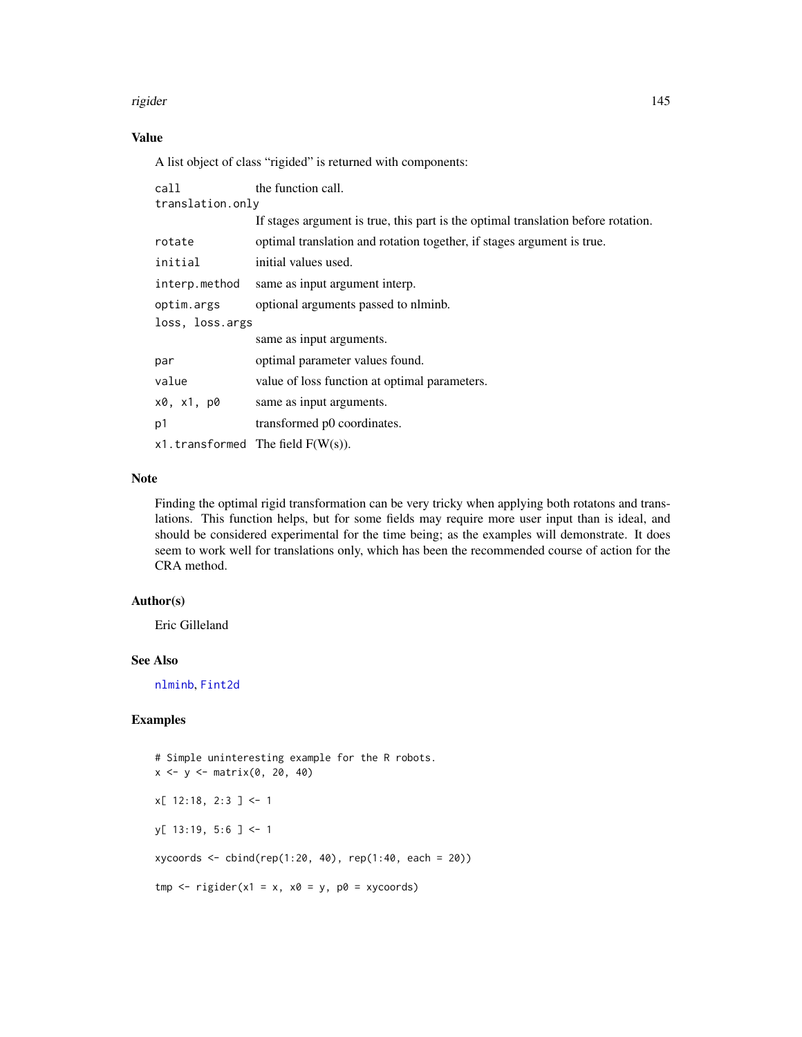#### rigider 145

# Value

A list object of class "rigided" is returned with components:

| call             | the function call.                                                                |  |
|------------------|-----------------------------------------------------------------------------------|--|
| translation.only |                                                                                   |  |
|                  | If stages argument is true, this part is the optimal translation before rotation. |  |
| rotate           | optimal translation and rotation together, if stages argument is true.            |  |
| initial          | initial values used.                                                              |  |
| interp.method    | same as input argument interp.                                                    |  |
| optim.args       | optional arguments passed to nlminb.                                              |  |
| loss, loss.args  |                                                                                   |  |
|                  | same as input arguments.                                                          |  |
| par              | optimal parameter values found.                                                   |  |
| value            | value of loss function at optimal parameters.                                     |  |
| x0, x1, p0       | same as input arguments.                                                          |  |
| p1               | transformed p0 coordinates.                                                       |  |
|                  | $x1.$ transformed The field $F(W(s))$ .                                           |  |

# Note

Finding the optimal rigid transformation can be very tricky when applying both rotatons and translations. This function helps, but for some fields may require more user input than is ideal, and should be considered experimental for the time being; as the examples will demonstrate. It does seem to work well for translations only, which has been the recommended course of action for the CRA method.

# Author(s)

Eric Gilleland

## See Also

[nlminb](#page-0-0), [Fint2d](#page-67-0)

# Examples

# Simple uninteresting example for the R robots.  $x \le -y \le -$  matrix(0, 20, 40)  $x[ 12:18, 2:3 ] < -1$ y[ 13:19, 5:6 ] <- 1 xycoords <- cbind(rep(1:20, 40), rep(1:40, each = 20))  $tmp \leftarrow righter(x1 = x, x0 = y, p0 = xycoords)$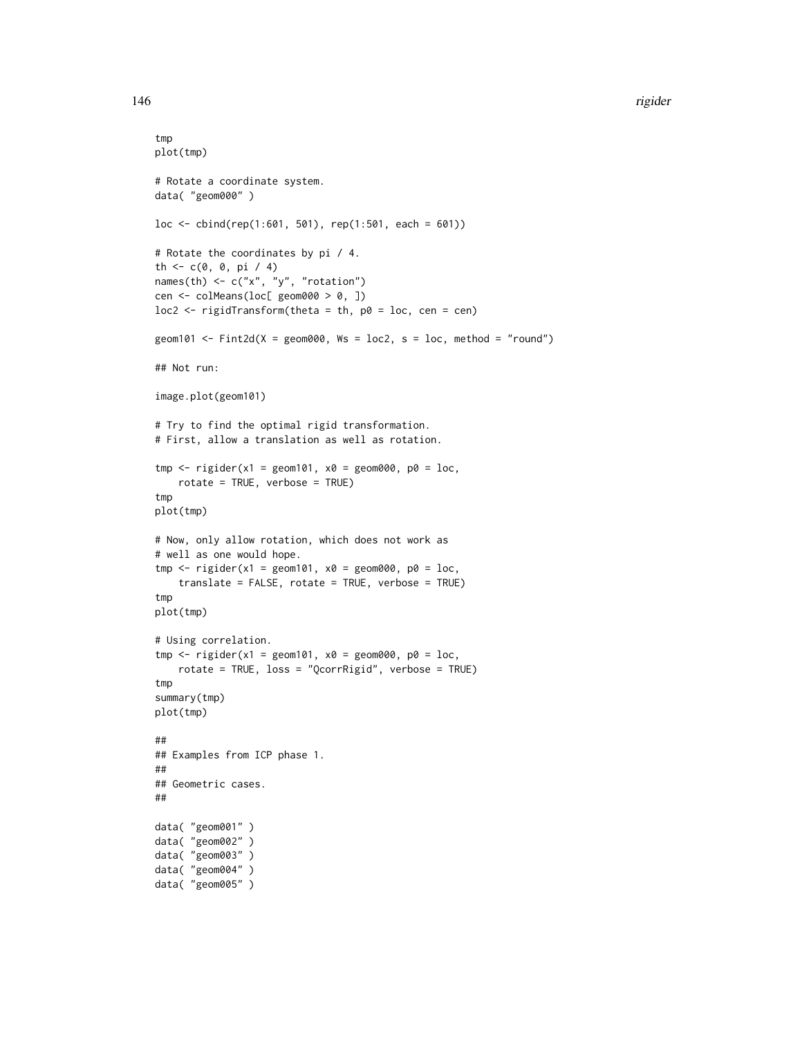#### 146 rigider

```
tmp
plot(tmp)
# Rotate a coordinate system.
data( "geom000" )
loc \leftarrow \text{cbind}(\text{rep}(1:601, 501), \text{rep}(1:501, \text{each} = 601))# Rotate the coordinates by pi / 4.
th <-c(0, 0, pi / 4)names(th) \leq c("x", "y", "rotation")
cen <- colMeans(loc[ geom000 > 0, ])
loc2 < -right right Transform(theta = th, p0 = loc, cen = cen)
geom101 <- Fint2d(X = geom000, Ws = loc2, s = loc, method = "round")## Not run:
image.plot(geom101)
# Try to find the optimal rigid transformation.
# First, allow a translation as well as rotation.
tmp <- rigider(x1 = geom101, x0 = geom000, p0 = loc,
   rotate = TRUE, verbose = TRUE)
tmp
plot(tmp)
# Now, only allow rotation, which does not work as
# well as one would hope.
tmp \le rigider(x1 = geom101, x0 = geom000, p0 = loc,
    translate = FALSE, rotate = TRUE, verbose = TRUE)
tmp
plot(tmp)
# Using correlation.
tmp \le rigider(x1 = geom101, x0 = geom000, p0 = loc,
    rotate = TRUE, loss = "QcorrRigid", verbose = TRUE)
tmp
summary(tmp)
plot(tmp)
##
## Examples from ICP phase 1.
##
## Geometric cases.
##
data( "geom001" )
data( "geom002" )
data( "geom003" )
data( "geom004" )
data( "geom005" )
```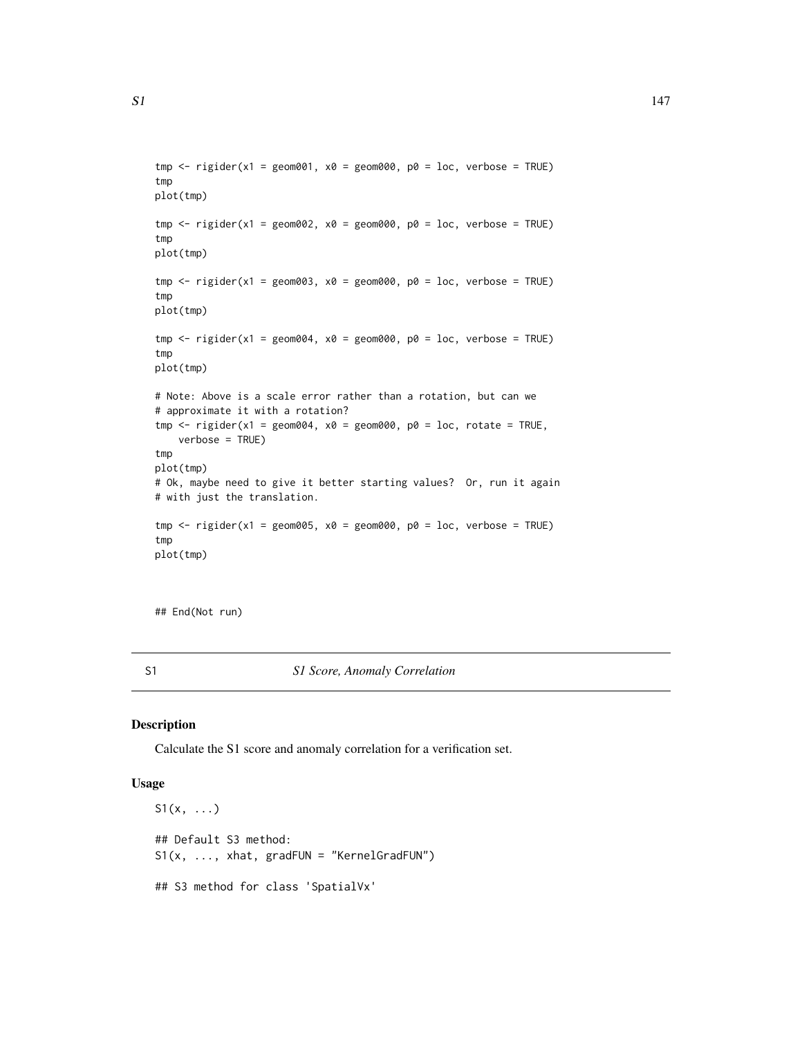```
tmp \le- rigider(x1 = geom001, x0 = geom000, p0 = loc, verbose = TRUE)
tmp
plot(tmp)
tmp \leq right rigider(x1 = geom002, x0 = geom000, p0 = loc, verbose = TRUE)
tmp
plot(tmp)
tmp \leq right; right; right; x0 = geom003, x0 = geom000, p0 = loc, verbose = TRUE)tmp
plot(tmp)
tmp \leq right rigider(x1 = geom004, x0 = geom000, p0 = loc, verbose = TRUE)
tmp
plot(tmp)
# Note: Above is a scale error rather than a rotation, but can we
# approximate it with a rotation?
tmp \le rigider(x1 = geom004, x0 = geom000, p0 = loc, rotate = TRUE,
    verbose = TRUE)
tmp
plot(tmp)
# Ok, maybe need to give it better starting values? Or, run it again
# with just the translation.
tmp \le- rigider(x1 = geom005, x0 = geom000, p0 = loc, verbose = TRUE)
tmp
plot(tmp)
```
## End(Not run)

S1 *S1 Score, Anomaly Correlation*

#### Description

Calculate the S1 score and anomaly correlation for a verification set.

# Usage

 $S1(x, \ldots)$ ## Default S3 method:  $S1(x, ..., xhat, gradient) = "KernelGradFUN")$ ## S3 method for class 'SpatialVx'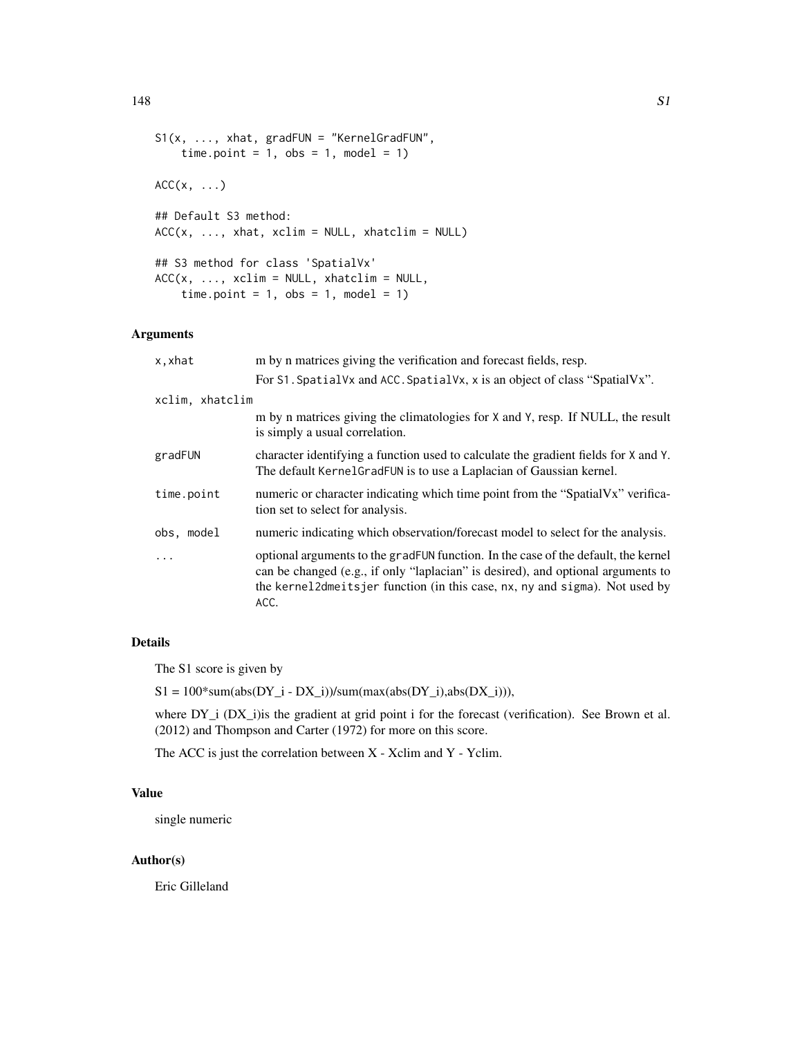```
S1(x, \ldots, xhat, \text{grad} \cdot \text{FUN}) = "KernelGrad \cdot \text{FUN"}time.point = 1, obs = 1, model = 1)
ACC(x, \ldots)## Default S3 method:
ACC(x, ..., xhat, xdim = NULL, xhatelim = NULL)## S3 method for class 'SpatialVx'
ACC(x, ..., xclim = NULL, xhatclim = NULL,time.point = 1, obs = 1, model = 1)
```
# Arguments

| m by n matrices giving the verification and forecast fields, resp.                                                                                                                                                                                            |
|---------------------------------------------------------------------------------------------------------------------------------------------------------------------------------------------------------------------------------------------------------------|
| For S1. Spatial Vx and ACC. Spatial Vx, x is an object of class "Spatial Vx".                                                                                                                                                                                 |
| xclim, xhatclim                                                                                                                                                                                                                                               |
| m by n matrices giving the climatologies for X and Y, resp. If NULL, the result<br>is simply a usual correlation.                                                                                                                                             |
| character identifying a function used to calculate the gradient fields for X and Y.<br>The default Kernel Grad FUN is to use a Laplacian of Gaussian kernel.                                                                                                  |
| numeric or character indicating which time point from the "SpatialVx" verifica-<br>tion set to select for analysis.                                                                                                                                           |
| numeric indicating which observation/forecast model to select for the analysis.                                                                                                                                                                               |
| optional arguments to the gradFUN function. In the case of the default, the kernel<br>can be changed (e.g., if only "laplacian" is desired), and optional arguments to<br>the kernel2dmeitsjer function (in this case, nx, ny and sigma). Not used by<br>ACC. |
|                                                                                                                                                                                                                                                               |

# Details

The S1 score is given by

 $S1 = 100*sum(abs(DY_i - DX_i))/sum(max(abs(DY_i),abs(DX_i))),$ 

where DY<sub>1</sub> (DX<sub>1</sub>) is the gradient at grid point i for the forecast (verification). See Brown et al. (2012) and Thompson and Carter (1972) for more on this score.

The ACC is just the correlation between X - Xclim and Y - Yclim.

# Value

single numeric

## Author(s)

Eric Gilleland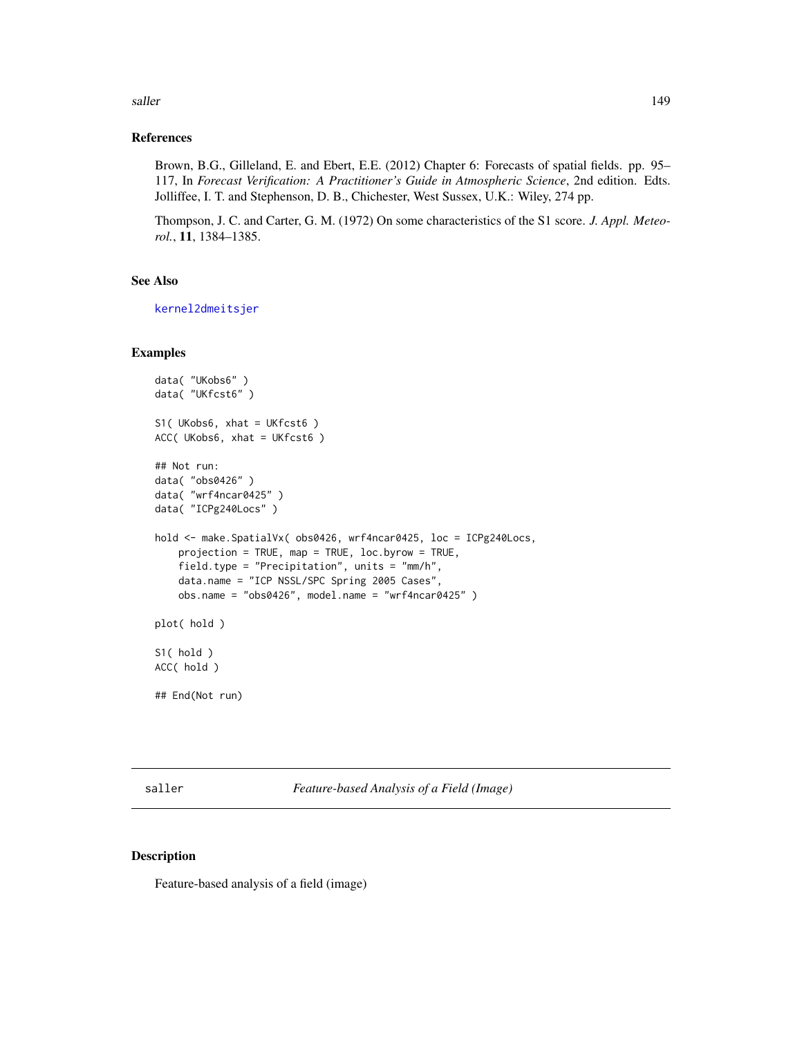#### saller that the same state of the same state of the same state of the same state of the same state of the same state of the same state of the same state of the same state of the same state of the same state of the same sta

## References

Brown, B.G., Gilleland, E. and Ebert, E.E. (2012) Chapter 6: Forecasts of spatial fields. pp. 95– 117, In *Forecast Verification: A Practitioner's Guide in Atmospheric Science*, 2nd edition. Edts. Jolliffee, I. T. and Stephenson, D. B., Chichester, West Sussex, U.K.: Wiley, 274 pp.

Thompson, J. C. and Carter, G. M. (1972) On some characteristics of the S1 score. *J. Appl. Meteorol.*, 11, 1384–1385.

# See Also

[kernel2dmeitsjer](#page-0-0)

# Examples

```
data( "UKobs6" )
data( "UKfcst6" )
S1( UKobs6, xhat = UKfcst6 )
ACC( UKobs6, xhat = UKfcst6 )
## Not run:
data( "obs0426" )
data( "wrf4ncar0425" )
data( "ICPg240Locs" )
hold <- make.SpatialVx( obs0426, wrf4ncar0425, loc = ICPg240Locs,
    projection = TRUE, map = TRUE, loc.byrow = TRUE,
    field.type = "Precipitation", units = "mm/h",
    data.name = "ICP NSSL/SPC Spring 2005 Cases",
    obs.name = "obs0426", model.name = "wrf4ncar0425" )
plot( hold )
S1( hold )
ACC( hold )
## End(Not run)
```
saller *Feature-based Analysis of a Field (Image)*

#### Description

Feature-based analysis of a field (image)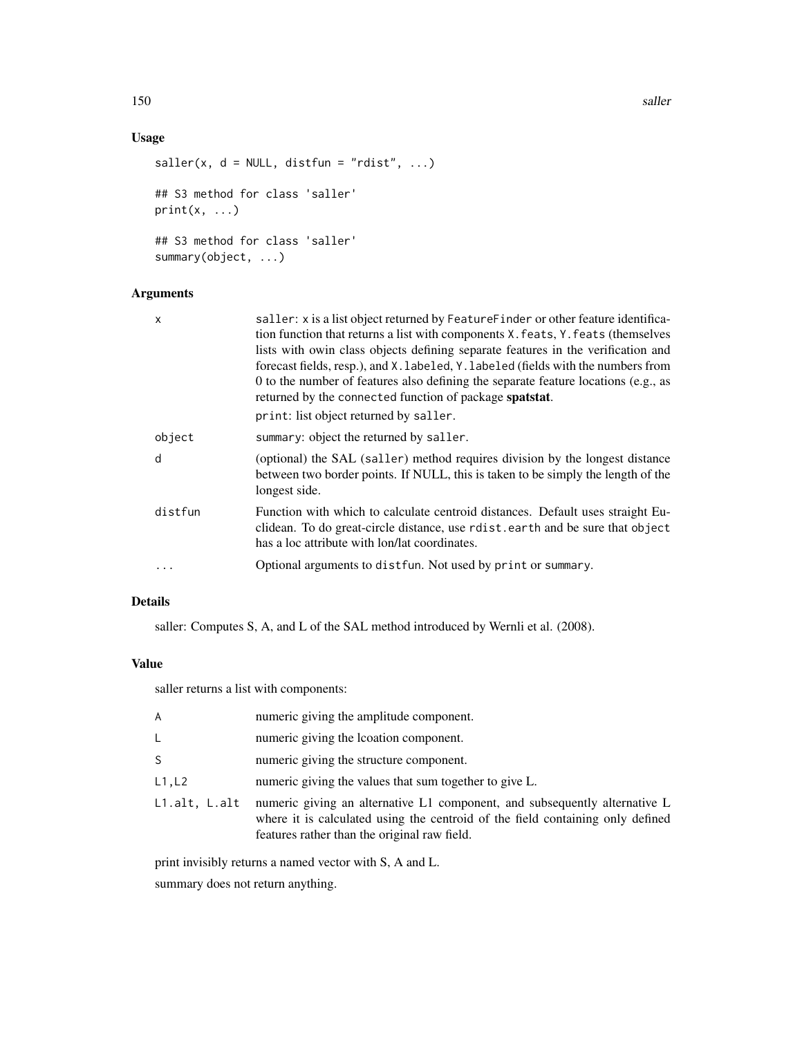# Usage

```
saller(x, d = NULL, distfun = "rdist", ...)
## S3 method for class 'saller'
print(x, \ldots)## S3 method for class 'saller'
summary(object, ...)
```
# Arguments

| $\mathsf{x}$ | saller: x is a list object returned by Feature Finder or other feature identifica-<br>tion function that returns a list with components X. feats, Y. feats (themselves<br>lists with owin class objects defining separate features in the verification and<br>forecast fields, resp.), and X. labeled, Y. labeled (fields with the numbers from<br>0 to the number of features also defining the separate feature locations (e.g., as<br>returned by the connected function of package spatstat. |
|--------------|--------------------------------------------------------------------------------------------------------------------------------------------------------------------------------------------------------------------------------------------------------------------------------------------------------------------------------------------------------------------------------------------------------------------------------------------------------------------------------------------------|
|              | print: list object returned by saller.                                                                                                                                                                                                                                                                                                                                                                                                                                                           |
| object       | summary: object the returned by saller.                                                                                                                                                                                                                                                                                                                                                                                                                                                          |
| d            | (optional) the SAL (saller) method requires division by the longest distance<br>between two border points. If NULL, this is taken to be simply the length of the<br>longest side.                                                                                                                                                                                                                                                                                                                |
| distfun      | Function with which to calculate centroid distances. Default uses straight Eu-<br>clidean. To do great-circle distance, use rotat earth and be sure that object<br>has a loc attribute with lon/lat coordinates.                                                                                                                                                                                                                                                                                 |
|              | Optional arguments to dist fun. Not used by print or summary.                                                                                                                                                                                                                                                                                                                                                                                                                                    |

# Details

saller: Computes S, A, and L of the SAL method introduced by Wernli et al. (2008).

## Value

saller returns a list with components:

| A             | numeric giving the amplitude component.                                                                                                                                                                      |
|---------------|--------------------------------------------------------------------------------------------------------------------------------------------------------------------------------------------------------------|
| L.            | numeric giving the location component.                                                                                                                                                                       |
| S.            | numeric giving the structure component.                                                                                                                                                                      |
| L1, L2        | numeric giving the values that sum together to give L.                                                                                                                                                       |
| L1.alt. L.alt | numeric giving an alternative L1 component, and subsequently alternative L<br>where it is calculated using the centroid of the field containing only defined<br>features rather than the original raw field. |

print invisibly returns a named vector with S, A and L.

summary does not return anything.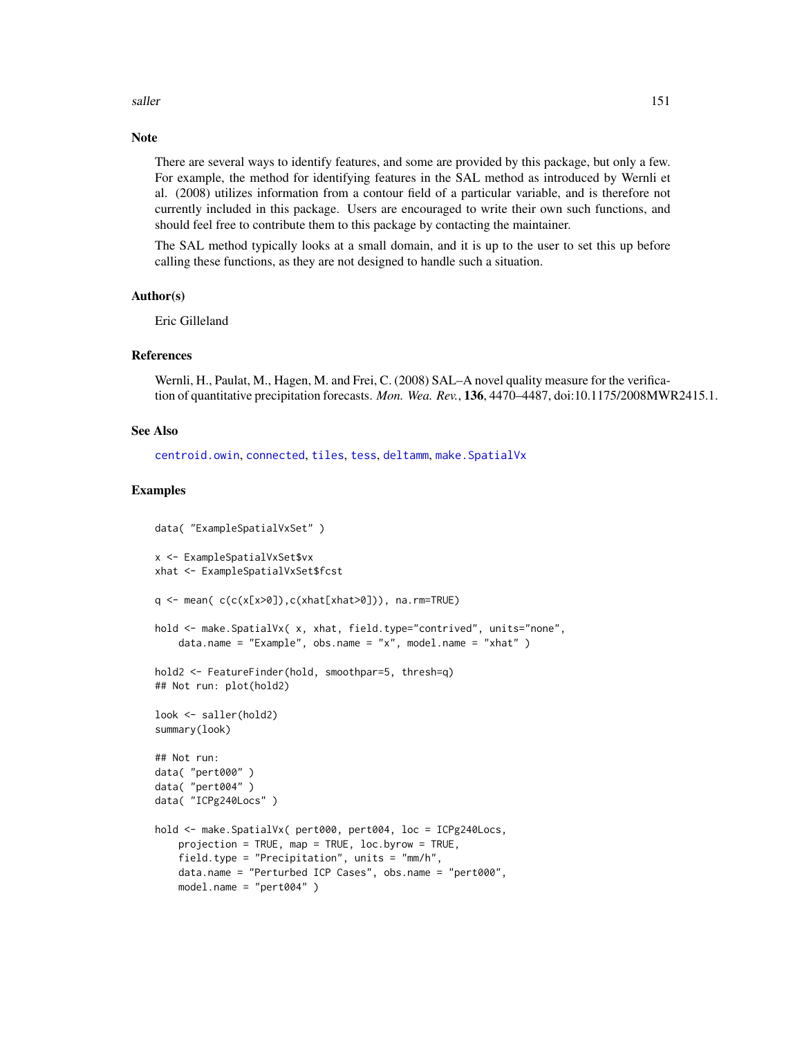#### saller that the same state of the same state of the same state of the same state of the same state of the same state of the same state of the same state of the same state of the same state of the same state of the same sta

## **Note**

There are several ways to identify features, and some are provided by this package, but only a few. For example, the method for identifying features in the SAL method as introduced by Wernli et al. (2008) utilizes information from a contour field of a particular variable, and is therefore not currently included in this package. Users are encouraged to write their own such functions, and should feel free to contribute them to this package by contacting the maintainer.

The SAL method typically looks at a small domain, and it is up to the user to set this up before calling these functions, as they are not designed to handle such a situation.

#### Author(s)

Eric Gilleland

## References

Wernli, H., Paulat, M., Hagen, M. and Frei, C. (2008) SAL–A novel quality measure for the verification of quantitative precipitation forecasts. *Mon. Wea. Rev.*, 136, 4470–4487, doi:10.1175/2008MWR2415.1.

#### See Also

[centroid.owin](#page-0-0), [connected](#page-0-0), [tiles](#page-0-0), [tess](#page-0-0), [deltamm](#page-39-0), [make.SpatialVx](#page-114-0)

#### Examples

```
data( "ExampleSpatialVxSet" )
x <- ExampleSpatialVxSet$vx
xhat <- ExampleSpatialVxSet$fcst
q \leq - mean( c(c(x[x>0]), c(xhat[xhat>0])), na.rm=TRUE)
hold <- make. SpatialVx( x, xhat, field.type="contrived", units="none",
    data.name = "Example", obs.name = "x", model.name = "xhat")
hold2 <- FeatureFinder(hold, smoothpar=5, thresh=q)
## Not run: plot(hold2)
look <- saller(hold2)
summary(look)
## Not run:
data( "pert000" )
data( "pert004" )
data( "ICPg240Locs" )
hold <- make.SpatialVx( pert000, pert004, loc = ICPg240Locs,
    projection = TRUE, map = TRUE, loc.byrow = TRUE,
    field.type = "Precipitation", units = "mm/h",
    data.name = "Perturbed ICP Cases", obs.name = "pert000",
    model.name = "pert004" )
```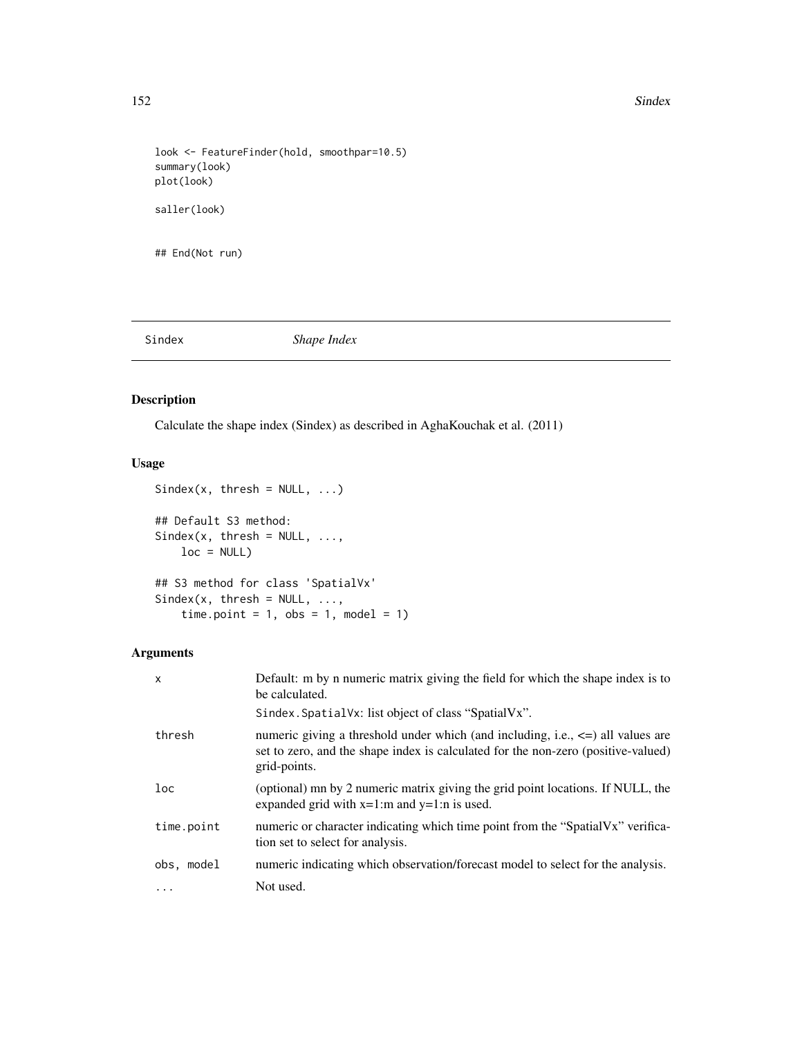#### 152 Sindex Sindex Sindex Sindex Sindex Sindex Sindex Sindex Sindex Sindex Sindex Sindex Sindex Sindex Sindex Sindex Sindex Sindex Sindex Sindex Sindex Sindex Sindex Sindex Sindex Sindex Sindex Sindex Sindex Sindex Sindex S

```
look <- FeatureFinder(hold, smoothpar=10.5)
summary(look)
plot(look)
saller(look)
## End(Not run)
```
Sindex *Shape Index*

# Description

Calculate the shape index (Sindex) as described in AghaKouchak et al. (2011)

# Usage

```
Sindex(x, thresh = NULL, ...)## Default S3 method:
Sindex(x, thresh = NULL, ...,loc = NULL)
## S3 method for class 'SpatialVx'
Sindex(x, thresh = NULL, ...,time.point = 1, obs = 1, model = 1)
```
## Arguments

| X          | Default: m by n numeric matrix giving the field for which the shape index is to<br>be calculated.                                                                                         |
|------------|-------------------------------------------------------------------------------------------------------------------------------------------------------------------------------------------|
|            | Sindex. Spatial Vx: list object of class "Spatial Vx".                                                                                                                                    |
| thresh     | numeric giving a threshold under which (and including, i.e., $\leq$ ) all values are<br>set to zero, and the shape index is calculated for the non-zero (positive-valued)<br>grid-points. |
| 1oc        | (optional) mn by 2 numeric matrix giving the grid point locations. If NULL, the<br>expanded grid with $x=1$ :m and $y=1$ :n is used.                                                      |
| time.point | numeric or character indicating which time point from the "SpatialVx" verifica-<br>tion set to select for analysis.                                                                       |
| obs, model | numeric indicating which observation/forecast model to select for the analysis.                                                                                                           |
| $\cdots$   | Not used.                                                                                                                                                                                 |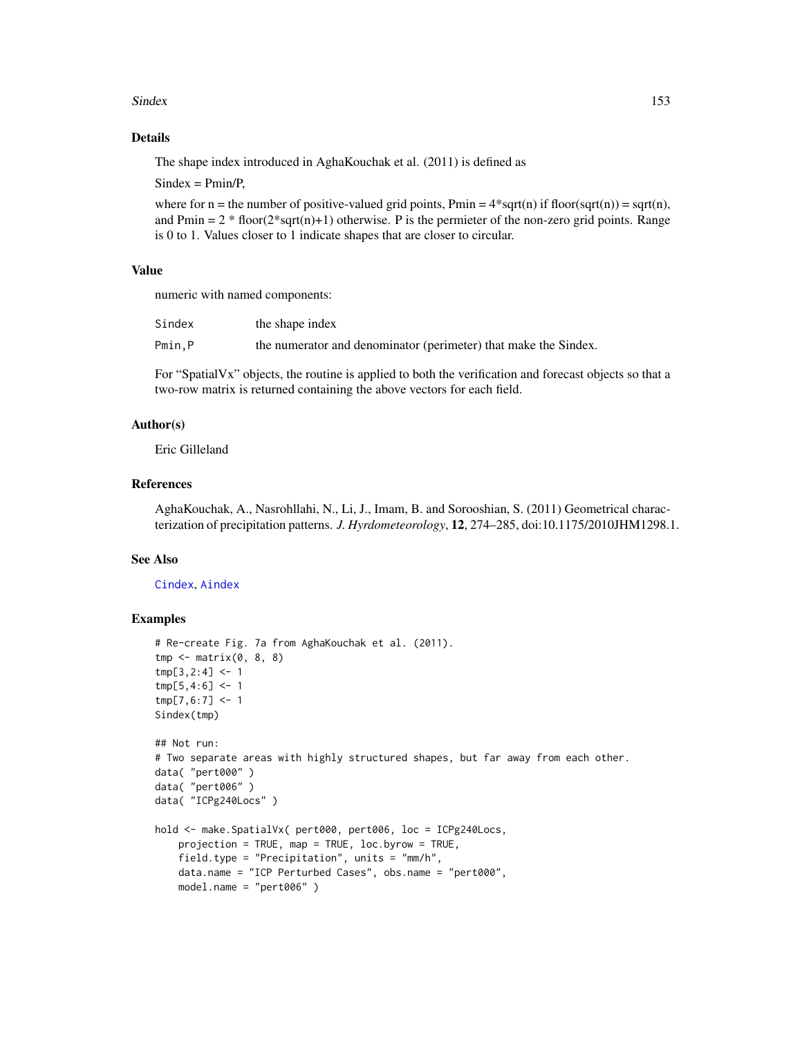#### Sindex 153

# Details

The shape index introduced in AghaKouchak et al. (2011) is defined as

 $Sindex = Pmin/P$ ,

where for n = the number of positive-valued grid points, Pmin =  $4*sqrt{sqrt}$  if floor(sqrt(n)) = sqrt(n), and Pmin =  $2 * floor(2 * sqrt(n) + 1)$  otherwise. P is the permieter of the non-zero grid points. Range is 0 to 1. Values closer to 1 indicate shapes that are closer to circular.

## Value

numeric with named components:

| Sindex | the shape index                                                 |
|--------|-----------------------------------------------------------------|
| Pmin.P | the numerator and denominator (perimeter) that make the Sindex. |

For "SpatialVx" objects, the routine is applied to both the verification and forecast objects so that a two-row matrix is returned containing the above vectors for each field.

## Author(s)

Eric Gilleland

# References

AghaKouchak, A., Nasrohllahi, N., Li, J., Imam, B. and Sorooshian, S. (2011) Geometrical characterization of precipitation patterns. *J. Hyrdometeorology*, 12, 274–285, doi:10.1175/2010JHM1298.1.

## See Also

[Cindex](#page-23-0), [Aindex](#page-9-0)

# Examples

```
# Re-create Fig. 7a from AghaKouchak et al. (2011).
tmp \leftarrow matrix(0, 8, 8)tmp[3,2:4] < -1tmp[5,4:6] < -1tmp[7,6:7] < -1Sindex(tmp)
## Not run:
# Two separate areas with highly structured shapes, but far away from each other.
data( "pert000" )
data( "pert006" )
data( "ICPg240Locs" )
hold <- make.SpatialVx( pert000, pert006, loc = ICPg240Locs,
   projection = TRUE, map = TRUE, loc.byrow = TRUE,
    field.type = "Precipitation", units = "mm/h",
   data.name = "ICP Perturbed Cases", obs.name = "pert000",
   model.name = "pert006" )
```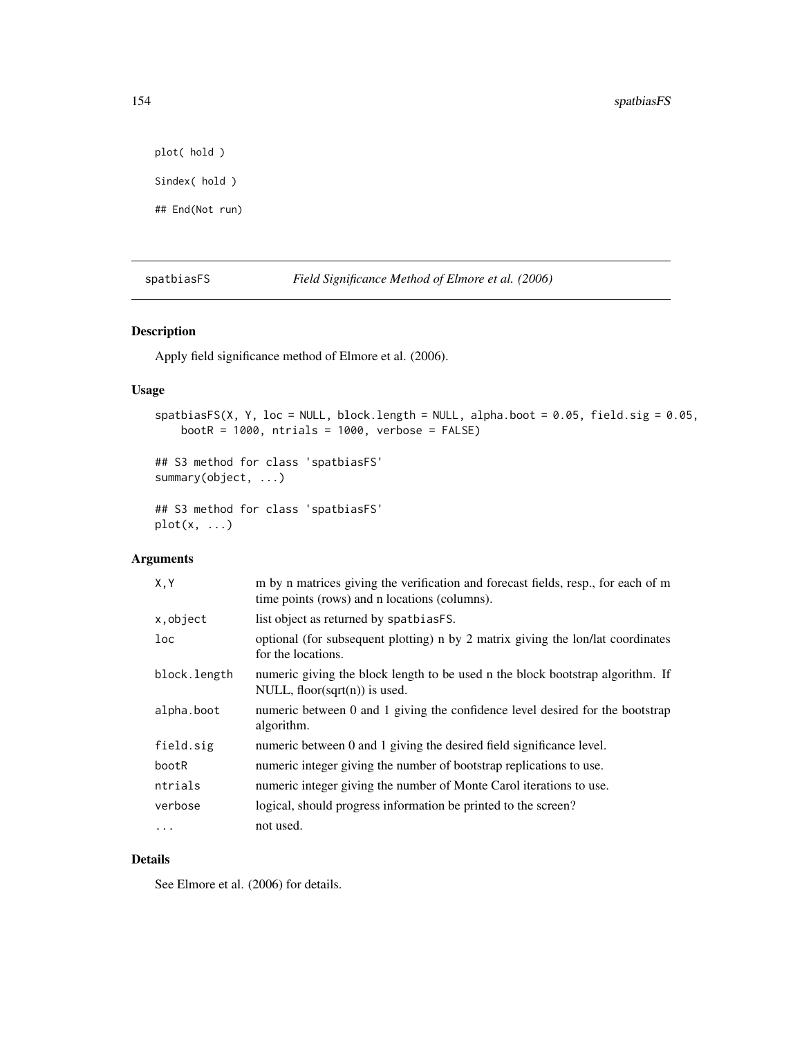plot( hold ) Sindex( hold )

## End(Not run)

spatbiasFS *Field Significance Method of Elmore et al. (2006)*

# Description

Apply field significance method of Elmore et al. (2006).

## Usage

```
spatbiasFS(X, Y, loc = NULL, block.length = NULL, alpha.boot = 0.05, field.sig = 0.05,
   bootR = 1000, ntrials = 1000, verbose = FALSE)
```

```
## S3 method for class 'spatbiasFS'
summary(object, ...)
```
## S3 method for class 'spatbiasFS'  $plot(x, \ldots)$ 

# Arguments

| X, Y            | m by n matrices giving the verification and forecast fields, resp., for each of m<br>time points (rows) and n locations (columns). |
|-----------------|------------------------------------------------------------------------------------------------------------------------------------|
| x, object       | list object as returned by spatbias FS.                                                                                            |
| 1 <sub>oc</sub> | optional (for subsequent plotting) n by 2 matrix giving the lon/lat coordinates<br>for the locations.                              |
| block.length    | numeric giving the block length to be used n the block bootstrap algorithm. If<br>NULL, floor(sqrt $(n)$ ) is used.                |
| alpha.boot      | numeric between 0 and 1 giving the confidence level desired for the bootstrap<br>algorithm.                                        |
| field.sig       | numeric between 0 and 1 giving the desired field significance level.                                                               |
| bootR           | numeric integer giving the number of bootstrap replications to use.                                                                |
| ntrials         | numeric integer giving the number of Monte Carol iterations to use.                                                                |
| verbose         | logical, should progress information be printed to the screen?                                                                     |
|                 | not used.                                                                                                                          |
|                 |                                                                                                                                    |

# Details

See Elmore et al. (2006) for details.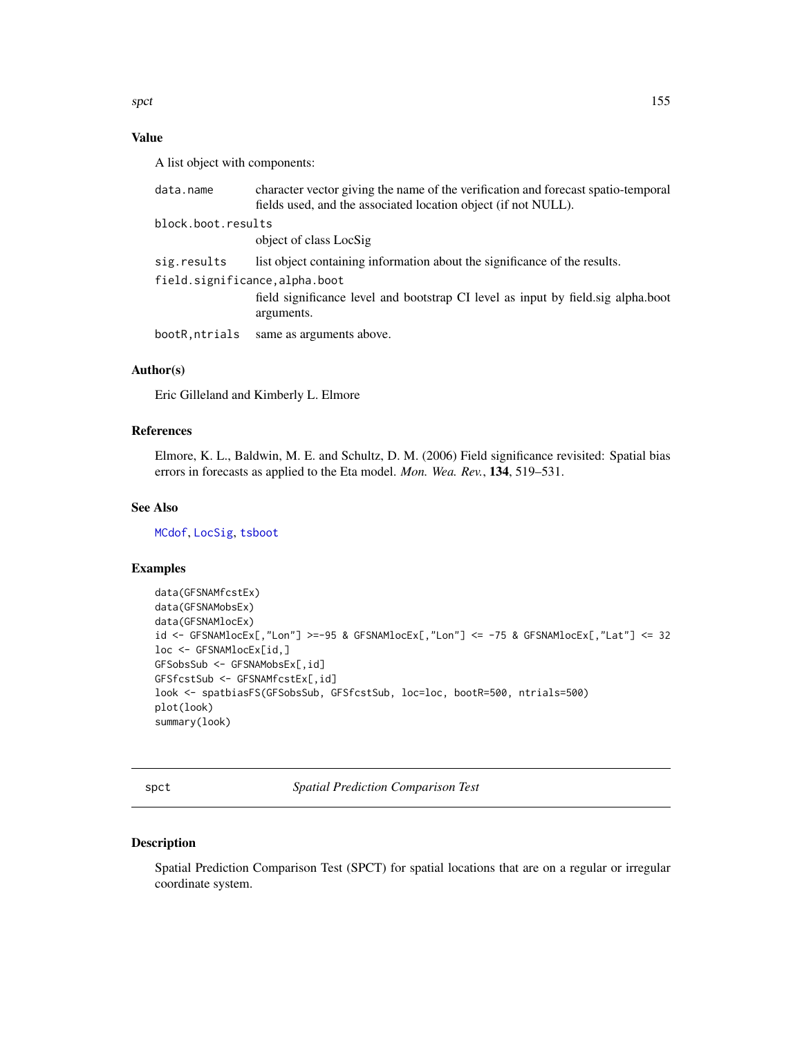spct that the specific state of the specific state of the specific state of the specific state of the specific state of the specific state of the specific state of the specific state of the specific state of the specific s

# Value

A list object with components:

| data.name                     | character vector giving the name of the verification and forecast spatio-temporal<br>fields used, and the associated location object (if not NULL).      |  |
|-------------------------------|----------------------------------------------------------------------------------------------------------------------------------------------------------|--|
| block.boot.results            |                                                                                                                                                          |  |
|                               | object of class LocSig                                                                                                                                   |  |
| sig.results                   | list object containing information about the significance of the results.                                                                                |  |
| field.significance,alpha.boot |                                                                                                                                                          |  |
|                               | field significance level and bootstrap CI level as input by field significance level and bootstrap CI level as input by field significance<br>arguments. |  |
| bootR,ntrials                 | same as arguments above.                                                                                                                                 |  |

# Author(s)

Eric Gilleland and Kimberly L. Elmore

# References

Elmore, K. L., Baldwin, M. E. and Schultz, D. M. (2006) Field significance revisited: Spatial bias errors in forecasts as applied to the Eta model. *Mon. Wea. Rev.*, 134, 519–531.

# See Also

[MCdof](#page-120-0), [LocSig](#page-108-0), [tsboot](#page-0-0)

# Examples

```
data(GFSNAMfcstEx)
data(GFSNAMobsEx)
data(GFSNAMlocEx)
id <- GFSNAMlocEx[,"Lon"] >=-95 & GFSNAMlocEx[,"Lon"] <= -75 & GFSNAMlocEx[,"Lat"] <= 32
loc <- GFSNAMlocEx[id,]
GFSobsSub <- GFSNAMobsEx[,id]
GFSfcstSub <- GFSNAMfcstEx[,id]
look <- spatbiasFS(GFSobsSub, GFSfcstSub, loc=loc, bootR=500, ntrials=500)
plot(look)
summary(look)
```
spct *Spatial Prediction Comparison Test*

# Description

Spatial Prediction Comparison Test (SPCT) for spatial locations that are on a regular or irregular coordinate system.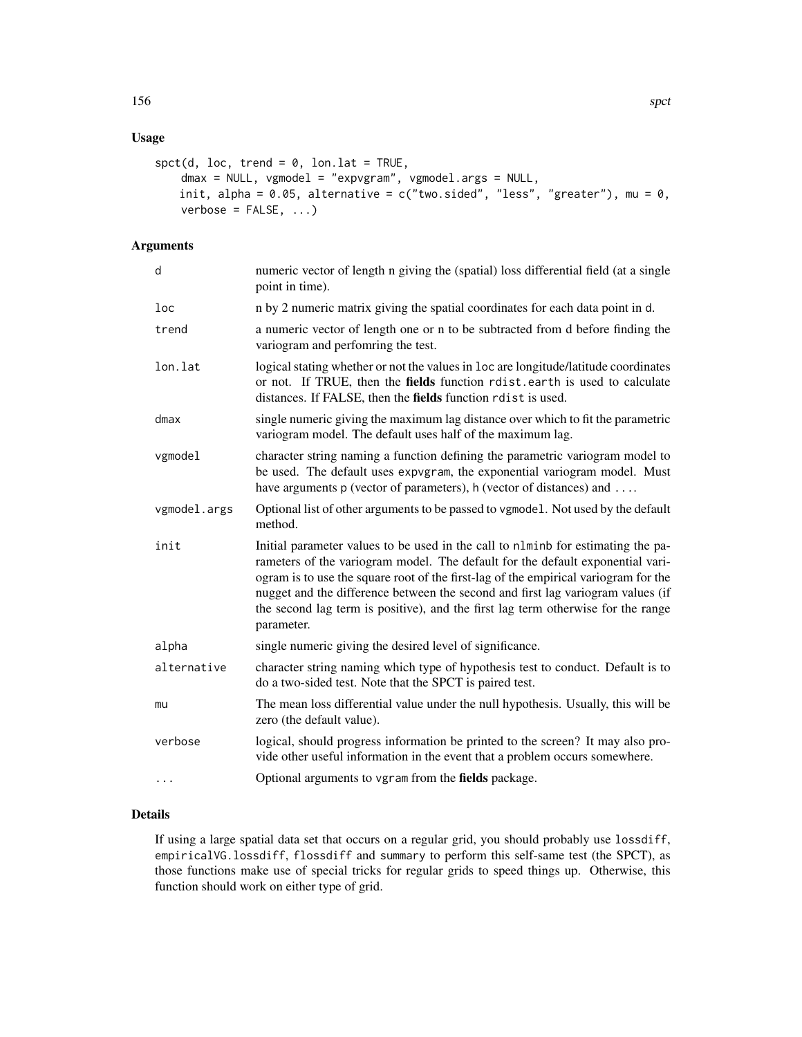# Usage

```
spt(d, loc, trend = 0, lon. lat = TRUE,dmax = NULL, vgmodel = "expvgram", vgmodel.args = NULL,
   init, alpha = 0.05, alternative = c("two-sided", "less", "greater"), mu = 0,verbose = FALSE, ...)
```
# Arguments

| d            | numeric vector of length n giving the (spatial) loss differential field (at a single<br>point in time).                                                                                                                                                                                                                                                                                                                                        |
|--------------|------------------------------------------------------------------------------------------------------------------------------------------------------------------------------------------------------------------------------------------------------------------------------------------------------------------------------------------------------------------------------------------------------------------------------------------------|
| loc          | n by 2 numeric matrix giving the spatial coordinates for each data point in d.                                                                                                                                                                                                                                                                                                                                                                 |
| trend        | a numeric vector of length one or n to be subtracted from d before finding the<br>variogram and perfomring the test.                                                                                                                                                                                                                                                                                                                           |
| lon.lat      | logical stating whether or not the values in loc are longitude/latitude coordinates<br>or not. If TRUE, then the fields function rdist.earth is used to calculate<br>distances. If FALSE, then the fields function rdist is used.                                                                                                                                                                                                              |
| dmax         | single numeric giving the maximum lag distance over which to fit the parametric<br>variogram model. The default uses half of the maximum lag.                                                                                                                                                                                                                                                                                                  |
| vgmodel      | character string naming a function defining the parametric variogram model to<br>be used. The default uses expvgram, the exponential variogram model. Must<br>have arguments p (vector of parameters), h (vector of distances) and                                                                                                                                                                                                             |
| vgmodel.args | Optional list of other arguments to be passed to vgmodel. Not used by the default<br>method.                                                                                                                                                                                                                                                                                                                                                   |
| init         | Initial parameter values to be used in the call to nlminb for estimating the pa-<br>rameters of the variogram model. The default for the default exponential vari-<br>ogram is to use the square root of the first-lag of the empirical variogram for the<br>nugget and the difference between the second and first lag variogram values (if<br>the second lag term is positive), and the first lag term otherwise for the range<br>parameter. |
| alpha        | single numeric giving the desired level of significance.                                                                                                                                                                                                                                                                                                                                                                                       |
| alternative  | character string naming which type of hypothesis test to conduct. Default is to<br>do a two-sided test. Note that the SPCT is paired test.                                                                                                                                                                                                                                                                                                     |
| mu           | The mean loss differential value under the null hypothesis. Usually, this will be<br>zero (the default value).                                                                                                                                                                                                                                                                                                                                 |
| verbose      | logical, should progress information be printed to the screen? It may also pro-<br>vide other useful information in the event that a problem occurs somewhere.                                                                                                                                                                                                                                                                                 |
| $\ddots$     | Optional arguments to vgram from the fields package.                                                                                                                                                                                                                                                                                                                                                                                           |
|              |                                                                                                                                                                                                                                                                                                                                                                                                                                                |

# Details

If using a large spatial data set that occurs on a regular grid, you should probably use lossdiff, empiricalVG.lossdiff, flossdiff and summary to perform this self-same test (the SPCT), as those functions make use of special tricks for regular grids to speed things up. Otherwise, this function should work on either type of grid.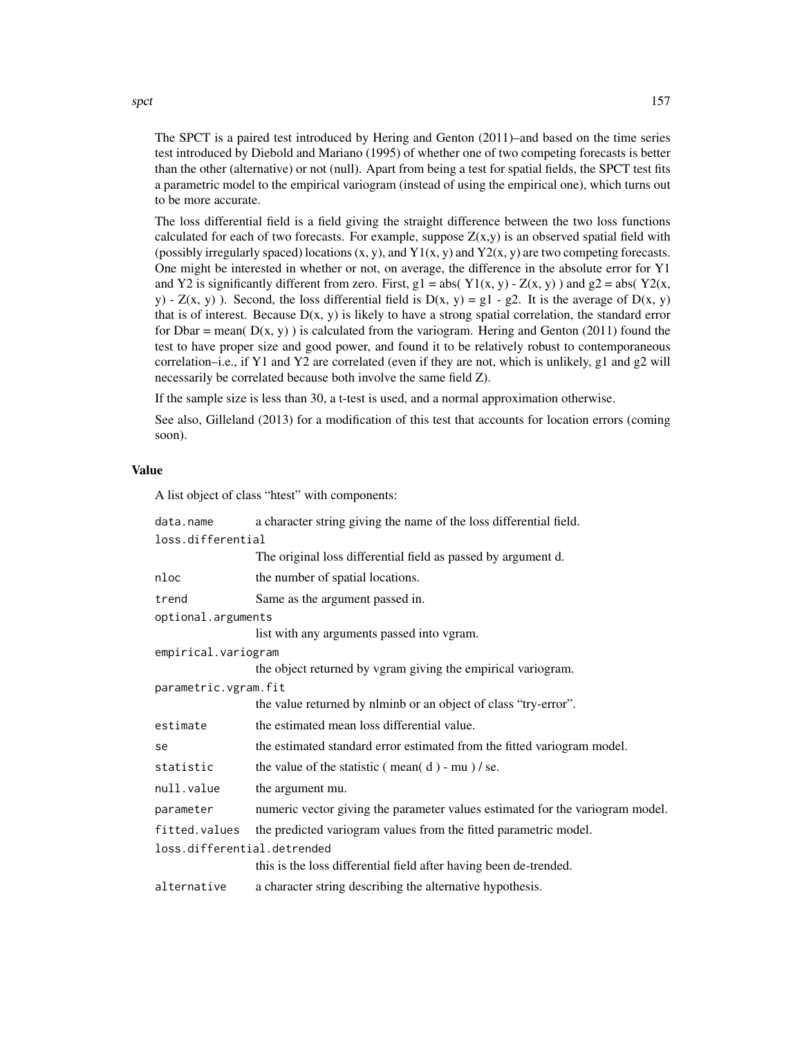spct that the spectrum of the state of the state of the state of the state of the state of the state of the state of the state of the state of the state of the state of the state of the state of the state of the state of t

The SPCT is a paired test introduced by Hering and Genton (2011)–and based on the time series test introduced by Diebold and Mariano (1995) of whether one of two competing forecasts is better than the other (alternative) or not (null). Apart from being a test for spatial fields, the SPCT test fits a parametric model to the empirical variogram (instead of using the empirical one), which turns out to be more accurate.

The loss differential field is a field giving the straight difference between the two loss functions calculated for each of two forecasts. For example, suppose  $Z(x,y)$  is an observed spatial field with (possibly irregularly spaced) locations  $(x, y)$ , and  $Y1(x, y)$  and  $Y2(x, y)$  are two competing forecasts. One might be interested in whether or not, on average, the difference in the absolute error for Y1 and Y2 is significantly different from zero. First,  $g1 = abs(Y1(x, y) - Z(x, y))$  and  $g2 = abs(Y2(x, y))$ y) -  $Z(x, y)$ . Second, the loss differential field is  $D(x, y) = g1 - g2$ . It is the average of  $D(x, y)$ that is of interest. Because  $D(x, y)$  is likely to have a strong spatial correlation, the standard error for Dbar = mean( $D(x, y)$ ) is calculated from the variogram. Hering and Genton (2011) found the test to have proper size and good power, and found it to be relatively robust to contemporaneous correlation–i.e., if Y1 and Y2 are correlated (even if they are not, which is unlikely, g1 and g2 will necessarily be correlated because both involve the same field Z).

If the sample size is less than 30, a t-test is used, and a normal approximation otherwise.

See also, Gilleland (2013) for a modification of this test that accounts for location errors (coming soon).

#### Value

A list object of class "htest" with components:

| data.name                   | a character string giving the name of the loss differential field.            |  |
|-----------------------------|-------------------------------------------------------------------------------|--|
| loss.differential           |                                                                               |  |
|                             | The original loss differential field as passed by argument d.                 |  |
| nloc                        | the number of spatial locations.                                              |  |
| trend                       | Same as the argument passed in.                                               |  |
| optional.arguments          |                                                                               |  |
|                             | list with any arguments passed into vgram.                                    |  |
| empirical.variogram         |                                                                               |  |
|                             | the object returned by vgram giving the empirical variogram.                  |  |
| parametric.vgram.fit        |                                                                               |  |
|                             | the value returned by nlminb or an object of class "try-error".               |  |
| estimate                    | the estimated mean loss differential value.                                   |  |
| se                          | the estimated standard error estimated from the fitted variogram model.       |  |
| statistic                   | the value of the statistic $(\text{mean}(d) - \text{mu}) / \text{se.}$        |  |
| null.value                  | the argument mu.                                                              |  |
| parameter                   | numeric vector giving the parameter values estimated for the variogram model. |  |
| fitted.values               | the predicted variogram values from the fitted parametric model.              |  |
| loss.differential.detrended |                                                                               |  |
|                             | this is the loss differential field after having been de-trended.             |  |
| alternative                 | a character string describing the alternative hypothesis.                     |  |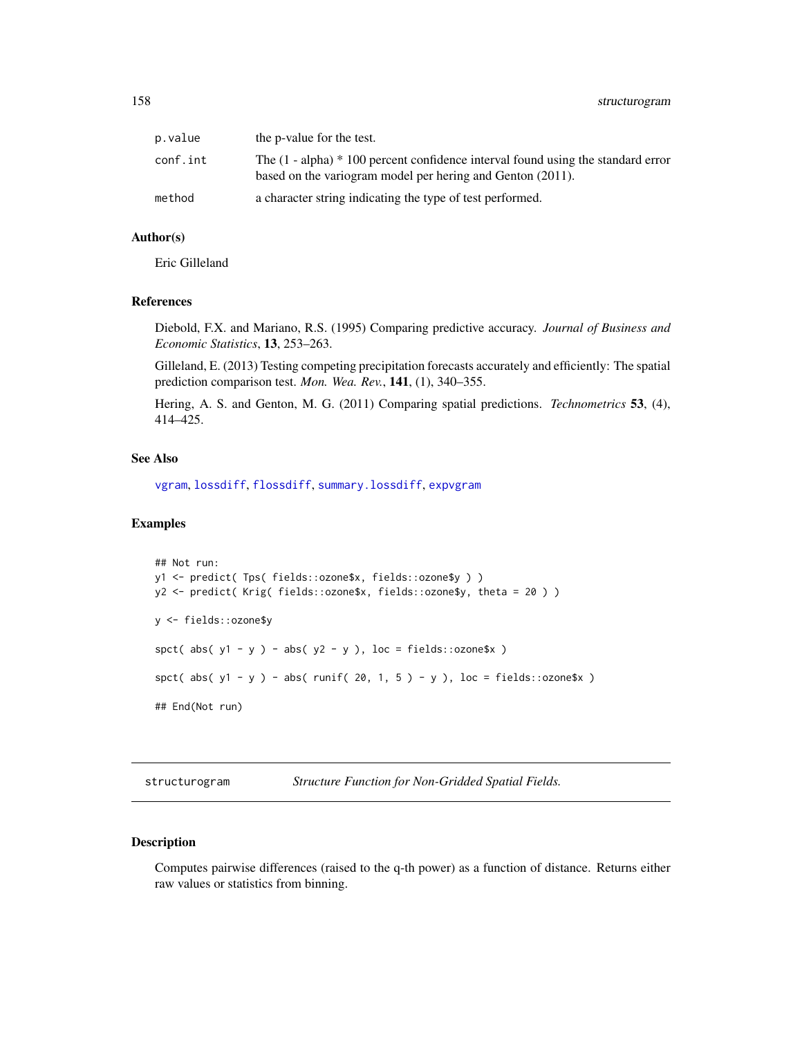| p.value  | the p-value for the test.                                                                                                                        |
|----------|--------------------------------------------------------------------------------------------------------------------------------------------------|
| conf.int | The $(1 - alpha) * 100$ percent confidence interval found using the standard error<br>based on the variogram model per hering and Genton (2011). |
| method   | a character string indicating the type of test performed.                                                                                        |

#### Author(s)

Eric Gilleland

# References

Diebold, F.X. and Mariano, R.S. (1995) Comparing predictive accuracy. *Journal of Business and Economic Statistics*, 13, 253–263.

Gilleland, E. (2013) Testing competing precipitation forecasts accurately and efficiently: The spatial prediction comparison test. *Mon. Wea. Rev.*, 141, (1), 340–355.

Hering, A. S. and Genton, M. G. (2011) Comparing spatial predictions. *Technometrics* 53, (4), 414–425.

## See Also

[vgram](#page-0-0), [lossdiff](#page-110-0), [flossdiff](#page-110-1), [summary.lossdiff](#page-110-1), [expvgram](#page-50-0)

# Examples

```
## Not run:
y1 <- predict( Tps( fields::ozone$x, fields::ozone$y ) )
y2 <- predict( Krig( fields::ozone$x, fields::ozone$y, theta = 20 ) )
y <- fields::ozone$y
spct( abs( y1 - y ) - abs( y2 - y ), loc = fields::ozone$x )
spct( abs( y1 - y ) - abs( runif( 20, 1, 5 ) - y ), loc = fields::ozone$x )
## End(Not run)
```
<span id="page-157-0"></span>structurogram *Structure Function for Non-Gridded Spatial Fields.*

# Description

Computes pairwise differences (raised to the q-th power) as a function of distance. Returns either raw values or statistics from binning.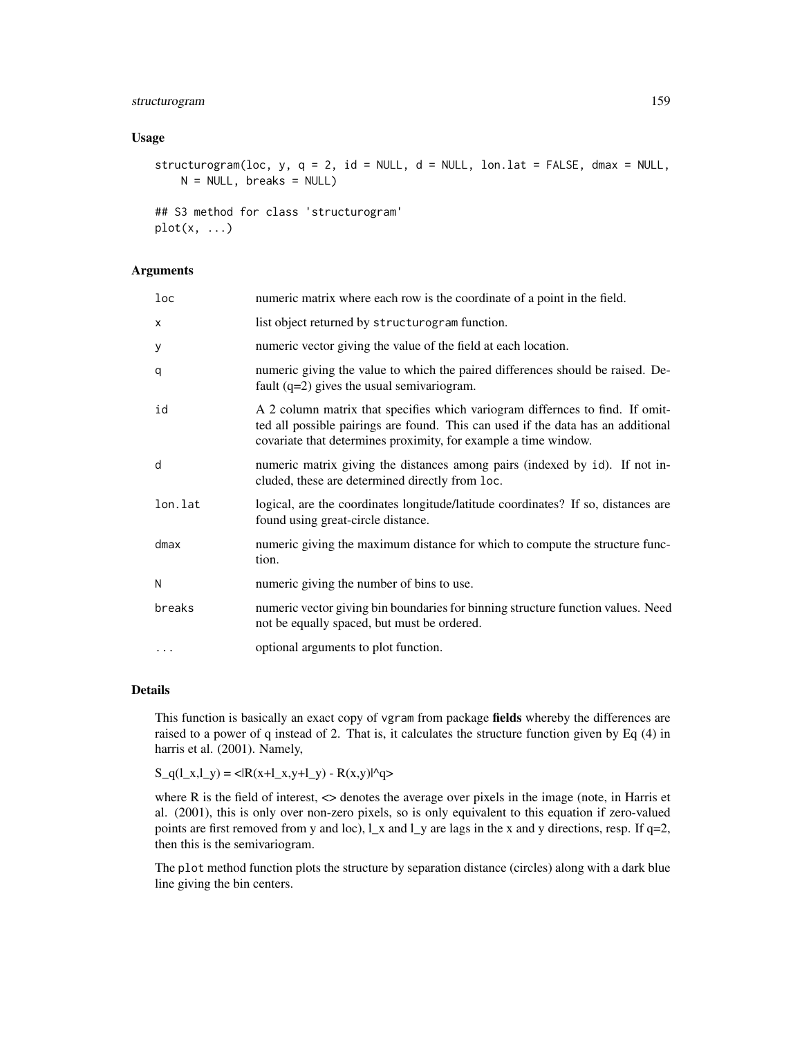# structurogram 159

#### Usage

structurogram(loc, y,  $q = 2$ , id = NULL, d = NULL, lon.lat = FALSE, dmax = NULL,  $N = NULL$ , breaks = NULL)

```
## S3 method for class 'structurogram'
plot(x, \ldots)
```
## Arguments

| $_{loc}$ | numeric matrix where each row is the coordinate of a point in the field.                                                                                                                                                             |
|----------|--------------------------------------------------------------------------------------------------------------------------------------------------------------------------------------------------------------------------------------|
| X        | list object returned by structurogram function.                                                                                                                                                                                      |
| У        | numeric vector giving the value of the field at each location.                                                                                                                                                                       |
| q        | numeric giving the value to which the paired differences should be raised. De-<br>fault $(q=2)$ gives the usual semivariogram.                                                                                                       |
| id       | A 2 column matrix that specifies which variogram differnces to find. If omit-<br>ted all possible pairings are found. This can used if the data has an additional<br>covariate that determines proximity, for example a time window. |
| d        | numeric matrix giving the distances among pairs (indexed by id). If not in-<br>cluded, these are determined directly from loc.                                                                                                       |
| lon.lat  | logical, are the coordinates longitude/latitude coordinates? If so, distances are<br>found using great-circle distance.                                                                                                              |
| $d$ max  | numeric giving the maximum distance for which to compute the structure func-<br>tion.                                                                                                                                                |
| N        | numeric giving the number of bins to use.                                                                                                                                                                                            |
| breaks   | numeric vector giving bin boundaries for binning structure function values. Need<br>not be equally spaced, but must be ordered.                                                                                                      |
|          | optional arguments to plot function.                                                                                                                                                                                                 |

# Details

This function is basically an exact copy of vgram from package fields whereby the differences are raised to a power of q instead of 2. That is, it calculates the structure function given by Eq (4) in harris et al. (2001). Namely,

 $S_q(1_x, 1_y) = \langle R(x+1_x, y+1_y) - R(x, y) \rangle$ 

where  $R$  is the field of interest,  $\leq$  denotes the average over pixels in the image (note, in Harris et al. (2001), this is only over non-zero pixels, so is only equivalent to this equation if zero-valued points are first removed from y and loc),  $l_x$  and  $l_y$  are lags in the x and y directions, resp. If q=2, then this is the semivariogram.

The plot method function plots the structure by separation distance (circles) along with a dark blue line giving the bin centers.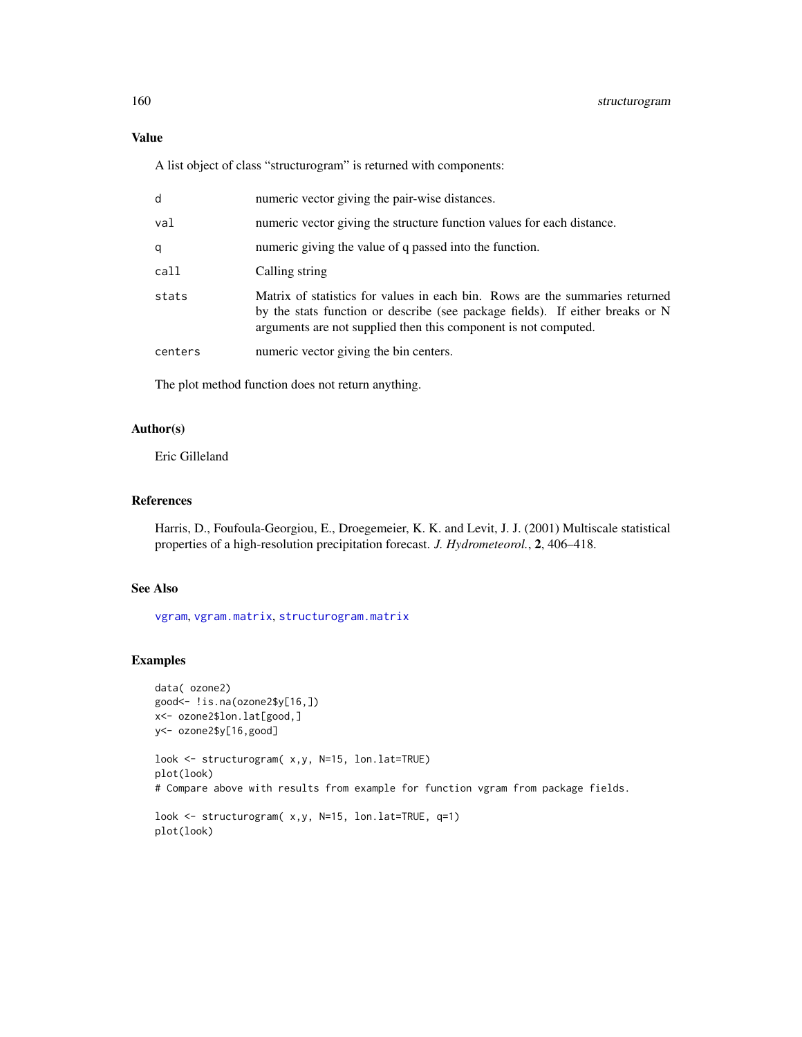A list object of class "structurogram" is returned with components:

| d       | numeric vector giving the pair-wise distances.                                                                                                                                                                                   |
|---------|----------------------------------------------------------------------------------------------------------------------------------------------------------------------------------------------------------------------------------|
| val     | numeric vector giving the structure function values for each distance.                                                                                                                                                           |
| q       | numeric giving the value of q passed into the function.                                                                                                                                                                          |
| call    | Calling string                                                                                                                                                                                                                   |
| stats   | Matrix of statistics for values in each bin. Rows are the summaries returned<br>by the stats function or describe (see package fields). If either breaks or N<br>arguments are not supplied then this component is not computed. |
| centers | numeric vector giving the bin centers.                                                                                                                                                                                           |

The plot method function does not return anything.

## Author(s)

Eric Gilleland

### References

Harris, D., Foufoula-Georgiou, E., Droegemeier, K. K. and Levit, J. J. (2001) Multiscale statistical properties of a high-resolution precipitation forecast. *J. Hydrometeorol.*, 2, 406–418.

# See Also

[vgram](#page-0-0), [vgram.matrix](#page-0-0), [structurogram.matrix](#page-160-0)

## Examples

```
data( ozone2)
good<- !is.na(ozone2$y[16,])
x<- ozone2$lon.lat[good,]
y<- ozone2$y[16,good]
look <- structurogram( x,y, N=15, lon.lat=TRUE)
plot(look)
# Compare above with results from example for function vgram from package fields.
look <- structurogram( x,y, N=15, lon.lat=TRUE, q=1)
plot(look)
```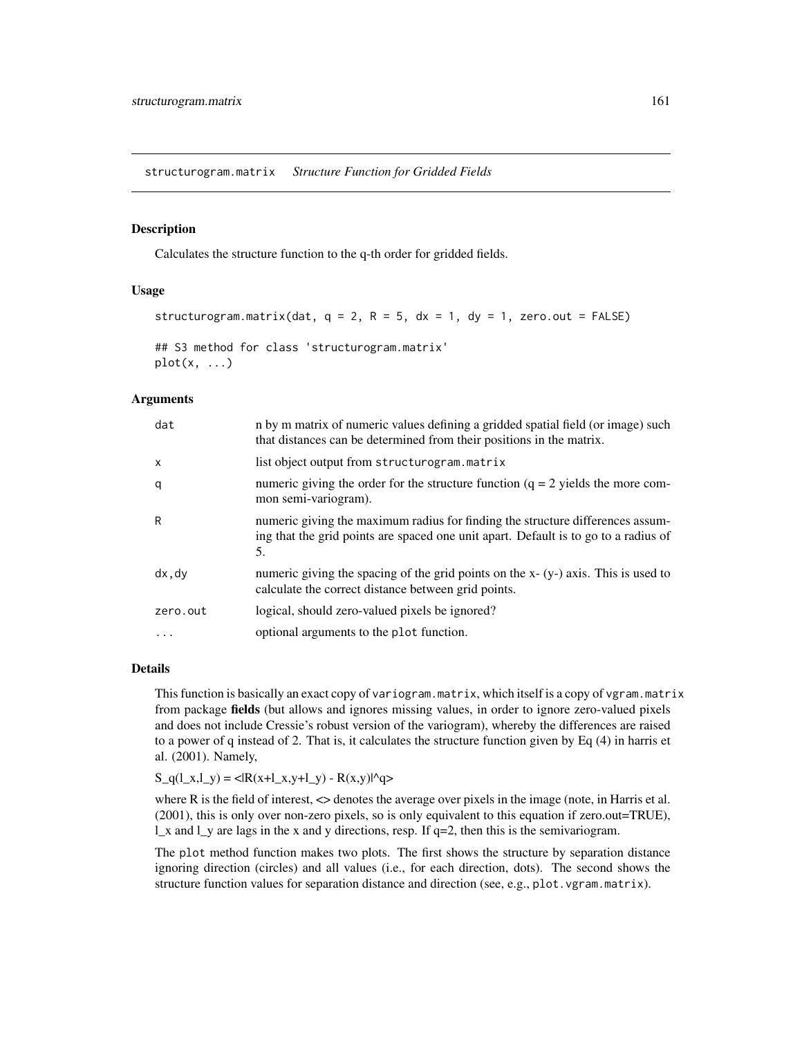<span id="page-160-0"></span>structurogram.matrix *Structure Function for Gridded Fields*

# **Description**

Calculates the structure function to the q-th order for gridded fields.

#### Usage

```
structurogram.matrix(dat, q = 2, R = 5, dx = 1, dy = 1, zero.out = FALSE)
## S3 method for class 'structurogram.matrix'
plot(x, \ldots)
```
## Arguments

| dat          | n by m matrix of numeric values defining a gridded spatial field (or image) such<br>that distances can be determined from their positions in the matrix.                    |
|--------------|-----------------------------------------------------------------------------------------------------------------------------------------------------------------------------|
| $\mathsf{x}$ | list object output from structurogram.matrix                                                                                                                                |
| q            | numeric giving the order for the structure function $(q = 2$ yields the more com-<br>mon semi-variogram).                                                                   |
| R            | numeric giving the maximum radius for finding the structure differences assum-<br>ing that the grid points are spaced one unit apart. Default is to go to a radius of<br>5. |
| dx, dy       | numeric giving the spacing of the grid points on the $x - (y-)$ axis. This is used to<br>calculate the correct distance between grid points.                                |
| zero.out     | logical, should zero-valued pixels be ignored?                                                                                                                              |
| .            | optional arguments to the plot function.                                                                                                                                    |

# Details

This function is basically an exact copy of variogram.matrix, which itself is a copy of vgram.matrix from package fields (but allows and ignores missing values, in order to ignore zero-valued pixels and does not include Cressie's robust version of the variogram), whereby the differences are raised to a power of q instead of 2. That is, it calculates the structure function given by Eq (4) in harris et al. (2001). Namely,

 $S_q(1_x,1_y) = \langle R(x+1_x,y+1_y) - R(x,y)|^2 \rangle$ 

where R is the field of interest, <> denotes the average over pixels in the image (note, in Harris et al. (2001), this is only over non-zero pixels, so is only equivalent to this equation if zero.out=TRUE),  $\perp$ x and  $\perp$ y are lags in the x and y directions, resp. If q=2, then this is the semivariogram.

The plot method function makes two plots. The first shows the structure by separation distance ignoring direction (circles) and all values (i.e., for each direction, dots). The second shows the structure function values for separation distance and direction (see, e.g., plot.vgram.matrix).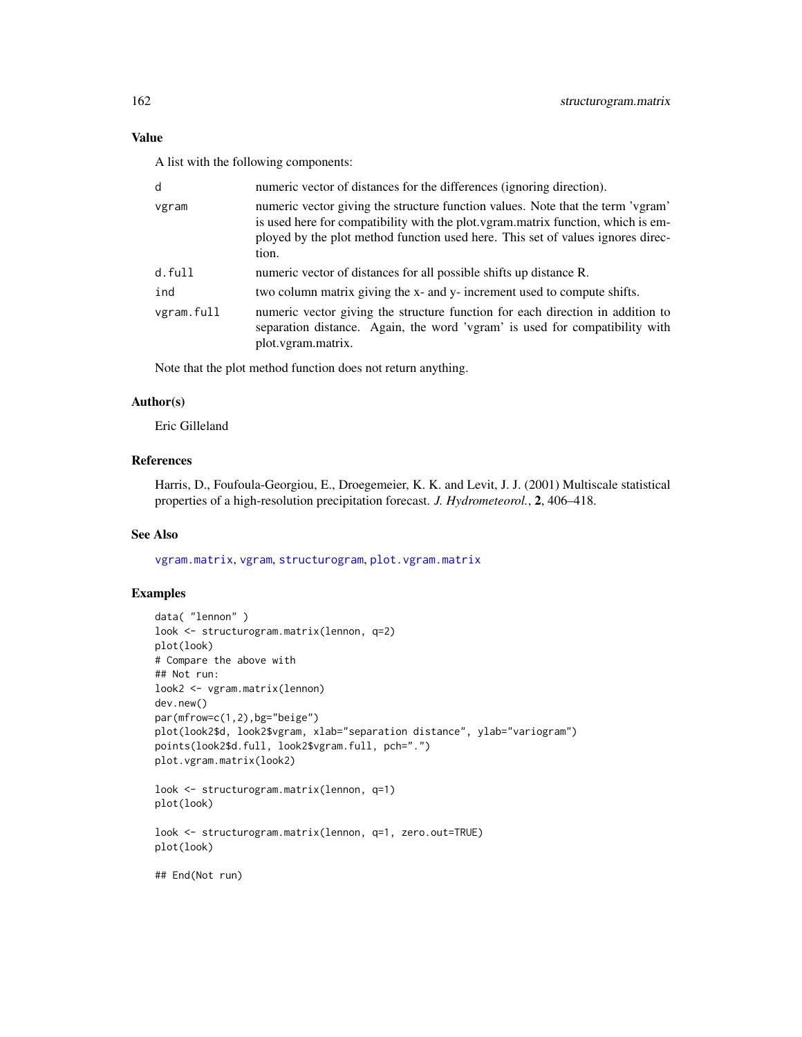## Value

A list with the following components:

| numeric vector of distances for the differences (ignoring direction).                                                                                                                                                                                           |  |
|-----------------------------------------------------------------------------------------------------------------------------------------------------------------------------------------------------------------------------------------------------------------|--|
| numeric vector giving the structure function values. Note that the term 'vgram'<br>is used here for compatibility with the plot vgram matrix function, which is em-<br>ployed by the plot method function used here. This set of values ignores direc-<br>tion. |  |
| numeric vector of distances for all possible shifts up distance R.                                                                                                                                                                                              |  |
| two column matrix giving the x- and y- increment used to compute shifts.                                                                                                                                                                                        |  |
| numeric vector giving the structure function for each direction in addition to<br>separation distance. Again, the word 'vgram' is used for compatibility with<br>plot.vgram.matrix.                                                                             |  |
|                                                                                                                                                                                                                                                                 |  |

Note that the plot method function does not return anything.

# Author(s)

Eric Gilleland

# References

Harris, D., Foufoula-Georgiou, E., Droegemeier, K. K. and Levit, J. J. (2001) Multiscale statistical properties of a high-resolution precipitation forecast. *J. Hydrometeorol.*, 2, 406–418.

# See Also

[vgram.matrix](#page-0-0), [vgram](#page-0-0), [structurogram](#page-157-0), [plot.vgram.matrix](#page-0-0)

## Examples

```
data( "lennon" )
look <- structurogram.matrix(lennon, q=2)
plot(look)
# Compare the above with
## Not run:
look2 <- vgram.matrix(lennon)
dev.new()
par(mfrow=c(1,2),bg="beige")
plot(look2$d, look2$vgram, xlab="separation distance", ylab="variogram")
points(look2$d.full, look2$vgram.full, pch=".")
plot.vgram.matrix(look2)
look <- structurogram.matrix(lennon, q=1)
plot(look)
look <- structurogram.matrix(lennon, q=1, zero.out=TRUE)
plot(look)
## End(Not run)
```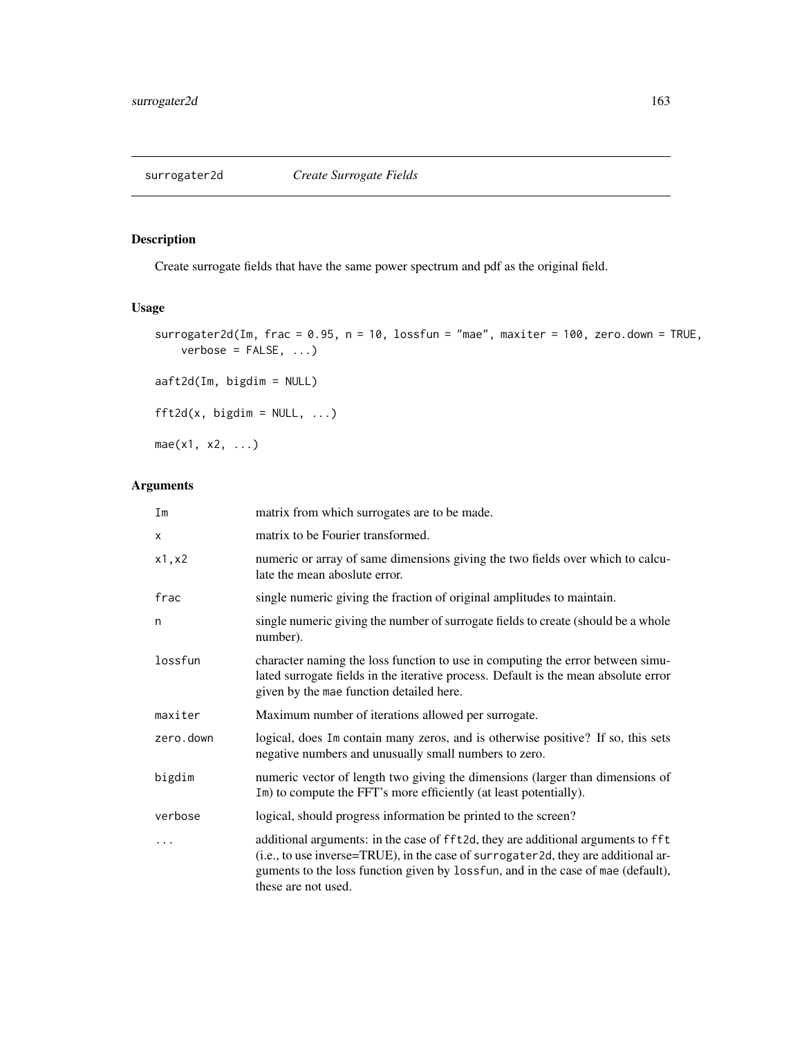# Description

Create surrogate fields that have the same power spectrum and pdf as the original field.

# Usage

```
surrogater2d(Im, frac = 0.95, n = 10, lossfun = "mae", maxiter = 100, zero.down = TRUE,
    verbose = FALSE, ...)
```

```
aaft2d(Im, bigdim = NULL)
```

```
fft2d(x, bigdim = NULL, ...)
```
 $mae(x1, x2, ...)$ 

# Arguments

| Im        | matrix from which surrogates are to be made.                                                                                                                                                                                                                                     |  |
|-----------|----------------------------------------------------------------------------------------------------------------------------------------------------------------------------------------------------------------------------------------------------------------------------------|--|
| x         | matrix to be Fourier transformed.                                                                                                                                                                                                                                                |  |
| x1, x2    | numeric or array of same dimensions giving the two fields over which to calcu-<br>late the mean aboslute error.                                                                                                                                                                  |  |
| frac      | single numeric giving the fraction of original amplitudes to maintain.                                                                                                                                                                                                           |  |
| n         | single numeric giving the number of surrogate fields to create (should be a whole<br>number).                                                                                                                                                                                    |  |
| lossfun   | character naming the loss function to use in computing the error between simu-<br>lated surrogate fields in the iterative process. Default is the mean absolute error<br>given by the mae function detailed here.                                                                |  |
| maxiter   | Maximum number of iterations allowed per surrogate.                                                                                                                                                                                                                              |  |
| zero.down | logical, does Im contain many zeros, and is otherwise positive? If so, this sets<br>negative numbers and unusually small numbers to zero.                                                                                                                                        |  |
| bigdim    | numeric vector of length two giving the dimensions (larger than dimensions of<br>Im) to compute the FFT's more efficiently (at least potentially).                                                                                                                               |  |
| verbose   | logical, should progress information be printed to the screen?                                                                                                                                                                                                                   |  |
| .         | additional arguments: in the case of fft2d, they are additional arguments to fft<br>(i.e., to use inverse=TRUE), in the case of surrogater2d, they are additional ar-<br>guments to the loss function given by lossfun, and in the case of mae (default),<br>these are not used. |  |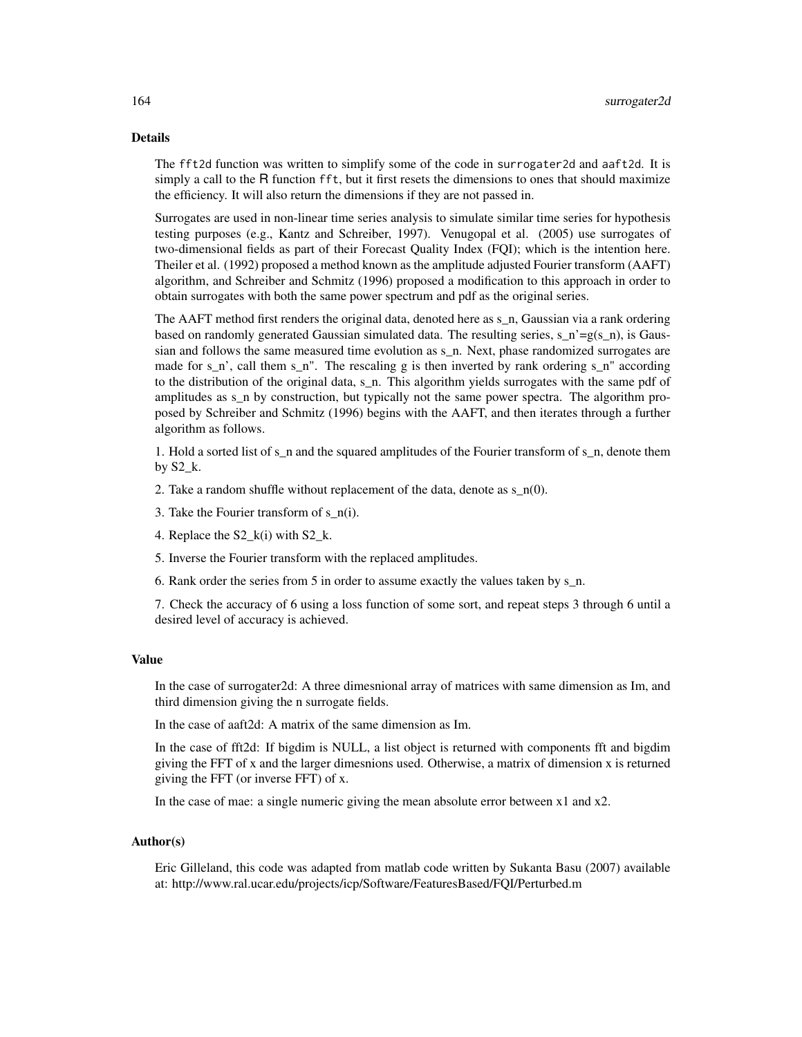#### Details

The fft2d function was written to simplify some of the code in surrogater2d and aaft2d. It is simply a call to the R function fft, but it first resets the dimensions to ones that should maximize the efficiency. It will also return the dimensions if they are not passed in.

Surrogates are used in non-linear time series analysis to simulate similar time series for hypothesis testing purposes (e.g., Kantz and Schreiber, 1997). Venugopal et al. (2005) use surrogates of two-dimensional fields as part of their Forecast Quality Index (FQI); which is the intention here. Theiler et al. (1992) proposed a method known as the amplitude adjusted Fourier transform (AAFT) algorithm, and Schreiber and Schmitz (1996) proposed a modification to this approach in order to obtain surrogates with both the same power spectrum and pdf as the original series.

The AAFT method first renders the original data, denoted here as  $s_n$ , Gaussian via a rank ordering based on randomly generated Gaussian simulated data. The resulting series, s\_n'=g(s\_n), is Gaussian and follows the same measured time evolution as s\_n. Next, phase randomized surrogates are made for  $s_n$ , call them  $s_n$ ". The rescaling g is then inverted by rank ordering  $s_n$ " according to the distribution of the original data, s\_n. This algorithm yields surrogates with the same pdf of amplitudes as s n by construction, but typically not the same power spectra. The algorithm proposed by Schreiber and Schmitz (1996) begins with the AAFT, and then iterates through a further algorithm as follows.

1. Hold a sorted list of s\_n and the squared amplitudes of the Fourier transform of s\_n, denote them by S2\_k.

2. Take a random shuffle without replacement of the data, denote as  $s_n(0)$ .

- 3. Take the Fourier transform of  $s_n(i)$ .
- 4. Replace the S2  $k(i)$  with S2  $k$ .
- 5. Inverse the Fourier transform with the replaced amplitudes.
- 6. Rank order the series from 5 in order to assume exactly the values taken by s\_n.

7. Check the accuracy of 6 using a loss function of some sort, and repeat steps 3 through 6 until a desired level of accuracy is achieved.

#### Value

In the case of surrogater2d: A three dimesnional array of matrices with same dimension as Im, and third dimension giving the n surrogate fields.

In the case of aaft2d: A matrix of the same dimension as Im.

In the case of fft2d: If bigdim is NULL, a list object is returned with components fft and bigdim giving the FFT of x and the larger dimesnions used. Otherwise, a matrix of dimension x is returned giving the FFT (or inverse FFT) of x.

In the case of mae: a single numeric giving the mean absolute error between x1 and x2.

### Author(s)

Eric Gilleland, this code was adapted from matlab code written by Sukanta Basu (2007) available at: http://www.ral.ucar.edu/projects/icp/Software/FeaturesBased/FQI/Perturbed.m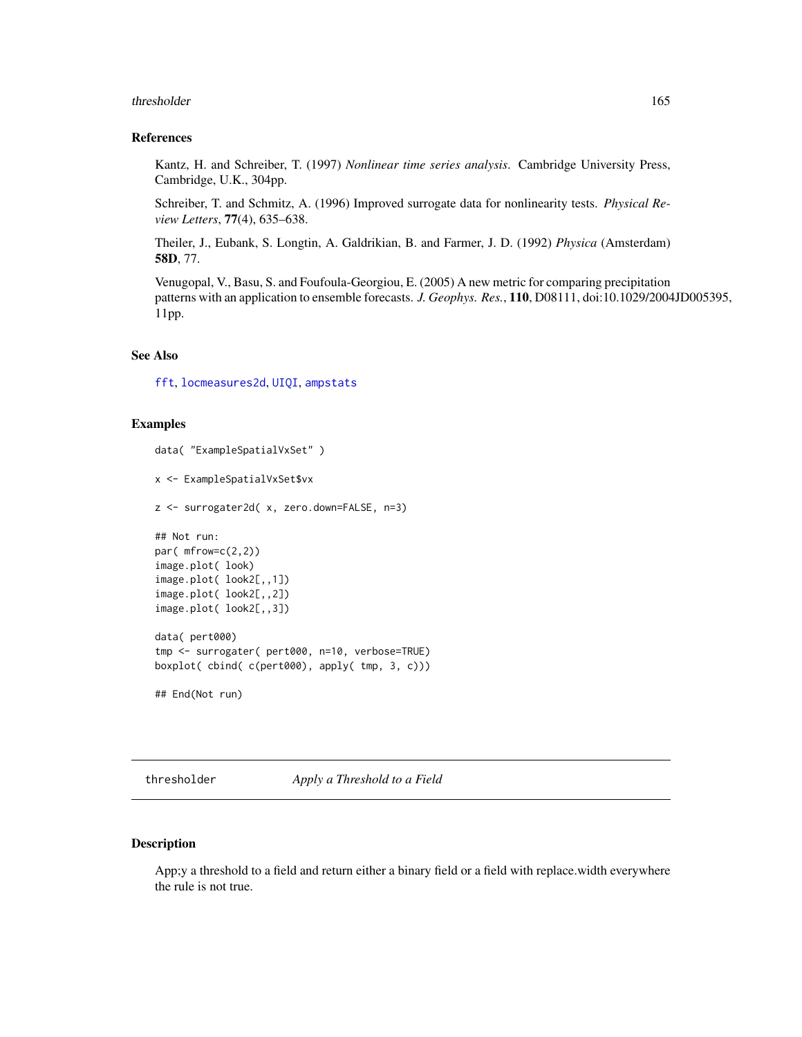#### thresholder 165

#### References

Kantz, H. and Schreiber, T. (1997) *Nonlinear time series analysis*. Cambridge University Press, Cambridge, U.K., 304pp.

Schreiber, T. and Schmitz, A. (1996) Improved surrogate data for nonlinearity tests. *Physical Review Letters*, 77(4), 635–638.

Theiler, J., Eubank, S. Longtin, A. Galdrikian, B. and Farmer, J. D. (1992) *Physica* (Amsterdam) 58D, 77.

Venugopal, V., Basu, S. and Foufoula-Georgiou, E. (2005) A new metric for comparing precipitation patterns with an application to ensemble forecasts. *J. Geophys. Res.*, 110, D08111, doi:10.1029/2004JD005395, 11pp.

# See Also

[fft](#page-0-0), [locmeasures2d](#page-101-0), [UIQI](#page-69-0), [ampstats](#page-69-0)

# Examples

```
data( "ExampleSpatialVxSet" )
x <- ExampleSpatialVxSet$vx
z <- surrogater2d( x, zero.down=FALSE, n=3)
## Not run:
par( mfrow=c(2,2))
image.plot( look)
image.plot( look2[,,1])
image.plot( look2[,,2])
image.plot( look2[,,3])
data( pert000)
tmp <- surrogater( pert000, n=10, verbose=TRUE)
boxplot( cbind( c(pert000), apply( tmp, 3, c)))
```
## End(Not run)

<span id="page-164-0"></span>thresholder *Apply a Threshold to a Field*

# Description

App;y a threshold to a field and return either a binary field or a field with replace.width everywhere the rule is not true.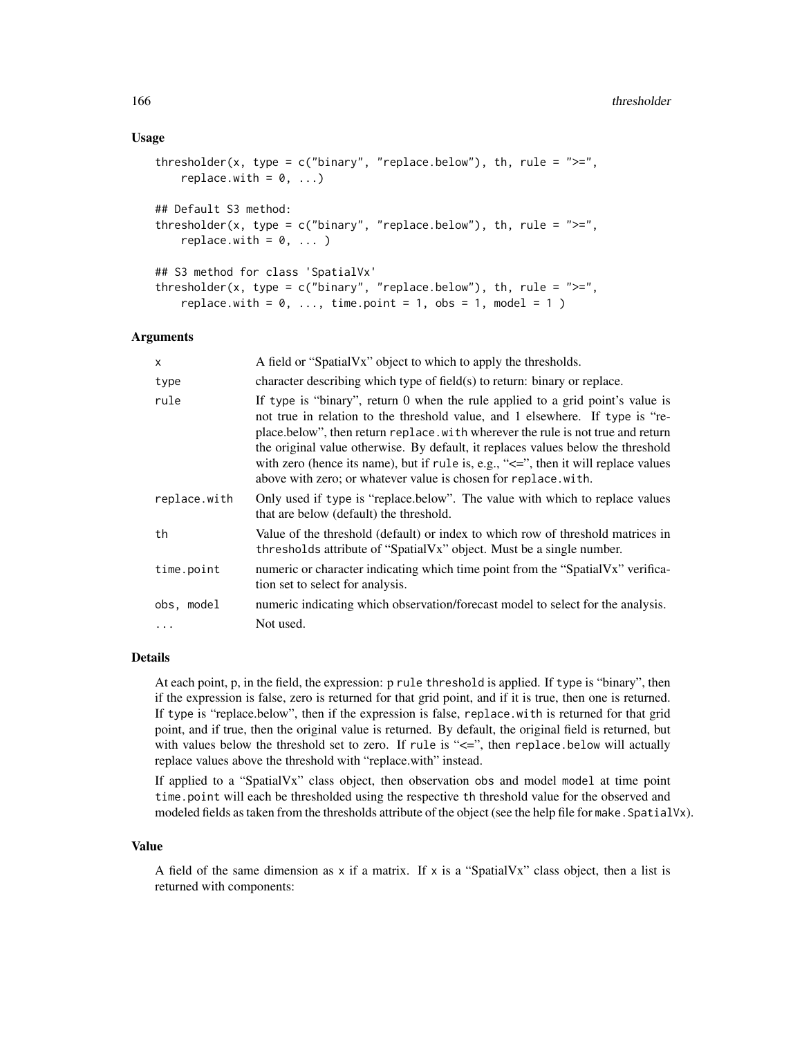## Usage

```
thresholder(x, type = c("binary", "replace.below"), th, rule = ">=",replace.with = 0, ...)
## Default S3 method:
thresholder(x, type = c("binary", "replace.below"), th, rule = ">=",replace.util = 0, ...)## S3 method for class 'SpatialVx'
thresholder(x, type = c("binary", "replace.below"), th, rule = ">=",replace.with = 0, \ldots, time.point = 1, obs = 1, model = 1)
```
## Arguments

| X            | A field or "SpatialVx" object to which to apply the thresholds.                                                                                                                                                                                                                                                                                                                                                                                                                                       |
|--------------|-------------------------------------------------------------------------------------------------------------------------------------------------------------------------------------------------------------------------------------------------------------------------------------------------------------------------------------------------------------------------------------------------------------------------------------------------------------------------------------------------------|
| type         | character describing which type of field(s) to return: binary or replace.                                                                                                                                                                                                                                                                                                                                                                                                                             |
| rule         | If type is "binary", return 0 when the rule applied to a grid point's value is<br>not true in relation to the threshold value, and 1 elsewhere. If type is "re-<br>place.below", then return replace.with wherever the rule is not true and return<br>the original value otherwise. By default, it replaces values below the threshold<br>with zero (hence its name), but if rule is, e.g., " $\leq$ ", then it will replace values<br>above with zero; or whatever value is chosen for replace.with. |
| replace.with | Only used if type is "replace.below". The value with which to replace values<br>that are below (default) the threshold.                                                                                                                                                                                                                                                                                                                                                                               |
| th           | Value of the threshold (default) or index to which row of threshold matrices in<br>thresholds attribute of "SpatialVx" object. Must be a single number.                                                                                                                                                                                                                                                                                                                                               |
| time.point   | numeric or character indicating which time point from the "SpatialVx" verifica-<br>tion set to select for analysis.                                                                                                                                                                                                                                                                                                                                                                                   |
| obs, model   | numeric indicating which observation/forecast model to select for the analysis.                                                                                                                                                                                                                                                                                                                                                                                                                       |
| $\cdots$     | Not used.                                                                                                                                                                                                                                                                                                                                                                                                                                                                                             |

#### Details

At each point, p, in the field, the expression: p rule threshold is applied. If type is "binary", then if the expression is false, zero is returned for that grid point, and if it is true, then one is returned. If type is "replace.below", then if the expression is false, replace.with is returned for that grid point, and if true, then the original value is returned. By default, the original field is returned, but with values below the threshold set to zero. If rule is "<=", then replace.below will actually replace values above the threshold with "replace.with" instead.

If applied to a "SpatialVx" class object, then observation obs and model model at time point time.point will each be thresholded using the respective th threshold value for the observed and modeled fields as taken from the thresholds attribute of the object (see the help file for make. SpatialVx).

#### Value

A field of the same dimension as x if a matrix. If x is a "SpatialVx" class object, then a list is returned with components: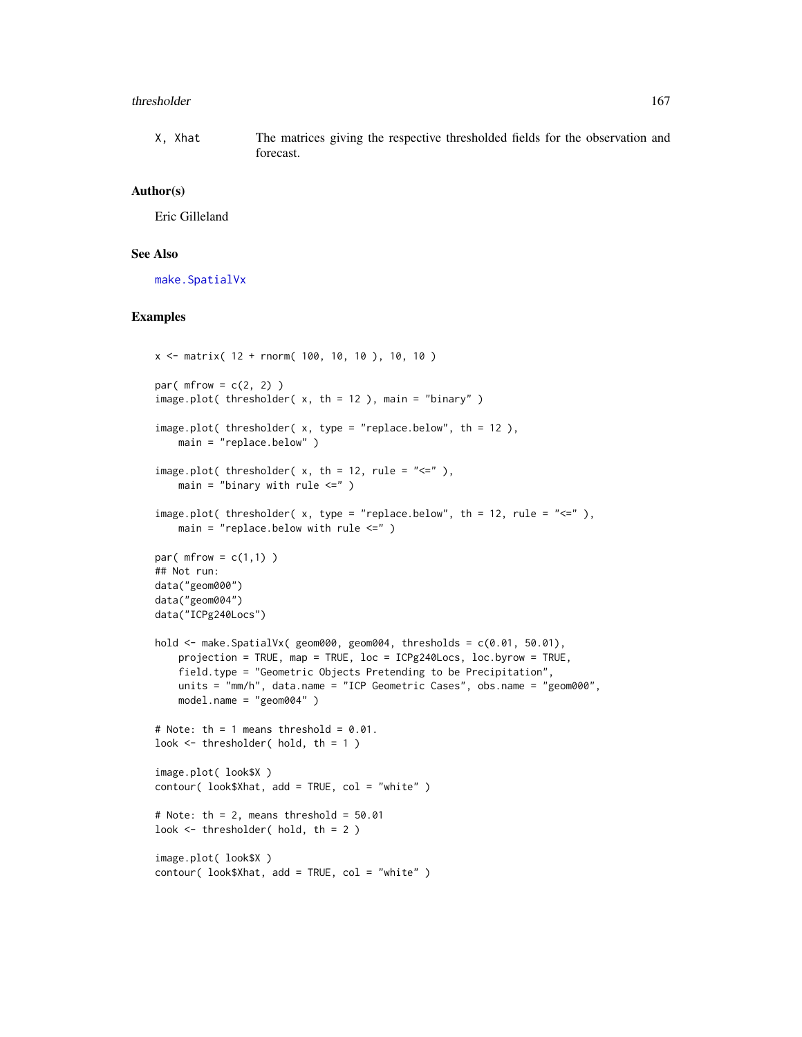#### thresholder 167

X, Xhat The matrices giving the respective thresholded fields for the observation and forecast.

## Author(s)

Eric Gilleland

# See Also

[make.SpatialVx](#page-114-0)

## Examples

```
x \le - matrix( 12 + rnorm( 100, 10, 10), 10, 10)
par(mfrow = c(2, 2))
image.plot( thresholder( x, th = 12 ), main = "binary" )
image.plot( thresholder( x, type = "replace.below", th = 12 ),
   main = "replace.below" )
image.plot( thresholder( x, th = 12, rule = "\leq"),
   main = "binary with rule \leq" )
image.plot( thresholder( x, type = "replace.below", th = 12, rule = "<=" ),
   main = "replace.below with rule \leq" )
par(mfrow = c(1,1))
## Not run:
data("geom000")
data("geom004")
data("ICPg240Locs")
hold <- make.SpatialVx( geom000, geom004, thresholds = c(0.01, 50.01),
    projection = TRUE, map = TRUE, loc = ICPg240Locs, loc.byrow = TRUE,
    field.type = "Geometric Objects Pretending to be Precipitation",
   units = "mm/h", data.name = "ICP Geometric Cases", obs.name = "geom000",
    model.name = "geom004" )
# Note: th = 1 means threshold = 0.01.
look \leq thresholder( hold, th = 1 )
image.plot( look$X )
contour( look$Xhat, add = TRUE, col = "white" )
# Note: th = 2, means threshold = 50.01look \leq thresholder( hold, th = 2 )
image.plot( look$X )
contour( look$Xhat, add = TRUE, col = "white" )
```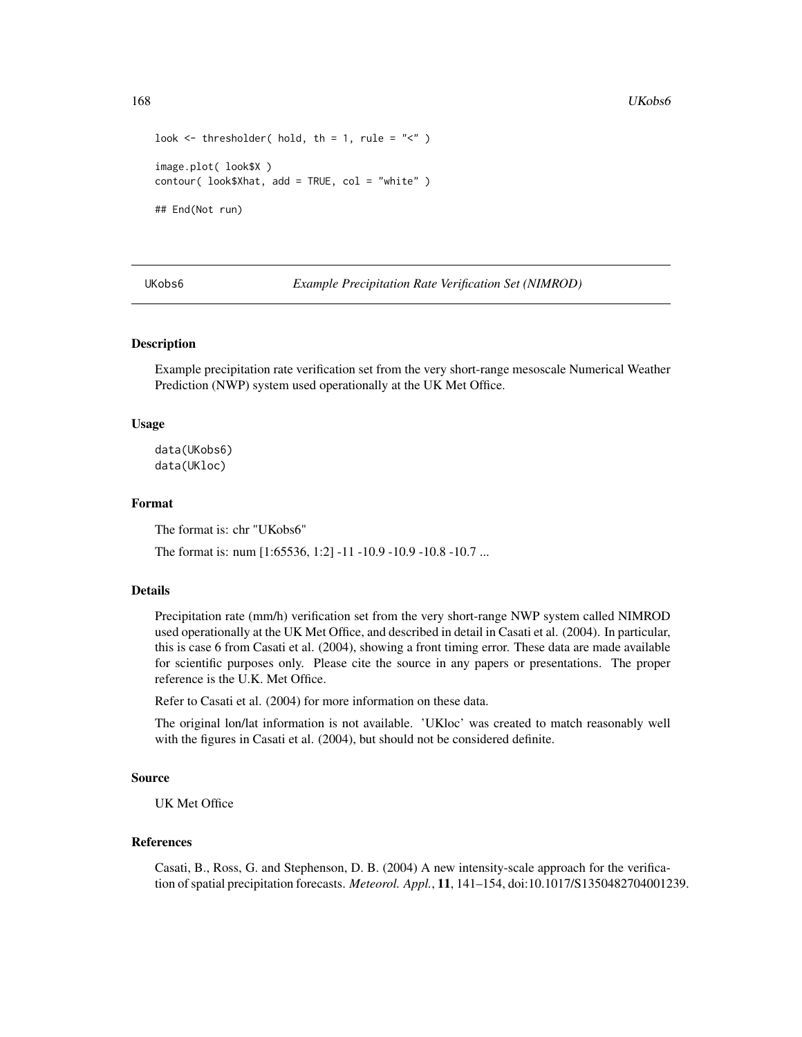```
look \leq thresholder( hold, th = 1, rule = "\leq" )
image.plot( look$X )
contour( look$Xhat, add = TRUE, col = "white" )
## End(Not run)
```
UKobs6 *Example Precipitation Rate Verification Set (NIMROD)*

#### Description

Example precipitation rate verification set from the very short-range mesoscale Numerical Weather Prediction (NWP) system used operationally at the UK Met Office.

#### Usage

data(UKobs6) data(UKloc)

# Format

The format is: chr "UKobs6"

The format is: num [1:65536, 1:2] -11 -10.9 -10.9 -10.8 -10.7 ...

# Details

Precipitation rate (mm/h) verification set from the very short-range NWP system called NIMROD used operationally at the UK Met Office, and described in detail in Casati et al. (2004). In particular, this is case 6 from Casati et al. (2004), showing a front timing error. These data are made available for scientific purposes only. Please cite the source in any papers or presentations. The proper reference is the U.K. Met Office.

Refer to Casati et al. (2004) for more information on these data.

The original lon/lat information is not available. 'UKloc' was created to match reasonably well with the figures in Casati et al. (2004), but should not be considered definite.

## Source

UK Met Office

## References

Casati, B., Ross, G. and Stephenson, D. B. (2004) A new intensity-scale approach for the verification of spatial precipitation forecasts. *Meteorol. Appl.*, 11, 141–154, doi:10.1017/S1350482704001239.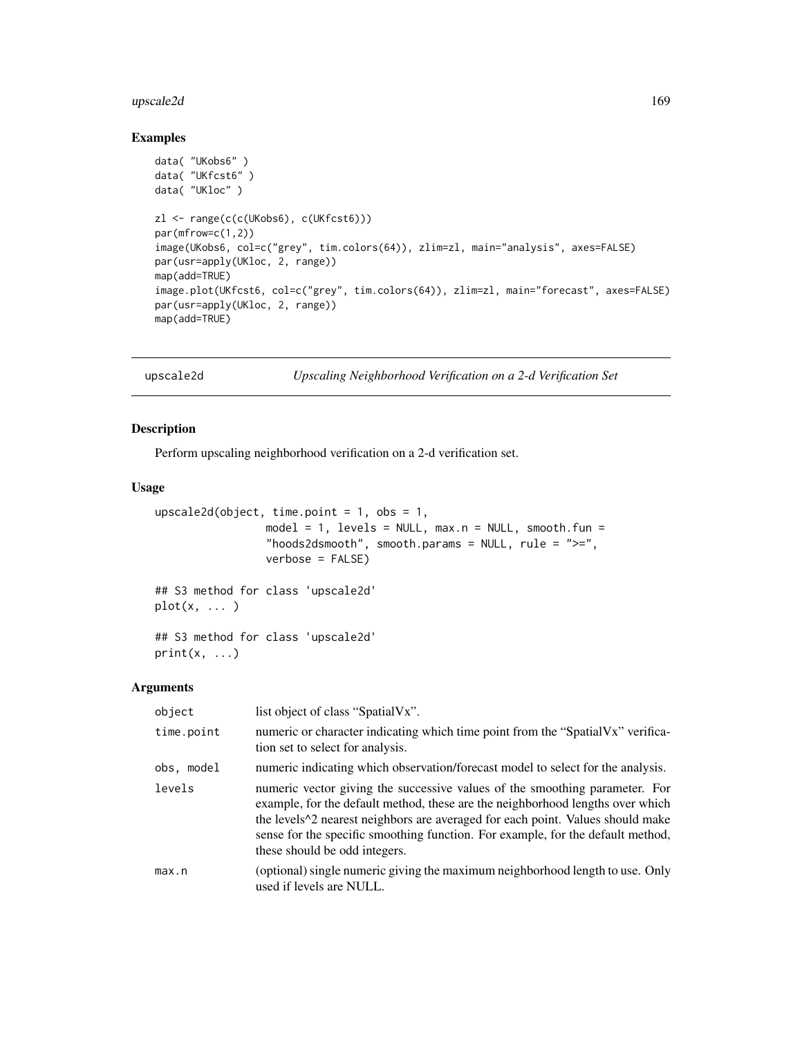#### upscale2d 169

## Examples

```
data( "UKobs6" )
data( "UKfcst6" )
data( "UKloc" )
zl <- range(c(c(UKobs6), c(UKfcst6)))
par(mfrow=c(1,2))
image(UKobs6, col=c("grey", tim.colors(64)), zlim=zl, main="analysis", axes=FALSE)
par(usr=apply(UKloc, 2, range))
map(add=TRUE)
image.plot(UKfcst6, col=c("grey", tim.colors(64)), zlim=zl, main="forecast", axes=FALSE)
par(usr=apply(UKloc, 2, range))
map(add=TRUE)
```
upscale2d *Upscaling Neighborhood Verification on a 2-d Verification Set*

## Description

Perform upscaling neighborhood verification on a 2-d verification set.

#### Usage

```
upscale2d(object, time.point = 1, obs = 1,
                 model = 1, levels = NULL, max.n = NULL, smooth.fun =
                 "hoods2dsmooth", smooth.params = NULL, rule = ">=",
                 verbose = FALSE)
## S3 method for class 'upscale2d'
plot(x, \ldots)## S3 method for class 'upscale2d'
print(x, \ldots)
```
## Arguments

| object     | list object of class "SpatialVx".                                                                                                                                                                                                                                                                                                                                                                 |
|------------|---------------------------------------------------------------------------------------------------------------------------------------------------------------------------------------------------------------------------------------------------------------------------------------------------------------------------------------------------------------------------------------------------|
| time.point | numeric or character indicating which time point from the "SpatialVx" verifica-<br>tion set to select for analysis.                                                                                                                                                                                                                                                                               |
| obs, model | numeric indicating which observation/forecast model to select for the analysis.                                                                                                                                                                                                                                                                                                                   |
| levels     | numeric vector giving the successive values of the smoothing parameter. For<br>example, for the default method, these are the neighborhood lengths over which<br>the levels <sup><math>\wedge</math>2</sup> nearest neighbors are averaged for each point. Values should make<br>sense for the specific smoothing function. For example, for the default method,<br>these should be odd integers. |
| max.n      | (optional) single numeric giving the maximum neighborhood length to use. Only<br>used if levels are NULL.                                                                                                                                                                                                                                                                                         |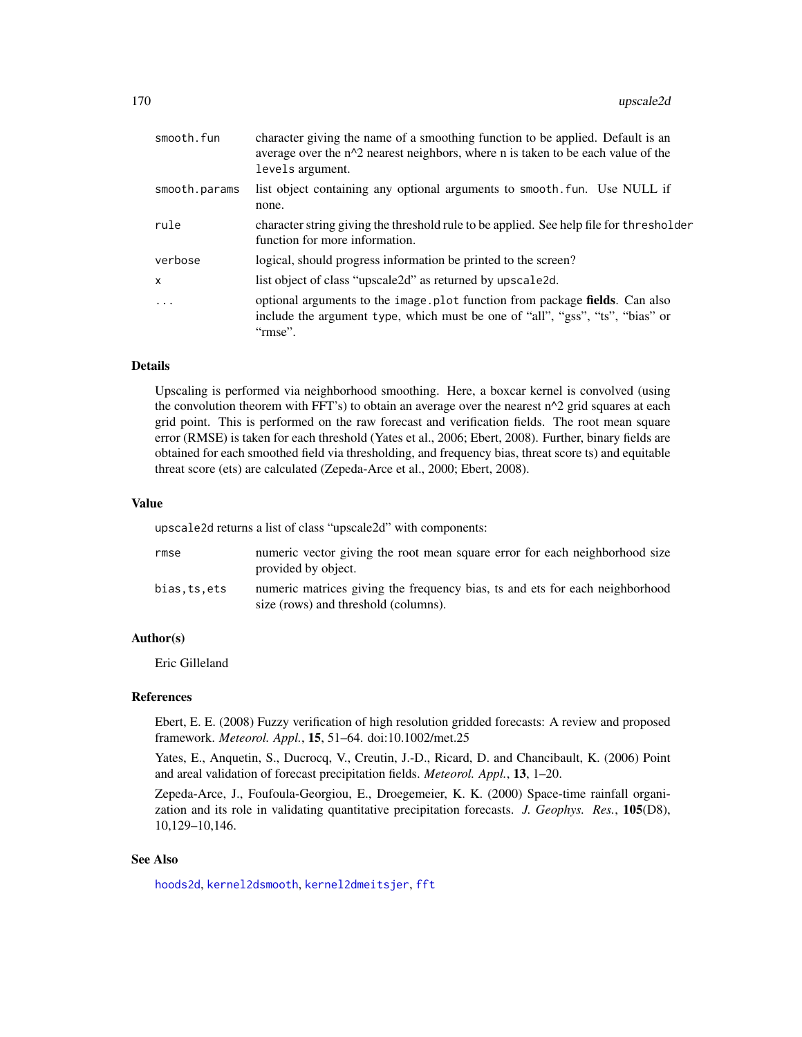| smooth.fun    | character giving the name of a smoothing function to be applied. Default is an<br>average over the $n^2$ nearest neighbors, where n is taken to be each value of the<br>levels argument. |
|---------------|------------------------------------------------------------------------------------------------------------------------------------------------------------------------------------------|
| smooth.params | list object containing any optional arguments to smooth. Fun. Use NULL if<br>none.                                                                                                       |
| rule          | character string giving the threshold rule to be applied. See help file for thresholder<br>function for more information.                                                                |
| verbose       | logical, should progress information be printed to the screen?                                                                                                                           |
| x             | list object of class "upscale2d" as returned by upscale2d.                                                                                                                               |
| $\ddots$ .    | optional arguments to the image.plot function from package fields. Can also<br>include the argument type, which must be one of "all", "gss", "ts", "bias" or<br>"rmse".                  |
|               |                                                                                                                                                                                          |

#### Details

Upscaling is performed via neighborhood smoothing. Here, a boxcar kernel is convolved (using the convolution theorem with FFT's) to obtain an average over the nearest  $n^2$  grid squares at each grid point. This is performed on the raw forecast and verification fields. The root mean square error (RMSE) is taken for each threshold (Yates et al., 2006; Ebert, 2008). Further, binary fields are obtained for each smoothed field via thresholding, and frequency bias, threat score ts) and equitable threat score (ets) are calculated (Zepeda-Arce et al., 2000; Ebert, 2008).

#### Value

upscale2d returns a list of class "upscale2d" with components:

| rmse        | numeric vector giving the root mean square error for each neighborhood size<br>provided by object.                   |
|-------------|----------------------------------------------------------------------------------------------------------------------|
| bias.ts.ets | numeric matrices giving the frequency bias, ts and ets for each neighborhood<br>size (rows) and threshold (columns). |

#### Author(s)

Eric Gilleland

## References

Ebert, E. E. (2008) Fuzzy verification of high resolution gridded forecasts: A review and proposed framework. *Meteorol. Appl.*, 15, 51–64. doi:10.1002/met.25

Yates, E., Anquetin, S., Ducrocq, V., Creutin, J.-D., Ricard, D. and Chancibault, K. (2006) Point and areal validation of forecast precipitation fields. *Meteorol. Appl.*, 13, 1–20.

Zepeda-Arce, J., Foufoula-Georgiou, E., Droegemeier, K. K. (2000) Space-time rainfall organization and its role in validating quantitative precipitation forecasts. *J. Geophys. Res.*, 105(D8), 10,129–10,146.

# See Also

[hoods2d](#page-88-0), [kernel2dsmooth](#page-0-0), [kernel2dmeitsjer](#page-0-0), [fft](#page-0-0)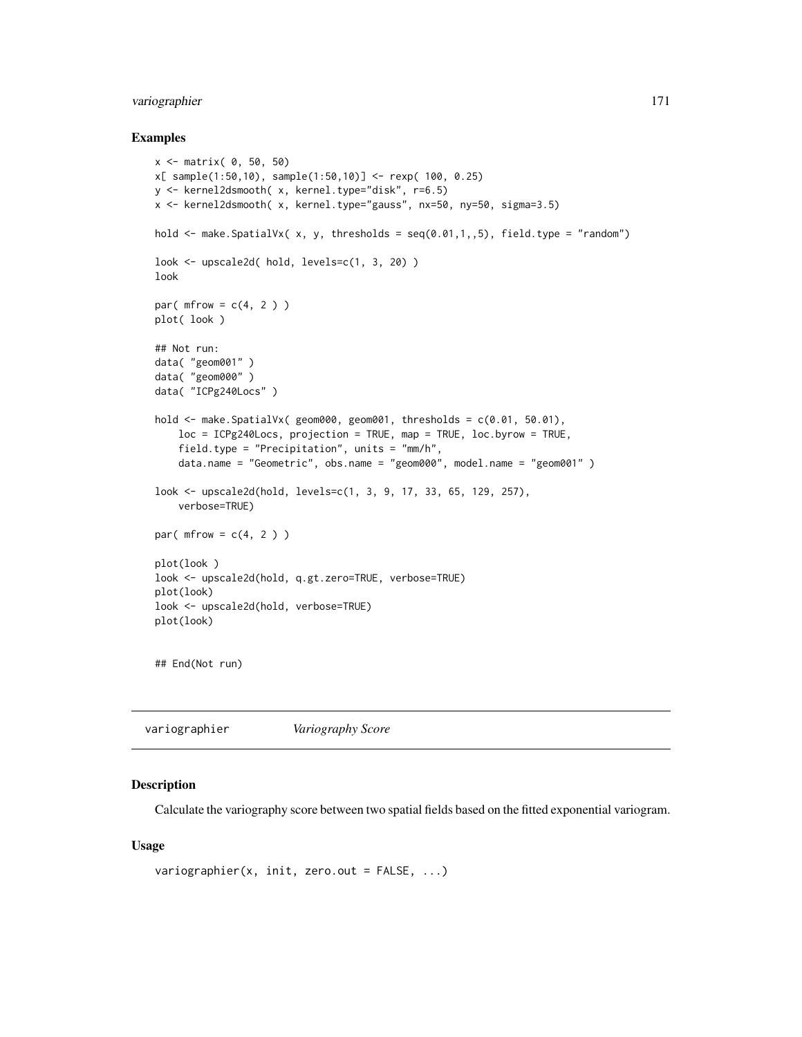# variographier 171

#### Examples

```
x <- matrix( 0, 50, 50)
x[ sample(1:50,10), sample(1:50,10)] <- rexp( 100, 0.25)
y <- kernel2dsmooth( x, kernel.type="disk", r=6.5)
x <- kernel2dsmooth( x, kernel.type="gauss", nx=50, ny=50, sigma=3.5)
hold \le make. SpatialVx( x, y, thresholds = seq(0.01,1,,5), field. type = "random")
look <- upscale2d( hold, levels=c(1, 3, 20) )
look
par(mfrow = c(4, 2))
plot( look )
## Not run:
data( "geom001" )
data( "geom000" )
data( "ICPg240Locs" )
hold <- make.SpatialVx( geom000, geom001, thresholds = c(0.01, 50.01),
    loc = ICPg240Locs, projection = TRUE, map = TRUE, loc.byrow = TRUE,
    field.type = "Precipitation", units = "mm/h",
    data.name = "Geometric", obs.name = "geom000", model.name = "geom001" )
look <- upscale2d(hold, levels=c(1, 3, 9, 17, 33, 65, 129, 257),
    verbose=TRUE)
par(mfrow = c(4, 2))
plot(look )
look <- upscale2d(hold, q.gt.zero=TRUE, verbose=TRUE)
plot(look)
look <- upscale2d(hold, verbose=TRUE)
plot(look)
## End(Not run)
```

|--|

# Description

Calculate the variography score between two spatial fields based on the fitted exponential variogram.

#### Usage

```
variographier(x, init, zero.out = FALSE, ...)
```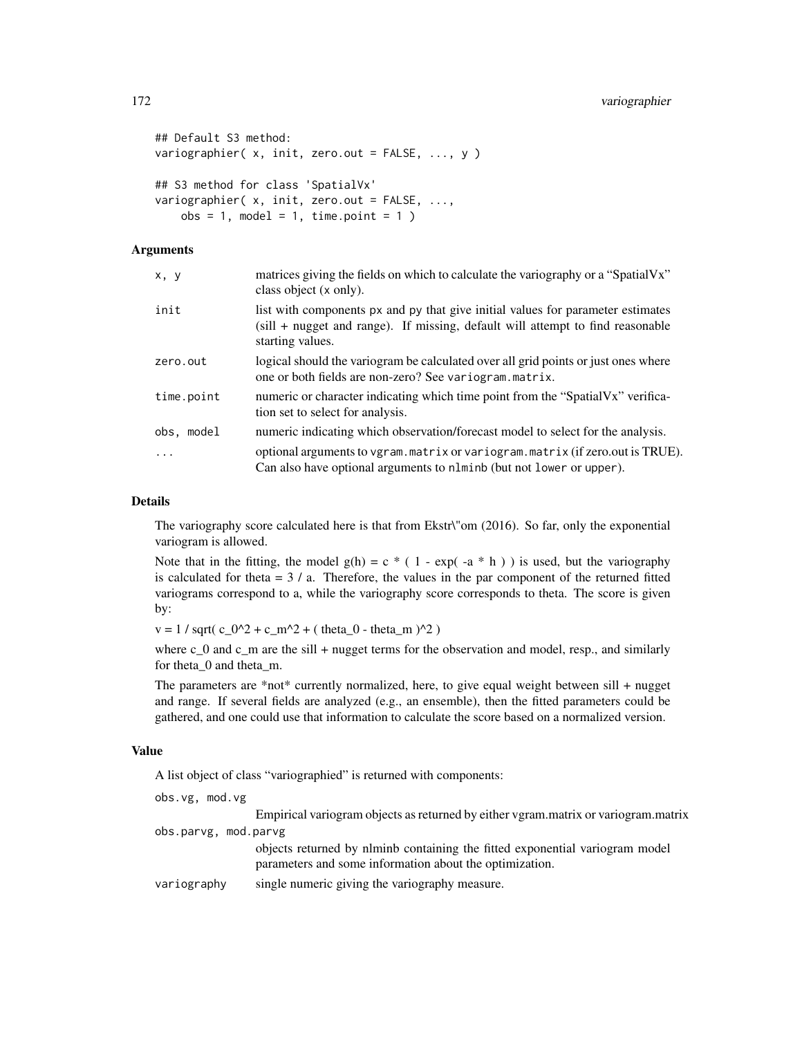```
## Default S3 method:
variographier( x, init, zero.out = FALSE, ..., y )
## S3 method for class 'SpatialVx'
variographier( x, init, zero.out = FALSE, ...,
   obs = 1, model = 1, time.point = 1)
```
## Arguments

| x, y       | matrices giving the fields on which to calculate the variography or a "SpatialVx"<br>class object (x only).                                                                              |
|------------|------------------------------------------------------------------------------------------------------------------------------------------------------------------------------------------|
| init       | list with components px and py that give initial values for parameter estimates<br>$(sill + nugget and range)$ . If missing, default will attempt to find reasonable<br>starting values. |
| zero.out   | logical should the variogram be calculated over all grid points or just ones where<br>one or both fields are non-zero? See variogram. matrix.                                            |
| time.point | numeric or character indicating which time point from the "SpatialVx" verifica-<br>tion set to select for analysis.                                                                      |
| obs, model | numeric indicating which observation/forecast model to select for the analysis.                                                                                                          |
| $\ddotsc$  | optional arguments to vgram. matrix or variogram. matrix (if zero.out is TRUE).<br>Can also have optional arguments to nlminb (but not lower or upper).                                  |

## Details

The variography score calculated here is that from Ekstr\"om (2016). So far, only the exponential variogram is allowed.

Note that in the fitting, the model  $g(h) = c * (1 - exp(-a * h))$  is used, but the variography is calculated for theta  $= 3 / a$ . Therefore, the values in the par component of the returned fitted variograms correspond to a, while the variography score corresponds to theta. The score is given by:

 $v = 1 / \sqrt{\sqrt{C_0^2 + c_m^2 + (theta_0^0 - \theta_0^0)}$  + (theta\_0 - theta\_m )^2 )

where c<sub>o</sub> and c<sub>om</sub> are the sill + nugget terms for the observation and model, resp., and similarly for theta\_0 and theta\_m.

The parameters are  $*$ not $*$  currently normalized, here, to give equal weight between sill + nugget and range. If several fields are analyzed (e.g., an ensemble), then the fitted parameters could be gathered, and one could use that information to calculate the score based on a normalized version.

# Value

A list object of class "variographied" is returned with components:

| obs.vg, mod.vg       |                                                                                                                                         |
|----------------------|-----------------------------------------------------------------------------------------------------------------------------------------|
|                      | Empirical variogram objects as returned by either vgram matrix or variogram matrix                                                      |
| obs.parvg, mod.parvg |                                                                                                                                         |
|                      | objects returned by nlminb containing the fitted exponential variogram model<br>parameters and some information about the optimization. |
| variography          | single numeric giving the variography measure.                                                                                          |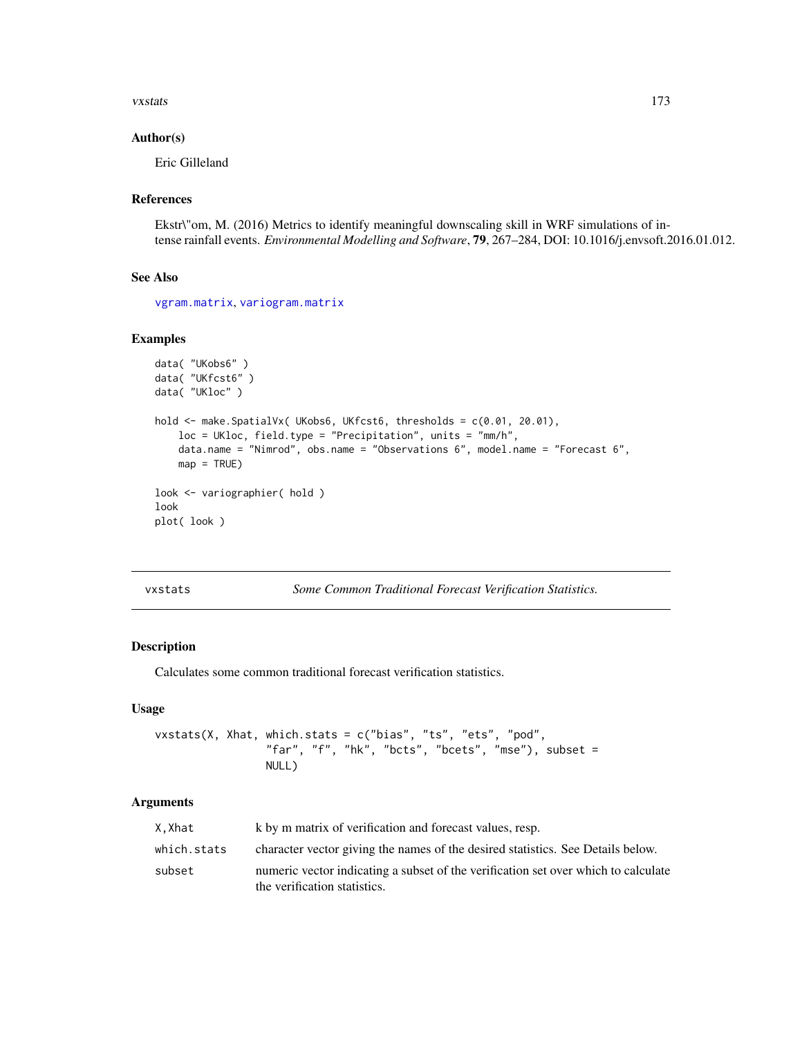#### vxstats 173

## Author(s)

Eric Gilleland

## References

Ekstr\"om, M. (2016) Metrics to identify meaningful downscaling skill in WRF simulations of intense rainfall events. *Environmental Modelling and Software*, 79, 267–284, DOI: 10.1016/j.envsoft.2016.01.012.

## See Also

[vgram.matrix](#page-0-0), [variogram.matrix](#page-0-0)

# Examples

```
data( "UKobs6" )
data( "UKfcst6" )
data( "UKloc" )
hold <- make.SpatialVx( UKobs6, UKfcst6, thresholds = c(0.01, 20.01),
    loc = UKloc, field.type = "Precipitation", units = "mm/h",
    data.name = "Nimrod", obs.name = "Observations 6", model.name = "Forecast 6",
   map = TRUE)
look <- variographier( hold )
look
plot( look )
```

| vxstats |  |  |
|---------|--|--|
|---------|--|--|

Some Common Traditional Forecast Verification Statistics.

## Description

Calculates some common traditional forecast verification statistics.

#### Usage

vxstats(X, Xhat, which.stats = c("bias", "ts", "ets", "pod", "far", "f", "hk", "bcts", "bcets", "mse"), subset = NULL)

# Arguments

| X.Xhat      | k by m matrix of verification and forecast values, resp.                           |
|-------------|------------------------------------------------------------------------------------|
| which.stats | character vector giving the names of the desired statistics. See Details below.    |
| subset      | numeric vector indicating a subset of the verification set over which to calculate |
|             | the verification statistics.                                                       |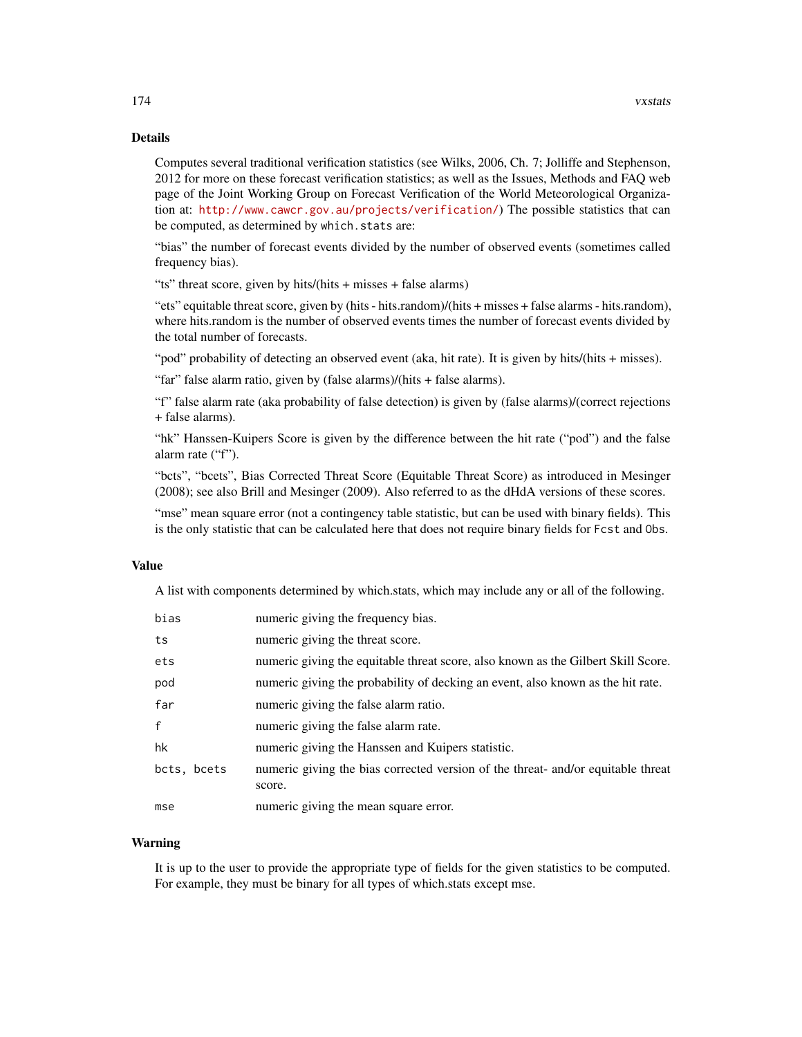# Details

Computes several traditional verification statistics (see Wilks, 2006, Ch. 7; Jolliffe and Stephenson, 2012 for more on these forecast verification statistics; as well as the Issues, Methods and FAQ web page of the Joint Working Group on Forecast Verification of the World Meteorological Organization at: <http://www.cawcr.gov.au/projects/verification/>) The possible statistics that can be computed, as determined by which.stats are:

"bias" the number of forecast events divided by the number of observed events (sometimes called frequency bias).

"ts" threat score, given by hits/(hits + misses + false alarms)

"ets" equitable threat score, given by (hits - hits.random)/(hits + misses + false alarms - hits.random), where hits.random is the number of observed events times the number of forecast events divided by the total number of forecasts.

"pod" probability of detecting an observed event (aka, hit rate). It is given by hits/(hits + misses).

"far" false alarm ratio, given by (false alarms)/(hits + false alarms).

"f" false alarm rate (aka probability of false detection) is given by (false alarms)/(correct rejections + false alarms).

"hk" Hanssen-Kuipers Score is given by the difference between the hit rate ("pod") and the false alarm rate ("f").

"bcts", "bcets", Bias Corrected Threat Score (Equitable Threat Score) as introduced in Mesinger (2008); see also Brill and Mesinger (2009). Also referred to as the dHdA versions of these scores.

"mse" mean square error (not a contingency table statistic, but can be used with binary fields). This is the only statistic that can be calculated here that does not require binary fields for Fcst and Obs.

## Value

A list with components determined by which.stats, which may include any or all of the following.

| bias        | numeric giving the frequency bias.                                                         |
|-------------|--------------------------------------------------------------------------------------------|
| ts          | numeric giving the threat score.                                                           |
| ets         | numeric giving the equitable threat score, also known as the Gilbert Skill Score.          |
| pod         | numeric giving the probability of decking an event, also known as the hit rate.            |
| far         | numeric giving the false alarm ratio.                                                      |
| f           | numeric giving the false alarm rate.                                                       |
| hk          | numeric giving the Hanssen and Kuipers statistic.                                          |
| bcts, bcets | numeric giving the bias corrected version of the threat- and/or equitable threat<br>score. |
| mse         | numeric giving the mean square error.                                                      |
|             |                                                                                            |

# Warning

It is up to the user to provide the appropriate type of fields for the given statistics to be computed. For example, they must be binary for all types of which.stats except mse.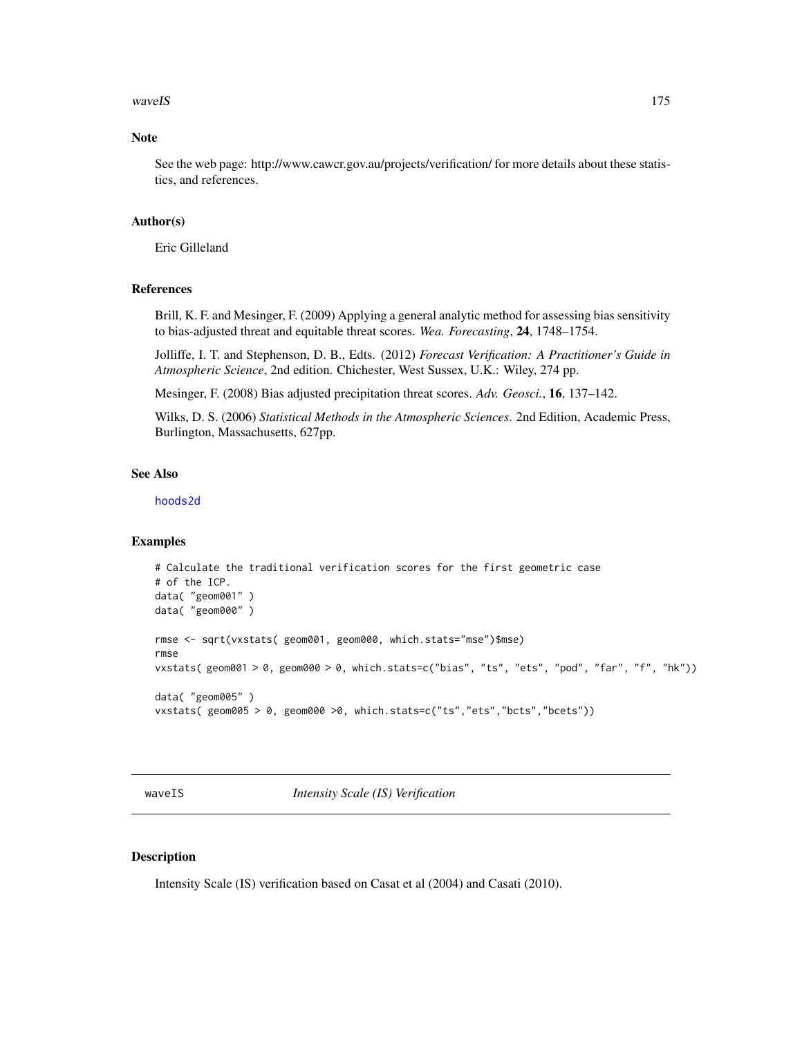#### waveIS 2008 2012 2022 2023 2024 2022 2022 2023 2024 2022 2023 2024 2022 2023 2024 2022 2023 2024 2022 2023 2024 2022 2023 2024 2022 2023 2024 2022 2023 2024 2022 2023 2024 2022 2023 2024 2022 2023 2024 2022 2023 2024 2022

# Note

See the web page: http://www.cawcr.gov.au/projects/verification/ for more details about these statistics, and references.

## Author(s)

Eric Gilleland

## References

Brill, K. F. and Mesinger, F. (2009) Applying a general analytic method for assessing bias sensitivity to bias-adjusted threat and equitable threat scores. *Wea. Forecasting*, 24, 1748–1754.

Jolliffe, I. T. and Stephenson, D. B., Edts. (2012) *Forecast Verification: A Practitioner's Guide in Atmospheric Science*, 2nd edition. Chichester, West Sussex, U.K.: Wiley, 274 pp.

Mesinger, F. (2008) Bias adjusted precipitation threat scores. *Adv. Geosci.*, 16, 137–142.

Wilks, D. S. (2006) *Statistical Methods in the Atmospheric Sciences*. 2nd Edition, Academic Press, Burlington, Massachusetts, 627pp.

# See Also

[hoods2d](#page-88-0)

#### Examples

```
# Calculate the traditional verification scores for the first geometric case
# of the ICP.
data( "geom001" )
data( "geom000" )
rmse <- sqrt(vxstats( geom001, geom000, which.stats="mse")$mse)
rmse
vxstats( geom001 > 0, geom000 > 0, which.stats=c("bias", "ts", "ets", "pod", "far", "f", "hk"))
data( "geom005" )
vxstats( geom005 > 0, geom000 >0, which.stats=c("ts","ets","bcts","bcets"))
```
waveIS *Intensity Scale (IS) Verification*

### Description

Intensity Scale (IS) verification based on Casat et al (2004) and Casati (2010).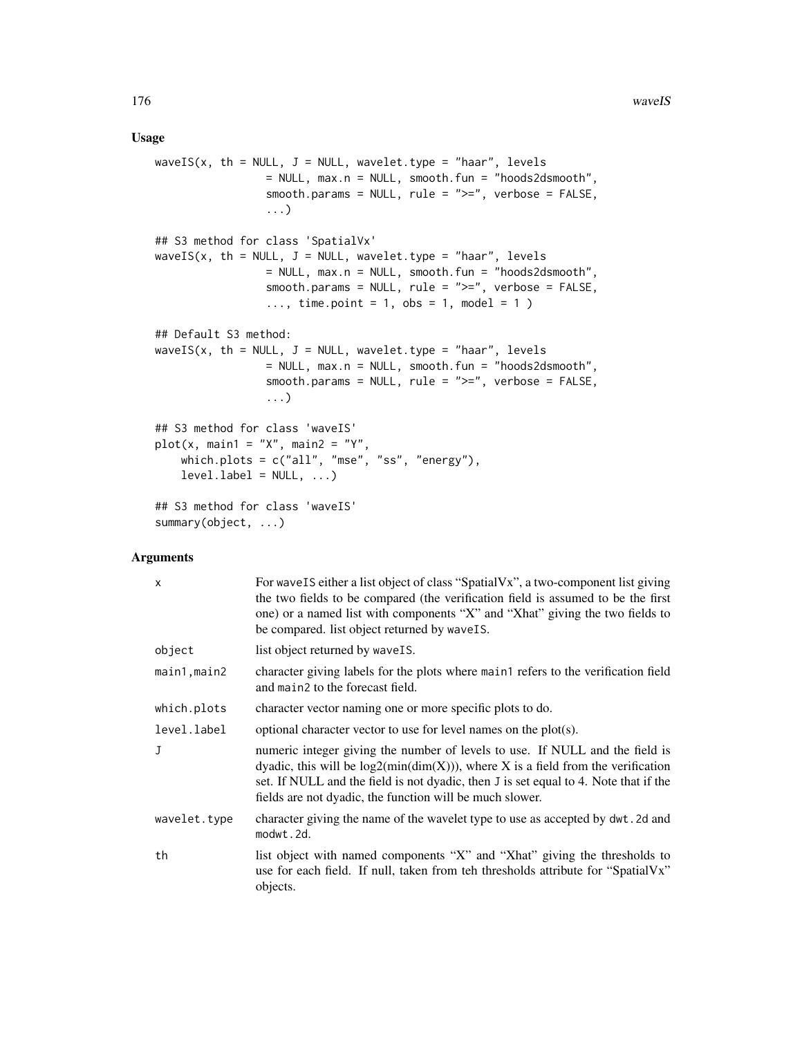### Usage

```
waveIS(x, th = NULL, J = NULL, wavelet.type = "haar", levels
                = NULL, max.n = NULL, smooth.fun = "hoods2dsmooth",
                smooth.params = NULL, rule = ">=", verbose = FALSE,
                 ...)
## S3 method for class 'SpatialVx'
waveIS(x, th = NULL, J = NULL, wavelet.type = "haar", levels
                = NULL, max.n = NULL, smooth.fun = "hoods2dsmooth",
                 smooth.params = NULL, rule = ">=", verbose = FALSE,
                 ..., time.point = 1, obs = 1, model = 1)
## Default S3 method:
waveIS(x, th = NULL, J = NULL, wavelet.type = "haar", levels
                = NULL, max.n = NULL, smooth.fun = "hoods2dsmooth",
                smooth.params = NULL, rule = ">=", verbose = FALSE,
                 ...)
## S3 method for class 'waveIS'
plot(x, main1 = "X", main2 = "Y",which.plots = c("all", "mse", "ss", "energy"),
   levelu = NULL, ...## S3 method for class 'waveIS'
summary(object, ...)
```
#### Arguments

| $\mathsf{x}$ | For wave IS either a list object of class "SpatialVx", a two-component list giving<br>the two fields to be compared (the verification field is assumed to be the first<br>one) or a named list with components "X" and "Xhat" giving the two fields to<br>be compared. list object returned by wave IS.                 |
|--------------|-------------------------------------------------------------------------------------------------------------------------------------------------------------------------------------------------------------------------------------------------------------------------------------------------------------------------|
| object       | list object returned by wave IS.                                                                                                                                                                                                                                                                                        |
| main1, main2 | character giving labels for the plots where main trefers to the verification field<br>and main2 to the forecast field.                                                                                                                                                                                                  |
| which.plots  | character vector naming one or more specific plots to do.                                                                                                                                                                                                                                                               |
| level.label  | optional character vector to use for level names on the $plot(s)$ .                                                                                                                                                                                                                                                     |
| $\mathbf{J}$ | numeric integer giving the number of levels to use. If NULL and the field is<br>dyadic, this will be $log2(min(dim(X)))$ , where X is a field from the verification<br>set. If NULL and the field is not dyadic, then J is set equal to 4. Note that if the<br>fields are not dyadic, the function will be much slower. |
| wavelet.type | character giving the name of the wavelet type to use as accepted by dwt. 2d and<br>modwt.2d.                                                                                                                                                                                                                            |
| th           | list object with named components "X" and "Xhat" giving the thresholds to<br>use for each field. If null, taken from teh thresholds attribute for "Spatial Vx"<br>objects.                                                                                                                                              |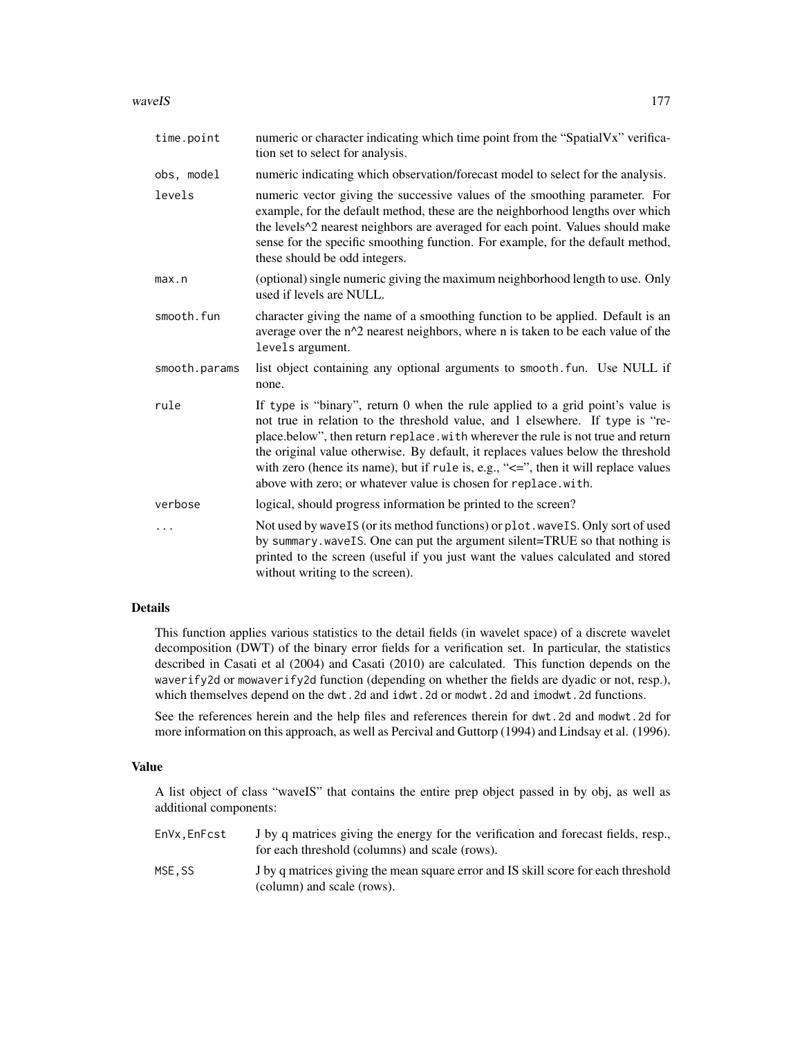### waveIS 277

| time.point    | numeric or character indicating which time point from the "SpatialVx" verifica-<br>tion set to select for analysis.                                                                                                                                                                                                                                                                                                                                                                              |
|---------------|--------------------------------------------------------------------------------------------------------------------------------------------------------------------------------------------------------------------------------------------------------------------------------------------------------------------------------------------------------------------------------------------------------------------------------------------------------------------------------------------------|
| obs, model    | numeric indicating which observation/forecast model to select for the analysis.                                                                                                                                                                                                                                                                                                                                                                                                                  |
| levels        | numeric vector giving the successive values of the smoothing parameter. For<br>example, for the default method, these are the neighborhood lengths over which<br>the levels^2 nearest neighbors are averaged for each point. Values should make<br>sense for the specific smoothing function. For example, for the default method,<br>these should be odd integers.                                                                                                                              |
| max.n         | (optional) single numeric giving the maximum neighborhood length to use. Only<br>used if levels are NULL.                                                                                                                                                                                                                                                                                                                                                                                        |
| smooth.fun    | character giving the name of a smoothing function to be applied. Default is an<br>average over the n^2 nearest neighbors, where n is taken to be each value of the<br>levels argument.                                                                                                                                                                                                                                                                                                           |
| smooth.params | list object containing any optional arguments to smooth. fun. Use NULL if<br>none.                                                                                                                                                                                                                                                                                                                                                                                                               |
| rule          | If type is "binary", return 0 when the rule applied to a grid point's value is<br>not true in relation to the threshold value, and 1 elsewhere. If type is "re-<br>place.below", then return replace. with wherever the rule is not true and return<br>the original value otherwise. By default, it replaces values below the threshold<br>with zero (hence its name), but if rule is, e.g., "<=", then it will replace values<br>above with zero; or whatever value is chosen for replace.with. |
| verbose       | logical, should progress information be printed to the screen?                                                                                                                                                                                                                                                                                                                                                                                                                                   |
| .             | Not used by wave IS (or its method functions) or plot. wave IS. Only sort of used<br>by summary.waveIS. One can put the argument silent=TRUE so that nothing is<br>printed to the screen (useful if you just want the values calculated and stored<br>without writing to the screen).                                                                                                                                                                                                            |

# Details

This function applies various statistics to the detail fields (in wavelet space) of a discrete wavelet decomposition (DWT) of the binary error fields for a verification set. In particular, the statistics described in Casati et al (2004) and Casati (2010) are calculated. This function depends on the waverify2d or mowaverify2d function (depending on whether the fields are dyadic or not, resp.), which themselves depend on the dwt.2d and idwt.2d or modwt.2d and imodwt.2d functions.

See the references herein and the help files and references therein for dwt.2d and modwt.2d for more information on this approach, as well as Percival and Guttorp (1994) and Lindsay et al. (1996).

#### Value

A list object of class "waveIS" that contains the entire prep object passed in by obj, as well as additional components:

| EnVx.EnFcst | I by q matrices giving the energy for the verification and forecast fields, resp.,<br>for each threshold (columns) and scale (rows). |
|-------------|--------------------------------------------------------------------------------------------------------------------------------------|
| MSE.SS      | J by q matrices giving the mean square error and IS skill score for each threshold<br>(column) and scale (rows).                     |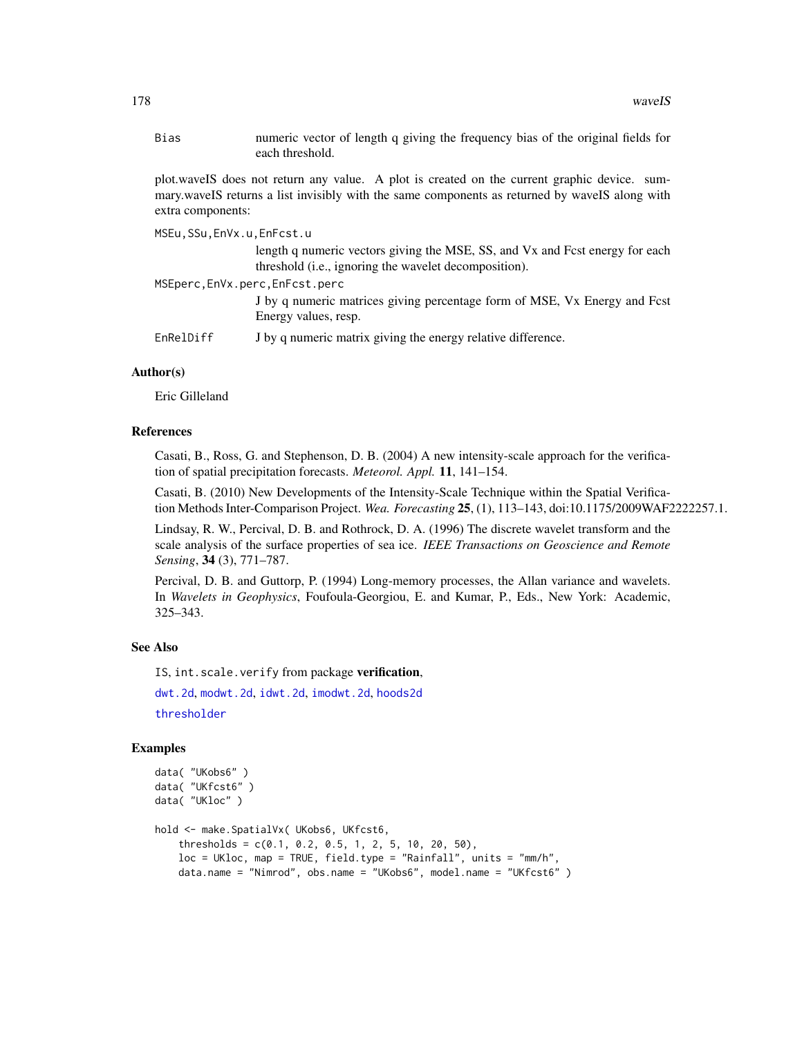Bias numeric vector of length q giving the frequency bias of the original fields for each threshold.

plot.waveIS does not return any value. A plot is created on the current graphic device. summary.waveIS returns a list invisibly with the same components as returned by waveIS along with extra components:

MSEu,SSu,EnVx.u,EnFcst.u

length q numeric vectors giving the MSE, SS, and Vx and Fcst energy for each threshold (i.e., ignoring the wavelet decomposition).

MSEperc,EnVx.perc,EnFcst.perc

J by q numeric matrices giving percentage form of MSE, Vx Energy and Fcst Energy values, resp.

EnRelDiff J by q numeric matrix giving the energy relative difference.

## Author(s)

Eric Gilleland

#### References

Casati, B., Ross, G. and Stephenson, D. B. (2004) A new intensity-scale approach for the verification of spatial precipitation forecasts. *Meteorol. Appl.* 11, 141–154.

Casati, B. (2010) New Developments of the Intensity-Scale Technique within the Spatial Verification Methods Inter-Comparison Project. *Wea. Forecasting* 25, (1), 113–143, doi:10.1175/2009WAF2222257.1.

Lindsay, R. W., Percival, D. B. and Rothrock, D. A. (1996) The discrete wavelet transform and the scale analysis of the surface properties of sea ice. *IEEE Transactions on Geoscience and Remote Sensing*, 34 (3), 771–787.

Percival, D. B. and Guttorp, P. (1994) Long-memory processes, the Allan variance and wavelets. In *Wavelets in Geophysics*, Foufoula-Georgiou, E. and Kumar, P., Eds., New York: Academic, 325–343.

# See Also

IS, int. scale. verify from package verification,

[dwt.2d](#page-0-0), [modwt.2d](#page-0-0), [idwt.2d](#page-0-0), [imodwt.2d](#page-0-0), [hoods2d](#page-88-0) [thresholder](#page-164-0)

#### Examples

```
data( "UKobs6" )
data( "UKfcst6" )
data( "UKloc" )
hold <- make.SpatialVx( UKobs6, UKfcst6,
    thresholds = c(0.1, 0.2, 0.5, 1, 2, 5, 10, 20, 50),
   loc = UKloc, map = TRUE, field.type = "Rainfall", units = "mm/h",
   data.name = "Nimrod", obs.name = "UKobs6", model.name = "UKfcst6" )
```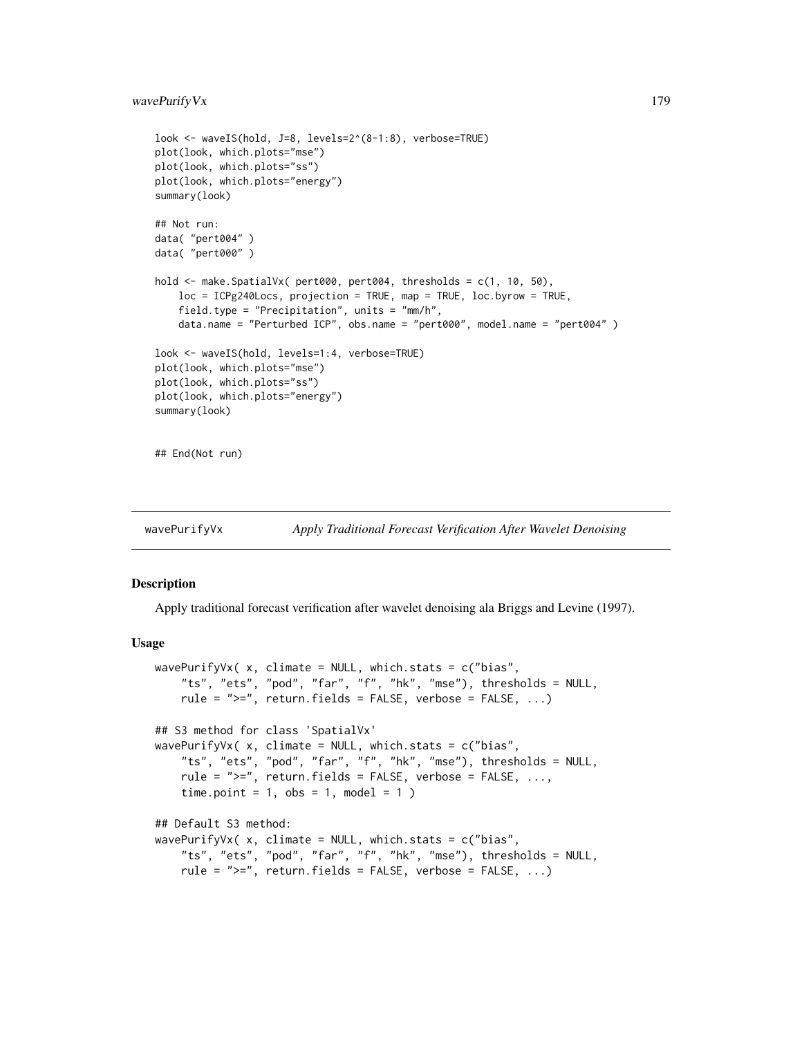# wavePurify Vx 179

```
look <- waveIS(hold, J=8, levels=2^(8-1:8), verbose=TRUE)
plot(look, which.plots="mse")
plot(look, which.plots="ss")
plot(look, which.plots="energy")
summary(look)
## Not run:
data( "pert004" )
data( "pert000" )
hold <- make.SpatialVx( pert000, pert004, thresholds = c(1, 10, 50),
    loc = ICPg240Locs, projection = TRUE, map = TRUE, loc.byrow = TRUE,
    field.type = "Precipitation", units = "mm/h",
    data.name = "Perturbed ICP", obs.name = "pert000", model.name = "pert004" )
look <- waveIS(hold, levels=1:4, verbose=TRUE)
plot(look, which.plots="mse")
plot(look, which.plots="ss")
plot(look, which.plots="energy")
summary(look)
## End(Not run)
```
wavePurifyVx *Apply Traditional Forecast Verification After Wavelet Denoising*

# **Description**

Apply traditional forecast verification after wavelet denoising ala Briggs and Levine (1997).

#### Usage

```
wavePurifyVx( x, climate = NULL, which.stats = c("bias",
    "ts", "ets", "pod", "far", "f", "hk", "mse"), thresholds = NULL,
    rule = ">=", return.fields = FALSE, verbose = FALSE, ...)
## S3 method for class 'SpatialVx'
wavePurifyVx( x, climate = NULL, which.stats = c("bias",
    "ts", "ets", "pod", "far", "f", "hk", "mse"), thresholds = NULL,
    rule = ">=", return.fields = FALSE, verbose = FALSE, ...,
    time.point = 1, obs = 1, model = 1)
## Default S3 method:
wavePurifyVx( x, climate = NULL, which.stats = c("bias",
    "ts", "ets", "pod", "far", "f", "hk", "mse"), thresholds = NULL,
    rule = ">=", return.fields = FALSE, verbose = FALSE, ...)
```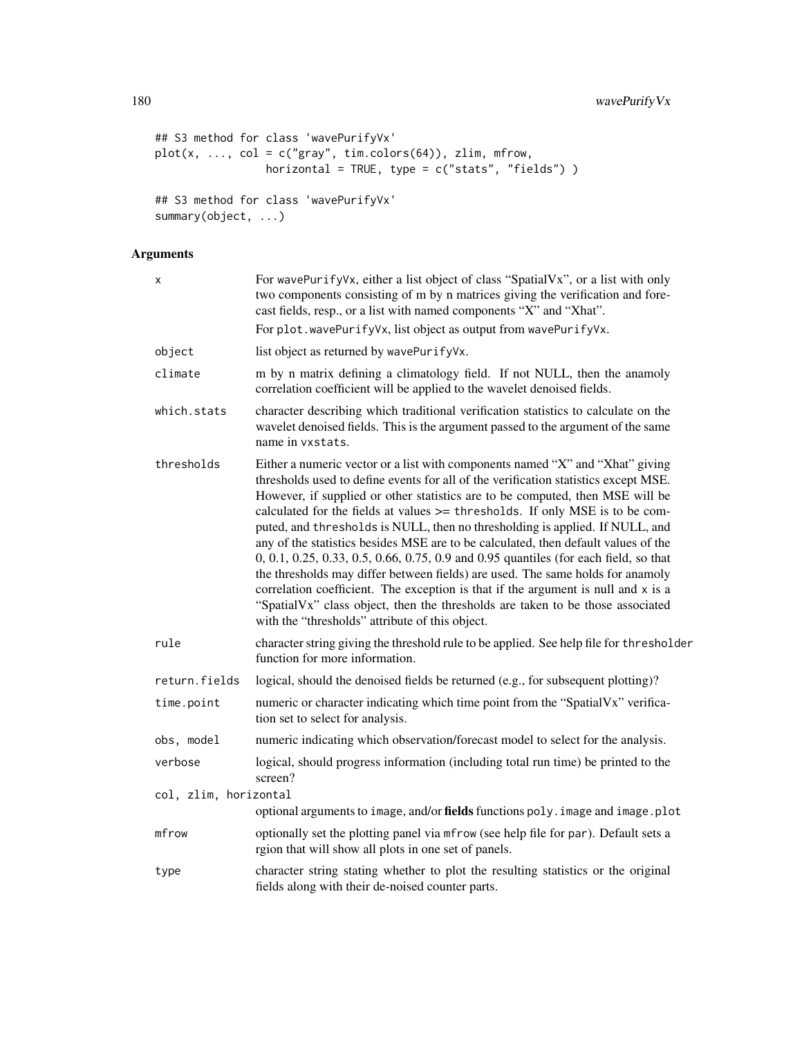```
## S3 method for class 'wavePurifyVx'
plot(x, ..., col = c("gray", tim. colors(64)), zlim, mfrom,horizontal = TRUE, type = c("stats", "fields") )
## S3 method for class 'wavePurifyVx'
summary(object, ...)
```
# Arguments

| X                     | For wavePurifyVx, either a list object of class "SpatialVx", or a list with only<br>two components consisting of m by n matrices giving the verification and fore-<br>cast fields, resp., or a list with named components "X" and "Xhat".                                                                                                                                                                                                                                                                                                                                                                                                                                                                                                                                                                                                                                                                       |
|-----------------------|-----------------------------------------------------------------------------------------------------------------------------------------------------------------------------------------------------------------------------------------------------------------------------------------------------------------------------------------------------------------------------------------------------------------------------------------------------------------------------------------------------------------------------------------------------------------------------------------------------------------------------------------------------------------------------------------------------------------------------------------------------------------------------------------------------------------------------------------------------------------------------------------------------------------|
|                       | For plot.wavePurifyVx, list object as output from wavePurifyVx.                                                                                                                                                                                                                                                                                                                                                                                                                                                                                                                                                                                                                                                                                                                                                                                                                                                 |
| object                | list object as returned by wavePurifyVx.                                                                                                                                                                                                                                                                                                                                                                                                                                                                                                                                                                                                                                                                                                                                                                                                                                                                        |
| climate               | m by n matrix defining a climatology field. If not NULL, then the anamoly<br>correlation coefficient will be applied to the wavelet denoised fields.                                                                                                                                                                                                                                                                                                                                                                                                                                                                                                                                                                                                                                                                                                                                                            |
| which.stats           | character describing which traditional verification statistics to calculate on the<br>wavelet denoised fields. This is the argument passed to the argument of the same<br>name in vxstats.                                                                                                                                                                                                                                                                                                                                                                                                                                                                                                                                                                                                                                                                                                                      |
| thresholds            | Either a numeric vector or a list with components named "X" and "Xhat" giving<br>thresholds used to define events for all of the verification statistics except MSE.<br>However, if supplied or other statistics are to be computed, then MSE will be<br>calculated for the fields at values >= thresholds. If only MSE is to be com-<br>puted, and thresholds is NULL, then no thresholding is applied. If NULL, and<br>any of the statistics besides MSE are to be calculated, then default values of the<br>0, 0.1, 0.25, 0.33, 0.5, 0.66, 0.75, 0.9 and 0.95 quantiles (for each field, so that<br>the thresholds may differ between fields) are used. The same holds for anamoly<br>correlation coefficient. The exception is that if the argument is null and x is a<br>"SpatialVx" class object, then the thresholds are taken to be those associated<br>with the "thresholds" attribute of this object. |
| rule                  | character string giving the threshold rule to be applied. See help file for thresholder<br>function for more information.                                                                                                                                                                                                                                                                                                                                                                                                                                                                                                                                                                                                                                                                                                                                                                                       |
| return.fields         | logical, should the denoised fields be returned (e.g., for subsequent plotting)?                                                                                                                                                                                                                                                                                                                                                                                                                                                                                                                                                                                                                                                                                                                                                                                                                                |
| time.point            | numeric or character indicating which time point from the "SpatialVx" verifica-<br>tion set to select for analysis.                                                                                                                                                                                                                                                                                                                                                                                                                                                                                                                                                                                                                                                                                                                                                                                             |
| obs, model            | numeric indicating which observation/forecast model to select for the analysis.                                                                                                                                                                                                                                                                                                                                                                                                                                                                                                                                                                                                                                                                                                                                                                                                                                 |
| verbose               | logical, should progress information (including total run time) be printed to the<br>screen?                                                                                                                                                                                                                                                                                                                                                                                                                                                                                                                                                                                                                                                                                                                                                                                                                    |
| col, zlim, horizontal |                                                                                                                                                                                                                                                                                                                                                                                                                                                                                                                                                                                                                                                                                                                                                                                                                                                                                                                 |
|                       | optional arguments to image, and/or fields functions poly. image and image.plot                                                                                                                                                                                                                                                                                                                                                                                                                                                                                                                                                                                                                                                                                                                                                                                                                                 |
| mfrow                 | optionally set the plotting panel via mfrow (see help file for par). Default sets a<br>rgion that will show all plots in one set of panels.                                                                                                                                                                                                                                                                                                                                                                                                                                                                                                                                                                                                                                                                                                                                                                     |
| type                  | character string stating whether to plot the resulting statistics or the original<br>fields along with their de-noised counter parts.                                                                                                                                                                                                                                                                                                                                                                                                                                                                                                                                                                                                                                                                                                                                                                           |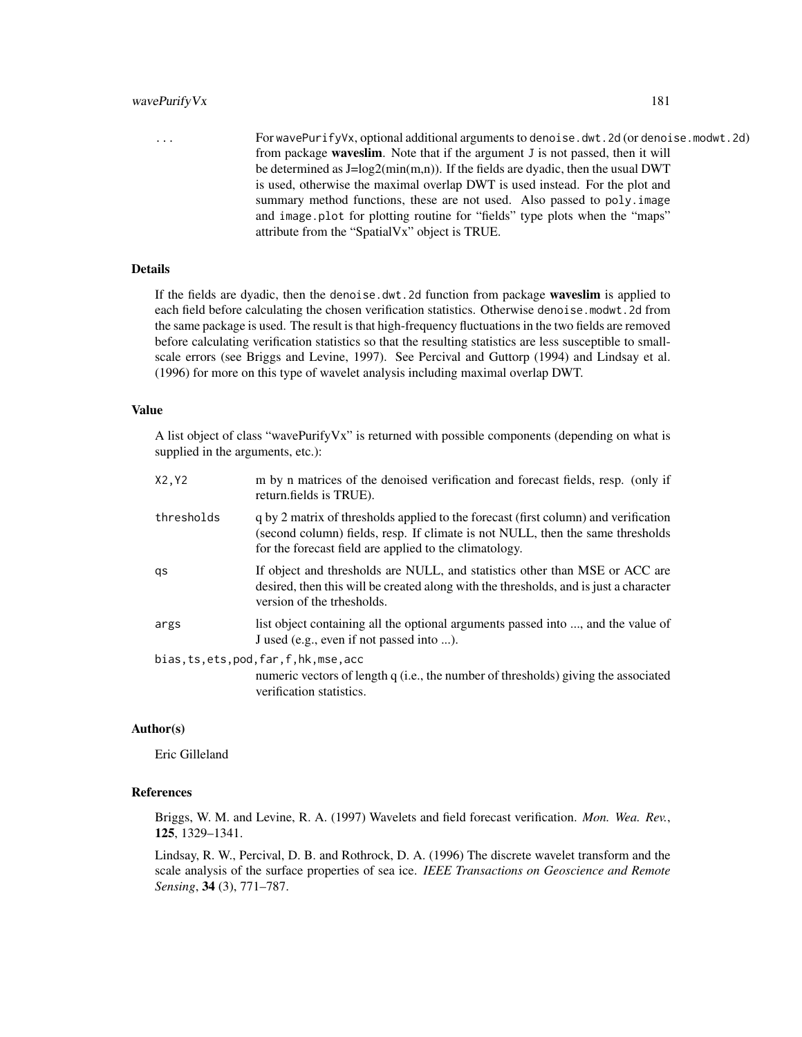#### wavePurify Vx 181

... For wavePurifyVx, optional additional arguments to denoise.dwt.2d (or denoise.modwt.2d) from package waveslim. Note that if the argument J is not passed, then it will be determined as  $J = log2(min(m, n))$ . If the fields are dyadic, then the usual DWT is used, otherwise the maximal overlap DWT is used instead. For the plot and summary method functions, these are not used. Also passed to poly. image and image.plot for plotting routine for "fields" type plots when the "maps" attribute from the "SpatialVx" object is TRUE.

# Details

If the fields are dyadic, then the denoise.dwt.2d function from package waveslim is applied to each field before calculating the chosen verification statistics. Otherwise denoise.modwt.2d from the same package is used. The result is that high-frequency fluctuations in the two fields are removed before calculating verification statistics so that the resulting statistics are less susceptible to smallscale errors (see Briggs and Levine, 1997). See Percival and Guttorp (1994) and Lindsay et al. (1996) for more on this type of wavelet analysis including maximal overlap DWT.

### Value

A list object of class "wavePurifyVx" is returned with possible components (depending on what is supplied in the arguments, etc.):

| X2, Y2     | m by n matrices of the denoised verification and forecast fields, resp. (only if<br>return.fields is TRUE).                                                                                                                     |
|------------|---------------------------------------------------------------------------------------------------------------------------------------------------------------------------------------------------------------------------------|
| thresholds | q by 2 matrix of thresholds applied to the forecast (first column) and verification<br>(second column) fields, resp. If climate is not NULL, then the same thresholds<br>for the forecast field are applied to the climatology. |
| qs         | If object and thresholds are NULL, and statistics other than MSE or ACC are<br>desired, then this will be created along with the thresholds, and is just a character<br>version of the trhesholds.                              |
| args       | list object containing all the optional arguments passed into , and the value of<br>J used (e.g., even if not passed into ).                                                                                                    |
|            | bias, ts, ets, pod, far, f, hk, mse, acc                                                                                                                                                                                        |
|            | numeric vectors of length q (i.e., the number of thresholds) giving the associated<br>verification statistics.                                                                                                                  |

# Author(s)

Eric Gilleland

#### References

Briggs, W. M. and Levine, R. A. (1997) Wavelets and field forecast verification. *Mon. Wea. Rev.*, 125, 1329–1341.

Lindsay, R. W., Percival, D. B. and Rothrock, D. A. (1996) The discrete wavelet transform and the scale analysis of the surface properties of sea ice. *IEEE Transactions on Geoscience and Remote Sensing*, 34 (3), 771–787.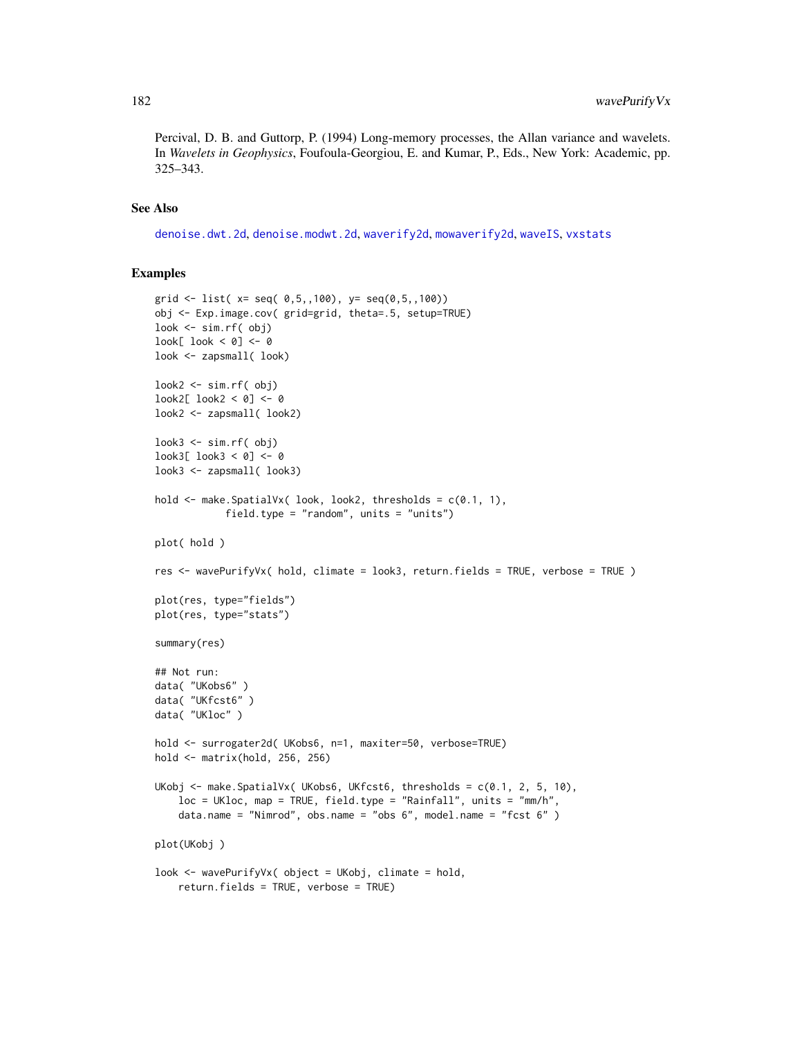<span id="page-181-0"></span>Percival, D. B. and Guttorp, P. (1994) Long-memory processes, the Allan variance and wavelets. In *Wavelets in Geophysics*, Foufoula-Georgiou, E. and Kumar, P., Eds., New York: Academic, pp. 325–343.

# See Also

[denoise.dwt.2d](#page-0-0), [denoise.modwt.2d](#page-0-0), [waverify2d](#page-182-0), [mowaverify2d](#page-182-1), [waveIS](#page-174-0), [vxstats](#page-172-0)

## Examples

```
grid <- list(x=seq(0,5,100), y=seq(0,5,100))
obj <- Exp.image.cov( grid=grid, theta=.5, setup=TRUE)
look <- sim.rf( obj)
look[ look < 0] <- 0
look <- zapsmall( look)
look2 <- sim.rf( obj)
look2[ look2 < 0] <- 0
look2 <- zapsmall( look2)
look3 \leq sim.rf(obj)look3[ look3 < 0] <- 0
look3 <- zapsmall( look3)
hold <- make.SpatialVx( look, look2, thresholds = c(0.1, 1),
            field.type = "random", units = "units")
plot( hold )
res <- wavePurifyVx( hold, climate = look3, return.fields = TRUE, verbose = TRUE )
plot(res, type="fields")
plot(res, type="stats")
summary(res)
## Not run:
data( "UKobs6" )
data( "UKfcst6" )
data( "UKloc" )
hold <- surrogater2d( UKobs6, n=1, maxiter=50, verbose=TRUE)
hold <- matrix(hold, 256, 256)
UKobj <- make.SpatialVx( UKobs6, UKfcst6, thresholds = c(0.1, 2, 5, 10),
    loc = UKloc, map = TRUE, field.type = "Rainfall", units = "mm/h",
    data.name = "Nimrod", obs.name = "obs 6", model.name = "fcst 6" )
plot(UKobj )
look <- wavePurifyVx( object = UKobj, climate = hold,
    return.fields = TRUE, verbose = TRUE)
```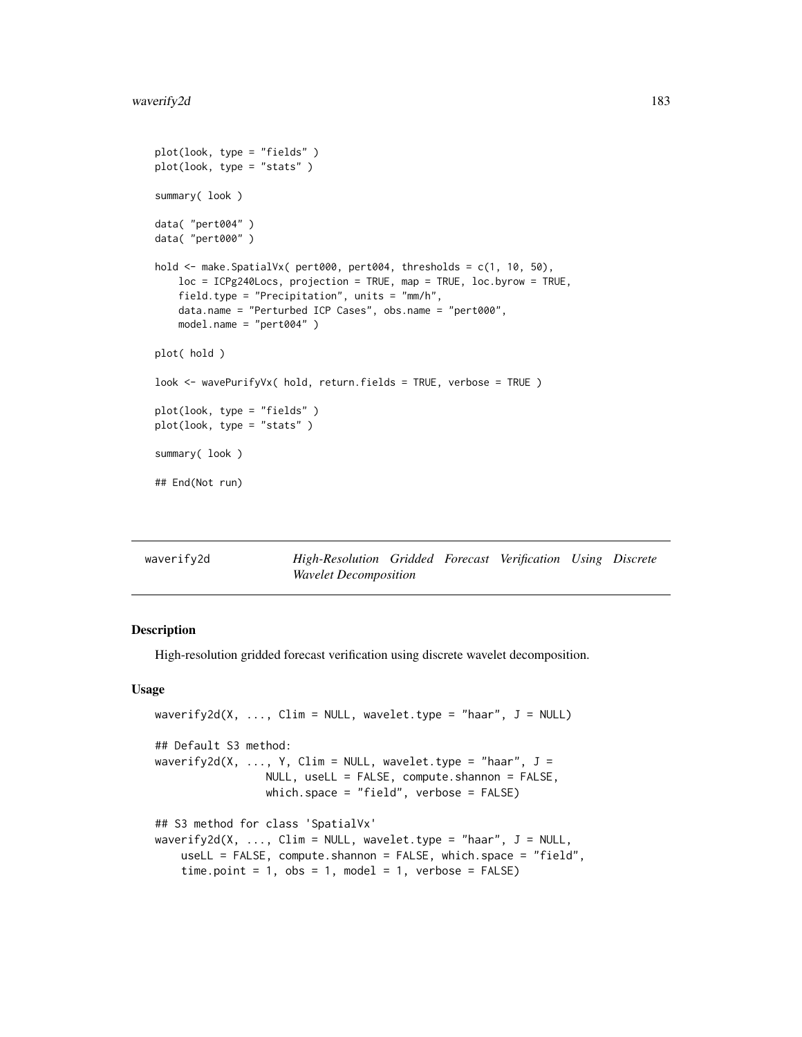```
plot(look, type = "fields" )
plot(look, type = "stats" )
summary( look )
data( "pert004" )
data( "pert000" )
hold \leq make. SpatialVx( pert000, pert004, thresholds = c(1, 10, 50),
   loc = ICPg240Locs, projection = TRUE, map = TRUE, loc.byrow = TRUE,
   field.type = "Precipitation", units = "mm/h",
   data.name = "Perturbed ICP Cases", obs.name = "pert000",
   model.name = "pert004" )
plot( hold )
look <- wavePurifyVx( hold, return.fields = TRUE, verbose = TRUE )
plot(look, type = "fields" )
plot(look, type = "stats" )
summary( look )
## End(Not run)
```
<span id="page-182-0"></span>

| waverify2d | High-Resolution Gridded Forecast Verification Using Discrete |  |  |  |
|------------|--------------------------------------------------------------|--|--|--|
|            | <i>Wavelet Decomposition</i>                                 |  |  |  |

# <span id="page-182-1"></span>Description

High-resolution gridded forecast verification using discrete wavelet decomposition.

#### Usage

```
waverify2d(X, \ldots, Clim = NULL, wavelet.type = "haar", J = NULL)
## Default S3 method:
waverify2d(X, ..., Y, Clim = NULL, wavelet.type = "haar", J =NULL, useLL = FALSE, compute.shannon = FALSE,
                 which.space = "field", verbose = FALSE)
## S3 method for class 'SpatialVx'
waverify2d(X, \ldots, Clim = NULL, wavelet.type = "haar", J = NULL,
    useLL = FALSE, compute.shannon = FALSE, which.space = "field",
    time.point = 1, obs = 1, model = 1, verbose = FALSE)
```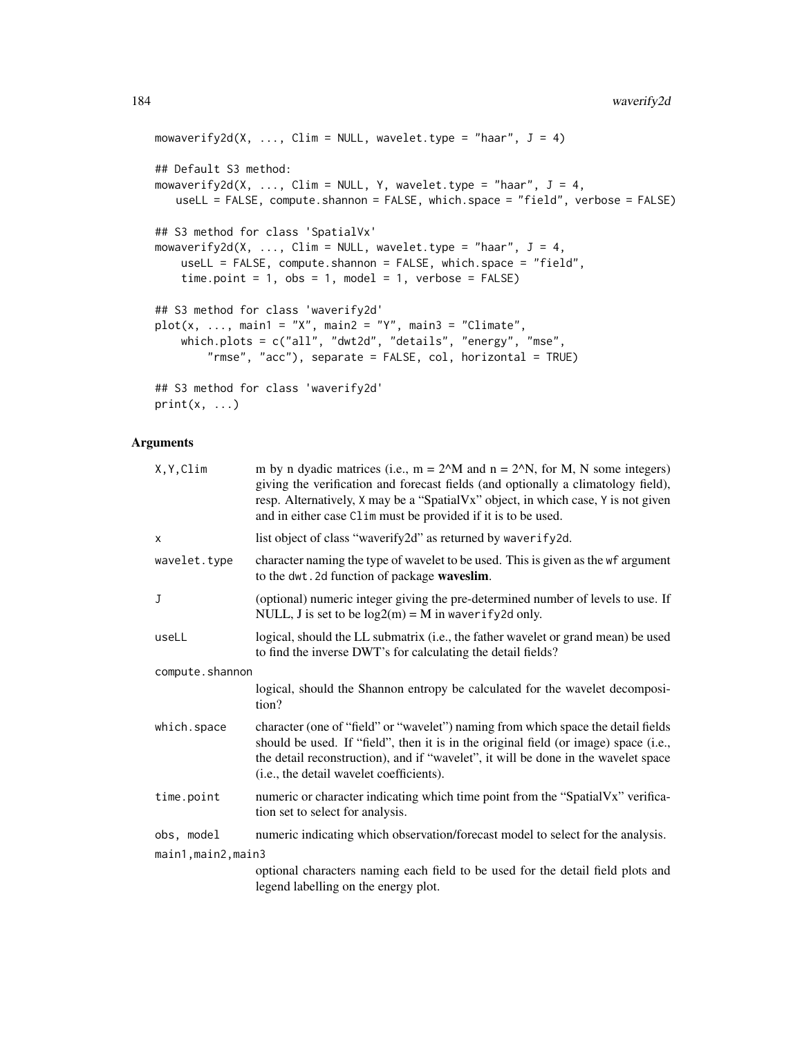```
mowaverify2d(X, ..., Clim = NULL, wavelet.type = "haar", J = 4)
## Default S3 method:
mowaverify2d(X, ..., Clim = NULL, Y, wavelet.type = "haar", J = 4,
   useLL = FALSE, compute.shannon = FALSE, which.space = "field", verbose = FALSE)
## S3 method for class 'SpatialVx'
mowaverify2d(X, ..., Clim = NULL, wavelet.type = "haar", J = 4,
    useLL = FALSE, compute.shannon = FALSE, which.space = "field",
    time.point = 1, obs = 1, model = 1, verbose = FALSE)## S3 method for class 'waverify2d'
plot(x, ..., main1 = "X", main2 = "Y", main3 = "Climate",which.plots = c("all", "dwt2d", "details", "energy", "mse",
        "rmse", "acc"), separate = FALSE, col, horizontal = TRUE)
## S3 method for class 'waverify2d'
print(x, \ldots)
```
# Arguments

| X, Y, Clim        | m by n dyadic matrices (i.e., $m = 2^M$ and $n = 2^N$ , for M, N some integers)<br>giving the verification and forecast fields (and optionally a climatology field),<br>resp. Alternatively, X may be a "SpatialVx" object, in which case, Y is not given<br>and in either case Clim must be provided if it is to be used. |  |
|-------------------|----------------------------------------------------------------------------------------------------------------------------------------------------------------------------------------------------------------------------------------------------------------------------------------------------------------------------|--|
| X                 | list object of class "waverify2d" as returned by waverify2d.                                                                                                                                                                                                                                                               |  |
| wavelet.type      | character naming the type of wavelet to be used. This is given as the wf argument<br>to the dwt. 2d function of package waveslim.                                                                                                                                                                                          |  |
| J                 | (optional) numeric integer giving the pre-determined number of levels to use. If<br>NULL, J is set to be $log2(m) = M$ in waver if y 2d only.                                                                                                                                                                              |  |
| useLL             | logical, should the LL submatrix (i.e., the father wavelet or grand mean) be used<br>to find the inverse DWT's for calculating the detail fields?                                                                                                                                                                          |  |
| compute.shannon   |                                                                                                                                                                                                                                                                                                                            |  |
|                   | logical, should the Shannon entropy be calculated for the wavelet decomposi-<br>tion?                                                                                                                                                                                                                                      |  |
| which.space       | character (one of "field" or "wavelet") naming from which space the detail fields<br>should be used. If "field", then it is in the original field (or image) space (i.e.,<br>the detail reconstruction), and if "wavelet", it will be done in the wavelet space<br>(i.e., the detail wavelet coefficients).                |  |
| time.point        | numeric or character indicating which time point from the "SpatialVx" verifica-<br>tion set to select for analysis.                                                                                                                                                                                                        |  |
| obs, model        | numeric indicating which observation/forecast model to select for the analysis.                                                                                                                                                                                                                                            |  |
| main1,main2,main3 |                                                                                                                                                                                                                                                                                                                            |  |
|                   | optional characters naming each field to be used for the detail field plots and<br>legend labelling on the energy plot.                                                                                                                                                                                                    |  |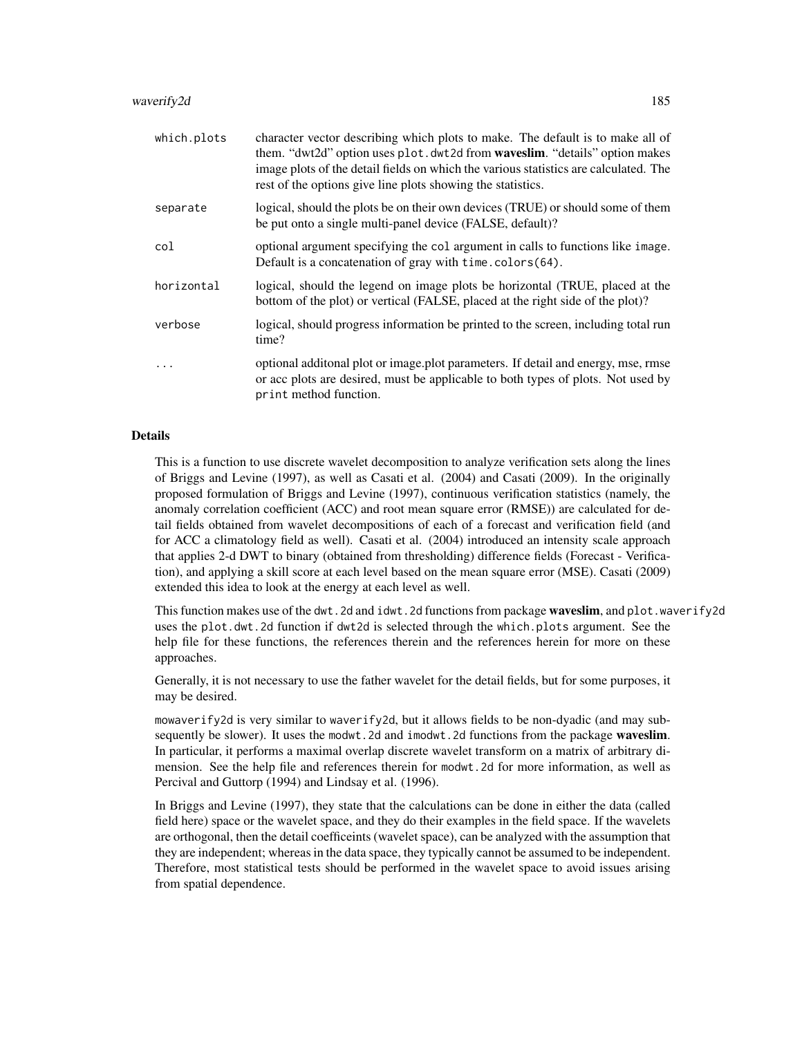| which.plots | character vector describing which plots to make. The default is to make all of<br>them. "dwt2d" option uses plot.dwt2d from waveslim. "details" option makes<br>image plots of the detail fields on which the various statistics are calculated. The<br>rest of the options give line plots showing the statistics. |
|-------------|---------------------------------------------------------------------------------------------------------------------------------------------------------------------------------------------------------------------------------------------------------------------------------------------------------------------|
| separate    | logical, should the plots be on their own devices (TRUE) or should some of them<br>be put onto a single multi-panel device (FALSE, default)?                                                                                                                                                                        |
| col         | optional argument specifying the col argument in calls to functions like image.<br>Default is a concatenation of gray with time.colors(64).                                                                                                                                                                         |
| horizontal  | logical, should the legend on image plots be horizontal (TRUE, placed at the<br>bottom of the plot) or vertical (FALSE, placed at the right side of the plot)?                                                                                                                                                      |
| verbose     | logical, should progress information be printed to the screen, including total run<br>time?                                                                                                                                                                                                                         |
|             | optional additional plot or image plot parameters. If detail and energy, mse, rmse<br>or acc plots are desired, must be applicable to both types of plots. Not used by<br>print method function.                                                                                                                    |

# Details

This is a function to use discrete wavelet decomposition to analyze verification sets along the lines of Briggs and Levine (1997), as well as Casati et al. (2004) and Casati (2009). In the originally proposed formulation of Briggs and Levine (1997), continuous verification statistics (namely, the anomaly correlation coefficient (ACC) and root mean square error (RMSE)) are calculated for detail fields obtained from wavelet decompositions of each of a forecast and verification field (and for ACC a climatology field as well). Casati et al. (2004) introduced an intensity scale approach that applies 2-d DWT to binary (obtained from thresholding) difference fields (Forecast - Verification), and applying a skill score at each level based on the mean square error (MSE). Casati (2009) extended this idea to look at the energy at each level as well.

This function makes use of the dwt.2d and idwt.2d functions from package waveslim, and plot.waverify2d uses the plot.dwt.2d function if dwt2d is selected through the which.plots argument. See the help file for these functions, the references therein and the references herein for more on these approaches.

Generally, it is not necessary to use the father wavelet for the detail fields, but for some purposes, it may be desired.

mowaverify2d is very similar to waverify2d, but it allows fields to be non-dyadic (and may subsequently be slower). It uses the modwt.2d and imodwt.2d functions from the package waveslim. In particular, it performs a maximal overlap discrete wavelet transform on a matrix of arbitrary dimension. See the help file and references therein for modwt.2d for more information, as well as Percival and Guttorp (1994) and Lindsay et al. (1996).

In Briggs and Levine (1997), they state that the calculations can be done in either the data (called field here) space or the wavelet space, and they do their examples in the field space. If the wavelets are orthogonal, then the detail coefficeints (wavelet space), can be analyzed with the assumption that they are independent; whereas in the data space, they typically cannot be assumed to be independent. Therefore, most statistical tests should be performed in the wavelet space to avoid issues arising from spatial dependence.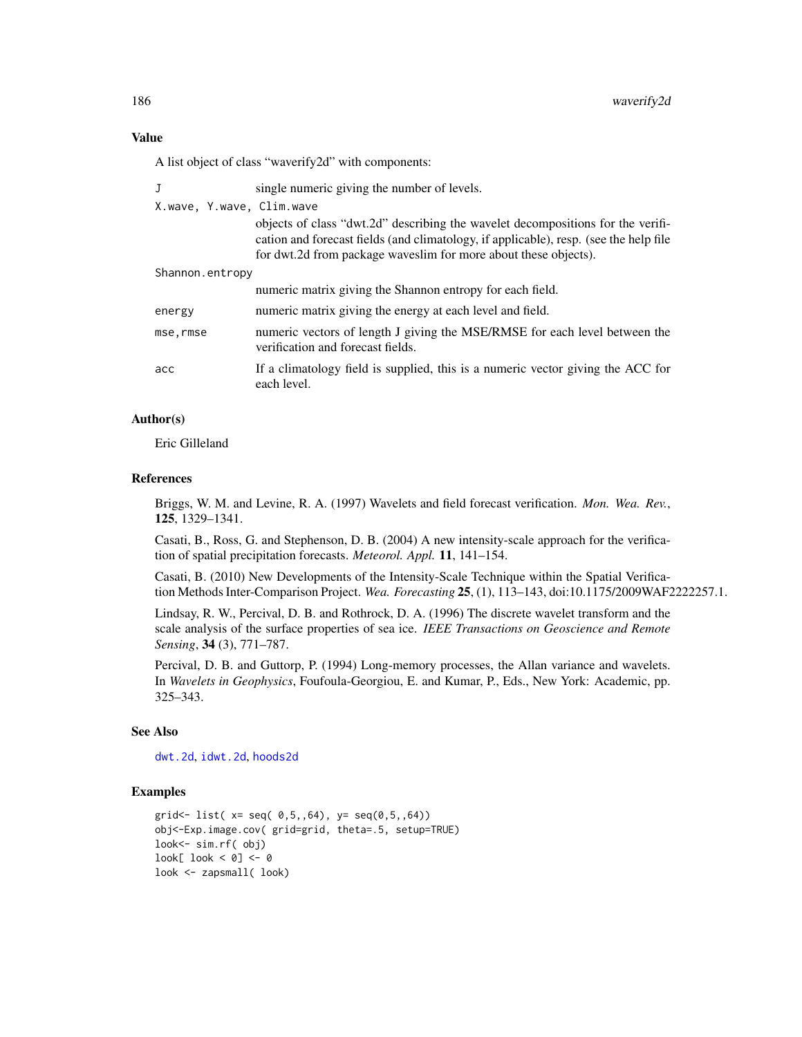A list object of class "waverify2d" with components:

| $\mathbf{J}$              | single numeric giving the number of levels.                                                                                                                                                                                                 |
|---------------------------|---------------------------------------------------------------------------------------------------------------------------------------------------------------------------------------------------------------------------------------------|
| X.wave, Y.wave, Clim.wave |                                                                                                                                                                                                                                             |
|                           | objects of class "dwt.2d" describing the wavelet decompositions for the verifi-<br>cation and forecast fields (and climatology, if applicable), resp. (see the help file<br>for dwt.2d from package waveslim for more about these objects). |
| Shannon.entropy           |                                                                                                                                                                                                                                             |
|                           | numeric matrix giving the Shannon entropy for each field.                                                                                                                                                                                   |
| energy                    | numeric matrix giving the energy at each level and field.                                                                                                                                                                                   |
| mse.rmse                  | numeric vectors of length J giving the MSE/RMSE for each level between the<br>verification and forecast fields.                                                                                                                             |
| acc                       | If a climatology field is supplied, this is a numeric vector giving the ACC for<br>each level.                                                                                                                                              |

# Author(s)

Eric Gilleland

# References

Briggs, W. M. and Levine, R. A. (1997) Wavelets and field forecast verification. *Mon. Wea. Rev.*, 125, 1329–1341.

Casati, B., Ross, G. and Stephenson, D. B. (2004) A new intensity-scale approach for the verification of spatial precipitation forecasts. *Meteorol. Appl.* 11, 141–154.

Casati, B. (2010) New Developments of the Intensity-Scale Technique within the Spatial Verification Methods Inter-Comparison Project. *Wea. Forecasting* 25, (1), 113–143, doi:10.1175/2009WAF2222257.1.

Lindsay, R. W., Percival, D. B. and Rothrock, D. A. (1996) The discrete wavelet transform and the scale analysis of the surface properties of sea ice. *IEEE Transactions on Geoscience and Remote Sensing*, 34 (3), 771–787.

Percival, D. B. and Guttorp, P. (1994) Long-memory processes, the Allan variance and wavelets. In *Wavelets in Geophysics*, Foufoula-Georgiou, E. and Kumar, P., Eds., New York: Academic, pp. 325–343.

# See Also

[dwt.2d](#page-0-0), [idwt.2d](#page-0-0), [hoods2d](#page-88-0)

### Examples

```
grid<- list( x= seq( 0,5,64), y= seq(0,5,64))
obj<-Exp.image.cov( grid=grid, theta=.5, setup=TRUE)
look<- sim.rf( obj)
look[ look < 0] <- 0
look <- zapsmall( look)
```
<span id="page-185-0"></span>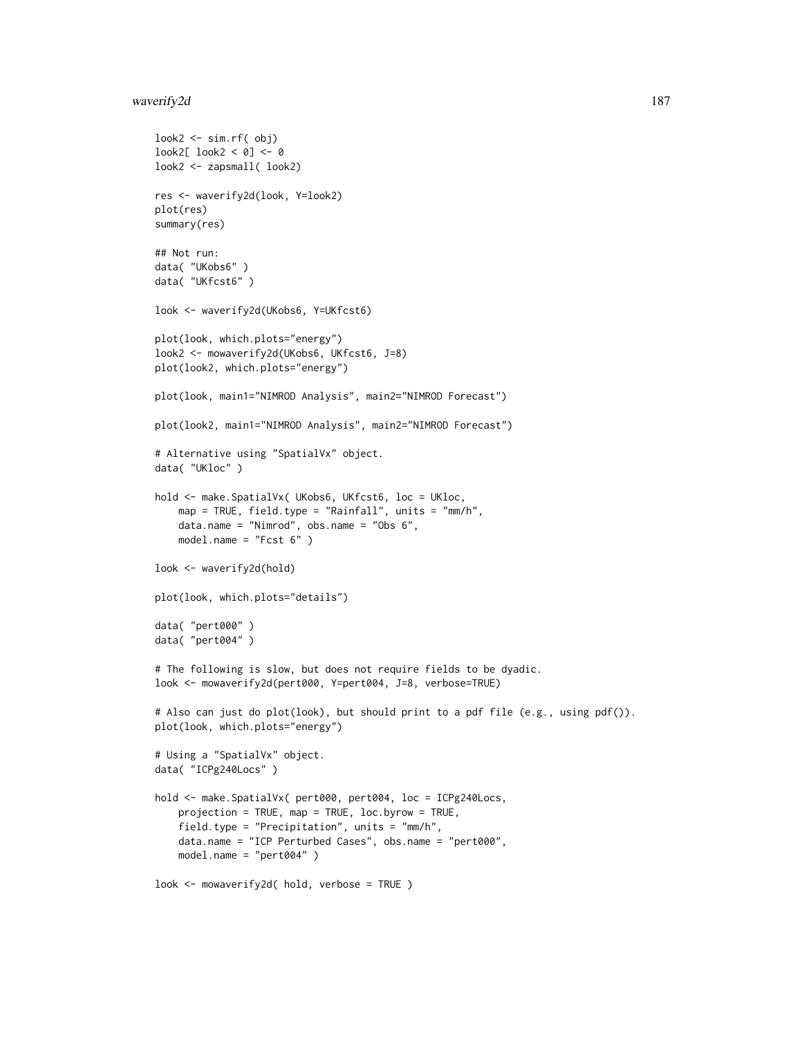# waverify2d 187

```
look2 <- sim.rf( obj)
look2[ look2 < 0] <- 0
look2 <- zapsmall( look2)
res <- waverify2d(look, Y=look2)
plot(res)
summary(res)
## Not run:
data( "UKobs6" )
data( "UKfcst6" )
look <- waverify2d(UKobs6, Y=UKfcst6)
plot(look, which.plots="energy")
look2 <- mowaverify2d(UKobs6, UKfcst6, J=8)
plot(look2, which.plots="energy")
plot(look, main1="NIMROD Analysis", main2="NIMROD Forecast")
plot(look2, main1="NIMROD Analysis", main2="NIMROD Forecast")
# Alternative using "SpatialVx" object.
data( "UKloc" )
hold <- make.SpatialVx( UKobs6, UKfcst6, loc = UKloc,
    map = TRUE, field.type = "Rainfall", units = "mm/h",
    data.name = "Nimrod", obs.name = "Obs 6",
    model.name = "Fcst 6" )
look <- waverify2d(hold)
plot(look, which.plots="details")
data( "pert000" )
data( "pert004" )
# The following is slow, but does not require fields to be dyadic.
look <- mowaverify2d(pert000, Y=pert004, J=8, verbose=TRUE)
# Also can just do plot(look), but should print to a pdf file (e.g., using pdf()).
plot(look, which.plots="energy")
# Using a "SpatialVx" object.
data( "ICPg240Locs" )
hold <- make.SpatialVx( pert000, pert004, loc = ICPg240Locs,
    projection = TRUE, map = TRUE, loc.byrow = TRUE,
    field.type = "Precipitation", units = "mm/h",
    data.name = "ICP Perturbed Cases", obs.name = "pert000",
    model.name = "pert004" )
look <- mowaverify2d( hold, verbose = TRUE )
```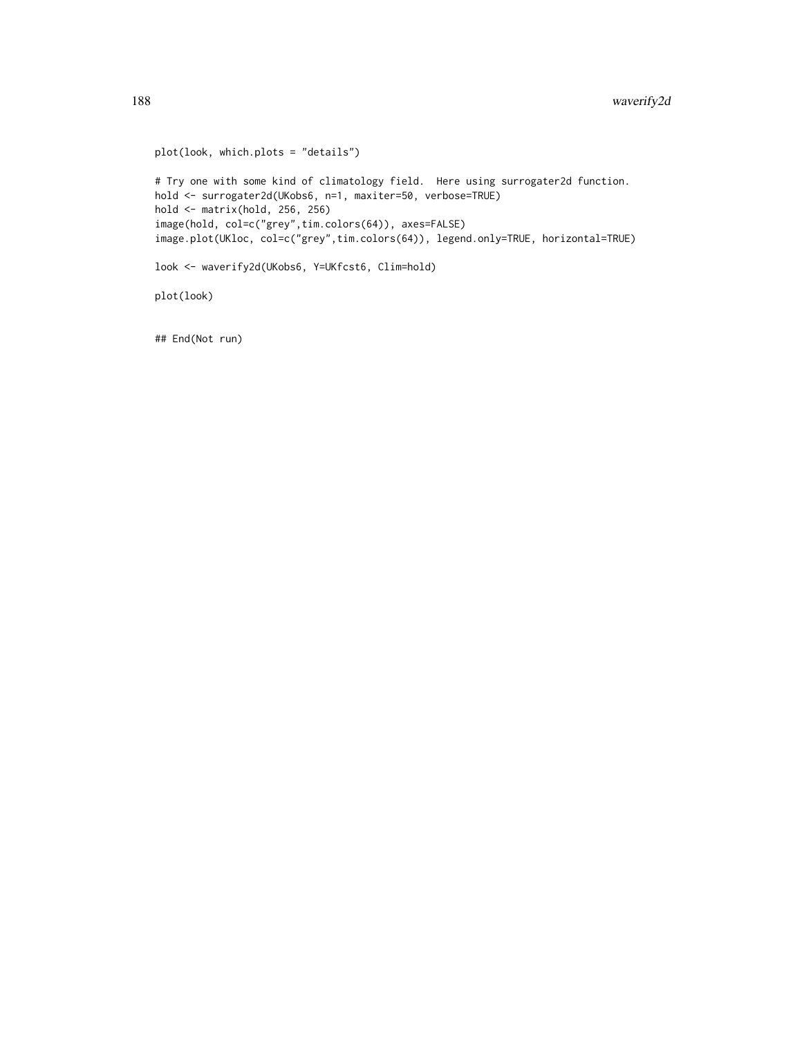```
plot(look, which.plots = "details")
# Try one with some kind of climatology field. Here using surrogater2d function.
hold <- surrogater2d(UKobs6, n=1, maxiter=50, verbose=TRUE)
hold <- matrix(hold, 256, 256)
image(hold, col=c("grey",tim.colors(64)), axes=FALSE)
image.plot(UKloc, col=c("grey",tim.colors(64)), legend.only=TRUE, horizontal=TRUE)
look <- waverify2d(UKobs6, Y=UKfcst6, Clim=hold)
plot(look)
```
## End(Not run)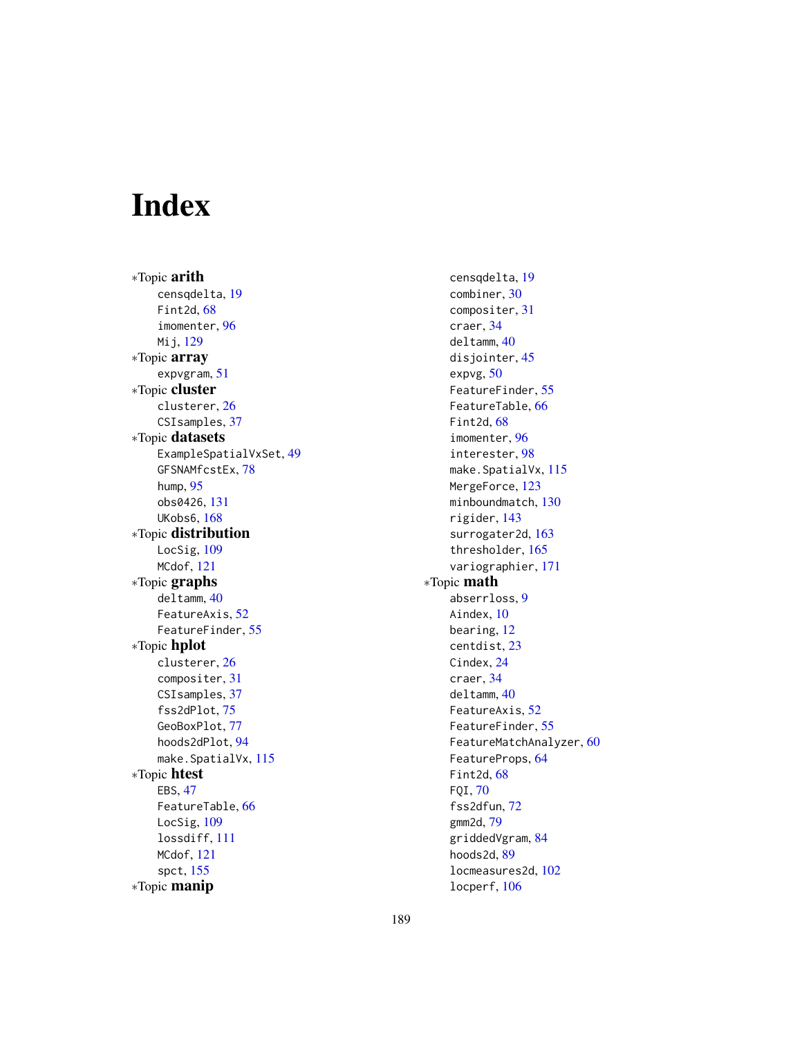# Index

∗Topic arith censqdelta, [19](#page-18-0) Fint2d, [68](#page-67-0) imomenter, [96](#page-95-0) Mij, [129](#page-128-0) ∗Topic array expvgram, [51](#page-50-0) ∗Topic cluster clusterer, [26](#page-25-0) CSIsamples, [37](#page-36-0) ∗Topic datasets ExampleSpatialVxSet, [49](#page-48-0) GFSNAMfcstEx, [78](#page-77-0) hump, [95](#page-94-0) obs0426, [131](#page-130-0) UKobs6, [168](#page-167-0) ∗Topic distribution LocSig, [109](#page-108-0) MCdof, [121](#page-120-0) ∗Topic graphs deltamm, [40](#page-39-0) FeatureAxis, [52](#page-51-0) FeatureFinder, [55](#page-54-0) ∗Topic hplot clusterer, [26](#page-25-0) compositer, [31](#page-30-0) CSIsamples, [37](#page-36-0) fss2dPlot, [75](#page-74-0) GeoBoxPlot, [77](#page-76-0) hoods2dPlot, [94](#page-93-0) make.SpatialVx, [115](#page-114-0) ∗Topic htest EBS, [47](#page-46-0) FeatureTable, [66](#page-65-0) LocSig, [109](#page-108-0) lossdiff, [111](#page-110-0) MCdof, [121](#page-120-0) spct, [155](#page-154-0) ∗Topic manip

censqdelta, [19](#page-18-0) combiner, [30](#page-29-0) compositer, [31](#page-30-0) craer, [34](#page-33-0) deltamm, [40](#page-39-0) disjointer, [45](#page-44-0) expvg, [50](#page-49-0) FeatureFinder, [55](#page-54-0) FeatureTable, [66](#page-65-0) Fint2d, [68](#page-67-0) imomenter, [96](#page-95-0) interester, [98](#page-97-0) make.SpatialVx, [115](#page-114-0) MergeForce, [123](#page-122-0) minboundmatch, [130](#page-129-0) rigider, [143](#page-142-0) surrogater2d, [163](#page-162-0) thresholder, [165](#page-164-0) variographier, [171](#page-170-0) ∗Topic math abserrloss, [9](#page-8-0) Aindex, [10](#page-9-0) bearing, [12](#page-11-0) centdist, [23](#page-22-0) Cindex, [24](#page-23-0) craer, [34](#page-33-0) deltamm, [40](#page-39-0) FeatureAxis, [52](#page-51-0) FeatureFinder, [55](#page-54-0) FeatureMatchAnalyzer, [60](#page-59-0) FeatureProps, [64](#page-63-0) Fint2d, [68](#page-67-0) FQI, [70](#page-69-0) fss2dfun, [72](#page-71-0) gmm2d, [79](#page-78-0) griddedVgram, [84](#page-83-0) hoods2d, [89](#page-88-1) locmeasures2d, [102](#page-101-0) locperf, [106](#page-105-0)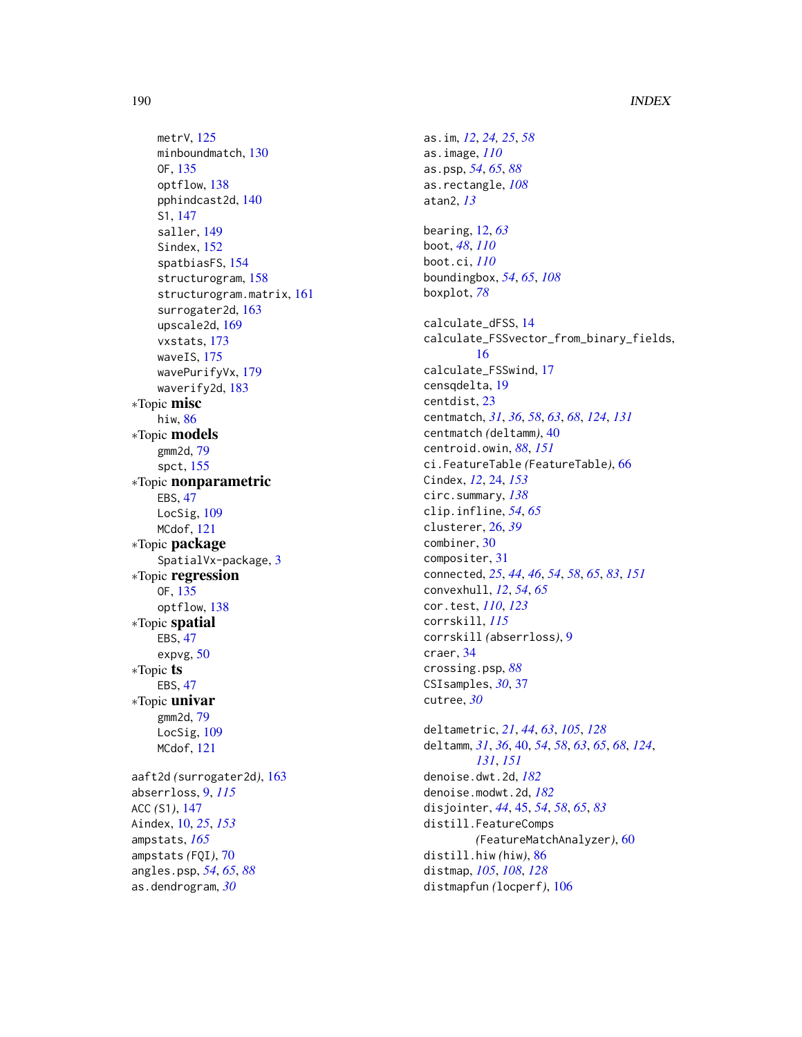# 190 INDEX

metrV , [125](#page-124-0) minboundmatch , [130](#page-129-0) OF , [135](#page-134-0) optflow , [138](#page-137-0) pphindcast2d , [140](#page-139-0) S1 , [147](#page-146-0) saller , [149](#page-148-0) Sindex, [152](#page-151-0) spatbiasFS , [154](#page-153-0) structurogram , [158](#page-157-0) structurogram.matrix , [161](#page-160-0) surrogater2d, [163](#page-162-0) upscale2d , [169](#page-168-0) vxstats , [173](#page-172-1) waveIS , [175](#page-174-1) wavePurifyVx , [179](#page-178-0) waverify2d , [183](#page-182-2) ∗Topic misc hiw , [86](#page-85-0) ∗Topic models gmm2d , [79](#page-78-0) spct , [155](#page-154-0) ∗Topic nonparametric EBS , [47](#page-46-0) LocSig, [109](#page-108-0) MCdof , [121](#page-120-0) ∗Topic package SpatialVx-package , [3](#page-2-0) ∗Topic regression OF , [135](#page-134-0) optflow , [138](#page-137-0) ∗Topic spatial EBS , [47](#page-46-0) expvg , [50](#page-49-0) ∗Topic ts EBS , [47](#page-46-0) ∗Topic univar gmm2d , [79](#page-78-0) LocSig, [109](#page-108-0) MCdof , [121](#page-120-0) aaft2d *(*surrogater2d *)* , [163](#page-162-0) abserrloss , [9](#page-8-0) , *[115](#page-114-0)* ACC *(*S1 *)* , [147](#page-146-0) Aindex , [10](#page-9-0) , *[25](#page-24-0)* , *[153](#page-152-0)* ampstats , *[165](#page-164-0)* ampstats *(*FQI *)* , [70](#page-69-0) angles.psp , *[54](#page-53-0)* , *[65](#page-64-0)* , *[88](#page-87-0)* as.dendrogram , *[30](#page-29-0)*

as.im , *[12](#page-11-0)* , *[24](#page-23-0) , [25](#page-24-0)* , *[58](#page-57-0)* as.image , *[110](#page-109-0)* as.psp , *[54](#page-53-0)* , *[65](#page-64-0)* , *[88](#page-87-0)* as.rectangle , *[108](#page-107-0)* atan2 , *[13](#page-12-0)* bearing , [12](#page-11-0) , *[63](#page-62-0)* boot , *[48](#page-47-0)* , *[110](#page-109-0)* boot.ci , *[110](#page-109-0)* boundingbox , *[54](#page-53-0)* , *[65](#page-64-0)* , *[108](#page-107-0)* boxplot , *[78](#page-77-0)* calculate\_dFSS , [14](#page-13-0) calculate\_FSSvector\_from\_binary\_fields , [16](#page-15-0) calculate\_FSSwind , [17](#page-16-0) censqdelta , [19](#page-18-0) centdist , [23](#page-22-0) centmatch , *[31](#page-30-0)* , *[36](#page-35-0)* , *[58](#page-57-0)* , *[63](#page-62-0)* , *[68](#page-67-0)* , *[124](#page-123-0)* , *[131](#page-130-0)* centmatch *(*deltamm *)* , [40](#page-39-0) centroid.owin , *[88](#page-87-0)* , *[151](#page-150-0)* ci.FeatureTable *(*FeatureTable *)* , [66](#page-65-0) Cindex , *[12](#page-11-0)* , [24](#page-23-0) , *[153](#page-152-0)* circ.summary , *[138](#page-137-0)* clip.infline , *[54](#page-53-0)* , *[65](#page-64-0)* clusterer , [26](#page-25-0) , *[39](#page-38-0)* combiner , [30](#page-29-0) compositer , [31](#page-30-0) connected , *[25](#page-24-0)* , *[44](#page-43-0)* , *[46](#page-45-0)* , *[54](#page-53-0)* , *[58](#page-57-0)* , *[65](#page-64-0)* , *[83](#page-82-0)* , *[151](#page-150-0)* convexhull , *[12](#page-11-0)* , *[54](#page-53-0)* , *[65](#page-64-0)* cor.test , *[110](#page-109-0)* , *[123](#page-122-0)* corrskill , *[115](#page-114-0)* corrskill *(*abserrloss *)* , [9](#page-8-0) craer , [34](#page-33-0) crossing.psp , *[88](#page-87-0)* CSIsamples , *[30](#page-29-0)* , [37](#page-36-0) cutree , *[30](#page-29-0)* deltametric , *[21](#page-20-0)* , *[44](#page-43-0)* , *[63](#page-62-0)* , *[105](#page-104-0)* , *[128](#page-127-0)* deltamm , *[31](#page-30-0)* , *[36](#page-35-0)* , [40](#page-39-0) , *[54](#page-53-0)* , *[58](#page-57-0)* , *[63](#page-62-0)* , *[65](#page-64-0)* , *[68](#page-67-0)* , *[124](#page-123-0)* , *[131](#page-130-0)* , *[151](#page-150-0)* denoise.dwt.2d , *[182](#page-181-0)* denoise.modwt.2d , *[182](#page-181-0)* disjointer , *[44](#page-43-0)* , [45](#page-44-0) , *[54](#page-53-0)* , *[58](#page-57-0)* , *[65](#page-64-0)* , *[83](#page-82-0)* distill.FeatureComps *(*FeatureMatchAnalyzer *)* , [60](#page-59-0) distill.hiw *(*hiw *)* , [86](#page-85-0) distmap , *[105](#page-104-0)* , *[108](#page-107-0)* , *[128](#page-127-0)* distmapfun *(*locperf *)* , [106](#page-105-0)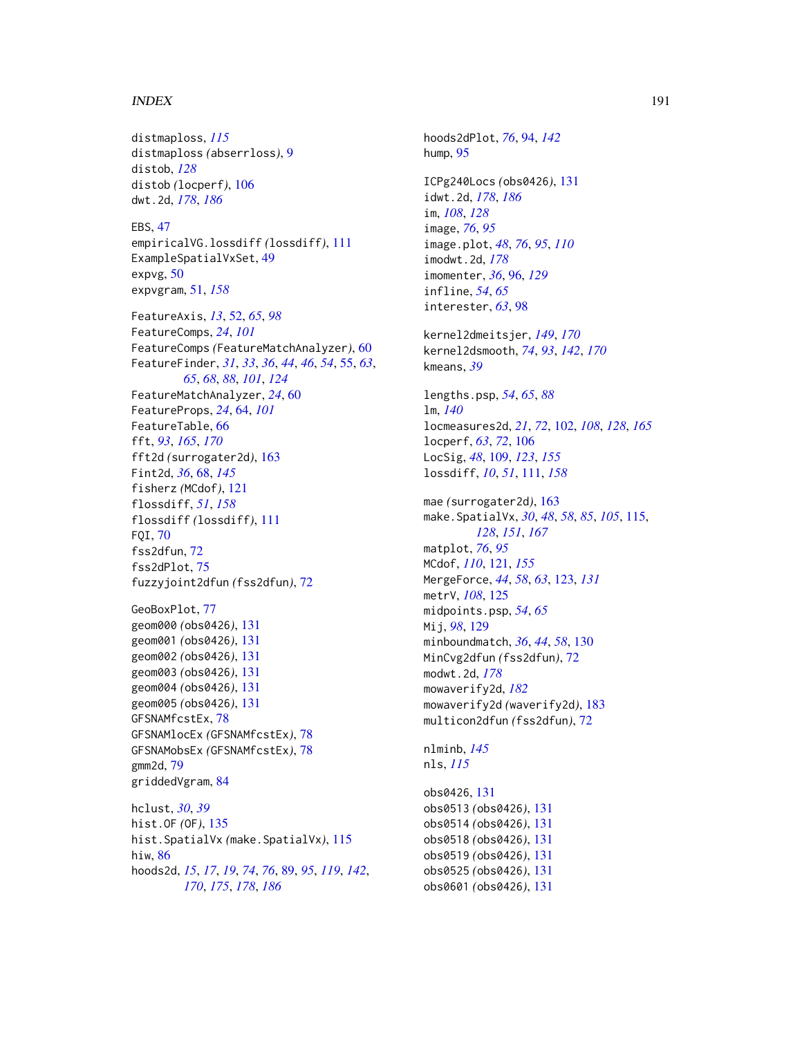#### $I$ NDEX  $191$

hiw, [86](#page-85-0)

distmaploss, *[115](#page-114-0)* distmaploss *(*abserrloss*)*, [9](#page-8-0) distob, *[128](#page-127-0)* distob *(*locperf*)*, [106](#page-105-0) dwt.2d, *[178](#page-177-0)*, *[186](#page-185-0)* EBS, [47](#page-46-0) empiricalVG.lossdiff *(*lossdiff*)*, [111](#page-110-0) ExampleSpatialVxSet, [49](#page-48-0) expvg, [50](#page-49-0) expvgram, [51,](#page-50-0) *[158](#page-157-0)* FeatureAxis, *[13](#page-12-0)*, [52,](#page-51-0) *[65](#page-64-0)*, *[98](#page-97-0)* FeatureComps, *[24](#page-23-0)*, *[101](#page-100-0)* FeatureComps *(*FeatureMatchAnalyzer*)*, [60](#page-59-0) FeatureFinder, *[31](#page-30-0)*, *[33](#page-32-0)*, *[36](#page-35-0)*, *[44](#page-43-0)*, *[46](#page-45-0)*, *[54](#page-53-0)*, [55,](#page-54-0) *[63](#page-62-0)*, *[65](#page-64-0)*, *[68](#page-67-0)*, *[88](#page-87-0)*, *[101](#page-100-0)*, *[124](#page-123-0)* FeatureMatchAnalyzer, *[24](#page-23-0)*, [60](#page-59-0) FeatureProps, *[24](#page-23-0)*, [64,](#page-63-0) *[101](#page-100-0)* FeatureTable, [66](#page-65-0) fft, *[93](#page-92-0)*, *[165](#page-164-0)*, *[170](#page-169-0)* fft2d *(*surrogater2d*)*, [163](#page-162-0) Fint2d, *[36](#page-35-0)*, [68,](#page-67-0) *[145](#page-144-0)* fisherz *(*MCdof*)*, [121](#page-120-0) flossdiff, *[51](#page-50-0)*, *[158](#page-157-0)* flossdiff *(*lossdiff*)*, [111](#page-110-0) FQI, [70](#page-69-0) fss2dfun, [72](#page-71-0) fss2dPlot, [75](#page-74-0) fuzzyjoint2dfun *(*fss2dfun*)*, [72](#page-71-0) GeoBoxPlot, [77](#page-76-0) geom000 *(*obs0426*)*, [131](#page-130-0) geom001 *(*obs0426*)*, [131](#page-130-0) geom002 *(*obs0426*)*, [131](#page-130-0) geom003 *(*obs0426*)*, [131](#page-130-0) geom004 *(*obs0426*)*, [131](#page-130-0) geom005 *(*obs0426*)*, [131](#page-130-0) GFSNAMfcstEx, [78](#page-77-0) GFSNAMlocEx *(*GFSNAMfcstEx*)*, [78](#page-77-0) GFSNAMobsEx *(*GFSNAMfcstEx*)*, [78](#page-77-0) gmm2d, [79](#page-78-0) griddedVgram, [84](#page-83-0) hclust, *[30](#page-29-0)*, *[39](#page-38-0)* hist.OF *(*OF*)*, [135](#page-134-0) hist.SpatialVx *(*make.SpatialVx*)*, [115](#page-114-0)

hoods2d, *[15](#page-14-0)*, *[17](#page-16-0)*, *[19](#page-18-0)*, *[74](#page-73-0)*, *[76](#page-75-0)*, [89,](#page-88-1) *[95](#page-94-0)*, *[119](#page-118-0)*, *[142](#page-141-0)*, *[170](#page-169-0)*, *[175](#page-174-1)*, *[178](#page-177-0)*, *[186](#page-185-0)*

ICPg240Locs *(*obs0426*)*, [131](#page-130-0) idwt.2d, *[178](#page-177-0)*, *[186](#page-185-0)* im, *[108](#page-107-0)*, *[128](#page-127-0)* image, *[76](#page-75-0)*, *[95](#page-94-0)* image.plot, *[48](#page-47-0)*, *[76](#page-75-0)*, *[95](#page-94-0)*, *[110](#page-109-0)* imodwt.2d, *[178](#page-177-0)* imomenter, *[36](#page-35-0)*, [96,](#page-95-0) *[129](#page-128-0)* infline, *[54](#page-53-0)*, *[65](#page-64-0)* interester, *[63](#page-62-0)*, [98](#page-97-0) kernel2dmeitsjer, *[149](#page-148-0)*, *[170](#page-169-0)* kernel2dsmooth, *[74](#page-73-0)*, *[93](#page-92-0)*, *[142](#page-141-0)*, *[170](#page-169-0)* kmeans, *[39](#page-38-0)* lengths.psp, *[54](#page-53-0)*, *[65](#page-64-0)*, *[88](#page-87-0)* lm, *[140](#page-139-0)* locmeasures2d, *[21](#page-20-0)*, *[72](#page-71-0)*, [102,](#page-101-0) *[108](#page-107-0)*, *[128](#page-127-0)*, *[165](#page-164-0)* locperf, *[63](#page-62-0)*, *[72](#page-71-0)*, [106](#page-105-0) LocSig, *[48](#page-47-0)*, [109,](#page-108-0) *[123](#page-122-0)*, *[155](#page-154-0)* lossdiff, *[10](#page-9-0)*, *[51](#page-50-0)*, [111,](#page-110-0) *[158](#page-157-0)* mae *(*surrogater2d*)*, [163](#page-162-0) make.SpatialVx, *[30](#page-29-0)*, *[48](#page-47-0)*, *[58](#page-57-0)*, *[85](#page-84-0)*, *[105](#page-104-0)*, [115,](#page-114-0) *[128](#page-127-0)*, *[151](#page-150-0)*, *[167](#page-166-0)* matplot, *[76](#page-75-0)*, *[95](#page-94-0)* MCdof, *[110](#page-109-0)*, [121,](#page-120-0) *[155](#page-154-0)* MergeForce, *[44](#page-43-0)*, *[58](#page-57-0)*, *[63](#page-62-0)*, [123,](#page-122-0) *[131](#page-130-0)* metrV, *[108](#page-107-0)*, [125](#page-124-0) midpoints.psp, *[54](#page-53-0)*, *[65](#page-64-0)* Mij, *[98](#page-97-0)*, [129](#page-128-0) minboundmatch, *[36](#page-35-0)*, *[44](#page-43-0)*, *[58](#page-57-0)*, [130](#page-129-0) MinCvg2dfun *(*fss2dfun*)*, [72](#page-71-0) modwt.2d, *[178](#page-177-0)* mowaverify2d, *[182](#page-181-0)* mowaverify2d *(*waverify2d*)*, [183](#page-182-2) multicon2dfun *(*fss2dfun*)*, [72](#page-71-0) nlminb, *[145](#page-144-0)* nls, *[115](#page-114-0)* obs0426, [131](#page-130-0) obs0513 *(*obs0426*)*, [131](#page-130-0) obs0514 *(*obs0426*)*, [131](#page-130-0) obs0518 *(*obs0426*)*, [131](#page-130-0) obs0519 *(*obs0426*)*, [131](#page-130-0) obs0525 *(*obs0426*)*, [131](#page-130-0)

obs0601 *(*obs0426*)*, [131](#page-130-0)

hoods2dPlot, *[76](#page-75-0)*, [94,](#page-93-0) *[142](#page-141-0)*

hump, [95](#page-94-0)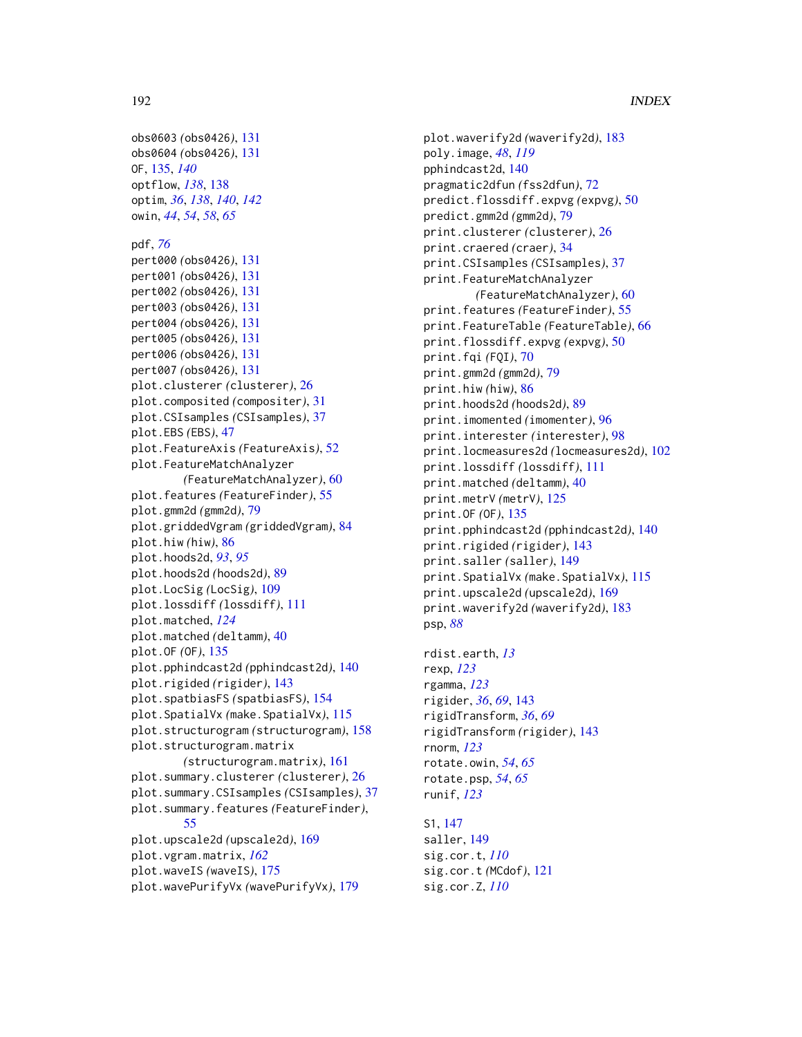```
obs0603 (obs0426), 131
obs0604 (obs0426), 131
OF, 135, 140
optflow, 138, 138
optim, 36, 138, 140, 142
owin, 44, 54, 58, 65
pdf, 76
pert000 (obs0426), 131
pert001 (obs0426), 131
pert002 (obs0426), 131
pert003 (obs0426), 131
pert004 (obs0426), 131
pert005 (obs0426), 131
pert006 (obs0426), 131
pert007 (obs0426), 131
plot.clusterer (clusterer), 26
plot.composited (compositer), 31
plot.CSIsamples (CSIsamples), 37
plot.EBS (EBS), 47
plot.FeatureAxis (FeatureAxis), 52
plot.FeatureMatchAnalyzer
        (FeatureMatchAnalyzer), 60
plot.features (FeatureFinder), 55
plot.gmm2d (gmm2d), 79
plot.griddedVgram (griddedVgram), 84
plot.hiw (hiw), 86
plot.hoods2d, 93, 95
plot.hoods2d (hoods2d), 89
plot.LocSig (LocSig), 109
plot.lossdiff (lossdiff), 111
plot.matched, 124
plot.matched (deltamm), 40
plot.OF (OF), 135
plot.pphindcast2d (pphindcast2d), 140
plot.rigided (rigider), 143
plot.spatbiasFS (spatbiasFS), 154
plot.SpatialVx (make.SpatialVx), 115
plot.structurogram (structurogram), 158
plot.structurogram.matrix
        (structurogram.matrix), 161
plot.summary.clusterer (clusterer), 26
plot.summary.CSIsamples (CSIsamples), 37
plot.summary.features (FeatureFinder),
        55
plot.upscale2d (upscale2d), 169
plot.vgram.matrix, 162
plot.waveIS (waveIS), 175
plot.wavePurifyVx (wavePurifyVx), 179
```
plot.waverify2d *(*waverify2d*)*, [183](#page-182-2) poly.image, *[48](#page-47-0)*, *[119](#page-118-0)* pphindcast2d, [140](#page-139-0) pragmatic2dfun *(*fss2dfun*)*, [72](#page-71-0) predict.flossdiff.expvg *(*expvg*)*, [50](#page-49-0) predict.gmm2d *(*gmm2d*)*, [79](#page-78-0) print.clusterer *(*clusterer*)*, [26](#page-25-0) print.craered *(*craer*)*, [34](#page-33-0) print.CSIsamples *(*CSIsamples*)*, [37](#page-36-0) print.FeatureMatchAnalyzer *(*FeatureMatchAnalyzer*)*, [60](#page-59-0) print.features *(*FeatureFinder*)*, [55](#page-54-0) print.FeatureTable *(*FeatureTable*)*, [66](#page-65-0) print.flossdiff.expvg *(*expvg*)*, [50](#page-49-0) print.fqi *(*FQI*)*, [70](#page-69-0) print.gmm2d *(*gmm2d*)*, [79](#page-78-0) print.hiw *(*hiw*)*, [86](#page-85-0) print.hoods2d *(*hoods2d*)*, [89](#page-88-1) print.imomented *(*imomenter*)*, [96](#page-95-0) print.interester *(*interester*)*, [98](#page-97-0) print.locmeasures2d *(*locmeasures2d*)*, [102](#page-101-0) print.lossdiff *(*lossdiff*)*, [111](#page-110-0) print.matched *(*deltamm*)*, [40](#page-39-0) print.metrV *(*metrV*)*, [125](#page-124-0) print.OF *(*OF*)*, [135](#page-134-0) print.pphindcast2d *(*pphindcast2d*)*, [140](#page-139-0) print.rigided *(*rigider*)*, [143](#page-142-0) print.saller *(*saller*)*, [149](#page-148-0) print.SpatialVx *(*make.SpatialVx*)*, [115](#page-114-0) print.upscale2d *(*upscale2d*)*, [169](#page-168-0) print.waverify2d *(*waverify2d*)*, [183](#page-182-2) psp, *[88](#page-87-0)*

```
rdist.earth, 13
rexp, 123
rgamma, 123
rigider, 36, 69, 143
rigidTransform, 36, 69
rigidTransform (rigider), 143
rnorm, 123
rotate.owin, 54, 65
rotate.psp, 54, 65
runif, 123
```

```
S1, 147
saller, 149
sig.cor.t, 110
sig.cor.t (MCdof), 121
sig.cor.Z, 110
```